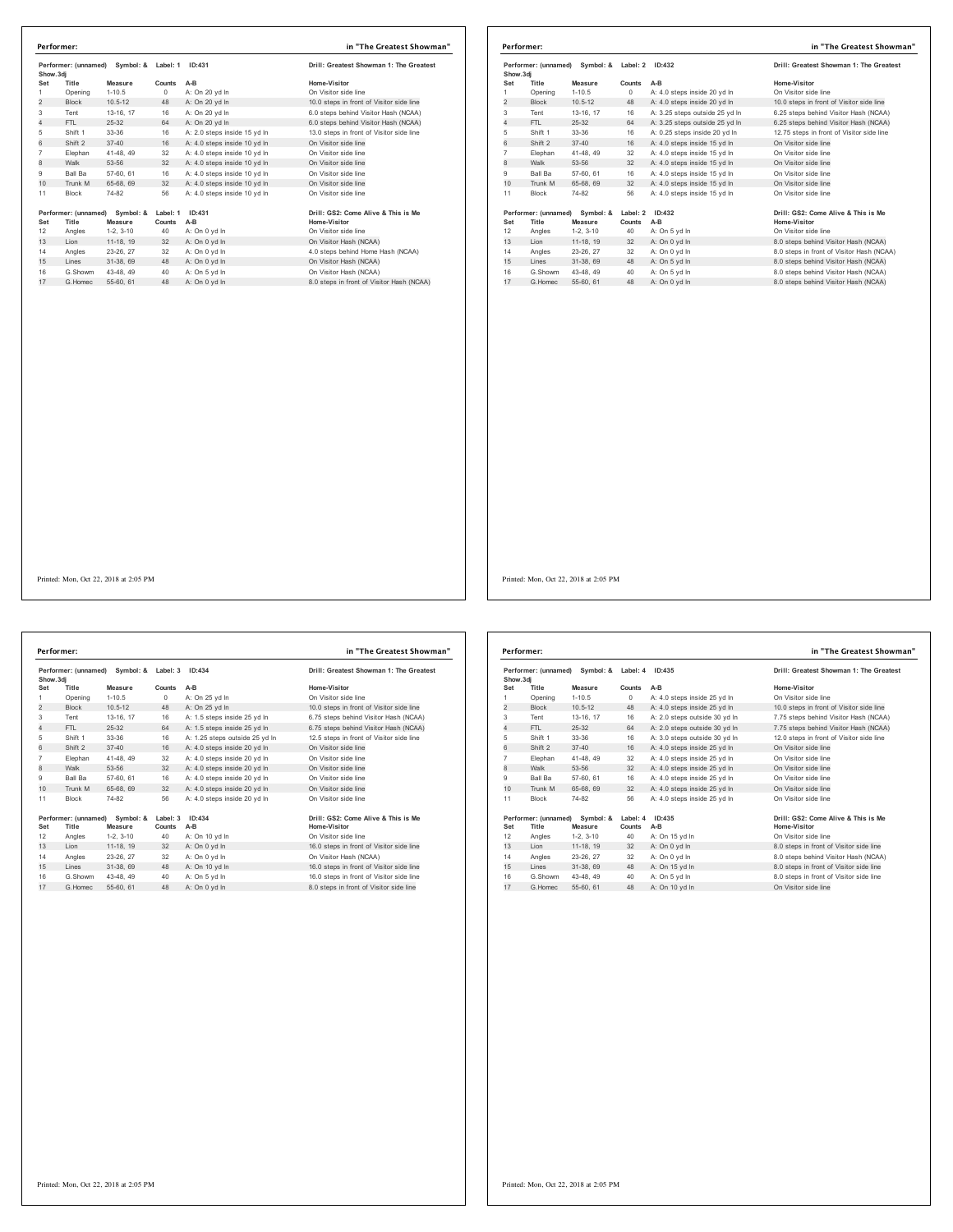|                | Performer: (unnamed)<br>Symbol: &<br>Show.3dj |             | Label: 1 | ID:431                       | Drill: Greatest Showman 1: The Greatest   |
|----------------|-----------------------------------------------|-------------|----------|------------------------------|-------------------------------------------|
| Set            | Title                                         | Measure     | Counts   | $A-B$                        | Home-Visitor                              |
| 1              | Opening                                       | $1 - 10.5$  | 0        | A: On 20 yd In               | On Visitor side line                      |
| $\overline{2}$ | <b>Block</b>                                  | $10.5 - 12$ | 48       | A: On 20 yd In               | 10.0 steps in front of Visitor side line  |
| 3              | Tent                                          | 13-16, 17   | 16       | A: On 20 yd In               | 6.0 steps behind Visitor Hash (NCAA)      |
| 4              | FTI.                                          | 25-32       | 64       | A: On 20 vd In               | 6.0 steps behind Visitor Hash (NCAA)      |
| 5              | Shift 1                                       | 33-36       | 16       | A: 2.0 steps inside 15 vd In | 13.0 steps in front of Visitor side line  |
| 6              | Shift 2                                       | $37 - 40$   | 16       | A: 4.0 steps inside 10 yd In | On Visitor side line                      |
| $\overline{7}$ | Elephan                                       | 41-48, 49   | 32       | A: 4.0 steps inside 10 yd In | On Visitor side line                      |
| 8              | Walk                                          | 53-56       | 32       | A: 4.0 steps inside 10 yd In | On Visitor side line                      |
| 9              | Ball Ba                                       | 57-60, 61   | 16       | A: 4.0 steps inside 10 yd In | On Visitor side line                      |
| 10             | Trunk M                                       | 65-68, 69   | 32       | A: 4.0 steps inside 10 yd In | On Visitor side line                      |
| 11             | <b>Block</b>                                  | 74-82       | 56       | A: 4.0 steps inside 10 yd In | On Visitor side line                      |
|                | Performer: (unnamed)                          | Symbol: &   | Label: 1 | ID:431                       | Drill: GS2: Come Alive & This is Me       |
| Set            | Title                                         | Measure     | Counts   | $A-B$                        | Home-Visitor                              |
| 12             | Angles                                        | $1-2.3-10$  | 40       | A: On 0 yd In                | On Visitor side line                      |
| 13             | Lion                                          | 11-18, 19   | 32       | A: On 0 yd In                | On Visitor Hash (NCAA)                    |
| 14             | Angles                                        | 23-26, 27   | 32       | A: On 0 vd In                | 4.0 steps behind Home Hash (NCAA)         |
| 15             | Lines                                         | 31-38, 69   | 48       | A: On 0 yd In                | On Visitor Hash (NCAA)                    |
| 16             | G.Showm                                       | 43-48, 49   | 40       | A: On 5 yd In                | On Visitor Hash (NCAA)                    |
|                | G. Homec                                      | 55-60, 61   | 48       | A: On 0 vd In                | 8.0 steps in front of Visitor Hash (NCAA) |

|                                                      | Performer:           |             |          |                                         | in "The Greatest Showman"                 |
|------------------------------------------------------|----------------------|-------------|----------|-----------------------------------------|-------------------------------------------|
| Performer: (unnamed) Symbol: & Label: 2<br>Show, 3di |                      | ID:432      |          | Drill: Greatest Showman 1: The Greatest |                                           |
| Set                                                  | Title                | Measure     | Counts   | $A-B$                                   | Home-Visitor                              |
| 1                                                    | Opening              | $1 - 10.5$  | 0        | A: 4.0 steps inside 20 yd In            | On Visitor side line                      |
| 2                                                    | <b>Block</b>         | $10.5 - 12$ | 48       | A: 4.0 steps inside 20 yd In            | 10.0 steps in front of Visitor side line  |
| 3                                                    | Tent                 | 13-16, 17   | 16       | A: 3.25 steps outside 25 yd In          | 6.25 steps behind Visitor Hash (NCAA)     |
| 4                                                    | FTI.                 | $25 - 32$   | 64       | A: 3.25 steps outside 25 vd In          | 6.25 steps behind Visitor Hash (NCAA)     |
| 5                                                    | Shift 1              | 33-36       | 16       | A: 0.25 steps inside 20 yd In           | 12.75 steps in front of Visitor side line |
| 6                                                    | Shift 2              | $37 - 40$   | 16       | A: 4.0 steps inside 15 yd In            | On Visitor side line                      |
| $\overline{7}$                                       | Elephan              | 41-48, 49   | 32       | A: 4.0 steps inside 15 yd In            | On Visitor side line                      |
| 8                                                    | Walk                 | 53-56       | 32       | A: 4.0 steps inside 15 yd In            | On Visitor side line                      |
| 9                                                    | Ball Ba              | 57-60, 61   | 16       | A: 4.0 steps inside 15 yd In            | On Visitor side line                      |
| 10                                                   | Trunk M              | 65-68, 69   | 32       | A: 4.0 steps inside 15 yd In            | On Visitor side line                      |
| 11                                                   | <b>Block</b>         | 74-82       | 56       | A: 4.0 steps inside 15 yd In            | On Visitor side line                      |
|                                                      | Performer: (unnamed) | Symbol: &   | Label: 2 | ID:432                                  | Drill: GS2: Come Alive & This is Me       |
| Set                                                  | Title                | Measure     | Counts   | A-B                                     | <b>Home-Visitor</b>                       |
| 12                                                   | Angles               | $1-2, 3-10$ | 40       | A: On 5 yd In                           | On Visitor side line                      |
| 13                                                   | Lion                 | 11-18, 19   | 32       | A: On 0 yd In                           | 8.0 steps behind Visitor Hash (NCAA)      |
| 14                                                   | Angles               | 23-26, 27   | 32       | A: On 0 vd In                           | 8.0 steps in front of Visitor Hash (NCAA) |
| 15                                                   | Lines                | 31-38, 69   | 48       | A: On 5 yd In                           | 8.0 steps behind Visitor Hash (NCAA)      |
| 16                                                   | G.Showm              | 43-48, 49   | 40       | A: On 5 yd In                           | 8.0 steps behind Visitor Hash (NCAA)      |
| 17                                                   | G. Homec             | 55-60, 61   | 48       | A: On 0 vd In                           | 8.0 steps behind Visitor Hash (NCAA)      |

**Performer: (unnamed) Symbol: & Label: 3 ID:434 Drill: Greatest Showman 1: The Greatest Show.3dj Set Title Measure Counts A-B Home-Visitor** 1 Opening 1-10.5 0 A: On 25 yd ln On Visitor side line 2 Block 10.5-12 48 A: On 25 yd ln 10.0 steps in front of Visitor side line Tent 13-16, 17 16 A: 1.5 steps inside 25 yd ln 6.75 steps behind Visitor Hash (NCAA) 4 FTL 25-32 64 A: 1.5 steps inside 25 yd ln 6.75 steps behind Visitor Hash (NCAA) Shift 1 33-36 16 A: 1.25 steps outside 25 yd ln 12.5 steps in front of Visitor side line 6 Shift 2 37-40 16 A: 4.0 steps inside 20 yd ln On Visitor side line Elephan 41-48, 49 32 A: 4.0 steps inside 20 yd ln On Visitor side line 8 Walk 53-56 32 A: 4.0 steps inside 20 yd ln On Visitor side line Ball Ba 57-60, 61 16 A: 4.0 steps inside 20 yd ln On Visitor side line 10 Trunk M 65-68, 69 32 A: 4.0 steps inside 20 yd ln On Visitor side line Block 74-82 56 A: 4.0 steps inside 20 yd ln On Visitor side line **Performer: (unnamed) Symbol: & Label: 3 ID:434 Drill: GS2: Come Alive & This is Me Set Title Measure Counts A-B Home-Visitor** 12 Angles 1-2, 3-10 40 A: On 10 yd ln On Visitor side line 13 Lion 11-18, 19 32 A: On 0 yd ln 16.0 steps in front of Visitor side line 14 Angles 23-26, 27 32 A: On 0 yd ln 16.0 steps on Visitor Hash (NCAA)<br>15 Lines 31-38, 69 48 A: On 10 yd ln 16.0 steps in front of Visitor side line G.Showm 43-48, 49 40 A: On 5 yd ln 16.0 steps in front of Visitor side line 17 G.Homec 55-60, 61 48 A: On 0 yd ln 8.0 steps in front of Visitor side line **Performer: in "The Greatest Showman"**

| Performer: (unnamed)<br>Symbol: &<br>Show, 3di |                      | Label: 4 ID:435 |          | Drill: Greatest Showman 1: The Greatest |                                          |
|------------------------------------------------|----------------------|-----------------|----------|-----------------------------------------|------------------------------------------|
| Set                                            | Title                | Measure         | Counts   | $A-B$                                   | Home-Visitor                             |
|                                                | Opening              | $1 - 10.5$      | $\Omega$ | A: 4.0 steps inside 25 yd In            | On Visitor side line                     |
| 2                                              | <b>Block</b>         | $10.5 - 12$     | 48       | A: 4.0 steps inside 25 yd In            | 10.0 steps in front of Visitor side line |
| 3                                              | Tent                 | 13-16, 17       | 16       | A: 2.0 steps outside 30 yd In           | 7.75 steps behind Visitor Hash (NCAA)    |
| 4                                              | FTI.                 | $25-32$         | 64       | A: 2.0 steps outside 30 yd In           | 7.75 steps behind Visitor Hash (NCAA)    |
| 5                                              | Shift 1              | 33-36           | 16       | A: 3.0 steps outside 30 yd In           | 12.0 steps in front of Visitor side line |
| 6                                              | Shift 2              | $37 - 40$       | 16       | A: 4.0 steps inside 25 yd In            | On Visitor side line                     |
| $\overline{7}$                                 | Elephan              | 41-48, 49       | 32       | A: 4.0 steps inside 25 yd In            | On Visitor side line                     |
| 8                                              | Walk                 | 53-56           | 32       | A: 4.0 steps inside 25 yd In            | On Visitor side line                     |
| 9                                              | <b>Ball Ba</b>       | 57-60, 61       | 16       | A: 4.0 steps inside 25 vd In            | On Visitor side line                     |
| 10                                             | Trunk M              | 65-68, 69       | 32       | A: 4.0 steps inside 25 yd In            | On Visitor side line                     |
| 11                                             | <b>Block</b>         | 74-82           | 56       | A: 4.0 steps inside 25 yd In            | On Visitor side line                     |
|                                                | Performer: (unnamed) | Symbol: &       | Label: 4 | ID:435                                  | Drill: GS2: Come Alive & This is Me      |
| Set                                            | Title                | Measure         | Counts   | A-B                                     | <b>Home-Visitor</b>                      |
| 12                                             | Angles               | $1-2.3-10$      | 40       | A: On 15 yd In                          | On Visitor side line                     |
| 13                                             | Lion                 | 11-18, 19       | 32       | A: On 0 yd In                           | 8.0 steps in front of Visitor side line  |
| 14                                             | Angles               | 23-26, 27       | 32       | A: On 0 vd In                           | 8.0 steps behind Visitor Hash (NCAA)     |
| 15                                             | Lines                | 31-38, 69       | 48       | A: On 15 yd In                          | 8.0 steps in front of Visitor side line  |
| 16                                             | G.Showm              | 43-48, 49       | 40       | A: On 5 yd In                           | 8.0 steps in front of Visitor side line  |
| 17                                             | G. Homec             | 55-60, 61       | 48       | A: On 10 vd In                          | On Visitor side line                     |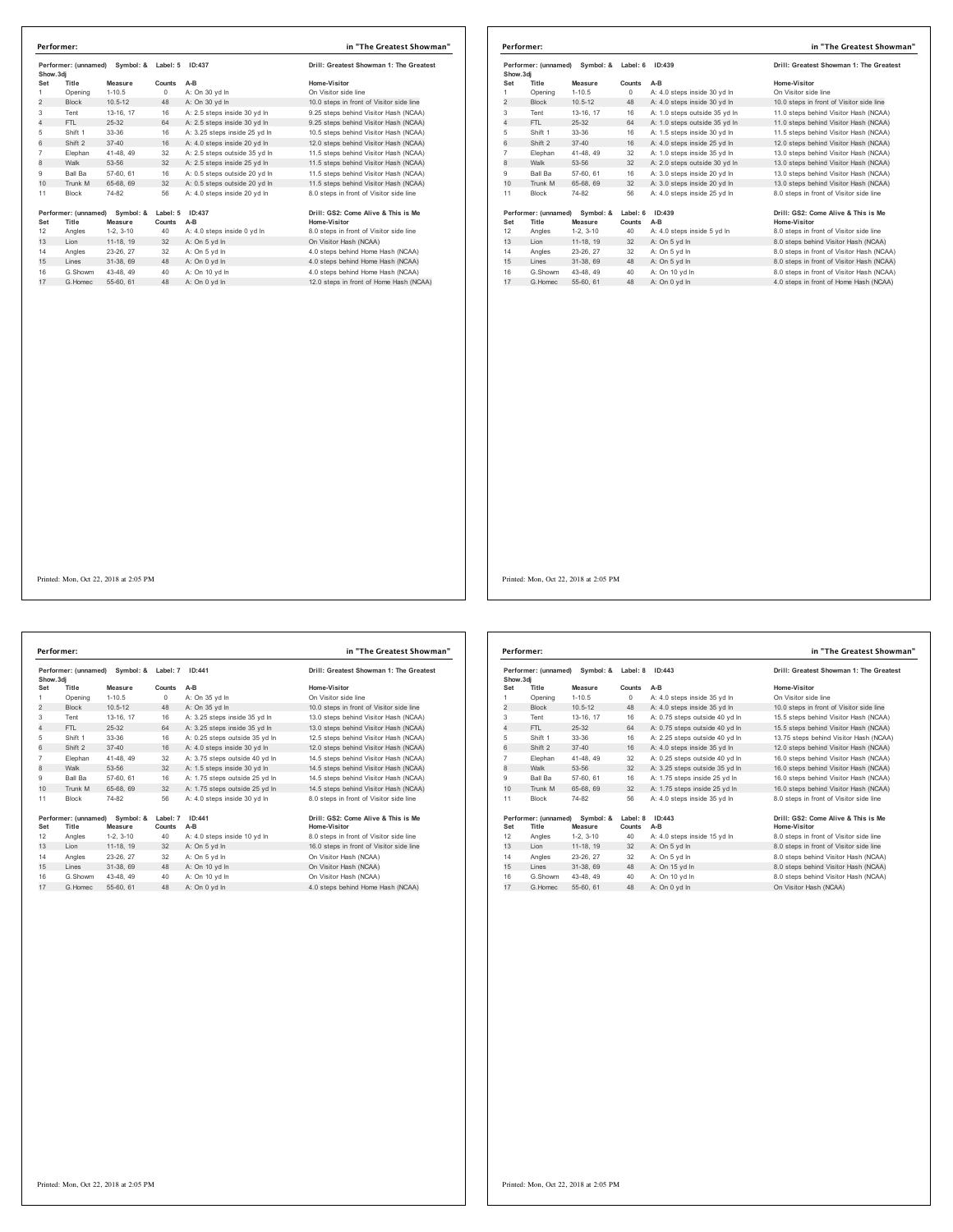|                | Symbol: &<br>Performer: (unnamed)<br>Show.3di |             | Label: 5<br>ID:437 |                               | Drill: Greatest Showman 1: The Greatest  |  |
|----------------|-----------------------------------------------|-------------|--------------------|-------------------------------|------------------------------------------|--|
| Set            | Title                                         | Measure     | Counts             | A-B                           | Home-Visitor                             |  |
| 1              | Opening                                       | $1 - 10.5$  | $^{\circ}$         | A: On 30 vd In                | On Visitor side line                     |  |
| 2              | <b>Block</b>                                  | $10.5 - 12$ | 48                 | A: On 30 yd In                | 10.0 steps in front of Visitor side line |  |
| 3              | Tent                                          | 13-16, 17   | 16                 | A: 2.5 steps inside 30 yd In  | 9.25 steps behind Visitor Hash (NCAA)    |  |
| $\overline{4}$ | FTI.                                          | $25 - 32$   | 64                 | A: 2.5 steps inside 30 vd In  | 9.25 steps behind Visitor Hash (NCAA)    |  |
| 5              | Shift 1                                       | 33-36       | 16                 | A: 3.25 steps inside 25 yd In | 10.5 steps behind Visitor Hash (NCAA)    |  |
| 6              | Shift 2                                       | $37 - 40$   | 16                 | A: 4.0 steps inside 20 yd In  | 12.0 steps behind Visitor Hash (NCAA)    |  |
| $\overline{7}$ | Elephan                                       | 41-48, 49   | 32                 | A: 2.5 steps outside 35 vd In | 11.5 steps behind Visitor Hash (NCAA)    |  |
| 8              | Walk                                          | 53-56       | 32                 | A: 2.5 steps inside 25 yd In  | 11.5 steps behind Visitor Hash (NCAA)    |  |
| 9              | Ball Ba                                       | 57-60, 61   | 16                 | A: 0.5 steps outside 20 vd In | 11.5 steps behind Visitor Hash (NCAA)    |  |
| 10             | Trunk M                                       | 65-68, 69   | 32                 | A: 0.5 steps outside 20 vd In | 11.5 steps behind Visitor Hash (NCAA)    |  |
| 11             | <b>Block</b>                                  | 74-82       | 56                 | A: 4.0 steps inside 20 yd In  | 8.0 steps in front of Visitor side line  |  |
|                | Performer: (unnamed)                          | Symbol: &   | Label: 5           | ID:437                        | Drill: GS2: Come Alive & This is Me      |  |
| Set            | Title                                         | Measure     | Counts             | A-B                           | Home-Visitor                             |  |
| 12             | Angles                                        | $1-2.3-10$  | 40                 | A: 4.0 steps inside 0 yd In   | 8.0 steps in front of Visitor side line  |  |
| 13             | Lion                                          | 11-18, 19   | 32                 | A: On 5 yd In                 | On Visitor Hash (NCAA)                   |  |
| 14             | Angles                                        | 23-26.27    | 32                 | A: On 5 yd In                 | 4.0 steps behind Home Hash (NCAA)        |  |
| 15             | Lines                                         | 31-38.69    | 48                 | A: On 0 yd In                 | 4.0 steps behind Home Hash (NCAA)        |  |
| 16             | G.Showm                                       | 43-48, 49   | 40                 | A: On 10 yd In                | 4.0 steps behind Home Hash (NCAA)        |  |
| 17             | G.Homec                                       | 55-60, 61   | 48                 | A: On 0 yd In                 | 12.0 steps in front of Home Hash (NCAA)  |  |

|                | Performer: (unnamed)<br>Symbol: & Label: 6<br>Show, 3di |             | ID:439        |                               | Drill: Greatest Showman 1: The Greatest   |  |
|----------------|---------------------------------------------------------|-------------|---------------|-------------------------------|-------------------------------------------|--|
| Set            | Title                                                   | Measure     | Counts        | $A-B$                         | Home-Visitor                              |  |
| 1              | Opening                                                 | $1 - 10.5$  | $\circ$       | A: 4.0 steps inside 30 yd In  | On Visitor side line                      |  |
| $\overline{2}$ | <b>Block</b>                                            | $10.5 - 12$ | 48            | A: 4.0 steps inside 30 yd In  | 10.0 steps in front of Visitor side line  |  |
| 3              | Tent                                                    | 13-16, 17   | 16            | A: 1.0 steps outside 35 yd In | 11.0 steps behind Visitor Hash (NCAA)     |  |
| $\overline{4}$ | FTI.                                                    | $25-32$     | 64            | A: 1.0 steps outside 35 yd In | 11.0 steps behind Visitor Hash (NCAA)     |  |
| 5              | Shift 1                                                 | 33-36       | 16            | A: 1.5 steps inside 30 vd In  | 11.5 steps behind Visitor Hash (NCAA)     |  |
| 6              | Shift 2                                                 | $37 - 40$   | 16            | A: 4.0 steps inside 25 yd In  | 12.0 steps behind Visitor Hash (NCAA)     |  |
| $\overline{7}$ | Elephan                                                 | 41-48, 49   | 32            | A: 1.0 steps inside 35 vd In  | 13.0 steps behind Visitor Hash (NCAA)     |  |
| 8              | Walk                                                    | 53-56       | 32            | A: 2.0 steps outside 30 yd In | 13.0 steps behind Visitor Hash (NCAA)     |  |
| 9              | <b>Ball Ba</b>                                          | 57-60, 61   | 16            | A: 3.0 steps inside 20 yd In  | 13.0 steps behind Visitor Hash (NCAA)     |  |
| 10             | Trunk M                                                 | 65-68, 69   | 32            | A: 3.0 steps inside 20 yd In  | 13.0 steps behind Visitor Hash (NCAA)     |  |
| 11             | <b>Block</b>                                            | 74-82       | 56            | A: 4.0 steps inside 25 yd In  | 8.0 steps in front of Visitor side line   |  |
|                | Performer: (unnamed)                                    | Symbol: &   | Label: 6      | ID:439                        | Drill: GS2: Come Alive & This is Me       |  |
| Set            | Title                                                   | Measure     | <b>Counts</b> | $A-B$                         | Home-Visitor                              |  |
| 12             | Angles                                                  | $1-2.3-10$  | 40            | A: 4.0 steps inside 5 yd In   | 8.0 steps in front of Visitor side line   |  |
| 13             | Lion                                                    | 11-18, 19   | 32            | A: On 5 yd In                 | 8.0 steps behind Visitor Hash (NCAA)      |  |
| 14             | Angles                                                  | 23-26, 27   | 32            | A: On 5 yd In                 | 8.0 steps in front of Visitor Hash (NCAA) |  |
| 15             | Lines                                                   | 31-38, 69   | 48            | A: On 5 yd In                 | 8.0 steps in front of Visitor Hash (NCAA) |  |
| 16             | G.Showm                                                 | 43-48, 49   | 40            | A: On 10 yd In                | 8.0 steps in front of Visitor Hash (NCAA) |  |
| 17             | G Homec                                                 | 55-60 61    | 48            | A: On 0 vd In                 | 4.0 steps in front of Home Hash (NCAA)    |  |

Performer: (unnamed) Symbol: & Label: 7 ID:441 Drill: Greatest Showman 1: The Greatest<br>Show.3dj Massure Counts A-B Mome-Visitor Home-Visitor<br>1 Opening 1-10.5 0 A: On 35 yd in On 10 On Visitor side line<br>2 Block 10.5-12 48 A Tent 13-16, 17 16 A: 3.25 steps inside 35 yd ln 13.0 steps behind Visitor Hash (NCAA) 4 FTL 25-32 64 A: 3.25 steps inside 35 yd ln 13.0 steps behind Visitor Hash (NCAA) Shift 1 33-36 16 A: 0.25 steps outside 35 yd ln 12.5 steps behind Visitor Hash (NCAA) 6 Shift 2 37-40 16 A: 4.0 steps inside 30 yd ln 12.0 steps behind Visitor Hash (NCAA) Elephan 41-48, 49 32 A: 3.75 steps outside 40 yd ln 14.5 steps behind Visitor Hash (NCAA) 8 Walk 53-56 32 A: 1.5 steps inside 30 yd ln 14.5 steps behind Visitor Hash (NCAA) Ball Ba 57-60, 61 16 A: 1.75 steps outside 25 yd ln 14.5 steps behind Visitor Hash (NCAA) 10 Trunk M 65-68, 69 32 A: 1.75 steps outside 25 yd ln 14.5 steps behind Visitor Hash (NCAA) 11 Block 74-82 56 A: 4.0 steps inside 30 yd In Performer: (unnamed) Symbol: & Label: 7 ID:441 Drill: GS2: Come Alive & This is Me<br>Set Title Measure Counts A-B<br>12 Angles 1-2, 3-10 40 A: 4.0 steps inside 10 yd In 8.0 steps in front of Visitor side line<br>13 Lion 11-18, 19 Angles 23-26, 27 32 A: On 5 yd ln On Visitor Hash (NCAA) 15 Lines 31-38, 69 48 A: On 10 yd ln On Visitor Hash (NCAA) 16 G.Showm 43-48, 49 40 A: On 10 yd ln On Visitor Hash (NCAA)<br>17 G.Homec 55-60, 61 48 A: On 0 yd ln 4.0 steps behind Home Hash (NCAA) **Performer: in "The Greatest Showman"**

| Home-Visitor                             |
|------------------------------------------|
| On Visitor side line                     |
| 10.0 steps in front of Visitor side line |
| 13.0 steps behind Visitor Hash (NCAA)    |
| 13.0 steps behind Visitor Hash (NCAA)    |
| 12.5 steps behind Visitor Hash (NCAA)    |
| 12.0 steps behind Visitor Hash (NCAA)    |
| 14.5 steps behind Visitor Hash (NCAA)    |
| 14.5 steps behind Visitor Hash (NCAA)    |
| 14.5 steps behind Visitor Hash (NCAA)    |
| 14.5 steps behind Visitor Hash (NCAA)    |
| 8.0 steps in front of Visitor side line  |
|                                          |
| Drill: GS2: Come Alive & This is Me      |
| Home-Visitor                             |
| 8.0 steps in front of Visitor side line  |
| 16.0 steps in front of Visitor side line |
| On Visitor Hash (NCAA)                   |
|                                          |

| Performer: (unnamed)<br>Symbol: &<br>Show.3dj |                               | Label: 8<br>ID:443   |                    | Drill: Greatest Showman 1: The Greatest |                                                     |
|-----------------------------------------------|-------------------------------|----------------------|--------------------|-----------------------------------------|-----------------------------------------------------|
| Set                                           | Title                         | Measure              | Counts             | $A-B$                                   | Home-Visitor                                        |
| 1                                             | Opening                       | $1 - 10.5$           | $\Omega$           | A: 4.0 steps inside 35 vd In            | On Visitor side line                                |
| 2                                             | <b>Block</b>                  | $10.5 - 12$          | 48                 | A: 4.0 steps inside 35 yd In            | 10.0 steps in front of Visitor side line            |
| 3                                             | Tent                          | 13-16, 17            | 16                 | A: 0.75 steps outside 40 yd In          | 15.5 steps behind Visitor Hash (NCAA)               |
| $\overline{4}$                                | FTI.                          | 25-32                | 64                 | A: 0.75 steps outside 40 yd In          | 15.5 steps behind Visitor Hash (NCAA)               |
| 5                                             | Shift 1                       | 33-36                | 16                 | A: 2.25 steps outside 40 yd In          | 13.75 steps behind Visitor Hash (NCAA)              |
| 6                                             | Shift 2                       | $37 - 40$            | 16                 | A: 4.0 steps inside 35 yd In            | 12.0 steps behind Visitor Hash (NCAA)               |
| $\overline{7}$                                | Elephan                       | 41-48, 49            | 32                 | A: 0.25 steps outside 40 yd In          | 16.0 steps behind Visitor Hash (NCAA)               |
| 8                                             | Walk                          | 53-56                | 32                 | A: 3.25 steps outside 35 yd In          | 16.0 steps behind Visitor Hash (NCAA)               |
| 9                                             | Ball Ba                       | 57-60, 61            | 16                 | A: 1.75 steps inside 25 vd In           | 16.0 steps behind Visitor Hash (NCAA)               |
| 10                                            | Trunk M                       | 65-68, 69            | 32                 | A: 1.75 steps inside 25 yd In           | 16.0 steps behind Visitor Hash (NCAA)               |
| 11                                            | <b>Block</b>                  | 74-82                | 56                 | A: 4.0 steps inside 35 vd In            | 8.0 steps in front of Visitor side line             |
| Set                                           | Performer: (unnamed)<br>Title | Symbol: &<br>Measure | Label: 8<br>Counts | ID:443<br>A-B                           | Drill: GS2: Come Alive & This is Me<br>Home-Visitor |
| 12                                            | Angles                        | $1-2.3-10$           | 40                 | A: 4.0 steps inside 15 yd In            | 8.0 steps in front of Visitor side line             |
| 13                                            | Lion                          | 11-18, 19            | 32                 | A: On 5 yd In                           | 8.0 steps in front of Visitor side line             |
| 14                                            | Angles                        | 23-26, 27            | 32                 | A: On 5 vd In                           | 8.0 steps behind Visitor Hash (NCAA)                |
| 15                                            | Lines                         | 31-38, 69            | 48                 | A: On 15 yd In                          | 8.0 steps behind Visitor Hash (NCAA)                |
| 16                                            | G Showm                       | 43-48, 49            | 40                 | A: On 10 vd In                          | 8.0 steps behind Visitor Hash (NCAA)                |
| 17                                            | G. Homec                      | 55-60, 61            | 48                 | A: On 0 yd In                           | On Visitor Hash (NCAA)                              |
|                                               |                               |                      |                    |                                         |                                                     |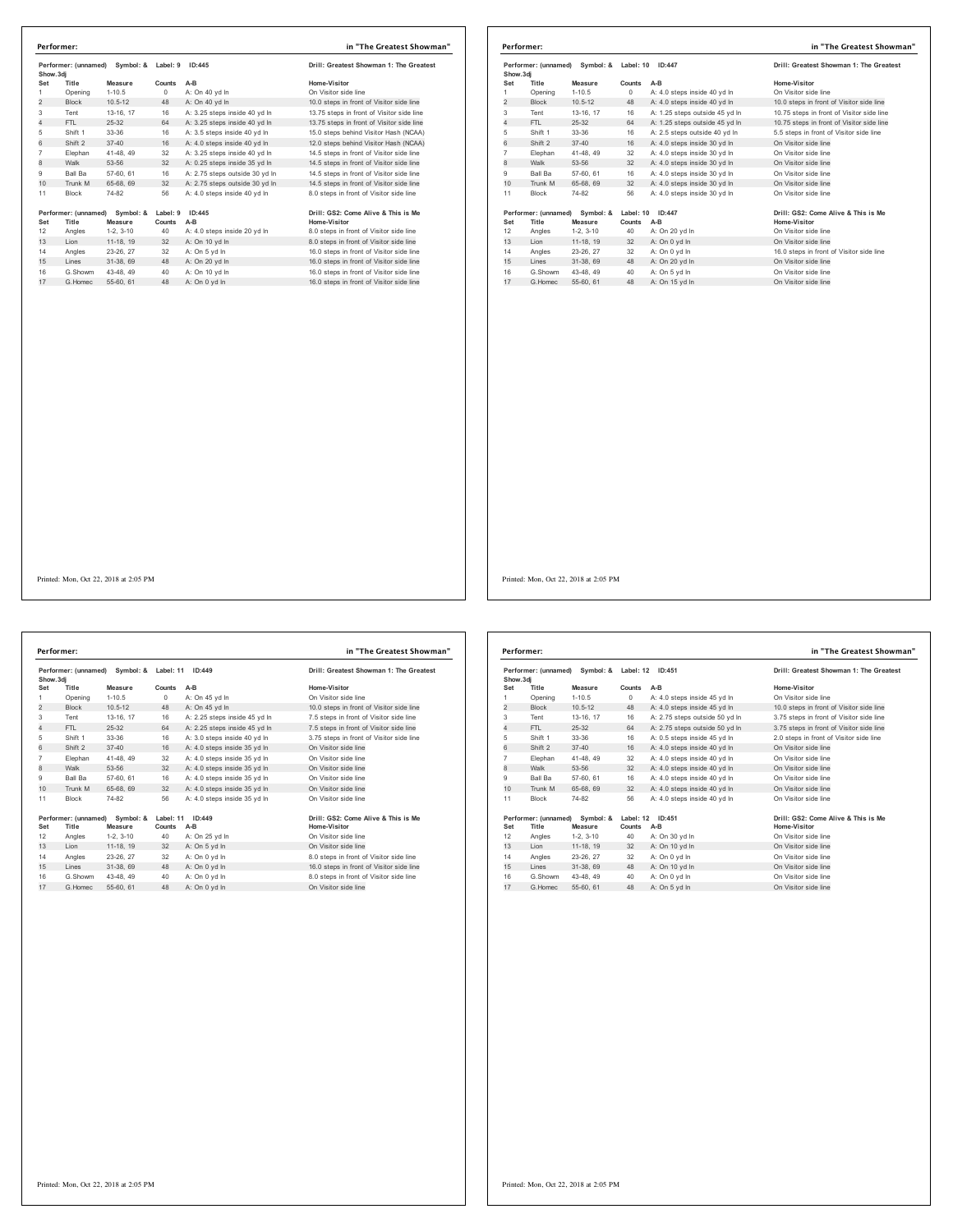|                | Performer: (unnamed)<br>Show.3di |             | Symbol: &<br>ID:445<br>Label: 9 |                                | Drill: Greatest Showman 1: The Greatest   |  |
|----------------|----------------------------------|-------------|---------------------------------|--------------------------------|-------------------------------------------|--|
| Set            | Title                            | Measure     | Counts                          | A-B                            | Home-Visitor                              |  |
| 1              | Opening                          | $1 - 10.5$  | $^{\circ}$                      | A: On 40 yd In                 | On Visitor side line                      |  |
| $\overline{c}$ | <b>Block</b>                     | $10.5 - 12$ | 48                              | A: On 40 vd In                 | 10.0 steps in front of Visitor side line  |  |
| 3              | Tent                             | 13-16, 17   | 16                              | A: 3.25 steps inside 40 yd In  | 13.75 steps in front of Visitor side line |  |
| 4              | FTL                              | $25 - 32$   | 64                              | A: 3.25 steps inside 40 yd In  | 13.75 steps in front of Visitor side line |  |
| 5              | Shift 1                          | 33-36       | 16                              | A: 3.5 steps inside 40 yd In   | 15.0 steps behind Visitor Hash (NCAA)     |  |
| 6              | Shift 2                          | $37 - 40$   | 16                              | A: 4.0 steps inside 40 vd In   | 12.0 steps behind Visitor Hash (NCAA)     |  |
| $\overline{7}$ | Elephan                          | 41-48.49    | 32                              | A: 3.25 steps inside 40 yd In  | 14.5 steps in front of Visitor side line  |  |
| 8              | Walk                             | 53-56       | 32                              | A: 0.25 steps inside 35 yd In  | 14.5 steps in front of Visitor side line  |  |
| 9              | Ball Ba                          | 57-60, 61   | 16                              | A: 2.75 steps outside 30 yd In | 14.5 steps in front of Visitor side line  |  |
| 10             | Trunk M                          | 65-68, 69   | 32                              | A: 2.75 steps outside 30 yd In | 14.5 steps in front of Visitor side line  |  |
| 11             | <b>Block</b>                     | 74-82       | 56                              | A: 4.0 steps inside 40 yd In   | 8.0 steps in front of Visitor side line   |  |
|                | Performer: (unnamed)             | Symbol: &   | Label: 9                        | ID:445                         | Drill: GS2: Come Alive & This is Me       |  |
| Set            | Title                            | Measure     | Counts                          | $A-B$                          | Home-Visitor                              |  |
| 12             | Angles                           | $1-2, 3-10$ | 40                              | A: 4.0 steps inside 20 yd In   | 8.0 steps in front of Visitor side line   |  |
| 13             | Lion                             | 11-18, 19   | 32                              | A: On 10 yd In                 | 8.0 steps in front of Visitor side line   |  |
| 14             | Angles                           | 23-26, 27   | 32                              | A: On 5 vd In                  | 16.0 steps in front of Visitor side line  |  |
| 15             | Lines                            | 31-38, 69   | 48                              | A: On 20 yd In                 | 16.0 steps in front of Visitor side line  |  |
| 16             | G.Showm                          | 43-48, 49   | 40                              | A: On 10 vd In                 | 16.0 steps in front of Visitor side line  |  |
| 17             | G Homec                          | 55-60, 61   | 48                              | A: On 0 vd In                  | 16.0 steps in front of Visitor side line  |  |

| Performer: (unnamed)<br>Symbol: &<br>Show, 3di |                      | Label: 10 ID:447 |         | Drill: Greatest Showman 1: The Greatest |                                           |
|------------------------------------------------|----------------------|------------------|---------|-----------------------------------------|-------------------------------------------|
| Set                                            | Title                | Measure          | Counts  | $A-B$                                   | Home-Visitor                              |
| 1                                              | Opening              | $1 - 10.5$       | $\circ$ | A: 4.0 steps inside 40 yd In            | On Visitor side line                      |
| 2                                              | <b>Block</b>         | $10.5 - 12$      | 48      | A: 4.0 steps inside 40 yd In            | 10.0 steps in front of Visitor side line  |
| 3                                              | Tent                 | 13-16, 17        | 16      | A: 1.25 steps outside 45 yd In          | 10.75 steps in front of Visitor side line |
| $\overline{4}$                                 | FTL                  | 25-32            | 64      | A: 1.25 steps outside 45 vd In          | 10.75 steps in front of Visitor side line |
| 5                                              | Shift 1              | 33-36            | 16      | A: 2.5 steps outside 40 yd In           | 5.5 steps in front of Visitor side line   |
| 6                                              | Shift 2              | $37 - 40$        | 16      | A: 4.0 steps inside 30 yd In            | On Visitor side line                      |
| $\overline{7}$                                 | Elephan              | 41-48, 49        | 32      | A: 4.0 steps inside 30 yd In            | On Visitor side line                      |
| 8                                              | Walk                 | 53-56            | 32      | A: 4.0 steps inside 30 yd In            | On Visitor side line                      |
| 9                                              | <b>Ball Ba</b>       | 57-60, 61        | 16      | A: 4.0 steps inside 30 yd In            | On Visitor side line                      |
| 10                                             | Trunk M              | 65-68, 69        | 32      | A: 4.0 steps inside 30 yd In            | On Visitor side line                      |
| 11                                             | <b>Block</b>         | 74-82            | 56      | A: 4.0 steps inside 30 vd In            | On Visitor side line                      |
|                                                | Performer: (unnamed) | Symbol: &        |         | Label: 10 ID:447                        | Drill: GS2: Come Alive & This is Me       |
| Set                                            | Title                | Measure          | Counts  | A-B                                     | Home-Visitor                              |
| 12                                             | Angles               | $1-2, 3-10$      | 40      | A: On 20 yd In                          | On Visitor side line                      |
| 13                                             | Lion                 | 11-18, 19        | 32      | A: On 0 yd In                           | On Visitor side line                      |
| 14                                             | Angles               | 23-26, 27        | 32      | A: On 0 yd In                           | 16.0 steps in front of Visitor side line  |
| 15                                             | Lines                | 31-38, 69        | 48      | A: On 20 yd In                          | On Visitor side line                      |
| 16                                             | G.Showm              | 43-48, 49        | 40      | A: On 5 yd In                           | On Visitor side line                      |
| 17                                             | G. Homec             | 55-60, 61        | 48      | A: On 15 vd In                          | On Visitor side line                      |

**Performer: (unnamed) Symbol: & Label: 11 ID:449 Drill: Greatest Showman 1: The Greatest Show.3dj Set Title Measure Counts A-B Home-Visitor** Opening 1-10.5 0 A: On 45 yd ln On Visitor side line 2 Block 10.5-12 48 A: On 45 yd ln 10.0 steps in front of Visitor side line Tent 13-16, 17 16 A: 2.25 steps inside 45 yd ln 7.5 steps in front of Visitor side line 4 FTL 25-32 64 A: 2.25 steps inside 45 yd ln 7.5 steps in front of Visitor side line Shift 1 33-36 16 A: 3.0 steps inside 40 yd ln 3.75 steps in front of Visitor side line 6 Shift 2 37-40 16 A: 4.0 steps inside 35 yd ln On Visitor side line Elephan 41-48, 49 32 A: 4.0 steps inside 35 yd ln On Visitor side line 8 Walk 53-56 32 A: 4.0 steps inside 35 yd ln On Visitor side line Ball Ba 57-60, 61 16 A: 4.0 steps inside 35 yd ln On Visitor side line 10 Trunk M 65-68, 69 32 A: 4.0 steps inside 35 yd ln On Visitor side line Block 74-82 56 A: 4.0 steps inside 35 yd ln On Visitor side line **Performer: (unnamed) Symbol: & Label: 11 ID:449 Drill: GS2: Come Alive & This is Me Set Title Measure Counts A-B Home-Visitor** 12 Angles 1-2, 3-10 40 A: On 25 yd ln On Visitor side line 13 Lion 11-18, 19 32 A: On 5 yd ln On Visitor side line 14 Angles 23-26, 27 32 A: On 0 yd ln 16.0 steps in front of Visitor side line<br>15 Lines 31-38, 69 48 A: On 0 yd ln 16.0 steps in front of Visitor side line **Performer: in "The Greatest Showman"**

16 G.Showm 43-48, 49 40 A: On 0 yd In 8.0 steps in front of Visitor side line<br>17 G.Homec 55-60, 61 48 A: On 0 yd In On On Visitor side line

|                | Performer: (unnamed)<br>Symbol: &<br>Show, 3di |             | Label: 12 | ID:451                         | Drill: Greatest Showman 1: The Greatest  |
|----------------|------------------------------------------------|-------------|-----------|--------------------------------|------------------------------------------|
| Set            | Title                                          | Measure     | Counts    | $A-B$                          | Home-Visitor                             |
| 1              | Opening                                        | $1 - 10.5$  | $\Omega$  | A: 4.0 steps inside 45 vd In   | On Visitor side line                     |
| $\overline{c}$ | <b>Block</b>                                   | $10.5 - 12$ | 48        | A: 4.0 steps inside 45 yd In   | 10.0 steps in front of Visitor side line |
| 3              | Tent                                           | 13-16, 17   | 16        | A: 2.75 steps outside 50 yd In | 3.75 steps in front of Visitor side line |
| 4              | FTI.                                           | $25-32$     | 64        | A: 2.75 steps outside 50 yd In | 3.75 steps in front of Visitor side line |
| 5              | Shift 1                                        | 33-36       | 16        | A: 0.5 steps inside 45 yd In   | 2.0 steps in front of Visitor side line  |
| 6              | Shift 2                                        | $37 - 40$   | 16        | A: 4.0 steps inside 40 vd In   | On Visitor side line                     |
| $\overline{7}$ | Elephan                                        | 41-48, 49   | 32        | A: 4.0 steps inside 40 yd In   | On Visitor side line                     |
| 8              | Walk                                           | 53-56       | 32        | A: 4.0 steps inside 40 yd In   | On Visitor side line                     |
| 9              | Ball Ba                                        | 57-60, 61   | 16        | A: 4.0 steps inside 40 vd In   | On Visitor side line                     |
| 10             | Trunk M                                        | 65-68, 69   | 32        | A: 4.0 steps inside 40 yd In   | On Visitor side line                     |
| 11             | <b>Block</b>                                   | 74-82       | 56        | A: 4.0 steps inside 40 yd In   | On Visitor side line                     |
|                | Performer: (unnamed)                           | Symbol: &   | Label: 12 | ID:451                         | Drill: GS2: Come Alive & This is Me      |
| Set            | Title                                          | Measure     | Counts    | A-B                            | <b>Home-Visitor</b>                      |
| 12             | Angles                                         | $1-2.3-10$  | 40        | A: On 30 yd In                 | On Visitor side line                     |
| 13             | Lion                                           | 11-18, 19   | 32        | A: On 10 yd In                 | On Visitor side line                     |
| 14             | Angles                                         | 23-26, 27   | 32        | A: On 0 vd In                  | On Visitor side line                     |
| 15             | Lines                                          | 31-38, 69   | 48        | A: On 10 yd In                 | On Visitor side line                     |
| 16             | G.Showm                                        | 43-48, 49   | 40        | A: On 0 yd In                  | On Visitor side line                     |
| 17             | G. Homec                                       | 55-60, 61   | 48        | A: On 5 vd In                  | On Visitor side line                     |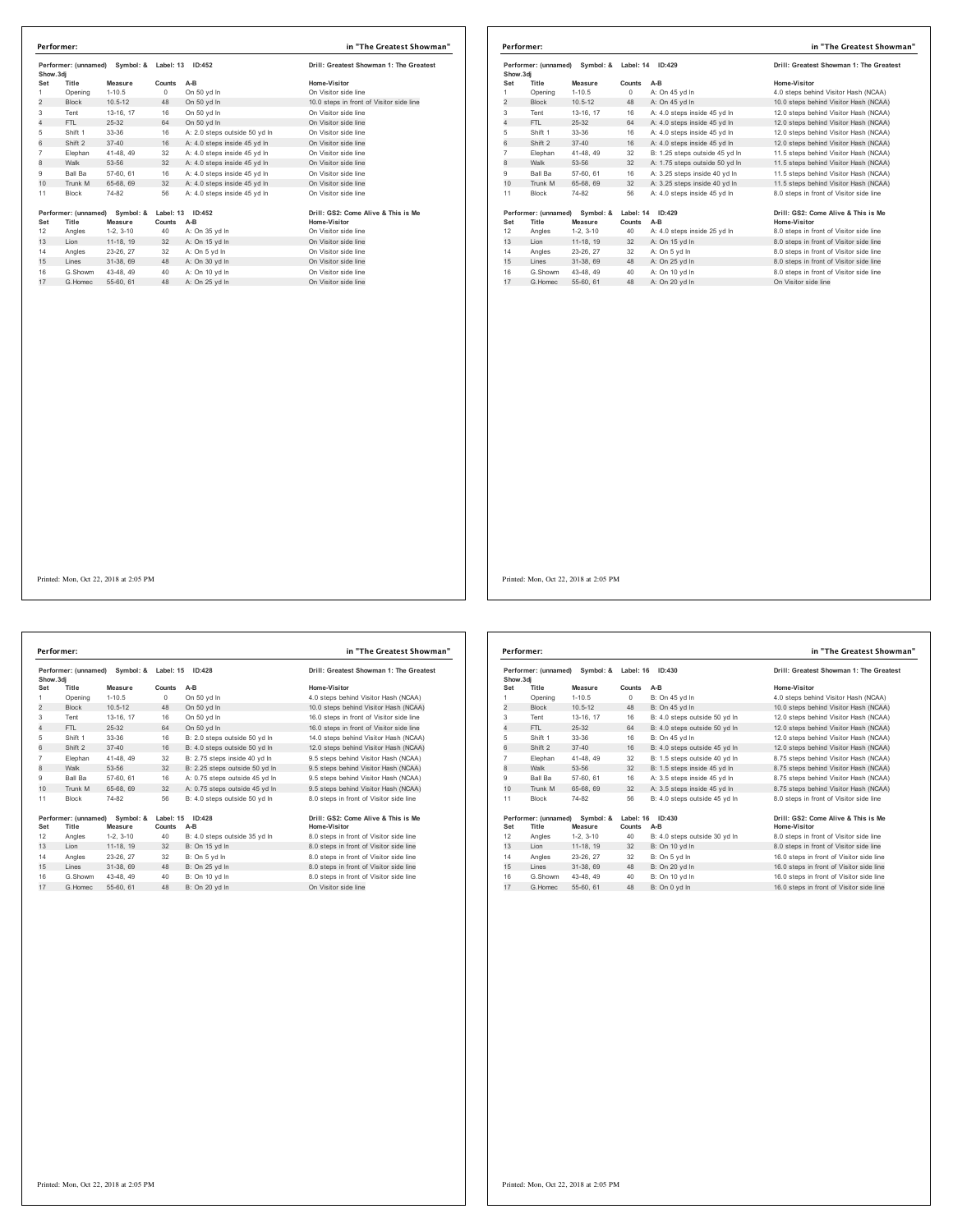|                | Performer: (unnamed)<br>Symbol: &<br>Show.3di |             | Label: 13 | ID:452                        | Drill: Greatest Showman 1: The Greatest  |  |
|----------------|-----------------------------------------------|-------------|-----------|-------------------------------|------------------------------------------|--|
| Set            | Title                                         | Measure     | Counts    | A-B                           | Home-Visitor                             |  |
| 1              | Opening                                       | $1 - 10.5$  | 0         | On 50 yd In                   | On Visitor side line                     |  |
| $\overline{c}$ | <b>Block</b>                                  | $10.5 - 12$ | 48        | On 50 yd In                   | 10.0 steps in front of Visitor side line |  |
| 3              | Tent                                          | 13-16, 17   | 16        | On 50 yd In                   | On Visitor side line                     |  |
| 4              | FTL                                           | $25 - 32$   | 64        | On 50 yd In                   | On Visitor side line                     |  |
| 5              | Shift 1                                       | 33-36       | 16        | A: 2.0 steps outside 50 yd In | On Visitor side line                     |  |
| 6              | Shift 2                                       | $37 - 40$   | 16        | A: 4.0 steps inside 45 yd In  | On Visitor side line                     |  |
| $\overline{7}$ | Elephan                                       | 41-48, 49   | 32        | A: 4.0 steps inside 45 yd In  | On Visitor side line                     |  |
| 8              | Walk                                          | 53-56       | 32        | A: 4.0 steps inside 45 yd In  | On Visitor side line                     |  |
| 9              | Ball Ba                                       | 57-60, 61   | 16        | A: 4.0 steps inside 45 vd In  | On Visitor side line                     |  |
| 10             | Trunk M                                       | 65-68, 69   | 32        | A: 4.0 steps inside 45 vd In  | On Visitor side line                     |  |
| 11             | <b>Block</b>                                  | 74-82       | 56        | A: 4.0 steps inside 45 yd In  | On Visitor side line                     |  |
|                | Performer: (unnamed)                          | Symbol: &   | Label: 13 | ID:452                        | Drill: GS2: Come Alive & This is Me      |  |
| Set            | Title                                         | Measure     | Counts    | A-B                           | Home-Visitor                             |  |
| 12             | Angles                                        | $1-2, 3-10$ | 40        | A: On 35 yd In                | On Visitor side line                     |  |
| 13             | Lion                                          | 11-18, 19   | 32        | A: On 15 yd In                | On Visitor side line                     |  |
| 14             | Angles                                        | 23-26, 27   | 32        | A: On 5 yd In                 | On Visitor side line                     |  |
| 15             | Lines                                         | 31-38, 69   | 48        | A: On 30 yd In                | On Visitor side line                     |  |
| 16             | G.Showm                                       | 43-48, 49   | 40        | A: On 10 yd In                | On Visitor side line                     |  |
| 17             | G Homec                                       | 55-60, 61   | 48        | A: On 25 vd In                | On Visitor side line                     |  |

|                                                       |                      |             |            | ID:429                         | Drill: Greatest Showman 1: The Greatest |  |  |
|-------------------------------------------------------|----------------------|-------------|------------|--------------------------------|-----------------------------------------|--|--|
| Performer: (unnamed) Symbol: & Label: 14<br>Show, 3di |                      |             |            |                                |                                         |  |  |
| Set                                                   | Title                | Measure     | Counts     | $A-B$                          | Home-Visitor                            |  |  |
| 1                                                     | Opening              | $1 - 10.5$  | $^{\circ}$ | A: On 45 yd In                 | 4.0 steps behind Visitor Hash (NCAA)    |  |  |
| $\overline{2}$                                        | <b>Block</b>         | $10.5 - 12$ | 48         | A: On 45 yd In                 | 10.0 steps behind Visitor Hash (NCAA)   |  |  |
| 3                                                     | Tent                 | 13-16, 17   | 16         | A: 4.0 steps inside 45 yd In   | 12.0 steps behind Visitor Hash (NCAA)   |  |  |
| $\overline{4}$                                        | FTL.                 | $25 - 32$   | 64         | A: 4.0 steps inside 45 yd In   | 12.0 steps behind Visitor Hash (NCAA)   |  |  |
| 5                                                     | Shift 1              | 33-36       | 16         | A: 4.0 steps inside 45 yd In   | 12.0 steps behind Visitor Hash (NCAA)   |  |  |
| 6                                                     | Shift 2              | $37 - 40$   | 16         | A: 4.0 steps inside 45 vd In   | 12.0 steps behind Visitor Hash (NCAA)   |  |  |
| $\overline{7}$                                        | Elephan              | 41-48, 49   | 32         | B: 1.25 steps outside 45 yd In | 11.5 steps behind Visitor Hash (NCAA)   |  |  |
| 8                                                     | Walk                 | 53-56       | 32         | A: 1.75 steps outside 50 yd In | 11.5 steps behind Visitor Hash (NCAA)   |  |  |
| 9                                                     | Ball Ba              | 57-60, 61   | 16         | A: 3.25 steps inside 40 yd In  | 11.5 steps behind Visitor Hash (NCAA)   |  |  |
| 10                                                    | Trunk M              | 65-68, 69   | 32         | A: 3.25 steps inside 40 yd In  | 11.5 steps behind Visitor Hash (NCAA)   |  |  |
| 11                                                    | <b>Block</b>         | 74-82       | 56         | A: 4.0 steps inside 45 yd In   | 8.0 steps in front of Visitor side line |  |  |
|                                                       | Performer: (unnamed) | Symbol: &   |            | Label: 14 ID:429               | Drill: GS2: Come Alive & This is Me     |  |  |
| Set                                                   | Title                | Measure     | Counts     | A-B                            | Home-Visitor                            |  |  |
| 12                                                    | Angles               | $1-2.3-10$  | 40         | A: 4.0 steps inside 25 yd In   | 8.0 steps in front of Visitor side line |  |  |
| 13                                                    | Lion                 | 11-18, 19   | 32         | A: On 15 yd In                 | 8.0 steps in front of Visitor side line |  |  |
| 14                                                    | Angles               | 23-26, 27   | 32         | A: On 5 vd In                  | 8.0 steps in front of Visitor side line |  |  |
| 15                                                    | Lines                | 31-38, 69   | 48         | A: On 25 yd In                 | 8.0 steps in front of Visitor side line |  |  |
| 16                                                    | G.Showm              | 43-48, 49   | 40         | A: On 10 yd In                 | 8.0 steps in front of Visitor side line |  |  |
| 17                                                    | G. Homec             | 55-60 61    | 48         | A: On 20 vd In                 | On Visitor side line                    |  |  |

**Performer: (unnamed) Symbol: & Label: 15 ID:428 Drill: Greatest Showman 1: The Greatest Show.3dj Set Title Measure Counts A-B Home-Visitor** Opening 1-10.5 0 On 50 yd ln 4.0 steps behind Visitor Hash (NCAA) 2 Block 10.5-12 48 On 50 yd ln 10.0 steps behind Visitor Hash (NCAA) Tent 13-16, 17 16 On 50 yd ln 16.0 steps in front of Visitor side line 4 FTL 25-32 64 On 50 yd ln<br>
FTL 25-32 64 On 50 yd ln<br>
51.0 steps in front of Visitor side line<br>
16.0 steps in front of Visitor side line<br>
16.0 steps in front of Visitor side line<br>
16.0 steps in front of Visitor Side line<br> Shift 1 33-36 16 B: 2.0 steps outside 50 yd ln 14.0 steps behind Visitor Hash (NCAA) 6 Shift 2 37-40 16 B: 4.0 steps outside 50 yd ln 12.0 steps behind Visitor Hash (NCAA) Elephan 41-48, 49 32 B: 2.75 steps inside 40 yd ln 9.5 steps behind Visitor Hash (NCAA) 8 Walk 53-56 32 B: 2.25 steps outside 50 yd ln 9.5 steps behind Visitor Hash (NCAA) Ball Ba 57-60, 61 16 A: 0.75 steps outside 45 yd ln 9.5 steps behind Visitor Hash (NCAA) 10 Trunk M 65-68, 69 32 A: 0.75 steps outside 45 yd ln 9.5 steps behind Visitor Hash (NCAA) Block 74-82 56 B: 4.0 steps outside 50 yd ln 8.0 steps in front of Visitor side line Performer: (unnamed) Symbol: & Label: 15 ID:428<br>Set Title Measure Counts A-B<br>12 Angles 1-2, 3-10 40 B:4.0 steps outside 35 yd in 8.0 steps in front of Visitor side line 13 Linux Linux Linux Linux Linux Linux Linux Linux Linux Linux Linux Linux Linux Linux Linux Linux Linux Linux<br>13 Angles 1-2, 3-10 40 B: 4.0 steps outside 35 yd ln 8.0 steps in front of Visitor side line<br>13 Lion 11-18, 19 14 Angles 23-26, 27 32 B: On 5 yd ln<br>15 Lines 31-38, 69 48 B: On 25 yd ln 8.0 steps in front of Visitor side line Lines 31-38, 69 48 B: On 25 yd ln 8.0 steps in front of Visitor side line 16 G.Showm 43-48, 49 40 B: On 10 yd ln 8.0 steps in front of Visitor side line<br>17 G.Homec 55-60, 61 48 B: On 20 yd ln Director Son Visitor side line **Performer: in "The Greatest Showman"**

|                | Symbol: &<br>Performer: (unnamed)<br>Show, 3di |             |           | Label: 16<br>ID:430           | Drill: Greatest Showman 1: The Greatest  |
|----------------|------------------------------------------------|-------------|-----------|-------------------------------|------------------------------------------|
| Set            | Title                                          | Measure     | Counts    | $A-B$                         | Home-Visitor                             |
| 1.             | Opening                                        | $1-10.5$    | $\Omega$  | B: On 45 vd In                | 4.0 steps behind Visitor Hash (NCAA)     |
| 2              | <b>Block</b>                                   | $10.5 - 12$ | 48        | B: On 45 yd In                | 10.0 steps behind Visitor Hash (NCAA)    |
| 3              | Tent                                           | 13-16, 17   | 16        | B: 4.0 steps outside 50 yd In | 12.0 steps behind Visitor Hash (NCAA)    |
| 4              | FTI.                                           | 25-32       | 64        | B: 4.0 steps outside 50 yd In | 12.0 steps behind Visitor Hash (NCAA)    |
| 5              | Shift 1                                        | 33-36       | 16        | B: On 45 yd In                | 12.0 steps behind Visitor Hash (NCAA)    |
| 6              | Shift 2                                        | $37 - 40$   | 16        | B: 4.0 steps outside 45 yd In | 12.0 steps behind Visitor Hash (NCAA)    |
| $\overline{7}$ | Elephan                                        | 41-48, 49   | 32        | B: 1.5 steps outside 40 vd In | 8.75 steps behind Visitor Hash (NCAA)    |
| 8              | Walk                                           | 53-56       | 32        | B: 1.5 steps inside 45 yd In  | 8.75 steps behind Visitor Hash (NCAA)    |
| 9              | Ball Ba                                        | 57-60, 61   | 16        | A: 3.5 steps inside 45 vd In  | 8.75 steps behind Visitor Hash (NCAA)    |
| 10             | Trunk M                                        | 65-68, 69   | 32        | A: 3.5 steps inside 45 yd In  | 8.75 steps behind Visitor Hash (NCAA)    |
| 11             | <b>Block</b>                                   | 74-82       | 56        | B: 4.0 steps outside 45 vd In | 8.0 steps in front of Visitor side line  |
|                | Performer: (unnamed)                           | Symbol: &   | Label: 16 | ID:430                        | Drill: GS2: Come Alive & This is Me      |
| Set            | Title                                          | Measure     | Counts    | $A-B$                         | Home-Visitor                             |
| 12             | Angles                                         | $1-2.3-10$  | 40        | B: 4.0 steps outside 30 yd In | 8.0 steps in front of Visitor side line  |
| 13             | Lion                                           | 11-18, 19   | 32        | B: On 10 vd In                | 8.0 steps in front of Visitor side line  |
| 14             | Angles                                         | 23-26, 27   | 32        | B: On 5 vd In                 | 16.0 steps in front of Visitor side line |
| 15             | I ines                                         | 31-38, 69   | 48        | B: On 20 yd In                | 16.0 steps in front of Visitor side line |
| 16             | G Showm                                        | 43-48, 49   | 40        | B: On 10 vd In                | 16.0 steps in front of Visitor side line |
| 17             | G Homec                                        | 55-60, 61   | 48        | B: On 0 vd In                 | 16.0 steps in front of Visitor side line |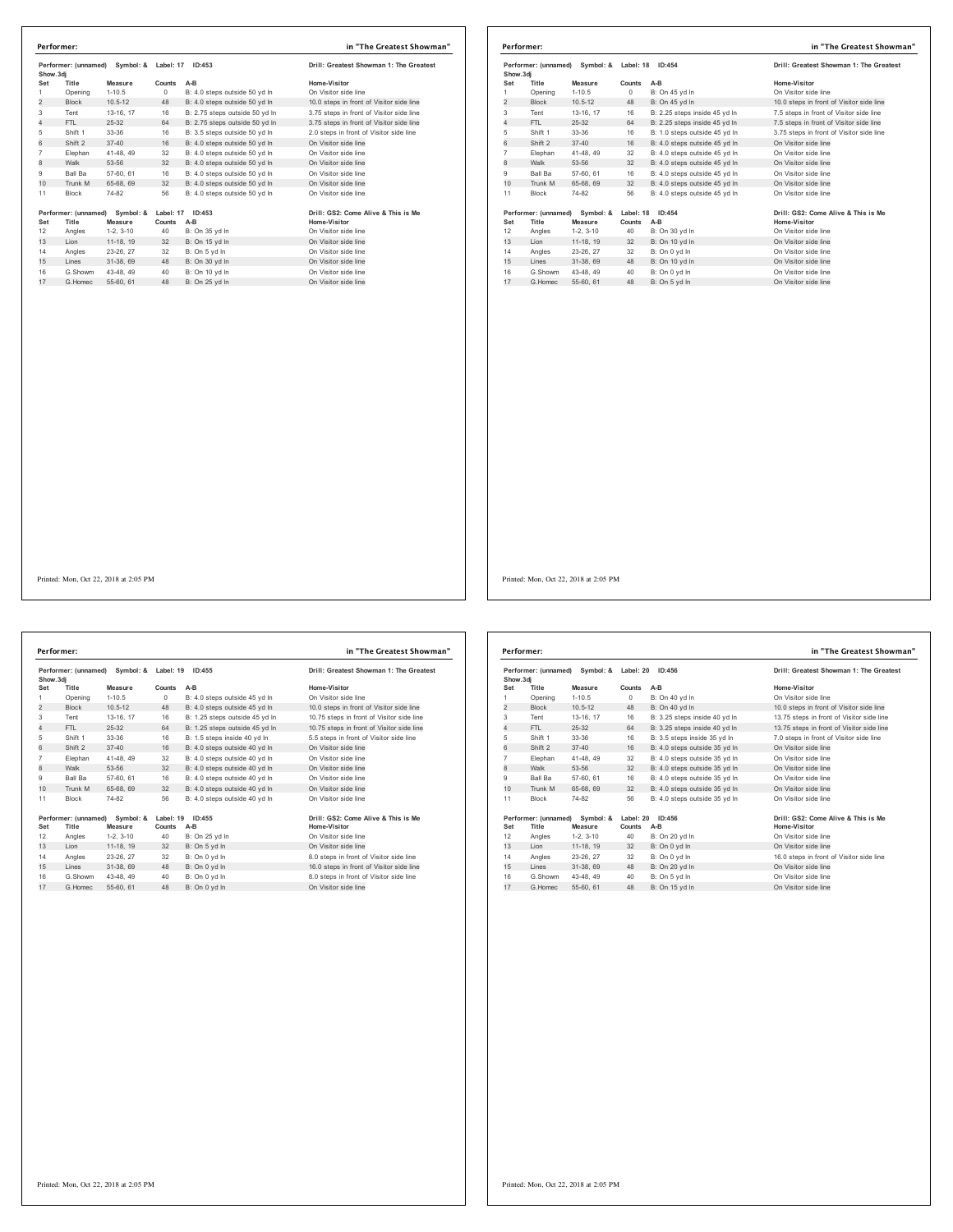| Show.3di       | Performer: (unnamed) | Symbol: &   | Label: 17 | ID:453                         | Drill: Greatest Showman 1: The Greatest  |  |
|----------------|----------------------|-------------|-----------|--------------------------------|------------------------------------------|--|
| Set            | Title                | Measure     | Counts    | $A-B$                          | Home-Visitor                             |  |
| 1              | Opening              | $1 - 10.5$  | 0         | B: 4.0 steps outside 50 yd In  | On Visitor side line                     |  |
| $\overline{c}$ | <b>Block</b>         | $10.5 - 12$ | 48        | B: 4.0 steps outside 50 yd In  | 10.0 steps in front of Visitor side line |  |
| 3              | Tent                 | 13-16, 17   | 16        | B: 2.75 steps outside 50 yd In | 3.75 steps in front of Visitor side line |  |
| $\overline{4}$ | FTI.                 | $25 - 32$   | 64        | B: 2.75 steps outside 50 yd In | 3.75 steps in front of Visitor side line |  |
| 5              | Shift 1              | 33-36       | 16        | B: 3.5 steps outside 50 yd In  | 2.0 steps in front of Visitor side line  |  |
| 6              | Shift 2              | $37 - 40$   | 16        | B: 4.0 steps outside 50 yd In  | On Visitor side line                     |  |
| $\overline{7}$ | Elephan              | 41-48, 49   | 32        | B: 4.0 steps outside 50 yd In  | On Visitor side line                     |  |
| 8              | Walk                 | 53-56       | 32        | B: 4.0 steps outside 50 yd In  | On Visitor side line                     |  |
| 9              | Ball Ba              | 57-60, 61   | 16        | B: 4.0 steps outside 50 vd In  | On Visitor side line                     |  |
| 10             | Trunk M              | 65-68, 69   | 32        | B: 4.0 steps outside 50 yd In  | On Visitor side line                     |  |
| 11             | <b>Block</b>         | 74-82       | 56        | B: 4.0 steps outside 50 yd In  | On Visitor side line                     |  |
|                | Performer: (unnamed) | Symbol: &   | Label: 17 | ID:453                         | Drill: GS2: Come Alive & This is Me      |  |
| Set            | Title                | Measure     | Counts    | A-B                            | Home-Visitor                             |  |
| 12             | Angles               | $1-2, 3-10$ | 40        | B: On 35 yd In                 | On Visitor side line                     |  |
| 13             | Lion                 | 11-18, 19   | 32        | B: On 15 yd In                 | On Visitor side line                     |  |
| 14             | Angles               | 23-26, 27   | 32        | B: On 5 vd In                  | On Visitor side line                     |  |
| 15             | Lines                | 31-38, 69   | 48        | B: On 30 yd In                 | On Visitor side line                     |  |
| 16             | G.Showm              | 43-48, 49   | 40        | B: On 10 yd In                 | On Visitor side line                     |  |
| 17             | G.Homec              | 55-60, 61   | 48        | B: On 25 yd In                 | On Visitor side line                     |  |

| Show, 3di      | Performer: (unnamed) | Symbol: &   | Label: 18 | ID:454                        | Drill: Greatest Showman 1: The Greatest  |
|----------------|----------------------|-------------|-----------|-------------------------------|------------------------------------------|
| Set            | Title                | Measure     | Counts    | $A-B$                         | Home-Visitor                             |
| 1              | Opening              | $1 - 10.5$  | $\circ$   | B: On 45 yd In                | On Visitor side line                     |
| $\overline{2}$ | <b>Block</b>         | $10.5 - 12$ | 48        | B: On 45 yd In                | 10.0 steps in front of Visitor side line |
| 3              | Tent                 | 13-16, 17   | 16        | B: 2.25 steps inside 45 yd In | 7.5 steps in front of Visitor side line  |
| $\overline{4}$ | FTI.                 | 25-32       | 64        | B: 2.25 steps inside 45 vd In | 7.5 steps in front of Visitor side line  |
| 5              | Shift 1              | 33-36       | 16        | B: 1.0 steps outside 45 vd In | 3.75 steps in front of Visitor side line |
| 6              | Shift 2              | $37 - 40$   | 16        | B: 4.0 steps outside 45 yd In | On Visitor side line                     |
| $\overline{7}$ | Elephan              | 41-48, 49   | 32        | B: 4.0 steps outside 45 vd In | On Visitor side line                     |
| 8              | Walk                 | 53-56       | 32        | B: 4.0 steps outside 45 yd In | On Visitor side line                     |
| 9              | Ball Ba              | 57-60, 61   | 16        | B: 4.0 steps outside 45 yd In | On Visitor side line                     |
| 10             | Trunk M              | 65-68, 69   | 32        | B: 4.0 steps outside 45 yd In | On Visitor side line                     |
| 11             | Block                | 74-82       | 56        | B: 4.0 steps outside 45 vd In | On Visitor side line                     |
|                | Performer: (unnamed) | Symbol: &   | Label: 18 | ID:454                        | Drill: GS2: Come Alive & This is Me      |
| Set            | Title                | Measure     | Counts    | $A-B$                         | Home-Visitor                             |
| 12             | Angles               | $1-2.3-10$  | 40        | B: On 30 yd In                | On Visitor side line                     |
| 13             | Lion                 | 11-18. 19   | 32        | B: On 10 yd In                | On Visitor side line                     |
| 14             | Angles               | 23-26, 27   | 32        | B: On 0 yd In                 | On Visitor side line                     |
| 15             | Lines                | 31-38, 69   | 48        | B: On 10 yd In                | On Visitor side line                     |
| 16             | G.Showm              | 43-48, 49   | 40        | B: On 0 vd In                 | On Visitor side line                     |
| 17             | G Homec              | 55-60, 61   | 48        | B: On 5 yd In                 | On Visitor side line                     |

**Performer: (unnamed) Symbol: & Label: 19 ID:455 Drill: Greatest Showman 1: The Greatest Show.3dj Set Title Measure Counts A-B Home-Visitor** Opening 1-10.5 0 B: 4.0 steps outside 45 yd ln On Visitor side line 2 Block 10.5-12 48 B: 4.0 steps outside 45 yd ln 10.0 steps in front of Visitor side line Tent 13-16, 17 16 B: 1.25 steps outside 45 yd ln 10.75 steps in front of Visitor side line 4 FTL 25-32 64 B: 1.25 steps outside 45 yd ln 10.75 steps in front of Visitor side line Shift 1 33-36 16 B: 1.5 steps inside 40 yd ln 5.5 steps in front of Visitor side line 6 Shift 2 37-40 16 B: 4.0 steps outside 40 yd ln On Visitor side line Elephan 41-48, 49 32 B: 4.0 steps outside 40 yd ln On Visitor side line 8 Walk 53-56 32 B: 4.0 steps outside 40 yd ln On Visitor side line Ball Ba 57-60, 61 16 B: 4.0 steps outside 40 yd ln On Visitor side line 10 Trunk M 65-68, 69 32 B: 4.0 steps outside 40 yd ln On Visitor side line Block 74-82 56 B: 4.0 steps outside 40 yd ln On Visitor side line Performer: (unnamed) Symbol: & Label: 19 ID:455<br>Set Title Measure Counts A-B<br>12 Angles 1-2, 3-10 - 10 B:On 25 yd In Home-Visitor idealing 1-2, 3-10<br>13 Lion 11-18, 19 32 B:On 5 yd In On Visitor side line 14 Angles 23-26, 27 32 B: On 0 yd ln 16.0 steps in front of Visitor side line<br>15 Lines 31-38, 69 48 B: On 0 yd ln 16.0 steps in front of Visitor side line **Performer: in "The Greatest Showman"**

16 G.Showm 43-48, 49 40 B: On 0 yd In 8.0 steps in front of Visitor side line<br>17 G.Homec 55-60, 61 48 B: On 0 yd In On Visitor side line

| Performer: (unnamed)<br>Symbol: &<br>Show, 3di |                      | Label: 20<br>ID:456 |           | Drill: Greatest Showman 1: The Greatest |                                           |
|------------------------------------------------|----------------------|---------------------|-----------|-----------------------------------------|-------------------------------------------|
| Set                                            | Title                | Measure             | Counts    | $A-B$                                   | Home-Visitor                              |
| 1                                              | Opening              | $1 - 10.5$          | $\Omega$  | B: On 40 yd In                          | On Visitor side line                      |
| $\overline{c}$                                 | <b>Block</b>         | $10.5 - 12$         | 48        | B: On 40 vd In                          | 10.0 steps in front of Visitor side line  |
| 3                                              | Tent                 | 13-16, 17           | 16        | B: 3.25 steps inside 40 yd In           | 13.75 steps in front of Visitor side line |
| 4                                              | FTI.                 | $25-32$             | 64        | B: 3.25 steps inside 40 yd In           | 13.75 steps in front of Visitor side line |
| 5                                              | Shift 1              | 33-36               | 16        | B: 3.5 steps inside 35 yd In            | 7.0 steps in front of Visitor side line   |
| 6                                              | Shift 2              | $37 - 40$           | 16        | B: 4.0 steps outside 35 yd In           | On Visitor side line                      |
| $\overline{7}$                                 | Elephan              | 41-48, 49           | 32        | B: 4.0 steps outside 35 vd In           | On Visitor side line                      |
| 8                                              | Walk                 | 53-56               | 32        | B: 4.0 steps outside 35 yd In           | On Visitor side line                      |
| 9                                              | Ball Ba              | 57-60, 61           | 16        | B: 4.0 steps outside 35 vd In           | On Visitor side line                      |
| 10                                             | Trunk M              | 65-68, 69           | 32        | B: 4.0 steps outside 35 yd In           | On Visitor side line                      |
| 11                                             | <b>Block</b>         | 74-82               | 56        | B: 4.0 steps outside 35 vd In           | On Visitor side line                      |
|                                                | Performer: (unnamed) | Symbol: &           | Label: 20 | ID:456                                  | Drill: GS2: Come Alive & This is Me       |
| Set                                            | Title                | Measure             | Counts    | A-B                                     | <b>Home-Visitor</b>                       |
| 12                                             | Angles               | $1-2, 3-10$         | 40        | B: On 20 yd In                          | On Visitor side line                      |
| 13                                             | Lion                 | 11-18, 19           | 32        | B: On 0 yd In                           | On Visitor side line                      |
| 14                                             | Angles               | 23-26, 27           | 32        | B: On 0 yd In                           | 16.0 steps in front of Visitor side line  |
| 15                                             | Lines                | 31-38, 69           | 48        | B: On 20 yd In                          | On Visitor side line                      |
| 16                                             | G.Showm              | 43-48.49            | 40        | B: On 5 yd In                           | On Visitor side line                      |
| 17                                             | G. Homec             | 55-60, 61           | 48        | B: On 15 yd In                          | On Visitor side line                      |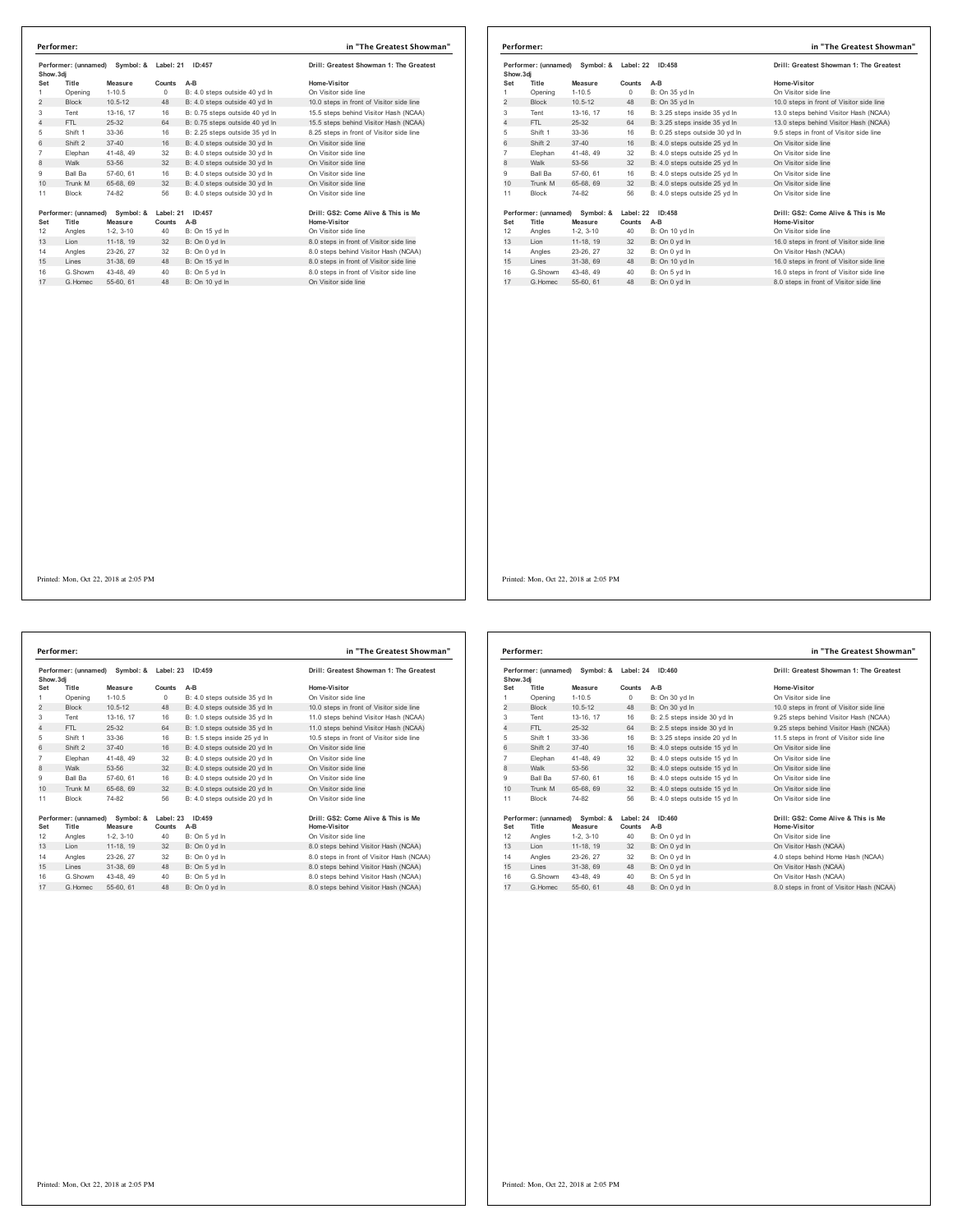| Show.3di       | Performer: (unnamed) | Symbol: &   | Label: 21  | ID:457                         | Drill: Greatest Showman 1: The Greatest  |
|----------------|----------------------|-------------|------------|--------------------------------|------------------------------------------|
| Set            | Title                | Measure     | Counts     | $A-B$                          | Home-Visitor                             |
| 1              | Opening              | $1 - 10.5$  | $^{\circ}$ | B: 4.0 steps outside 40 vd ln  | On Visitor side line                     |
| $\overline{2}$ | <b>Block</b>         | $10.5 - 12$ | 48         | B: 4.0 steps outside 40 vd In  | 10.0 steps in front of Visitor side line |
| 3              | Tent                 | 13-16, 17   | 16         | B: 0.75 steps outside 40 yd In | 15.5 steps behind Visitor Hash (NCAA)    |
| $\overline{4}$ | FTI.                 | 25-32       | 64         | B: 0.75 steps outside 40 yd In | 15.5 steps behind Visitor Hash (NCAA)    |
| 5              | Shift 1              | 33-36       | 16         | B: 2.25 steps outside 35 vd In | 8.25 steps in front of Visitor side line |
| 6              | Shift 2              | $37 - 40$   | 16         | B: 4.0 steps outside 30 yd In  | On Visitor side line                     |
| $\overline{7}$ | Elephan              | 41-48, 49   | 32         | B: 4.0 steps outside 30 vd In  | On Visitor side line                     |
| $\mathbf{a}$   | Walk                 | 53-56       | 32         | B: 4.0 steps outside 30 yd In  | On Visitor side line                     |
| 9              | Ball Ba              | 57-60, 61   | 16         | B: 4.0 steps outside 30 vd In  | On Visitor side line                     |
| 10             | Trunk M              | 65-68, 69   | 32         | B: 4.0 steps outside 30 yd In  | On Visitor side line                     |
| 11             | <b>Block</b>         | 74-82       | 56         | B: 4.0 steps outside 30 yd In  | On Visitor side line                     |
|                | Performer: (unnamed) | Symbol: &   | Label: 21  | ID:457                         | Drill: GS2: Come Alive & This is Me      |
| Set            | Title                | Measure     | Counts     | $A-B$                          | Home-Visitor                             |
| 12             | Angles               | $1-2, 3-10$ | 40         | B: On 15 yd In                 | On Visitor side line                     |
| 13             | Lion                 | 11-18, 19   | 32         | B: On 0 yd In                  | 8.0 steps in front of Visitor side line  |
| 14             | Angles               | 23-26, 27   | 32         | B: On 0 yd In                  | 8.0 steps behind Visitor Hash (NCAA)     |
| 15             | Lines                | 31-38.69    | 48         | B: On 15 yd In                 | 8.0 steps in front of Visitor side line  |
| 16             | G.Showm              | 43-48.49    | 40         | B: On 5 yd In                  | 8.0 steps in front of Visitor side line  |
|                |                      |             |            |                                |                                          |

|                | Performer: (unnamed) | Symbol: &   | Label: 22 | ID:458                         | Drill: Greatest Showman 1: The Greatest  |
|----------------|----------------------|-------------|-----------|--------------------------------|------------------------------------------|
| Show, 3di      |                      |             |           |                                |                                          |
| Set            | Title                | Measure     | Counts    | $A-B$                          | Home-Visitor                             |
| 1              | Opening              | $1 - 10.5$  | $\circ$   | B: On 35 yd In                 | On Visitor side line                     |
| $\overline{2}$ | <b>Block</b>         | $10.5 - 12$ | 48        | B: On 35 yd In                 | 10.0 steps in front of Visitor side line |
| 3              | Tent                 | 13-16. 17   | 16        | B: 3.25 steps inside 35 yd In  | 13.0 steps behind Visitor Hash (NCAA)    |
| 4              | FTI.                 | $25 - 32$   | 64        | B: 3.25 steps inside 35 yd In  | 13.0 steps behind Visitor Hash (NCAA)    |
| 5              | Shift 1              | 33-36       | 16        | B: 0.25 steps outside 30 yd In | 9.5 steps in front of Visitor side line  |
| 6              | Shift 2              | $37 - 40$   | 16        | B: 4.0 steps outside 25 vd In  | On Visitor side line                     |
| $\overline{7}$ | Elephan              | 41-48, 49   | 32        | B: 4.0 steps outside 25 yd In  | On Visitor side line                     |
| 8              | Walk                 | 53-56       | 32        | B: 4.0 steps outside 25 yd In  | On Visitor side line                     |
| 9              | <b>Ball Ba</b>       | 57-60, 61   | 16        | B: 4.0 steps outside 25 vd In  | On Visitor side line                     |
| 10             | Trunk M              | 65-68, 69   | 32        | B: 4.0 steps outside 25 vd In  | On Visitor side line                     |
| 11             | <b>Block</b>         | 74-82       | 56        | B: 4.0 steps outside 25 yd In  | On Visitor side line                     |
|                | Performer: (unnamed) | Symbol: &   | Label: 22 | ID:458                         | Drill: GS2: Come Alive & This is Me      |
| Set            | Title                | Measure     | Counts    | $A-B$                          | Home-Visitor                             |
| 12             | Angles               | $1-2, 3-10$ | 40        | B: On 10 yd In                 | On Visitor side line                     |
| 13             | Lion                 | 11-18, 19   | 32        | B: On 0 yd In                  | 16.0 steps in front of Visitor side line |
| 14             | Angles               | 23-26, 27   | 32        | B: On 0 yd In                  | On Visitor Hash (NCAA)                   |
| 15             | Lines                | 31-38, 69   | 48        | B: On 10 yd In                 | 16.0 steps in front of Visitor side line |
| 16             | G Showm              | 43-48, 49   | 40        | B: On 5 yd In                  | 16.0 steps in front of Visitor side line |
| 17             | G. Homec             | 55-60, 61   | 48        | B: On 0 vd In                  | 8.0 steps in front of Visitor side line  |
|                |                      |             |           |                                |                                          |

**Performer: (unnamed) Symbol: & Label: 23 ID:459 Drill: Greatest Showman 1: The Greatest Show.3dj Set Title Measure Counts A-B Home-Visitor** Opening 1-10.5 0 B: 4.0 steps outside 35 yd ln On Visitor side line 2 Block 10.5-12 48 B: 4.0 steps outside 35 yd ln 10.0 steps in front of Visitor side line Tent 13-16, 17 16 B: 1.0 steps outside 35 yd ln 11.0 steps behind Visitor Hash (NCAA) 4 FTL 25-32 64 B: 1.0 steps outside 35 yd ln 11.0 steps behind Visitor Hash (NCAA) Shift 1 33-36 16 B: 1.5 steps inside 25 yd ln 10.5 steps in front of Visitor side line 6 Shift 2 37-40 16 B: 4.0 steps outside 20 yd ln On Visitor side line Elephan 41-48, 49 32 B: 4.0 steps outside 20 yd ln On Visitor side line 8 Walk 53-56 32 B: 4.0 steps outside 20 yd ln On Visitor side line Ball Ba 57-60, 61 16 B: 4.0 steps outside 20 yd ln On Visitor side line 10 Trunk M 65-68, 69 32 B: 4.0 steps outside 20 yd ln On Visitor side line Block 74-82 56 B: 4.0 steps outside 20 yd ln On Visitor side line 1917 (unnamed) Symbol: & Label: 23 ID:459 (Drill: GS2: Come Alive & This is Me<br>1991 - Microsoft Monasure Counts AB (Dun Mone Visitor Home Visitor Home Visitor Home Visitor 12<br>12 - Angles - 1-2, 3-10 - 20 - 10 - 10 - 10 - 1 14 Angles 23-26, 27 32 B: On 0 yd ln 8.0 steps in front of Visitor Hash (NCAA)<br>15 Lines 31-38, 69 48 B: On 5 yd ln 8.0 steps behind Visitor Hash (NCAA) 15 11 2002, 2002 2002 11 2003 2013 2014 2015 2015 2015 2016 2016 2017 2018 2016 2017 2018 2019 2016 2017 2017<br>16.0 Showm 43-48, 49 40 B: On 5 yd ln 8.0 steps behind Visitor Hash (NCAA)<br>16.1 6.1 6.1 6.5 AM 48 B: On 0 yd ln **Performer: in "The Greatest Showman"**

16 G.Showm 43-48, 49 40 B: On 5 yd ln 8.0 steps behind Visitor Hash (NCAA)<br>17 G.Homec 55-60, 61 48 B: On 0 yd ln 8.0 steps behind Visitor Hash (NCAA)

|                | Performer: (unnamed) Symbol: & Label: 24<br>Show, 3di |             | ID:460    |                               | Drill: Greatest Showman 1: The Greatest   |
|----------------|-------------------------------------------------------|-------------|-----------|-------------------------------|-------------------------------------------|
| Set            | Title                                                 | Measure     | Counts    | $A-B$                         | Home-Visitor                              |
| 1              | Opening                                               | $1 - 10.5$  | $\circ$   | B: On 30 yd In                | On Visitor side line                      |
| 2              | <b>Block</b>                                          | $10.5 - 12$ | 48        | B: On 30 yd In                | 10.0 steps in front of Visitor side line  |
| 3              | Tent                                                  | 13-16, 17   | 16        | B: 2.5 steps inside 30 vd In  | 9.25 steps behind Visitor Hash (NCAA)     |
| 4              | FTL.                                                  | $25 - 32$   | 64        | B: 2.5 steps inside 30 yd In  | 9.25 steps behind Visitor Hash (NCAA)     |
| 5              | Shift 1                                               | 33-36       | 16        | B: 3.25 steps inside 20 yd In | 11.5 steps in front of Visitor side line  |
| 6              | Shift 2                                               | $37 - 40$   | 16        | B: 4.0 steps outside 15 yd In | On Visitor side line                      |
| $\overline{7}$ | Elephan                                               | 41-48, 49   | 32        | B: 4.0 steps outside 15 vd In | On Visitor side line                      |
| 8              | Walk                                                  | 53-56       | 32        | B: 4.0 steps outside 15 yd In | On Visitor side line                      |
| 9              | <b>Ball Ba</b>                                        | 57-60, 61   | 16        | B: 4.0 steps outside 15 vd In | On Visitor side line                      |
| 10             | Trunk M                                               | 65-68, 69   | 32        | B: 4.0 steps outside 15 yd In | On Visitor side line                      |
| 11             | <b>Block</b>                                          | 74-82       | 56        | B: 4.0 steps outside 15 vd In | On Visitor side line                      |
|                | Performer: (unnamed)                                  | Symbol: &   | Label: 24 | ID:460                        | Drill: GS2: Come Alive & This is Me       |
| Set            | Title                                                 | Measure     | Counts    | A-B                           | <b>Home-Visitor</b>                       |
| 12             | Angles                                                | $1-2.3-10$  | 40        | B: On 0 yd In                 | On Visitor side line                      |
| 13             | Lion                                                  | 11-18, 19   | 32        | B: On 0 yd In                 | On Visitor Hash (NCAA)                    |
| 14             | Angles                                                | 23-26, 27   | 32        | B: On 0 vd In                 | 4.0 steps behind Home Hash (NCAA)         |
| 15             | Lines                                                 | 31-38, 69   | 48        | B: On 0 vd In                 | On Visitor Hash (NCAA)                    |
| 16             | G.Showm                                               | 43-48, 49   | 40        | B: On 5 vd In                 | On Visitor Hash (NCAA)                    |
| 17             | G. Homec                                              | 55-60, 61   | 48        | B: On 0 vd In                 | 8.0 steps in front of Visitor Hash (NCAA) |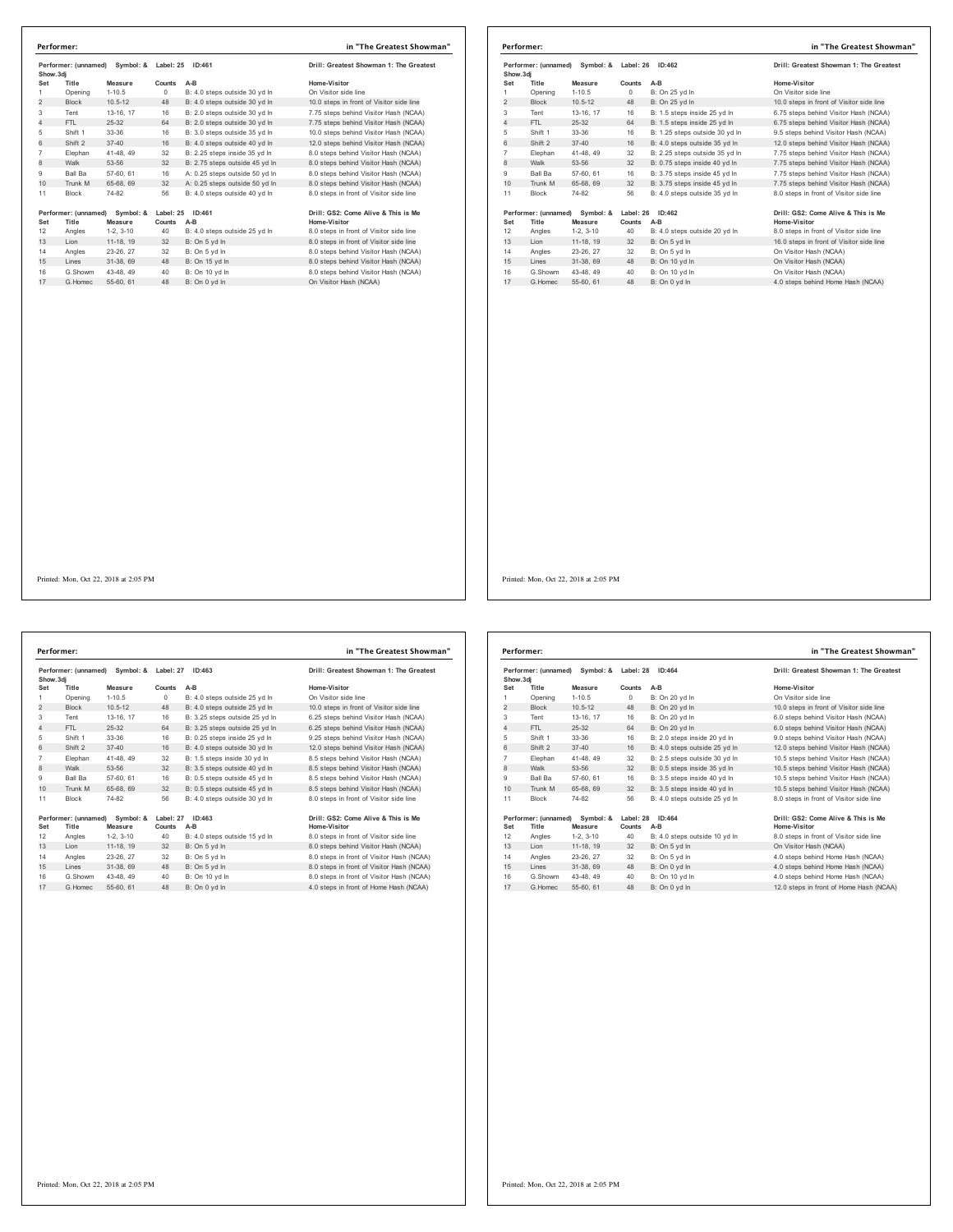| Show.3di       | Performer: (unnamed)           | Symbol: &   | Label: 25 | ID:461                         | Drill: Greatest Showman 1: The Greatest  |
|----------------|--------------------------------|-------------|-----------|--------------------------------|------------------------------------------|
| Set            | Title                          | Measure     | Counts    | $A-B$                          | Home-Visitor                             |
| 1              | Opening                        | $1 - 10.5$  | 0         | B: 4.0 steps outside 30 yd In  | On Visitor side line                     |
| $\overline{2}$ | <b>Block</b>                   | $10.5 - 12$ | 48        | B: 4.0 steps outside 30 yd In  | 10.0 steps in front of Visitor side line |
| 3              | Tent                           | 13-16, 17   | 16        | B: 2.0 steps outside 30 vd In  | 7.75 steps behind Visitor Hash (NCAA)    |
| 4              | FTI.                           | 25-32       | 64        | B: 2.0 steps outside 30 vd In  | 7.75 steps behind Visitor Hash (NCAA)    |
| 5              | Shift 1                        | 33-36       | 16        | B: 3.0 steps outside 35 yd In  | 10.0 steps behind Visitor Hash (NCAA)    |
| 6              | Shift 2                        | $37 - 40$   | 16        | B: 4.0 steps outside 40 vd In  | 12.0 steps behind Visitor Hash (NCAA)    |
| $\overline{7}$ | Elephan                        | 41-48.49    | 32        | B: 2.25 steps inside 35 yd In  | 8.0 steps behind Visitor Hash (NCAA)     |
| 8              | Walk                           | 53-56       | 32        | B: 2.75 steps outside 45 yd In | 8.0 steps behind Visitor Hash (NCAA)     |
| 9              | Ball Ba                        | 57-60, 61   | 16        | A: 0.25 steps outside 50 vd In | 8.0 steps behind Visitor Hash (NCAA)     |
| 10             | Trunk M                        | 65-68, 69   | 32        | A: 0.25 steps outside 50 yd In | 8.0 steps behind Visitor Hash (NCAA)     |
| 11             | <b>Block</b>                   | 74-82       | 56        | B: 4.0 steps outside 40 yd In  | 8.0 steps in front of Visitor side line  |
|                | Performer: (unnamed) Symbol: & |             | Label: 25 | ID:461                         | Drill: GS2: Come Alive & This is Me      |
| Set            | Title                          | Measure     | Counts    | $A-B$                          | Home-Visitor                             |
| 12             | Angles                         | $1-2.3-10$  | 40        | B: 4.0 steps outside 25 yd In  | 8.0 steps in front of Visitor side line  |
| 13             | Lion                           | 11-18, 19   | 32        | B: On 5 yd In                  | 8.0 steps in front of Visitor side line  |
| 14             | Angles                         | 23-26, 27   | 32        | B: On 5 yd In                  | 8.0 steps behind Visitor Hash (NCAA)     |
| 15             | Lines                          | 31-38, 69   | 48        | B: On 15 vd In                 | 8.0 steps behind Visitor Hash (NCAA)     |
| 16             | G.Showm                        | 43-48, 49   | 40        | B: On 10 yd In                 | 8.0 steps behind Visitor Hash (NCAA)     |
| 17             | G Homec                        | 55-60, 61   | 48        | B: On 0 vd In                  | On Visitor Hash (NCAA)                   |

| Show, 3di      |                      | Performer: (unnamed) Symbol: & | Label: 26 | ID:462                         | Drill: Greatest Showman 1: The Greatest  |
|----------------|----------------------|--------------------------------|-----------|--------------------------------|------------------------------------------|
| Set            | Title                | Measure                        | Counts    | $A-B$                          | Home-Visitor                             |
| 1              | Opening              | $1 - 10.5$                     | 0         | B: On 25 yd In                 | On Visitor side line                     |
| 2              | <b>Block</b>         | $10.5 - 12$                    | 48        | B: On 25 yd In                 | 10.0 steps in front of Visitor side line |
| 3              | Tent                 | 13-16, 17                      | 16        | B: 1.5 steps inside 25 yd In   | 6.75 steps behind Visitor Hash (NCAA)    |
| 4              | FTL.                 | $25 - 32$                      | 64        | B: 1.5 steps inside 25 vd In   | 6.75 steps behind Visitor Hash (NCAA)    |
| 5              | Shift 1              | 33-36                          | 16        | B: 1.25 steps outside 30 yd In | 9.5 steps behind Visitor Hash (NCAA)     |
| 6              | Shift 2              | $37 - 40$                      | 16        | B: 4.0 steps outside 35 yd In  | 12.0 steps behind Visitor Hash (NCAA)    |
| $\overline{7}$ | Elephan              | 41-48, 49                      | 32        | B: 2.25 steps outside 35 vd In | 7.75 steps behind Visitor Hash (NCAA)    |
| 8              | Walk                 | 53-56                          | 32        | B: 0.75 steps inside 40 yd In  | 7.75 steps behind Visitor Hash (NCAA)    |
| 9              | Ball Ba              | 57-60, 61                      | 16        | B: 3.75 steps inside 45 vd In  | 7.75 steps behind Visitor Hash (NCAA)    |
| 10             | Trunk M              | 65-68, 69                      | 32        | B: 3.75 steps inside 45 yd In  | 7.75 steps behind Visitor Hash (NCAA)    |
| 11             | <b>Block</b>         | 74-82                          | 56        | B: 4.0 steps outside 35 yd In  | 8.0 steps in front of Visitor side line  |
|                | Performer: (unnamed) | Symbol: &                      | Label: 26 | ID:462                         | Drill: GS2: Come Alive & This is Me      |
| Set            | Title                | Measure                        | Counts    | A-B                            | Home-Visitor                             |
| 12             | Angles               | $1-2.3-10$                     | 40        | B: 4.0 steps outside 20 yd In  | 8.0 steps in front of Visitor side line  |
| 13             | Lion                 | 11-18, 19                      | 32        | B: On 5 yd In                  | 16.0 steps in front of Visitor side line |
| 14             | Angles               | 23-26, 27                      | 32        | B: On 5 vd In                  | On Visitor Hash (NCAA)                   |
| 15             | Lines                | 31-38, 69                      | 48        | B: On 10 yd In                 | On Visitor Hash (NCAA)                   |
| 16             | G.Showm              | 43-48, 49                      | 40        | B: On 10 vd In                 | On Visitor Hash (NCAA)                   |
| 17             | G. Homec             | 55-60, 61                      | 48        | B: On 0 vd In                  | 4.0 steps behind Home Hash (NCAA)        |

Printed: Mon, Oct 22, 2018 at 2:05 PM

**Performer: (unnamed) Symbol: & Label: 27 ID:463 Drill: Greatest Showman 1: The Greatest Show.3dj Set Title Measure Counts A-B Home-Visitor** 1 Opening 1-10.5 0 B: 4.0 steps outside 25 yd ln On Visitor side line 2 Block 10.5-12 48 B: 4.0 steps outside 25 yd ln 10.0 steps in front of Visitor side line<br>2 Block 10.5-12 48 B: 4.0 steps outside 25 yd ln 10.0 steps in front of Visitor side line<br>3 Tent 13-16, 17 16 B: 3.25 steps outside Tent 13-16, 17 16 B: 3.25 steps outside 25 yd ln 6.25 steps behind Visitor Hash (NCAA) 4 FTL 25-32 64 B: 3.25 steps outside 25 yd ln 6.25 steps behind Visitor Hash (NCAA) Shift 1 33-36 16 B: 0.25 steps inside 25 yd ln 9.25 steps behind Visitor Hash (NCAA) 6 Shift 2 37-40 16 B: 4.0 steps outside 30 yd ln 12.0 steps behind Visitor Hash (NCAA) Elephan 41-48, 49 32 B: 1.5 steps inside 30 yd ln 8.5 steps behind Visitor Hash (NCAA) 8 Walk 53-56 32 B: 3.5 steps outside 40 yd ln 8.5 steps behind Visitor Hash (NCAA) Ball Ba 57-60, 61 16 B: 0.5 steps outside 45 yd ln 8.5 steps behind Visitor Hash (NCAA) 10 Trunk M 65-68, 69 32 B: 0.5 steps outside 45 yd ln 8.5 steps behind Visitor Hash (NCAA) Block 74-82 56 B: 4.0 steps outside 30 yd ln 8.0 steps in front of Visitor side line Performer: (unnamed) Symbol: & Label: 27 ID:463<br>Set Title Measure Counts A-B<br>12 Angles 1-2, 3-10 40 B:4.0 steps outside 15 yd home-Visitor 10:1/isitor side line 13 Angles was vou boundary was verified to the B: 4.0 steps outside 15 yd ln<br>13 Lion 11-18, 19 32 B: On 5 yd ln 14 Angles 23-26, 27 32 B: On 5 yd ln 8.0 steps in front of Visitor<br>14 Angles 1-2, 3-10 40 B: 4.0 steps outside 15 yd ln<br>14 Angles 23-26, 27 32 B: On 5 yd ln<br>14 Angles 23-26, 27 32 B: On 5 yd ln<br>16 Angles 23-26, 27 32 B: On Lines 31-38, 69 48 B: On 5 yd ln 8.0 steps in front of Visitor Hash (NCAA) 16 G.Showm 43-48, 49 40 B: On 10 yd ln 8.0 steps in front of Visitor Hash (NCAA)<br>17 G.Homec 55-60, 61 48 B: On 0 yd ln 4.0 steps in front of Home Hash (NCAA) **Performer: in "The Greatest Showman"**

| Performer: (unnamed)<br>Symbol: &<br>Show, 3di |                               | Label: 28<br>ID:464  |                     | Drill: Greatest Showman 1: The Greatest |                                                     |
|------------------------------------------------|-------------------------------|----------------------|---------------------|-----------------------------------------|-----------------------------------------------------|
| Set                                            | Title                         | Measure              | Counts              | $A-B$                                   | Home-Visitor                                        |
| 1                                              | Opening                       | $1-10.5$             | $\Omega$            | B: On 20 yd In                          | On Visitor side line                                |
| 2                                              | <b>Block</b>                  | $10.5 - 12$          | 48                  | B: On 20 yd In                          | 10.0 steps in front of Visitor side line            |
| 3                                              | Tent                          | 13-16, 17            | 16                  | B: On 20 vd In                          | 6.0 steps behind Visitor Hash (NCAA)                |
| 4                                              | FTI.                          | 25-32                | 64                  | B: On 20 vd In                          | 6.0 steps behind Visitor Hash (NCAA)                |
| 5                                              | Shift 1                       | 33-36                | 16                  | B: 2.0 steps inside 20 yd In            | 9.0 steps behind Visitor Hash (NCAA)                |
| 6                                              | Shift 2                       | $37 - 40$            | 16                  | B: 4.0 steps outside 25 yd In           | 12.0 steps behind Visitor Hash (NCAA)               |
| $\overline{7}$                                 | Elephan                       | 41-48, 49            | 32                  | B: 2.5 steps outside 30 vd In           | 10.5 steps behind Visitor Hash (NCAA)               |
| 8                                              | Walk                          | 53-56                | 32                  | B: 0.5 steps inside 35 yd In            | 10.5 steps behind Visitor Hash (NCAA)               |
| 9                                              | Ball Ba                       | 57-60, 61            | 16                  | B: 3.5 steps inside 40 vd In            | 10.5 steps behind Visitor Hash (NCAA)               |
| 10                                             | Trunk M                       | 65-68, 69            | 32                  | B: 3.5 steps inside 40 yd In            | 10.5 steps behind Visitor Hash (NCAA)               |
| 11                                             | <b>Block</b>                  | 74-82                | 56                  | B: 4.0 steps outside 25 vd In           | 8.0 steps in front of Visitor side line             |
| Set                                            | Performer: (unnamed)<br>Title | Symbol: &<br>Measure | Label: 28<br>Counts | ID:464<br>$A-B$                         | Drill: GS2: Come Alive & This is Me<br>Home-Visitor |
| 12                                             | Angles                        | $1-2.3-10$           | 40                  | B: 4.0 steps outside 10 yd In           | 8.0 steps in front of Visitor side line             |
| 13                                             | I ion                         | 11-18, 19            | 32                  | B: On 5 yd In                           | On Visitor Hash (NCAA)                              |
| 14                                             | Angles                        | 23-26, 27            | 32                  | B: On 5 vd In                           | 4.0 steps behind Home Hash (NCAA)                   |
| 15                                             | Lines                         | 31-38, 69            | 48                  | B: On 0 yd In                           | 4.0 steps behind Home Hash (NCAA)                   |
| 16                                             | G Showm                       | 43-48, 49            | 40                  | B: On 10 vd In                          | 4.0 steps behind Home Hash (NCAA)                   |
| 17                                             | G Homec                       | 55-60, 61            | 48                  | B: On 0 yd In                           | 12.0 steps in front of Home Hash (NCAA)             |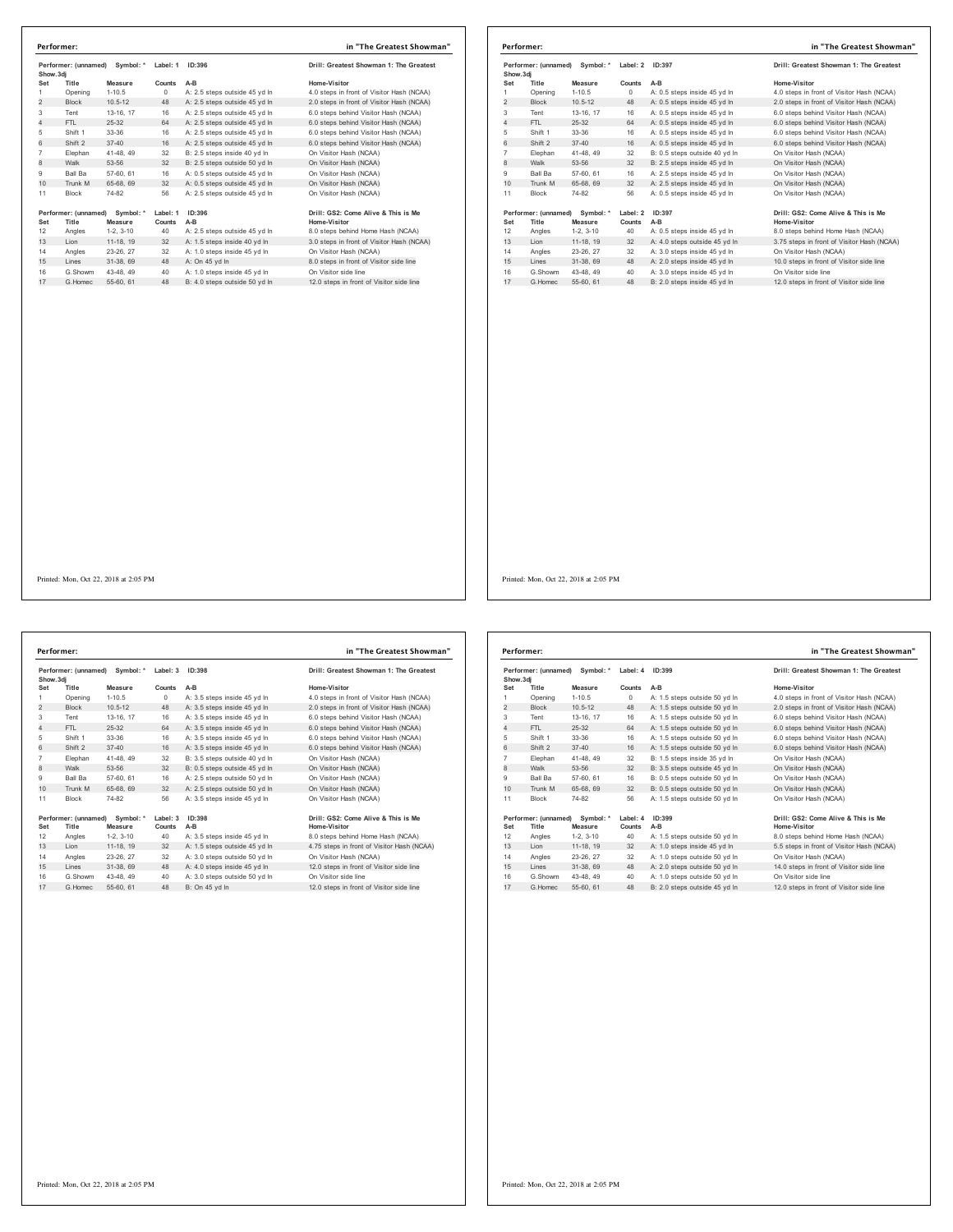| Performer: (unnamed)<br>Symbol: * |                      |             | Label: 1 | ID:396                        | Drill: Greatest Showman 1: The Greatest   |  |
|-----------------------------------|----------------------|-------------|----------|-------------------------------|-------------------------------------------|--|
|                                   | Show.3dj             |             |          |                               |                                           |  |
| Set                               | Title                | Measure     | Counts   | A-B                           | Home-Visitor                              |  |
| 1                                 | Opening              | $1 - 10.5$  | 0        | A: 2.5 steps outside 45 yd In | 4.0 steps in front of Visitor Hash (NCAA) |  |
| $\overline{2}$                    | <b>Block</b>         | $10.5 - 12$ | 48       | A: 2.5 steps outside 45 vd In | 2.0 steps in front of Visitor Hash (NCAA) |  |
| 3                                 | Tent                 | 13-16, 17   | 16       | A: 2.5 steps outside 45 yd In | 6.0 steps behind Visitor Hash (NCAA)      |  |
| 4                                 | FTI.                 | $25 - 32$   | 64       | A: 2.5 steps outside 45 vd In | 6.0 steps behind Visitor Hash (NCAA)      |  |
| 5                                 | Shift 1              | 33-36       | 16       | A: 2.5 steps outside 45 vd In | 6.0 steps behind Visitor Hash (NCAA)      |  |
| 6                                 | Shift 2              | $37 - 40$   | 16       | A: 2.5 steps outside 45 vd In | 6.0 steps behind Visitor Hash (NCAA)      |  |
| $\overline{7}$                    | Elephan              | 41-48, 49   | 32       | B: 2.5 steps inside 40 yd In  | On Visitor Hash (NCAA)                    |  |
| 8                                 | Walk                 | 53-56       | 32       | B: 2.5 steps outside 50 yd In | On Visitor Hash (NCAA)                    |  |
| 9                                 | Ball Ba              | 57-60, 61   | 16       | A: 0.5 steps outside 45 vd In | On Visitor Hash (NCAA)                    |  |
| 10                                | Trunk M              | 65-68, 69   | 32       | A: 0.5 steps outside 45 vd In | On Visitor Hash (NCAA)                    |  |
| 11                                | <b>Block</b>         | 74-82       | 56       | A: 2.5 steps outside 45 yd In | On Visitor Hash (NCAA)                    |  |
|                                   | Performer: (unnamed) | Symbol: *   | Label: 1 | ID:396                        | Drill: GS2: Come Alive & This is Me       |  |
| Set                               | Title                | Measure     | Counts   | $A-B$                         | Home-Visitor                              |  |
| 12                                | Angles               | $1-2.3-10$  | 40       | A: 2.5 steps outside 45 vd In | 8.0 steps behind Home Hash (NCAA)         |  |
| 13                                | Lion                 | 11-18, 19   | 32       | A: 1.5 steps inside 40 yd In  | 3.0 steps in front of Visitor Hash (NCAA) |  |
| 14                                | Angles               | 23-26, 27   | 32       | A: 1.0 steps inside 45 vd In  | On Visitor Hash (NCAA)                    |  |
| 15                                | Lines                | 31-38, 69   | 48       | A: On 45 vd In                | 8.0 steps in front of Visitor side line   |  |
| 16                                | G.Showm              | 43-48, 49   | 40       | A: 1.0 steps inside 45 vd In  | On Visitor side line                      |  |
| 17                                | G Homec              | 55-60, 61   | 48       | B: 4.0 steps outside 50 vd In | 12.0 steps in front of Visitor side line  |  |

|                | Performer: (unnamed) Symbol: *<br>Show, 3di |             | Label: 2 | ID:397                        | Drill: Greatest Showman 1: The Greatest    |  |
|----------------|---------------------------------------------|-------------|----------|-------------------------------|--------------------------------------------|--|
| Set            | Title                                       | Measure     | Counts   | $A-B$                         | Home-Visitor                               |  |
| 1              | Opening                                     | $1 - 10.5$  | $\Omega$ | A: 0.5 steps inside 45 vd In  | 4.0 steps in front of Visitor Hash (NCAA)  |  |
| 2              | <b>Block</b>                                | $10.5 - 12$ | 48       | A: 0.5 steps inside 45 yd In  | 2.0 steps in front of Visitor Hash (NCAA)  |  |
| 3              | Tent                                        | 13-16, 17   | 16       | A: 0.5 steps inside 45 yd In  | 6.0 steps behind Visitor Hash (NCAA)       |  |
| 4              | FTL.                                        | $25-32$     | 64       | A: 0.5 steps inside 45 vd In  | 6.0 steps behind Visitor Hash (NCAA)       |  |
| 5              | Shift 1                                     | 33-36       | 16       | A: 0.5 steps inside 45 yd In  | 6.0 steps behind Visitor Hash (NCAA)       |  |
| 6              | Shift 2                                     | $37 - 40$   | 16       | A: 0.5 steps inside 45 yd In  | 6.0 steps behind Visitor Hash (NCAA)       |  |
| $\overline{7}$ | Elephan                                     | 41-48, 49   | 32       | B: 0.5 steps outside 40 vd In | On Visitor Hash (NCAA)                     |  |
| 8              | Walk                                        | 53-56       | 32       | B: 2.5 steps inside 45 yd In  | On Visitor Hash (NCAA)                     |  |
| 9              | Ball Ba                                     | 57-60, 61   | 16       | A: 2.5 steps inside 45 vd In  | On Visitor Hash (NCAA)                     |  |
| 10             | Trunk M                                     | 65-68, 69   | 32       | A: 2.5 steps inside 45 yd In  | On Visitor Hash (NCAA)                     |  |
| 11             | <b>Block</b>                                | 74-82       | 56       | A: 0.5 steps inside 45 vd In  | On Visitor Hash (NCAA)                     |  |
|                | Performer: (unnamed)                        | Symbol: *   | Label: 2 | ID:397                        | Drill: GS2: Come Alive & This is Me        |  |
| Set            | Title                                       | Measure     | Counts   | A-B                           | <b>Home-Visitor</b>                        |  |
| 12             | Angles                                      | $1-2.3-10$  | 40       | A: 0.5 steps inside 45 vd In  | 8.0 steps behind Home Hash (NCAA)          |  |
| 13             | Lion                                        | 11-18, 19   | 32       | A: 4.0 steps outside 45 yd In | 3.75 steps in front of Visitor Hash (NCAA) |  |
| 14             | Angles                                      | 23-26, 27   | 32       | A: 3.0 steps inside 45 vd In  | On Visitor Hash (NCAA)                     |  |
| 15             | Lines                                       | 31-38, 69   | 48       | A: 2.0 steps inside 45 vd In  | 10.0 steps in front of Visitor side line   |  |
| 16             | G.Showm                                     | 43-48.49    | 40       | A: 3.0 steps inside 45 yd In  | On Visitor side line                       |  |
| 17             | G. Homec                                    | 55-60, 61   | 48       | B: 2.0 steps inside 45 vd In  | 12.0 steps in front of Visitor side line   |  |

**Performer: (unnamed) Symbol: \* Label: 3 ID:398 Drill: Greatest Showman 1: The Greatest Show.3dj Set Title Measure Counts A-B Home-Visitor** 1 Opening 1-10.5 0 A: 3.5 steps inside 45 yd ln 4.0 steps in front of Visitor Hash (NCAA)<br>2 Block 10.5-12 48 A: 3.5 steps inside 45 yd ln 2.0 steps in front of Visitor Hash (NCAA) Tent 13-16, 17 16 A: 3.5 steps inside 45 yd ln 6.0 steps behind Visitor Hash (NCAA) 4 FTL 25-32 64 A: 3.5 steps inside 45 yd ln 6.0 steps behind Visitor Hash (NCAA) Shift 1 33-36 16 A: 3.5 steps inside 45 yd ln 6.0 steps behind Visitor Hash (NCAA) 6 Shift 2 37-40 16 A: 3.5 steps inside 45 yd ln 6.0 steps behind Visitor Hash (NCAA) Elephan 41-48, 49 32 B: 3.5 steps outside 40 yd ln On Visitor Hash (NCAA) 8 Walk 53-56 32 B: 0.5 steps outside 45 yd ln On Visitor Hash (NCAA) Ball Ba 57-60, 61 16 A: 2.5 steps outside 50 yd ln On Visitor Hash (NCAA) 10 Trunk M 65-68, 69 32 A: 2.5 steps outside 50 yd ln On Visitor Hash (NCAA) Block 74-82 56 A: 3.5 steps inside 45 yd ln On Visitor Hash (NCAA) **Performer: (unnamed) Symbol: \* Label: 3 ID:398 Drill: GS2: Come Alive & This is Me Set Title Measure Counts A-B Home-Visitor** 12 Angles 1-2, 3-10 40 A: 3.5 steps inside 45 yd ln 8.0 steps behind Home Hash (NCAA) 13 Lion 11-18, 19 32 A: 1.5 steps outside 45 yd ln 4.75 steps in front of Visitor Hash (NCAA) 14 Angles 23-26, 27 32 A: 3.0 steps outside 50 yd In On Visitor Hash (NCAA)<br>15 Lines 31-38, 69 48 A: 4.0 steps inside 45 yd In 12.0 steps in front of Visitor side line G.Showm 43-48, 49 40 A: 3.0 steps outside 50 yd ln On Visitor side line 17 G.Homec 55-60, 61 48 B: On 45 yd ln 12.0 steps in front of Visitor side line **Performer: in "The Greatest Showman"**

| Show, 3di      | Performer: (unnamed)<br>Symbol: * |                      | Label: 4           | ID:399                        | Drill: Greatest Showman 1: The Greatest             |  |
|----------------|-----------------------------------|----------------------|--------------------|-------------------------------|-----------------------------------------------------|--|
| Set            | Title                             | Measure              | Counts             | $A-B$                         | Home-Visitor                                        |  |
| 1              | Opening                           | $1 - 10.5$           | 0                  | A: 1.5 steps outside 50 yd In | 4.0 steps in front of Visitor Hash (NCAA)           |  |
| $\overline{2}$ | <b>Block</b>                      | $10.5 - 12$          | 48                 | A: 1.5 steps outside 50 yd In | 2.0 steps in front of Visitor Hash (NCAA)           |  |
| 3              | Tent                              | 13-16. 17            | 16                 | A: 1.5 steps outside 50 vd In | 6.0 steps behind Visitor Hash (NCAA)                |  |
| 4              | FTI.                              | 25-32                | 64                 | A: 1.5 steps outside 50 yd In | 6.0 steps behind Visitor Hash (NCAA)                |  |
| 5              | Shift 1                           | 33-36                | 16                 | A: 1.5 steps outside 50 yd In | 6.0 steps behind Visitor Hash (NCAA)                |  |
| 6              | Shift 2                           | $37 - 40$            | 16                 | A: 1.5 steps outside 50 yd In | 6.0 steps behind Visitor Hash (NCAA)                |  |
| $\overline{7}$ | Elephan                           | 41-48, 49            | 32                 | B: 1.5 steps inside 35 yd In  | On Visitor Hash (NCAA)                              |  |
| 8              | Walk                              | 53-56                | 32                 | B: 3.5 steps outside 45 yd In | On Visitor Hash (NCAA)                              |  |
| 9              | <b>Ball Ba</b>                    | 57-60, 61            | 16                 | B: 0.5 steps outside 50 vd In | On Visitor Hash (NCAA)                              |  |
| 10             | Trunk M                           | 65-68, 69            | 32                 | B: 0.5 steps outside 50 yd In | On Visitor Hash (NCAA)                              |  |
| 11             | <b>Block</b>                      | 74-82                | 56                 | A: 1.5 steps outside 50 yd In | On Visitor Hash (NCAA)                              |  |
| Set            | Performer: (unnamed)<br>Title     | Symbol: *<br>Measure | Label: 4<br>Counts | ID:399<br>$A-B$               | Drill: GS2: Come Alive & This is Me<br>Home-Visitor |  |
| 12             | Angles                            | $1-2, 3-10$          | 40                 | A: 1.5 steps outside 50 yd In | 8.0 steps behind Home Hash (NCAA)                   |  |
| 13             | Lion                              | 11-18, 19            | 32                 | A: 1.0 steps inside 45 yd In  | 5.5 steps in front of Visitor Hash (NCAA)           |  |
| 14             | Angles                            | 23-26.27             | 32                 | A: 1.0 steps outside 50 yd In | On Visitor Hash (NCAA)                              |  |
| 15             | Lines                             | 31-38, 69            | 48                 | A: 2.0 steps outside 50 yd In | 14.0 steps in front of Visitor side line            |  |
| 16             | G Showm                           | 43-48.49             | 40                 | A: 1.0 steps outside 50 yd In | On Visitor side line                                |  |
| 17             | G Homec                           | 55-60, 61            | 48                 | B: 2.0 steps outside 45 yd In | 12.0 steps in front of Visitor side line            |  |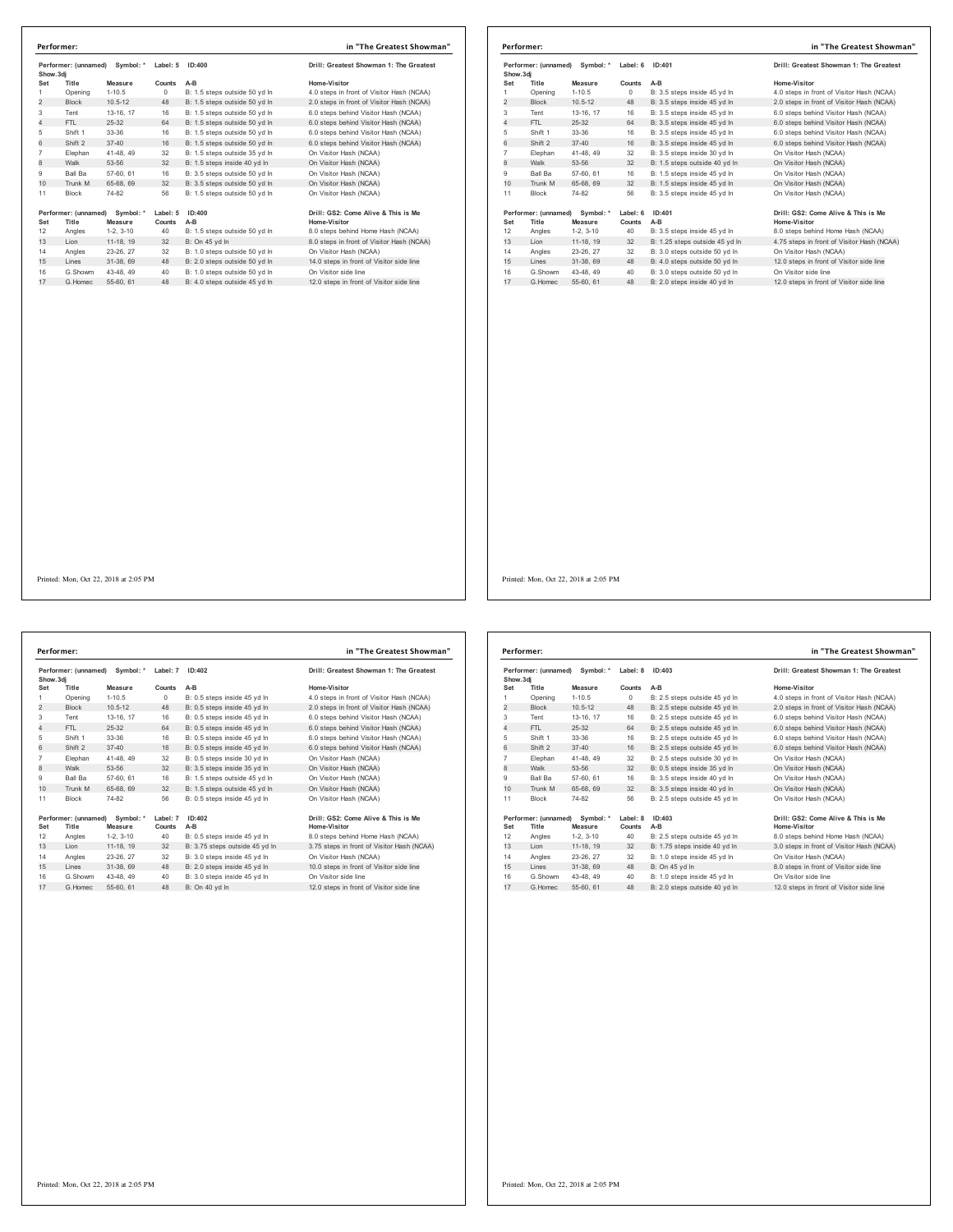|                             | Symbol: *<br>Performer: (unnamed)<br>Show.3di |                        | Label: 5   | ID:400                                                         | Drill: Greatest Showman 1: The Greatest                          |  |
|-----------------------------|-----------------------------------------------|------------------------|------------|----------------------------------------------------------------|------------------------------------------------------------------|--|
| Set                         | Title                                         | Measure                | Counts     | A-B                                                            | Home-Visitor                                                     |  |
| 1                           | Opening                                       | $1 - 10.5$             | $^{\circ}$ | B: 1.5 steps outside 50 vd In                                  | 4.0 steps in front of Visitor Hash (NCAA)                        |  |
| $\overline{2}$              | <b>Block</b>                                  | $10.5 - 12$            | 48         | B: 1.5 steps outside 50 yd In                                  | 2.0 steps in front of Visitor Hash (NCAA)                        |  |
| 3                           | Tent                                          | 13-16, 17              | 16         | B: 1.5 steps outside 50 yd In                                  | 6.0 steps behind Visitor Hash (NCAA)                             |  |
| $\overline{4}$              | FTL                                           | $25 - 32$              | 64         | B: 1.5 steps outside 50 yd In                                  | 6.0 steps behind Visitor Hash (NCAA)                             |  |
| 5                           | Shift 1                                       | 33-36                  | 16         | B: 1.5 steps outside 50 yd In                                  | 6.0 steps behind Visitor Hash (NCAA)                             |  |
| 6                           | Shift 2                                       | $37 - 40$              | 16         | B: 1.5 steps outside 50 yd In                                  | 6.0 steps behind Visitor Hash (NCAA)                             |  |
| $\overline{7}$              | Elephan                                       | 41-48, 49              | 32         | B: 1.5 steps outside 35 yd In                                  | On Visitor Hash (NCAA)                                           |  |
| 8                           | Walk                                          | 53-56                  | 32         | B: 1.5 steps inside 40 yd In                                   | On Visitor Hash (NCAA)                                           |  |
| 9                           | Ball Ba                                       | 57-60, 61              | 16         | B: 3.5 steps outside 50 vd In                                  | On Visitor Hash (NCAA)                                           |  |
| 10 <sup>1</sup>             | Trunk M                                       | 65-68, 69              | 32         | B: 3.5 steps outside 50 vd ln                                  | On Visitor Hash (NCAA)                                           |  |
|                             |                                               |                        |            |                                                                |                                                                  |  |
| 11                          | <b>Block</b>                                  | 74-82                  | 56         | B: 1.5 steps outside 50 yd In                                  | On Visitor Hash (NCAA)                                           |  |
|                             | Performer: (unnamed)                          | Symbol: *              | Label: 5   | ID:400                                                         | Drill: GS2: Come Alive & This is Me                              |  |
|                             | Title                                         | Measure                | Counts     | A-B                                                            | Home-Visitor                                                     |  |
|                             | Angles<br>Lion                                | $1-2.3-10$             | 40<br>32   | B: 1.5 steps outside 50 yd In                                  | 8.0 steps behind Home Hash (NCAA)                                |  |
|                             |                                               | 11-18, 19              |            | B: On 45 yd In                                                 | 8.0 steps in front of Visitor Hash (NCAA)                        |  |
| Set<br>12<br>13<br>14<br>15 | Angles<br>Lines                               | 23-26, 27              | 32<br>48   | B: 1.0 steps outside 50 vd In                                  | On Visitor Hash (NCAA)                                           |  |
| 16                          | G.Showm                                       | 31-38, 69<br>43-48, 49 | 40         | B: 2.0 steps outside 50 yd In<br>B: 1.0 steps outside 50 yd In | 14.0 steps in front of Visitor side line<br>On Visitor side line |  |

|                | Performer: (unnamed)<br>Symbol: *<br>Show, 3di |                      | Label: 6           | ID:401                         | Drill: Greatest Showman 1: The Greatest                    |  |
|----------------|------------------------------------------------|----------------------|--------------------|--------------------------------|------------------------------------------------------------|--|
| Set            | Title                                          | Measure              | Counts             | $A-B$                          | Home-Visitor                                               |  |
| 1              | Opening                                        | $1 - 10.5$           | $\circ$            | B: 3.5 steps inside 45 vd In   | 4.0 steps in front of Visitor Hash (NCAA)                  |  |
| $\overline{2}$ | <b>Block</b>                                   | $10.5 - 12$          | 48                 | B: 3.5 steps inside 45 yd In   | 2.0 steps in front of Visitor Hash (NCAA)                  |  |
| 3              | Tent                                           | 13-16, 17            | 16                 | B: 3.5 steps inside 45 yd In   | 6.0 steps behind Visitor Hash (NCAA)                       |  |
| 4              | FTL                                            | $25 - 32$            | 64                 | B: 3.5 steps inside 45 vd In   | 6.0 steps behind Visitor Hash (NCAA)                       |  |
| 5              | Shift 1                                        | 33-36                | 16                 | B: 3.5 steps inside 45 yd In   | 6.0 steps behind Visitor Hash (NCAA)                       |  |
| 6              | Shift 2                                        | $37 - 40$            | 16                 | B: 3.5 steps inside 45 vd ln   | 6.0 steps behind Visitor Hash (NCAA)                       |  |
| $\overline{7}$ | Elephan                                        | 41-48, 49            | 32                 | B: 3.5 steps inside 30 vd In   | On Visitor Hash (NCAA)                                     |  |
| 8              | Walk                                           | 53-56                | 32                 | B: 1.5 steps outside 40 yd In  | On Visitor Hash (NCAA)                                     |  |
| 9              | <b>Ball Ba</b>                                 | 57-60, 61            | 16                 | B: 1.5 steps inside 45 vd In   | On Visitor Hash (NCAA)                                     |  |
| 10             | Trunk M                                        | 65-68, 69            | 32                 | B: 1.5 steps inside 45 yd In   | On Visitor Hash (NCAA)                                     |  |
| 11             | <b>Block</b>                                   | 74-82                | 56                 | B: 3.5 steps inside 45 yd In   | On Visitor Hash (NCAA)                                     |  |
| Set            | Performer: (unnamed)<br>Title                  | Symbol: *<br>Measure | Label: 6<br>Counts | ID:401<br>A-B                  | Drill: GS2: Come Alive & This is Me<br><b>Home-Visitor</b> |  |
| 12             | Angles                                         | $1-2, 3-10$          | 40                 | B: 3.5 steps inside 45 yd In   | 8.0 steps behind Home Hash (NCAA)                          |  |
| 13             | Lion                                           | 11-18, 19            | 32                 | B: 1.25 steps outside 45 yd In | 4.75 steps in front of Visitor Hash (NCAA)                 |  |
| 14             | Angles                                         | 23-26, 27            | 32                 | B: 3.0 steps outside 50 vd In  | On Visitor Hash (NCAA)                                     |  |
| 15             | Lines                                          | 31-38, 69            | 48                 | B: 4.0 steps outside 50 vd In  | 12.0 steps in front of Visitor side line                   |  |
| 16             | G.Showm                                        | 43-48, 49            | 40                 | B: 3.0 steps outside 50 vd In  | On Visitor side line                                       |  |
| 17             | G Homec                                        | 55-60, 61            | 48                 | B: 2.0 steps inside 40 yd In   | 12.0 steps in front of Visitor side line                   |  |

Printed: Mon, Oct 22, 2018 at 2:05 PM

**Performer: (unnamed) Symbol: \* Label: 7 ID:402 Drill: Greatest Showman 1: The Greatest Show.3dj Set Title Measure Counts A-B Home-Visitor** 1 Opening 1-10.5 0 B: 0.5 steps inside 45 yd ln 4.0 steps in front of Visitor Hash (NCAA)<br>2 Block 10.5-12 48 B: 0.5 steps inside 45 yd ln 2.0 steps in front of Visitor Hash (NCAA) Tent 13-16, 17 16 B: 0.5 steps inside 45 yd ln 6.0 steps behind Visitor Hash (NCAA) 4 FTL 25-32 64 B: 0.5 steps inside 45 yd ln 6.0 steps behind Visitor Hash (NCAA) Shift 1 33-36 16 B: 0.5 steps inside 45 yd ln 6.0 steps behind Visitor Hash (NCAA) 6 Shift 2 37-40 16 B: 0.5 steps inside 45 yd ln 6.0 steps behind Visitor Hash (NCAA) Elephan 41-48, 49 32 B: 0.5 steps inside 30 yd ln On Visitor Hash (NCAA) 8 Walk 53-56 32 B: 3.5 steps inside 35 yd ln On Visitor Hash (NCAA) Ball Ba 57-60, 61 16 B: 1.5 steps outside 45 yd ln On Visitor Hash (NCAA) 10 Trunk M 65-68, 69 32 B: 1.5 steps outside 45 yd ln On Visitor Hash (NCAA) Block 74-82 56 B: 0.5 steps inside 45 yd ln On Visitor Hash (NCAA) **Performer: (unnamed) Symbol: \* Label: 7 ID:402 Drill: GS2: Come Alive & This is Me Set Title Measure Counts A-B Home-Visitor** Angles 1-2, 3-10 40 B: 0.5 steps inside 45 yd In 8.0 steps behind Home Hash (NCAA)<br>13 Lion 11-18, 19 32 B: 3.75 steps outside 45 yd In 3.75 steps in front of Visitor Hash (NCAA)<br>14 Angles 23-26, 27 32 B: 3.0 steps inside 4 G.Showm 43-48, 49 40 B: 3.0 steps inside 45 yd ln On Visitor side line 17 G.Homec 55-60, 61 48 B: On 40 yd ln 12.0 steps in front of Visitor side line **Performer: in "The Greatest Showman"**

|                | Performer: (unnamed)<br>Symbol: *<br>Show, 3di |                      | Label: 8           | ID: 403                       | Drill: Greatest Showman 1: The Greatest             |  |
|----------------|------------------------------------------------|----------------------|--------------------|-------------------------------|-----------------------------------------------------|--|
| Set            | Title                                          | Measure              | <b>Counts</b>      | $A-B$                         | Home-Visitor                                        |  |
| 1              | Opening                                        | $1 - 10.5$           | 0                  | B: 2.5 steps outside 45 yd In | 4.0 steps in front of Visitor Hash (NCAA)           |  |
| 2              | <b>Block</b>                                   | $10.5 - 12$          | 48                 | B: 2.5 steps outside 45 yd In | 2.0 steps in front of Visitor Hash (NCAA)           |  |
| 3              | Tent                                           | 13-16, 17            | 16                 | B: 2.5 steps outside 45 vd In | 6.0 steps behind Visitor Hash (NCAA)                |  |
| 4              | FTI.                                           | 25-32                | 64                 | B: 2.5 steps outside 45 vd In | 6.0 steps behind Visitor Hash (NCAA)                |  |
| 5              | Shift 1                                        | 33-36                | 16                 | B: 2.5 steps outside 45 yd In | 6.0 steps behind Visitor Hash (NCAA)                |  |
| 6              | Shift 2                                        | $37 - 40$            | 16                 | B: 2.5 steps outside 45 vd In | 6.0 steps behind Visitor Hash (NCAA)                |  |
| $\overline{7}$ | Elephan                                        | 41-48, 49            | 32                 | B: 2.5 steps outside 30 yd In | On Visitor Hash (NCAA)                              |  |
| 8              | Walk                                           | 53-56                | 32                 | B: 0.5 steps inside 35 yd In  | On Visitor Hash (NCAA)                              |  |
| 9              | <b>Ball Ba</b>                                 | 57-60, 61            | 16                 | B: 3.5 steps inside 40 vd In  | On Visitor Hash (NCAA)                              |  |
| 10             | Trunk M                                        | 65-68, 69            | 32                 | B: 3.5 steps inside 40 yd In  | On Visitor Hash (NCAA)                              |  |
| 11             | <b>Block</b>                                   | 74-82                | 56                 | B: 2.5 steps outside 45 vd In | On Visitor Hash (NCAA)                              |  |
| Set            | Performer: (unnamed)<br>Title                  | Symbol: *<br>Measure | Label: 8<br>Counts | ID: 403<br>$A-B$              | Drill: GS2: Come Alive & This is Me<br>Home-Visitor |  |
| 12             | Angles                                         | $1-2.3-10$           | 40                 | B: 2.5 steps outside 45 yd In | 8.0 steps behind Home Hash (NCAA)                   |  |
| 13             | Lion                                           | 11-18, 19            | 32                 | B: 1.75 steps inside 40 yd In | 3.0 steps in front of Visitor Hash (NCAA)           |  |
| 14             | Angles                                         | 23-26.27             | 32                 | B: 1.0 steps inside 45 vd In  | On Visitor Hash (NCAA)                              |  |
| 15             | Lines                                          | 31-38, 69            | 48                 | B: On 45 yd In                | 8.0 steps in front of Visitor side line             |  |
| 16             | G.Showm                                        | 43-48.49             | 40                 | B: 1.0 steps inside 45 yd In  | On Visitor side line                                |  |
| 17             | G.Homec                                        | 55-60, 61            | 48                 | B: 2.0 steps outside 40 yd In | 12.0 steps in front of Visitor side line            |  |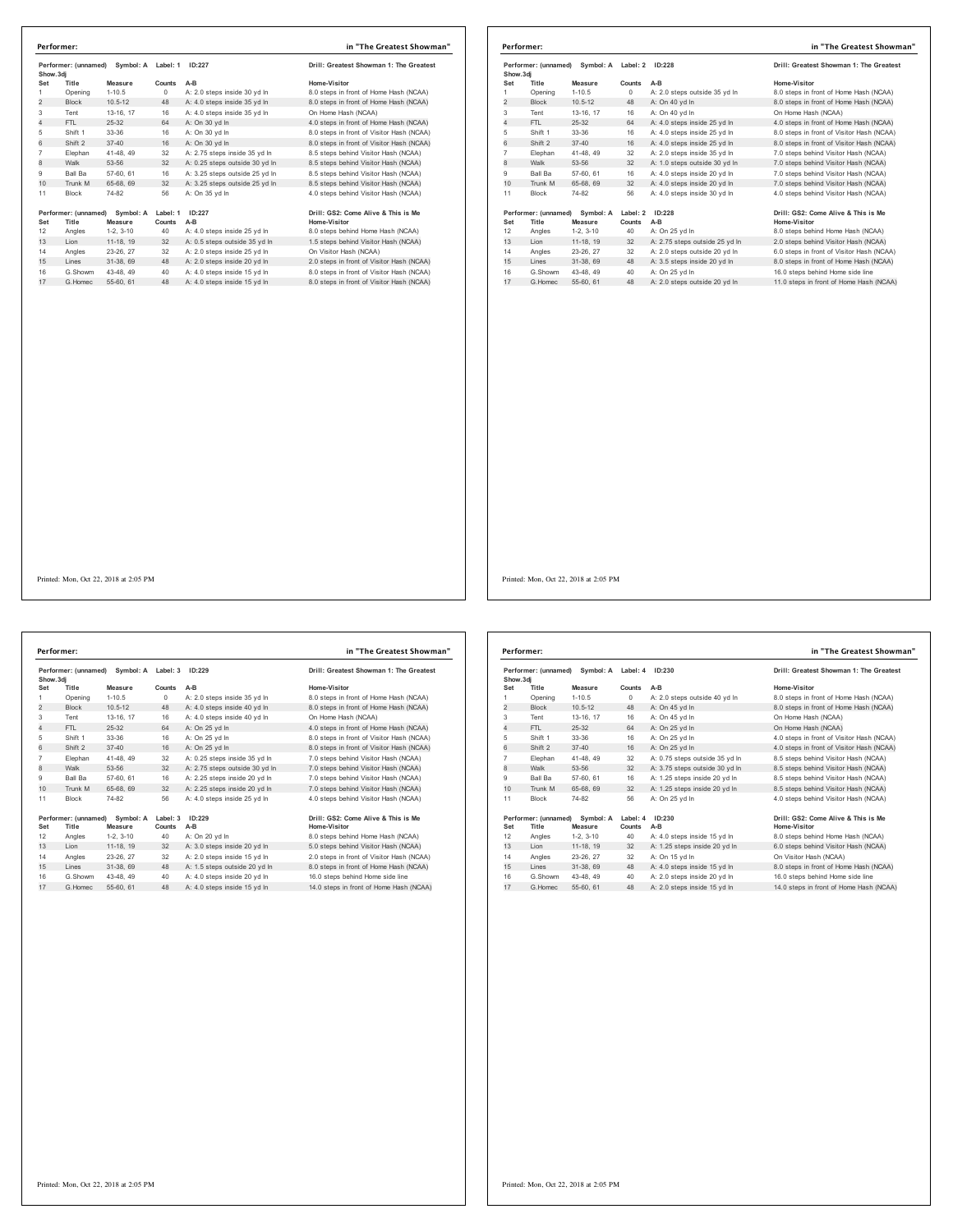|                | Symbol: A<br>Performer: (unnamed)<br>Show.3di |             | Label: 1   | ID:227                         | Drill: Greatest Showman 1: The Greatest   |
|----------------|-----------------------------------------------|-------------|------------|--------------------------------|-------------------------------------------|
| Set            | Title                                         | Measure     | Counts     | $A-B$                          | Home-Visitor                              |
| 1              | Opening                                       | $1 - 10.5$  | $^{\circ}$ | A: 2.0 steps inside 30 vd In   | 8.0 steps in front of Home Hash (NCAA)    |
| 2              | <b>Block</b>                                  | $10.5 - 12$ | 48         | A: 4.0 steps inside 35 yd In   | 8.0 steps in front of Home Hash (NCAA)    |
| 3              | Tent                                          | 13-16, 17   | 16         | A: 4.0 steps inside 35 vd In   | On Home Hash (NCAA)                       |
| $\overline{4}$ | FTL                                           | $25 - 32$   | 64         | A: On 30 vd In                 | 4.0 steps in front of Home Hash (NCAA)    |
| 5              | Shift 1                                       | 33-36       | 16         | A: On 30 vd In                 | 8.0 steps in front of Visitor Hash (NCAA) |
| 6              | Shift 2                                       | $37 - 40$   | 16         | A: On 30 vd In                 | 8.0 steps in front of Visitor Hash (NCAA) |
| $\overline{7}$ | Elephan                                       | 41-48, 49   | 32         | A: 2.75 steps inside 35 vd In  | 8.5 steps behind Visitor Hash (NCAA)      |
| 8              | Walk                                          | 53-56       | 32         | A: 0.25 steps outside 30 yd In | 8.5 steps behind Visitor Hash (NCAA)      |
| 9              | Ball Ba                                       | 57-60, 61   | 16         | A: 3.25 steps outside 25 vd In | 8.5 steps behind Visitor Hash (NCAA)      |
| 10             | Trunk M                                       | 65-68, 69   | 32         | A: 3.25 steps outside 25 yd In | 8.5 steps behind Visitor Hash (NCAA)      |
| 11             | <b>Block</b>                                  | 74-82       | 56         | A: On 35 vd In                 | 4.0 steps behind Visitor Hash (NCAA)      |
|                | Performer: (unnamed)                          | Symbol: A   | Label: 1   | ID:227                         | Drill: GS2: Come Alive & This is Me       |
| Set            | Title                                         | Measure     | Counts     | A-B                            | Home-Visitor                              |
| 12             | Angles                                        | $1-2.3-10$  | 40         | A: 4.0 steps inside 25 yd In   | 8.0 steps behind Home Hash (NCAA)         |
| 13             | Lion                                          | 11-18, 19   | 32         | A: 0.5 steps outside 35 yd In  | 1.5 steps behind Visitor Hash (NCAA)      |
| 14             | Angles                                        | 23-26.27    | 32         | A: 2.0 steps inside 25 yd In   | On Visitor Hash (NCAA)                    |
| 15             | Lines                                         | 31-38.69    | 48         | A: 2.0 steps inside 20 yd In   | 2.0 steps in front of Visitor Hash (NCAA) |
| 16             | G Showm                                       | 43-48.49    | 40         | A: 4.0 steps inside 15 yd In   | 8.0 steps in front of Visitor Hash (NCAA) |
| 17             | G.Homec                                       | 55-60, 61   | 48         | A: 4.0 steps inside 15 yd In   | 8.0 steps in front of Visitor Hash (NCAA) |
|                |                                               |             |            |                                |                                           |

|                | Performer:                                     |                      |                    |                                | in "The Greatest Showman"                           |
|----------------|------------------------------------------------|----------------------|--------------------|--------------------------------|-----------------------------------------------------|
|                | Performer: (unnamed)<br>Symbol: A<br>Show, 3di |                      | Label: 2           | ID:228                         | Drill: Greatest Showman 1: The Greatest             |
| Set            | Title                                          | Measure              | Counts             | $A-B$                          | Home-Visitor                                        |
| 1              | Opening                                        | $1 - 10.5$           | $\circ$            | A: 2.0 steps outside 35 yd In  | 8.0 steps in front of Home Hash (NCAA)              |
| $\overline{2}$ | <b>Block</b>                                   | $10.5 - 12$          | 48                 | A: On 40 vd In                 | 8.0 steps in front of Home Hash (NCAA)              |
| 3              | Tent                                           | 13-16, 17            | 16                 | A: On 40 yd In                 | On Home Hash (NCAA)                                 |
| 4              | FTI.                                           | 25-32                | 64                 | A: 4.0 steps inside 25 yd In   | 4.0 steps in front of Home Hash (NCAA)              |
| 5              | Shift 1                                        | 33-36                | 16                 | A: 4.0 steps inside 25 yd In   | 8.0 steps in front of Visitor Hash (NCAA)           |
| 6              | Shift 2                                        | $37 - 40$            | 16                 | A: 4.0 steps inside 25 vd In   | 8.0 steps in front of Visitor Hash (NCAA)           |
| $\overline{7}$ | Elephan                                        | 41-48, 49            | 32                 | A: 2.0 steps inside 35 yd In   | 7.0 steps behind Visitor Hash (NCAA)                |
| 8              | Walk                                           | 53-56                | 32                 | A: 1.0 steps outside 30 yd In  | 7.0 steps behind Visitor Hash (NCAA)                |
| 9              | <b>Ball Ba</b>                                 | 57-60, 61            | 16                 | A: 4.0 steps inside 20 yd In   | 7.0 steps behind Visitor Hash (NCAA)                |
| 10             | Trunk M                                        | 65-68, 69            | 32                 | A: 4.0 steps inside 20 yd In   | 7.0 steps behind Visitor Hash (NCAA)                |
| 11             | <b>Block</b>                                   | 74-82                | 56                 | A: 4.0 steps inside 30 yd In   | 4.0 steps behind Visitor Hash (NCAA)                |
| Set            | Performer: (unnamed)<br>Title                  | Symbol: A<br>Measure | Label: 2<br>Counts | ID:228<br>$A-B$                | Drill: GS2: Come Alive & This is Me<br>Home-Visitor |
| 12             | Angles                                         | $1-2.3-10$           | 40                 | A: On 25 yd In                 | 8.0 steps behind Home Hash (NCAA)                   |
| 13             | Lion                                           | 11-18, 19            | 32                 | A: 2.75 steps outside 25 yd In | 2.0 steps behind Visitor Hash (NCAA)                |
| 14             | Angles                                         | 23-26, 27            | 32                 | A: 2.0 steps outside 20 yd In  | 6.0 steps in front of Visitor Hash (NCAA)           |
| 15             | Lines                                          | 31-38, 69            | 48                 | A: 3.5 steps inside 20 yd In   | 8.0 steps in front of Home Hash (NCAA)              |
| 16             | G.Showm                                        | 43-48, 49            | 40                 | A: On 25 yd In                 | 16.0 steps behind Home side line                    |
| 17             | G Homec                                        | 55-60 61             | 48                 | A: 2.0 steps outside 20 vd In  | 11.0 steps in front of Home Hash (NCAA)             |

Performer: (unnamed) Symbol: A Label: 3 ID:229 **Drill: Greatest Showman 1: The Greatest Show.3dj Set Title Measure Counts A-B Home-Visitor** 1 Opening 1-10.5 0 A: 2.0 steps inside 35 yd In 8.0 steps in front of Home Hash (NCAA)<br>2 Block 10.5-12 48 A: 4.0 steps inside 40 yd In 8.0 steps in front of Home Hash (NCAA) 2 Block 10.5-12 48 A: 4.0 steps inside 40 yd ln 8.0 steps in front of Home Hash (NCAA)<br>Tent 13-16 17 16 A: 4.0 steps inside 40 yd ln 8.0 steps in front of Home Hash (NCAA) 13-16, 17 16 A: 4.0 steps inside 40 yd ln<br>
32 5-32 64 A: On 25 yd ln 4.0 A: On 25 yd ln 4.0 steps in front of Home Hash (NCAA)<br>19 Amin 1 33-36 16 A: On 25 yd ln 4.0 steps in front of Visitor Hash (NCAA)<br>19 A: On 25 yd ln 4.0 steps in front of Visitor Hash (NCAA) 5 Shift 1 33-36 16 A: On 25 yd ln 8.0 steps in front of Visitor Hash (NCAA) 6 Shift 2 37-40 16 A: On 25 yd ln 8.0 steps in front of Visitor Hash (NCAA) 7 Elephan 41-48, 49 32 A: 0.25 steps inside 35 yd ln 7.0 steps behind Visitor Hash (NCAA) 9 Ball Ba 57-60, 61 16 A: 2.25 steps inside 20 yd ln 7.0 steps behind Visitor Hash (NCAA)  $10$  Trunk M 65-68, 69 and 7.0 steps inside 20 yd ln 11 Block 74-82 56 A: 4.0 steps inside 25 yd ln 4.0 steps behind Visitor Hash (NCAA) **Performer: (unnamed) Symbol: A Label: 3 ID:229 Drill: GS2: Come Alive & This is Me Set Title Measure Counts** A-B<br>12 Angles 1-2, 3-10 40 A: On 20 yd In 12 Angles 1-2, 3-10 40 A: On 20 yd ln 8.0 steps behind Home Hash (NCAA)  $18$  A:  $3.0$  steps inside 20 yd ln 14 Angles 23-26, 27 32 A: 2.0 steps inside 15 yd ln 2.0 steps in front of Visitor Hash (NCAA)<br>15 Lines 31-38, 69 48 A: 1.5 steps outside 20 yd ln 8.0 steps in front of Home Hash (NCAA) 15 The steps manual is your.<br>48 A: 1.5 steps outside 20 yd ln 16 G.Showm 43-48, 49 40 A: 4.0 steps inside 20 yd ln 16.0 steps behind Home side line 17 G.Homec 55-60, 61 48 A: 4.0 steps inside 15 yd ln 14.0 steps in front of Home Hash (NCAA) **Performer: in "The Greatest Showman"**

8 Yis steps behind Visitor Hash (NCAA)

**Performer: (unnamed) Symbol: A Label: 4 ID:230 Drill: Greatest Showman 1: The Greatest Show.3dj Set Title Measure Counts A-B Home-Visitor** 1 Opening 1-10.5 0 A: 2.0 steps outside 40 yd ln 8.0 steps in front of Home Hash (NCAA)<br>2 Block 10.5-12 48 A: On 45 yd ln 8.0 steps in front of Home Hash (NCAA) 2 Block 10.5-12 48 A: On 45 yd ln 8.0 steps in front of Home Hash (NCAA)<br>1991 13-16, 17 16 A: On 45 yd ln 9.1 On Home Hash (NCAA) 3 Tent 13-16, 17 16 A: On 45 yd ln On Home Hash (NCAA) 4 FTL 25-32 64 A: On 25 yd ln<br>
5 FTL 25-32 64 A: On 25 yd ln<br>
5 hift 2 37-40 16 A: On 25 yd ln 5 Shift 1 33-36 16 A: On 25 yd ln 4.0 steps in front of Visitor Hash (NCAA)<br>6 Shift 2 37-40 16 A: On 25 yd ln 4.0 steps in front of Visitor Hash (NCAA) 7 Elephan 41-48, 49 32 A: 0.75 steps outside 35 yd ln 8.5 steps behind Visitor Hash (NCAA) 8.5 steps behind Visitor Hash (NCAA) 9 Ball Ba 57-60, 61 16 A: 1.25 steps inside 20 yd ln 8.5 steps behind Visitor Hash (NCAA)<br>10 Trunk M 65-68, 69 32 A: 1.25 steps inside 20 yd ln 8.5 steps behind Visitor Hash (NCAA) 10 Trunk M 65-68, 69 32 A: 1.25 steps inside 20 yd ln 11 Block 74-82 56 A: On 25 yd ln 4.0 steps behind Visitor Hash (NCAA) **Performer: (unnamed) Symbol: A Label: 4 ID:230 Drill: GS2: Come Alive & This is Me Set Title Measure Counts A-B**<br>12 Angles 1-2, 3-10 40 A: 4.0 steps inside 15 yd In 12 Angles 1-2, 3-10 40 A: 4.0 steps inside 15 yd ln 18.0 steps behind Home Hash (NCAA)<br>13 Lion 11-18, 19 32 A: 1.25 steps inside 20 yd ln 6.0 steps behind Visitor Hash (NCAA) 13 A: 1.25 steps inside 20 yd ln 14 Angles 23-26, 27 32 A: On 15 yd In On Visitor Hash (NCAA)<br>15 Lines 31-38, 69 48 A: 4.0 steps inside 15 yd In 8.0 steps in front of Hom 15 Lines 31-4 Hines 31-4 Home Hash (NCAA)<br>15.0 steps in front of Home Hash (NCAA)<br>14.0 steps in front of Home Hash (NCAA) 16 G.Showm 43-48, 49 40 A: 2.0 steps inside 20 yd ln 16.0 steps behind Home side line 17 G.Homec 55-60, 61 48 A: 2.0 steps inside 15 yd ln 14.0 steps in front of Home Hash (NCAA) **Performer: in "The Greatest Showman"**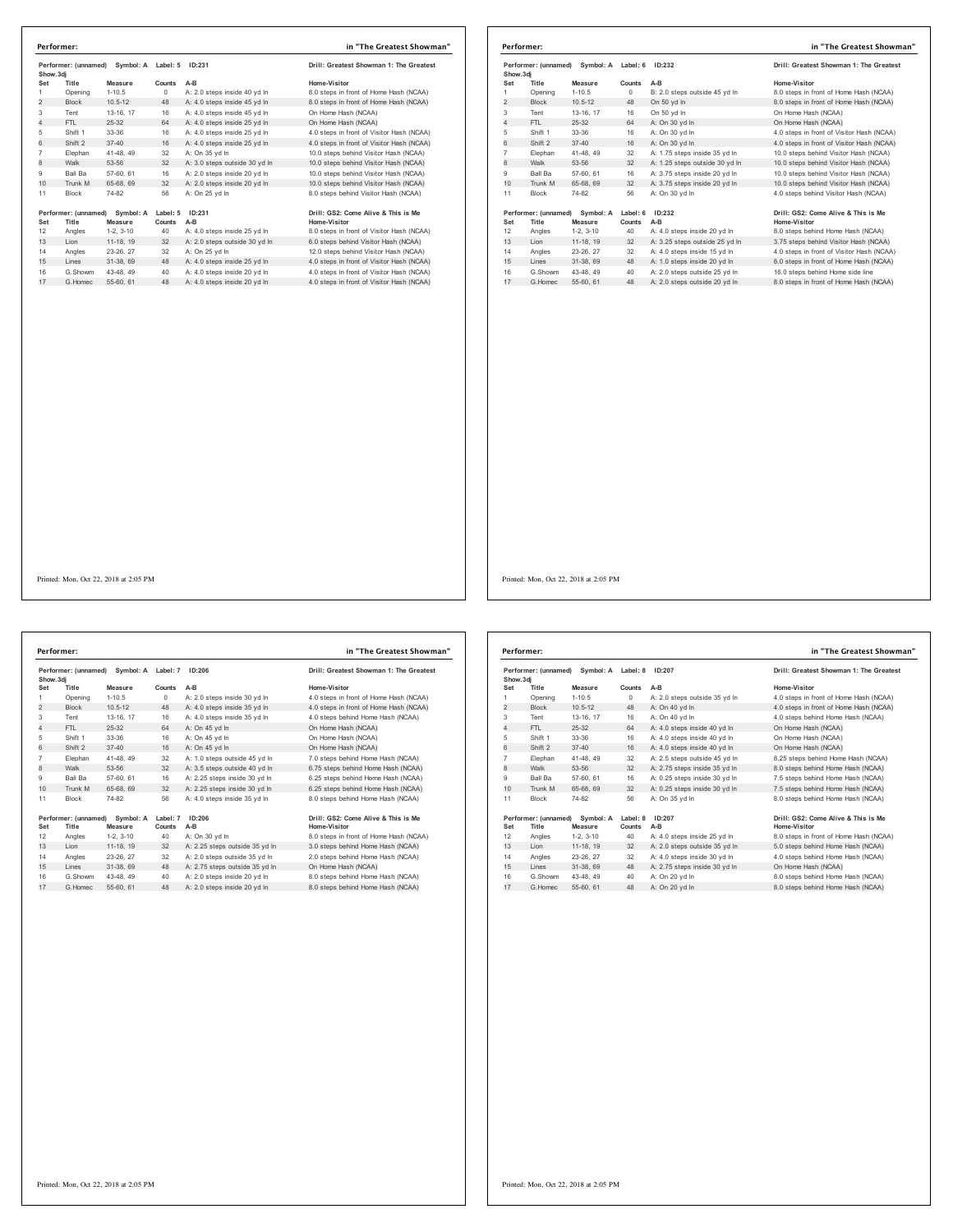| Performer: (unnamed)<br>Show.3di |                               | Symbol: A            | Label: 5           | ID:231                        | Drill: Greatest Showman 1: The Greatest             |
|----------------------------------|-------------------------------|----------------------|--------------------|-------------------------------|-----------------------------------------------------|
| Set                              | Title                         | Measure              | Counts             | $A-B$                         | Home-Visitor                                        |
| 1                                | Opening                       | $1 - 10.5$           | $\Omega$           | A: 2.0 steps inside 40 vd In  | 8.0 steps in front of Home Hash (NCAA)              |
| $\overline{2}$                   | <b>Block</b>                  | $10.5 - 12$          | 48                 | A: 4.0 steps inside 45 vd In  | 8.0 steps in front of Home Hash (NCAA)              |
| 3                                | Tent                          | 13-16, 17            | 16                 | A: 4.0 steps inside 45 yd In  | On Home Hash (NCAA)                                 |
| 4                                | FTI.                          | 25-32                | 64                 | A: 4.0 steps inside 25 vd In  | On Home Hash (NCAA)                                 |
| 5                                | Shift 1                       | 33-36                | 16                 | A: 4.0 steps inside 25 yd In  | 4.0 steps in front of Visitor Hash (NCAA)           |
| 6                                | Shift 2                       | $37 - 40$            | 16                 | A: 4.0 steps inside 25 vd In  | 4.0 steps in front of Visitor Hash (NCAA)           |
| $\overline{7}$                   | Elephan                       | 41-48, 49            | 32                 | A: On 35 yd In                | 10.0 steps behind Visitor Hash (NCAA)               |
| 8                                | Walk                          | 53-56                | 32                 | A: 3.0 steps outside 30 yd In | 10.0 steps behind Visitor Hash (NCAA)               |
| 9                                | Ball Ba                       | 57-60, 61            | 16                 | A: 2.0 steps inside 20 vd In  | 10.0 steps behind Visitor Hash (NCAA)               |
| 10 <sup>1</sup>                  | Trunk M                       | 65-68, 69            | 32                 | A: 2.0 steps inside 20 yd In  | 10.0 steps behind Visitor Hash (NCAA)               |
| 11                               | <b>Block</b>                  | 74-82                | 56                 | A: On 25 yd In                | 8.0 steps behind Visitor Hash (NCAA)                |
| Set                              | Performer: (unnamed)<br>Title | Symbol: A<br>Measure | Label: 5<br>Counts | ID:231<br>$A-B$               | Drill: GS2: Come Alive & This is Me<br>Home-Visitor |
| 12                               | Angles                        | $1-2.3-10$           | 40                 | A: 4.0 steps inside 25 yd In  | 8.0 steps in front of Visitor Hash (NCAA)           |
| 13                               | Lion                          | 11-18, 19            | 32                 | A: 2.0 steps outside 30 yd In | 6.0 steps behind Visitor Hash (NCAA)                |
| 14                               | Angles                        | 23-26, 27            | 32                 | A: On 25 vd In                | 12.0 steps behind Visitor Hash (NCAA)               |
| 15                               | Lines                         | 31-38, 69            | 48                 | A: 4.0 steps inside 25 yd In  | 4.0 steps in front of Visitor Hash (NCAA)           |
|                                  | G.Showm                       | 43-48, 49            | 40                 | A: 4.0 steps inside 20 yd In  | 4.0 steps in front of Visitor Hash (NCAA)           |
| 16                               |                               | 55-60, 61            | 48                 | A: 4.0 steps inside 20 yd In  | 4.0 steps in front of Visitor Hash (NCAA)           |

|     | Performer:                                  |             |          |                                | in "The Greatest Showman"                 |
|-----|---------------------------------------------|-------------|----------|--------------------------------|-------------------------------------------|
|     | Performer: (unnamed) Symbol: A<br>Show, 3di |             | Label: 6 | ID:232                         | Drill: Greatest Showman 1: The Greatest   |
| Set | Title                                       | Measure     | Counts   | $A-B$                          | Home-Visitor                              |
| 1   | Opening                                     | $1 - 10.5$  | $\Omega$ | B: 2.0 steps outside 45 yd In  | 8.0 steps in front of Home Hash (NCAA)    |
| 2   | <b>Block</b>                                | $10.5 - 12$ | 48       | On 50 yd In                    | 8.0 steps in front of Home Hash (NCAA)    |
| 3   | Tent                                        | 13-16, 17   | 16       | On 50 yd In                    | On Home Hash (NCAA)                       |
| 4   | FTL.                                        | 25-32       | 64       | A: On 30 vd In                 | On Home Hash (NCAA)                       |
| 5   | Shift 1                                     | 33-36       | 16       | A: On 30 yd In                 | 4.0 steps in front of Visitor Hash (NCAA) |
| 6   | Shift 2                                     | $37 - 40$   | 16       | A: On 30 vd In                 | 4.0 steps in front of Visitor Hash (NCAA) |
| 7   | Elephan                                     | 41-48.49    | 32       | A: 1.75 steps inside 35 yd In  | 10.0 steps behind Visitor Hash (NCAA)     |
| 8   | Walk                                        | 53-56       | 32       | A: 1.25 steps outside 30 yd In | 10.0 steps behind Visitor Hash (NCAA)     |
| 9   | Ball Ba                                     | 57-60, 61   | 16       | A: 3.75 steps inside 20 vd In  | 10.0 steps behind Visitor Hash (NCAA)     |
| 10  | Trunk M                                     | 65-68, 69   | 32       | A: 3.75 steps inside 20 yd In  | 10.0 steps behind Visitor Hash (NCAA)     |
| 11  | <b>Block</b>                                | 74-82       | 56       | A: On 30 vd In                 | 4.0 steps behind Visitor Hash (NCAA)      |
|     | Performer: (unnamed) Symbol: A              |             | Label: 6 | ID:232                         | Drill: GS2: Come Alive & This is Me       |
| Set | Title                                       | Measure     | Counts   | A-B                            | <b>Home-Visitor</b>                       |
| 12  | Angles                                      | $1-2.3-10$  | 40       | A: 4.0 steps inside 20 vd In   | 8.0 steps behind Home Hash (NCAA)         |
| 13  | Lion                                        | 11-18, 19   | 32       | A: 3.25 steps outside 25 yd In | 3.75 steps behind Visitor Hash (NCAA)     |
| 14  | Angles                                      | 23-26, 27   | 32       | A: 4.0 steps inside 15 yd In   | 4.0 steps in front of Visitor Hash (NCAA) |
| 15  | Lines                                       | 31-38, 69   | 48       | A: 1.0 steps inside 20 yd In   | 8.0 steps in front of Home Hash (NCAA)    |
| 16  | G.Showm                                     | 43-48.49    | 40       | A: 2.0 steps outside 25 yd In  | 16.0 steps behind Home side line          |
| 17  | G Homec                                     | 55-60, 61   | 48       | A: 2.0 steps outside 20 vd In  | 8.0 steps in front of Home Hash (NCAA)    |

Printed: Mon, Oct 22, 2018 at 2:05 PM

Performer: (unnamed) Symbol: A Label: 7 ID:206 **Drill: Greatest Showman 1: The Greatest Pertorment, Measure Show.3dj**<br>**Set Title Measure**<br> **Chaning 1-10.5 Sounts A-B Home-Visitor**<br>
0 A: 2.0 steps inside 30 yd In 4.0 steps in front of Home Hash (NCAA) Opening 1-10.5 0 A: 2.0 steps inside 30 yd ln 4.0 steps in front of Home Hash (NCAA) 2 Block 10.5-12 48 A: 4.0 steps inside 35 yd ln 4.0 steps in front of Home Hash (NCAA) Tent 13-16, 17 16 A: 4.0 steps inside 35 yd ln 4.0 steps behind Home Hash (NCAA) 4 FTL 25-32 64 A: On 45 yd ln On Home Hash (NCAA) Shift 1 33-36 16 A: On 45 yd ln On Home Hash (NCAA) 6 Shift 2 37-40 16 A: On 45 yd ln On Home Hash (NCAA) Elephan 41-48, 49 32 A: 1.0 steps outside 45 yd ln 7.0 steps behind Home Hash (NCAA) 8 Walk 53-56 32 A: 3.5 steps outside 40 yd ln 6.75 steps behind Home Hash (NCAA) Ball Ba 57-60, 61 16 A: 2.25 steps inside 30 yd ln 6.25 steps behind Home Hash (NCAA) 10 Trunk M 65-68, 69 32 A: 2.25 steps inside 30 yd ln 6.25 steps behind Home Hash (NCAA) Block 74-82 56 A: 4.0 steps inside 35 yd ln 8.0 steps behind Home Hash (NCAA) **Performer: (unnamed) Symbol: A Label: 7 ID:206** Drill: GS2: Come Alive & This is Me<br> **Performe Waster Counts A-B**<br>
12 Angles 1-2, 3-10 40 A: On 30 yd In a R. Desteps in front of Home Hash (NCAA)<br>
13 Lion 11-18, 19 32 A: 2 Set Title Measure Counts A-B<br>12 Angles 1-2, 3-10 A: On 30 ydin - 8.0 steps in font of Home Hash (NCAA)<br>13 Lion - 11-18, 19 32 A: 2.25 steps outside 35 ydin - 3.0 steps behind Home Hash (NCAA) Angles 23-26, 27 32 A: 2.0 steps outside 35 yd ln 2.0 steps behind Home Hash (NCAA) 15 Lines 31-38, 69 48 A: 2.75 steps outside 35 yd ln On Home Hash (NCAA) 16 G.Showm 43-48, 49 40 A: 2.0 steps inside 20 yd In 8.0 steps behind Home Hash (NCAA)<br>17 G.Homec 55-60, 61 48 A: 2.0 steps inside 20 yd In 8.0 steps behind Home Hash (NCAA) **Performer: in "The Greatest Showman"**

| Show, 3di      | Performer: (unnamed)          | Symbol: A Label: 8   |                    | ID:207                        | Drill: Greatest Showman 1: The Greatest             |
|----------------|-------------------------------|----------------------|--------------------|-------------------------------|-----------------------------------------------------|
| Set            | Title                         | Measure              | Counts             | $A-B$                         | Home-Visitor                                        |
| 1              | Opening                       | $1-10.5$             | $\Omega$           | A: 2.0 steps outside 35 yd In | 4.0 steps in front of Home Hash (NCAA)              |
| $\overline{2}$ | <b>Block</b>                  | $10.5 - 12$          | 48                 | A: On 40 vd In                | 4.0 steps in front of Home Hash (NCAA)              |
| 3              | Tent                          | 13-16, 17            | 16                 | A: On 40 vd In                | 4.0 steps behind Home Hash (NCAA)                   |
| 4              | FTI.                          | 25-32                | 64                 | A: 4.0 steps inside 40 vd In  | On Home Hash (NCAA)                                 |
| 5              | Shift 1                       | 33-36                | 16                 | A: 4.0 steps inside 40 yd In  | On Home Hash (NCAA)                                 |
| 6              | Shift 2                       | $37 - 40$            | 16                 | A: 4.0 steps inside 40 vd In  | On Home Hash (NCAA)                                 |
| $\overline{7}$ | Elephan                       | 41-48, 49            | 32                 | A: 2.5 steps outside 45 vd In | 8.25 steps behind Home Hash (NCAA)                  |
| 8              | Walk                          | 53-56                | 32                 | A: 2.75 steps inside 35 yd In | 8.0 steps behind Home Hash (NCAA)                   |
| 9              | <b>Ball Ba</b>                | 57-60, 61            | 16                 | A: 0.25 steps inside 30 vd In | 7.5 steps behind Home Hash (NCAA)                   |
| 10             | Trunk M                       | 65-68, 69            | 32                 | A: 0.25 steps inside 30 yd In | 7.5 steps behind Home Hash (NCAA)                   |
| 11             | <b>Block</b>                  | 74-82                | 56                 | A: On 35 vd In                | 8.0 steps behind Home Hash (NCAA)                   |
| Set            | Performer: (unnamed)<br>Title | Symbol: A<br>Measure | Label: 8<br>Counts | ID:207<br>$A-B$               | Drill: GS2: Come Alive & This is Me<br>Home-Visitor |
| 12             | Angles                        | $1-2.3-10$           | 40                 | A: 4.0 steps inside 25 yd In  | 8.0 steps in front of Home Hash (NCAA)              |
| 13             | I ion                         | 11-18, 19            | 32                 | A: 2.0 steps outside 35 yd In | 5.0 steps behind Home Hash (NCAA)                   |
| 14             | Angles                        | 23-26, 27            | 32                 | A: 4.0 steps inside 30 vd In  | 4.0 steps behind Home Hash (NCAA)                   |
| 15             | Lines                         | 31-38, 69            | 48                 | A: 2.75 steps inside 30 yd In | On Home Hash (NCAA)                                 |
| 16             | G Showm                       | 43-48, 49            | 40                 | A: On 20 vd In                | 8.0 steps behind Home Hash (NCAA)                   |
| 17             | G Homec                       | 55-60, 61            | 48                 | A: On 20 yd In                | 8.0 steps behind Home Hash (NCAA)                   |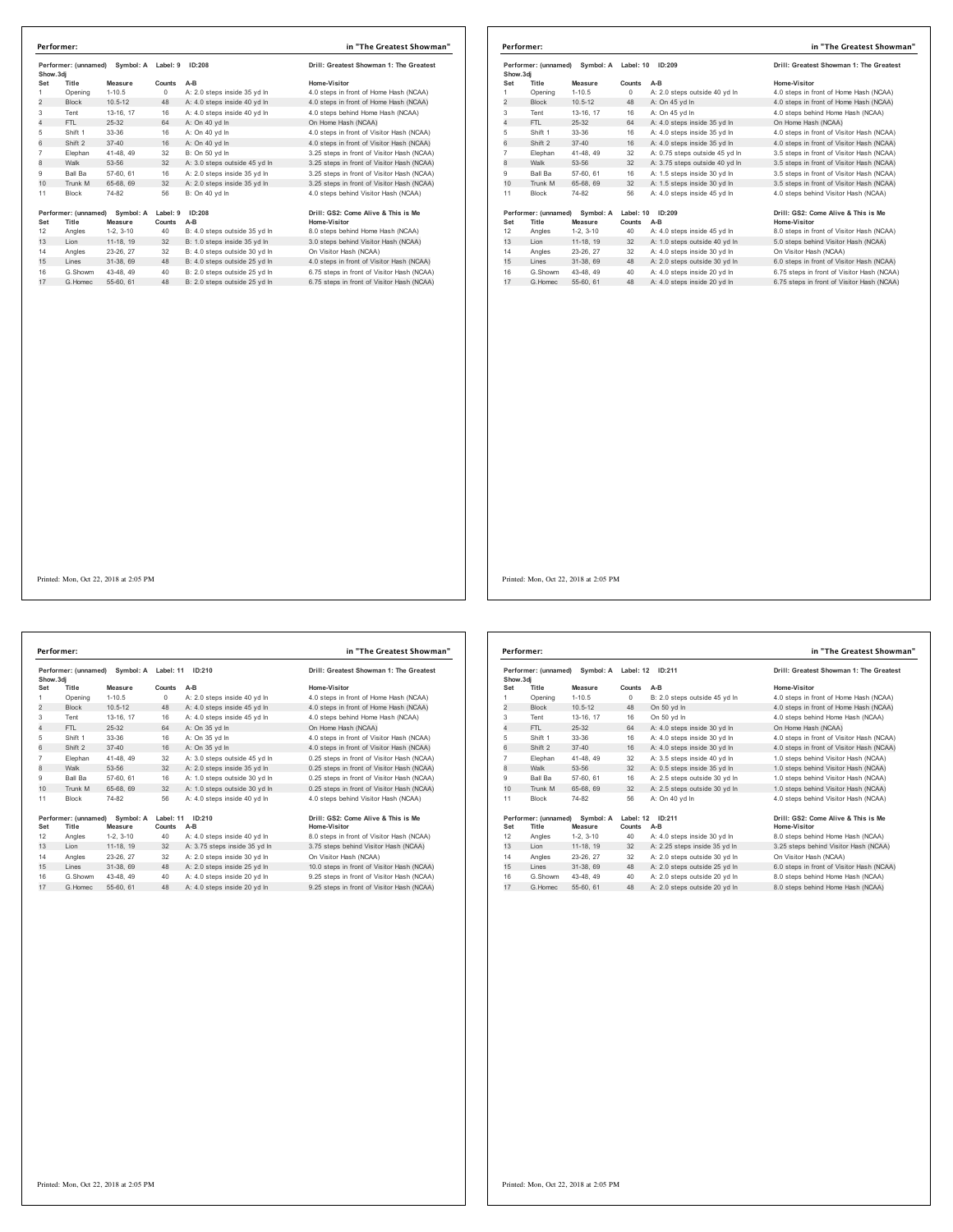| Performer<br>Show, 3di |  |
|------------------------|--|
|                        |  |
| Set                    |  |
| 1                      |  |
| $\overline{2}$         |  |
| 3                      |  |
| $\overline{4}$         |  |
| 5                      |  |
| 6                      |  |
| $\overline{7}$         |  |
| 8                      |  |
| 9                      |  |
| 10                     |  |
| 11                     |  |
| Performer<br>Set       |  |
| 12                     |  |
| 13                     |  |
| 14                     |  |
| 15                     |  |
| 16                     |  |
| 17                     |  |
|                        |  |
|                        |  |
|                        |  |
|                        |  |
|                        |  |
|                        |  |

|                | Performer:                                     |             |                     |                                | in "The Greatest Showman"                  |
|----------------|------------------------------------------------|-------------|---------------------|--------------------------------|--------------------------------------------|
|                | Performer: (unnamed)<br>Symbol: A<br>Show, 3di |             | ID:209<br>Label: 10 |                                | Drill: Greatest Showman 1: The Greatest    |
| Set            | Title                                          | Measure     | Counts              | $A-B$                          | Home-Visitor                               |
|                | Opening                                        | $1 - 10.5$  | $\Omega$            | A: 2.0 steps outside 40 yd In  | 4.0 steps in front of Home Hash (NCAA)     |
| $\overline{2}$ | <b>Block</b>                                   | $10.5 - 12$ | 48                  | A: On 45 yd In                 | 4.0 steps in front of Home Hash (NCAA)     |
| 3              | Tent                                           | 13-16, 17   | 16                  | A: On 45 yd In                 | 4.0 steps behind Home Hash (NCAA)          |
| $\overline{4}$ | FTL.                                           | 25-32       | 64                  | A: 4.0 steps inside 35 yd In   | On Home Hash (NCAA)                        |
| 5              | Shift 1                                        | 33-36       | 16                  | A: 4.0 steps inside 35 yd In   | 4.0 steps in front of Visitor Hash (NCAA)  |
| 6              | Shift 2                                        | $37 - 40$   | 16                  | A: 4.0 steps inside 35 yd In   | 4.0 steps in front of Visitor Hash (NCAA)  |
| $\overline{7}$ | Elephan                                        | 41-48, 49   | 32                  | A: 0.75 steps outside 45 vd In | 3.5 steps in front of Visitor Hash (NCAA)  |
| 8              | Walk                                           | 53-56       | 32                  | A: 3.75 steps outside 40 yd In | 3.5 steps in front of Visitor Hash (NCAA)  |
| 9              | <b>Ball Ba</b>                                 | 57-60, 61   | 16                  | A: 1.5 steps inside 30 yd In   | 3.5 steps in front of Visitor Hash (NCAA)  |
| 10             | Trunk M                                        | 65-68, 69   | 32                  | A: 1.5 steps inside 30 yd In   | 3.5 steps in front of Visitor Hash (NCAA)  |
| 11             | <b>Block</b>                                   | 74-82       | 56                  | A: 4.0 steps inside 45 vd In   | 4.0 steps behind Visitor Hash (NCAA)       |
|                | Performer: (unnamed)                           | Symbol: A   | Label: 10           | ID:209                         | Drill: GS2: Come Alive & This is Me        |
| Set            | Title                                          | Measure     | Counts              | $A-B$                          | Home-Visitor                               |
| 12             | Angles                                         | $1-2.3-10$  | 40                  | A: 4.0 steps inside 45 vd In   | 8.0 steps in front of Visitor Hash (NCAA)  |
| 13             | Lion                                           | 11-18, 19   | 32                  | A: 1.0 steps outside 40 yd In  | 5.0 steps behind Visitor Hash (NCAA)       |
| 14             | Angles                                         | 23-26, 27   | 32                  | A: 4.0 steps inside 30 vd In   | On Visitor Hash (NCAA)                     |
| 15             | Lines                                          | 31-38, 69   | 48                  | A: 2.0 steps outside 30 yd In  | 6.0 steps in front of Visitor Hash (NCAA)  |
| 16             | G.Showm                                        | 43-48.49    | 40                  | A: 4.0 steps inside 20 yd In   | 6.75 steps in front of Visitor Hash (NCAA) |
| 17             | G. Homec                                       | 55-60 61    | 48                  | A: 4.0 steps inside 20 yd In   | 6.75 steps in front of Visitor Hash (NCAA) |

**Performer: (unnamed) Symbol: A Label: 11 ID:210 Drill: Greatest Showman 1: The Greatest Show.3dj Set Title Measure Counts A-B Home-Visitor** Opening 1-10.5 0 A: 2.0 steps inside 40 yd ln 4.0 steps in front of Home Hash (NCAA) 2 Block 10.5-12 48 A: 4.0 steps inside 45 yd ln 4.0 steps in front of Home Hash (NCAA) Tent 13-16, 17 16 A: 4.0 steps inside 45 yd ln 4.0 steps behind Home Hash (NCAA) 4 FTL 25-32 64 A: On 35 yd ln On Home Hash (NCAA) Shift 1 33-36 16 A: On 35 yd ln 4.0 steps in front of Visitor Hash (NCAA) 6 Shift 2 37-40 16 A: On 35 yd ln 4.0 steps in front of Visitor Hash (NCAA) Elephan 41-48, 49 32 A: 3.0 steps outside 45 yd ln 0.25 steps in front of Visitor Hash (NCAA) 8 Walk 53-56 32 A: 2.0 steps inside 35 yd ln 0.25 steps in front of Visitor Hash (NCAA) 9 Ball Ba 57-60, 61 16 A: 1.0 steps outside 30 yd ln 0.25 steps in front of Visitor Hash (NCAA) 10 Trunk M 65-68, 69 32 A: 1.0 steps outside 30 yd in 0.<br>10 Trunk M 65-68, 69 32 A: 1.0 steps outside 30 yd in 0. 11 Block 74-82 56 A: 4.0 steps inside 40 yd In 1967 (come Alive & This americ (and and Symbol: A Label: 11 ID:210<br>
1967 (Symbol: A Label: 11 ID:210<br>
1968 17:2, 3-10<br>
1968 12, 3-10<br>
1968 12, 3-10<br>
1968 23-26, 275 steps inside 40 yd In 13.75 steps behind Visitor Hash (NC G.Showm 43-48, 49 40 A: 4.0 steps inside 20 yd ln 9.25 steps in front of Visitor Hash (NCAA) 17 G.Homec 55-60, 61 48 A: 4.0 steps inside 20 yd ln 9.25 steps in front of Visitor Hash (NCAA) **Performer: in "The Greatest Showman"**

| Drill: Greatest Showman 1: The Greatest    |
|--------------------------------------------|
| lome-Visitor                               |
| 4.0 steps in front of Home Hash (NCAA)     |
| 4.0 steps in front of Home Hash (NCAA)     |
| 4.0 steps behind Home Hash (NCAA)          |
| On Home Hash (NCAA)                        |
| 4.0 steps in front of Visitor Hash (NCAA)  |
| 4.0 steps in front of Visitor Hash (NCAA)  |
| 0.25 steps in front of Visitor Hash (NCAA) |
| 0.25 steps in front of Visitor Hash (NCAA) |
| 0.25 steps in front of Visitor Hash (NCAA) |
| 0.25 steps in front of Visitor Hash (NCAA) |
| 1.0 steps behind Visitor Hash (NCAA)       |
|                                            |

| Home-Visitor<br>Set<br>Title<br>Measure<br>Counts<br>$A-B$<br>$1 - 10.5$<br>1<br>Opening<br>$\Omega$<br>B: 2.0 steps outside 45 yd In<br>$\overline{2}$<br><b>Block</b><br>$10.5 - 12$<br>48<br>On 50 vd In<br>3<br>13-16, 17<br>On 50 vd In<br>Tent<br>16<br>$\overline{4}$<br>FTI.<br>25-32<br>64<br>A: 4.0 steps inside 30 yd In<br>On Home Hash (NCAA)<br>5<br>Shift 1<br>33-36<br>16<br>A: 4.0 steps inside 30 yd In<br>6<br>Shift 2<br>$37 - 40$<br>A: 4.0 steps inside 30 yd In<br>16<br>$\overline{7}$<br>32<br>Elephan<br>41-48, 49<br>A: 3.5 steps inside 40 vd In<br>8<br>Walk<br>53-56<br>32<br>A: 0.5 steps inside 35 yd In<br>9<br><b>Ball Ba</b><br>57-60, 61<br>16<br>A: 2.5 steps outside 30 vd In<br>10<br>Trunk M<br>32<br>A: 2.5 steps outside 30 yd In<br>65-68, 69<br>11<br>74-82<br>56<br>A: On 40 vd In<br><b>Block</b><br>Performer: (unnamed)<br>Symbol: A<br>Label: 12 ID:211<br>Home-Visitor<br>Set<br>Title<br>Counts<br>$A-B$<br>Measure<br>12<br>$1-2, 3-10$<br>40<br>Angles<br>A: 4.0 steps inside 30 yd In<br>8.0 steps behind Home Hash (NCAA)<br>11-18. 19<br>32<br>Lion<br>A: 2.25 steps inside 35 yd In<br>32<br>Angles<br>23-26.27<br>A: 2.0 steps outside 30 yd In<br>On Visitor Hash (NCAA)<br>48<br>A: 2.0 steps outside 25 yd In<br>Lines<br>31-38, 69<br>G Showm<br>43-48.49<br>40<br>A: 2.0 steps outside 20 yd In | Performer: (unnamed)<br>Symbol: A<br>Show, 3di |  |           | Label: 12 ID:211 | Drill: Greatest Showman 1: The Greatest |                                           |
|----------------------------------------------------------------------------------------------------------------------------------------------------------------------------------------------------------------------------------------------------------------------------------------------------------------------------------------------------------------------------------------------------------------------------------------------------------------------------------------------------------------------------------------------------------------------------------------------------------------------------------------------------------------------------------------------------------------------------------------------------------------------------------------------------------------------------------------------------------------------------------------------------------------------------------------------------------------------------------------------------------------------------------------------------------------------------------------------------------------------------------------------------------------------------------------------------------------------------------------------------------------------------------------------------------------------------------------------------------------|------------------------------------------------|--|-----------|------------------|-----------------------------------------|-------------------------------------------|
|                                                                                                                                                                                                                                                                                                                                                                                                                                                                                                                                                                                                                                                                                                                                                                                                                                                                                                                                                                                                                                                                                                                                                                                                                                                                                                                                                                |                                                |  |           |                  |                                         |                                           |
|                                                                                                                                                                                                                                                                                                                                                                                                                                                                                                                                                                                                                                                                                                                                                                                                                                                                                                                                                                                                                                                                                                                                                                                                                                                                                                                                                                |                                                |  |           |                  |                                         | 4.0 steps in front of Home Hash (NCAA)    |
|                                                                                                                                                                                                                                                                                                                                                                                                                                                                                                                                                                                                                                                                                                                                                                                                                                                                                                                                                                                                                                                                                                                                                                                                                                                                                                                                                                |                                                |  |           |                  |                                         | 4.0 steps in front of Home Hash (NCAA)    |
|                                                                                                                                                                                                                                                                                                                                                                                                                                                                                                                                                                                                                                                                                                                                                                                                                                                                                                                                                                                                                                                                                                                                                                                                                                                                                                                                                                |                                                |  |           |                  |                                         | 4.0 steps behind Home Hash (NCAA)         |
|                                                                                                                                                                                                                                                                                                                                                                                                                                                                                                                                                                                                                                                                                                                                                                                                                                                                                                                                                                                                                                                                                                                                                                                                                                                                                                                                                                |                                                |  |           |                  |                                         |                                           |
|                                                                                                                                                                                                                                                                                                                                                                                                                                                                                                                                                                                                                                                                                                                                                                                                                                                                                                                                                                                                                                                                                                                                                                                                                                                                                                                                                                |                                                |  |           |                  |                                         | 4.0 steps in front of Visitor Hash (NCAA) |
|                                                                                                                                                                                                                                                                                                                                                                                                                                                                                                                                                                                                                                                                                                                                                                                                                                                                                                                                                                                                                                                                                                                                                                                                                                                                                                                                                                |                                                |  |           |                  |                                         | 4.0 steps in front of Visitor Hash (NCAA) |
|                                                                                                                                                                                                                                                                                                                                                                                                                                                                                                                                                                                                                                                                                                                                                                                                                                                                                                                                                                                                                                                                                                                                                                                                                                                                                                                                                                |                                                |  |           |                  |                                         | 1.0 steps behind Visitor Hash (NCAA)      |
|                                                                                                                                                                                                                                                                                                                                                                                                                                                                                                                                                                                                                                                                                                                                                                                                                                                                                                                                                                                                                                                                                                                                                                                                                                                                                                                                                                |                                                |  |           |                  |                                         | 1.0 steps behind Visitor Hash (NCAA)      |
|                                                                                                                                                                                                                                                                                                                                                                                                                                                                                                                                                                                                                                                                                                                                                                                                                                                                                                                                                                                                                                                                                                                                                                                                                                                                                                                                                                |                                                |  |           |                  |                                         | 1.0 steps behind Visitor Hash (NCAA)      |
|                                                                                                                                                                                                                                                                                                                                                                                                                                                                                                                                                                                                                                                                                                                                                                                                                                                                                                                                                                                                                                                                                                                                                                                                                                                                                                                                                                |                                                |  |           |                  |                                         | 1.0 steps behind Visitor Hash (NCAA)      |
|                                                                                                                                                                                                                                                                                                                                                                                                                                                                                                                                                                                                                                                                                                                                                                                                                                                                                                                                                                                                                                                                                                                                                                                                                                                                                                                                                                |                                                |  |           |                  |                                         | 4.0 steps behind Visitor Hash (NCAA)      |
| 13<br>14<br>15<br>16                                                                                                                                                                                                                                                                                                                                                                                                                                                                                                                                                                                                                                                                                                                                                                                                                                                                                                                                                                                                                                                                                                                                                                                                                                                                                                                                           |                                                |  |           |                  |                                         | Drill: GS2: Come Alive & This is Me       |
|                                                                                                                                                                                                                                                                                                                                                                                                                                                                                                                                                                                                                                                                                                                                                                                                                                                                                                                                                                                                                                                                                                                                                                                                                                                                                                                                                                |                                                |  |           |                  |                                         |                                           |
|                                                                                                                                                                                                                                                                                                                                                                                                                                                                                                                                                                                                                                                                                                                                                                                                                                                                                                                                                                                                                                                                                                                                                                                                                                                                                                                                                                |                                                |  |           |                  |                                         | 3.25 steps behind Visitor Hash (NCAA)     |
|                                                                                                                                                                                                                                                                                                                                                                                                                                                                                                                                                                                                                                                                                                                                                                                                                                                                                                                                                                                                                                                                                                                                                                                                                                                                                                                                                                |                                                |  |           |                  |                                         |                                           |
|                                                                                                                                                                                                                                                                                                                                                                                                                                                                                                                                                                                                                                                                                                                                                                                                                                                                                                                                                                                                                                                                                                                                                                                                                                                                                                                                                                |                                                |  |           |                  |                                         | 6.0 steps in front of Visitor Hash (NCAA) |
|                                                                                                                                                                                                                                                                                                                                                                                                                                                                                                                                                                                                                                                                                                                                                                                                                                                                                                                                                                                                                                                                                                                                                                                                                                                                                                                                                                |                                                |  |           |                  |                                         | 8.0 steps behind Home Hash (NCAA)         |
| 17<br>G Homec                                                                                                                                                                                                                                                                                                                                                                                                                                                                                                                                                                                                                                                                                                                                                                                                                                                                                                                                                                                                                                                                                                                                                                                                                                                                                                                                                  |                                                |  | 55-60, 61 | 48               | A: 2.0 steps outside 20 yd In           | 8.0 steps behind Home Hash (NCAA)         |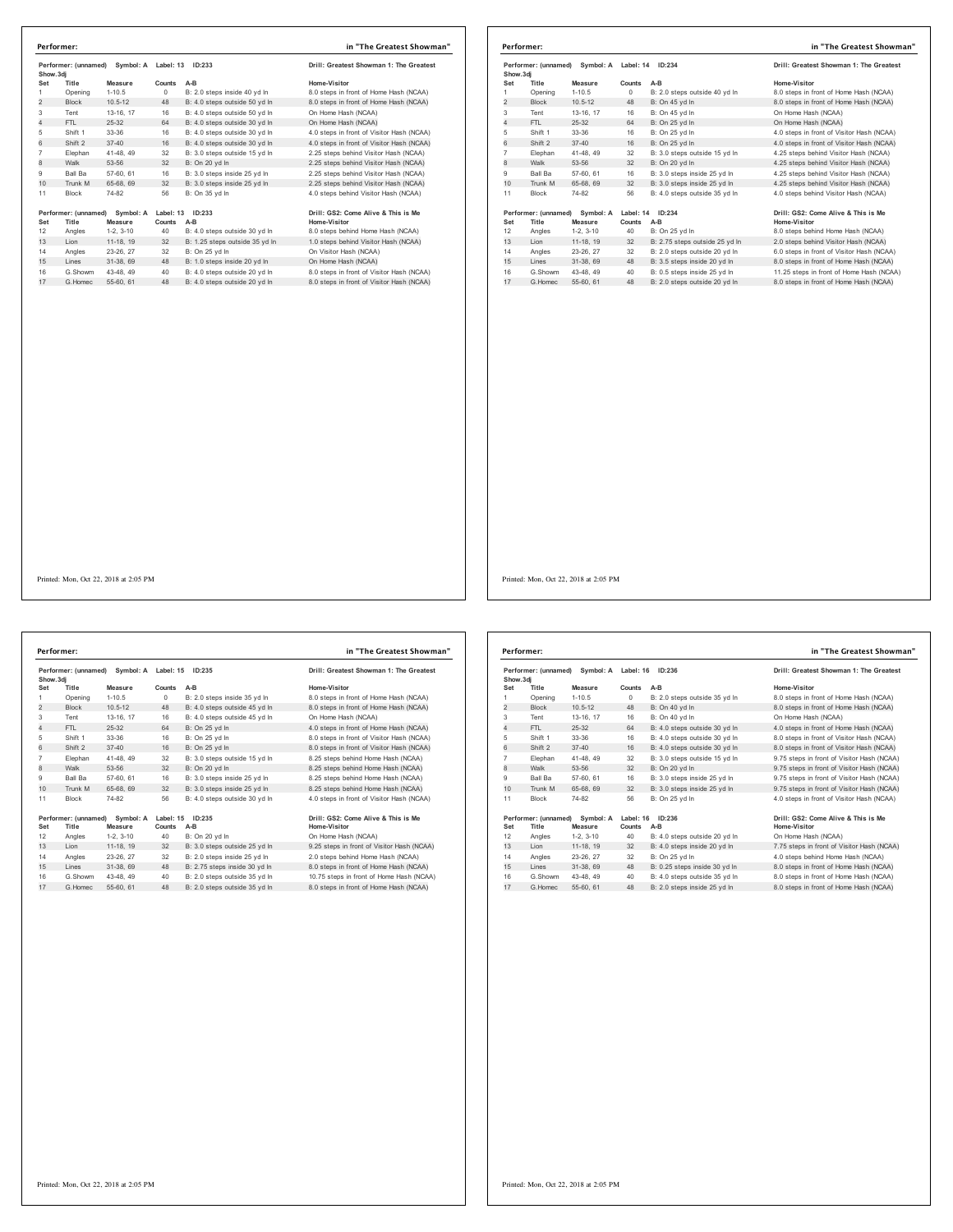| Show.3di       | Performer: (unnamed)          | Symbol: A Label: 13  |          | ID:233                         | Drill: Greatest Showman 1: The Greatest             |  |
|----------------|-------------------------------|----------------------|----------|--------------------------------|-----------------------------------------------------|--|
| Set            | Title                         | Measure              | Counts   | $A-B$                          | Home-Visitor                                        |  |
| 1              | Opening                       | $1-10.5$             | $\Omega$ | B: 2.0 steps inside 40 yd In   | 8.0 steps in front of Home Hash (NCAA)              |  |
| $\overline{2}$ | <b>Block</b>                  | $10.5 - 12$          | 48       | B: 4.0 steps outside 50 yd In  | 8.0 steps in front of Home Hash (NCAA)              |  |
| 3              | Tent                          | 13-16, 17            | 16       | B: 4.0 steps outside 50 vd ln  | On Home Hash (NCAA)                                 |  |
| $\overline{4}$ | FTI.                          | 25-32                | 64       | B: 4.0 steps outside 30 yd In  | On Home Hash (NCAA)                                 |  |
| 5              | Shift 1                       | 33-36                | 16       | B: 4.0 steps outside 30 yd In  | 4.0 steps in front of Visitor Hash (NCAA)           |  |
| 6              | Shift 2                       | $37 - 40$            | 16       | B: 4.0 steps outside 30 yd In  | 4.0 steps in front of Visitor Hash (NCAA)           |  |
| $\overline{7}$ | Elephan                       | 41-48, 49            | 32       | B: 3.0 steps outside 15 vd In  | 2.25 steps behind Visitor Hash (NCAA)               |  |
| 8              | Walk                          | 53-56                | 32       | B: On 20 yd In                 | 2.25 steps behind Visitor Hash (NCAA)               |  |
| 9              | Ball Ba                       | 57-60, 61            | 16       | B: 3.0 steps inside 25 yd In   | 2.25 steps behind Visitor Hash (NCAA)               |  |
| 10             | Trunk M                       | 65-68, 69            | 32       | B: 3.0 steps inside 25 yd In   | 2.25 steps behind Visitor Hash (NCAA)               |  |
| 11             | <b>Block</b>                  | 74-82                | 56       | B: On 35 vd In                 | 4.0 steps behind Visitor Hash (NCAA)                |  |
| Set            | Performer: (unnamed)<br>Title | Symbol: A<br>Measure | Counts   | Label: 13 ID:233<br>$A-B$      | Drill: GS2: Come Alive & This is Me<br>Home-Visitor |  |
| 12             | Angles                        | $1-2.3-10$           | 40       | B: 4.0 steps outside 30 vd In  | 8.0 steps behind Home Hash (NCAA)                   |  |
| 13             | Lion                          | 11-18, 19            | 32       | B: 1.25 steps outside 35 yd In | 1.0 steps behind Visitor Hash (NCAA)                |  |
| 14             | Angles                        | 23-26, 27            | 32       | B: On 25 yd In                 | On Visitor Hash (NCAA)                              |  |
| 15             | Lines                         | 31-38, 69            | 48       | B: 1.0 steps inside 20 yd In   | On Home Hash (NCAA)                                 |  |
| 16             | G.Showm                       | 43-48, 49            | 40       | B: 4.0 steps outside 20 yd In  | 8.0 steps in front of Visitor Hash (NCAA)           |  |
| 17             | G. Homec                      | 55-60, 61            | 48       | B: 4.0 steps outside 20 yd In  | 8.0 steps in front of Visitor Hash (NCAA)           |  |

|           | Performer:           |             |           |                                | in "The Greatest Showman"                 |
|-----------|----------------------|-------------|-----------|--------------------------------|-------------------------------------------|
| Show, 3di | Performer: (unnamed) | Symbol: A   | Label: 14 | ID: 234                        | Drill: Greatest Showman 1: The Greatest   |
| Set       | Title                | Measure     | Counts    | $A-B$                          | Home-Visitor                              |
|           | Opening              | $1 - 10.5$  | $\Omega$  | B: 2.0 steps outside 40 vd In  | 8.0 steps in front of Home Hash (NCAA)    |
| 2         | <b>Block</b>         | $10.5 - 12$ | 48        | B: On 45 yd In                 | 8.0 steps in front of Home Hash (NCAA)    |
| 3         | Tent                 | 13-16, 17   | 16        | B: On 45 yd In                 | On Home Hash (NCAA)                       |
| 4         | FTL.                 | 25-32       | 64        | B: On 25 vd In                 | On Home Hash (NCAA)                       |
| 5         | Shift 1              | 33-36       | 16        | B: On 25 yd In                 | 4.0 steps in front of Visitor Hash (NCAA) |
| 6         | Shift 2              | $37 - 40$   | 16        | B: On 25 vd In                 | 4.0 steps in front of Visitor Hash (NCAA) |
| 7         | Elephan              | 41-48, 49   | 32        | B: 3.0 steps outside 15 yd In  | 4.25 steps behind Visitor Hash (NCAA)     |
| 8         | Walk                 | 53-56       | 32        | B: On 20 yd In                 | 4.25 steps behind Visitor Hash (NCAA)     |
| 9         | <b>Ball Ba</b>       | 57-60, 61   | 16        | B: 3.0 steps inside 25 vd In   | 4.25 steps behind Visitor Hash (NCAA)     |
| 10        | Trunk M              | 65-68, 69   | 32        | B: 3.0 steps inside 25 yd In   | 4.25 steps behind Visitor Hash (NCAA)     |
| 11        | <b>Block</b>         | 74-82       | 56        | B: 4.0 steps outside 35 vd In  | 4.0 steps behind Visitor Hash (NCAA)      |
|           | Performer: (unnamed) | Symbol: A   | Label: 14 | ID: 234                        | Drill: GS2: Come Alive & This is Me       |
| Set       | Title                | Measure     | Counts    | A-B                            | <b>Home-Visitor</b>                       |
| 12        | Angles               | $1-2.3-10$  | 40        | B: On 25 yd In                 | 8.0 steps behind Home Hash (NCAA)         |
| 13        | Lion                 | 11-18, 19   | 32        | B: 2.75 steps outside 25 yd In | 2.0 steps behind Visitor Hash (NCAA)      |
| 14        | Angles               | 23-26, 27   | 32        | B: 2.0 steps outside 20 vd In  | 6.0 steps in front of Visitor Hash (NCAA) |
| 15        | Lines                | 31-38, 69   | 48        | B: 3.5 steps inside 20 yd In   | 8.0 steps in front of Home Hash (NCAA)    |
| 16        | G.Showm              | 43-48, 49   | 40        | B: 0.5 steps inside 25 yd In   | 11.25 steps in front of Home Hash (NCAA)  |
| 17        | G Homec              | 55-60, 61   | 48        | B: 2.0 steps outside 20 yd In  | 8.0 steps in front of Home Hash (NCAA)    |

Performer: (unnamed) Symbol: A Label: 15 ID:235 **Drill: Greatest Showman 1: The Greatest Show.3dj Set Title Measure Counts A-B Home-Visitor** 1-10.5 0 B: 2.0 steps inside 35 yd ln 8.0 steps in front of Home Hash (NCAA)<br>10.5-12 48 B: 4.0 steps outside 45 yd ln 8.0 steps in front of Home Hash (NCAA) 2 Block 10.5-12 48 B: 4.0 steps outside 45 yd ln 8.0 steps in front of Home Hash (NCAA)<br>2 Block 10.5-12 48 B: 4.0 steps outside 45 yd ln 8.0 steps in front of Home Hash (NCAA) 3 Tent 13-16, 17 16 B: 4.0 steps outside 45 yd ln<br>
13-32 64 B: On 25 yd ln 4 FTL 25-32 64 B: On 25 yd ln 4.0 steps in front of Home Hash (NCAA)<br>19 11 11 33-36 16 B: On 25 yd ln 4.0 steps in front of Visitor Hash (NCAA)<br>19 11 12 17-40 16 B: On 25 yd ln 4.0 steps in front of Visitor Hash (NCAA) 5 Shift 1 33-36 16 B: On 25 yd ln 8.0 steps in front of Visitor Hash (NCAA) 6 Shift 2 37-40 16 B: On 25 yd ln 8.0 steps in front of Visitor Hash (NCAA) 7 Elephan 41-48, 49 32 B: 3.0 steps outside 15 yd ln 8.25 steps behind Home Hash (NCAA) 9 Ball Ba 57-60, 61 16 B: 3.0 steps inside 25 yd ln 8.25 steps behind Home Hash (NCAA)<br>10 Trunk M 65-68, 69 32 B: 3.0 steps inside 25 yd ln 8.25 steps behind Home Hash (NCAA) 10 Trunk M 65-68, 69 September 45-68, 69 September 45-68, 69 September 45, 69 September 46.25 September 46. 11 Block 74-82 56 B: 4.0 steps outside 30 yd ln 4.0 steps in front of Visitor Hash (NCAA) **Performer: (unnamed) Symbol: A Label: 15 ID:235 Drill: GS2: Come Alive & This is Me Set Title Measure Counts A-B Home-Visitor** 12 Angles 1-2, 3-10 40 B: On 20 yd ln On Home Hash (NCAA) 14 11-18, 19 32 B: 3.0 steps outside 25 yd ln 9.25 steps in front of Visitor Hash (NCAA) 14 Angles 23-26, 27 32 B: 2.0 steps inside 25 yd ln 2.0 steps behind Home Hash (NCAA) 16 G.Showm 43-48, 49 40 B: 2.0 steps outside 35 yd ln 10.75 steps in front of Home Hash (NCAA)<br>17 G.Homec 55-60, 61 48 B: 2.0 steps outside 35 yd ln 8.0 steps in front of Home Hash (NCAA) **Performer: in "The Greatest Showman"**

8.25 steps behind Home Hash (NCAA)

# 15 Steps in front of Home Hash (NCAA)

Performer: (unnamed) Symbol: A Label: 16 ID:236 **Drill: Greatest Showman 1: The Greatest Show.3dj Set Title Measure Counts A-B Home-Visitor** 1 Opening 1-10.5 0 B: 2.0 steps outside 35 yd ln 8.0 steps in front of Home Hash (NCAA)<br>2 Block 10.5-12 48 B: On 40 yd ln 8.0 steps in front of Home Hash (NCAA) 2 Block 10.5-12 48 B: On 40 yd ln 8.0 steps in front of Home Hash (NCAA)<br>
2 Block 13.16, 17 18 B: On 40 yd ln 8.0 steps Hash (NCAA) 3 Tent 13-16, 17 16 B: On 40 yd ln<br>4 FTL 25-32 64 B: 4.0 steps outside 30 yd ln 4.0 Am 25-32 64 B: 4.0 steps outside 30 yd ln<br>4.0 steps in front of Home Hash (NCAA)<br>5hift 2 37-40 16 B: 4.0 steps outside 30 yd ln 4.0 steps in front of Visitor Hash (NCAA) 5 Shift 1 33-36 16 B: 4.0 steps outside 30 yd ln 8.0 steps in front of Visitor Hash (NCAA) 6 Shift 2 37-40 16 B: 4.0 steps outside 30 yd ln 8.0 steps in front of Visitor Hash (NCAA) 7 Elephan 41-48, 49 32 B: 3.0 steps outside 15 yd ln 9.75 steps in front of Visitor Hash (NCAA) 9.75 steps in front of Visitor Hash (NCAA) 9 Ball Ba 57-60, 61 16 B: 3.0 steps inside 25 yd ln 9.75 steps in front of Visitor Hash (NCAA)<br>10 Trunk M 65-68, 69 32 B: 3.0 steps inside 25 yd ln 9.75 steps in front of Visitor Hash (NCAA) 10 Trunk Martin Martin M 65-68, 69 and 9.75 steps inside 25 yd ln 11 Block 74-82 56 B: On 25 yd ln 4.0 steps in front of Visitor Hash (NCAA) **Performer: (unnamed) Symbol: A Label: 16 ID:236 Drill: GS2: Come Alive & This is Me Set Title Measure Counts A-B Home-Visitor** 12 Angles 1-2, 3-10 40 B: 4.0 steps outside 20 yd ln On Home Hash (NCAA) 13 Lion 11-18, 19 32 B: 4.0 steps inside 20 yd ln 7.75 steps in front of Visitor Hash (NCAA) 14 Angles 23-26, 27 32 B: On 25 yd ln 4.0 steps behind Home Hash (NCAA)<br>15 Lines 31-38, 69 48 B: 0.25 steps inside 30 yd ln 8.0 steps in front of Home Hash (NC/ 15 Lines 31-38, 69 48 B: 0.25 steps inside 30 yd ln 8.0 steps in front of Home Hash (NCAA) 16 G.Showm 43-48, 49 40 B: 4.0 steps outside 35 yd In 8.0 steps in front of Home Hash (NCAA)<br>17 G.Homec 55-60, 61 48 B: 2.0 steps inside 25 yd In 8.0 steps in front of Home Hash (NCAA) **Performer: in "The Greatest Showman"**

Printed: Mon, Oct 22, 2018 at 2:05 PM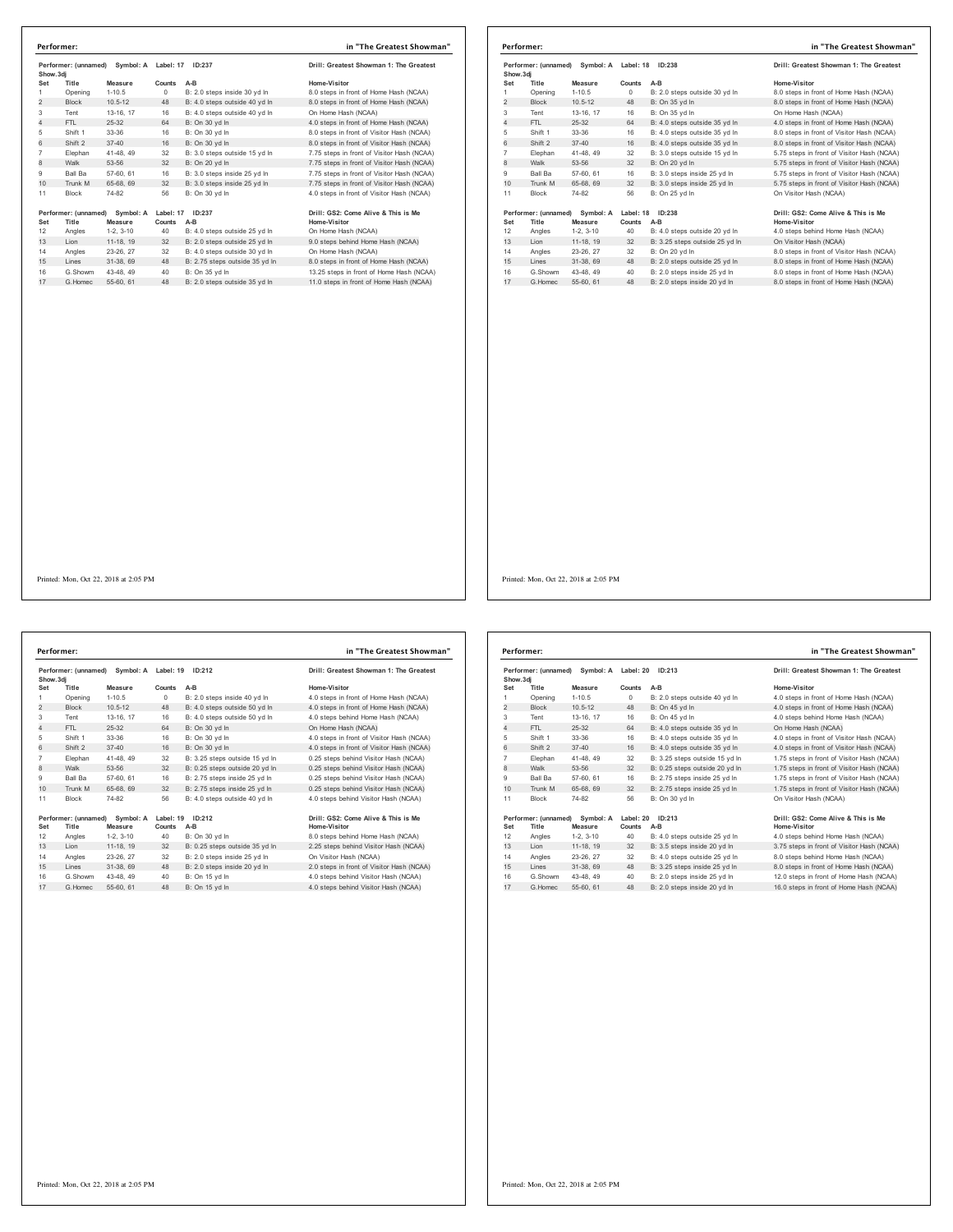| Performer: (unnamed)<br>Symbol: A<br>Show.3di |                               | Label: 17            | ID:237              | Drill: Greatest Showman 1: The Greatest |                                                     |
|-----------------------------------------------|-------------------------------|----------------------|---------------------|-----------------------------------------|-----------------------------------------------------|
| Set                                           | Title                         | Measure              | Counts              | $A-B$                                   | Home-Visitor                                        |
| 1                                             | Opening                       | $1 - 10.5$           | $\Omega$            | B: 2.0 steps inside 30 yd In            | 8.0 steps in front of Home Hash (NCAA)              |
| $\overline{2}$                                | <b>Block</b>                  | $10.5 - 12$          | 48                  | B: 4.0 steps outside 40 vd In           | 8.0 steps in front of Home Hash (NCAA)              |
| 3                                             | Tent                          | 13-16, 17            | 16                  | B: 4.0 steps outside 40 yd In           | On Home Hash (NCAA)                                 |
| 4                                             | FTL                           | $25 - 32$            | 64                  | B: On 30 vd In                          | 4.0 steps in front of Home Hash (NCAA)              |
| 5                                             | Shift 1                       | 33-36                | 16                  | B: On 30 yd In                          | 8.0 steps in front of Visitor Hash (NCAA)           |
| 6                                             | Shift 2                       | $37 - 40$            | 16                  | B: On 30 vd In                          | 8.0 steps in front of Visitor Hash (NCAA)           |
| $\overline{7}$                                | Elephan                       | 41-48, 49            | 32                  | B: 3.0 steps outside 15 yd In           | 7.75 steps in front of Visitor Hash (NCAA)          |
| 8                                             | Walk                          | 53-56                | 32                  | B: On 20 vd In                          | 7.75 steps in front of Visitor Hash (NCAA)          |
| 9                                             | Ball Ba                       | 57-60, 61            | 16                  | B: 3.0 steps inside 25 yd In            | 7.75 steps in front of Visitor Hash (NCAA)          |
| 10                                            | Trunk M                       | 65-68, 69            | 32                  | B: 3.0 steps inside 25 vd In            | 7.75 steps in front of Visitor Hash (NCAA)          |
| 11                                            | <b>Block</b>                  | 74-82                | 56                  | B: On 30 yd In                          | 4.0 steps in front of Visitor Hash (NCAA)           |
| Set                                           | Performer: (unnamed)<br>Title | Symbol: A<br>Measure | Label: 17<br>Counts | ID:237<br>A-B                           | Drill: GS2: Come Alive & This is Me<br>Home-Visitor |
| 12                                            | Angles                        | $1-2.3-10$           | 40                  | B: 4.0 steps outside 25 yd In           | On Home Hash (NCAA)                                 |
| 13                                            | Lion                          | 11-18, 19            | 32                  | B: 2.0 steps outside 25 yd In           | 9.0 steps behind Home Hash (NCAA)                   |
| 14                                            | Angles                        | 23-26, 27            | 32                  | B: 4.0 steps outside 30 vd In           | On Home Hash (NCAA)                                 |
| 15                                            | Lines                         | 31-38, 69            | 48                  | B: 2.75 steps outside 35 yd In          | 8.0 steps in front of Home Hash (NCAA)              |
|                                               | G.Showm                       | 43-48, 49            | 40                  | B: On 35 yd In                          | 13.25 steps in front of Home Hash (NCAA)            |
| 16                                            |                               | 55-60, 61            | 48                  | B: 2.0 steps outside 35 yd In           | 11.0 steps in front of Home Hash (NCAA)             |

| Performer: |                               |                            |                     |                                | in "The Greatest Showman"                           |
|------------|-------------------------------|----------------------------|---------------------|--------------------------------|-----------------------------------------------------|
| Show, 3di  | Performer: (unnamed)          | Symbol: A Label: 18 ID:238 |                     |                                | Drill: Greatest Showman 1: The Greatest             |
| Set        | Title                         | Measure                    | Counts              | $A-B$                          | Home-Visitor                                        |
|            | Opening                       | $1 - 10.5$                 | $\circ$             | B: 2.0 steps outside 30 yd In  | 8.0 steps in front of Home Hash (NCAA)              |
| 2          | <b>Block</b>                  | $10.5 - 12$                | 48                  | B: On 35 yd In                 | 8.0 steps in front of Home Hash (NCAA)              |
| 3          | Tent                          | 13-16, 17                  | 16                  | B: On 35 yd In                 | On Home Hash (NCAA)                                 |
| 4          | FTI.                          | 25-32                      | 64                  | B: 4.0 steps outside 35 yd In  | 4.0 steps in front of Home Hash (NCAA)              |
| 5          | Shift 1                       | 33-36                      | 16                  | B: 4.0 steps outside 35 vd In  | 8.0 steps in front of Visitor Hash (NCAA)           |
| 6          | Shift 2                       | $37 - 40$                  | 16                  | B: 4.0 steps outside 35 yd In  | 8.0 steps in front of Visitor Hash (NCAA)           |
| 7          | Elephan                       | 41-48, 49                  | 32                  | B: 3.0 steps outside 15 yd In  | 5.75 steps in front of Visitor Hash (NCAA)          |
| 8          | Walk                          | 53-56                      | 32                  | B: On 20 yd In                 | 5.75 steps in front of Visitor Hash (NCAA)          |
| 9          | <b>Ball Ba</b>                | 57-60, 61                  | 16                  | B: 3.0 steps inside 25 vd In   | 5.75 steps in front of Visitor Hash (NCAA)          |
| 10         | Trunk M                       | 65-68, 69                  | 32                  | B: 3.0 steps inside 25 yd In   | 5.75 steps in front of Visitor Hash (NCAA)          |
| 11         | Block                         | 74-82                      | 56                  | B: On 25 yd In                 | On Visitor Hash (NCAA)                              |
| Set        | Performer: (unnamed)<br>Title | Symbol: A<br>Measure       | Label: 18<br>Counts | ID:238<br>$A-B$                | Drill: GS2: Come Alive & This is Me<br>Home-Visitor |
| 12         | Angles                        | $1-2, 3-10$                | 40                  | B: 4.0 steps outside 20 yd In  | 4.0 steps behind Home Hash (NCAA)                   |
| 13         | Lion                          | 11-18, 19                  | 32                  | B: 3.25 steps outside 25 yd In | On Visitor Hash (NCAA)                              |
| 14         | Angles                        | 23-26, 27                  | 32                  | B: On 20 vd In                 | 8.0 steps in front of Visitor Hash (NCAA)           |
| 15         | Lines                         | 31-38, 69                  | 48                  | B: 2.0 steps outside 25 yd In  | 8.0 steps in front of Home Hash (NCAA)              |
| 16         | G.Showm                       | 43-48, 49                  | 40                  | B: 2.0 steps inside 25 vd In   | 8.0 steps in front of Home Hash (NCAA)              |
| 17         | G Homec                       | 55-60, 61                  | 48                  | B: 2.0 steps inside 20 yd In   | 8.0 steps in front of Home Hash (NCAA)              |

Printed: Mon, Oct 22, 2018 at 2:05 PM

**Performer: (unnamed) Symbol: A Label: 19 ID:212 Drill: Greatest Showman 1: The Greatest Pertorment, Measure Show.3dj**<br>**Set Title Measure**<br> **Chaning 1-10.5 Setarch Counts A-B**<br>**Counts A-B B**: 2.0 steps inside 40 yd In **A-B 4.0** steps in front of Home Hash (NCAA) 1 Opening 1-10.5 0 B: 2.0 steps inside 40 yd In 4.0 steps in front of Home Hash (NCAA)<br>2 Block 10.5-12 48 B: 4.0 steps outside 50 yd In 4.0 steps in front of Home Hash (NCAA) 3 Tent 13-16, 17 16 B: 4.0 steps outside 50 yd in 4.0 steps behind Home Hash (NCAA)<br>4 FTL 25-32 64 B: On 30 yd ln 4.0 steps behind Home Hash (NCAA) FTL 25-32 64 B: On 30 yd ln 4.0 steps between the main (NCAA)<br>FTL 25-32 64 B: On 30 yd ln On Home Hash (NCAA)<br>Shift 33-36 16 B: On 30 yd ln 4.0 steps in front of Visitor Hash (NCAA)<br>Shift 2 37-40 16 B: On 30 yd ln 4.0 step Shift 1 33-36 16 B: On 30 yd ln 4.0 steps in front of Visitor Hash (NCAA) 6 Shift 2 37-40 16 B: On 30 yd ln 4.0 steps in front of Visitor Hash (NCAA) Elephan 41-48, 49 32 B: 3.25 steps outside 15 yd ln 0.25 steps behind Visitor Hash (NCAA) 8 Walk 53-56 32 B: 0.25 steps outside 20 yd ln 0.25 steps behind Visitor Hash (NCAA) Ball Ba 57-60, 61 16 B: 2.75 steps inside 25 yd ln 0.25 steps behind Visitor Hash (NCAA) 10 Trunk M 65-68, 69 32 B: 2.75 steps inside 25 yd ln 0.25 steps behind Visitor Hash (NCAA) Block 74-82 56 B: 4.0 steps outside 40 yd ln 4.0 steps behind Visitor Hash (NCAA) **Performer: (unnamed) Symbol: A Label: 19 ID:212 Drill: GS2: Come Alive & This is Me Set Title Measure Counts A-B Home-Visitor** Angles 1-2, 3-10 40 B: On 30 yd ln 8.0 steps behind Home Hash (NCAA) 13 Lion 11-18, 19 32 B: 0.25 steps outside 35 yd ln 2.25 steps behind Visitor Hash (NCAA) Angles 23-26, 27 32 B: 2.0 steps inside 25 yd ln On Visitor Hash (NCAA) 15 Lines 31-38, 69 48 B: 2.0 steps inside 20 yd ln 2.0 steps in front of Visitor Hash (NCAA) 16 G.Showm 43-48, 49 40 B: On 15 yd In 4.0 steps behind Visitor Hash (NCAA)<br>17 G.Homec 55-60, 61 48 B: On 15 yd In 4.0 steps behind Visitor Hash (NCAA) **Performer: in "The Greatest Showman"**

|                | Performer:                    |                      |           |                                | in "The Greatest Showman"                           |
|----------------|-------------------------------|----------------------|-----------|--------------------------------|-----------------------------------------------------|
| Show, 3di      | Performer: (unnamed)          | Symbol: A            | Label: 20 | ID: 213                        | Drill: Greatest Showman 1: The Greatest             |
| Set            | Title                         | Measure              | Counts    | $A-B$                          | Home-Visitor                                        |
| 1              | Opening                       | $1 - 10.5$           | $\Omega$  | B: 2.0 steps outside 40 yd In  | 4.0 steps in front of Home Hash (NCAA)              |
| 2              | <b>Block</b>                  | $10.5 - 12$          | 48        | B: On 45 yd In                 | 4.0 steps in front of Home Hash (NCAA)              |
| 3              | Tent                          | 13-16, 17            | 16        | B: On 45 vd In                 | 4.0 steps behind Home Hash (NCAA)                   |
| 4              | FTL                           | $25 - 32$            | 64        | B: 4.0 steps outside 35 yd In  | On Home Hash (NCAA)                                 |
| 5              | Shift 1                       | 33-36                | 16        | B: 4.0 steps outside 35 yd In  | 4.0 steps in front of Visitor Hash (NCAA)           |
| 6              | Shift 2                       | $37 - 40$            | 16        | B: 4.0 steps outside 35 yd In  | 4.0 steps in front of Visitor Hash (NCAA)           |
| $\overline{7}$ | Elephan                       | 41-48, 49            | 32        | B: 3.25 steps outside 15 yd In | 1.75 steps in front of Visitor Hash (NCAA)          |
| 8              | Walk                          | 53-56                | 32        | B: 0.25 steps outside 20 vd In | 1.75 steps in front of Visitor Hash (NCAA)          |
| 9              | <b>Ball Ba</b>                | 57-60, 61            | 16        | B: 2.75 steps inside 25 vd In  | 1.75 steps in front of Visitor Hash (NCAA)          |
| 10             | Trunk M                       | 65-68, 69            | 32        | B: 2.75 steps inside 25 yd In  | 1.75 steps in front of Visitor Hash (NCAA)          |
| 11             | <b>Block</b>                  | 74-82                | 56        | B: On 30 vd In                 | On Visitor Hash (NCAA)                              |
| Set            | Performer: (unnamed)<br>Title | Symbol: A<br>Measure | Counts    | Label: 20 ID:213<br>$A-B$      | Drill: GS2: Come Alive & This is Me<br>Home-Visitor |
| 12             | Angles                        | $1-2.3-10$           | 40        | B: 4.0 steps outside 25 vd In  | 4.0 steps behind Home Hash (NCAA)                   |
| 13             | Lion                          | 11-18, 19            | 32        | B: 3.5 steps inside 20 yd In   | 3.75 steps in front of Visitor Hash (NCAA)          |
| 14             | Angles                        | 23-26, 27            | 32        | B: 4.0 steps outside 25 vd In  | 8.0 steps behind Home Hash (NCAA)                   |
| 15             | Lines                         | 31-38, 69            | 48        | B: 3.25 steps inside 25 yd In  | 8.0 steps in front of Home Hash (NCAA)              |
| 16             | G.Showm                       | 43-48, 49            | 40        | B: 2.0 steps inside 25 vd In   | 12.0 steps in front of Home Hash (NCAA)             |
| 17             | G. Homec                      | 55-60, 61            | 48        | B: 2.0 steps inside 20 yd In   | 16.0 steps in front of Home Hash (NCAA)             |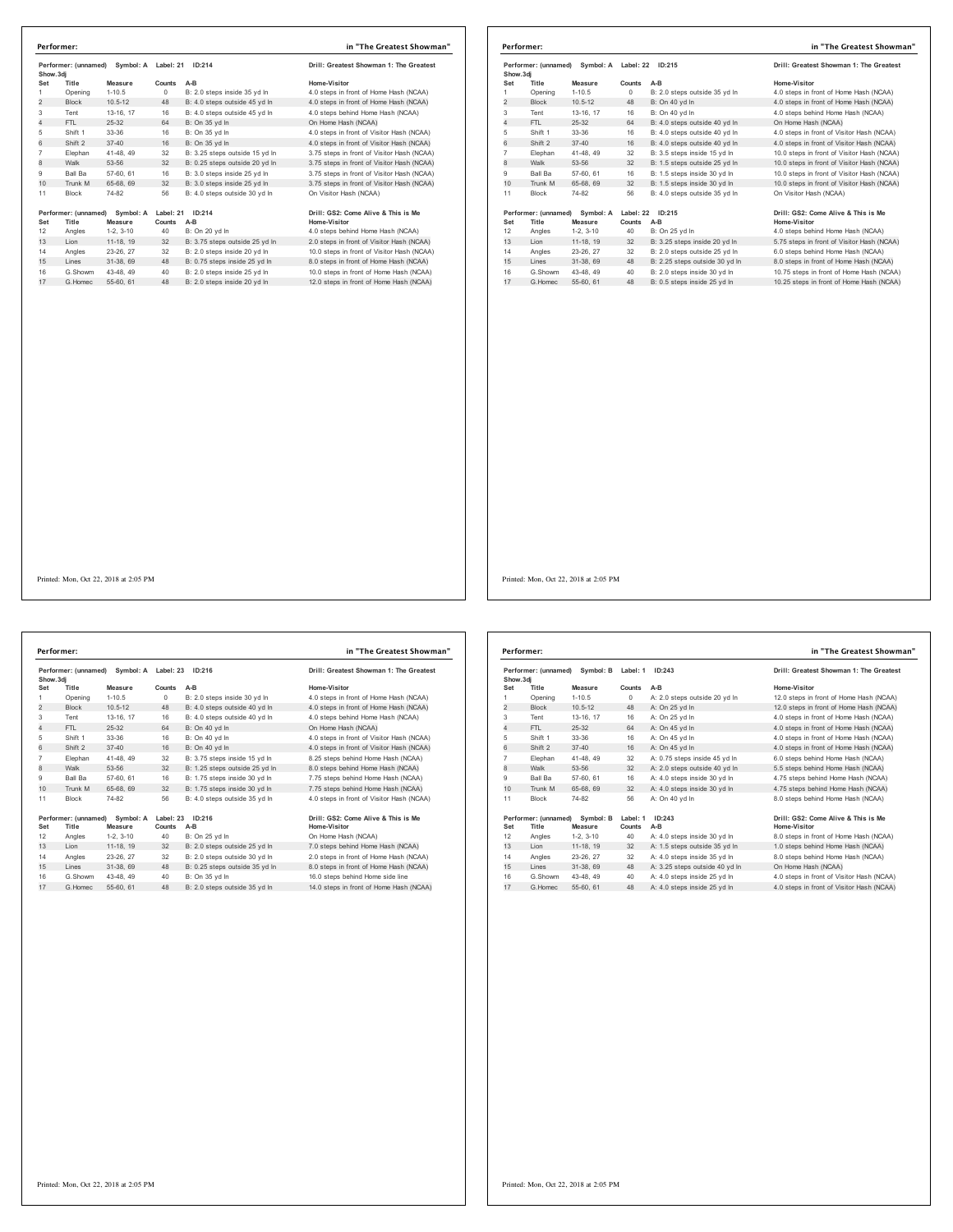| Show.3dj<br>Set<br>Title<br>$\mathbf{1}$<br>Opening |             |        | Performer: (unnamed) Symbol: A Label: 21 ID:214 | Drill: Greatest Showman 1: The Greatest    | Show.3dj       | Performer: (unnamed) | Symbol: A Label: 22 |           |   |
|-----------------------------------------------------|-------------|--------|-------------------------------------------------|--------------------------------------------|----------------|----------------------|---------------------|-----------|---|
|                                                     | Measure     | Counts | A-B                                             | Home-Visitor                               | Set            | Title                | Measure             | Counts A  |   |
|                                                     | $1 - 10.5$  | 0      | B: 2.0 steps inside 35 vd In                    | 4.0 steps in front of Home Hash (NCAA)     | $\mathbf{1}$   | Opening              | $1 - 10.5$          | 0         | R |
| $\overline{2}$<br>Block                             | $10.5 - 12$ | 48     | B: 4.0 steps outside 45 yd In                   | 4.0 steps in front of Home Hash (NCAA)     | $\overline{2}$ | Block                | $10.5 - 12$         | 48        | B |
| 3<br>Tent                                           | 13-16, 17   | 16     | B: 4.0 steps outside 45 yd In                   | 4.0 steps behind Home Hash (NCAA)          | 3              | Tent                 | 13-16, 17           | 16        | в |
| $\overline{4}$<br>FTL                               | 25-32       | 64     | B: On 35 yd In                                  | On Home Hash (NCAA)                        | $\overline{4}$ | FTL.                 | 25-32               | 64        | B |
| 5<br>Shift 1                                        | 33-36       | 16     | B: On 35 yd In                                  | 4.0 steps in front of Visitor Hash (NCAA)  | 5              | Shift 1              | 33-36               | 16        | B |
| 6<br>Shift 2                                        | $37 - 40$   | 16     | B: On 35 yd In                                  | 4.0 steps in front of Visitor Hash (NCAA)  | 6              | Shift 2              | $37 - 40$           | 16        | B |
| $\overline{7}$<br>Elephan                           | 41-48, 49   | 32     | B: 3.25 steps outside 15 vd In                  | 3.75 steps in front of Visitor Hash (NCAA) | $\overline{7}$ | Elephan              | 41-48, 49           | 32        | В |
| 8<br>Walk                                           | 53-56       | 32     | B: 0.25 steps outside 20 yd In                  | 3.75 steps in front of Visitor Hash (NCAA) | $\mathbf{8}$   | Walk                 | 53-56               | 32        | B |
| 9<br>Ball Ba                                        | 57-60, 61   | 16     | B: 3.0 steps inside 25 yd In                    | 3.75 steps in front of Visitor Hash (NCAA) | 9              | Ball Ba              | 57-60, 61           | 16        | B |
| 10<br>Trunk M                                       | 65-68, 69   | 32     | B: 3.0 steps inside 25 yd In                    | 3.75 steps in front of Visitor Hash (NCAA) | 10             | Trunk M              | 65-68, 69           | 32        | B |
| 11<br>Block                                         | 74-82       | 56     | B: 4.0 steps outside 30 yd In                   | On Visitor Hash (NCAA)                     | 11             | Block                | 74-82               | 56        | B |
| Performer: (unnamed)                                | Symbol: A   |        | Label: 21 ID:214                                | Drill: GS2: Come Alive & This is Me        |                | Performer: (unnamed) | Symbol: A           | Label: 22 |   |
| Title<br>Set                                        | Measure     | Counts | A-B                                             | Home-Visitor                               | Set            | Title                | Measure             | Counts A  |   |
| 12<br>Angles                                        | $1-2, 3-10$ | 40     | B: On 20 yd In                                  | 4.0 steps behind Home Hash (NCAA)          | 12             | Angles               | $1-2, 3-10$         | 40        | Β |
| 13<br>Lion                                          | 11-18, 19   | 32     | B: 3.75 steps outside 25 yd In                  | 2.0 steps in front of Visitor Hash (NCAA)  | 13             | Lion                 | 11-18, 19           | 32        | B |
| 14<br>Angles                                        | 23-26, 27   | 32     | B: 2.0 steps inside 20 yd In                    | 10.0 steps in front of Visitor Hash (NCAA) | 14             | Angles               | 23-26, 27           | 32        | B |
| 15<br>Lines                                         | 31-38, 69   | 48     | B: 0.75 steps inside 25 yd In                   | 8.0 steps in front of Home Hash (NCAA)     | 15             | Lines                | 31-38, 69           | 48        | B |
|                                                     |             |        |                                                 |                                            |                |                      |                     |           | В |
| G.Homec                                             | 55-60, 61   | 48     | B: 2.0 steps inside 20 yd In                    | 12.0 steps in front of Home Hash (NCAA)    | 17             | G. Homec             | 55-60, 61           | 48        | B |
| 16<br>G.Showm<br>17                                 | 43-48, 49   | 40     | B: 2.0 steps inside 25 yd In                    | 10.0 steps in front of Home Hash (NCAA)    | 16             | G.Showm              | 43-48, 49           | 40        |   |

|           | Performer:           |                                |           |                                | in "The Greatest Showman"                  |
|-----------|----------------------|--------------------------------|-----------|--------------------------------|--------------------------------------------|
| Show, 3di | Performer: (unnamed) | Symbol: A                      | Label: 22 | ID:215                         | Drill: Greatest Showman 1: The Greatest    |
| Set       | Title                | Measure                        | Counts    | $A-B$                          | Home-Visitor                               |
| 1.        | Opening              | $1 - 10.5$                     | $\Omega$  | B: 2.0 steps outside 35 vd In  | 4.0 steps in front of Home Hash (NCAA)     |
| 2         | <b>Block</b>         | $10.5 - 12$                    | 48        | B: On 40 yd In                 | 4.0 steps in front of Home Hash (NCAA)     |
| 3         | Tent                 | 13-16, 17                      | 16        | B: On 40 vd In                 | 4.0 steps behind Home Hash (NCAA)          |
| 4         | FTI.                 | 25-32                          | 64        | B: 4.0 steps outside 40 vd In  | On Home Hash (NCAA)                        |
| 5         | Shift 1              | 33-36                          | 16        | B: 4.0 steps outside 40 yd In  | 4.0 steps in front of Visitor Hash (NCAA)  |
| 6         | Shift 2              | $37 - 40$                      | 16        | B: 4.0 steps outside 40 yd In  | 4.0 steps in front of Visitor Hash (NCAA)  |
| 7         | Elephan              | 41-48, 49                      | 32        | B: 3.5 steps inside 15 yd In   | 10.0 steps in front of Visitor Hash (NCAA) |
| 8         | Walk                 | 53-56                          | 32        | B: 1.5 steps outside 25 yd In  | 10.0 steps in front of Visitor Hash (NCAA) |
| 9         | <b>Ball Ba</b>       | 57-60, 61                      | 16        | B: 1.5 steps inside 30 vd In   | 10.0 steps in front of Visitor Hash (NCAA) |
| 10        | Trunk M              | 65-68, 69                      | 32        | B: 1.5 steps inside 30 yd In   | 10.0 steps in front of Visitor Hash (NCAA) |
| 11        | <b>Block</b>         | 74-82                          | 56        | B: 4.0 steps outside 35 vd In  | On Visitor Hash (NCAA)                     |
|           |                      | Performer: (unnamed) Symbol: A | Label: 22 | ID:215                         | Drill: GS2: Come Alive & This is Me        |
| Set       | Title                | Measure                        | Counts    | A-B                            | <b>Home-Visitor</b>                        |
| 12        | Angles               | $1-2.3-10$                     | 40        | B: On 25 yd In                 | 4.0 steps behind Home Hash (NCAA)          |
| 13        | Lion                 | 11-18, 19                      | 32        | B: 3.25 steps inside 20 yd In  | 5.75 steps in front of Visitor Hash (NCAA) |
| 14        | Angles               | 23-26, 27                      | 32        | B: 2.0 steps outside 25 vd In  | 6.0 steps behind Home Hash (NCAA)          |
| 15        | Lines                | 31-38, 69                      | 48        | B: 2.25 steps outside 30 yd In | 8.0 steps in front of Home Hash (NCAA)     |
| 16        | G.Showm              | 43-48, 49                      | 40        | B: 2.0 steps inside 30 yd In   | 10.75 steps in front of Home Hash (NCAA)   |
| 17        | G Homec              | 55-60, 61                      | 48        | B: 0.5 steps inside 25 vd In   | 10.25 steps in front of Home Hash (NCAA)   |

Performer: (unnamed) Symbol: A Label: 23 ID:216<br>
Show.3dj<br>
Show.3dj<br>
1.0.5 Counts AB Mone Visitor Counts AB<br>
1.0.6-12 0 B: 2.0 steps inside 30 yd in 4.0 steps in front of Home Hash (NCAA)<br>
1.0.5 0 B: 4.0 steps outside 40 Shift 1 33-36 16 B: On 40 yd ln 4.0 steps in front of Visitor Hash (NCAA) 6 Shift 2 37-40 16 B: On 40 yd ln 4.0 steps in front of Visitor Hash (NCAA) Elephan 41-48, 49 32 B: 3.75 steps inside 15 yd ln 8.25 steps behind Home Hash (NCAA) 8 Walk 53-56 32 B: 1.25 steps outside 25 yd ln 8.0 steps behind Home Hash (NCAA) 9 Ball Ba 57-60, 61 16 B: 1.75 steps inside 30 yd ln 7.75 steps behind Home Hash (NCAA) 10 Barbar 10 3.1.15 steps inside 30 yd in<br>10 Trunk M 65-68, 69 32 B: 1.75 steps inside 30 yd ln 7. 11 Block 74-82 56 B: 4.0 steps outside 35 yd ln 4. Performer: (unnamed) Symbol: A Label: 23 ID:216<br>
Set Title Measure Counts A-B<br>
12 Angles 1-2, 3-10 40 B: On 25 yd in Home Visitor<br>
13 Lion 11-18, 19 32 B: 2.0 steps outside 25 yd in 7.0 steps behind Home Hash (NCAA)<br>
14 An G.Showm 43-48, 49 40 B: On 35 yd ln 16.0 steps behind Home side line 17 G.Homec 55-60, 61 48 B: 2.0 steps outside 35 yd ln 14.0 steps in front of Home Hash (NCAA) **Performer: in "The Greatest Showman"**

| <b>Irill: Greatest Showman 1: The Greatest</b> |
|------------------------------------------------|
| lome-Visitor                                   |
| .0 steps in front of Home Hash (NCAA)          |
| .0 steps in front of Home Hash (NCAA)          |
| .0 steps behind Home Hash (NCAA)               |
| In Home Hash (NCAA)                            |
| .0 steps in front of Visitor Hash (NCAA)       |
| .0 steps in front of Visitor Hash (NCAA)       |
| .25 steps behind Home Hash (NCAA)              |
| .0 steps behind Home Hash (NCAA)               |
| .75 steps behind Home Hash (NCAA)              |
| .75 steps behind Home Hash (NCAA)              |
| .0 steps in front of Visitor Hash (NCAA)       |
|                                                |
|                                                |

| Performer: (unnamed)<br>Symbol: B<br>Show, 3di |                               |                      | ID:243<br>Label: 1 |                                | Drill: Greatest Showman 1: The Greatest             |  |
|------------------------------------------------|-------------------------------|----------------------|--------------------|--------------------------------|-----------------------------------------------------|--|
| Set                                            | Title                         | Measure              | Counts             | $A-B$                          | Home-Visitor                                        |  |
| 1                                              | Opening                       | $1 - 10.5$           | $\circ$            | A: 2.0 steps outside 20 yd In  | 12.0 steps in front of Home Hash (NCAA)             |  |
| $\overline{2}$                                 | <b>Block</b>                  | $10.5 - 12$          | 48                 | A: On 25 yd In                 | 12.0 steps in front of Home Hash (NCAA)             |  |
| 3                                              | Tent                          | 13-16, 17            | 16                 | A: On 25 vd In                 | 4.0 steps in front of Home Hash (NCAA)              |  |
| $\overline{4}$                                 | FTL                           | $25 - 32$            | 64                 | A: On 45 yd In                 | 4.0 steps in front of Home Hash (NCAA)              |  |
| 5                                              | Shift 1                       | 33-36                | 16                 | A: On 45 yd In                 | 4.0 steps in front of Home Hash (NCAA)              |  |
| 6                                              | Shift 2                       | $37 - 40$            | 16                 | A: On 45 vd In                 | 4.0 steps in front of Home Hash (NCAA)              |  |
| $\overline{7}$                                 | Elephan                       | 41-48, 49            | 32                 | A: 0.75 steps inside 45 yd In  | 6.0 steps behind Home Hash (NCAA)                   |  |
| 8                                              | Walk                          | 53-56                | 32                 | A: 2.0 steps outside 40 yd In  | 5.5 steps behind Home Hash (NCAA)                   |  |
| 9                                              | <b>Ball Ba</b>                | 57-60, 61            | 16                 | A: 4.0 steps inside 30 vd In   | 4.75 steps behind Home Hash (NCAA)                  |  |
| 10                                             | Trunk M                       | 65-68, 69            | 32                 | A: 4.0 steps inside 30 yd In   | 4.75 steps behind Home Hash (NCAA)                  |  |
| 11                                             | <b>Block</b>                  | 74-82                | 56                 | A: On 40 vd In                 | 8.0 steps behind Home Hash (NCAA)                   |  |
| Set                                            | Performer: (unnamed)<br>Title | Symbol: B<br>Measure | Label: 1<br>Counts | ID:243<br>$A-B$                | Drill: GS2: Come Alive & This is Me<br>Home-Visitor |  |
| 12                                             |                               | $1-2.3-10$           | 40                 | A: 4.0 steps inside 30 yd In   | 8.0 steps in front of Home Hash (NCAA)              |  |
| 13                                             | Angles<br>Lion                | 11-18. 19            | 32                 | A: 1.5 steps outside 35 yd In  | 1.0 steps behind Home Hash (NCAA)                   |  |
|                                                |                               |                      |                    |                                |                                                     |  |
| 14<br>15                                       | Angles                        | 23-26, 27            | 32                 | A: 4.0 steps inside 35 vd In   | 8.0 steps behind Home Hash (NCAA)                   |  |
|                                                | Lines                         | 31-38, 69            | 48                 | A: 3.25 steps outside 40 yd In | On Home Hash (NCAA)                                 |  |
| 16                                             | G Showm                       | 43-48, 49            | 40                 | A: 4.0 steps inside 25 vd In   | 4.0 steps in front of Visitor Hash (NCAA)           |  |
| 17                                             | G. Homec                      | 55-60, 61            | 48                 | A: 4.0 steps inside 25 vd In   | 4.0 steps in front of Visitor Hash (NCAA)           |  |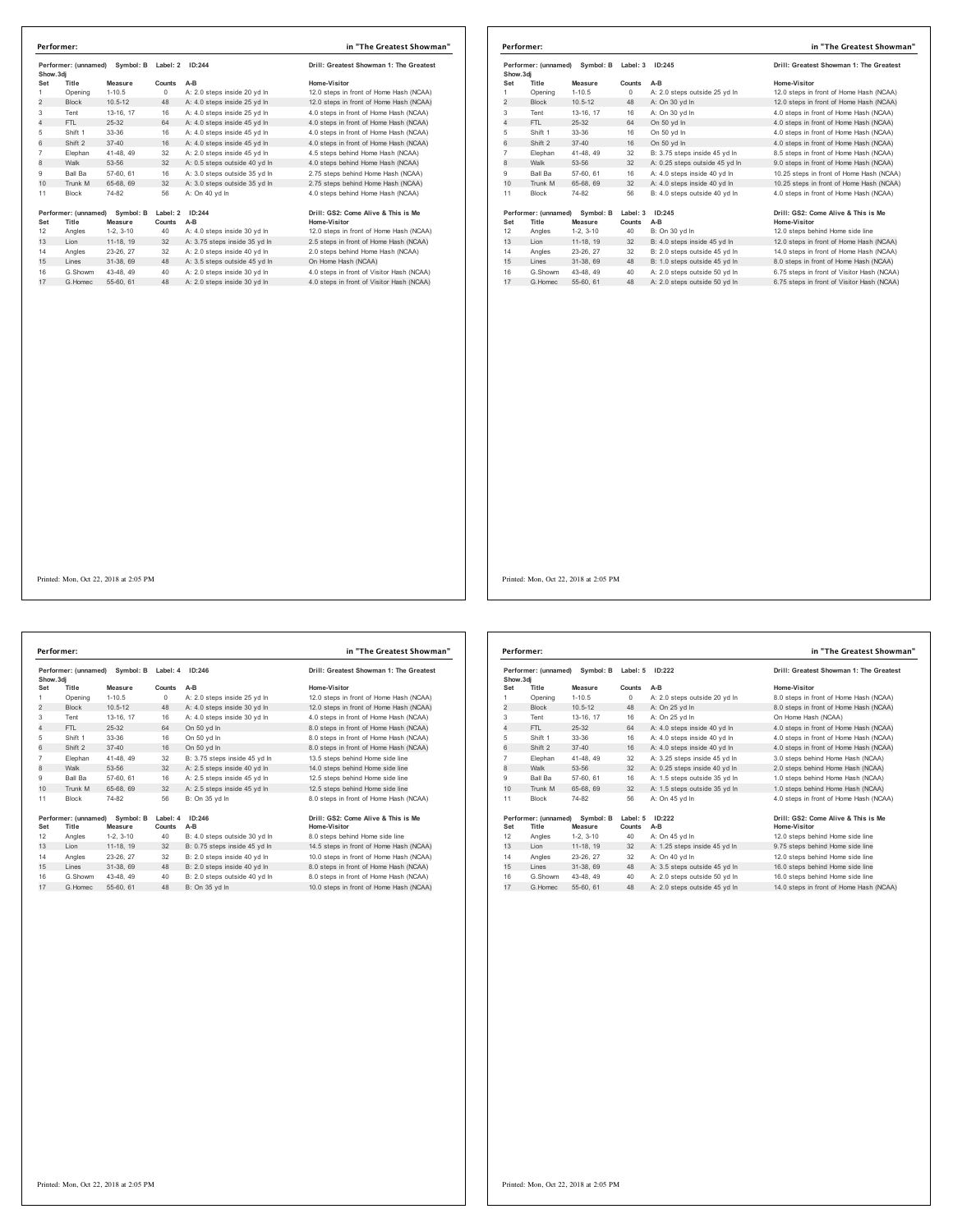| Symbol: B<br>Performer: (unnamed)<br>Show.3di |                      | Label: 2<br>ID:244 |          | Drill: Greatest Showman 1: The Greatest |                                           |
|-----------------------------------------------|----------------------|--------------------|----------|-----------------------------------------|-------------------------------------------|
| Set                                           | Title                | Measure            | Counts   | $A-B$                                   | Home-Visitor                              |
| 1                                             | Opening              | $1-10.5$           | 0        | A: 2.0 steps inside 20 vd In            | 12.0 steps in front of Home Hash (NCAA)   |
| $\overline{2}$                                | <b>Block</b>         | $10.5 - 12$        | 48       | A: 4.0 steps inside 25 yd In            | 12.0 steps in front of Home Hash (NCAA)   |
| 3                                             | Tent                 | 13-16, 17          | 16       | A: 4.0 steps inside 25 yd In            | 4.0 steps in front of Home Hash (NCAA)    |
| $\overline{4}$                                | FTI.                 | 25-32              | 64       | A: 4.0 steps inside 45 yd In            | 4.0 steps in front of Home Hash (NCAA)    |
| 5                                             | Shift 1              | 33-36              | 16       | A: 4.0 steps inside 45 yd In            | 4.0 steps in front of Home Hash (NCAA)    |
| 6                                             | Shift 2              | $37 - 40$          | 16       | A: 4.0 steps inside 45 vd In            | 4.0 steps in front of Home Hash (NCAA)    |
| $\overline{7}$                                | Elephan              | 41-48, 49          | 32       | A: 2.0 steps inside 45 yd In            | 4.5 steps behind Home Hash (NCAA)         |
| 8                                             | Walk                 | 53-56              | 32       | A: 0.5 steps outside 40 yd In           | 4.0 steps behind Home Hash (NCAA)         |
| 9                                             | Ball Ba              | 57-60, 61          | 16       | A: 3.0 steps outside 35 vd In           | 2.75 steps behind Home Hash (NCAA)        |
| 10                                            | Trunk M              | 65-68, 69          | 32       | A: 3.0 steps outside 35 yd In           | 2.75 steps behind Home Hash (NCAA)        |
| 11                                            | <b>Block</b>         | 74-82              | 56       | A: On 40 vd In                          | 4.0 steps behind Home Hash (NCAA)         |
|                                               | Performer: (unnamed) | Symbol: B          | Label: 2 | ID:244                                  | Drill: GS2: Come Alive & This is Me       |
| Set                                           | Title                | Measure            | Counts   | $A-B$                                   | Home-Visitor                              |
| 12                                            | Angles               | $1-2.3-10$         | 40       | A: 4.0 steps inside 30 yd In            | 12.0 steps in front of Home Hash (NCAA)   |
| 13                                            | I ion                | 11-18. 19          | 32       | A: 3.75 steps inside 35 yd In           | 2.5 steps in front of Home Hash (NCAA)    |
| 14                                            | Angles               | 23-26.27           | 32       | A: 2.0 steps inside 40 yd In            | 2.0 steps behind Home Hash (NCAA)         |
| 15                                            | Lines                | 31-38.69           | 48       | A: 3.5 steps outside 45 yd In           | On Home Hash (NCAA)                       |
| 16                                            | G Showm              | 43-48.49           | 40       | A: 2.0 steps inside 30 yd In            | 4.0 steps in front of Visitor Hash (NCAA) |
| 17                                            | G Homec              | 55-60, 61          | 48       | A: 2.0 steps inside 30 yd In            | 4.0 steps in front of Visitor Hash (NCAA) |

|                                                | Performer:           |             |          |                                         | in "The Greatest Showman"                  |
|------------------------------------------------|----------------------|-------------|----------|-----------------------------------------|--------------------------------------------|
| Performer: (unnamed)<br>Symbol: B<br>Show, 3di |                      | Label: 3    | ID:245   | Drill: Greatest Showman 1: The Greatest |                                            |
| Set                                            | Title                | Measure     | Counts   | $A-B$                                   | Home-Visitor                               |
|                                                | Opening              | $1 - 10.5$  | $\Omega$ | A: 2.0 steps outside 25 vd In           | 12.0 steps in front of Home Hash (NCAA)    |
| 2                                              | <b>Block</b>         | $10.5 - 12$ | 48       | A: On 30 yd In                          | 12.0 steps in front of Home Hash (NCAA)    |
| 3                                              | Tent                 | 13-16, 17   | 16       | A: On 30 yd In                          | 4.0 steps in front of Home Hash (NCAA)     |
| 4                                              | FTI.                 | 25-32       | 64       | On 50 vd In                             | 4.0 steps in front of Home Hash (NCAA)     |
| 5                                              | Shift 1              | 33-36       | 16       | On 50 yd In                             | 4.0 steps in front of Home Hash (NCAA)     |
| 6                                              | Shift 2              | $37 - 40$   | 16       | On 50 vd In                             | 4.0 steps in front of Home Hash (NCAA)     |
| $\overline{7}$                                 | Elephan              | 41-48, 49   | 32       | B: 3.75 steps inside 45 yd In           | 8.5 steps in front of Home Hash (NCAA)     |
| 8                                              | Walk                 | 53-56       | 32       | A: 0.25 steps outside 45 yd In          | 9.0 steps in front of Home Hash (NCAA)     |
| 9                                              | <b>Ball Ba</b>       | 57-60, 61   | 16       | A: 4.0 steps inside 40 vd In            | 10.25 steps in front of Home Hash (NCAA)   |
| 10                                             | Trunk M              | 65-68, 69   | 32       | A: 4.0 steps inside 40 yd In            | 10.25 steps in front of Home Hash (NCAA)   |
| 11                                             | <b>Block</b>         | 74-82       | 56       | B: 4.0 steps outside 40 vd In           | 4.0 steps in front of Home Hash (NCAA)     |
|                                                | Performer: (unnamed) | Symbol: B   | Label: 3 | ID:245                                  | Drill: GS2: Come Alive & This is Me        |
| Set                                            | Title                | Measure     | Counts   | A-B                                     | <b>Home-Visitor</b>                        |
| 12                                             | Angles               | $1-2.3-10$  | 40       | B: On 30 vd In                          | 12.0 steps behind Home side line           |
| 13                                             | Lion                 | 11-18, 19   | 32       | B: 4.0 steps inside 45 yd In            | 12.0 steps in front of Home Hash (NCAA)    |
| 14                                             | Angles               | 23-26, 27   | 32       | B: 2.0 steps outside 45 vd In           | 14.0 steps in front of Home Hash (NCAA)    |
| 15                                             | Lines                | 31-38, 69   | 48       | B: 1.0 steps outside 45 yd In           | 8.0 steps in front of Home Hash (NCAA)     |
| 16                                             | G.Showm              | 43-48.49    | 40       | A: 2.0 steps outside 50 yd In           | 6.75 steps in front of Visitor Hash (NCAA) |
| 17                                             | G Homec              | 55-60, 61   | 48       | A: 2.0 steps outside 50 yd In           | 6.75 steps in front of Visitor Hash (NCAA) |

**Performer: (unnamed) Symbol: B Label: 4 ID:246 Drill: Greatest Showman 1: The Greatest Show.3dj Set Title Measure Counts A-B Home-Visitor** Opening 1-10.5 0 A: 2.0 steps inside 25 yd ln 12.0 steps in front of Home Hash (NCAA) 2 Block 10.5-12 48 A: 4.0 steps inside 30 yd ln 12.0 steps in front of Home Hash (NCAA) Tent 13-16, 17 16 A: 4.0 steps inside 30 yd ln 4.0 steps in front of Home Hash (NCAA) 4 FTL 25-32 64 On 50 yd ln 8.0 steps in front of Home Hash (NCAA) Shift 1 33-36 16 On 50 yd ln 8.0 steps in front of Home Hash (NCAA) 6 Shift 2 37-40 16 On 50 yd ln 8.0 steps in front of Home Hash (NCAA) 7 Elephan 41-48, 49 32 B: 3.75 steps inside 45 yd In 13.5 steps behind Home side line<br>8 Walk 53-56 32 A: 2.5 steps inside 40 yd In 14.0 steps behind Home side line<br>9 Ball Ba 57-60, 61 16 A: 2.5 steps inside 45 yd In 12.5 s 10 Trunk M 65-68, 69 32 A: 2.5 steps inside 45 yd in 12.5 steps inside 45 yd ln 12.5 11 Block 74-82 56 B: On 35 yd ln 8.0 Performer: (unnamed) Symbol: B Label: 4 ID:246<br>Set Title Measure Counts A-B<br>12 Angles 1-2, 3-10 40 B: 4.0 steps outside 30 yd In 8.0 steps behind Home side line<br>12 Angles 1-2, 3-10 40 B: 4.0 steps inside 40 yd In 14.5 step 115 Lines 31-38, 69 48 B: 2.0 steps inside 40 yd ln<br>16 G. Showm 43-48, 49 40 B: 2.0 steps inside 40 yd ln<br>16 G. Showm 43-48, 49 40 B: 2.0 steps outside 40 yd ln<br>17 G. Homec 55-60, 61 48 B: On 35 yd ln 10.0 steps in front o G.Showm 43-48, 49 40 B: 2.0 steps outside 40 yd ln 8.0 steps in front of Home Hash (NCAA) 17 G.Homec 55-60, 61 48 B: On 35 yd ln 10.0 steps in front of Home Hash (NCAA) **Performer: in "The Greatest Showman"**

| ill: Greatest Showman 1: The Greatest |
|---------------------------------------|
| me-Visitor                            |
| 0 steps in front of Home Hash (NCAA)  |
| 0 steps in front of Home Hash (NCAA)  |
| steps in front of Home Hash (NCAA)    |
| steps in front of Home Hash (NCAA)    |
| steps in front of Home Hash (NCAA)    |
| steps in front of Home Hash (NCAA)    |
| 5 steps behind Home side line         |
| 0 steps behind Home side line         |
| 5 steps behind Home side line         |
| 5 steps behind Home side line         |
| steps in front of Home Hash (NCAA)    |

| Symbol: B<br>Performer: (unnamed)<br>Show, 3di |                      |             | Label: 5<br>ID:222 |                               | Drill: Greatest Showman 1: The Greatest |
|------------------------------------------------|----------------------|-------------|--------------------|-------------------------------|-----------------------------------------|
| Set                                            | Title                | Measure     | Counts             | $A-B$                         | Home-Visitor                            |
| 1                                              | Opening              | $1 - 10.5$  | $\circ$            | A: 2.0 steps outside 20 yd In | 8.0 steps in front of Home Hash (NCAA)  |
| 2                                              | <b>Block</b>         | $10.5 - 12$ | 48                 | A: On 25 yd In                | 8.0 steps in front of Home Hash (NCAA)  |
| 3                                              | Tent                 | 13-16, 17   | 16                 | A: On 25 vd In                | On Home Hash (NCAA)                     |
| $\overline{4}$                                 | FTL                  | $25 - 32$   | 64                 | A: 4.0 steps inside 40 vd ln  | 4.0 steps in front of Home Hash (NCAA)  |
| 5                                              | Shift 1              | 33-36       | 16                 | A: 4.0 steps inside 40 yd In  | 4.0 steps in front of Home Hash (NCAA)  |
| 6                                              | Shift 2              | $37 - 40$   | 16                 | A: 4.0 steps inside 40 vd ln  | 4.0 steps in front of Home Hash (NCAA)  |
| $\overline{7}$                                 | Elephan              | 41-48, 49   | 32                 | A: 3.25 steps inside 45 vd In | 3.0 steps behind Home Hash (NCAA)       |
| 8                                              | Walk                 | 53-56       | 32                 | A: 0.25 steps inside 40 yd In | 2.0 steps behind Home Hash (NCAA)       |
| 9                                              | <b>Ball Ba</b>       | 57-60, 61   | 16                 | A: 1.5 steps outside 35 yd In | 1.0 steps behind Home Hash (NCAA)       |
| 10                                             | Trunk M              | 65-68, 69   | 32                 | A: 1.5 steps outside 35 yd In | 1.0 steps behind Home Hash (NCAA)       |
| 11                                             | <b>Block</b>         | 74-82       | 56                 | A: On 45 vd In                | 4.0 steps in front of Home Hash (NCAA)  |
|                                                | Performer: (unnamed) | Symbol: B   | Label: 5           | ID:222                        | Drill: GS2: Come Alive & This is Me     |
| Set                                            | Title                | Measure     | Counts             | $A-B$                         | Home-Visitor                            |
| 12                                             | Angles               | $1-2.3-10$  | 40                 | A: On 45 vd In                | 12.0 steps behind Home side line        |
| 13                                             | Lion                 | 11-18, 19   | 32                 | A: 1.25 steps inside 45 yd In | 9.75 steps behind Home side line        |
| 14                                             | Angles               | 23-26.27    | 32                 | A: On 40 vd In                | 12.0 steps behind Home side line        |
| 15                                             | Lines                | 31-38, 69   | 48                 | A: 3.5 steps outside 45 yd In | 16.0 steps behind Home side line        |
| 16                                             | G.Showm              | 43-48.49    | 40                 | A: 2.0 steps outside 50 vd In | 16.0 steps behind Home side line        |
| 17                                             | G Homec              | 55-60, 61   | 48                 | A: 2.0 steps outside 45 yd In | 14.0 steps in front of Home Hash (NCAA) |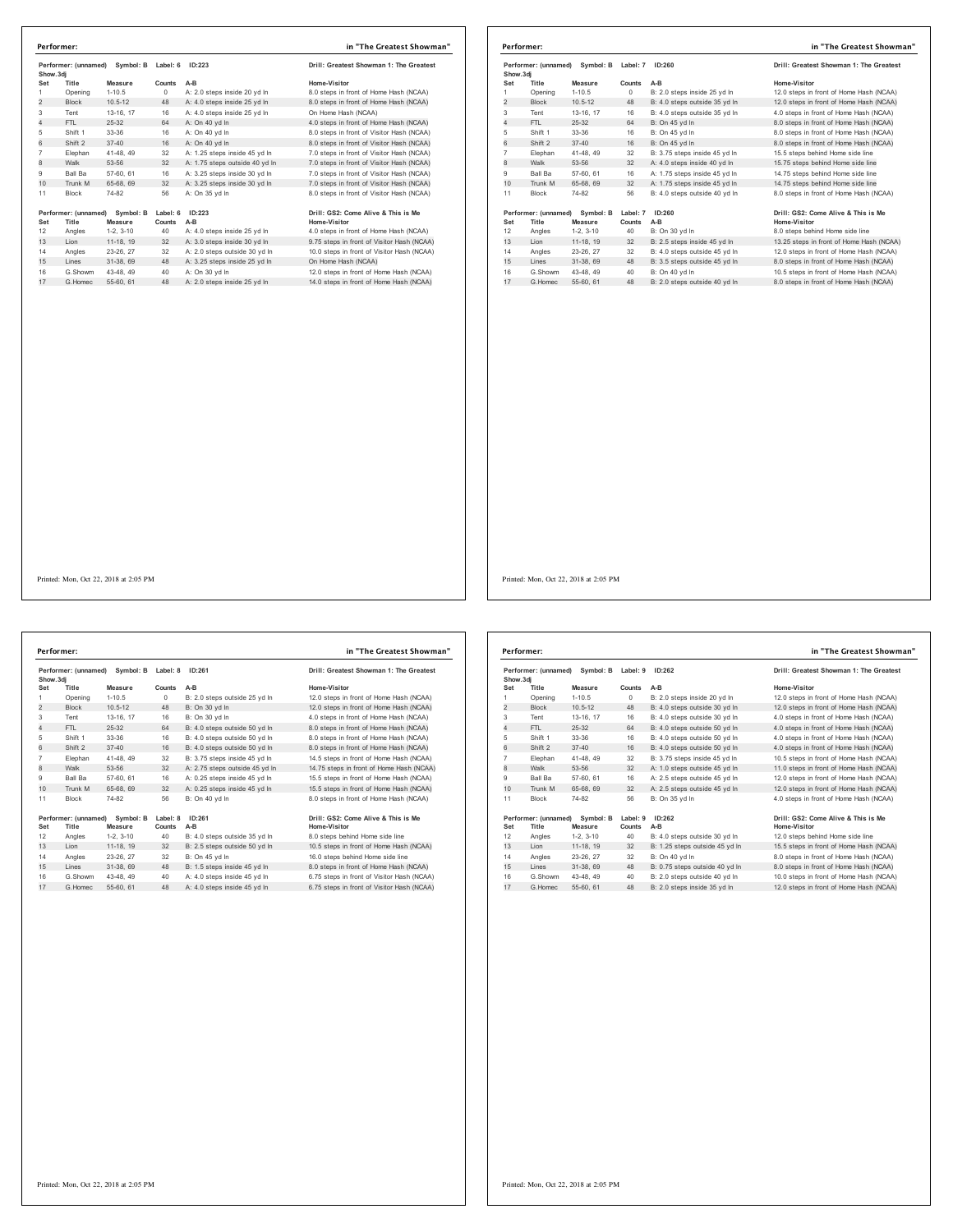| Performer: (unnamed)<br>Symbol: B<br>Show.3di |                               |                      | Label: 6           | ID:223                         | Drill: Greatest Showman 1: The Greatest             |
|-----------------------------------------------|-------------------------------|----------------------|--------------------|--------------------------------|-----------------------------------------------------|
| Set                                           | Title                         | Measure              | Counts             | $A-B$                          | Home-Visitor                                        |
| 1                                             | Opening                       | $1 - 10.5$           | $\Omega$           | A: 2.0 steps inside 20 vd In   | 8.0 steps in front of Home Hash (NCAA)              |
| $\overline{2}$                                | <b>Block</b>                  | $10.5 - 12$          | 48                 | A: 4.0 steps inside 25 yd In   | 8.0 steps in front of Home Hash (NCAA)              |
| 3                                             | Tent                          | 13-16, 17            | 16                 | A: 4.0 steps inside 25 yd In   | On Home Hash (NCAA)                                 |
| 4                                             | FTI.                          | 25-32                | 64                 | A: On 40 vd In                 | 4.0 steps in front of Home Hash (NCAA)              |
| 5                                             | Shift 1                       | $33-36$              | 16                 | A: On 40 yd In                 | 8.0 steps in front of Visitor Hash (NCAA)           |
| 6                                             | Shift 2                       | $37 - 40$            | 16                 | A: On 40 vd In                 | 8.0 steps in front of Visitor Hash (NCAA)           |
| $\overline{7}$                                | Elephan                       | 41-48, 49            | 32                 | A: 1.25 steps inside 45 yd In  | 7.0 steps in front of Visitor Hash (NCAA)           |
| 8                                             | Walk                          | 53-56                | 32                 | A: 1.75 steps outside 40 yd In | 7.0 steps in front of Visitor Hash (NCAA)           |
| 9                                             | Ball Ba                       | 57-60, 61            | 16                 | A: 3.25 steps inside 30 vd In  | 7.0 steps in front of Visitor Hash (NCAA)           |
| 10 <sup>1</sup>                               | Trunk M                       | 65-68, 69            | 32                 | A: 3.25 steps inside 30 yd In  | 7.0 steps in front of Visitor Hash (NCAA)           |
| 11                                            | <b>Block</b>                  | 74-82                | 56                 | A: On 35 vd In                 | 8.0 steps in front of Visitor Hash (NCAA)           |
| Set                                           | Performer: (unnamed)<br>Title | Symbol: B<br>Measure | Label: 6<br>Counts | ID:223<br>A-B                  | Drill: GS2: Come Alive & This is Me<br>Home-Visitor |
| 12                                            | Angles                        | $1-2.3-10$           | 40                 | A: 4.0 steps inside 25 yd In   | 4.0 steps in front of Home Hash (NCAA)              |
| 13                                            | Lion                          | 11-18, 19            | 32                 | A: 3.0 steps inside 30 yd In   | 9.75 steps in front of Visitor Hash (NCAA)          |
| 14                                            | Angles                        | 23-26.27             | 32                 | A: 2.0 steps outside 30 yd In  | 10.0 steps in front of Visitor Hash (NCAA)          |
| 15                                            | I ines                        | 31-38.69             | 48                 | A: 3.25 steps inside 25 yd In  | On Home Hash (NCAA)                                 |
| 16                                            | G.Showm                       | 43-48.49             | 40                 | A: On 30 vd In                 | 12.0 steps in front of Home Hash (NCAA)             |
| 17                                            | G. Homec                      | 55-60, 61            | 48                 | A: 2.0 steps inside 25 yd In   | 14.0 steps in front of Home Hash (NCAA)             |

|                | in "The Greatest Showman"<br>Performer: |                      |                    |                               |                                                            |  |  |  |
|----------------|-----------------------------------------|----------------------|--------------------|-------------------------------|------------------------------------------------------------|--|--|--|
| Show, 3di      | Performer: (unnamed)                    | Symbol: B            | Label: 7           | ID:260                        | Drill: Greatest Showman 1: The Greatest                    |  |  |  |
| Set            | Title                                   | Measure              | Counts             | $A-B$                         | Home-Visitor                                               |  |  |  |
|                | Opening                                 | $1 - 10.5$           | 0                  | B: 2.0 steps inside 25 vd In  | 12.0 steps in front of Home Hash (NCAA)                    |  |  |  |
| 2              | <b>Block</b>                            | $10.5 - 12$          | 48                 | B: 4.0 steps outside 35 yd In | 12.0 steps in front of Home Hash (NCAA)                    |  |  |  |
| 3              | Tent                                    | 13-16. 17            | 16                 | B: 4.0 steps outside 35 yd In | 4.0 steps in front of Home Hash (NCAA)                     |  |  |  |
| 4              | FTL                                     | $25-32$              | 64                 | B: On 45 vd In                | 8.0 steps in front of Home Hash (NCAA)                     |  |  |  |
| 5              | Shift 1                                 | 33-36                | 16                 | B: On 45 vd In                | 8.0 steps in front of Home Hash (NCAA)                     |  |  |  |
| 6              | Shift 2                                 | $37 - 40$            | 16                 | B: On 45 vd In                | 8.0 steps in front of Home Hash (NCAA)                     |  |  |  |
| $\overline{7}$ | Elephan                                 | 41-48, 49            | 32                 | B: 3.75 steps inside 45 yd In | 15.5 steps behind Home side line                           |  |  |  |
| 8              | Walk                                    | 53-56                | 32                 | A: 4.0 steps inside 40 yd In  | 15.75 steps behind Home side line                          |  |  |  |
| 9              | <b>Ball Ba</b>                          | 57-60, 61            | 16                 | A: 1.75 steps inside 45 vd In | 14.75 steps behind Home side line                          |  |  |  |
| 10             | Trunk M                                 | 65-68, 69            | 32                 | A: 1.75 steps inside 45 yd In | 14.75 steps behind Home side line                          |  |  |  |
| 11             | Block                                   | 74-82                | 56                 | B: 4.0 steps outside 40 yd In | 8.0 steps in front of Home Hash (NCAA)                     |  |  |  |
| Set            | Performer: (unnamed)<br>Title           | Symbol: B<br>Measure | Label: 7<br>Counts | ID:260<br>$A-B$               | Drill: GS2: Come Alive & This is Me<br><b>Home-Visitor</b> |  |  |  |
| 12             | Angles                                  | $1-2, 3-10$          | 40                 | B: On 30 yd In                | 8.0 steps behind Home side line                            |  |  |  |
| 13             | Lion                                    | 11-18, 19            | 32                 | B: 2.5 steps inside 45 yd In  | 13.25 steps in front of Home Hash (NCAA)                   |  |  |  |
| 14             | Angles                                  | 23-26, 27            | 32                 | B: 4.0 steps outside 45 vd In | 12.0 steps in front of Home Hash (NCAA)                    |  |  |  |
| 15             | Lines                                   | 31-38, 69            | 48                 | B: 3.5 steps outside 45 vd In | 8.0 steps in front of Home Hash (NCAA)                     |  |  |  |
| 16             | G.Showm                                 | 43-48.49             | 40                 | B: On 40 vd In                | 10.5 steps in front of Home Hash (NCAA)                    |  |  |  |
| 17             | G Homec                                 | 55-60, 61            | 48                 | B: 2.0 steps outside 40 vd In | 8.0 steps in front of Home Hash (NCAA)                     |  |  |  |

Printed: Mon, Oct 22, 2018 at 2:05 PM

| Performer: (unnamed)<br>Symbol: B<br>Show.3di |                               |                      | Label: 8           | ID:261                         | Drill: Greatest Showman 1: The Greatest             |
|-----------------------------------------------|-------------------------------|----------------------|--------------------|--------------------------------|-----------------------------------------------------|
| Set                                           | Title                         | Measure              | Counts             | $A-B$                          | Home-Visitor                                        |
| 1                                             | Opening                       | $1 - 10.5$           | $\Omega$           | B: 2.0 steps outside 25 yd In  | 12.0 steps in front of Home Hash (NCAA)             |
| $\overline{2}$                                | <b>Block</b>                  | $10.5 - 12$          | 48                 | B: On 30 vd In                 | 12.0 steps in front of Home Hash (NCAA)             |
| 3                                             | Tent                          | 13-16, 17            | 16                 | B: On 30 vd In                 | 4.0 steps in front of Home Hash (NCAA)              |
| 4                                             | FTI.                          | 25-32                | 64                 | B: 4.0 steps outside 50 yd In  | 8.0 steps in front of Home Hash (NCAA)              |
| 5                                             | Shift 1                       | 33-36                | 16                 | B: 4.0 steps outside 50 vd In  | 8.0 steps in front of Home Hash (NCAA)              |
| 6                                             | Shift 2                       | $37 - 40$            | 16                 | B: 4.0 steps outside 50 vd In  | 8.0 steps in front of Home Hash (NCAA)              |
| $\overline{7}$                                | Elephan                       | 41-48.49             | 32                 | B: 3.75 steps inside 45 vd In  | 14.5 steps in front of Home Hash (NCAA)             |
| 8                                             | Walk                          | 53-56                | 32                 | A: 2.75 steps outside 45 yd In | 14.75 steps in front of Home Hash (NCAA)            |
| 9                                             | Ball Ba                       | 57-60, 61            | 16                 | A: 0.25 steps inside 45 yd In  | 15.5 steps in front of Home Hash (NCAA)             |
| 10                                            | Trunk M                       | 65-68, 69            | 32                 | A: 0.25 steps inside 45 yd In  | 15.5 steps in front of Home Hash (NCAA)             |
| 11                                            | <b>Block</b>                  | 74-82                | 56                 | B: On 40 vd In                 | 8.0 steps in front of Home Hash (NCAA)              |
| Set                                           | Performer: (unnamed)<br>Title | Symbol: B<br>Measure | Label: 8<br>Counts | ID:261<br>A-B                  | Drill: GS2: Come Alive & This is Me<br>Home-Visitor |
| 12                                            | Angles                        | $1-2.3-10$           | 40                 | B: 4.0 steps outside 35 vd In  | 8.0 steps behind Home side line                     |
| 13                                            | Lion                          | 11-18, 19            | 32                 | B: 2.5 steps outside 50 yd In  | 10.5 steps in front of Home Hash (NCAA)             |
| 14                                            | Angles                        | 23-26, 27            | 32                 | B: On 45 yd In                 | 16.0 steps behind Home side line                    |
| 15                                            | Lines                         | 31-38.69             | 48                 | B: 1.5 steps inside 45 yd In   | 8.0 steps in front of Home Hash (NCAA)              |
| 16                                            | G Showm                       | 43-48, 49            | 40                 | A: 4.0 steps inside 45 vd In   | 6.75 steps in front of Visitor Hash (NCAA)          |
| 17                                            | G Homec                       | 55-60, 61            | 48                 | A: 4.0 steps inside 45 vd In   | 6.75 steps in front of Visitor Hash (NCAA)          |

| in "The Greatest Snowman       |  |
|--------------------------------|--|
|                                |  |
| patest Showman 1: The Greatest |  |

### **Performer: (unnamed) Symbol: B Label: 8 ID:261 Drill: GS2: Come Alive & This is Me**

|                | Performer: (unnamed)<br>Symbol: B<br>Show, 3di |                      | Label: 9<br>ID:262 | Drill: Greatest Showman 1: The Greatest |                                                     |
|----------------|------------------------------------------------|----------------------|--------------------|-----------------------------------------|-----------------------------------------------------|
| Set            | Title                                          | Measure              | Counts             | $A-B$                                   | Home-Visitor                                        |
| 1              | Opening                                        | $1 - 10.5$           | $^{\circ}$         | B: 2.0 steps inside 20 yd In            | 12.0 steps in front of Home Hash (NCAA)             |
| 2              | <b>Block</b>                                   | $10.5 - 12$          | 48                 | B: 4.0 steps outside 30 yd In           | 12.0 steps in front of Home Hash (NCAA)             |
| 3              | Tent                                           | 13-16, 17            | 16                 | B: 4.0 steps outside 30 yd In           | 4.0 steps in front of Home Hash (NCAA)              |
| 4              | FTI.                                           | 25-32                | 64                 | B: 4.0 steps outside 50 yd In           | 4.0 steps in front of Home Hash (NCAA)              |
| 5              | Shift 1                                        | 33-36                | 16                 | B: 4.0 steps outside 50 yd In           | 4.0 steps in front of Home Hash (NCAA)              |
| 6              | Shift 2                                        | $37 - 40$            | 16                 | B: 4.0 steps outside 50 yd In           | 4.0 steps in front of Home Hash (NCAA)              |
| $\overline{7}$ | Elephan                                        | 41-48, 49            | 32                 | B: 3.75 steps inside 45 vd In           | 10.5 steps in front of Home Hash (NCAA)             |
| 8              | Walk                                           | 53-56                | 32                 | A: 1.0 steps outside 45 yd In           | 11.0 steps in front of Home Hash (NCAA)             |
| 9              | <b>Ball Ba</b>                                 | 57-60, 61            | 16                 | A: 2.5 steps outside 45 vd In           | 12.0 steps in front of Home Hash (NCAA)             |
| 10             | Trunk M                                        | 65-68, 69            | 32                 | A: 2.5 steps outside 45 yd In           | 12.0 steps in front of Home Hash (NCAA)             |
| 11             | <b>Block</b>                                   | 74-82                | 56                 | B: On 35 vd In                          | 4.0 steps in front of Home Hash (NCAA)              |
| Set            | Performer: (unnamed)<br>Title                  | Symbol: B<br>Measure | Label: 9<br>Counts | ID:262<br>$A-B$                         | Drill: GS2: Come Alive & This is Me<br>Home-Visitor |
| 12             | Angles                                         | $1-2.3-10$           | 40                 | B: 4.0 steps outside 30 yd In           | 12.0 steps behind Home side line                    |
| 13             | Lion                                           | 11-18. 19            | 32                 | B: 1.25 steps outside 45 yd In          | 15.5 steps in front of Home Hash (NCAA)             |
| 14             | Angles                                         | 23-26.27             | 32                 | B: On 40 vd In                          | 8.0 steps in front of Home Hash (NCAA)              |
| 15             | Lines                                          | 31-38, 69            | 48                 | B: 0.75 steps outside 40 yd In          | 8.0 steps in front of Home Hash (NCAA)              |
| 16             | G.Showm                                        | 43-48.49             | 40                 | B: 2.0 steps outside 40 vd In           | 10.0 steps in front of Home Hash (NCAA)             |
| 17             | G. Homec                                       | 55-60, 61            | 48                 | B: 2.0 steps inside 35 vd In            | 12.0 steps in front of Home Hash (NCAA)             |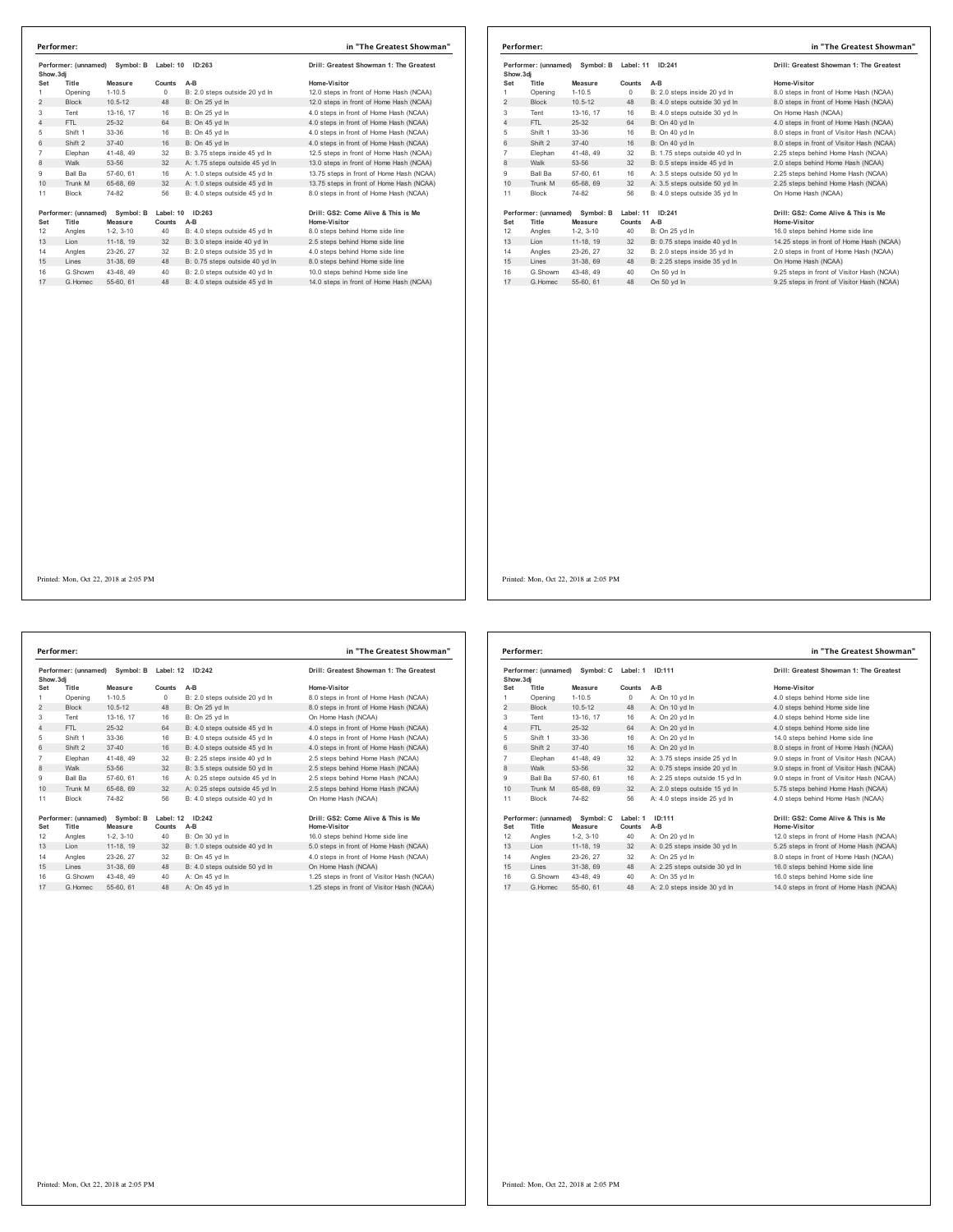| Performer: (unnamed)<br>Symbol: B<br>Show.3dj |                      | Label: 10<br>ID:263   |                  | Drill: Greatest Showman 1: The Greatest                         |                                                                     |
|-----------------------------------------------|----------------------|-----------------------|------------------|-----------------------------------------------------------------|---------------------------------------------------------------------|
| Set                                           | Title                | Measure               | Counts           | A-B                                                             | Home-Visitor                                                        |
| 1                                             | Opening              | $1 - 10.5$            | 0                | B: 2.0 steps outside 20 yd In                                   | 12.0 steps in front of Home Hash (NCAA)                             |
| $\overline{2}$                                | <b>Block</b>         | $10.5 - 12$           | 48               | B: On 25 yd In                                                  | 12.0 steps in front of Home Hash (NCAA)                             |
| 3                                             | Tent                 | 13-16, 17             | 16               | B: On 25 yd In                                                  | 4.0 steps in front of Home Hash (NCAA)                              |
| 4                                             | FTI.                 | $25 - 32$             | 64               | B: On 45 vd In                                                  | 4.0 steps in front of Home Hash (NCAA)                              |
| 5                                             | Shift 1              | 33-36                 | 16               | B: On 45 yd In                                                  | 4.0 steps in front of Home Hash (NCAA)                              |
| 6                                             | Shift 2              | $37 - 40$             | 16               | B: On 45 yd In                                                  | 4.0 steps in front of Home Hash (NCAA)                              |
| $\overline{7}$                                | Elephan              | 41-48, 49             | 32               | B: 3.75 steps inside 45 vd In                                   | 12.5 steps in front of Home Hash (NCAA)                             |
| 8                                             | Walk                 | 53-56                 | 32               | A: 1.75 steps outside 45 yd In                                  | 13.0 steps in front of Home Hash (NCAA)                             |
| 9                                             | Ball Ba              | 57-60, 61             | 16               | A: 1.0 steps outside 45 yd In                                   | 13.75 steps in front of Home Hash (NCAA)                            |
| 10                                            | Trunk M              | 65-68, 69             | 32               | A: 1.0 steps outside 45 yd In                                   | 13.75 steps in front of Home Hash (NCAA)                            |
| 11                                            | Block                | 74-82                 | 56               | B: 4.0 steps outside 45 yd In                                   | 8.0 steps in front of Home Hash (NCAA)                              |
|                                               |                      |                       |                  |                                                                 |                                                                     |
|                                               | Performer: (unnamed) | Symbol: B             | Label: 10 ID:263 |                                                                 | Drill: GS2: Come Alive & This is Me                                 |
| Set                                           | Title                | Measure               | Counts           | A-B                                                             | Home-Visitor                                                        |
| 12                                            | Angles               | $1-2, 3-10$           | 40               | B: 4.0 steps outside 45 yd In                                   | 8.0 steps behind Home side line                                     |
| 13                                            | Lion                 | 11-18, 19             | 32               | B: 3.0 steps inside 40 yd In                                    | 2.5 steps behind Home side line                                     |
| 14                                            | Angles               | 23-26, 27             | 32               | B: 2.0 steps outside 35 vd In                                   | 4.0 steps behind Home side line                                     |
| 15<br>16                                      | Lines<br>G.Showm     | 31-38.69<br>43-48, 49 | 48<br>40         | B: 0.75 steps outside 40 yd In<br>B: 2.0 steps outside 40 yd In | 8.0 steps behind Home side line<br>10.0 steps behind Home side line |

|                | Performer:                                     |             |           |                                | in "The Greatest Showman"                  |
|----------------|------------------------------------------------|-------------|-----------|--------------------------------|--------------------------------------------|
|                | Performer: (unnamed)<br>Symbol: B<br>Show, 3di |             | Label: 11 | ID:241                         | Drill: Greatest Showman 1: The Greatest    |
| Set            | Title                                          | Measure     | Counts    | $A-B$                          | Home-Visitor                               |
| 1              | Opening                                        | $1 - 10.5$  | $\Omega$  | B: 2.0 steps inside 20 yd In   | 8.0 steps in front of Home Hash (NCAA)     |
| 2              | <b>Block</b>                                   | $10.5 - 12$ | 48        | B: 4.0 steps outside 30 yd In  | 8.0 steps in front of Home Hash (NCAA)     |
| 3              | Tent                                           | 13-16, 17   | 16        | B: 4.0 steps outside 30 yd In  | On Home Hash (NCAA)                        |
| 4              | FTL.                                           | $25-32$     | 64        | B: On 40 vd In                 | 4.0 steps in front of Home Hash (NCAA)     |
| 5              | Shift 1                                        | 33-36       | 16        | B: On 40 yd In                 | 8.0 steps in front of Visitor Hash (NCAA)  |
| 6              | Shift 2                                        | $37 - 40$   | 16        | B: On 40 vd In                 | 8.0 steps in front of Visitor Hash (NCAA)  |
| $\overline{7}$ | Elephan                                        | 41-48, 49   | 32        | B: 1.75 steps outside 40 yd In | 2.25 steps behind Home Hash (NCAA)         |
| 8              | Walk                                           | 53-56       | 32        | B: 0.5 steps inside 45 yd In   | 2.0 steps behind Home Hash (NCAA)          |
| 9              | <b>Ball Ba</b>                                 | 57-60, 61   | 16        | A: 3.5 steps outside 50 yd In  | 2.25 steps behind Home Hash (NCAA)         |
| 10             | Trunk M                                        | 65-68, 69   | 32        | A: 3.5 steps outside 50 yd In  | 2.25 steps behind Home Hash (NCAA)         |
| 11             | <b>Block</b>                                   | 74-82       | 56        | B: 4.0 steps outside 35 vd In  | On Home Hash (NCAA)                        |
|                | Performer: (unnamed)                           | Symbol: B   | Label: 11 | ID:241                         | Drill: GS2: Come Alive & This is Me        |
| Set            | Title                                          | Measure     | Counts    | A-B                            | <b>Home-Visitor</b>                        |
| 12             | Angles                                         | $1-2.3-10$  | 40        | B: On 25 yd In                 | 16.0 steps behind Home side line           |
| 13             | Lion                                           | 11-18, 19   | 32        | B: 0.75 steps inside 40 yd In  | 14.25 steps in front of Home Hash (NCAA)   |
| 14             | Angles                                         | 23-26, 27   | 32        | B: 2.0 steps inside 35 vd In   | 2.0 steps in front of Home Hash (NCAA)     |
| 15             | Lines                                          | 31-38, 69   | 48        | B: 2.25 steps inside 35 vd In  | On Home Hash (NCAA)                        |
| 16             | G.Showm                                        | 43-48, 49   | 40        | On 50 yd In                    | 9.25 steps in front of Visitor Hash (NCAA) |
| 17             | G. Homec                                       | 55-60, 61   | 48        | On 50 vd In                    | 9.25 steps in front of Visitor Hash (NCAA) |

**Performer: (unnamed) Symbol: B Label: 12 ID:242 Drill: Greatest Showman 1: The Greatest Show.3dj Set Title Measure Counts A-B Home-Visitor** 1 Opening 1-10.5 0 B: 2.0 steps outside 20 yd ln 8.0 steps in front of Home Hash (NCAA) 2 Block 10.5-12 48 B: On 25 yd ln 8.0 steps in front of Home Hash (NCAA)<br>2 Block 10.5-12 48 B: On 25 yd ln 8.0 steps in front of Home Hash (NCAA)<br>3 Tent 13-16, 17 16 B: On 25 yd ln<br>4 FTL 25-32 64 B: 4.0 steps outside 45 yd Tent 13-16, 17 16 B: On 25 yd ln On Home Hash (NCAA) 4 FTL 25-32 64 B: 4.0 steps outside 45 yd ln 4.0 steps in front of Home Hash (NCAA) Shift 1 33-36 16 B: 4.0 steps outside 45 yd ln 4.0 steps in front of Home Hash (NCAA) 6 Shift 2 37-40 16 B: 4.0 steps outside 45 yd ln 4.0 steps in front of Home Hash (NCAA) Elephan 41-48, 49 32 B: 2.25 steps inside 40 yd ln 2.5 steps behind Home Hash (NCAA) 8 Walk 53-56 32 B: 3.5 steps outside 50 yd ln 2.5 steps behind Home Hash (NCAA) Ball Ba 57-60, 61 16 A: 0.25 steps outside 45 yd ln 2.5 steps behind Home Hash (NCAA) 10 Trunk M 65-68, 69 32 A: 0.25 steps outside 45 yd ln 2.5 steps behind Home Hash (NCAA) Block 74-82 56 B: 4.0 steps outside 40 yd ln On Home Hash (NCAA) 19erformer: (unnamed) Symbol: B Label: 12 ID:242<br>19er – Title Measure Counts A-B<br>12 Angles 1-2, 3-10 40 B: On 30 yd in the Holme-Visitor<br>12 Angles 1-2, 3-10 40 B: On 30 yd in the 15.0 steps behind Home side line<br>14 Angles 15 Lines 21-20, 21 U2 D. VITHS 19 B: 4.0 steps outside 50 yd ln<br>15 Lines 31-38, 69 48 B: 4.0 steps outside 50 yd ln<br>1.25 steps in front of Visitor Hash (NCAA)<br>1.25 steps in front of Visitor Hash (NCAA)<br>1.25 steps in front G.Showm 43-48, 49 40 A: On 45 yd ln 1.25 steps in front of Visitor Hash (NCAA) 17 G.Homec 55-60, 61 48 A: On 45 yd ln 1.25 steps in front of Visitor Hash (NCAA) **Performer: in "The Greatest Showman"**

| Performer: (unnamed)<br>Symbol: C<br>Show.3dj |                      |             | Label: 1 | ID:111                         | Drill: Greatest Showman 1: The Greatest   |
|-----------------------------------------------|----------------------|-------------|----------|--------------------------------|-------------------------------------------|
| Set                                           | Title                | Measure     | Counts   | $A-B$                          | Home-Visitor                              |
| 1                                             | Opening              | $1 - 10.5$  | $\circ$  | A: On 10 vd In                 | 4.0 steps behind Home side line           |
| $\overline{2}$                                | <b>Block</b>         | $10.5 - 12$ | 48       | A: On 10 yd In                 | 4.0 steps behind Home side line           |
| 3                                             | Tent                 | 13-16. 17   | 16       | A: On 20 vd In                 | 4.0 steps behind Home side line           |
| $\overline{4}$                                | FTI.                 | $25 - 32$   | 64       | A: On 20 yd In                 | 4.0 steps behind Home side line           |
| 5                                             | Shift 1              | 33-36       | 16       | A: On 20 vd In                 | 14.0 steps behind Home side line          |
| 6                                             | Shift 2              | $37 - 40$   | 16       | A: On 20 vd In                 | 8.0 steps in front of Home Hash (NCAA)    |
| $\overline{7}$                                | Elephan              | 41-48, 49   | 32       | A: 3.75 steps inside 25 yd In  | 9.0 steps in front of Visitor Hash (NCAA) |
| 8                                             | Walk                 | 53-56       | 32       | A: 0.75 steps inside 20 yd In  | 9.0 steps in front of Visitor Hash (NCAA) |
| 9                                             | Ball Ba              | 57-60, 61   | 16       | A: 2.25 steps outside 15 yd In | 9.0 steps in front of Visitor Hash (NCAA) |
| 10                                            | Trunk M              | 65-68, 69   | 32       | A: 2.0 steps outside 15 yd In  | 5.75 steps behind Home Hash (NCAA)        |
| 11                                            | Block                | 74-82       | 56       | A: 4.0 steps inside 25 yd In   | 4.0 steps behind Home Hash (NCAA)         |
|                                               | Performer: (unnamed) | Symbol: C   | Label: 1 | ID:111                         | Drill: GS2: Come Alive & This is Me       |
| Set                                           | Title                | Measure     | Counts   | A-B                            | Home-Visitor                              |
| 12                                            | Angles               | $1-2, 3-10$ | 40       | A: On 20 yd In                 | 12.0 steps in front of Home Hash (NCAA)   |
| 13                                            | Lion                 | 11-18, 19   | 32       | A: 0.25 steps inside 30 yd In  | 5.25 steps in front of Home Hash (NCAA)   |
| 14                                            | Angles               | 23-26.27    | 32       | A: On 25 vd In                 | 8.0 steps in front of Home Hash (NCAA)    |
| 15                                            | Lines                | 31-38, 69   | 48       | A: 2.25 steps outside 30 yd In | 16.0 steps behind Home side line          |
| 16                                            | G Showm              | 43-48.49    | 40       | A: On 35 vd In                 | 16.0 steps behind Home side line          |
| 17                                            | G. Homec             | 55-60, 61   | 48       | A: 2.0 steps inside 30 yd In   | 14.0 steps in front of Home Hash (NCAA)   |
|                                               |                      |             |          |                                |                                           |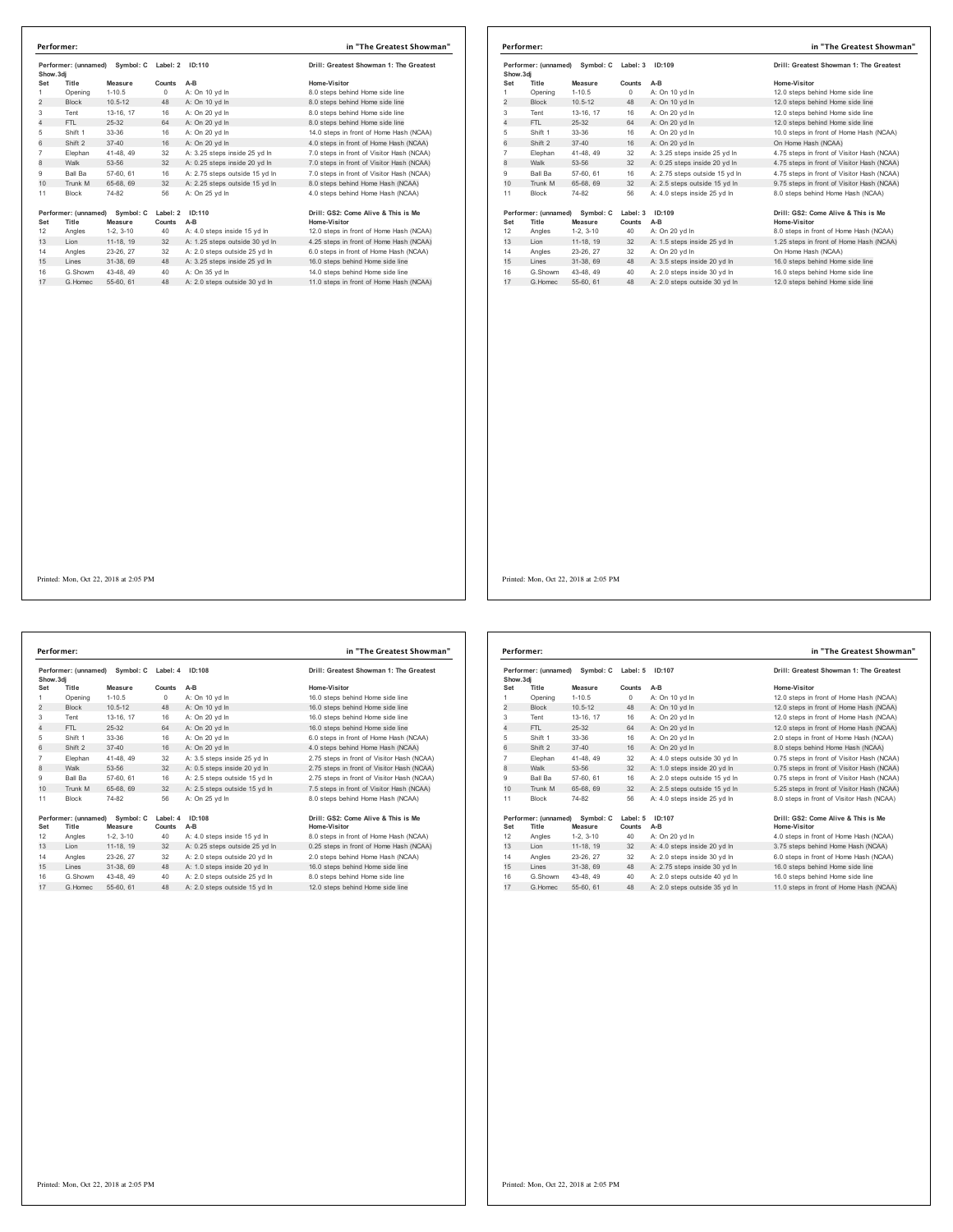| Performer: (unnamed)<br>Symbol: C<br>Show.3di |                               |                      | Label: 2           | ID:110                         | Drill: Greatest Showman 1: The Greatest             |  |
|-----------------------------------------------|-------------------------------|----------------------|--------------------|--------------------------------|-----------------------------------------------------|--|
| Set                                           | Title                         | Measure              | Counts             | $A-B$                          | Home-Visitor                                        |  |
| 1                                             | Opening                       | $1 - 10.5$           | $^{\circ}$         | A: On 10 yd In                 | 8.0 steps behind Home side line                     |  |
| $\overline{2}$                                | <b>Block</b>                  | $10.5 - 12$          | 48                 | A: On 10 vd In                 | 8.0 steps behind Home side line                     |  |
| 3                                             | Tent                          | 13-16, 17            | 16                 | A: On 20 yd In                 | 8.0 steps behind Home side line                     |  |
| 4                                             | FTI.                          | 25-32                | 64                 | A: On 20 vd In                 | 8.0 steps behind Home side line                     |  |
| 5                                             | Shift 1                       | $33-36$              | 16                 | A: On 20 vd In                 | 14.0 steps in front of Home Hash (NCAA)             |  |
| 6                                             | Shift 2                       | $37 - 40$            | 16                 | A: On 20 vd In                 | 4.0 steps in front of Home Hash (NCAA)              |  |
| $\overline{7}$                                | Elephan                       | 41-48, 49            | 32                 | A: 3.25 steps inside 25 vd In  | 7.0 steps in front of Visitor Hash (NCAA)           |  |
| 8                                             | Walk                          | 53-56                | 32                 | A: 0.25 steps inside 20 yd In  | 7.0 steps in front of Visitor Hash (NCAA)           |  |
| 9                                             | Ball Ba                       | 57-60, 61            | 16                 | A: 2.75 steps outside 15 yd In | 7.0 steps in front of Visitor Hash (NCAA)           |  |
| 10                                            | Trunk M                       | 65-68, 69            | 32                 | A: 2.25 steps outside 15 yd In | 8.0 steps behind Home Hash (NCAA)                   |  |
| 11                                            | <b>Block</b>                  | 74-82                | 56                 | A: On 25 vd In                 | 4.0 steps behind Home Hash (NCAA)                   |  |
| Set                                           | Performer: (unnamed)<br>Title | Symbol: C<br>Measure | Label: 2<br>Counts | 1D:110<br>$A-B$                | Drill: GS2: Come Alive & This is Me<br>Home-Visitor |  |
| 12                                            | Angles                        | $1-2.3-10$           | 40                 | A: 4.0 steps inside 15 yd In   | 12.0 steps in front of Home Hash (NCAA)             |  |
| 13                                            | Lion                          | 11-18, 19            | 32                 | A: 1.25 steps outside 30 yd In | 4.25 steps in front of Home Hash (NCAA)             |  |
| 14                                            | Angles                        | 23-26, 27            | 32                 | A: 2.0 steps outside 25 yd In  | 6.0 steps in front of Home Hash (NCAA)              |  |
| 15                                            | I ines                        | 31-38, 69            | 48                 | A: 3.25 steps inside 25 yd In  | 16.0 steps behind Home side line                    |  |
| 16                                            | G Showm                       | 43-48, 49            | 40                 | A: On 35 yd In                 | 14.0 steps behind Home side line                    |  |
| 17                                            | G Homec                       | 55-60, 61            | 48                 | A: 2.0 steps outside 30 yd In  | 11.0 steps in front of Home Hash (NCAA)             |  |

| Performer:                                     |                               |                      |                    | in "The Greatest Showman"               |                                                     |
|------------------------------------------------|-------------------------------|----------------------|--------------------|-----------------------------------------|-----------------------------------------------------|
| Performer: (unnamed)<br>Symbol: C<br>Show, 3di |                               | Label: 3             | ID:109             | Drill: Greatest Showman 1: The Greatest |                                                     |
| Set                                            | Title                         | Measure              | Counts             | $A-B$                                   | Home-Visitor                                        |
| 1                                              | Opening                       | $1 - 10.5$           | 0                  | A: On 10 vd In                          | 12.0 steps behind Home side line                    |
| $\overline{2}$                                 | <b>Block</b>                  | $10.5 - 12$          | 48                 | A: On 10 vd In                          | 12.0 steps behind Home side line                    |
| 3                                              | Tent                          | 13-16, 17            | 16                 | A: On 20 yd In                          | 12.0 steps behind Home side line                    |
| 4                                              | FTI.                          | 25-32                | 64                 | A: On 20 vd In                          | 12.0 steps behind Home side line                    |
| 5                                              | Shift 1                       | 33-36                | 16                 | A: On 20 vd In                          | 10.0 steps in front of Home Hash (NCAA)             |
| 6                                              | Shift 2                       | $37 - 40$            | 16                 | A: On 20 vd In                          | On Home Hash (NCAA)                                 |
| $\overline{7}$                                 | Elephan                       | 41-48, 49            | 32                 | A: 3.25 steps inside 25 vd In           | 4.75 steps in front of Visitor Hash (NCAA)          |
| 8                                              | Walk                          | 53-56                | 32                 | A: 0.25 steps inside 20 yd In           | 4.75 steps in front of Visitor Hash (NCAA)          |
| 9                                              | <b>Ball Ba</b>                | 57-60, 61            | 16                 | A: 2.75 steps outside 15 vd In          | 4.75 steps in front of Visitor Hash (NCAA)          |
| 10                                             | Trunk M                       | 65-68, 69            | 32                 | A: 2.5 steps outside 15 yd In           | 9.75 steps in front of Visitor Hash (NCAA)          |
| 11                                             | <b>Block</b>                  | 74-82                | 56                 | A: 4.0 steps inside 25 yd In            | 8.0 steps behind Home Hash (NCAA)                   |
| Set                                            | Performer: (unnamed)<br>Title | Symbol: C<br>Measure | Label: 3<br>Counts | ID:109<br>$A-B$                         | Drill: GS2: Come Alive & This is Me<br>Home-Visitor |
| 12                                             | Angles                        | $1-2, 3-10$          | 40                 | A: On 20 yd In                          | 8.0 steps in front of Home Hash (NCAA)              |
| 13                                             | Lion                          | 11-18, 19            | 32                 | A: 1.5 steps inside 25 yd In            | 1.25 steps in front of Home Hash (NCAA)             |
| 14                                             | Angles                        | 23-26, 27            | 32                 | A: On 20 yd In                          | On Home Hash (NCAA)                                 |
| 15                                             | Lines                         | 31-38, 69            | 48                 | A: 3.5 steps inside 20 yd In            | 16.0 steps behind Home side line                    |
| 16                                             | G.Showm                       | 43-48.49             | 40                 | A: 2.0 steps inside 30 vd In            | 16.0 steps behind Home side line                    |
| 17                                             | G Homec                       | 55-60, 61            | 48                 | A: 2.0 steps outside 30 vd In           | 12.0 steps behind Home side line                    |
|                                                |                               |                      |                    |                                         |                                                     |

**Performer: (unnamed) Symbol: C Label: 4 ID:108 Drill: Greatest Showman 1: The Greatest Show.3dj Set Title Measure Counts A-B Home-Visitor** 1 Opening 1-10.5 0 A: On 10 yd ln 16.0 steps behind Home side line 2 Block 10.5-12 48 A: On 10 yd ln 16.0 steps behind Home side line Tent 13-16, 17 16 A: On 20 yd ln 16.0 steps behind Home side line 4 FTL 25-32 64 A: On 20 yd ln 16.0 steps behind Home side line Shift 1 33-36 16 A: On 20 yd ln 6.0 steps in front of Home Hash (NCAA) 6 Shift 2 37-40 16 A: On 20 yd ln 4.0 steps behind Home Hash (NCAA) Elephan 41-48, 49 32 A: 3.5 steps inside 25 yd In 2.75 steps in front of Visitor Hash (NCAA)<br>8 Walk 53-56 32 A: 0.5 steps inside 20 yd In 2.75 steps in front of Visitor Hash (NCAA)<br>9 Ball Ba 57-60, 61 16 A: 2.5 steps outsi 11 Block 74-82 56 A: On 25 yd In 19erformer: (umamned) Symbol: Cabeliel 10:108 - Drill: GS2: Come Alive & This is Me<br>19er - The Measure Counts A-B<br>12 Angles 1-2, 3-10 - 40 A: 4.0 steps outside 15 yd In 8.0 steps in front of Home Hash (NCAA)<br>13 Lion 11:16, 14 Angles 23-26, 27 32 A: 2.0 steps outside 20 yd ln 2.0 steps behind Home Hash (NC)<br>15 Lines 31-38, 69 48 A: 1.0 steps inside 20 yd ln 16.0 steps behind Home side line G.Showm 43-48, 49 40 A: 2.0 steps outside 25 yd ln 8.0 steps behind Home side line 17 G.Homec 55-60, 61 48 A: 2.0 steps outside 15 yd ln 12.0 steps behind Home side line **Performer: in "The Greatest Showman"**

| Drill: Greatest Showman 1: The Greates     |
|--------------------------------------------|
| Home-Visitor                               |
| 16.0 steps behind Home side line           |
| 16.0 steps behind Home side line           |
| 16.0 steps behind Home side line           |
| 16.0 steps behind Home side line           |
| 6.0 steps in front of Home Hash (NCAA)     |
| 4.0 steps behind Home Hash (NCAA)          |
| 2.75 steps in front of Visitor Hash (NCAA  |
| 2.75 steps in front of Visitor Hash (NCAA) |
| 2.75 steps in front of Visitor Hash (NCAA  |
| 7.5 steps in front of Visitor Hash (NCAA)  |
| 8.0 steps behind Home Hash (NCAA)          |
|                                            |
| Drill: GS2: Come Alive & This is Me        |

|                | Performer: (unnamed)<br>Symbol: C<br>Show, 3di |                      | Label: 5<br>ID:107 |                               | Drill: Greatest Showman 1: The Greatest             |
|----------------|------------------------------------------------|----------------------|--------------------|-------------------------------|-----------------------------------------------------|
| Set            | Title                                          | Measure              | Counts             | A-B                           | Home-Visitor                                        |
| 1              | Opening                                        | $1 - 10.5$           | 0                  | A: On 10 yd In                | 12.0 steps in front of Home Hash (NCAA)             |
| 2              | <b>Block</b>                                   | $10.5 - 12$          | 48                 | A: On 10 yd In                | 12.0 steps in front of Home Hash (NCAA)             |
| 3              | Tent                                           | 13-16, 17            | 16                 | A: On 20 vd In                | 12.0 steps in front of Home Hash (NCAA)             |
| 4              | FTL.                                           | $25 - 32$            | 64                 | A: On 20 vd In                | 12.0 steps in front of Home Hash (NCAA)             |
| 5              | Shift 1                                        | 33-36                | 16                 | A: On 20 yd In                | 2.0 steps in front of Home Hash (NCAA)              |
| 6              | Shift 2                                        | $37 - 40$            | 16                 | A: On 20 vd In                | 8.0 steps behind Home Hash (NCAA)                   |
| $\overline{7}$ | Elephan                                        | 41-48, 49            | 32                 | A: 4.0 steps outside 30 vd In | 0.75 steps in front of Visitor Hash (NCAA)          |
| 8              | Walk                                           | 53-56                | 32                 | A: 1.0 steps inside 20 yd In  | 0.75 steps in front of Visitor Hash (NCAA)          |
| 9              | Ball Ba                                        | 57-60, 61            | 16                 | A: 2.0 steps outside 15 vd In | 0.75 steps in front of Visitor Hash (NCAA)          |
| 10             | Trunk M                                        | 65-68, 69            | 32                 | A: 2.5 steps outside 15 yd In | 5.25 steps in front of Visitor Hash (NCAA)          |
| 11             | <b>Block</b>                                   | 74-82                | 56                 | A: 4.0 steps inside 25 vd In  | 8.0 steps in front of Visitor Hash (NCAA)           |
| Set            | Performer: (unnamed)<br>Title                  | Symbol: C<br>Measure | Label: 5<br>Counts | ID:107<br>A-B                 | Drill: GS2: Come Alive & This is Me<br>Home-Visitor |
| 12             | Angles                                         | $1-2.3-10$           | 40                 | A: On 20 yd In                | 4.0 steps in front of Home Hash (NCAA)              |
| 13             | Lion                                           | 11-18, 19            | 32                 | A: 4.0 steps inside 20 yd In  | 3.75 steps behind Home Hash (NCAA)                  |
| 14             | Angles                                         | 23-26, 27            | 32                 | A: 2.0 steps inside 30 vd In  | 6.0 steps in front of Home Hash (NCAA)              |
| 15             | Lines                                          | 31-38, 69            | 48                 | A: 2.75 steps inside 30 yd In | 16.0 steps behind Home side line                    |
| 16             | G Showm                                        | 43-48, 49            | 40                 | A: 2.0 steps outside 40 vd In | 16.0 steps behind Home side line                    |
| 17             | G. Homec                                       | 55-60, 61            | 48                 | A: 2.0 steps outside 35 vd In | 11.0 steps in front of Home Hash (NCAA)             |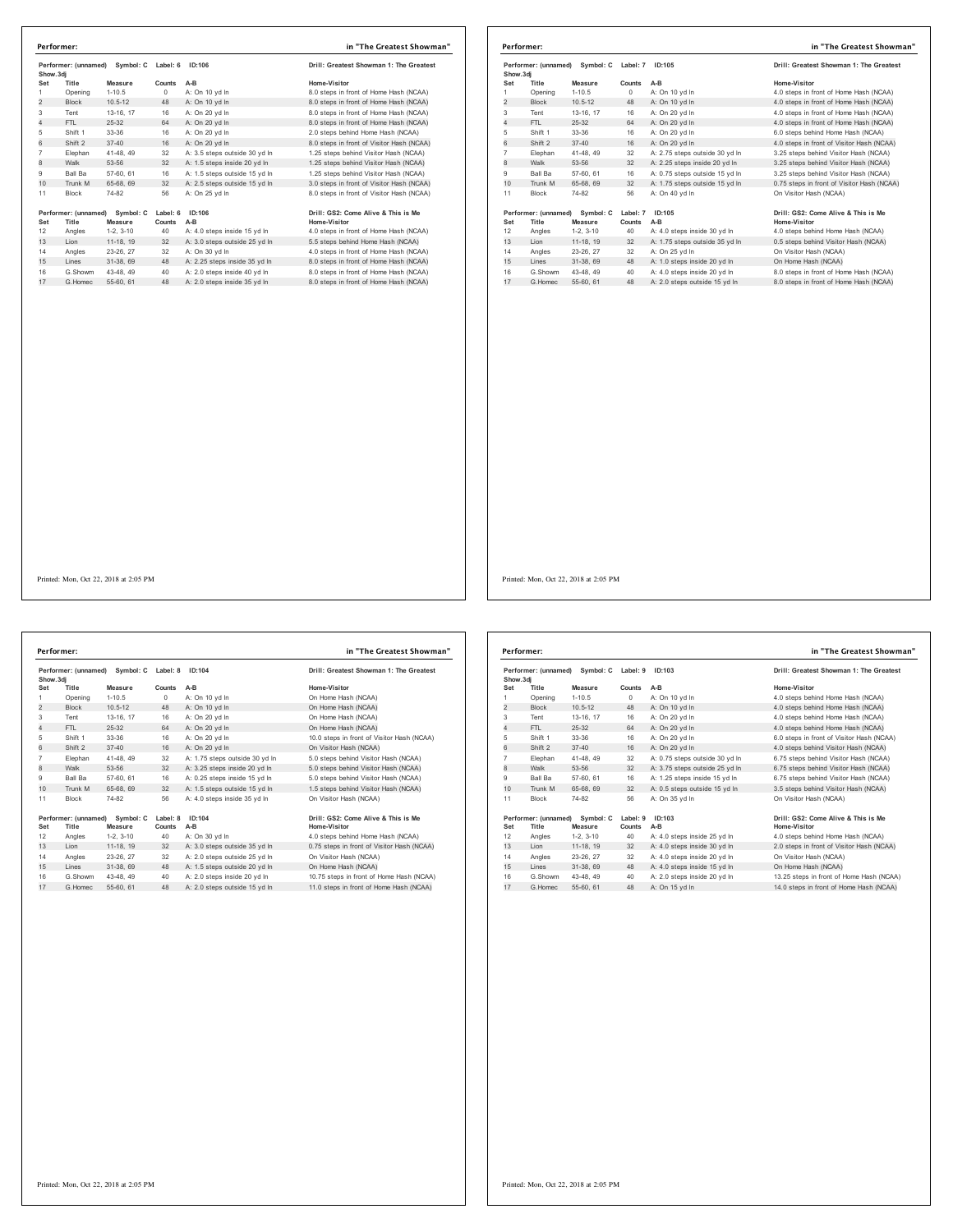|                | Performer: (unnamed)<br>Symbol: C<br>Show.3di         |             |                    | ID:106                        | Drill: Greatest Showman 1: The Greatest             |
|----------------|-------------------------------------------------------|-------------|--------------------|-------------------------------|-----------------------------------------------------|
| Set            | Title                                                 | Measure     | Counts             | $A-B$                         | Home-Visitor                                        |
| 1              | Opening                                               | $1 - 10.5$  | $\Omega$           | A: On 10 vd In                | 8.0 steps in front of Home Hash (NCAA)              |
| $\overline{2}$ | <b>Block</b>                                          | $10.5 - 12$ | 48                 | A: On 10 yd In                | 8.0 steps in front of Home Hash (NCAA)              |
| 3              | Tent                                                  | 13-16, 17   | 16                 | A: On 20 yd In                | 8.0 steps in front of Home Hash (NCAA)              |
| 4              | FTI.                                                  | 25-32       | 64                 | A: On 20 vd In                | 8.0 steps in front of Home Hash (NCAA)              |
| 5              | Shift 1                                               | $33-36$     | 16                 | A: On 20 vd In                | 2.0 steps behind Home Hash (NCAA)                   |
| 6              | Shift 2                                               | $37 - 40$   | 16                 | A: On 20 yd In                | 8.0 steps in front of Visitor Hash (NCAA)           |
| $\overline{7}$ | Elephan                                               | 41-48, 49   | 32                 | A: 3.5 steps outside 30 yd In | 1.25 steps behind Visitor Hash (NCAA)               |
| 8              | Walk                                                  | 53-56       | 32                 | A: 1.5 steps inside 20 yd In  | 1.25 steps behind Visitor Hash (NCAA)               |
| 9              | Ball Ba                                               | 57-60, 61   | 16                 | A: 1.5 steps outside 15 vd In | 1.25 steps behind Visitor Hash (NCAA)               |
| 10             | Trunk M                                               | 65-68, 69   | 32                 | A: 2.5 steps outside 15 yd In | 3.0 steps in front of Visitor Hash (NCAA)           |
| 11             | <b>Block</b>                                          | 74-82       | 56                 | A: On 25 yd In                | 8.0 steps in front of Visitor Hash (NCAA)           |
| Set            | Performer: (unnamed)<br>Symbol: C<br>Title<br>Measure |             | Label: 6<br>Counts | ID:106<br>$A-B$               | Drill: GS2: Come Alive & This is Me<br>Home-Visitor |
| 12             | Angles                                                | $1-2.3-10$  | 40                 | A: 4.0 steps inside 15 yd In  | 4.0 steps in front of Home Hash (NCAA)              |
| 13             | Lion                                                  | 11-18, 19   | 32                 | A: 3.0 steps outside 25 yd In | 5.5 steps behind Home Hash (NCAA)                   |
| 14             | Angles                                                | 23-26, 27   | 32                 | A: On 30 vd In                | 4.0 steps in front of Home Hash (NCAA)              |
| 15             | Lines                                                 | 31-38.69    | 48                 | A: 2.25 steps inside 35 yd In | 8.0 steps in front of Home Hash (NCAA)              |
| 16             | G.Showm                                               | 43-48.49    | 40                 | A: 2.0 steps inside 40 yd In  | 8.0 steps in front of Home Hash (NCAA)              |
| 17             | G. Homec                                              | 55-60, 61   | 48                 | A: 2.0 steps inside 35 yd In  | 8.0 steps in front of Home Hash (NCAA)              |

|                | Symbol: C<br>Performer: (unnamed)<br>Show, 3di |                         | Label: 7 | ID:105                         | Drill: Greatest Showman 1: The Greatest    |
|----------------|------------------------------------------------|-------------------------|----------|--------------------------------|--------------------------------------------|
| Set            | Title                                          | Measure                 | Counts   | $A-B$                          | Home-Visitor                               |
| 1              | Opening                                        | $1 - 10.5$              | $\Omega$ | A: On 10 vd In                 | 4.0 steps in front of Home Hash (NCAA)     |
| $\overline{2}$ | <b>Block</b>                                   | $10.5 - 12$             | 48       | A: On 10 vd In                 | 4.0 steps in front of Home Hash (NCAA)     |
| 3              | Tent                                           | 13-16, 17               | 16       | A: On 20 yd In                 | 4.0 steps in front of Home Hash (NCAA)     |
| $\overline{4}$ | FTL                                            | 25-32                   | 64       | A: On 20 vd In                 | 4.0 steps in front of Home Hash (NCAA)     |
| 5              | Shift 1                                        | 33-36                   | 16       | A: On 20 vd In                 | 6.0 steps behind Home Hash (NCAA)          |
| 6              | Shift 2                                        | $37 - 40$               | 16       | A: On 20 vd In                 | 4.0 steps in front of Visitor Hash (NCAA)  |
| $\overline{7}$ | Elephan                                        | 41-48, 49               | 32       | A: 2.75 steps outside 30 vd In | 3.25 steps behind Visitor Hash (NCAA)      |
| 8              | Walk                                           | 53-56                   | 32       | A: 2.25 steps inside 20 yd In  | 3.25 steps behind Visitor Hash (NCAA)      |
| 9              | <b>Ball Ba</b>                                 | 57-60, 61               | 16       | A: 0.75 steps outside 15 yd In | 3.25 steps behind Visitor Hash (NCAA)      |
| 10             | Trunk M                                        | 65-68, 69               | 32       | A: 1.75 steps outside 15 yd In | 0.75 steps in front of Visitor Hash (NCAA) |
| 11             | Block                                          | 74-82                   | 56       | A: On 40 vd In                 | On Visitor Hash (NCAA)                     |
|                | Performer: (unnamed)                           | Symbol: C               | Label: 7 | ID:105                         | Drill: GS2: Come Alive & This is Me        |
| Set            | Title                                          | Measure                 | Counts   | $A-B$                          | Home-Visitor                               |
| 12<br>13       | Angles<br>Lion                                 | $1-2.3-10$<br>11-18, 19 | 40<br>32 | A: 4.0 steps inside 30 yd In   | 4.0 steps behind Home Hash (NCAA)          |
|                |                                                |                         |          | A: 1.75 steps outside 35 yd In | 0.5 steps behind Visitor Hash (NCAA)       |
| 14             | Angles                                         | 23-26, 27               | 32       | A: On 25 vd In                 | On Visitor Hash (NCAA)                     |
| 15             | Lines                                          | 31-38, 69               | 48       | A: 1.0 steps inside 20 yd In   | On Home Hash (NCAA)                        |
| 16             | G.Showm                                        | 43-48, 49               | 40       | A: 4.0 steps inside 20 yd In   | 8.0 steps in front of Home Hash (NCAA)     |
| 17             | G. Homec                                       | 55-60, 61               | 48       | A: 2.0 steps outside 15 yd In  | 8.0 steps in front of Home Hash (NCAA)     |

Performer: (unnamed) Symbol: C Label: 8 ID:104 Drill: Greatest Showman 1: The Greatest<br>Show.3dj **Set Title Measure Counts A-B Home-Visitor** 1 Opening 1-10.5 0 A: On 10 yd ln On Home Hash (NCAA) 2 Block 10.5-12 48 A: On 10 yd ln On Home Hash (NCAA) Tent 13-16, 17 16 A: On 20 yd ln On Home Hash (NCAA) 4 FTL 25-32 64 A: On 20 yd ln On Home Hash (NCAA) 5 Shift 1 33-36 16 A: On 20 yd ln 10.0 steps in front of Visitor Hash (NCAA)<br>6 Shift 2 37-40 16 A: On 20 yd ln On Visitor Hash (NCAA) Elephan 41-48, 49 32 A: 1.75 steps outside 30 yd ln 5.0 steps behind Visitor Hash (NCAA) 8 Walk 53-56 32 A: 3.25 steps inside 20 yd ln 5.0 steps behind Visitor Hash (NCAA) Ball Ba 57-60, 61 16 A: 0.25 steps inside 15 yd ln 5.0 steps behind Visitor Hash (NCAA) 10 Trunk M 65-68, 69 32 A: 1.5 steps outside 15 yd ln 1.5 steps behind Visitor Hash (NCAA) Block 74-82 56 A: 4.0 steps inside 35 yd ln On Visitor Hash (NCAA) **Performer:** (unnamed) Symbol: C Label: 8 1D:104<br> **Set Title Measure Counts A-B**<br>
12 Angles 1-2, 3-10 40 A: On 30 yd In  $\frac{1}{100}$ <br>
13 Lion 11-18, 19 32 A: 3.0 steps outside 35 yd In 0.75 steps in front of Visitor Hash (N 16 G.Showm 43-48, 49 40 A: 2.0 steps inside 20 yd In 10.75 steps in front of Home Hash (NCAA)<br>17 G.Homec 55-60, 61 48 A: 2.0 steps outside 15 yd In 11.0 steps in front of Home Hash (NCAA) **Performer: in "The Greatest Showman"** Printed: Mon, Oct 22, 2018 at 2:05 PM

|                                                | Performer:                    |                      | in "The Greatest Showman" |                                |                                                     |
|------------------------------------------------|-------------------------------|----------------------|---------------------------|--------------------------------|-----------------------------------------------------|
| Performer: (unnamed)<br>Symbol: C<br>Show, 3di |                               |                      | Label: 9                  | ID:103                         | Drill: Greatest Showman 1: The Greatest             |
| Set                                            | Title                         | Measure              | Counts                    | $A-B$                          | Home-Visitor                                        |
| 1                                              | Opening                       | $1 - 10.5$           | 0                         | A: On 10 vd In                 | 4.0 steps behind Home Hash (NCAA)                   |
| $\overline{2}$                                 | <b>Block</b>                  | $10.5 - 12$          | 48                        | A: On 10 yd In                 | 4.0 steps behind Home Hash (NCAA)                   |
| 3                                              | Tent                          | 13-16. 17            | 16                        | A: On 20 vd In                 | 4.0 steps behind Home Hash (NCAA)                   |
| 4                                              | FTI.                          | 25-32                | 64                        | A: On 20 vd In                 | 4.0 steps behind Home Hash (NCAA)                   |
| 5                                              | Shift 1                       | 33-36                | 16                        | A: On 20 yd In                 | 6.0 steps in front of Visitor Hash (NCAA)           |
| 6                                              | Shift 2                       | $37 - 40$            | 16                        | A: On 20 vd In                 | 4.0 steps behind Visitor Hash (NCAA)                |
| $\overline{7}$                                 | Elephan                       | 41-48, 49            | 32                        | A: 0.75 steps outside 30 vd In | 6.75 steps behind Visitor Hash (NCAA)               |
| 8                                              | Walk                          | 53-56                | 32                        | A: 3.75 steps outside 25 yd In | 6.75 steps behind Visitor Hash (NCAA)               |
| 9                                              | <b>Ball Ba</b>                | 57-60, 61            | 16                        | A: 1.25 steps inside 15 vd In  | 6.75 steps behind Visitor Hash (NCAA)               |
| 10                                             | Trunk M                       | 65-68, 69            | 32                        | A: 0.5 steps outside 15 yd In  | 3.5 steps behind Visitor Hash (NCAA)                |
| 11                                             | <b>Block</b>                  | 74-82                | 56                        | A: On 35 vd In                 | On Visitor Hash (NCAA)                              |
| Set                                            | Performer: (unnamed)<br>Title | Symbol: C<br>Measure | Label: 9<br>Counts        | ID:103<br>$A-B$                | Drill: GS2: Come Alive & This is Me<br>Home-Visitor |
| 12                                             | Angles                        | $1-2.3-10$           | 40                        | A: 4.0 steps inside 25 yd In   | 4.0 steps behind Home Hash (NCAA)                   |
| 13                                             | I ion                         | 11-18. 19            | 32                        | A: 4.0 steps inside 30 yd In   | 2.0 steps in front of Visitor Hash (NCAA)           |
| 14                                             | Angles                        | 23-26, 27            | 32                        | A: 4.0 steps inside 20 yd In   | On Visitor Hash (NCAA)                              |
| 15                                             | Lines                         | 31-38, 69            | 48                        | A: 4.0 steps inside 15 yd In   | On Home Hash (NCAA)                                 |
| 16                                             | G Showm                       | 43-48.49             | 40                        | A: 2.0 steps inside 20 yd In   | 13.25 steps in front of Home Hash (NCAA)            |
| 17                                             | G. Homec                      | 55-60, 61            | 48                        | A: On 15 yd In                 | 14.0 steps in front of Home Hash (NCAA)             |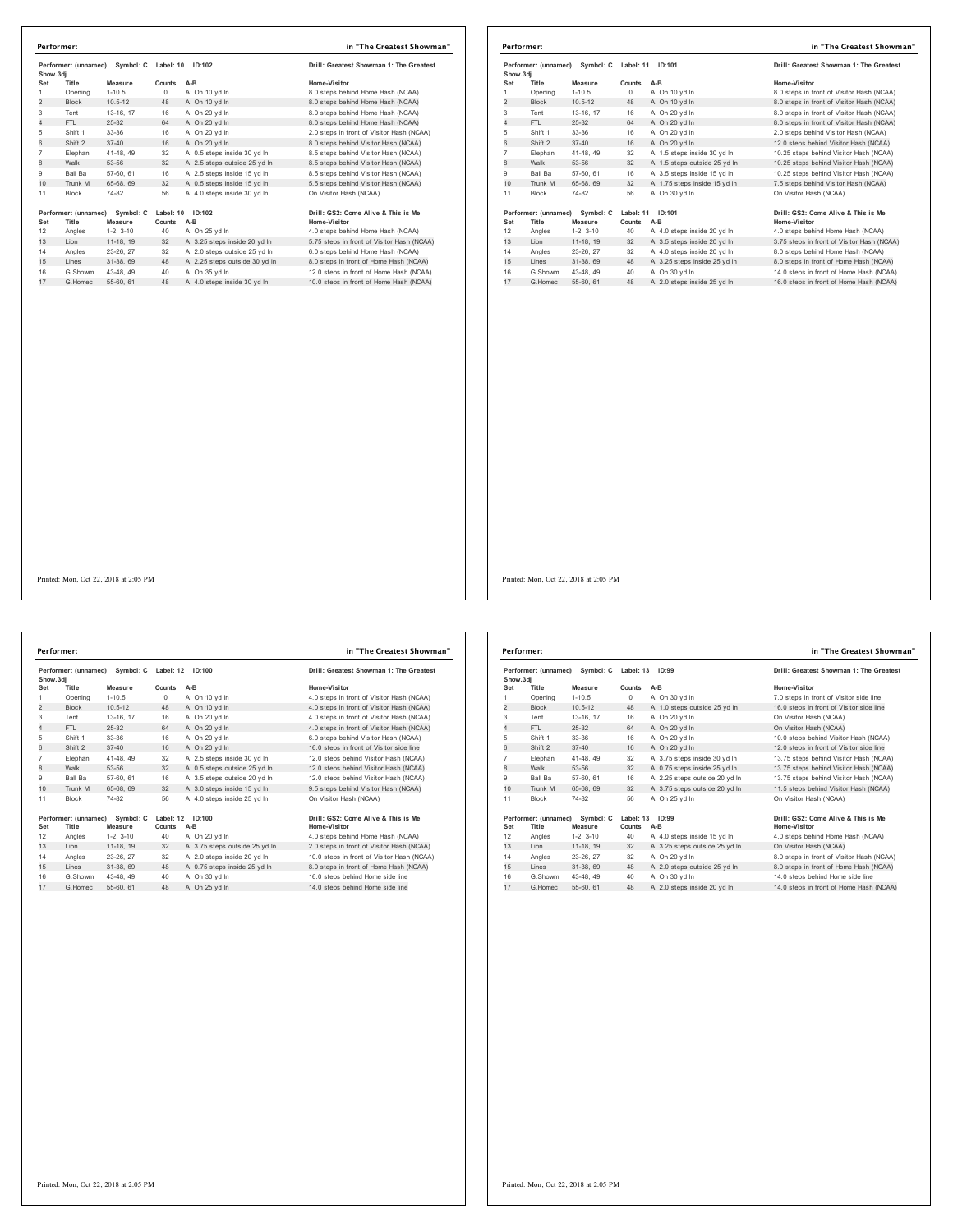| Show.3dj       | Performer: (unnamed) | Symbol: C   | Label: 10  | ID:102                         | Drill: Greatest Showman 1: The Greatest    |
|----------------|----------------------|-------------|------------|--------------------------------|--------------------------------------------|
| Set            | Title                | Measure     | Counts     | A-B                            | Home-Visitor                               |
| 1              | Opening              | $1 - 10.5$  | $^{\circ}$ | A: On 10 yd In                 | 8.0 steps behind Home Hash (NCAA)          |
| $\overline{2}$ | <b>Block</b>         | $10.5 - 12$ | 48         | A: On 10 yd In                 | 8.0 steps behind Home Hash (NCAA)          |
| 3              | Tent                 | 13-16, 17   | 16         | A: On 20 yd In                 | 8.0 steps behind Home Hash (NCAA)          |
| 4              | FTI.                 | $25 - 32$   | 64         | A: On 20 vd In                 | 8.0 steps behind Home Hash (NCAA)          |
| 5              | Shift 1              | 33-36       | 16         | A: On 20 vd In                 | 2.0 steps in front of Visitor Hash (NCAA)  |
| 6              | Shift 2              | $37 - 40$   | 16         | A: On 20 vd In                 | 8.0 steps behind Visitor Hash (NCAA)       |
| $\overline{7}$ | Elephan              | 41-48.49    | 32         | A: 0.5 steps inside 30 yd In   | 8.5 steps behind Visitor Hash (NCAA)       |
| 8              | Walk                 | 53-56       | 32         | A: 2.5 steps outside 25 yd In  | 8.5 steps behind Visitor Hash (NCAA)       |
| 9              | Ball Ba              | 57-60, 61   | 16         | A: 2.5 steps inside 15 yd In   | 8.5 steps behind Visitor Hash (NCAA)       |
| 10             | Trunk M              | 65-68, 69   | 32         | A: 0.5 steps inside 15 yd In   | 5.5 steps behind Visitor Hash (NCAA)       |
| 11             | <b>Block</b>         | 74-82       | 56         | A: 4.0 steps inside 30 yd In   | On Visitor Hash (NCAA)                     |
|                | Performer: (unnamed) | Symbol: C   | Label: 10  | ID:102                         | Drill: GS2: Come Alive & This is Me        |
| Set            | Title                | Measure     | Counts     | A-B                            | Home-Visitor                               |
| 12             | Angles               | $1-2.3-10$  | 40         | A: On 25 yd In                 | 4.0 steps behind Home Hash (NCAA)          |
| 13             | Lion                 | 11-18, 19   | 32         | A: 3.25 steps inside 20 yd In  | 5.75 steps in front of Visitor Hash (NCAA) |
| 14             | Angles               | 23-26, 27   | 32         | A: 2.0 steps outside 25 vd In  | 6.0 steps behind Home Hash (NCAA)          |
| 15             | Lines                | 31-38.69    | 48         | A: 2.25 steps outside 30 yd In | 8.0 steps in front of Home Hash (NCAA)     |
| 16             | G.Showm              | 43-48, 49   | 40         | A: On 35 vd In                 | 12.0 steps in front of Home Hash (NCAA)    |
| 17             | G Homec              | 55-60, 61   | 48         | A: 4.0 steps inside 30 yd In   | 10.0 steps in front of Home Hash (NCAA)    |

|                |                      | Performer: (unnamed) Symbol: C | Label: 11 | ID:101                        | Drill: Greatest Showman 1: The Greatest    |
|----------------|----------------------|--------------------------------|-----------|-------------------------------|--------------------------------------------|
| Show, 3di      |                      |                                |           |                               |                                            |
| Set            | Title                | Measure                        | Counts    | $A-B$                         | Home-Visitor                               |
|                | Opening              | $1 - 10.5$                     | 0         | A: On 10 yd In                | 8.0 steps in front of Visitor Hash (NCAA)  |
| $\overline{2}$ | <b>Block</b>         | $10.5 - 12$                    | 48        | A: On 10 yd In                | 8.0 steps in front of Visitor Hash (NCAA)  |
| 3              | Tent                 | 13-16, 17                      | 16        | A: On 20 yd In                | 8.0 steps in front of Visitor Hash (NCAA)  |
| $\overline{4}$ | FTL.                 | 25-32                          | 64        | A: On 20 vd In                | 8.0 steps in front of Visitor Hash (NCAA)  |
| 5              | Shift 1              | 33-36                          | 16        | A: On 20 yd In                | 2.0 steps behind Visitor Hash (NCAA)       |
| 6              | Shift 2              | $37 - 40$                      | 16        | A: On 20 vd In                | 12.0 steps behind Visitor Hash (NCAA)      |
| $\overline{7}$ | Elephan              | 41-48, 49                      | 32        | A: 1.5 steps inside 30 yd In  | 10.25 steps behind Visitor Hash (NCAA)     |
| 8              | Walk                 | 53-56                          | 32        | A: 1.5 steps outside 25 yd In | 10.25 steps behind Visitor Hash (NCAA)     |
| 9              | <b>Ball Ba</b>       | 57-60, 61                      | 16        | A: 3.5 steps inside 15 vd In  | 10.25 steps behind Visitor Hash (NCAA)     |
| 10             | Trunk M              | 65-68, 69                      | 32        | A: 1.75 steps inside 15 yd In | 7.5 steps behind Visitor Hash (NCAA)       |
| 11             | <b>Block</b>         | 74-82                          | 56        | A: On 30 yd In                | On Visitor Hash (NCAA)                     |
|                | Performer: (unnamed) | Symbol: C                      | Label: 11 | ID:101                        | Drill: GS2: Come Alive & This is Me        |
| Set            | Title                | Measure                        | Counts    | $A-B$                         | Home-Visitor                               |
| 12             | Angles               | $1-2.3-10$                     | 40        | A: 4.0 steps inside 20 vd In  | 4.0 steps behind Home Hash (NCAA)          |
| 13             | Lion                 | 11-18, 19                      | 32        | A: 3.5 steps inside 20 yd In  | 3.75 steps in front of Visitor Hash (NCAA) |
| 14             | Angles               | 23-26, 27                      | 32        | A: 4.0 steps inside 20 vd In  | 8.0 steps behind Home Hash (NCAA)          |
| 15             | Lines                | 31-38, 69                      | 48        | A: 3.25 steps inside 25 vd In | 8.0 steps in front of Home Hash (NCAA)     |
| 16             | G.Showm              | 43-48, 49                      | 40        | A: On 30 vd In                | 14.0 steps in front of Home Hash (NCAA)    |
| 17             | G. Homec             | 55-60, 61                      | 48        | A: 2.0 steps inside 25 vd In  | 16.0 steps in front of Home Hash (NCAA)    |

**Performer: (unnamed) Symbol: C Label: 12 ID:100 Drill: Greatest Showman 1: The Greatest Show.3dj Set Title Measure Counts A-B Home-Visitor** Opening 1-10.5 0 A: On 10 yd ln 4.0 steps in front of Visitor Hash (NCAA) 2 Block 10.5-12 48 A: On 10 yd ln 4.0 steps in front of Visitor Hash (NCAA) 3 Tent 13-16, 17 16 A: On 20 yd ln<br>3 Tent 13-16, 17 16 A: On 20 yd ln<br>4 4.0 steps in front of Visitor Hash (NCAA)<br>4.0 steps in front of Visitor Hash (NCAA) 4 FTL 25-32 64 A: On 20 yd ln<br>
4 A: On 20 yd ln<br>
4 Go steps in front of Visitor Hash (NCAA)<br>
5 Shift 2 37-40 16 A: On 20 yd ln<br>
5 Shift 2 37-40 16 A: On 20 yd ln<br>
16.0 steps in front of Visitor side line Shift 1 33-36 16 A: On 20 yd ln 6.0 steps behind Visitor Hash (NCAA) 6 Shift 2 37-40 16 A: On 20 yd ln 16.0 steps in front of Visitor side line Elephan 41-48, 49 32 A: 2.5 steps inside 30 yd ln 12.0 steps behind Visitor Hash (NCAA) 8 Walk 53-56 32 A: 0.5 steps outside 25 yd ln 12.0 steps behind Visitor Hash (NCAA) Ball Ba 57-60, 61 16 A: 3.5 steps outside 20 yd ln 12.0 steps behind Visitor Hash (NCAA) 10 Trunk M 65-68, 69 32 A: 3.0 steps inside 15 yd ln 9.5 steps behind Visitor Hash (NCAA) Block 74-82 56 A: 4.0 steps inside 25 yd ln On Visitor Hash (NCAA) **Performer: (unnamed) Symbol: C Label: 12 ID:100 Drill: GS2: Come Alive & This is Me Set Title Measure Counts A-B Home-Visitor** 12 Angles 1-2, 3-10 40 A: On 20 yd ln 4.0 steps behind Home Hash (NCAA) 13 Lion 11-18, 19 32 A: 3.75 steps outside 25 yd ln 2.0 steps in front of Visitor Hash (NCAA) Angles 23-26, 27 32 A: 2.0 steps inside 20 yd ln 10.0 steps in front of Visitor Hash (NCAA) 15 Lines 31-38, 69 48 A: 0.75 steps inside 25 yd ln 8.0 steps in front of Home Hash (NCAA) G.Showm 43-48, 49 40 A: On 30 yd ln 16.0 steps behind Home side line 17 G.Homec 55-60, 61 48 A: On 25 yd ln 14.0 steps behind Home side line **Performer: in "The Greatest Showman"**

|                                               | Performer:                    |                      |                     |                                | in "The Greatest Showman"                           |  |  |
|-----------------------------------------------|-------------------------------|----------------------|---------------------|--------------------------------|-----------------------------------------------------|--|--|
| Performer: (unnamed)<br>Symbol: C<br>Show.3dj |                               |                      | Label: 13           | ID:99                          | Drill: Greatest Showman 1: The Greatest             |  |  |
| Set                                           | Title                         | Measure              | Counts              | $A-B$                          | Home-Visitor                                        |  |  |
| 1                                             | Opening                       | $1-10.5$             | $\Omega$            | A: On 30 yd In                 | 7.0 steps in front of Visitor side line             |  |  |
| $\overline{2}$                                | <b>Block</b>                  | $10.5 - 12$          | 48                  | A: 1.0 steps outside 25 yd In  | 16.0 steps in front of Visitor side line            |  |  |
| 3                                             | Tent                          | 13-16, 17            | 16                  | A: On 20 vd In                 | On Visitor Hash (NCAA)                              |  |  |
| 4                                             | FTI.                          | 25-32                | 64                  | A: On 20 yd In                 | On Visitor Hash (NCAA)                              |  |  |
| 5                                             | Shift 1                       | 33-36                | 16                  | A: On 20 yd In                 | 10.0 steps behind Visitor Hash (NCAA)               |  |  |
| 6                                             | Shift 2                       | $37 - 40$            | 16                  | A: On 20 vd In                 | 12.0 steps in front of Visitor side line            |  |  |
| $\overline{7}$                                | Elephan                       | 41-48, 49            | 32                  | A: 3.75 steps inside 30 vd In  | 13.75 steps behind Visitor Hash (NCAA)              |  |  |
| 8                                             | Walk                          | 53-56                | 32                  | A: 0.75 steps inside 25 yd In  | 13.75 steps behind Visitor Hash (NCAA)              |  |  |
| 9                                             | Ball Ba                       | 57-60, 61            | 16                  | A: 2.25 steps outside 20 vd In | 13.75 steps behind Visitor Hash (NCAA)              |  |  |
| 10                                            | Trunk M                       | 65-68, 69            | 32                  | A: 3.75 steps outside 20 yd In | 11.5 steps behind Visitor Hash (NCAA)               |  |  |
| 11                                            | <b>Block</b>                  | 74-82                | 56                  | A: On 25 vd In                 | On Visitor Hash (NCAA)                              |  |  |
| Set                                           | Performer: (unnamed)<br>Title | Symbol: C<br>Measure | Label: 13<br>Counts | ID:99<br>$A-B$                 | Drill: GS2: Come Alive & This is Me<br>Home-Visitor |  |  |
| 12                                            | Angles                        | $1-2.3-10$           | 40                  | A: 4.0 steps inside 15 yd In   | 4.0 steps behind Home Hash (NCAA)                   |  |  |
| 13                                            | Lion                          | 11-18, 19            | 32                  | A: 3.25 steps outside 25 yd In | On Visitor Hash (NCAA)                              |  |  |
| 14                                            | Angles                        | 23-26.27             | 32                  | A: On 20 vd In                 | 8.0 steps in front of Visitor Hash (NCAA)           |  |  |
| 15                                            | I ines                        | 31-38, 69            | 48                  | A: 2.0 steps outside 25 yd In  | 8.0 steps in front of Home Hash (NCAA)              |  |  |
| 16                                            | G Showm                       | 43-48.49             | 40                  | A: On 30 vd In                 | 14.0 steps behind Home side line                    |  |  |
| 17                                            | G Homec                       | 55-60, 61            | 48                  | A: 2.0 steps inside 20 yd In   | 14.0 steps in front of Home Hash (NCAA)             |  |  |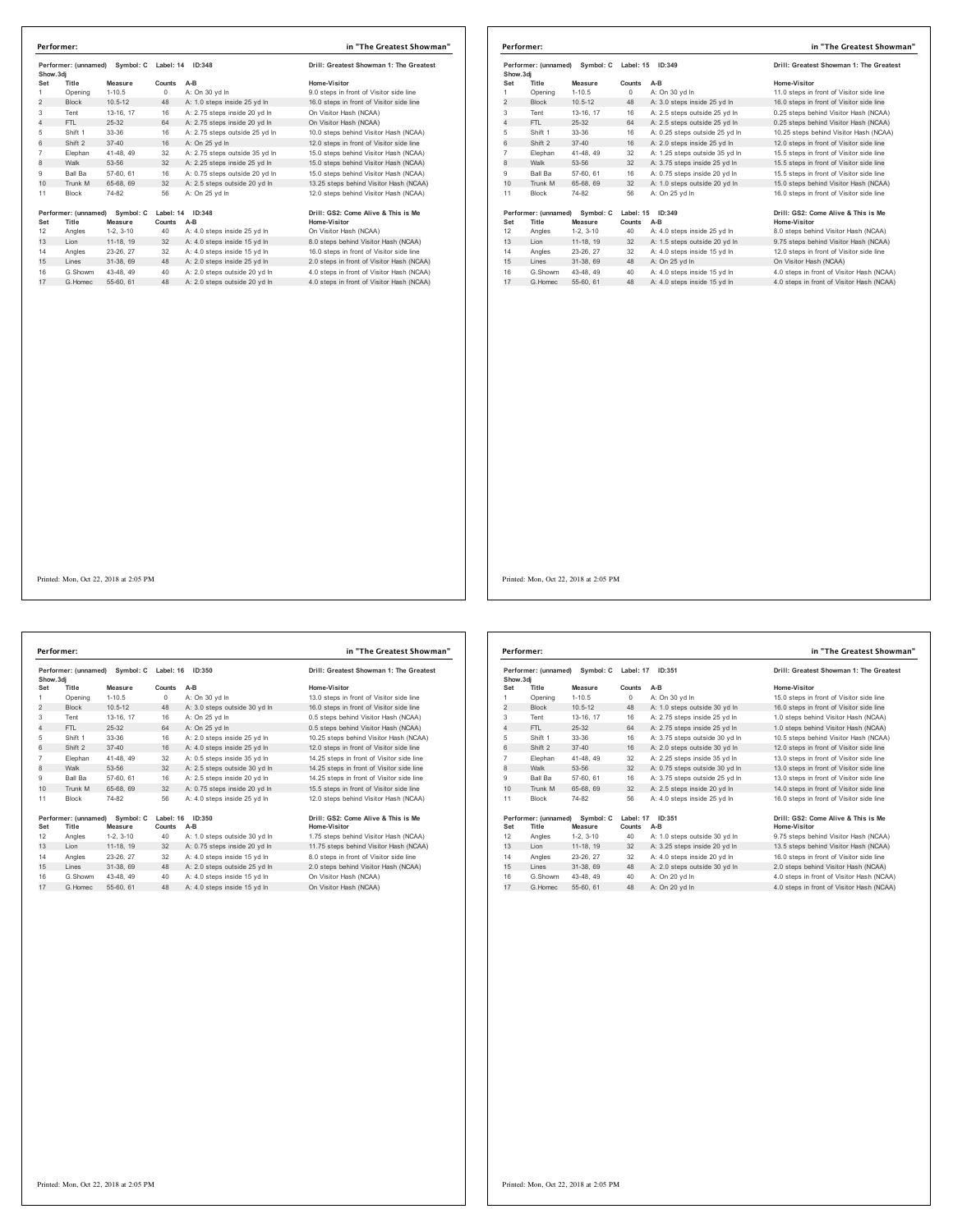|                | Performer: (unnamed)<br>Symbol: C<br>Show.3di |             | Label: 14<br>ID:348 |                                | Drill: Greatest Showman 1: The Greatest   |
|----------------|-----------------------------------------------|-------------|---------------------|--------------------------------|-------------------------------------------|
| Set            | Title                                         | Measure     | Counts              | $A-B$                          | Home-Visitor                              |
| 1              | Opening                                       | $1 - 10.5$  | 0                   | A: On 30 vd In                 | 9.0 steps in front of Visitor side line   |
| $\overline{2}$ | <b>Block</b>                                  | $10.5 - 12$ | 48                  | A: 1.0 steps inside 25 vd In   | 16.0 steps in front of Visitor side line  |
| 3              | Tent                                          | 13-16, 17   | 16                  | A: 2.75 steps inside 20 yd In  | On Visitor Hash (NCAA)                    |
| 4              | FTI.                                          | 25-32       | 64                  | A: 2.75 steps inside 20 yd In  | On Visitor Hash (NCAA)                    |
| 5              | Shift 1                                       | 33-36       | 16                  | A: 2.75 steps outside 25 yd In | 10.0 steps behind Visitor Hash (NCAA)     |
| 6              | Shift 2                                       | $37 - 40$   | 16                  | A: On 25 vd In                 | 12.0 steps in front of Visitor side line  |
| $\overline{7}$ | Elephan                                       | 41-48.49    | 32                  | A: 2.75 steps outside 35 vd In | 15.0 steps behind Visitor Hash (NCAA)     |
| 8              | Walk                                          | 53-56       | 32                  | A: 2.25 steps inside 25 yd In  | 15.0 steps behind Visitor Hash (NCAA)     |
| 9              | Ball Ba                                       | 57-60, 61   | 16                  | A: 0.75 steps outside 20 vd In | 15.0 steps behind Visitor Hash (NCAA)     |
| 10             | Trunk M                                       | 65-68, 69   | 32                  | A: 2.5 steps outside 20 yd In  | 13.25 steps behind Visitor Hash (NCAA)    |
| 11             | <b>Block</b>                                  | 74-82       | 56                  | A: On 25 yd In                 | 12.0 steps behind Visitor Hash (NCAA)     |
|                | Performer: (unnamed)                          | Symbol: C   | Label: 14           | ID:348                         | Drill: GS2: Come Alive & This is Me       |
| Set            | Title                                         | Measure     | Counts              | $A-B$                          | Home-Visitor                              |
| 12             | Angles                                        | $1-2.3-10$  | 40                  | A: 4.0 steps inside 25 yd In   | On Visitor Hash (NCAA)                    |
| 13             | I ion                                         | 11-18, 19   | 32                  | A: 4.0 steps inside 15 yd In   | 8.0 steps behind Visitor Hash (NCAA)      |
| 14             | Angles                                        | 23-26, 27   | 32                  | A: 4.0 steps inside 15 yd In   | 16.0 steps in front of Visitor side line  |
| 15             | I ines                                        | 31-38.69    | 48                  | A: 2.0 steps inside 25 yd In   | 2.0 steps in front of Visitor Hash (NCAA) |
| 16             | G.Showm                                       | 43-48, 49   | 40                  | A: 2.0 steps outside 20 yd In  | 4.0 steps in front of Visitor Hash (NCAA) |
| 17             | G Homec                                       | 55-60, 61   | 48                  | A: 2.0 steps outside 20 yd In  | 4.0 steps in front of Visitor Hash (NCAA) |

|                | Performer:                                     |                                |           |                                | in "The Greatest Showman"                 |
|----------------|------------------------------------------------|--------------------------------|-----------|--------------------------------|-------------------------------------------|
|                | Performer: (unnamed)<br>Symbol: C<br>Show, 3di |                                | Label: 15 | ID:349                         | Drill: Greatest Showman 1: The Greatest   |
| Set            | Title                                          | Measure                        | Counts    | $A-B$                          | Home-Visitor                              |
| 1              | Opening                                        | $1 - 10.5$                     | $\Omega$  | A: On 30 yd In                 | 11.0 steps in front of Visitor side line  |
| $\overline{2}$ | <b>Block</b>                                   | $10.5 - 12$                    | 48        | A: 3.0 steps inside 25 yd In   | 16.0 steps in front of Visitor side line  |
| 3              | Tent                                           | 13-16, 17                      | 16        | A: 2.5 steps outside 25 yd In  | 0.25 steps behind Visitor Hash (NCAA)     |
| 4              | FTL.                                           | $25-32$                        | 64        | A: 2.5 steps outside 25 vd In  | 0.25 steps behind Visitor Hash (NCAA)     |
| 5              | Shift 1                                        | 33-36                          | 16        | A: 0.25 steps outside 25 yd In | 10.25 steps behind Visitor Hash (NCAA)    |
| 6              | Shift 2                                        | $37 - 40$                      | 16        | A: 2.0 steps inside 25 yd In   | 12.0 steps in front of Visitor side line  |
| $\overline{7}$ | Elephan                                        | 41-48, 49                      | 32        | A: 1.25 steps outside 35 vd In | 15.5 steps in front of Visitor side line  |
| 8              | Walk                                           | 53-56                          | 32        | A: 3.75 steps inside 25 yd In  | 15.5 steps in front of Visitor side line  |
| 9              | <b>Ball Ba</b>                                 | 57-60, 61                      | 16        | A: 0.75 steps inside 20 yd In  | 15.5 steps in front of Visitor side line  |
| 10             | Trunk M                                        | 65-68, 69                      | 32        | A: 1.0 steps outside 20 yd In  | 15.0 steps behind Visitor Hash (NCAA)     |
| 11             | <b>Block</b>                                   | 74-82                          | 56        | A: On 25 vd In                 | 16.0 steps in front of Visitor side line  |
|                |                                                | Performer: (unnamed) Symbol: C | Label: 15 | ID:349                         | Drill: GS2: Come Alive & This is Me       |
| Set            | Title                                          | Measure                        | Counts    | A-B                            | <b>Home-Visitor</b>                       |
| 12             | Angles                                         | $1-2.3-10$                     | 40        | A: 4.0 steps inside 25 yd In   | 8.0 steps behind Visitor Hash (NCAA)      |
| 13             | Lion                                           | 11-18, 19                      | 32        | A: 1.5 steps outside 20 yd In  | 9.75 steps behind Visitor Hash (NCAA)     |
| 14             | Angles                                         | 23-26, 27                      | 32        | A: 4.0 steps inside 15 vd In   | 12.0 steps in front of Visitor side line  |
| 15             | Lines                                          | 31-38, 69                      | 48        | A: On 25 vd In                 | On Visitor Hash (NCAA)                    |
| 16             | G.Showm                                        | 43-48, 49                      | 40        | A: 4.0 steps inside 15 yd In   | 4.0 steps in front of Visitor Hash (NCAA) |
| 17             | G Homec                                        | 55-60, 61                      | 48        | A: 4.0 steps inside 15 yd In   | 4.0 steps in front of Visitor Hash (NCAA) |

Printed: Mon, Oct 22, 2018 at 2:05 PM

|                | Performer: (unnamed)           | Symbol: C   | Label: 16           | ID:350                        | Drill: Greatest Showman 1: The Greatest   |
|----------------|--------------------------------|-------------|---------------------|-------------------------------|-------------------------------------------|
|                | Show.3di                       |             |                     |                               |                                           |
| Set            | Title                          | Measure     | Counts              | $A-B$                         | Home-Visitor                              |
| 1              | Opening                        | $1 - 10.5$  | 0                   | A: On 30 yd In                | 13.0 steps in front of Visitor side line  |
| $\overline{2}$ | <b>Block</b>                   | $10.5 - 12$ | 48                  | A: 3.0 steps outside 30 vd In | 16.0 steps in front of Visitor side line  |
| 3              | Tent                           | 13-16, 17   | 16                  | A: On 25 yd In                | 0.5 steps behind Visitor Hash (NCAA)      |
| $\overline{4}$ | FTI.                           | 25-32       | 64                  | A: On 25 yd In                | 0.5 steps behind Visitor Hash (NCAA)      |
| 5              | Shift 1                        | 33-36       | 16                  | A: 2.0 steps inside 25 yd In  | 10.25 steps behind Visitor Hash (NCAA)    |
| 6              | Shift 2                        | $37 - 40$   | 16                  | A: 4.0 steps inside 25 vd In  | 12.0 steps in front of Visitor side line  |
| $\overline{7}$ | Elephan                        | 41-48, 49   | 32                  | A: 0.5 steps inside 35 yd In  | 14.25 steps in front of Visitor side line |
| 8              | Walk                           | 53-56       | 32                  | A: 2.5 steps outside 30 yd In | 14.25 steps in front of Visitor side line |
| 9              | Ball Ba                        | 57-60, 61   | 16                  | A: 2.5 steps inside 20 vd In  | 14.25 steps in front of Visitor side line |
| 10             | Trunk M                        | 65-68, 69   | 32                  | A: 0.75 steps inside 20 yd In | 15.5 steps in front of Visitor side line  |
| 11             | <b>Block</b>                   | 74-82       | 56                  | A: 4.0 steps inside 25 vd In  | 12.0 steps behind Visitor Hash (NCAA)     |
|                | Performer: (unnamed) Symbol: C |             | ID:350<br>Label: 16 |                               | Drill: GS2: Come Alive & This is Me       |
| Set            | Title                          | Measure     | Counts              | $A-B$                         | Home-Visitor                              |
| 12             | Angles                         | $1-2.3-10$  | 40                  | A: 1.0 steps outside 30 vd In | 1.75 steps behind Visitor Hash (NCAA)     |
| 13             | Lion                           | 11-18, 19   | 32                  | A: 0.75 steps inside 20 yd In | 11.75 steps behind Visitor Hash (NCAA)    |
| 14             | Angles                         | 23-26, 27   | 32                  | A: 4.0 steps inside 15 yd In  | 8.0 steps in front of Visitor side line   |
| 15             | Lines                          | 31-38.69    | 48                  | A: 2.0 steps outside 25 yd In | 2.0 steps behind Visitor Hash (NCAA)      |
| 16             | G.Showm                        | 43-48.49    | 40                  | A: 4.0 steps inside 15 vd In  | On Visitor Hash (NCAA)                    |
| 17             | G.Homec                        | 55-60, 61   | 48                  | A: 4.0 steps inside 15 yd In  | On Visitor Hash (NCAA)                    |

| rill: Greatest Showman 1: The Greate:    |
|------------------------------------------|
| ome-Visitor                              |
| 3.0 steps in front of Visitor side line  |
| 6.0 steps in front of Visitor side line  |
| 5 steps behind Visitor Hash (NCAA)       |
| 5 steps behind Visitor Hash (NCAA)       |
| 0.25 steps behind Visitor Hash (NCAA)    |
| 2.0 steps in front of Visitor side line  |
| 4.25 steps in front of Visitor side line |
| 4.25 steps in front of Visitor side line |
| 4.25 steps in front of Visitor side line |
| 5.5 steps in front of Visitor side line  |
| 2.0 steps behind Visitor Hash (NCAA)     |
|                                          |

### .<br>**Performer: 19 ID:**<br>International: Ne

|                | Performer: (unnamed)<br>Show, 3di |                                | Symbol: C<br>Label: 17<br>ID:351 |                                | Drill: Greatest Showman 1: The Greatest   |
|----------------|-----------------------------------|--------------------------------|----------------------------------|--------------------------------|-------------------------------------------|
| Set            | Title                             | Measure                        | Counts                           | $A-B$                          | Home-Visitor                              |
| 1              | Opening                           | $1 - 10.5$                     | $\circ$                          | A: On 30 yd In                 | 15.0 steps in front of Visitor side line  |
| 2              | <b>Block</b>                      | $10.5 - 12$                    | 48                               | A: 1.0 steps outside 30 yd In  | 16.0 steps in front of Visitor side line  |
| 3              | Tent                              | 13-16, 17                      | 16                               | A: 2.75 steps inside 25 vd In  | 1.0 steps behind Visitor Hash (NCAA)      |
| 4              | FTI.                              | $25 - 32$                      | 64                               | A: 2.75 steps inside 25 yd In  | 1.0 steps behind Visitor Hash (NCAA)      |
| 5              | Shift 1                           | 33-36                          | 16                               | A: 3.75 steps outside 30 yd In | 10.5 steps behind Visitor Hash (NCAA)     |
| 6              | Shift 2                           | $37 - 40$                      | 16                               | A: 2.0 steps outside 30 yd In  | 12.0 steps in front of Visitor side line  |
| $\overline{7}$ | Elephan                           | 41-48, 49                      | 32                               | A: 2.25 steps inside 35 vd In  | 13.0 steps in front of Visitor side line  |
| 8              | Walk                              | 53-56                          | 32                               | A: 0.75 steps outside 30 yd In | 13.0 steps in front of Visitor side line  |
| 9              | Ball Ba                           | 57-60, 61                      | 16                               | A: 3.75 steps outside 25 yd In | 13.0 steps in front of Visitor side line  |
| 10             | Trunk M                           | 65-68, 69                      | 32                               | A: 2.5 steps inside 20 yd In   | 14.0 steps in front of Visitor side line  |
| 11             | Block                             | 74-82                          | 56                               | A: 4.0 steps inside 25 yd In   | 16.0 steps in front of Visitor side line  |
|                |                                   | Performer: (unnamed) Symbol: C | Label: 17                        | ID:351                         | Drill: GS2: Come Alive & This is Me       |
| Set            | Title                             | Measure                        | Counts                           | $A-B$                          | <b>Home-Visitor</b>                       |
| 12             | Angles                            | $1-2.3-10$                     | 40                               | A: 1.0 steps outside 30 yd In  | 9.75 steps behind Visitor Hash (NCAA)     |
| 13             | Lion                              | 11-18, 19                      | 32                               | A: 3.25 steps inside 20 yd In  | 13.5 steps behind Visitor Hash (NCAA)     |
| 14             | Angles                            | 23-26, 27                      | 32                               | A: 4.0 steps inside 20 vd In   | 16.0 steps in front of Visitor side line  |
| 15             | Lines                             | 31-38, 69                      | 48                               | A: 2.0 steps outside 30 vd In  | 2.0 steps behind Visitor Hash (NCAA)      |
| 16             | G.Showm                           | 43-48, 49                      | 40                               | A: On 20 yd In                 | 4.0 steps in front of Visitor Hash (NCAA) |
| 17             | G Homec                           | 55-60, 61                      | 48                               | A: On 20 vd In                 | 4.0 steps in front of Visitor Hash (NCAA) |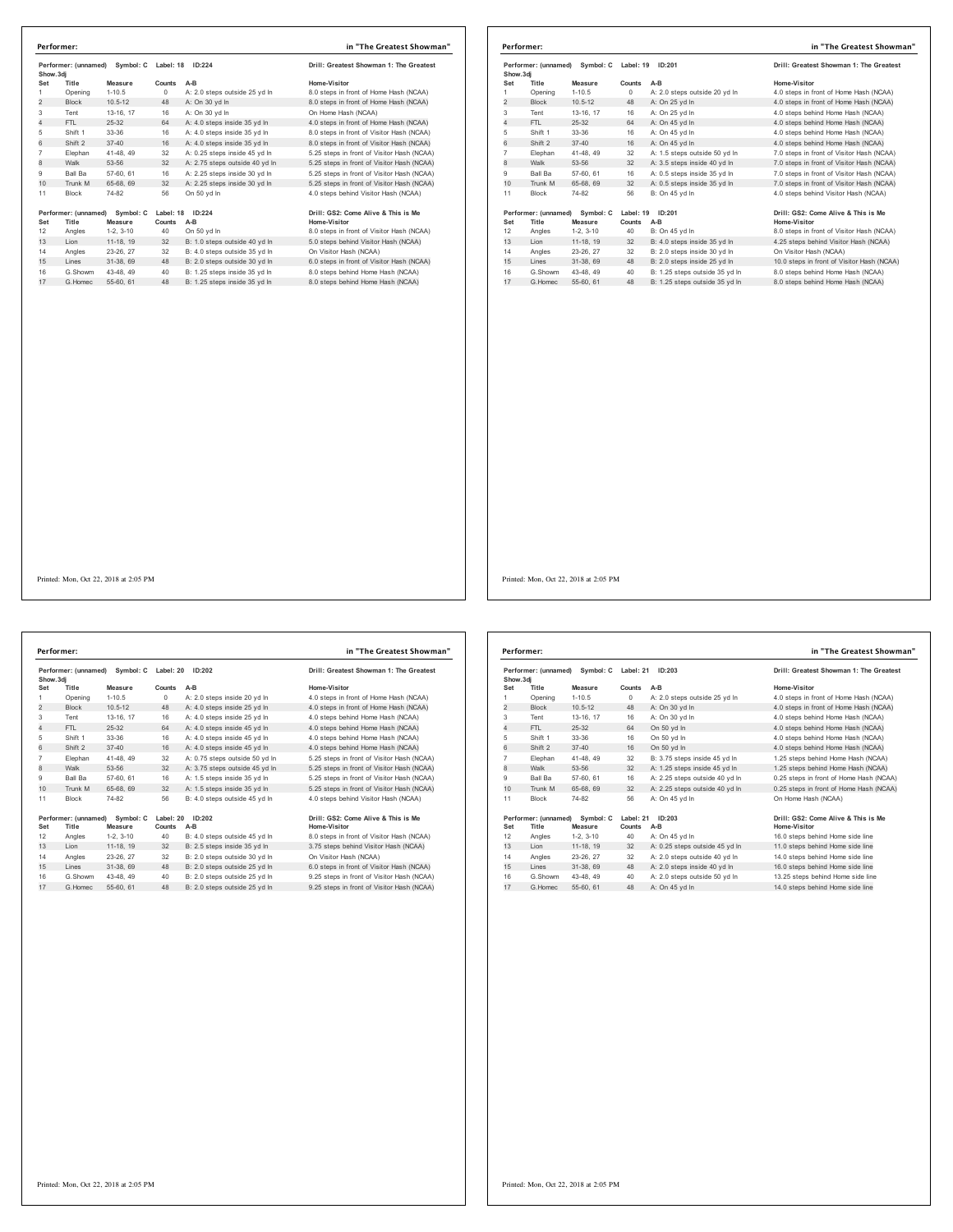| Show.3di       | Performer: (unnamed)          | Symbol: C            | Label: 18           | ID:224                         | Drill: Greatest Showman 1: The Greatest             |
|----------------|-------------------------------|----------------------|---------------------|--------------------------------|-----------------------------------------------------|
| Set            | Title                         | Measure              | Counts              | $A-B$                          | Home-Visitor                                        |
| 1              | Opening                       | $1-10.5$             | $\Omega$            | A: 2.0 steps outside 25 yd In  | 8.0 steps in front of Home Hash (NCAA)              |
| $\overline{2}$ | <b>Block</b>                  | $10.5 - 12$          | 48                  | A: On 30 vd In                 | 8.0 steps in front of Home Hash (NCAA)              |
| 3              | Tent                          | 13-16, 17            | 16                  | A: On 30 vd In                 | On Home Hash (NCAA)                                 |
| 4              | FTI.                          | 25-32                | 64                  | A: 4.0 steps inside 35 yd In   | 4.0 steps in front of Home Hash (NCAA)              |
| 5              | Shift 1                       | $33 - 36$            | 16                  | A: 4.0 steps inside 35 yd In   | 8.0 steps in front of Visitor Hash (NCAA)           |
| 6              | Shift 2                       | $37 - 40$            | 16                  | A: 4.0 steps inside 35 yd In   | 8.0 steps in front of Visitor Hash (NCAA)           |
| $\overline{7}$ | Elephan                       | 41-48.49             | 32                  | A: 0.25 steps inside 45 vd In  | 5.25 steps in front of Visitor Hash (NCAA)          |
| 8              | Walk                          | 53-56                | 32                  | A: 2.75 steps outside 40 yd In | 5.25 steps in front of Visitor Hash (NCAA)          |
| 9              | Ball Ba                       | 57-60, 61            | 16                  | A: 2.25 steps inside 30 vd In  | 5.25 steps in front of Visitor Hash (NCAA)          |
| 10             | Trunk M                       | 65-68, 69            | 32                  | A: 2.25 steps inside 30 yd In  | 5.25 steps in front of Visitor Hash (NCAA)          |
| 11             | <b>Block</b>                  | 74-82                | 56                  | On 50 vd In                    | 4.0 steps behind Visitor Hash (NCAA)                |
| Set            | Performer: (unnamed)<br>Title | Symbol: C<br>Measure | Label: 18<br>Counts | ID:224<br>$A-B$                | Drill: GS2: Come Alive & This is Me<br>Home-Visitor |
| 12             | Angles                        | $1-2.3-10$           | 40                  | On 50 vd In                    | 8.0 steps in front of Visitor Hash (NCAA)           |
| 13             | Lion                          | 11-18. 19            | 32                  | B: 1.0 steps outside 40 yd In  | 5.0 steps behind Visitor Hash (NCAA)                |
| 14             | Angles                        | 23-26.27             | 32                  | B: 4.0 steps outside 35 vd In  | On Visitor Hash (NCAA)                              |
| 15             | Lines                         | 31-38.69             | 48                  | B: 2.0 steps outside 30 vd In  | 6.0 steps in front of Visitor Hash (NCAA)           |
| 16             | G Showm                       | 43-48, 49            | 40                  | B: 1.25 steps inside 35 yd In  | 8.0 steps behind Home Hash (NCAA)                   |
| 17             | G. Homec                      | 55-60, 61            | 48                  | B: 1.25 steps inside 35 vd In  | 8.0 steps behind Home Hash (NCAA)                   |

|                | Performer:           |             |           |                                | in "The Greatest Showman"                  |
|----------------|----------------------|-------------|-----------|--------------------------------|--------------------------------------------|
| Show, 3di      | Performer: (unnamed) | Symbol: C   | Label: 19 | ID:201                         | Drill: Greatest Showman 1: The Greatest    |
| Set            | Title                | Measure     | Counts    | $A-B$                          | Home-Visitor                               |
| 1              | Opening              | $1 - 10.5$  | $\circ$   | A: 2.0 steps outside 20 yd In  | 4.0 steps in front of Home Hash (NCAA)     |
| 2              | <b>Block</b>         | $10.5 - 12$ | 48        | A: On 25 yd In                 | 4.0 steps in front of Home Hash (NCAA)     |
| 3              | Tent                 | 13-16. 17   | 16        | A: On 25 yd In                 | 4.0 steps behind Home Hash (NCAA)          |
| 4              | FTL.                 | $25 - 32$   | 64        | A: On 45 vd In                 | 4.0 steps behind Home Hash (NCAA)          |
| 5              | Shift 1              | 33-36       | 16        | A: On 45 vd In                 | 4.0 steps behind Home Hash (NCAA)          |
| 6              | Shift 2              | $37 - 40$   | 16        | A: On 45 vd In                 | 4.0 steps behind Home Hash (NCAA)          |
| $\overline{7}$ | Elephan              | 41-48.49    | 32        | A: 1.5 steps outside 50 yd In  | 7.0 steps in front of Visitor Hash (NCAA)  |
| 8              | Walk                 | 53-56       | 32        | A: 3.5 steps inside 40 yd In   | 7.0 steps in front of Visitor Hash (NCAA)  |
| 9              | <b>Ball Ba</b>       | 57-60, 61   | 16        | A: 0.5 steps inside 35 vd In   | 7.0 steps in front of Visitor Hash (NCAA)  |
| 10             | Trunk M              | 65-68, 69   | 32        | A: 0.5 steps inside 35 yd In   | 7.0 steps in front of Visitor Hash (NCAA)  |
| 11             | <b>Block</b>         | 74-82       | 56        | B: On 45 vd In                 | 4.0 steps behind Visitor Hash (NCAA)       |
|                | Performer: (unnamed) | Symbol: C   | Label: 19 | ID:201                         | Drill: GS2: Come Alive & This is Me        |
| Set            | Title                | Measure     | Counts    | $A-B$                          | Home-Visitor                               |
| 12             | Angles               | $1-2.3-10$  | 40        | B: On 45 vd In                 | 8.0 steps in front of Visitor Hash (NCAA)  |
| 13             | Lion                 | 11-18, 19   | 32        | B: 4.0 steps inside 35 yd In   | 4.25 steps behind Visitor Hash (NCAA)      |
| 14             | Angles               | 23-26, 27   | 32        | B: 2.0 steps inside 30 vd In   | On Visitor Hash (NCAA)                     |
| 15             | Lines                | 31-38, 69   | 48        | B: 2.0 steps inside 25 yd In   | 10.0 steps in front of Visitor Hash (NCAA) |
| 16             | G.Showm              | 43-48, 49   | 40        | B: 1.25 steps outside 35 yd In | 8.0 steps behind Home Hash (NCAA)          |
| 17             | G Homec              | 55-60, 61   | 48        | B: 1.25 steps outside 35 vd In | 8.0 steps behind Home Hash (NCAA)          |

Printed: Mon, Oct 22, 2018 at 2:05 PM

Performer: (unnamed) Symbol: C Label: 20 ID:202<br>
Show.3d] Drill: Greatest Showman 1: The Greatest<br>
Show.3d] O A: 20 steps inside 20 yd In 4.0 steps in front of Home Hash (NCAA)<br>
1 Opening 1-10.5 0 A: 2.0 steps inside 25 y Shift 1 33-36 16 A: 4.0 steps inside 45 yd ln 4.0 steps behind Home Hash (NCAA) 6 Shift 2 37-40 16 A: 4.0 steps inside 45 yd ln 4.0 steps behind Home Hash (NCAA) Elephan 41-48, 49 32 A: 0.75 steps outside 50 yd ln 5.25 steps in front of Visitor Hash (NCAA) 8 Walk 53-56 32 A: 3.75 steps outside 45 yd ln 5.25 steps in front of Visitor Hash (NCAA) Ball Ba 57-60, 61 16 A: 1.5 steps inside 35 yd ln 5.25 steps in front of Visitor Hash (NCAA) 10 Trunk M 65-68, 69 32 A: 1.5 steps inside 35 yd ln 5.25 steps in front of Visitor Hash (NCAA) 11 Block  $74-82$  56 B: 4.0 steps outside 45 yd ln Performer: (unnamed) Symbol: C Label: 20 ID:202<br>Set Title Measure Counts A-B<br>12 Angles 1-2, 3-10 40 B: 4.0 steps outside 45 yd in 8.0 steps in front of Visitor Hash (NCAA)<br>12 Angles 1-2, 3-10 40 B: 4.0 steps in 3.0 steps i 14 Angles 23-26, 27 32 B: 2.0 steps outside 30 yd ln<br>15 Lines 31-38, 69 48 B: 2.0 steps outside 25 yd ln 6 G.Showm 43-48, 49 40 B: 2.0 steps outside 25 yd ln 9.25 steps in front of Visitor Hash (NCAA) 17 G.Homec 55-60, 61 48 B: 2.0 steps outside 25 yd ln 9.25 steps in front of Visitor Hash (NCAA) **Performer: in "The Greatest Showman"**

| Drill: Greatest Showman 1: The Greatest    |
|--------------------------------------------|
| Home-Visitor                               |
| 4.0 steps in front of Home Hash (NCAA)     |
| 4.0 steps in front of Home Hash (NCAA)     |
| 4.0 steps behind Home Hash (NCAA)          |
| 4.0 steps behind Home Hash (NCAA)          |
| 4.0 steps behind Home Hash (NCAA)          |
| 4.0 steps behind Home Hash (NCAA)          |
| 5.25 steps in front of Visitor Hash (NCAA) |
| 5.25 steps in front of Visitor Hash (NCAA) |
| 5.25 steps in front of Visitor Hash (NCAA) |
| 5.25 steps in front of Visitor Hash (NCAA) |
| 4.0 steps behind Visitor Hash (NCAA)       |
| Drill: GS2: Come Alive & This is Me        |
| Home-Visitor                               |
| 8 0 stens in front of Visitor Hash (NCAA)  |

| lome-Visitor                               |
|--------------------------------------------|
| 3.0 steps in front of Visitor Hash (NCAA)  |
| 3.75 steps behind Visitor Hash (NCAA)      |
| On Visitor Hash (NCAA)                     |
| 6.0 steps in front of Visitor Hash (NCAA)  |
| 0.25 steps in front of Visitor Hash (NCAA) |
|                                            |

| Performer: (unnamed)<br>Symbol: C<br>Show, 3di |                               | Label: 21<br>ID: 203 |                     | Drill: Greatest Showman 1: The Greatest |                                                     |
|------------------------------------------------|-------------------------------|----------------------|---------------------|-----------------------------------------|-----------------------------------------------------|
| Set                                            | Title                         | Measure              | Counts              | $A-B$                                   | Home-Visitor                                        |
| 1                                              | Opening                       | $1-10.5$             | $\Omega$            | A: 2.0 steps outside 25 yd In           | 4.0 steps in front of Home Hash (NCAA)              |
| $\overline{2}$                                 | <b>Block</b>                  | $10.5 - 12$          | 48                  | A: On 30 yd In                          | 4.0 steps in front of Home Hash (NCAA)              |
| 3                                              | Tent                          | 13-16. 17            | 16                  | A: On 30 vd In                          | 4.0 steps behind Home Hash (NCAA)                   |
| 4                                              | FTI.                          | 25-32                | 64                  | On 50 yd In                             | 4.0 steps behind Home Hash (NCAA)                   |
| 5                                              | Shift 1                       | $33-36$              | 16                  | On 50 yd In                             | 4.0 steps behind Home Hash (NCAA)                   |
| 6                                              | Shift 2                       | $37 - 40$            | 16                  | On 50 vd In                             | 4.0 steps behind Home Hash (NCAA)                   |
| $\overline{7}$                                 | Elephan                       | 41-48, 49            | 32                  | B: 3.75 steps inside 45 vd In           | 1.25 steps behind Home Hash (NCAA)                  |
| 8                                              | Walk                          | 53-56                | 32                  | A: 1.25 steps inside 45 yd In           | 1.25 steps behind Home Hash (NCAA)                  |
| 9                                              | <b>Ball Ba</b>                | 57-60, 61            | 16                  | A: 2.25 steps outside 40 vd In          | 0.25 steps in front of Home Hash (NCAA)             |
| 10                                             | Trunk M                       | 65-68, 69            | 32                  | A: 2.25 steps outside 40 yd In          | 0.25 steps in front of Home Hash (NCAA)             |
| 11                                             | <b>Block</b>                  | 74-82                | 56                  | A: On 45 vd In                          | On Home Hash (NCAA)                                 |
| Set                                            | Performer: (unnamed)<br>Title | Symbol: C<br>Measure | Label: 21<br>Counts | ID: 203<br>A-B                          | Drill: GS2: Come Alive & This is Me<br>Home-Visitor |
| 12                                             | Angles                        | $1-2.3-10$           | 40                  | A: On 45 yd In                          | 16.0 steps behind Home side line                    |
| 13                                             | Lion                          | 11-18, 19            | 32                  | A: 0.25 steps outside 45 yd In          | 11.0 steps behind Home side line                    |
| 14                                             | Angles                        | 23-26.27             | 32                  | A: 2.0 steps outside 40 vd In           | 14.0 steps behind Home side line                    |
| 15                                             | Lines                         | 31-38, 69            | 48                  | A: 2.0 steps inside 40 yd In            | 16.0 steps behind Home side line                    |
| 16                                             | G.Showm                       | 43-48, 49            | 40                  | A: 2.0 steps outside 50 yd In           | 13.25 steps behind Home side line                   |
| 17                                             | G. Homec                      | 55-60, 61            | 48                  | A: On 45 vd In                          | 14.0 steps behind Home side line                    |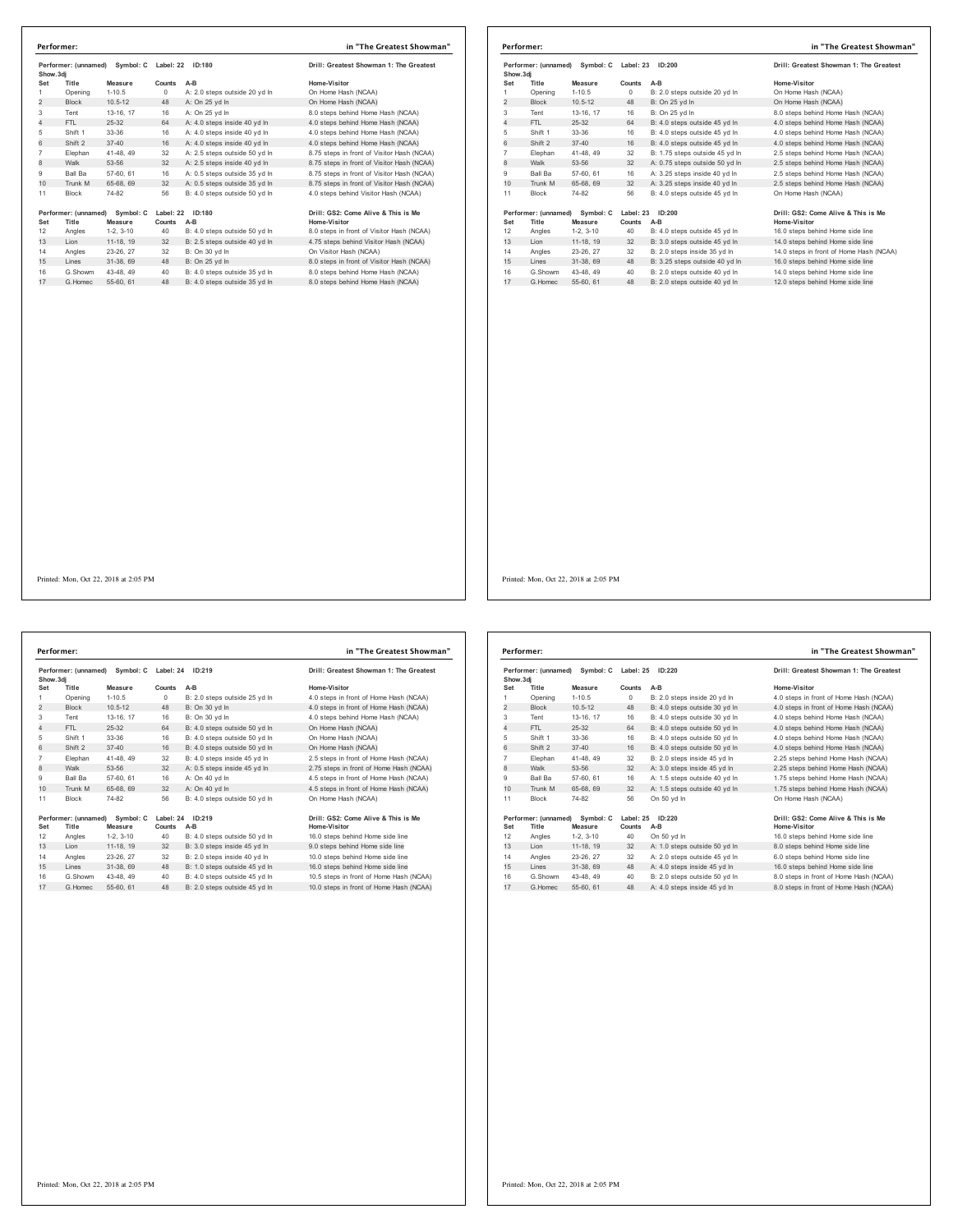| Performer: (unnamed)<br>Show.3di |                      | Symbol: C<br>Label: 22 |           | ID:180                        | Drill: Greatest Showman 1: The Greatest    |
|----------------------------------|----------------------|------------------------|-----------|-------------------------------|--------------------------------------------|
| Set                              | Title                | Measure                | Counts    | $A-B$                         | Home-Visitor                               |
| 1                                | Opening              | $1 - 10.5$             | 0         | A: 2.0 steps outside 20 yd In | On Home Hash (NCAA)                        |
| 2                                | <b>Block</b>         | $10.5 - 12$            | 48        | A: On 25 yd In                | On Home Hash (NCAA)                        |
| 3                                | Tent                 | 13-16, 17              | 16        | A: On 25 yd In                | 8.0 steps behind Home Hash (NCAA)          |
| 4                                | FTL                  | $25 - 32$              | 64        | A: 4.0 steps inside 40 yd In  | 4.0 steps behind Home Hash (NCAA)          |
| 5                                | Shift 1              | 33-36                  | 16        | A: 4.0 steps inside 40 vd In  | 4.0 steps behind Home Hash (NCAA)          |
| 6                                | Shift 2              | $37 - 40$              | 16        | A: 4.0 steps inside 40 vd In  | 4.0 steps behind Home Hash (NCAA)          |
| $\overline{7}$                   | Elephan              | 41-48.49               | 32        | A: 2.5 steps outside 50 vd In | 8.75 steps in front of Visitor Hash (NCAA) |
| 8                                | Walk                 | 53-56                  | 32        | A: 2.5 steps inside 40 yd In  | 8.75 steps in front of Visitor Hash (NCAA) |
| 9                                | Ball Ba              | 57-60, 61              | 16        | A: 0.5 steps outside 35 vd In | 8.75 steps in front of Visitor Hash (NCAA) |
| 10                               | Trunk M              | 65-68, 69              | 32        | A: 0.5 steps outside 35 vd In | 8.75 steps in front of Visitor Hash (NCAA) |
| 11                               | <b>Block</b>         | 74-82                  | 56        | B: 4.0 steps outside 50 vd In | 4.0 steps behind Visitor Hash (NCAA)       |
|                                  | Performer: (unnamed) | Symbol: C              | Label: 22 | ID:180                        | Drill: GS2: Come Alive & This is Me        |
| Set                              | Title                | Measure                | Counts    | $A-B$                         | Home-Visitor                               |
| 12                               | Angles               | $1-2, 3-10$            | 40        | B: 4.0 steps outside 50 yd In | 8.0 steps in front of Visitor Hash (NCAA)  |
| 13                               | Lion                 | 11-18, 19              | 32        | B: 2.5 steps outside 40 yd In | 4.75 steps behind Visitor Hash (NCAA)      |
| 14                               | Angles               | 23-26, 27              | 32        | B: On 30 vd In                | On Visitor Hash (NCAA)                     |
| 15                               | Lines                | 31-38, 69              | 48        | B: On 25 yd In                | 8.0 steps in front of Visitor Hash (NCAA)  |
| 16                               | G.Showm              | 43-48, 49              | 40        | B: 4.0 steps outside 35 vd In | 8.0 steps behind Home Hash (NCAA)          |
| 17                               | G Homec              | 55-60 61               | 48        | B: 4.0 steps outside 35 vd In | 8.0 steps behind Home Hash (NCAA)          |

|                                                | Performer:           |             |           |                                         | in "The Greatest Showman"               |
|------------------------------------------------|----------------------|-------------|-----------|-----------------------------------------|-----------------------------------------|
| Performer: (unnamed)<br>Symbol: C<br>Show, 3di |                      | Label: 23   | ID:200    | Drill: Greatest Showman 1: The Greatest |                                         |
| Set                                            | Title                | Measure     | Counts    | $A-B$                                   | Home-Visitor                            |
|                                                | Opening              | $1 - 10.5$  | $\Omega$  | B: 2.0 steps outside 20 yd In           | On Home Hash (NCAA)                     |
| 2                                              | <b>Block</b>         | $10.5 - 12$ | 48        | B: On 25 yd In                          | On Home Hash (NCAA)                     |
| 3                                              | Tent                 | 13-16, 17   | 16        | B: On 25 yd In                          | 8.0 steps behind Home Hash (NCAA)       |
| 4                                              | FTL.                 | 25-32       | 64        | B: 4.0 steps outside 45 yd In           | 4.0 steps behind Home Hash (NCAA)       |
| 5                                              | Shift 1              | 33-36       | 16        | B: 4.0 steps outside 45 yd In           | 4.0 steps behind Home Hash (NCAA)       |
| 6                                              | Shift 2              | $37 - 40$   | 16        | B: 4.0 steps outside 45 yd In           | 4.0 steps behind Home Hash (NCAA)       |
| 7                                              | Elephan              | 41-48, 49   | 32        | B: 1.75 steps outside 45 yd In          | 2.5 steps behind Home Hash (NCAA)       |
| 8                                              | Walk                 | 53-56       | 32        | A: 0.75 steps outside 50 yd In          | 2.5 steps behind Home Hash (NCAA)       |
| 9                                              | <b>Ball Ba</b>       | 57-60, 61   | 16        | A: 3.25 steps inside 40 vd In           | 2.5 steps behind Home Hash (NCAA)       |
| 10                                             | Trunk M              | 65-68, 69   | 32        | A: 3.25 steps inside 40 yd In           | 2.5 steps behind Home Hash (NCAA)       |
| 11                                             | Block                | 74-82       | 56        | B: 4.0 steps outside 45 vd In           | On Home Hash (NCAA)                     |
|                                                | Performer: (unnamed) | Symbol: C   | Label: 23 | ID:200                                  | Drill: GS2: Come Alive & This is Me     |
| Set                                            | Title                | Measure     | Counts    | $A-B$                                   | <b>Home-Visitor</b>                     |
| 12                                             | Angles               | $1-2, 3-10$ | 40        | B: 4.0 steps outside 45 yd In           | 16.0 steps behind Home side line        |
| 13                                             | Lion                 | 11-18, 19   | 32        | B: 3.0 steps outside 45 yd In           | 14.0 steps behind Home side line        |
| 14                                             | Angles               | 23-26, 27   | 32        | B: 2.0 steps inside 35 vd In            | 14.0 steps in front of Home Hash (NCAA) |
| 15                                             | Lines                | 31-38, 69   | 48        | B: 3.25 steps outside 40 yd In          | 16.0 steps behind Home side line        |
| 16                                             | G.Showm              | 43-48, 49   | 40        | B: 2.0 steps outside 40 vd In           | 14.0 steps behind Home side line        |
| 17                                             | G Homec              | 55-60, 61   | 48        | B: 2.0 steps outside 40 yd In           | 12.0 steps behind Home side line        |

**Performer: (unnamed) Symbol: C Label: 24 ID:219 Drill: Greatest Showman 1: The Greatest Show.3dj Set Title Measure Counts A-B Home-Visitor** 1 Opening 1-10.5 0 B: 2.0 steps outside 25 yd ln 4.0 steps in front of Home Hash (NCAA) 2 Block 10.5-12 o b. 2.∪ steps outstue 2.0 yd in + 0. st<br>2 Block 10.5-12 48 B: On 30 yd ln 4.0 st<br>3 Tent 13-16 17 16 B: On 30 vd ln 4 0 st Tent 13-16, 17 16 B: On 30 yd ln 4.0 steps behind Home Hash (NCAA) 4 FTL 25-32 64 B: 4.0 steps outside 50 yd ln On Home Hash (NCAA) Shift 1 33-36 16 B: 4.0 steps outside 50 yd ln On Home Hash (NCAA) 6 Shift 2 37-40 16 B: 4.0 steps outside 50 yd ln On Home Hash (NCAA) Elephan 41-48, 49 32 B: 4.0 steps inside 45 yd ln 2.5 steps in front of Home Hash (NCAA) 8 Walk 53-56 32 A: 0.5 steps inside 45 yd ln 2.75 steps in front of Home Hash (NCAA) Ball Ba 57-60, 61 16 A: On 40 yd ln 4.5 steps in front of Home Hash (NCAA) 10 Trunk M 65-68, 69 32 A: On 40 yd ln 4.5 steps in front of Home Hash (NCAA) Block 74-82 56 B: 4.0 steps outside 50 yd ln On Home Hash (NCAA) Performer: (unnamed) Symbol: C Label: 24 ID:219 Drill: GS2: Come Alive & This is Me<br>Set Title Measure Counts A-B<br>12 Angles 1-2, 3-10 40 B: 4.0 steps outside 50 yd In 16.0 steps behind Home side line<br>13 Lion 11-18, 19 32 B: Angles 23-26, 27 32 B: 2.0 steps inside 40 yd ln 10.0 steps behind Home side line 15 Lines 31-38, 69 48 B: 1.0 steps outside 45 yd ln 16.0 steps behind Home side line G.Showm 43-48, 49 40 B: 4.0 steps outside 45 yd ln 10.5 steps in front of Home Hash (NCAA) 17 G.Homec 55-60, 61 48 B: 2.0 steps outside 45 yd ln 10.0 steps in front of Home Hash (NCAA) **Performer: in "The Greatest Showman"**

| <b>Greatest Showman 1: The Greatest</b> |
|-----------------------------------------|
| a-Visitor                               |
| teps in front of Home Hash (NCAA)       |
| teps in front of Home Hash (NCAA)       |
| teps behind Home Hash (NCAA)            |
| ome Hash (NCAA)                         |
| ome Hash (NCAA)                         |
| ome Hash (NCAA)                         |
|                                         |

| Performer: (unnamed)<br>Show, 3di |                               | Symbol: C Label: 25<br>ID:220 |        |                               | Drill: Greatest Showman 1: The Greatest             |
|-----------------------------------|-------------------------------|-------------------------------|--------|-------------------------------|-----------------------------------------------------|
| Set                               | Title                         | Measure                       | Counts | $A-B$                         | Home-Visitor                                        |
| 1                                 | Opening                       | $1 - 10.5$                    | 0      | B: 2.0 steps inside 20 yd In  | 4.0 steps in front of Home Hash (NCAA)              |
| 2                                 | <b>Block</b>                  | $10.5 - 12$                   | 48     | B: 4.0 steps outside 30 yd In | 4.0 steps in front of Home Hash (NCAA)              |
| 3                                 | Tent                          | 13-16. 17                     | 16     | B: 4.0 steps outside 30 vd In | 4.0 steps behind Home Hash (NCAA)                   |
| 4                                 | FTL                           | $25-32$                       | 64     | B: 4.0 steps outside 50 vd In | 4.0 steps behind Home Hash (NCAA)                   |
| 5                                 | Shift 1                       | 33-36                         | 16     | B: 4.0 steps outside 50 vd In | 4.0 steps behind Home Hash (NCAA)                   |
| 6                                 | Shift 2                       | $37 - 40$                     | 16     | B: 4.0 steps outside 50 vd In | 4.0 steps behind Home Hash (NCAA)                   |
| $\overline{7}$                    | Elephan                       | 41-48, 49                     | 32     | B: 2.0 steps inside 45 vd In  | 2.25 steps behind Home Hash (NCAA)                  |
| 8                                 | Walk                          | 53-56                         | 32     | A: 3.0 steps inside 45 yd In  | 2.25 steps behind Home Hash (NCAA)                  |
| 9                                 | Ball Ba                       | 57-60, 61                     | 16     | A: 1.5 steps outside 40 vd In | 1.75 steps behind Home Hash (NCAA)                  |
| 10                                | Trunk M                       | 65-68, 69                     | 32     | A: 1.5 steps outside 40 vd In | 1.75 steps behind Home Hash (NCAA)                  |
| 11                                | <b>Block</b>                  | 74-82                         | 56     | On 50 vd In                   | On Home Hash (NCAA)                                 |
| Set                               | Performer: (unnamed)<br>Title | Symbol: C<br>Measure          | Counts | Label: 25 ID:220<br>$A-B$     | Drill: GS2: Come Alive & This is Me<br>Home-Visitor |
| 12                                | Angles                        | $1-2.3-10$                    | 40     | On 50 yd In                   | 16.0 steps behind Home side line                    |
| 13                                | Lion                          | 11-18, 19                     | 32     | A: 1.0 steps outside 50 yd In | 8.0 steps behind Home side line                     |
| 14                                | Angles                        | 23-26, 27                     | 32     | A: 2.0 steps outside 45 vd In | 6.0 steps behind Home side line                     |
| 15                                | Lines                         | 31-38, 69                     | 48     | A: 4.0 steps inside 45 yd In  | 16.0 steps behind Home side line                    |
| 16                                | G.Showm                       | 43-48, 49                     | 40     | B: 2.0 steps outside 50 vd In | 8.0 steps in front of Home Hash (NCAA)              |
| 17                                | G Homec                       | 55-60, 61                     | 48     | A: 4.0 steps inside 45 vd In  | 8.0 steps in front of Home Hash (NCAA)              |

### Printed: Mon, Oct 22, 2018 at 2:05 PM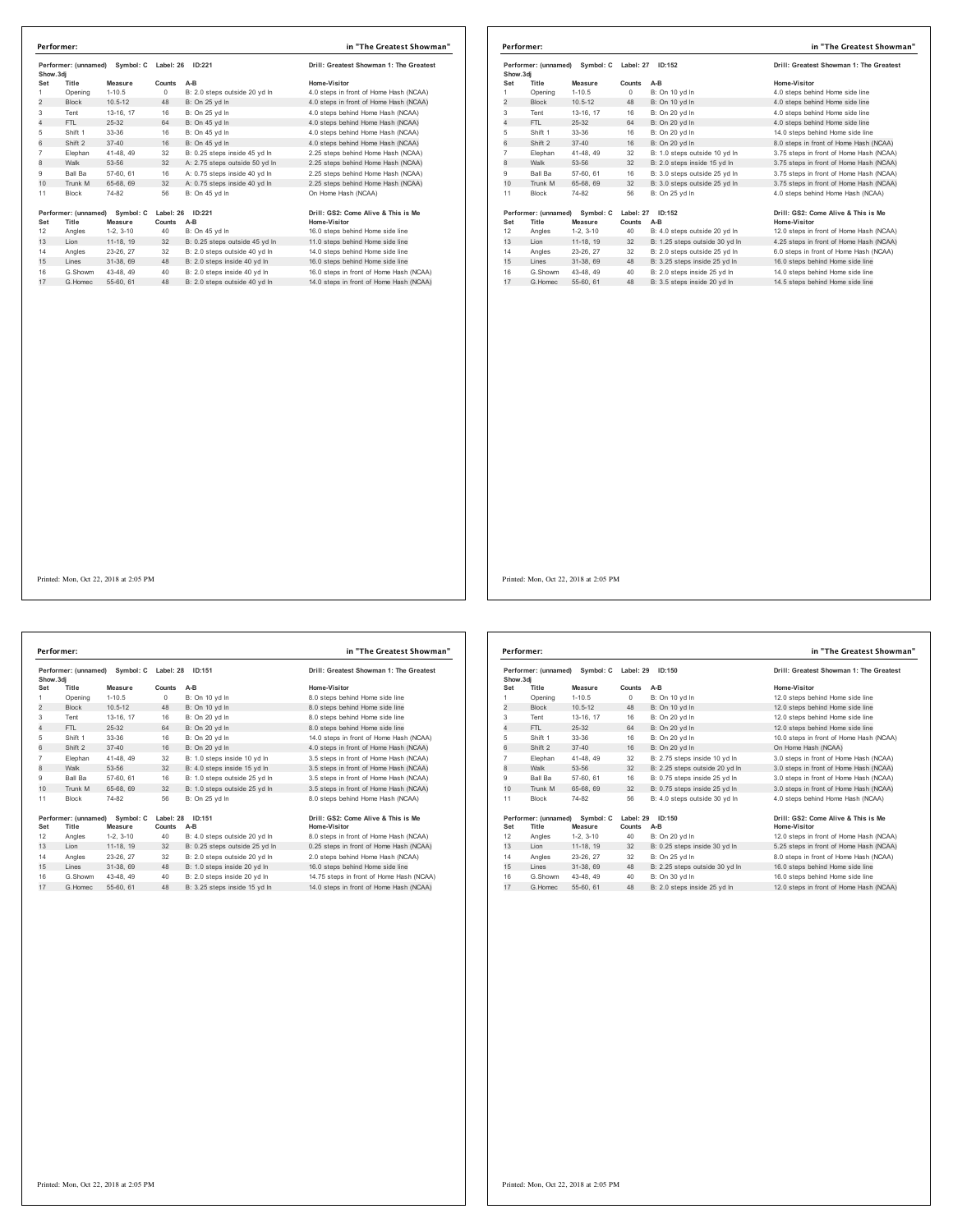| Show.3di       | Performer: (unnamed)          | Symbol: C            | Label: 26 | ID:221                         | Drill: Greatest Showman 1: The Greatest             |
|----------------|-------------------------------|----------------------|-----------|--------------------------------|-----------------------------------------------------|
| Set            | Title                         | Measure              | Counts    | $A-B$                          | Home-Visitor                                        |
| 1              | Opening                       | $1 - 10.5$           | 0         | B: 2.0 steps outside 20 yd In  | 4.0 steps in front of Home Hash (NCAA)              |
| $\overline{2}$ | <b>Block</b>                  | $10.5 - 12$          | 48        | B: On 25 yd In                 | 4.0 steps in front of Home Hash (NCAA)              |
| 3              | Tent                          | 13-16, 17            | 16        | B: On 25 yd In                 | 4.0 steps behind Home Hash (NCAA)                   |
| 4              | FTI.                          | 25-32                | 64        | B: On 45 vd In                 | 4.0 steps behind Home Hash (NCAA)                   |
| 5              | Shift 1                       | 33-36                | 16        | B: On 45 vd In                 | 4.0 steps behind Home Hash (NCAA)                   |
| 6              | Shift 2                       | $37 - 40$            | 16        | B: On 45 vd In                 | 4.0 steps behind Home Hash (NCAA)                   |
| $\overline{7}$ | Elephan                       | 41-48.49             | 32        | B: 0.25 steps inside 45 yd In  | 2.25 steps behind Home Hash (NCAA)                  |
| 8              | Walk                          | 53-56                | 32        | A: 2.75 steps outside 50 yd In | 2.25 steps behind Home Hash (NCAA)                  |
| 9              | Ball Ba                       | 57-60, 61            | 16        | A: 0.75 steps inside 40 vd In  | 2.25 steps behind Home Hash (NCAA)                  |
| 10             | Trunk M                       | 65-68, 69            | 32        | A: 0.75 steps inside 40 yd In  | 2.25 steps behind Home Hash (NCAA)                  |
| 11             | <b>Block</b>                  | 74-82                | 56        | B: On 45 yd In                 | On Home Hash (NCAA)                                 |
| Set            | Performer: (unnamed)<br>Title | Symbol: C<br>Measure | Counts    | Label: 26 ID:221<br>$A-B$      | Drill: GS2: Come Alive & This is Me<br>Home-Visitor |
| 12             | Angles                        | $1-2.3-10$           | 40        | B: On 45 vd In                 | 16.0 steps behind Home side line                    |
| 13             | Lion                          | 11-18, 19            | 32        | B: 0.25 steps outside 45 yd In | 11.0 steps behind Home side line                    |
| 14             | Angles                        | 23-26.27             | 32        | B: 2.0 steps outside 40 vd In  | 14.0 steps behind Home side line                    |
| 15             | Lines                         | 31-38, 69            | 48        | B: 2.0 steps inside 40 yd In   | 16.0 steps behind Home side line                    |
| 16             | G.Showm                       | 43-48, 49            | 40        | B: 2.0 steps inside 40 yd In   | 16.0 steps in front of Home Hash (NCAA)             |
| 17             | G Homec                       | 55-60, 61            | 48        | B: 2.0 steps outside 40 vd In  | 14.0 steps in front of Home Hash (NCAA)             |

| Performer: (unnamed) Symbol: C<br>Show, 3di |                               | Label: 27            | ID:152              | Drill: Greatest Showman 1: The Greatest |                                                     |
|---------------------------------------------|-------------------------------|----------------------|---------------------|-----------------------------------------|-----------------------------------------------------|
| Set                                         | Title                         | Measure              | Counts              | $A-B$                                   | Home-Visitor                                        |
|                                             | Opening                       | $1 - 10.5$           | $\circ$             | B: On 10 yd In                          | 4.0 steps behind Home side line                     |
| $\overline{2}$                              | <b>Block</b>                  | $10.5 - 12$          | 48                  | B: On 10 yd In                          | 4.0 steps behind Home side line                     |
| 3                                           | Tent                          | 13-16, 17            | 16                  | B: On 20 yd In                          | 4.0 steps behind Home side line                     |
| 4                                           | FTL.                          | $25-32$              | 64                  | B: On 20 vd In                          | 4.0 steps behind Home side line                     |
| 5                                           | Shift 1                       | 33-36                | 16                  | B: On 20 yd In                          | 14.0 steps behind Home side line                    |
| 6                                           | Shift 2                       | $37 - 40$            | 16                  | B: On 20 vd In                          | 8.0 steps in front of Home Hash (NCAA)              |
| 7                                           | Elephan                       | 41-48, 49            | 32                  | B: 1.0 steps outside 10 yd In           | 3.75 steps in front of Home Hash (NCAA)             |
| 8                                           | Walk                          | 53-56                | 32                  | B: 2.0 steps inside 15 yd In            | 3.75 steps in front of Home Hash (NCAA)             |
| 9                                           | <b>Ball Ba</b>                | 57-60, 61            | 16                  | B: 3.0 steps outside 25 vd In           | 3.75 steps in front of Home Hash (NCAA)             |
| 10                                          | Trunk M                       | 65-68, 69            | 32                  | B: 3.0 steps outside 25 yd In           | 3.75 steps in front of Home Hash (NCAA)             |
| 11                                          | Block                         | 74-82                | 56                  | B: On 25 yd In                          | 4.0 steps behind Home Hash (NCAA)                   |
| Set                                         | Performer: (unnamed)<br>Title | Symbol: C<br>Measure | Label: 27<br>Counts | ID:152<br>$A-B$                         | Drill: GS2: Come Alive & This is Me<br>Home-Visitor |
| 12                                          | Angles                        | $1-2.3-10$           | 40                  | B: 4.0 steps outside 20 yd In           | 12.0 steps in front of Home Hash (NCAA)             |
| 13                                          | Lion                          | 11-18, 19            | 32                  | B: 1.25 steps outside 30 yd In          | 4.25 steps in front of Home Hash (NCAA)             |
| 14                                          | Angles                        | 23-26, 27            | 32                  | B: 2.0 steps outside 25 vd In           | 6.0 steps in front of Home Hash (NCAA)              |
| 15                                          | Lines                         | 31-38, 69            | 48                  | B: 3.25 steps inside 25 vd In           | 16.0 steps behind Home side line                    |
| 16                                          | G.Showm                       | 43-48, 49            | 40                  | B: 2.0 steps inside 25 vd In            | 14.0 steps behind Home side line                    |
| 17                                          | G. Homec                      | 55-60, 61            | 48                  | B: 3.5 steps inside 20 yd In            | 14.5 steps behind Home side line                    |

**Performer: (unnamed) Symbol: C Label: 28 ID:151 Drill: Greatest Showman 1: The Greatest Show.3dj Set Title Measure Counts A-B Home-Visitor** 1 Opening 1-10.5 0 B: On 10 yd ln 8.0 steps behind Home side line 2 Block 10.5-12 48 B: On 10 yd ln 8.0 steps behind Home side line Tent 13-16, 17 16 B: On 20 yd ln 8.0 steps behind Home side line 4 FTL 25-32 64 B: On 20 yd ln 8.0 steps behind Home side line 5 Shift 1 33-36 16 B: On 20 yd ln 14.0 steps in front of Home Hash (NCAA)<br>6 Shift 2 37-40 16 B: On 20 yd ln 4.0 steps in front of Home Hash (NCAA) Elephan 41-48, 49 32 B: 1.0 steps inside 10 yd ln 3.5 steps in front of Home Hash (NCAA) 8 Walk 53-56 32 B: 4.0 steps inside 15 yd ln 3.5 steps in front of Home Hash (NCAA) 9 Ball Ba 57-60, 61 16 B: 1.0 steps outside 25 yd ln 3.5 steps in front of Home Hash (NCAA) 10  $\frac{3}{10}$  ball ball 31-50, 01  $\frac{10}{10}$  b. 1.0 steps outside 25 yd ln 11 Block 74-82 56 B: On 25 yd In **Performer: (unnamed) Symbol: C Label: 28 ID:151 Drill: GS2: Come Alive & This is Me Set Title Measure Counts A-B Home-Visitor** 12 Angles 1-2, 3-10 40 B: 4.0 steps outside 20 yd ln 8.0 steps in front of Home Hash (NCAA) 13 Lion 11-18, 19 32 B: 0.25 steps outside 25 yd ln 0.25 steps in front of Home Hash (NCAA) Angles 23-26, 27 32 B: 2.0 steps outside 20 yd ln 2.0 steps behind Home Hash (NCAA) 15 Lines 31-38, 69 48 B: 1.0 steps inside 20 yd ln 16.0 steps behind Home side line 16 G.Showm 43-48, 49 40 B: 2.0 steps inside 20 yd In 14.75 steps in front of Home Hash (NCAA)<br>17 G.Homec 55-60, 61 48 B: 3.25 steps inside 15 yd In 14.0 steps in front of Home Hash (NCAA) **Performer: in "The Greatest Showman"**

| Home-Visitor                            |
|-----------------------------------------|
| 8.0 steps behind Home side line         |
| 8.0 steps behind Home side line         |
| 8.0 steps behind Home side line         |
| 8.0 steps behind Home side line         |
| 14.0 steps in front of Home Hash (NCAA) |
| 4.0 steps in front of Home Hash (NCAA)  |
| 3.5 steps in front of Home Hash (NCAA)  |
| 3.5 steps in front of Home Hash (NCAA)  |
| 3.5 steps in front of Home Hash (NCAA)  |
| 3.5 steps in front of Home Hash (NCAA)  |
| 8.0 steps behind Home Hash (NCAA)       |
|                                         |
| Drill: GS2: Come Alive & This is Me     |
| Home-Visitor                            |
|                                         |

| Show, 3di      | Performer: (unnamed) | Symbol: C   | Label: 29 | ID:150                         | Drill: Greatest Showman 1: The Greatest |
|----------------|----------------------|-------------|-----------|--------------------------------|-----------------------------------------|
| Set            | Title                | Measure     | Counts    | $A-B$                          | Home-Visitor                            |
| 1              | Opening              | $1 - 10.5$  | 0         | B: On 10 yd In                 | 12.0 steps behind Home side line        |
| 2              | <b>Block</b>         | $10.5 - 12$ | 48        | B: On 10 yd In                 | 12.0 steps behind Home side line        |
| 3              | Tent                 | 13-16. 17   | 16        | B: On 20 yd In                 | 12.0 steps behind Home side line        |
| 4              | FTI.                 | $25 - 32$   | 64        | B: On 20 vd In                 | 12.0 steps behind Home side line        |
| 5              | Shift 1              | 33-36       | 16        | B: On 20 yd In                 | 10.0 steps in front of Home Hash (NCAA) |
| 6              | Shift 2              | $37 - 40$   | 16        | B: On 20 vd In                 | On Home Hash (NCAA)                     |
| $\overline{7}$ | Elephan              | 41-48.49    | 32        | B: 2.75 steps inside 10 yd In  | 3.0 steps in front of Home Hash (NCAA)  |
| 8              | Walk                 | 53-56       | 32        | B: 2.25 steps outside 20 yd In | 3.0 steps in front of Home Hash (NCAA)  |
| 9              | Ball Ba              | 57-60, 61   | 16        | B: 0.75 steps inside 25 vd In  | 3.0 steps in front of Home Hash (NCAA)  |
| 10             | Trunk M              | 65-68, 69   | 32        | B: 0.75 steps inside 25 yd In  | 3.0 steps in front of Home Hash (NCAA)  |
| 11             | <b>Block</b>         | 74-82       | 56        | B: 4.0 steps outside 30 yd In  | 4.0 steps behind Home Hash (NCAA)       |
|                | Performer: (unnamed) | Symbol: C   | Label: 29 | ID:150                         | Drill: GS2: Come Alive & This is Me     |
| Set            | Title                | Measure     | Counts    | A-B                            | <b>Home-Visitor</b>                     |
| 12             | Angles               | $1-2, 3-10$ | 40        | B: On 20 yd In                 | 12.0 steps in front of Home Hash (NCAA) |
| 13             | Lion                 | 11-18, 19   | 32        | B: 0.25 steps inside 30 yd In  | 5.25 steps in front of Home Hash (NCAA) |
| 14             | Angles               | 23-26.27    | 32        | B: On 25 vd In                 | 8.0 steps in front of Home Hash (NCAA)  |
| 15             | Lines                | 31-38, 69   | 48        | B: 2.25 steps outside 30 yd In | 16.0 steps behind Home side line        |
| 16             | G.Showm              | 43-48.49    | 40        | B: On 30 vd In                 | 16.0 steps behind Home side line        |
| 17             | G Homec              | 55-60, 61   | 48        | B: 2.0 steps inside 25 vd In   | 12.0 steps in front of Home Hash (NCAA) |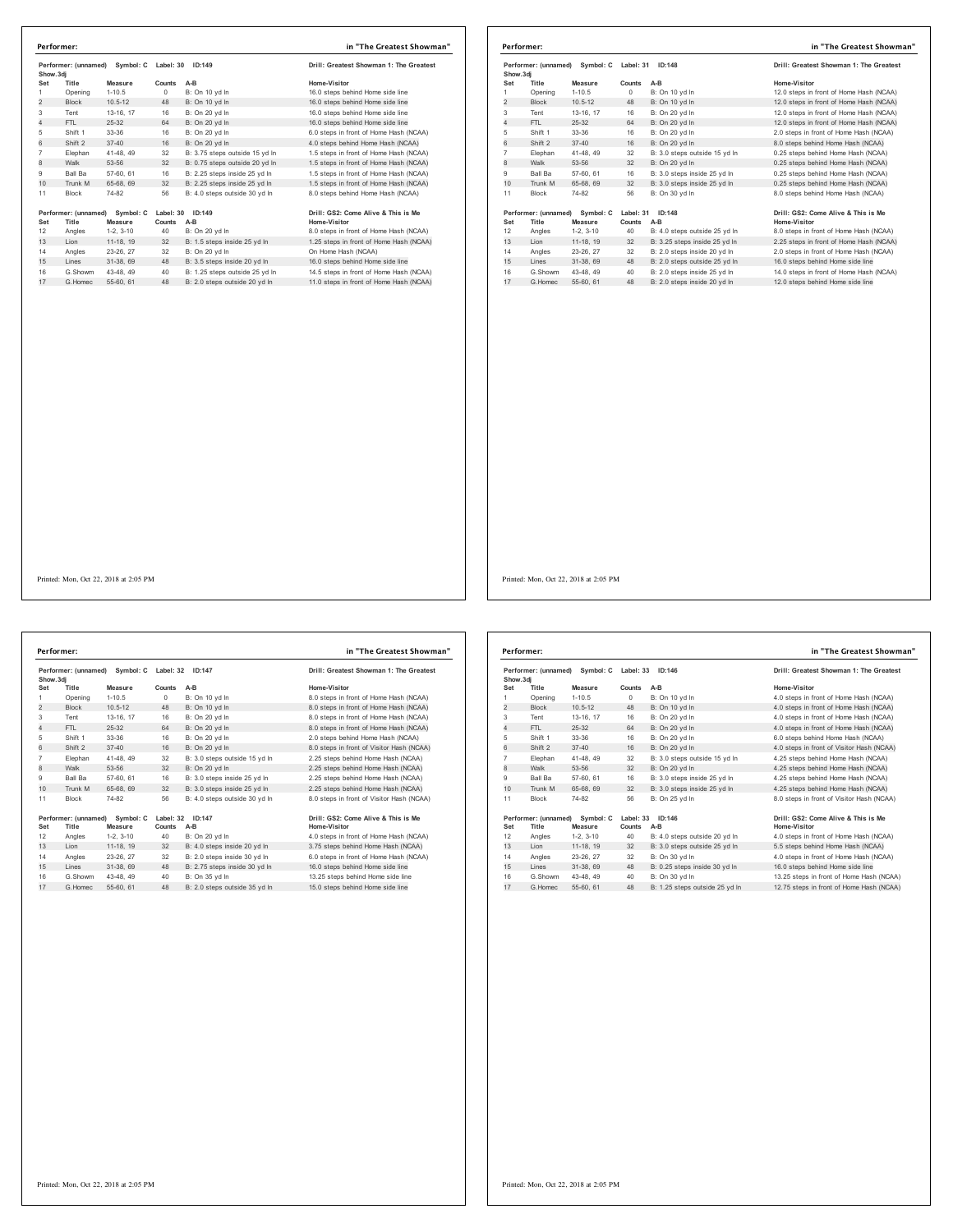| Show.3di       | Performer: (unnamed) | Symbol: C   | Label: 30  | ID:149                         | Drill: Greatest Showman 1: The Greatest |
|----------------|----------------------|-------------|------------|--------------------------------|-----------------------------------------|
| Set            | Title                | Measure     | Counts     | A-B                            | Home-Visitor                            |
| 1              | Opening              | $1 - 10.5$  | $^{\circ}$ | B: On 10 yd In                 | 16.0 steps behind Home side line        |
| $\overline{c}$ | <b>Block</b>         | $10.5 - 12$ | 48         | B: On 10 yd In                 | 16.0 steps behind Home side line        |
| 3              | Tent                 | 13-16, 17   | 16         | B: On 20 yd In                 | 16.0 steps behind Home side line        |
| 4              | FTL                  | $25 - 32$   | 64         | B: On 20 yd In                 | 16.0 steps behind Home side line        |
| 5              | Shift 1              | 33-36       | 16         | B: On 20 vd In                 | 6.0 steps in front of Home Hash (NCAA)  |
| 6              | Shift 2              | $37 - 40$   | 16         | B: On 20 vd In                 | 4.0 steps behind Home Hash (NCAA)       |
| $\overline{7}$ | Elephan              | 41-48.49    | 32         | B: 3.75 steps outside 15 yd In | 1.5 steps in front of Home Hash (NCAA)  |
| 8              | Walk                 | 53-56       | 32         | B: 0.75 steps outside 20 yd In | 1.5 steps in front of Home Hash (NCAA)  |
| 9              | Ball Ba              | 57-60, 61   | 16         | B: 2.25 steps inside 25 vd In  | 1.5 steps in front of Home Hash (NCAA)  |
| 10             | Trunk M              | 65-68, 69   | 32         | B: 2.25 steps inside 25 vd In  | 1.5 steps in front of Home Hash (NCAA)  |
| 11             | <b>Block</b>         | 74-82       | 56         | B: 4.0 steps outside 30 vd In  | 8.0 steps behind Home Hash (NCAA)       |
|                | Performer: (unnamed) | Symbol: C   | Label: 30  | ID:149                         | Drill: GS2: Come Alive & This is Me     |
| Set            | Title                | Measure     | Counts     | A-B                            | Home-Visitor                            |
| 12             | Angles               | $1-2, 3-10$ | 40         | B: On 20 yd In                 | 8.0 steps in front of Home Hash (NCAA)  |
| 13             | Lion                 | 11-18, 19   | 32         | B: 1.5 steps inside 25 yd In   | 1.25 steps in front of Home Hash (NCAA) |
| 14             | Angles               | 23-26, 27   | 32         | B: On 20 vd In                 | On Home Hash (NCAA)                     |
| 15             | Lines                | 31-38, 69   | 48         | B: 3.5 steps inside 20 yd In   | 16.0 steps behind Home side line        |
| 16             | G.Showm              | 43-48, 49   | 40         | B: 1.25 steps outside 25 vd In | 14.5 steps in front of Home Hash (NCAA) |
| 17             | G Homec              | 55-60, 61   | 48         | B: 2.0 steps outside 20 vd In  | 11.0 steps in front of Home Hash (NCAA) |

| Performer: (unnamed)<br>Symbol: C<br>Show, 3di |                                                       |             | Label: 31           | ID:148                        | Drill: Greatest Showman 1: The Greatest             |
|------------------------------------------------|-------------------------------------------------------|-------------|---------------------|-------------------------------|-----------------------------------------------------|
| Set                                            | Title                                                 | Measure     | Counts              | $A-B$                         | Home-Visitor                                        |
| 1                                              | Opening                                               | $1 - 10.5$  | 0                   | B: On 10 yd In                | 12.0 steps in front of Home Hash (NCAA)             |
| $\overline{2}$                                 | <b>Block</b>                                          | $10.5 - 12$ | 48                  | <b>B:</b> On 10 yd In         | 12.0 steps in front of Home Hash (NCAA)             |
| 3                                              | Tent                                                  | 13-16, 17   | 16                  | B: On 20 yd In                | 12.0 steps in front of Home Hash (NCAA)             |
| 4                                              | FTL.                                                  | $25-32$     | 64                  | B: On 20 vd In                | 12.0 steps in front of Home Hash (NCAA)             |
| 5                                              | Shift 1                                               | 33-36       | 16                  | B: On 20 yd In                | 2.0 steps in front of Home Hash (NCAA)              |
| 6                                              | Shift 2                                               | $37 - 40$   | 16                  | B: On 20 vd In                | 8.0 steps behind Home Hash (NCAA)                   |
| $\overline{7}$                                 | Elephan                                               | 41-48, 49   | 32                  | B: 3.0 steps outside 15 vd In | 0.25 steps behind Home Hash (NCAA)                  |
| 8                                              | Walk                                                  | 53-56       | 32                  | B: On 20 yd In                | 0.25 steps behind Home Hash (NCAA)                  |
| 9                                              | <b>Ball Ba</b>                                        | 57-60, 61   | 16                  | B: 3.0 steps inside 25 vd In  | 0.25 steps behind Home Hash (NCAA)                  |
| 10                                             | Trunk M                                               | 65-68, 69   | 32                  | B: 3.0 steps inside 25 yd In  | 0.25 steps behind Home Hash (NCAA)                  |
| 11                                             | <b>Block</b>                                          | 74-82       | 56                  | B: On 30 yd In                | 8.0 steps behind Home Hash (NCAA)                   |
| Set                                            | Performer: (unnamed)<br>Symbol: C<br>Title<br>Measure |             | Label: 31<br>Counts | ID:148<br>A-B                 | Drill: GS2: Come Alive & This is Me<br>Home-Visitor |
| 12                                             | Angles                                                | $1-2.3-10$  | 40                  | B: 4.0 steps outside 25 yd In | 8.0 steps in front of Home Hash (NCAA)              |
| 13                                             | Lion                                                  | 11-18, 19   | 32                  | B: 3.25 steps inside 25 yd In | 2.25 steps in front of Home Hash (NCAA)             |
| 14                                             | Angles                                                | 23-26, 27   | 32                  | B: 2.0 steps inside 20 yd In  | 2.0 steps in front of Home Hash (NCAA)              |
| 15                                             | Lines                                                 | 31-38, 69   | 48                  | B: 2.0 steps outside 25 yd In | 16.0 steps behind Home side line                    |
| 16                                             | G.Showm                                               | 43-48, 49   | 40                  | B: 2.0 steps inside 25 vd In  | 14.0 steps in front of Home Hash (NCAA)             |
| 17                                             | G. Homec                                              | 55-60, 61   | 48                  | B: 2.0 steps inside 20 yd In  | 12.0 steps behind Home side line                    |

Performer: (unnamed) Symbol: C Label: 32 ID:147 Drill: Greatest Showman 1: The Greatest<br>Show.3dj Massure Counts A-B Home-Visitor Home-Visitor<br>1 Opening 1-10.5 0 B: On 10 yd in 8.0 steps in front of Home-Hash (NCAA)<br>2 Block Tent 13-16, 17 16 B: On 20 yd ln 8.0 steps in front of Home Hash (NCAA) 4 FTL 25-32 64 B: On 20 yd ln 8.0 steps in front of Home Hash (NCAA) Shift 1 33-36 16 B: On 20 yd ln 2.0 steps behind Home Hash (NCAA) 6 Shift 2 37-40 16 B: On 20 yd ln 8.0 steps in front of Visitor Hash (NCAA) Elephan 41-48, 49 32 B: 3.0 steps outside 15 yd ln 2.25 steps behind Home Hash (NCAA) 8 Walk 53-56 32 B: On 20 yd ln 2.25 steps behind Home Hash (NCAA) 9 Ball Ba 57-60, 61 16 B: 3.0 steps inside 25 yd ln 2.25 steps behind Home Hash (NCAA) 10 Ball Ball 37-66, 61 16 B: 3.0 steps inside 25 yd in<br>10 Trunk M 65-68, 69 32 B: 3.0 steps inside 25 yd ln 11 Block 74-82 56 B: 4.0 steps outside 30 yd In Performer: (unnamed) Symbol: C Label: 32 D:147<br>
Set Title Measure Counts A-B<br>
12 Angles 1-2, 3-10 40 B: On 20 yd in the 4.0 steps in front of Home Hash (NCAA)<br>
13 Lion 11-18, 19 32 B: 4.0 steps inside 20 yd in 3.75 steps b G.Showm 43-48, 49 40 B: On 35 yd ln 13.25 steps behind Home side line 17 G.Homec 55-60, 61 48 B: 2.0 steps outside 35 yd ln 15.0 steps behind Home side line **Performer: in "The Greatest Showman"**

| Drill: Greatest Showman 1: The Greatest   |
|-------------------------------------------|
| Home-Visitor                              |
| 8.0 steps in front of Home Hash (NCAA)    |
| 8.0 steps in front of Home Hash (NCAA)    |
| 8.0 steps in front of Home Hash (NCAA)    |
| 8.0 steps in front of Home Hash (NCAA)    |
| 2.0 steps behind Home Hash (NCAA)         |
| 8.0 steps in front of Visitor Hash (NCAA) |
| 2.25 steps behind Home Hash (NCAA)        |
| 2.25 steps behind Home Hash (NCAA)        |
| 2.25 steps behind Home Hash (NCAA)        |
| 2.25 steps behind Home Hash (NCAA)        |
| 8.0 steps in front of Visitor Hash (NCAA) |
| Drill: GS2: Come Alive & This is Me       |

|                | Performer:           |                                          |              |                                        | in "The Greatest Showman"                              |
|----------------|----------------------|------------------------------------------|--------------|----------------------------------------|--------------------------------------------------------|
| Show, 3di      |                      | Performer: (unnamed) Symbol: C Label: 33 |              | ID:146                                 | Drill: Greatest Showman 1: The Greatest                |
| Set            | Title                | Measure                                  | Counts       | $A-B$                                  | Home-Visitor                                           |
| 1              | Opening              | $1 - 10.5$                               | $\Omega$     | B: On 10 yd In                         | 4.0 steps in front of Home Hash (NCAA)                 |
| $\mathfrak{p}$ | <b>Block</b>         | $10.5 - 12$                              | 48           | B: On 10 yd In                         | 4.0 steps in front of Home Hash (NCAA)                 |
| 3              | Tent                 | 13-16, 17                                | 16           | B: On 20 vd In                         | 4.0 steps in front of Home Hash (NCAA)                 |
| $\overline{4}$ | FTI.                 | 25-32                                    | 64           | B: On 20 vd In                         | 4.0 steps in front of Home Hash (NCAA)                 |
| 5              | Shift 1              | 33-36                                    | 16           | B: On 20 vd In                         | 6.0 steps behind Home Hash (NCAA)                      |
| 6              | Shift 2              | $37 - 40$                                | 16           | B: On 20 vd In                         | 4.0 steps in front of Visitor Hash (NCAA)              |
| $\overline{7}$ | Elephan              | 41-48, 49                                | 32           | B: 3.0 steps outside 15 yd In          | 4.25 steps behind Home Hash (NCAA)                     |
| 8              | Walk                 | 53-56                                    | 32           | B: On 20 yd In                         | 4.25 steps behind Home Hash (NCAA)                     |
| 9              | Ball Ba              | 57-60, 61                                | 16           | B: 3.0 steps inside 25 vd In           | 4.25 steps behind Home Hash (NCAA)                     |
| 10             | Trunk M              | 65-68, 69                                | 32           | B: 3.0 steps inside 25 yd In           | 4.25 steps behind Home Hash (NCAA)                     |
| 11             | <b>Block</b>         | 74-82                                    | 56           | B: On 25 vd In                         | 8.0 steps in front of Visitor Hash (NCAA)              |
|                | Performer: (unnamed) | Symbol: C                                | Label: 33    | ID:146                                 | Drill: GS2: Come Alive & This is Me                    |
| Set<br>12      | Title                | Measure<br>$1-2.3-10$                    | Counts<br>40 | $A-B$<br>B: 4.0 steps outside 20 vd In | Home-Visitor<br>4.0 steps in front of Home Hash (NCAA) |
| 13             | Angles<br>I ion      | 11-18. 19                                | 32           |                                        |                                                        |
|                |                      |                                          |              | B: 3.0 steps outside 25 yd In          | 5.5 steps behind Home Hash (NCAA)                      |
| 14             | Angles               | 23-26, 27                                | 32           | B: On 30 vd In                         | 4.0 steps in front of Home Hash (NCAA)                 |
| 15             | I ines               | 31-38, 69                                | 48           | B: 0.25 steps inside 30 yd In          | 16.0 steps behind Home side line                       |
| 16             | G Showm              | 43-48.49                                 | 40           | B: On 30 vd In                         | 13.25 steps in front of Home Hash (NCAA)               |
| 17             | G. Homec             | 55-60, 61                                | 48           | B: 1.25 steps outside 25 yd In         | 12.75 steps in front of Home Hash (NCAA)               |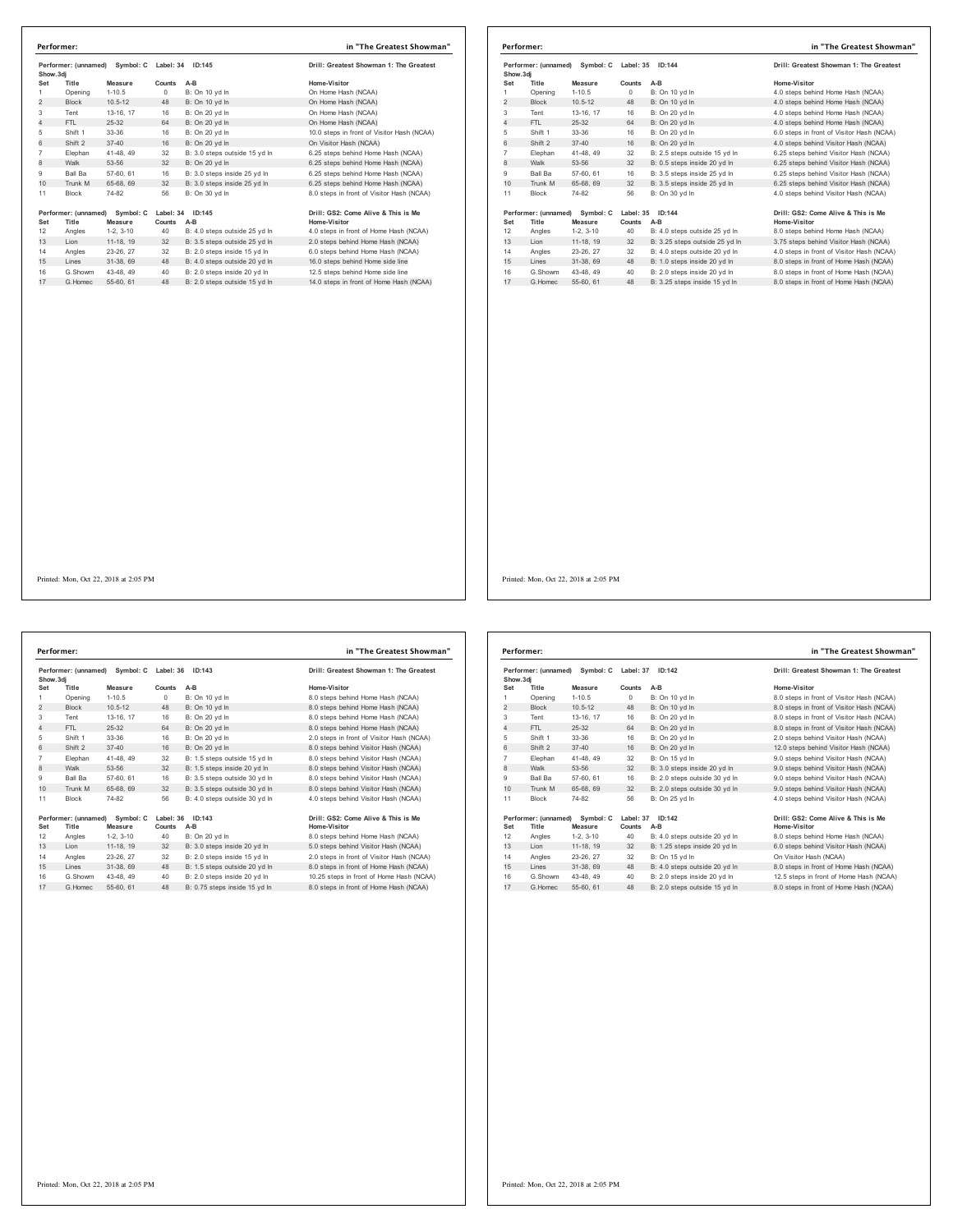| Show.3di       | Performer: (unnamed)          | Symbol: C            | Label: 34           | ID:145                        | Drill: Greatest Showman 1: The Greatest             |
|----------------|-------------------------------|----------------------|---------------------|-------------------------------|-----------------------------------------------------|
| Set            | Title                         | Measure              | Counts              | $A-B$                         | Home-Visitor                                        |
| 1              | Opening                       | $1 - 10.5$           | 0                   | B: On 10 vd In                | On Home Hash (NCAA)                                 |
| $\overline{2}$ | <b>Block</b>                  | $10.5 - 12$          | 48                  | B: On 10 vd In                | On Home Hash (NCAA)                                 |
| 3              | Tent                          | 13-16, 17            | 16                  | B: On 20 yd In                | On Home Hash (NCAA)                                 |
| 4              | FTI.                          | 25-32                | 64                  | B: On 20 vd In                | On Home Hash (NCAA)                                 |
| 5              | Shift 1                       | 33-36                | 16                  | B: On 20 vd In                | 10.0 steps in front of Visitor Hash (NCAA)          |
| 6              | Shift 2                       | $37 - 40$            | 16                  | B: On 20 vd In                | On Visitor Hash (NCAA)                              |
| $\overline{7}$ | Elephan                       | 41-48, 49            | 32                  | B: 3.0 steps outside 15 yd In | 6.25 steps behind Home Hash (NCAA)                  |
| 8              | Walk                          | 53-56                | 32                  | B: On 20 yd In                | 6.25 steps behind Home Hash (NCAA)                  |
| 9              | Ball Ba                       | 57-60, 61            | 16                  | B: 3.0 steps inside 25 yd In  | 6.25 steps behind Home Hash (NCAA)                  |
| 10             | Trunk M                       | 65-68, 69            | 32                  | B: 3.0 steps inside 25 yd In  | 6.25 steps behind Home Hash (NCAA)                  |
| 11             | <b>Block</b>                  | 74-82                | 56                  | B: On 30 vd In                | 8.0 steps in front of Visitor Hash (NCAA)           |
| Set            | Performer: (unnamed)<br>Title | Symbol: C<br>Measure | Label: 34<br>Counts | ID:145<br>A-B                 | Drill: GS2: Come Alive & This is Me<br>Home-Visitor |
| 12             | Angles                        | $1-2, 3-10$          | 40                  | B: 4.0 steps outside 25 yd In | 4.0 steps in front of Home Hash (NCAA)              |
| 13             | Lion                          | 11-18, 19            | 32                  | B: 3.5 steps outside 25 yd In | 2.0 steps behind Home Hash (NCAA)                   |
| 14             | Angles                        | 23-26, 27            | 32                  | B: 2.0 steps inside 15 vd In  | 6.0 steps behind Home Hash (NCAA)                   |
| 15             | Lines                         | 31-38.69             | 48                  | B: 4.0 steps outside 20 yd In | 16.0 steps behind Home side line                    |
| 16             | G.Showm                       | 43-48.49             | 40                  | B: 2.0 steps inside 20 yd In  | 12.5 steps behind Home side line                    |
| 17             | G Homec                       | 55-60, 61            | 48                  | B: 2.0 steps outside 15 vd In | 14.0 steps in front of Home Hash (NCAA)             |

|                                             | Performer:                    |                      |           |                                | in "The Greatest Showman"                           |
|---------------------------------------------|-------------------------------|----------------------|-----------|--------------------------------|-----------------------------------------------------|
| Performer: (unnamed) Symbol: C<br>Show, 3di |                               |                      | Label: 35 | ID: 144                        | Drill: Greatest Showman 1: The Greatest             |
| Set                                         | Title                         | Measure              | Counts    | $A-B$                          | Home-Visitor                                        |
| 1                                           | Opening                       | $1 - 10.5$           | $\circ$   | B: On 10 yd In                 | 4.0 steps behind Home Hash (NCAA)                   |
| $\overline{2}$                              | <b>Block</b>                  | $10.5 - 12$          | 48        | B: On 10 yd In                 | 4.0 steps behind Home Hash (NCAA)                   |
| 3                                           | Tent                          | 13-16, 17            | 16        | B: On 20 yd In                 | 4.0 steps behind Home Hash (NCAA)                   |
| 4                                           | FTL.                          | $25-32$              | 64        | B: On 20 vd In                 | 4.0 steps behind Home Hash (NCAA)                   |
| 5                                           | Shift 1                       | 33-36                | 16        | B: On 20 yd In                 | 6.0 steps in front of Visitor Hash (NCAA)           |
| 6                                           | Shift 2                       | $37 - 40$            | 16        | B: On 20 vd In                 | 4.0 steps behind Visitor Hash (NCAA)                |
| 7                                           | Elephan                       | 41-48, 49            | 32        | B: 2.5 steps outside 15 yd In  | 6.25 steps behind Visitor Hash (NCAA)               |
| 8                                           | Walk                          | 53-56                | 32        | B: 0.5 steps inside 20 yd In   | 6.25 steps behind Visitor Hash (NCAA)               |
| 9                                           | <b>Ball Ba</b>                | 57-60, 61            | 16        | B: 3.5 steps inside 25 vd In   | 6.25 steps behind Visitor Hash (NCAA)               |
| 10                                          | Trunk M                       | 65-68, 69            | 32        | B: 3.5 steps inside 25 yd In   | 6.25 steps behind Visitor Hash (NCAA)               |
| 11                                          | Block                         | 74-82                | 56        | B: On 30 vd In                 | 4.0 steps behind Visitor Hash (NCAA)                |
| Set                                         | Performer: (unnamed)<br>Title | Symbol: C<br>Measure | Counts    | Label: 35 ID:144<br>$A-B$      | Drill: GS2: Come Alive & This is Me<br>Home-Visitor |
| 12                                          | Angles                        | $1-2.3-10$           | 40        | B: 4.0 steps outside 25 vd In  | 8.0 steps behind Home Hash (NCAA)                   |
| 13                                          | Lion                          | 11-18, 19            | 32        | B: 3.25 steps outside 25 yd In | 3.75 steps behind Visitor Hash (NCAA)               |
| 14                                          | Angles                        | 23-26, 27            | 32        | B: 4.0 steps outside 20 yd In  | 4.0 steps in front of Visitor Hash (NCAA)           |
| 15                                          | Lines                         | 31-38, 69            | 48        | B: 1.0 steps inside 20 yd In   | 8.0 steps in front of Home Hash (NCAA)              |
| 16                                          | G.Showm                       | 43-48, 49            | 40        | B: 2.0 steps inside 20 yd In   | 8.0 steps in front of Home Hash (NCAA)              |
| 17                                          | G. Homec                      | 55-60, 61            | 48        | B: 3.25 steps inside 15 yd In  | 8.0 steps in front of Home Hash (NCAA)              |

**Performer: (unnamed) Symbol: C Label: 36 ID:143 Drill: Greatest Showman 1: The Greatest Show.3dj Set Title Measure Counts A-B Home-Visitor** 1 Opening 1-10.5 0 B: On 10 yd ln 8.0 steps behind Home Hash (NCAA)<br>2 Block 10.5-12 48 B: On 10 yd ln 8.0 steps behind Home Hash (NCAA) Tent 13-16, 17 16 B: On 20 yd ln 8.0 steps behind Home Hash (NCAA) 4 FTL 25-32 64 B: On 20 yd ln 8.0 steps behind Home Hash (NCAA) Shift 1 33-36 16 B: On 20 yd ln 2.0 steps in front of Visitor Hash (NCAA) 6 Shift 2 37-40 16 B: On 20 yd ln 8.0 steps behind Visitor Hash (NCAA) 7 Elephan 41-48, 49 32 B: 1.5 steps outside 15 yd In 8. 0 steps behind Visitor Hash (NCAA)<br>8 Walk 53-56 32 B: 1.5 steps inside 20 yd In 8. 0 steps behind Visitor Hash (NCAA)<br>9 Ball Ba 57-60, 61 16 10 Trunk M 65-68, 69 32 B: 3.5 steps outside 30 yd ln 8.0 steps behind Visitor Hash (NCAA) Block 74-82 56 B: 4.0 steps outside 30 yd ln 4.0 steps behind Visitor Hash (NCAA) 1997 (Same Alive & Thill: Gacher Stephen Mercedes 1997 (111: Same Alive & This is Mone Alive & This is Mone A<br>12 Angles 1-2, 3-10 40 B: On 20 yd In B. Olisteys behind Home Hash (NCAA)<br>12 Angles 1-1-8, 19 32 B: 3.0 steps in 14 Angles 20-20, 21 02 B. 2.0 steps inside 10 yd in 2.0 steps in front of Visitor hash (NCAA)<br>15 Lines 31-38, 69 48 B: 1.5 steps outside 20 yd in 8.0 steps in front of Home Hash (NCAA) G.Showm 43-48, 49 40 B: 2.0 steps inside 20 yd ln 10.25 steps in front of Home Hash (NCAA) 17 G.Homec 55-60, 61 48 B: 0.75 steps inside 15 yd ln 8.0 steps in front of Home Hash (NCAA) **Performer: in "The Greatest Showman"**

| Show, 3di      | Performer: (unnamed) | Symbol: C   | Label: 37 | ID:142                        | Drill: Greatest Showman 1: The Greatest   |
|----------------|----------------------|-------------|-----------|-------------------------------|-------------------------------------------|
| Set            | Title                | Measure     | Counts    | $A-B$                         | Home-Visitor                              |
| 1              | Opening              | $1 - 10.5$  | $\Omega$  | B: On 10 yd In                | 8.0 steps in front of Visitor Hash (NCAA) |
| $\overline{2}$ | <b>Block</b>         | $10.5 - 12$ | 48        | B: On 10 yd In                | 8.0 steps in front of Visitor Hash (NCAA) |
| 3              | Tent                 | 13-16, 17   | 16        | B: On 20 vd In                | 8.0 steps in front of Visitor Hash (NCAA) |
| 4              | FTI.                 | $25 - 32$   | 64        | B: On 20 vd In                | 8.0 steps in front of Visitor Hash (NCAA) |
| 5              | Shift 1              | 33-36       | 16        | B: On 20 yd In                | 2.0 steps behind Visitor Hash (NCAA)      |
| 6              | Shift 2              | $37 - 40$   | 16        | B: On 20 yd In                | 12.0 steps behind Visitor Hash (NCAA)     |
| $\overline{7}$ | Elephan              | 41-48, 49   | 32        | B: On 15 yd In                | 9.0 steps behind Visitor Hash (NCAA)      |
| 8              | Walk                 | 53-56       | 32        | B: 3.0 steps inside 20 yd In  | 9.0 steps behind Visitor Hash (NCAA)      |
| 9              | <b>Ball Ba</b>       | 57-60, 61   | 16        | B: 2.0 steps outside 30 vd In | 9.0 steps behind Visitor Hash (NCAA)      |
| 10             | Trunk M              | 65-68, 69   | 32        | B: 2.0 steps outside 30 yd In | 9.0 steps behind Visitor Hash (NCAA)      |
| 11             | <b>Block</b>         | 74-82       | 56        | B: On 25 yd In                | 4.0 steps behind Visitor Hash (NCAA)      |
|                | Performer: (unnamed) | Symbol: C   | Label: 37 | ID:142                        | Drill: GS2: Come Alive & This is Me       |
| Set            | Title                | Measure     | Counts    | $A-B$                         | Home-Visitor                              |
| 12             | Angles               | $1-2.3-10$  | 40        | B: 4.0 steps outside 20 yd In | 8.0 steps behind Home Hash (NCAA)         |
| 13             | I ion                | 11-18, 19   | 32        | B: 1.25 steps inside 20 yd In | 6.0 steps behind Visitor Hash (NCAA)      |
| 14             | Angles               | 23-26, 27   | 32        | B: On 15 vd In                | On Visitor Hash (NCAA)                    |
| 15             | Lines                | 31-38, 69   | 48        | B: 4.0 steps outside 20 yd In | 8.0 steps in front of Home Hash (NCAA)    |
| 16             | G Showm              | 43-48, 49   | 40        | B: 2.0 steps inside 20 vd In  | 12.5 steps in front of Home Hash (NCAA)   |
| 17             | G. Homec             | 55-60, 61   | 48        | B: 2.0 steps outside 15 yd In | 8.0 steps in front of Home Hash (NCAA)    |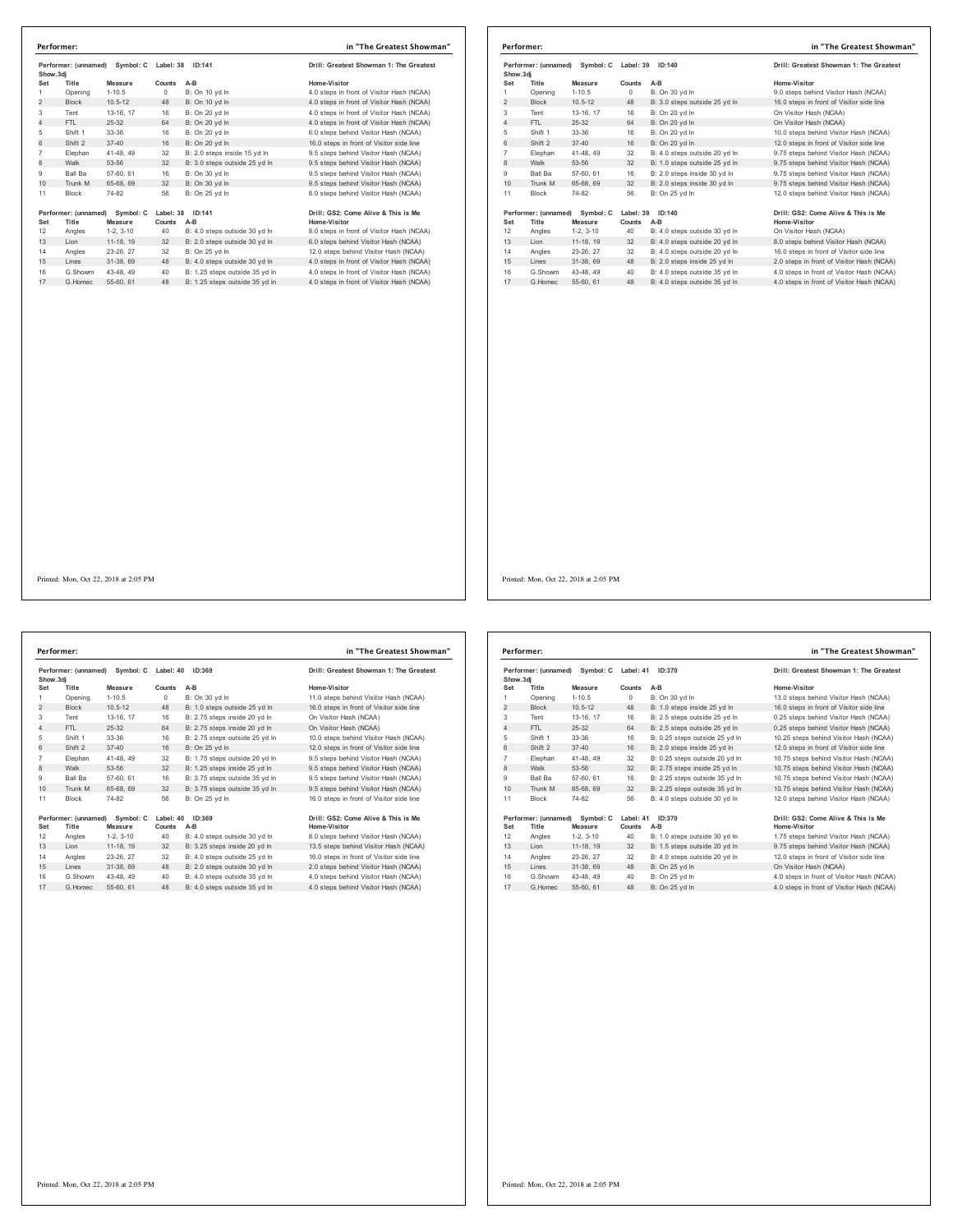| Show.3dj       | Performer: (unnamed) | Symbol: C   | Label: 38 | ID:141                         | Drill: Greatest Showman 1: The Greatest   |
|----------------|----------------------|-------------|-----------|--------------------------------|-------------------------------------------|
| Set            | Title                | Measure     | Counts    | A-B                            | Home-Visitor                              |
| 1              | Opening              | $1 - 10.5$  | 0         | B: On 10 yd In                 | 4.0 steps in front of Visitor Hash (NCAA) |
| $\overline{2}$ | <b>Block</b>         | $10.5 - 12$ | 48        | B: On 10 yd In                 | 4.0 steps in front of Visitor Hash (NCAA) |
| 3              | Tent                 | 13-16, 17   | 16        | B: On 20 yd In                 | 4.0 steps in front of Visitor Hash (NCAA) |
| $\overline{4}$ | FTL                  | $25 - 32$   | 64        | B: On 20 yd In                 | 4.0 steps in front of Visitor Hash (NCAA) |
| 5              | Shift 1              | 33-36       | 16        | B: On 20 yd In                 | 6.0 steps behind Visitor Hash (NCAA)      |
| 6              | Shift 2              | $37 - 40$   | 16        | B: On 20 vd In                 | 16.0 steps in front of Visitor side line  |
| $\overline{7}$ | Elephan              | 41-48, 49   | 32        | B: 2.0 steps inside 15 vd In   | 9.5 steps behind Visitor Hash (NCAA)      |
| 8              | Walk                 | 53-56       | 32        | B: 3.0 steps outside 25 yd In  | 9.5 steps behind Visitor Hash (NCAA)      |
| 9              | Ball Ba              | 57-60, 61   | 16        | B: On 30 vd In                 | 9.5 steps behind Visitor Hash (NCAA)      |
| 10             | Trunk M              | 65-68, 69   | 32        | B: On 30 yd In                 | 9.5 steps behind Visitor Hash (NCAA)      |
| 11             | <b>Block</b>         | 74-82       | 56        | B: On 25 yd In                 | 8.0 steps behind Visitor Hash (NCAA)      |
|                |                      | Symbol: C   |           | Label: 38 ID:141               | Drill: GS2: Come Alive & This is Me       |
|                | Performer: (unnamed) |             |           |                                |                                           |
| Set            | Title                | Measure     | Counts    | A-B                            | Home-Visitor                              |
| 12             | Angles               | $1-2, 3-10$ | 40        | B: 4.0 steps outside 30 yd In  | 8.0 steps in front of Visitor Hash (NCAA) |
| 13             | Lion                 | 11-18, 19   | 32        | B: 2.0 steps outside 30 yd In  | 6.0 steps behind Visitor Hash (NCAA)      |
| 14             | Angles               | 23-26, 27   | 32        | B: On 25 yd In                 | 12.0 steps behind Visitor Hash (NCAA)     |
| 15             | Lines                | 31-38, 69   | 48        | B: 4.0 steps outside 30 yd In  | 4.0 steps in front of Visitor Hash (NCAA) |
| 16             | G.Showm              | 43-48, 49   | 40        | B: 1.25 steps outside 35 yd In | 4.0 steps in front of Visitor Hash (NCAA) |

| Performer: (unnamed) Symbol: C<br>Show, 3di |                                | Label: 39   | ID:140    | Drill: Greatest Showman 1: The Greatest |                                           |
|---------------------------------------------|--------------------------------|-------------|-----------|-----------------------------------------|-------------------------------------------|
|                                             |                                |             |           |                                         |                                           |
| Set                                         | Title                          | Measure     | Counts    | $A-B$                                   | Home-Visitor                              |
| 1                                           | Opening                        | $1 - 10.5$  | $\Omega$  | B: On 30 yd In                          | 9.0 steps behind Visitor Hash (NCAA)      |
| $\overline{2}$                              | <b>Block</b>                   | $10.5 - 12$ | 48        | B: 3.0 steps outside 25 yd In           | 16.0 steps in front of Visitor side line  |
| 3                                           | Tent                           | 13-16, 17   | 16        | B: On 20 yd In                          | On Visitor Hash (NCAA)                    |
| $\overline{4}$                              | FTI.                           | $25-32$     | 64        | B: On 20 vd In                          | On Visitor Hash (NCAA)                    |
| 5                                           | Shift 1                        | 33-36       | 16        | B: On 20 yd In                          | 10.0 steps behind Visitor Hash (NCAA)     |
| 6                                           | Shift 2                        | $37 - 40$   | 16        | B: On 20 vd In                          | 12.0 steps in front of Visitor side line  |
| 7                                           | Elephan                        | 41-48, 49   | 32        | B: 4.0 steps outside 20 yd In           | 9.75 steps behind Visitor Hash (NCAA)     |
| 8                                           | Walk                           | 53-56       | 32        | B: 1.0 steps outside 25 yd In           | 9.75 steps behind Visitor Hash (NCAA)     |
| 9                                           | Ball Ba                        | 57-60, 61   | 16        | B: 2.0 steps inside 30 vd In            | 9.75 steps behind Visitor Hash (NCAA)     |
| 10                                          | Trunk M                        | 65-68, 69   | 32        | B: 2.0 steps inside 30 yd In            | 9.75 steps behind Visitor Hash (NCAA)     |
| 11                                          | <b>Block</b>                   | 74-82       | 56        | B: On 25 vd In                          | 12.0 steps behind Visitor Hash (NCAA)     |
|                                             | Performer: (unnamed) Symbol: C |             | Label: 39 | ID:140                                  | Drill: GS2: Come Alive & This is Me       |
| Set                                         | Title                          | Measure     | Counts    | A-B                                     | <b>Home-Visitor</b>                       |
| 12                                          | Angles                         | $1-2, 3-10$ | 40        | B: 4.0 steps outside 30 yd In           | On Visitor Hash (NCAA)                    |
| 13                                          | Lion                           | 11-18, 19   | 32        | B: 4.0 steps outside 20 yd In           | 8.0 steps behind Visitor Hash (NCAA)      |
| 14                                          | Angles                         | 23-26, 27   | 32        | B: 4.0 steps outside 20 vd In           | 16.0 steps in front of Visitor side line  |
| 15                                          | Lines                          | 31-38, 69   | 48        | B: 2.0 steps inside 25 yd In            | 2.0 steps in front of Visitor Hash (NCAA) |
| 16                                          | G.Showm                        | 43-48, 49   | 40        | B: 4.0 steps outside 35 vd In           | 4.0 steps in front of Visitor Hash (NCAA) |
| 17                                          | G. Homec                       | 55-60, 61   | 48        | B: 4.0 steps outside 35 vd In           | 4.0 steps in front of Visitor Hash (NCAA) |

| Show.3di       | Performer: (unnamed) | Symbol: C   | Label: 40  | ID:369                         | Drill: Greatest Showman 1: The Greatest  |
|----------------|----------------------|-------------|------------|--------------------------------|------------------------------------------|
| Set            | Title                | Measure     | Counts     | $A-B$                          | Home-Visitor                             |
| 1              | Opening              | $1 - 10.5$  | $^{\circ}$ | B: On 30 vd In                 | 11.0 steps behind Visitor Hash (NCAA)    |
| $\overline{2}$ | <b>Block</b>         | $10.5 - 12$ | 48         | B: 1.0 steps outside 25 yd In  | 16.0 steps in front of Visitor side line |
| 3              | Tent                 | 13-16, 17   | 16         | B: 2.75 steps inside 20 vd In  | On Visitor Hash (NCAA)                   |
| $\overline{4}$ | FTL                  | $25 - 32$   | 64         | B: 2.75 steps inside 20 yd In  | On Visitor Hash (NCAA)                   |
| 5              | Shift 1              | 33-36       | 16         | B: 2.75 steps outside 25 yd In | 10.0 steps behind Visitor Hash (NCAA)    |
| 6              | Shift 2              | $37 - 40$   | 16         | B: On 25 vd In                 | 12.0 steps in front of Visitor side line |
| $\overline{7}$ | Elephan              | 41-48.49    | 32         | B: 1.75 steps outside 20 yd In | 9.5 steps behind Visitor Hash (NCAA)     |
| 8              | Walk                 | 53-56       | 32         | B: 1.25 steps inside 25 yd In  | 9.5 steps behind Visitor Hash (NCAA)     |
| 9              | Ball Ba              | 57-60, 61   | 16         | B: 3.75 steps outside 35 yd In | 9.5 steps behind Visitor Hash (NCAA)     |
| 10             | Trunk M              | 65-68, 69   | 32         | B: 3.75 steps outside 35 yd In | 9.5 steps behind Visitor Hash (NCAA)     |
| 11             | <b>Block</b>         | 74-82       | 56         | B: On 25 vd In                 | 16.0 steps in front of Visitor side line |
|                | Performer: (unnamed) | Symbol: C   | Label: 40  | ID:369                         | Drill: GS2: Come Alive & This is Me      |
| Set            | Title                | Measure     | Counts     | $A-B$                          | Home-Visitor                             |
| 12             | Angles               | $1-2.3-10$  | 40         | B: 4.0 steps outside 30 yd In  | 8.0 steps behind Visitor Hash (NCAA)     |
| 13             | Lion                 | 11-18, 19   | 32         | B: 3.25 steps inside 20 yd In  | 13.5 steps behind Visitor Hash (NCAA)    |
| 14             | Angles               | 23-26, 27   | 32         | B: 4.0 steps outside 25 vd In  | 16.0 steps in front of Visitor side line |
| 15             | I ines               | 31-38, 69   | 48         | B: 2.0 steps outside 30 yd In  | 2.0 steps behind Visitor Hash (NCAA)     |
| 16             | G Showm              | 43-48, 49   | 40         | B: 4.0 steps outside 35 vd In  | 4.0 steps behind Visitor Hash (NCAA)     |
| 17             | G Homec              | 55-60, 61   | 48         | B: 4.0 steps outside 35 yd In  | 4.0 steps behind Visitor Hash (NCAA)     |

| Show, 3di      | Performer: (unnamed)          | Symbol: C            | Label: 41           | ID:370                         | Drill: Greatest Showman 1: The Greatest             |
|----------------|-------------------------------|----------------------|---------------------|--------------------------------|-----------------------------------------------------|
| Set            | Title                         | Measure              | Counts              | $A-B$                          | Home-Visitor                                        |
| 1              | Opening                       | $1 - 10.5$           | $\Omega$            | B: On 30 yd In                 | 13.0 steps behind Visitor Hash (NCAA)               |
| $\overline{2}$ | <b>Block</b>                  | $10.5 - 12$          | 48                  | B: 1.0 steps inside 25 yd In   | 16.0 steps in front of Visitor side line            |
| 3              | Tent                          | 13-16. 17            | 16                  | B: 2.5 steps outside 25 yd In  | 0.25 steps behind Visitor Hash (NCAA)               |
| $\overline{4}$ | FTI.                          | 25-32                | 64                  | B: 2.5 steps outside 25 vd In  | 0.25 steps behind Visitor Hash (NCAA)               |
| 5              | Shift 1                       | 33-36                | 16                  | B: 0.25 steps outside 25 yd In | 10.25 steps behind Visitor Hash (NCAA)              |
| 6              | Shift 2                       | $37 - 40$            | 16                  | B: 2.0 steps inside 25 yd In   | 12.0 steps in front of Visitor side line            |
| $\overline{7}$ | Elephan                       | 41-48.49             | 32                  | B: 0.25 steps outside 20 vd In | 10.75 steps behind Visitor Hash (NCAA)              |
| 8              | Walk                          | 53-56                | 32                  | B: 2.75 steps inside 25 yd In  | 10.75 steps behind Visitor Hash (NCAA)              |
| 9              | Ball Ba                       | 57-60, 61            | 16                  | B: 2.25 steps outside 35 vd In | 10.75 steps behind Visitor Hash (NCAA)              |
| 10             | Trunk M                       | 65-68, 69            | 32                  | B: 2.25 steps outside 35 yd In | 10.75 steps behind Visitor Hash (NCAA)              |
| 11             | <b>Block</b>                  | 74-82                | 56                  | B: 4.0 steps outside 30 vd In  | 12.0 steps behind Visitor Hash (NCAA)               |
| Set            | Performer: (unnamed)<br>Title | Symbol: C<br>Measure | Label: 41<br>Counts | ID:370<br>A-B                  | Drill: GS2: Come Alive & This is Me<br>Home-Visitor |
| 12             | Angles                        | $1-2.3-10$           | 40                  | B: 1.0 steps outside 30 vd In  | 1.75 steps behind Visitor Hash (NCAA)               |
| 13             | Lion                          | 11-18, 19            | 32                  | B: 1.5 steps outside 20 yd In  | 9.75 steps behind Visitor Hash (NCAA)               |
| 14             | Angles                        | 23-26, 27            | 32                  | B: 4.0 steps outside 20 vd In  | 12.0 steps in front of Visitor side line            |
| 15             | Lines                         | 31-38, 69            | 48                  | B: On 25 yd In                 | On Visitor Hash (NCAA)                              |
| 16             | G Showm                       | 43-48.49             | 40                  | B: On 25 yd In                 | 4.0 steps in front of Visitor Hash (NCAA)           |
| 17             | G. Homec                      | 55-60, 61            | 48                  | B: On 25 vd In                 | 4.0 steps in front of Visitor Hash (NCAA)           |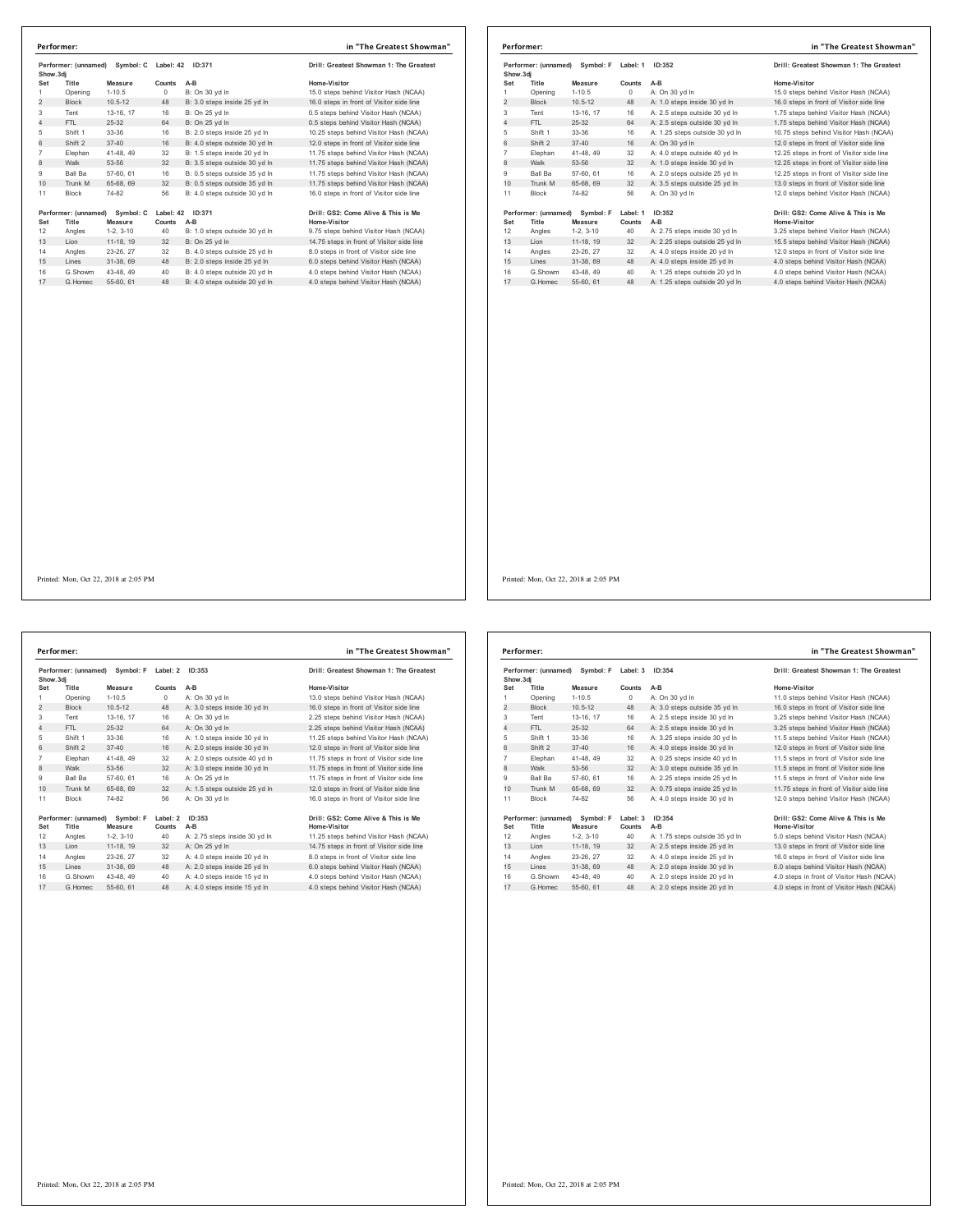| Show.3di        | Performer: (unnamed)          | Symbol: C            |                     | Label: 42 ID:371              | Drill: Greatest Showman 1: The Greatest             |
|-----------------|-------------------------------|----------------------|---------------------|-------------------------------|-----------------------------------------------------|
| Set             | Title                         | Measure              | Counts              | $A-B$                         | Home-Visitor                                        |
| 1               | Opening                       | $1-10.5$             | $\Omega$            | B: On 30 vd In                | 15.0 steps behind Visitor Hash (NCAA)               |
| $\overline{2}$  | <b>Block</b>                  | $10.5 - 12$          | 48                  | B: 3.0 steps inside 25 yd In  | 16.0 steps in front of Visitor side line            |
| 3               | Tent                          | 13-16, 17            | 16                  | B: On 25 vd In                | 0.5 steps behind Visitor Hash (NCAA)                |
| $\overline{4}$  | FTI.                          | 25-32                | 64                  | B: On 25 vd In                | 0.5 steps behind Visitor Hash (NCAA)                |
| 5               | Shift 1                       | 33-36                | 16                  | B: 2.0 steps inside 25 yd In  | 10.25 steps behind Visitor Hash (NCAA)              |
| 6               | Shift 2                       | $37 - 40$            | 16                  | B: 4.0 steps outside 30 vd In | 12.0 steps in front of Visitor side line            |
| $\overline{7}$  | Elephan                       | 41-48, 49            | 32                  | B: 1.5 steps inside 20 vd In  | 11.75 steps behind Visitor Hash (NCAA)              |
| 8               | Walk                          | 53-56                | 32                  | B: 3.5 steps outside 30 yd In | 11.75 steps behind Visitor Hash (NCAA)              |
| 9               | Ball Ba                       | 57-60, 61            | 16                  | B: 0.5 steps outside 35 vd In | 11.75 steps behind Visitor Hash (NCAA)              |
| 10 <sup>1</sup> | Trunk M                       | 65-68, 69            | 32                  | B: 0.5 steps outside 35 vd In | 11.75 steps behind Visitor Hash (NCAA)              |
| 11              | <b>Block</b>                  | 74-82                | 56                  | B: 4.0 steps outside 30 vd In | 16.0 steps in front of Visitor side line            |
| Set             | Performer: (unnamed)<br>Title | Symbol: C<br>Measure | Label: 42<br>Counts | ID:371<br>A-B                 | Drill: GS2: Come Alive & This is Me<br>Home-Visitor |
| 12              | Angles                        | $1-2.3-10$           | 40                  | B: 1.0 steps outside 30 yd In | 9.75 steps behind Visitor Hash (NCAA)               |
| 13              | Lion                          | 11-18, 19            | 32                  | B: On 25 yd In                | 14.75 steps in front of Visitor side line           |
| 14              | Angles                        | 23-26.27             | 32                  | B: 4.0 steps outside 25 yd In | 8.0 steps in front of Visitor side line             |
| 15              | Lines                         | 31-38, 69            | 48                  | B: 2.0 steps inside 25 yd In  | 6.0 steps behind Visitor Hash (NCAA)                |
| 16              | G.Showm                       | 43-48, 49            | 40                  | B: 4.0 steps outside 20 vd In | 4.0 steps behind Visitor Hash (NCAA)                |
| 17              | G Homec                       | 55-60, 61            | 48                  | B: 4.0 steps outside 20 vd In | 4.0 steps behind Visitor Hash (NCAA)                |

|                | Performer: (unnamed) Symbol: F |             | Label: 1 | ID:352                         | Drill: Greatest Showman 1: The Greatest   |
|----------------|--------------------------------|-------------|----------|--------------------------------|-------------------------------------------|
| Show, 3di      |                                |             |          |                                |                                           |
| Set            | Title                          | Measure     | Counts   | $A-B$                          | Home-Visitor                              |
|                | Opening                        | $1 - 10.5$  | $\circ$  | A: On 30 yd In                 | 15.0 steps behind Visitor Hash (NCAA)     |
| $\overline{2}$ | <b>Block</b>                   | $10.5 - 12$ | 48       | A: 1.0 steps inside 30 yd In   | 16.0 steps in front of Visitor side line  |
| 3              | Tent                           | 13-16, 17   | 16       | A: 2.5 steps outside 30 yd In  | 1.75 steps behind Visitor Hash (NCAA)     |
| $\overline{4}$ | FTI.                           | $25-32$     | 64       | A: 2.5 steps outside 30 yd In  | 1.75 steps behind Visitor Hash (NCAA)     |
| 5              | Shift 1                        | 33-36       | 16       | A: 1.25 steps outside 30 vd In | 10.75 steps behind Visitor Hash (NCAA)    |
| 6              | Shift 2                        | $37 - 40$   | 16       | A: On 30 vd In                 | 12.0 steps in front of Visitor side line  |
| $\overline{7}$ | Elephan                        | 41-48, 49   | 32       | A: 4.0 steps outside 40 vd In  | 12.25 steps in front of Visitor side line |
| 8              | Walk                           | 53-56       | 32       | A: 1.0 steps inside 30 yd In   | 12.25 steps in front of Visitor side line |
| 9              | Ball Ba                        | 57-60, 61   | 16       | A: 2.0 steps outside 25 vd In  | 12.25 steps in front of Visitor side line |
| 10             | Trunk M                        | 65-68, 69   | 32       | A: 3.5 steps outside 25 yd In  | 13.0 steps in front of Visitor side line  |
| 11             | Block                          | 74-82       | 56       | A: On 30 yd In                 | 12.0 steps behind Visitor Hash (NCAA)     |
|                | Performer: (unnamed) Symbol: F |             | Label: 1 | ID:352                         | Drill: GS2: Come Alive & This is Me       |
| Set            | Title                          | Measure     | Counts   | $A-B$                          | Home-Visitor                              |
| 12             | Angles                         | $1-2.3-10$  | 40       | A: 2.75 steps inside 30 yd In  | 3.25 steps behind Visitor Hash (NCAA)     |
| 13             | Lion                           | 11-18, 19   | 32       | A: 2.25 steps outside 25 yd In | 15.5 steps behind Visitor Hash (NCAA)     |
| 14             | Angles                         | 23-26, 27   | 32       | A: 4.0 steps inside 20 vd In   | 12.0 steps in front of Visitor side line  |
| 15             | Lines                          | 31-38, 69   | 48       | A: 4.0 steps inside 25 vd In   | 4.0 steps behind Visitor Hash (NCAA)      |
| 16             | G.Showm                        | 43-48, 49   | 40       | A: 1.25 steps outside 20 yd In | 4.0 steps behind Visitor Hash (NCAA)      |
| 17             | G. Homec                       | 55-60, 61   | 48       | A: 1.25 steps outside 20 yd In | 4.0 steps behind Visitor Hash (NCAA)      |

**Performer: (unnamed) Symbol: F Label: 2 ID:353 Drill: Greatest Showman 1: The Greatest Show.3dj Set Title Measure Counts A-B Home-Visitor** 1 Opening 1-10.5 0 A: On 30 yd In 13.0 steps behind Visitor Hash (NCAA)<br>2 Block 10.5-12 48 A: 3.0 steps inside 30 yd In 16.0 steps in front of Visitor side line Tent 13-16, 17 16 A: On 30 yd ln 2.25 steps behind Visitor Hash (NCAA) 4 FTL 25-32 64 A: On 30 yd ln 2.25 steps behind Visitor Hash (NCAA) Shift 1 33-36 16 A: 1.0 steps inside 30 yd ln 11.25 steps behind Visitor Hash (NCAA) 6 Shift 2 37-40 16 A: 2.0 steps inside 30 yd ln 12.0 steps in front of Visitor side line Elephan 41-48, 49 32 A: 2.0 steps outside 40 yd ln 11.75 steps in front of Visitor side line 8 Walk 53-56 32 A: 3.0 steps inside 30 yd ln 11.75 steps in front of Visitor side line Ball Ba 57-60, 61 16 A: On 25 yd ln 11.75 steps in front of Visitor side line 10 Trunk M 65-68, 69 32 A: 1.5 steps outside 25 yd ln 12.0 steps in front of Visitor side line Block 74-82 56 A: On 30 yd ln 16.0 steps in front of Visitor side line **Performer: (unnamed) Symbol: F Label: 2 ID:353** Drill: GS2: Come Alive & This is Me<br>19 Mane-Wistorner Counts A-B<br>12 Angles 1-2, 3-10 40 A: 2.75 steps inside 30 yd In 11.25 steps behind Visitor Hash (NCAA) **Setter Counts A-B**<br> **Setter Counts A-B**<br>
1-2, 3-10 40 A: 2.75 steps inside 30 yd In Angles 1-2, 3-10 40 A: 2.75 steps inside 30 yd ln 11.25 steps behind Visitor Hash (NCAA) 13 Lion 11-18, 19 32 A: On 25 yd ln 14.75 steps in front of Visitor side line 14 Angles 23-26, 27 32 A: 4.0 steps inside 20 yd In 8.0 steps in front of Visitor side line<br>15 Lines 31-38, 69 48 A: 2.0 steps inside 25 yd In 6.0 steps behind Visitor Hash (NCAA) G.Showm 43-48, 49 40 A: 4.0 steps inside 15 yd ln 4.0 steps behind Visitor Hash (NCAA) 17 G.Homec 55-60, 61 48 A: 4.0 steps inside 15 yd ln 4.0 steps behind Visitor Hash (NCAA) **Performer: in "The Greatest Showman"**

| Show, 3di      | Performer: (unnamed) | Symbol: F   | Label: 3 | ID:354                         | Drill: Greatest Showman 1: The Greatest   |  |
|----------------|----------------------|-------------|----------|--------------------------------|-------------------------------------------|--|
| Set            | Title                | Measure     | Counts   | $A-B$                          | Home-Visitor                              |  |
| 1              | Opening              | $1 - 10.5$  | $\Omega$ | A: On 30 yd In                 | 11.0 steps behind Visitor Hash (NCAA)     |  |
| 2              | <b>Block</b>         | $10.5 - 12$ | 48       | A: 3.0 steps outside 35 yd In  | 16.0 steps in front of Visitor side line  |  |
| 3              | Tent                 | 13-16, 17   | 16       | A: 2.5 steps inside 30 vd In   | 3.25 steps behind Visitor Hash (NCAA)     |  |
| 4              | FTL                  | $25-32$     | 64       | A: 2.5 steps inside 30 vd In   | 3.25 steps behind Visitor Hash (NCAA)     |  |
| 5              | Shift 1              | 33-36       | 16       | A: 3.25 steps inside 30 vd In  | 11.5 steps behind Visitor Hash (NCAA)     |  |
| 6              | Shift 2              | $37 - 40$   | 16       | A: 4.0 steps inside 30 yd In   | 12.0 steps in front of Visitor side line  |  |
| $\overline{7}$ | Elephan              | 41-48, 49   | 32       | A: 0.25 steps inside 40 vd In  | 11.5 steps in front of Visitor side line  |  |
| 8              | Walk                 | 53-56       | 32       | A: 3.0 steps outside 35 yd In  | 11.5 steps in front of Visitor side line  |  |
| 9              | Ball Ba              | 57-60, 61   | 16       | A: 2.25 steps inside 25 vd In  | 11.5 steps in front of Visitor side line  |  |
| 10             | Trunk M              | 65-68, 69   | 32       | A: 0.75 steps inside 25 yd In  | 11.75 steps in front of Visitor side line |  |
| 11             | <b>Block</b>         | 74-82       | 56       | A: 4.0 steps inside 30 vd In   | 12.0 steps behind Visitor Hash (NCAA)     |  |
|                | Performer: (unnamed) | Symbol: F   | Label: 3 | ID:354                         | Drill: GS2: Come Alive & This is Me       |  |
| Set            | Title                | Measure     | Counts   | $A-B$                          | <b>Home-Visitor</b>                       |  |
| 12             | Angles               | $1-2.3-10$  | 40       | A: 1.75 steps outside 35 yd In | 5.0 steps behind Visitor Hash (NCAA)      |  |
| 13             | Lion                 | 11-18, 19   | 32       | A: 2.5 steps inside 25 yd In   | 13.0 steps in front of Visitor side line  |  |
| 14             | Angles               | 23-26, 27   | 32       | A: 4.0 steps inside 25 vd In   | 16.0 steps in front of Visitor side line  |  |
| 15             | Lines                | 31-38, 69   | 48       | A: 2.0 steps inside 30 yd In   | 6.0 steps behind Visitor Hash (NCAA)      |  |
| 16             | G.Showm              | 43-48, 49   | 40       | A: 2.0 steps inside 20 vd In   | 4.0 steps in front of Visitor Hash (NCAA) |  |
| 17             | G Homec              | 55-60, 61   | 48       | A: 2.0 steps inside 20 yd In   | 4.0 steps in front of Visitor Hash (NCAA) |  |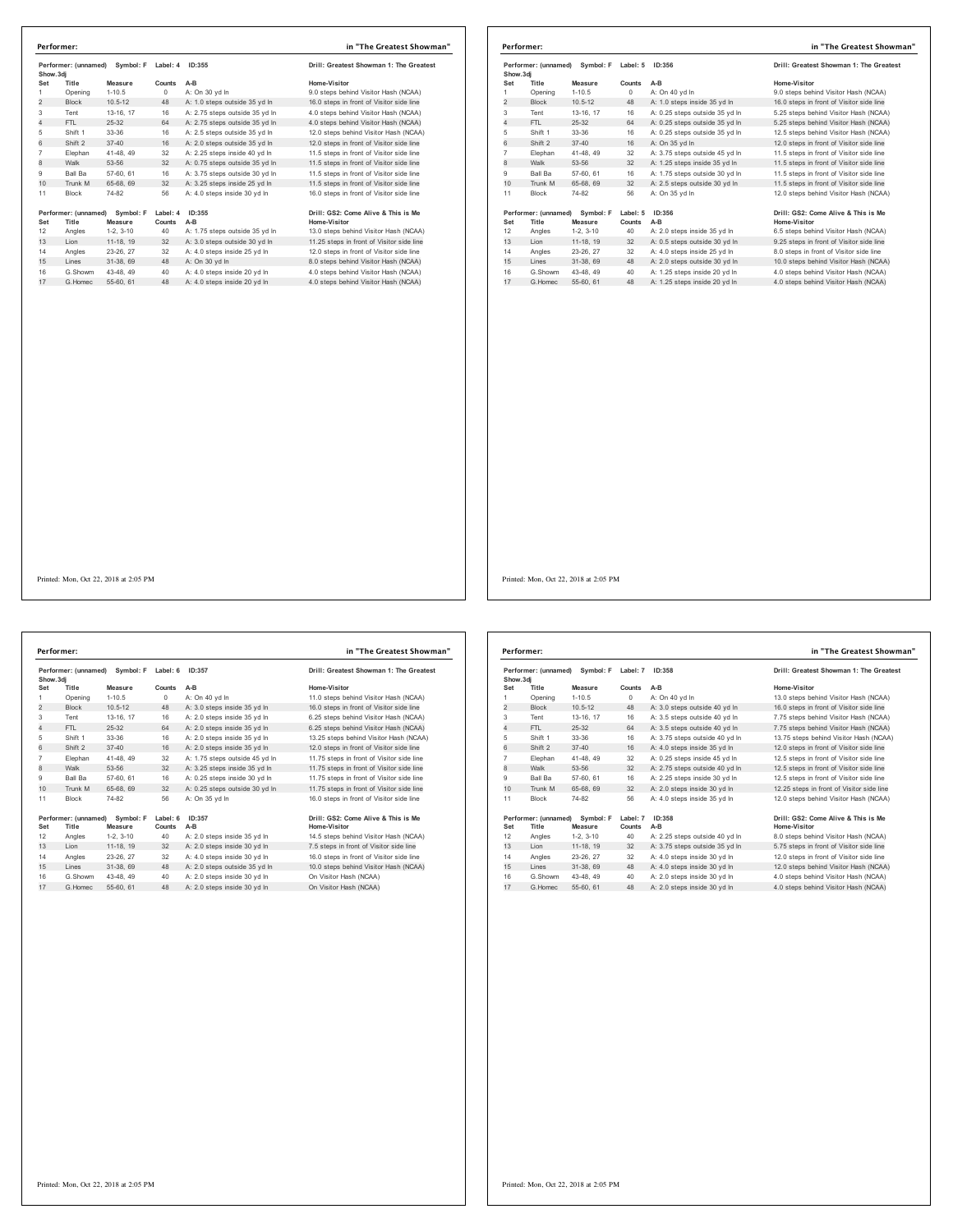|                | Symbol: F<br>Performer: (unnamed)<br>Show.3di |             | Label: 4<br>ID:355 |                                | Drill: Greatest Showman 1: The Greatest   |  |
|----------------|-----------------------------------------------|-------------|--------------------|--------------------------------|-------------------------------------------|--|
| Set            | Title                                         | Measure     | Counts             | A-B                            | Home-Visitor                              |  |
| 1              | Opening                                       | $1 - 10.5$  | $^{\circ}$         | A: On 30 yd In                 | 9.0 steps behind Visitor Hash (NCAA)      |  |
| 2              | <b>Block</b>                                  | $10.5 - 12$ | 48                 | A: 1.0 steps outside 35 yd In  | 16.0 steps in front of Visitor side line  |  |
| 3              | Tent                                          | 13-16, 17   | 16                 | A: 2.75 steps outside 35 yd In | 4.0 steps behind Visitor Hash (NCAA)      |  |
| $\overline{4}$ | FTI.                                          | $25 - 32$   | 64                 | A: 2.75 steps outside 35 yd In | 4.0 steps behind Visitor Hash (NCAA)      |  |
| 5              | Shift 1                                       | 33-36       | 16                 | A: 2.5 steps outside 35 yd In  | 12.0 steps behind Visitor Hash (NCAA)     |  |
| 6              | Shift 2                                       | $37 - 40$   | 16                 | A: 2.0 steps outside 35 vd In  | 12.0 steps in front of Visitor side line  |  |
| $\overline{7}$ | Elephan                                       | 41-48, 49   | 32                 | A: 2.25 steps inside 40 vd In  | 11.5 steps in front of Visitor side line  |  |
| 8              | Walk                                          | 53-56       | 32                 | A: 0.75 steps outside 35 yd In | 11.5 steps in front of Visitor side line  |  |
| 9              | Ball Ba                                       | 57-60, 61   | 16                 | A: 3.75 steps outside 30 yd In | 11.5 steps in front of Visitor side line  |  |
| 10             | Trunk M                                       | 65-68, 69   | 32                 | A: 3.25 steps inside 25 vd In  | 11.5 steps in front of Visitor side line  |  |
| 11             | <b>Block</b>                                  | 74-82       | 56                 | A: 4.0 steps inside 30 yd In   | 16.0 steps in front of Visitor side line  |  |
|                | Performer: (unnamed)                          | Symbol: F   | Label: 4           | ID:355                         | Drill: GS2: Come Alive & This is Me       |  |
| Set            | Title                                         | Measure     | Counts             | A-B                            | Home-Visitor                              |  |
| 12             | Angles                                        | $1-2.3-10$  | 40                 | A: 1.75 steps outside 35 yd In | 13.0 steps behind Visitor Hash (NCAA)     |  |
| 13             | Lion                                          | 11-18, 19   | 32                 | A: 3.0 steps outside 30 yd In  | 11.25 steps in front of Visitor side line |  |
| 14             | Angles                                        | 23-26, 27   | 32                 | A: 4.0 steps inside 25 vd In   | 12.0 steps in front of Visitor side line  |  |
| 15             | Lines                                         | 31-38, 69   | 48                 | A: On 30 vd In                 | 8.0 steps behind Visitor Hash (NCAA)      |  |
| 16             | G.Showm                                       | 43-48, 49   | 40                 | A: 4.0 steps inside 20 vd In   | 4.0 steps behind Visitor Hash (NCAA)      |  |
| 17             | G Homec                                       | 55-60 61    | 48                 | A: 4.0 steps inside 20 yd In   | 4.0 steps behind Visitor Hash (NCAA)      |  |

| Performer: (unnamed) Symbol: F |                                | Label: 5    | ID:356   | Drill: Greatest Showman 1: The Greatest |                                          |
|--------------------------------|--------------------------------|-------------|----------|-----------------------------------------|------------------------------------------|
| Show, 3di                      |                                |             |          |                                         |                                          |
| Set                            | Title                          | Measure     | Counts   | $A-B$                                   | Home-Visitor                             |
| 1                              | Opening                        | $1 - 10.5$  | $\circ$  | A: On 40 yd In                          | 9.0 steps behind Visitor Hash (NCAA)     |
| $\overline{2}$                 | <b>Block</b>                   | $10.5 - 12$ | 48       | A: 1.0 steps inside 35 yd In            | 16.0 steps in front of Visitor side line |
| 3                              | Tent                           | 13-16, 17   | 16       | A: 0.25 steps outside 35 yd In          | 5.25 steps behind Visitor Hash (NCAA)    |
| $\overline{4}$                 | FTL.                           | $25 - 32$   | 64       | A: 0.25 steps outside 35 yd In          | 5.25 steps behind Visitor Hash (NCAA)    |
| 5                              | Shift 1                        | 33-36       | 16       | A: 0.25 steps outside 35 yd In          | 12.5 steps behind Visitor Hash (NCAA)    |
| 6                              | Shift 2                        | $37 - 40$   | 16       | A: On 35 vd In                          | 12.0 steps in front of Visitor side line |
| 7                              | Elephan                        | 41-48, 49   | 32       | A: 3.75 steps outside 45 yd In          | 11.5 steps in front of Visitor side line |
| 8                              | Walk                           | 53-56       | 32       | A: 1.25 steps inside 35 yd In           | 11.5 steps in front of Visitor side line |
| 9                              | Ball Ba                        | 57-60, 61   | 16       | A: 1.75 steps outside 30 yd In          | 11.5 steps in front of Visitor side line |
| 10                             | Trunk M                        | 65-68, 69   | 32       | A: 2.5 steps outside 30 yd In           | 11.5 steps in front of Visitor side line |
| 11                             | <b>Block</b>                   | 74-82       | 56       | A: On 35 yd In                          | 12.0 steps behind Visitor Hash (NCAA)    |
|                                | Performer: (unnamed) Symbol: F |             | Label: 5 | ID:356                                  | Drill: GS2: Come Alive & This is Me      |
| Set                            | Title                          | Measure     | Counts   | $A-B$                                   | Home-Visitor                             |
| 12                             | Angles                         | $1-2.3-10$  | 40       | A: 2.0 steps inside 35 vd In            | 6.5 steps behind Visitor Hash (NCAA)     |
| 13                             | Lion                           | 11-18, 19   | 32       | A: 0.5 steps outside 30 yd In           | 9.25 steps in front of Visitor side line |
| 14                             | Angles                         | 23-26, 27   | 32       | A: 4.0 steps inside 25 vd In            | 8.0 steps in front of Visitor side line  |
| 15                             | Lines                          | 31-38, 69   | 48       | A: 2.0 steps outside 30 vd In           | 10.0 steps behind Visitor Hash (NCAA)    |
| 16                             | G.Showm                        | 43-48, 49   | 40       | A: 1.25 steps inside 20 vd In           | 4.0 steps behind Visitor Hash (NCAA)     |
| 17                             | G. Homec                       | 55-60 61    | 48       | A: 1.25 steps inside 20 yd In           | 4.0 steps behind Visitor Hash (NCAA)     |

Performer: (unnamed) Symbol: F Label: 6 ID:357 **Drill: Greatest Showman 1: The Greatest**<br>Show.3dj Set Title Measure Counts A-B (Mone-Visitor Home Visitor Hash (NCAA)<br>2 Block 10.5-12 0 A: On-40 yd in 11.0 steps he hind Visitor Hash (NCAA)<br>2 Block 10.5-12 48 A: 3.0 steps inside 35 yd in 16.0 steps in front of Visitor Sid 5 Shift 1 33-36 16 A: 2.0 steps inside 35 yd ln<br>16 Rhift 2 37-40 16 A: 2.0 steps inside 35 yd ln 7 Elephan 41-48, 49 32 A: 1.75 steps outside 45 yd in 11.75 steps in front of Visitor side line<br>8 Walk 53-56 32 A: 3.25 steps inside 35 yd in 11.75 steps in front of Visitor side line<br>9 Ball Ba 57-60, 61 16 A: 0.25 steps i 10  $\frac{3}{10}$  Trunk M 65-68, 69 32 A: 0.25 steps in side 30 yd ln 11 Block 74-82 56 A: On 35 yd In **Performer:** (unnamed) Symbol: **F** Label: 6 1D:357<br> **Set Title Measure Counts A-B**<br>
12 Angles 1-2, 3-10 40 A: 2.0 steps inside 35 yd In the Visitor Ham (NCAA)<br>
13 Lion 11-18, 19 32 A: 2.0 steps inside 30 yd In 7.5 steps in G.Showm 43-48, 49 40 A: 2.0 steps inside 30 yd ln On Visitor Hash (NCAA) 17 G.Homec 55-60, 61 48 A: 2.0 steps inside 30 yd ln On Visitor Hash (NCAA) **Performer: in "The Greatest Showman"**

| Home-Visitor                              |
|-------------------------------------------|
| 11.0 steps behind Visitor Hash (NCAA)     |
| 16.0 steps in front of Visitor side line  |
| 6.25 steps behind Visitor Hash (NCAA)     |
| 6.25 steps behind Visitor Hash (NCAA)     |
| 13.25 steps behind Visitor Hash (NCAA)    |
| 12.0 steps in front of Visitor side line  |
| 11.75 steps in front of Visitor side line |
| 11.75 steps in front of Visitor side line |
| 11.75 steps in front of Visitor side line |
| 11.75 steps in front of Visitor side line |
| 16.0 steps in front of Visitor side line  |
|                                           |
| l: GS2: Come Alive & This is Me           |
|                                           |

| Performer: (unnamed)<br>Symbol: F<br>Show, 3di |                               | Label: 7             | ID:358             | Drill: Greatest Showman 1: The Greatest |                                                     |
|------------------------------------------------|-------------------------------|----------------------|--------------------|-----------------------------------------|-----------------------------------------------------|
| Set                                            | Title                         | Measure              | Counts             | $A-B$                                   | Home-Visitor                                        |
| 1                                              | Opening                       | $1 - 10.5$           | $\circ$            | A: On 40 yd In                          | 13.0 steps behind Visitor Hash (NCAA)               |
| $\overline{2}$                                 | <b>Block</b>                  | $10.5 - 12$          | 48                 | A: 3.0 steps outside 40 yd In           | 16.0 steps in front of Visitor side line            |
| 3                                              | Tent                          | 13-16, 17            | 16                 | A: 3.5 steps outside 40 vd In           | 7.75 steps behind Visitor Hash (NCAA)               |
| 4                                              | FTL                           | 25-32                | 64                 | A: 3.5 steps outside 40 yd In           | 7.75 steps behind Visitor Hash (NCAA)               |
| 5                                              | Shift 1                       | 33-36                | 16                 | A: 3.75 steps outside 40 yd In          | 13.75 steps behind Visitor Hash (NCAA)              |
| 6                                              | Shift 2                       | $37 - 40$            | 16                 | A: 4.0 steps inside 35 yd In            | 12.0 steps in front of Visitor side line            |
| $\overline{7}$                                 | Elephan                       | 41-48, 49            | 32                 | A: 0.25 steps inside 45 yd In           | 12.5 steps in front of Visitor side line            |
| 8                                              | Walk                          | 53-56                | 32                 | A: 2.75 steps outside 40 yd In          | 12.5 steps in front of Visitor side line            |
| 9                                              | <b>Ball Ba</b>                | 57-60, 61            | 16                 | A: 2.25 steps inside 30 vd In           | 12.5 steps in front of Visitor side line            |
| 10                                             | Trunk M                       | 65-68, 69            | 32                 | A: 2.0 steps inside 30 yd In            | 12.25 steps in front of Visitor side line           |
| 11                                             | <b>Block</b>                  | 74-82                | 56                 | A: 4.0 steps inside 35 vd In            | 12.0 steps behind Visitor Hash (NCAA)               |
| Set                                            | Performer: (unnamed)<br>Title | Symbol: F<br>Measure | Label: 7<br>Counts | ID:358<br>$A-B$                         | Drill: GS2: Come Alive & This is Me<br>Home-Visitor |
| 12                                             | Angles                        | $1-2.3-10$           | 40                 | A: 2.25 steps outside 40 yd In          | 8.0 steps behind Visitor Hash (NCAA)                |
| 13                                             | Lion                          | 11-18, 19            | 32                 | A: 3.75 steps outside 35 yd In          | 5.75 steps in front of Visitor side line            |
| 14                                             | Angles                        | 23-26, 27            | 32                 | A: 4.0 steps inside 30 vd In            | 12.0 steps in front of Visitor side line            |
| 15                                             | Lines                         | 31-38, 69            | 48                 | A: 4.0 steps inside 30 yd In            | 12.0 steps behind Visitor Hash (NCAA)               |
| 16                                             | G Showm                       | 43-48, 49            | 40                 | A: 2.0 steps inside 30 yd In            | 4.0 steps behind Visitor Hash (NCAA)                |
| 17                                             | G. Homec                      | 55-60, 61            | 48                 | A: 2.0 steps inside 30 yd In            | 4.0 steps behind Visitor Hash (NCAA)                |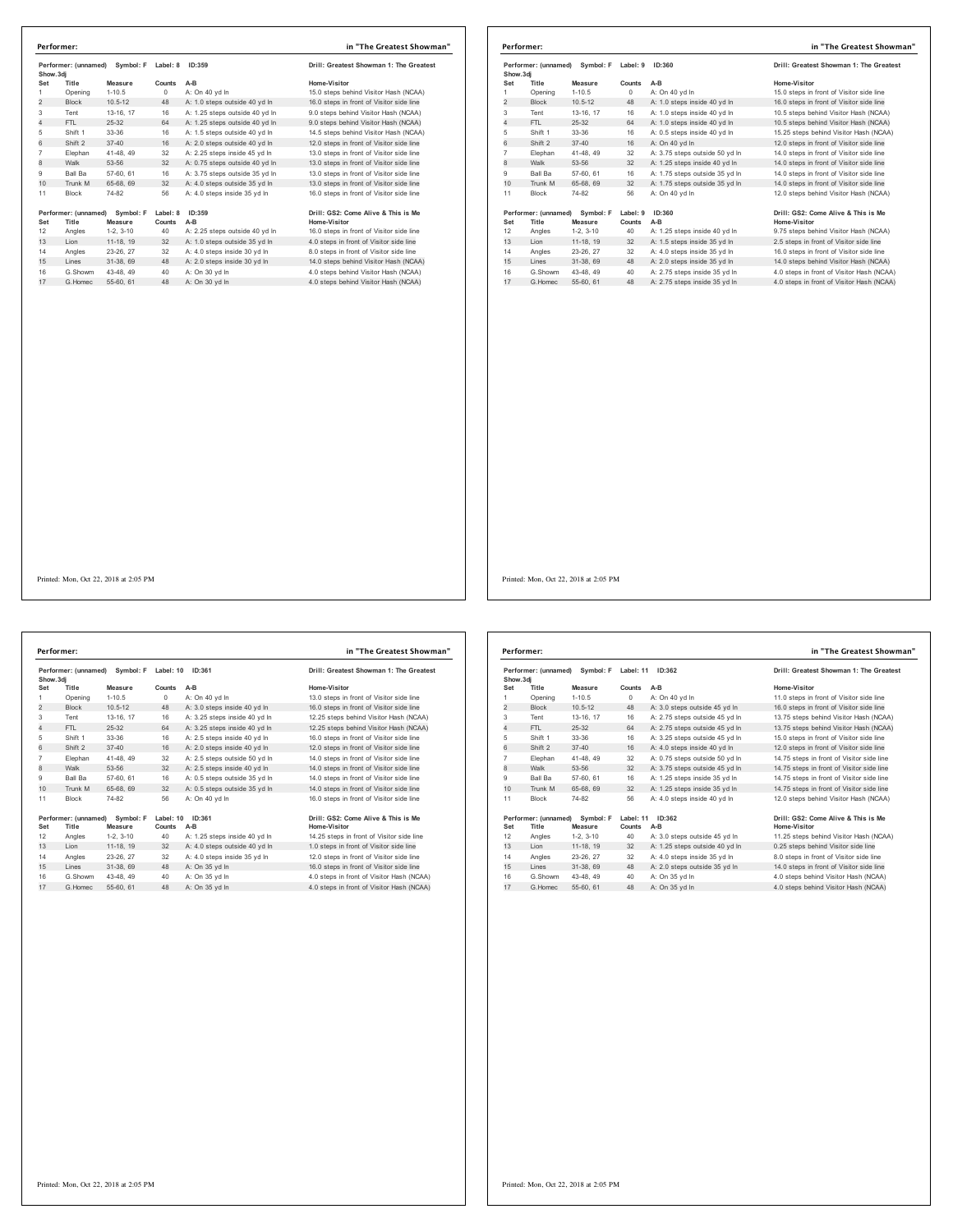|                | Performer: (unnamed)<br>Symbol: F<br>Show.3dj |                      | Label: 8<br>ID:359 | Drill: Greatest Showman 1: The Greatest |                                                     |
|----------------|-----------------------------------------------|----------------------|--------------------|-----------------------------------------|-----------------------------------------------------|
| Set            | Title                                         | Measure              | Counts             | $A-B$                                   | Home-Visitor                                        |
| 1              | Opening                                       | $1 - 10.5$           | $^{\circ}$         | A: On 40 vd In                          | 15.0 steps behind Visitor Hash (NCAA)               |
| $\overline{2}$ | <b>Block</b>                                  | $10.5 - 12$          | 48                 | A: 1.0 steps outside 40 yd In           | 16.0 steps in front of Visitor side line            |
| 3              | Tent                                          | 13-16, 17            | 16                 | A: 1.25 steps outside 40 yd In          | 9.0 steps behind Visitor Hash (NCAA)                |
| 4              | FTI.                                          | 25-32                | 64                 | A: 1.25 steps outside 40 yd In          | 9.0 steps behind Visitor Hash (NCAA)                |
| 5              | Shift 1                                       | $33-36$              | 16                 | A: 1.5 steps outside 40 yd In           | 14.5 steps behind Visitor Hash (NCAA)               |
| 6              | Shift 2                                       | $37 - 40$            | 16                 | A: 2.0 steps outside 40 vd In           | 12.0 steps in front of Visitor side line            |
| $\overline{7}$ | Elephan                                       | 41-48, 49            | 32                 | A: 2.25 steps inside 45 vd In           | 13.0 steps in front of Visitor side line            |
| 8              | Walk                                          | 53-56                | 32                 | A: 0.75 steps outside 40 yd In          | 13.0 steps in front of Visitor side line            |
| 9              | Ball Ba                                       | 57-60, 61            | 16                 | A: 3.75 steps outside 35 vd In          | 13.0 steps in front of Visitor side line            |
| 10             | Trunk M                                       | 65-68, 69            | 32                 | A: 4.0 steps outside 35 yd In           | 13.0 steps in front of Visitor side line            |
| 11             | <b>Block</b>                                  | 74-82                | 56                 | A: 4.0 steps inside 35 yd In            | 16.0 steps in front of Visitor side line            |
| Set            | Performer: (unnamed)<br>Title                 | Symbol: F<br>Measure | Label: 8<br>Counts | ID:359<br>$A-B$                         | Drill: GS2: Come Alive & This is Me<br>Home-Visitor |
| 12             | Angles                                        | $1-2.3-10$           | 40                 | A: 2.25 steps outside 40 yd In          | 16.0 steps in front of Visitor side line            |
| 13             | Lion                                          | 11-18, 19            | 32                 | A: 1.0 steps outside 35 yd In           | 4.0 steps in front of Visitor side line             |
| 14             | Angles                                        | 23-26, 27            | 32                 | A: 4.0 steps inside 30 vd In            | 8.0 steps in front of Visitor side line             |
| 15             | Lines                                         | 31-38, 69            | 48                 | A: 2.0 steps inside 30 yd In            | 14.0 steps behind Visitor Hash (NCAA)               |
| 16             | G.Showm                                       | 43-48, 49            | 40                 | A: On 30 yd In                          | 4.0 steps behind Visitor Hash (NCAA)                |
| 17             | G Homec                                       | 55-60, 61            | 48                 | A: On 30 yd In                          | 4.0 steps behind Visitor Hash (NCAA)                |

|                | Performer:                                  |             |                    |                                | in "The Greatest Showman"                 |  |
|----------------|---------------------------------------------|-------------|--------------------|--------------------------------|-------------------------------------------|--|
|                | Performer: (unnamed) Symbol: F<br>Show, 3di |             | ID:360<br>Label: 9 |                                | Drill: Greatest Showman 1: The Greatest   |  |
| Set            | Title                                       | Measure     | Counts             | $A-B$                          | Home-Visitor                              |  |
| 1              | Opening                                     | $1 - 10.5$  | $\Omega$           | A: On 40 yd In                 | 15.0 steps in front of Visitor side line  |  |
| 2              | <b>Block</b>                                | $10.5 - 12$ | 48                 | A: 1.0 steps inside 40 yd In   | 16.0 steps in front of Visitor side line  |  |
| 3              | Tent                                        | 13-16, 17   | 16                 | A: 1.0 steps inside 40 yd In   | 10.5 steps behind Visitor Hash (NCAA)     |  |
| $\overline{4}$ | FTL.                                        | $25-32$     | 64                 | A: 1.0 steps inside 40 vd In   | 10.5 steps behind Visitor Hash (NCAA)     |  |
| 5              | Shift 1                                     | 33-36       | 16                 | A: 0.5 steps inside 40 vd In   | 15.25 steps behind Visitor Hash (NCAA)    |  |
| 6              | Shift 2                                     | $37 - 40$   | 16                 | A: On 40 vd In                 | 12.0 steps in front of Visitor side line  |  |
| $\overline{7}$ | Elephan                                     | 41-48, 49   | 32                 | A: 3.75 steps outside 50 vd In | 14.0 steps in front of Visitor side line  |  |
| 8              | Walk                                        | 53-56       | 32                 | A: 1.25 steps inside 40 yd In  | 14.0 steps in front of Visitor side line  |  |
| 9              | <b>Ball Ba</b>                              | 57-60, 61   | 16                 | A: 1.75 steps outside 35 vd In | 14.0 steps in front of Visitor side line  |  |
| 10             | Trunk M                                     | 65-68, 69   | 32                 | A: 1.75 steps outside 35 yd In | 14.0 steps in front of Visitor side line  |  |
| 11             | Block                                       | 74-82       | 56                 | A: On 40 vd In                 | 12.0 steps behind Visitor Hash (NCAA)     |  |
|                | Performer: (unnamed) Symbol: F              |             | Label: 9           | ID:360                         | Drill: GS2: Come Alive & This is Me       |  |
| Set            | Title                                       | Measure     | Counts             | A-B                            | Home-Visitor                              |  |
| 12             | Angles                                      | $1-2.3-10$  | 40                 | A: 1.25 steps inside 40 vd In  | 9.75 steps behind Visitor Hash (NCAA)     |  |
| 13             | Lion                                        | 11-18, 19   | 32                 | A: 1.5 steps inside 35 yd In   | 2.5 steps in front of Visitor side line   |  |
| 14             | Angles                                      | 23-26, 27   | 32                 | A: 4.0 steps inside 35 vd In   | 16.0 steps in front of Visitor side line  |  |
| 15             | Lines                                       | 31-38, 69   | 48                 | A: 2.0 steps inside 35 yd In   | 14.0 steps behind Visitor Hash (NCAA)     |  |
| 16             | G.Showm                                     | 43-48, 49   | 40                 | A: 2.75 steps inside 35 yd In  | 4.0 steps in front of Visitor Hash (NCAA) |  |
| 17             | G Homec                                     | 55-60, 61   | 48                 | A: 2.75 steps inside 35 yd In  | 4.0 steps in front of Visitor Hash (NCAA) |  |

|                | Performer: (unnamed) | Symbol: F   | Label: 10 | ID:361                        | Drill: Greatest Showman 1: The Greatest   |
|----------------|----------------------|-------------|-----------|-------------------------------|-------------------------------------------|
| Show.3di       |                      |             |           |                               |                                           |
| Set            | Title                | Measure     | Counts    | $A-B$                         | Home-Visitor                              |
| 1              | Opening              | $1 - 10.5$  | $\Omega$  | A: On 40 yd In                | 13.0 steps in front of Visitor side line  |
| $\overline{2}$ | <b>Block</b>         | $10.5 - 12$ | 48        | A: 3.0 steps inside 40 yd In  | 16.0 steps in front of Visitor side line  |
| 3              | Tent                 | 13-16, 17   | 16        | A: 3.25 steps inside 40 vd In | 12.25 steps behind Visitor Hash (NCAA)    |
| 4              | FTI.                 | 25-32       | 64        | A: 3.25 steps inside 40 yd In | 12.25 steps behind Visitor Hash (NCAA)    |
| 5              | Shift 1              | $33-36$     | 16        | A: 2.5 steps inside 40 yd In  | 16.0 steps in front of Visitor side line  |
| 6              | Shift 2              | $37 - 40$   | 16        | A: 2.0 steps inside 40 vd In  | 12.0 steps in front of Visitor side line  |
| $\overline{7}$ | Elephan              | 41-48.49    | 32        | A: 2.5 steps outside 50 vd In | 14.0 steps in front of Visitor side line  |
| 8              | Walk                 | 53-56       | 32        | A: 2.5 steps inside 40 yd In  | 14.0 steps in front of Visitor side line  |
| 9              | Ball Ba              | 57-60, 61   | 16        | A: 0.5 steps outside 35 vd In | 14.0 steps in front of Visitor side line  |
| 10             | Trunk M              | 65-68, 69   | 32        | A: 0.5 steps outside 35 yd In | 14.0 steps in front of Visitor side line  |
| 11             | <b>Block</b>         | 74-82       | 56        | A: On 40 vd In                | 16.0 steps in front of Visitor side line  |
|                | Performer: (unnamed) | Symbol: F   | Label: 10 | ID:361                        | Drill: GS2: Come Alive & This is Me       |
| Set            | Title                | Measure     | Counts    | A-B                           | Home-Visitor                              |
| 12             | Angles               | $1-2.3-10$  | 40        | A: 1.25 steps inside 40 yd In | 14.25 steps in front of Visitor side line |
| 13             | Lion                 | 11-18, 19   | 32        | A: 4.0 steps outside 40 yd In | 1.0 steps in front of Visitor side line   |
| 14             | Angles               | 23-26, 27   | 32        | A: 4.0 steps inside 35 vd In  | 12.0 steps in front of Visitor side line  |
| 15             | Lines                | 31-38.69    | 48        | A: On 35 yd In                | 16.0 steps in front of Visitor side line  |
| 16             | G Showm              | 43-48, 49   | 40        | A: On 35 vd In                | 4.0 steps in front of Visitor Hash (NCAA) |
| 17             | G.Homec              | 55-60, 61   | 48        | A: On 35 yd In                | 4.0 steps in front of Visitor Hash (NCAA) |

| Performer: (unnamed)<br>Show, 3di |                               | Symbol: F            | Label: 11<br>ID:362 |                                | Drill: Greatest Showman 1: The Greatest             |
|-----------------------------------|-------------------------------|----------------------|---------------------|--------------------------------|-----------------------------------------------------|
| Set                               | Title                         | Measure              | Counts              | $A-B$                          | Home-Visitor                                        |
| 1                                 | Opening                       | $1 - 10.5$           | 0                   | A: On 40 vd In                 | 11.0 steps in front of Visitor side line            |
| $\overline{2}$                    | <b>Block</b>                  | $10.5 - 12$          | 48                  | A: 3.0 steps outside 45 yd In  | 16.0 steps in front of Visitor side line            |
| 3                                 | Tent                          | 13-16, 17            | 16                  | A: 2.75 steps outside 45 yd In | 13.75 steps behind Visitor Hash (NCAA)              |
| 4                                 | FTL                           | $25 - 32$            | 64                  | A: 2.75 steps outside 45 yd In | 13.75 steps behind Visitor Hash (NCAA)              |
| 5                                 | Shift 1                       | 33-36                | 16                  | A: 3.25 steps outside 45 yd In | 15.0 steps in front of Visitor side line            |
| 6                                 | Shift 2                       | $37 - 40$            | 16                  | A: 4.0 steps inside 40 vd ln   | 12.0 steps in front of Visitor side line            |
| $\overline{7}$                    | Elephan                       | 41-48, 49            | 32                  | A: 0.75 steps outside 50 vd In | 14.75 steps in front of Visitor side line           |
| 8                                 | Walk                          | 53-56                | 32                  | A: 3.75 steps outside 45 yd In | 14.75 steps in front of Visitor side line           |
| 9                                 | <b>Ball Ba</b>                | 57-60, 61            | 16                  | A: 1.25 steps inside 35 vd In  | 14.75 steps in front of Visitor side line           |
| 10                                | Trunk M                       | 65-68, 69            | 32                  | A: 1.25 steps inside 35 yd In  | 14.75 steps in front of Visitor side line           |
| 11                                | <b>Block</b>                  | 74-82                | 56                  | A: 4.0 steps inside 40 vd In   | 12.0 steps behind Visitor Hash (NCAA)               |
| Set                               | Performer: (unnamed)<br>Title | Symbol: F<br>Measure | Label: 11<br>Counts | ID:362<br>$A-B$                | Drill: GS2: Come Alive & This is Me<br>Home-Visitor |
| 12                                | Angles                        | $1-2.3-10$           | 40                  | A: 3.0 steps outside 45 vd In  | 11.25 steps behind Visitor Hash (NCAA)              |
| 13                                | Lion                          | 11-18, 19            | 32                  | A: 1.25 steps outside 40 yd In | 0.25 steps behind Visitor side line                 |
| 14                                | Angles                        | 23-26.27             | 32                  | A: 4.0 steps inside 35 vd In   | 8.0 steps in front of Visitor side line             |
| 15                                | Lines                         | 31-38, 69            | 48                  | A: 2.0 steps outside 35 yd In  | 14.0 steps in front of Visitor side line            |
| 16                                | G Showm                       | 43-48.49             | 40                  | A: On 35 vd In                 | 4.0 steps behind Visitor Hash (NCAA)                |
| 17                                | G Homec                       | 55-60, 61            | 48                  | A: On 35 vd In                 | 4.0 steps behind Visitor Hash (NCAA)                |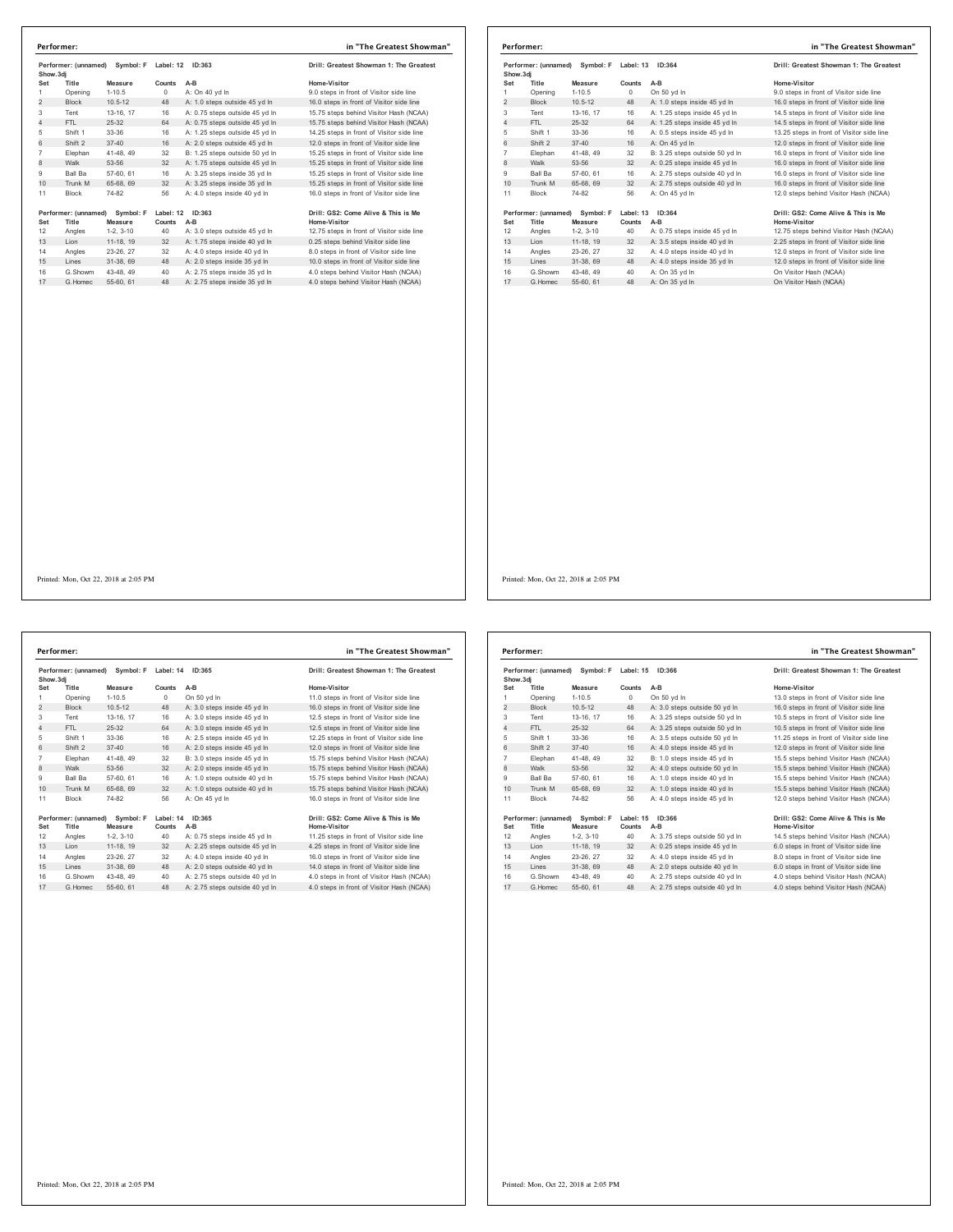| Performer: (unnamed)<br>Show.3di |                      | Symbol: F   | Label: 12 | ID:363                         | Drill: Greatest Showman 1: The Greatest   |
|----------------------------------|----------------------|-------------|-----------|--------------------------------|-------------------------------------------|
| Set                              | Title                | Measure     | Counts    | $A-B$                          | Home-Visitor                              |
| 1                                | Opening              | $1 - 10.5$  | 0         | A: On 40 yd In                 | 9.0 steps in front of Visitor side line   |
| $\overline{2}$                   | <b>Block</b>         | $10.5 - 12$ | 48        | A: 1.0 steps outside 45 yd In  | 16.0 steps in front of Visitor side line  |
| 3                                | Tent                 | 13-16, 17   | 16        | A: 0.75 steps outside 45 yd In | 15.75 steps behind Visitor Hash (NCAA)    |
| $\overline{4}$                   | FTI.                 | $25 - 32$   | 64        | A: 0.75 steps outside 45 yd In | 15.75 steps behind Visitor Hash (NCAA)    |
| 5                                | Shift 1              | 33-36       | 16        | A: 1.25 steps outside 45 yd In | 14.25 steps in front of Visitor side line |
| 6                                | Shift 2              | $37 - 40$   | 16        | A: 2.0 steps outside 45 vd In  | 12.0 steps in front of Visitor side line  |
| $\overline{7}$                   | Elephan              | 41-48, 49   | 32        | B: 1.25 steps outside 50 vd In | 15.25 steps in front of Visitor side line |
| 8                                | Walk                 | 53-56       | 32        | A: 1.75 steps outside 45 yd In | 15.25 steps in front of Visitor side line |
| 9                                | Ball Ba              | 57-60, 61   | 16        | A: 3.25 steps inside 35 vd In  | 15.25 steps in front of Visitor side line |
| 10                               | Trunk M              | 65-68, 69   | 32        | A: 3.25 steps inside 35 vd In  | 15.25 steps in front of Visitor side line |
| 11                               | <b>Block</b>         | 74-82       | 56        | A: 4.0 steps inside 40 yd In   | 16.0 steps in front of Visitor side line  |
|                                  | Performer: (unnamed) | Symbol: F   | Label: 12 | ID:363                         | Drill: GS2: Come Alive & This is Me       |
| Set                              | Title                | Measure     | Counts    | A-B                            | Home-Visitor                              |
| 12                               | Angles               | $1-2.3-10$  | 40        | A: 3.0 steps outside 45 yd In  | 12.75 steps in front of Visitor side line |
| 13                               | Lion                 | 11-18, 19   | 32        | A: 1.75 steps inside 40 yd In  | 0.25 steps behind Visitor side line       |
| 14                               | Angles               | 23-26, 27   | 32        | A: 4.0 steps inside 40 vd In   | 8.0 steps in front of Visitor side line   |
| 15                               | Lines                | 31-38, 69   | 48        | A: 2.0 steps inside 35 yd In   | 10.0 steps in front of Visitor side line  |
| 16                               | G.Showm              | 43-48, 49   | 40        | A: 2.75 steps inside 35 vd In  | 4.0 steps behind Visitor Hash (NCAA)      |
| 17                               | G Homec              | 55-60 61    | 48        | A: 2.75 steps inside 35 yd In  | 4.0 steps behind Visitor Hash (NCAA)      |

|                                                | Performer:   |                                |           |                                | in "The Greatest Showman"                 |  |
|------------------------------------------------|--------------|--------------------------------|-----------|--------------------------------|-------------------------------------------|--|
| Performer: (unnamed)<br>Symbol: F<br>Show, 3di |              |                                | Label: 13 | ID:364                         | Drill: Greatest Showman 1: The Greatest   |  |
| Set                                            | Title        | Measure                        | Counts    | $A-B$                          | Home-Visitor                              |  |
| 1                                              | Opening      | $1 - 10.5$                     | $\Omega$  | On 50 yd In                    | 9.0 steps in front of Visitor side line   |  |
| $\overline{c}$                                 | <b>Block</b> | $10.5 - 12$                    | 48        | A: 1.0 steps inside 45 yd In   | 16.0 steps in front of Visitor side line  |  |
| 3                                              | Tent         | 13-16, 17                      | 16        | A: 1.25 steps inside 45 yd In  | 14.5 steps in front of Visitor side line  |  |
| $\overline{4}$                                 | FTI.         | 25-32                          | 64        | A: 1.25 steps inside 45 vd In  | 14.5 steps in front of Visitor side line  |  |
| 5                                              | Shift 1      | 33-36                          | 16        | A: 0.5 steps inside 45 yd In   | 13.25 steps in front of Visitor side line |  |
| 6                                              | Shift 2      | $37 - 40$                      | 16        | A: On 45 vd In                 | 12.0 steps in front of Visitor side line  |  |
| $\overline{7}$                                 | Elephan      | 41-48, 49                      | 32        | B: 3.25 steps outside 50 yd In | 16.0 steps in front of Visitor side line  |  |
| 8                                              | Walk         | 53-56                          | 32        | A: 0.25 steps inside 45 yd In  | 16.0 steps in front of Visitor side line  |  |
| 9                                              | Ball Ba      | 57-60, 61                      | 16        | A: 2.75 steps outside 40 vd In | 16.0 steps in front of Visitor side line  |  |
| 10                                             | Trunk M      | 65-68, 69                      | 32        | A: 2.75 steps outside 40 yd In | 16.0 steps in front of Visitor side line  |  |
| 11                                             | <b>Block</b> | 74-82                          | 56        | A: On 45 vd In                 | 12.0 steps behind Visitor Hash (NCAA)     |  |
|                                                |              | Performer: (unnamed) Symbol: F |           | Label: 13 ID:364               | Drill: GS2: Come Alive & This is Me       |  |
| Set                                            | Title        | Measure                        | Counts    | A-B                            | <b>Home-Visitor</b>                       |  |
| 12                                             | Angles       | $1-2.3-10$                     | 40        | A: 0.75 steps inside 45 yd In  | 12.75 steps behind Visitor Hash (NCAA)    |  |
| 13                                             | Lion         | 11-18, 19                      | 32        | A: 3.5 steps inside 40 yd In   | 2.25 steps in front of Visitor side line  |  |
| 14                                             | Angles       | 23-26, 27                      | 32        | A: 4.0 steps inside 40 yd In   | 12.0 steps in front of Visitor side line  |  |
| 15                                             | Lines        | 31-38, 69                      | 48        | A: 4.0 steps inside 35 yd In   | 12.0 steps in front of Visitor side line  |  |
| 16                                             | G.Showm      | 43-48.49                       | 40        | A: On 35 yd In                 | On Visitor Hash (NCAA)                    |  |
| 17                                             | G Homec      | 55-60 61                       | 48        | A: On 35 vd In                 | On Visitor Hash (NCAA)                    |  |

**Performer: (unnamed) Symbol: F Label: 14 ID:365 Drill: Greatest Showman 1: The Greatest Show.3dj Set Title Measure Counts A-B Home-Visitor** 1 Opening 1-10.5 0 On 50 yd In<br>2 Block 10.5-12 48 A: 3.0 steps inside 45 yd In 16.0 steps in front of Visitor side line Tent 13-16, 17 16 A: 3.0 steps inside 45 yd ln 12.5 steps in front of Visitor side line 4 FTL 25-32 64 A: 3.0 steps inside 45 yd ln 12.5 steps in front of Visitor side line Shift 1 33-36 16 A: 2.5 steps inside 45 yd ln 12.25 steps in front of Visitor side line 6 Shift 2 37-40 16 A: 2.0 steps inside 45 yd ln 12.0 steps in front of Visitor side line Elephan 41-48, 49 32 B: 3.0 steps inside 45 yd ln 15.75 steps behind Visitor Hash (NCAA) 8 Walk 53-56 32 A: 2.0 steps inside 45 yd ln 15.75 steps behind Visitor Hash (NCAA) Ball Ba 57-60, 61 16 A: 1.0 steps outside 40 yd ln 15.75 steps behind Visitor Hash (NCAA) 10 Trunk M 65-68, 69 32 A: 1.0 steps outside 40 yd ln 15.75 steps behind Visitor Hash (NCAA) 11 Block 74-82 56 A: On 45 yd In Performer: (unnamed) Symbol: F Label: 14 ID:365<br>Set Title Measure Counts A-B<br>12 Angles 1-2, 3-10 40 A:0.75 steps inside 45 yd In 11.25 steps in front of Visitor side line<br>13 Lion 11-18, 19 32 A: 2.25 steps outside 45 yd In Angles 23-26, 27 32 A: 4.0 steps inside 40 yd ln 16.0 steps in front of Visitor side line 15 Lines 31-38, 69 48 A: 2.0 steps outside 40 yd ln 14.0 steps in front of Visitor side line G.Showm 43-48, 49 40 A: 2.75 steps outside 40 yd ln 4.0 steps in front of Visitor Hash (NCAA) 17 G.Homec 55-60, 61 48 A: 2.75 steps outside 40 yd ln 4.0 steps in front of Visitor Hash (NCAA) **Performer: in "The Greatest Showman"**

| Drill: Greatest Showman 1: The Greates    |
|-------------------------------------------|
| Home-Visitor                              |
| 11.0 steps in front of Visitor side line  |
| 16.0 steps in front of Visitor side line  |
| 12.5 steps in front of Visitor side line  |
| 12.5 steps in front of Visitor side line  |
| 12.25 steps in front of Visitor side line |
| 12.0 steps in front of Visitor side line  |
| 15.75 steps behind Visitor Hash (NCAA)    |
| 15.75 steps behind Visitor Hash (NCAA)    |
| 15.75 steps behind Visitor Hash (NCAA)    |
| 15.75 steps behind Visitor Hash (NCAA)    |
| 16.0 steps in front of Visitor side line  |

| Home-Visitor                              |
|-------------------------------------------|
| 11.25 steps in front of Visitor side line |
| 4.25 steps in front of Visitor side line  |
| 16.0 steps in front of Visitor side line  |
| 14.0 steps in front of Visitor side line  |
| 4.0 steps in front of Visitor Hash (NCAA) |
| 4.0 otons in front of Visitor Hoob (NCAA) |

| Performer: (unnamed)<br>Symbol: F<br>Show, 3di |                      | Label: 15<br>ID:366 |           | Drill: Greatest Showman 1: The Greatest |                                           |
|------------------------------------------------|----------------------|---------------------|-----------|-----------------------------------------|-------------------------------------------|
| Set                                            | Title                | Measure             | Counts    | $A-B$                                   | Home-Visitor                              |
| 1                                              | Opening              | $1 - 10.5$          | 0         | On 50 yd In                             | 13.0 steps in front of Visitor side line  |
| 2                                              | <b>Block</b>         | $10.5 - 12$         | 48        | A: 3.0 steps outside 50 yd In           | 16.0 steps in front of Visitor side line  |
| 3                                              | Tent                 | 13-16, 17           | 16        | A: 3.25 steps outside 50 vd In          | 10.5 steps in front of Visitor side line  |
| 4                                              | FTI.                 | 25-32               | 64        | A: 3.25 steps outside 50 yd In          | 10.5 steps in front of Visitor side line  |
| 5                                              | Shift 1              | 33-36               | 16        | A: 3.5 steps outside 50 yd In           | 11.25 steps in front of Visitor side line |
| 6                                              | Shift 2              | $37 - 40$           | 16        | A: 4.0 steps inside 45 vd In            | 12.0 steps in front of Visitor side line  |
| $\overline{7}$                                 | Elephan              | 41-48, 49           | 32        | B: 1.0 steps inside 45 vd In            | 15.5 steps behind Visitor Hash (NCAA)     |
| 8                                              | Walk                 | 53-56               | 32        | A: 4.0 steps outside 50 yd In           | 15.5 steps behind Visitor Hash (NCAA)     |
| 9                                              | Ball Ba              | 57-60, 61           | 16        | A: 1.0 steps inside 40 vd In            | 15.5 steps behind Visitor Hash (NCAA)     |
| 10                                             | Trunk M              | 65-68, 69           | 32        | A: 1.0 steps inside 40 yd In            | 15.5 steps behind Visitor Hash (NCAA)     |
| 11                                             | <b>Block</b>         | 74-82               | 56        | A: 4.0 steps inside 45 vd In            | 12.0 steps behind Visitor Hash (NCAA)     |
|                                                | Performer: (unnamed) | Symbol: F           | Label: 15 | ID:366                                  | Drill: GS2: Come Alive & This is Me       |
| Set                                            | Title                | Measure             | Counts    | $A-B$                                   | Home-Visitor                              |
| 12                                             | Angles               | $1-2.3-10$          | 40        | A: 3.75 steps outside 50 yd In          | 14.5 steps behind Visitor Hash (NCAA)     |
| 13                                             | Lion                 | 11-18, 19           | 32        | A: 0.25 steps inside 45 yd In           | 6.0 steps in front of Visitor side line   |
| 14                                             | Angles               | 23-26.27            | 32        | A: 4.0 steps inside 45 vd In            | 8.0 steps in front of Visitor side line   |
| 15                                             | Lines                | 31-38, 69           | 48        | A: 2.0 steps outside 40 yd In           | 6.0 steps in front of Visitor side line   |
| 16                                             | G.Showm              | 43-48, 49           | 40        | A: 2.75 steps outside 40 yd In          | 4.0 steps behind Visitor Hash (NCAA)      |
| 17                                             | G. Homec             | 55-60, 61           | 48        | A: 2.75 steps outside 40 vd In          | 4.0 steps behind Visitor Hash (NCAA)      |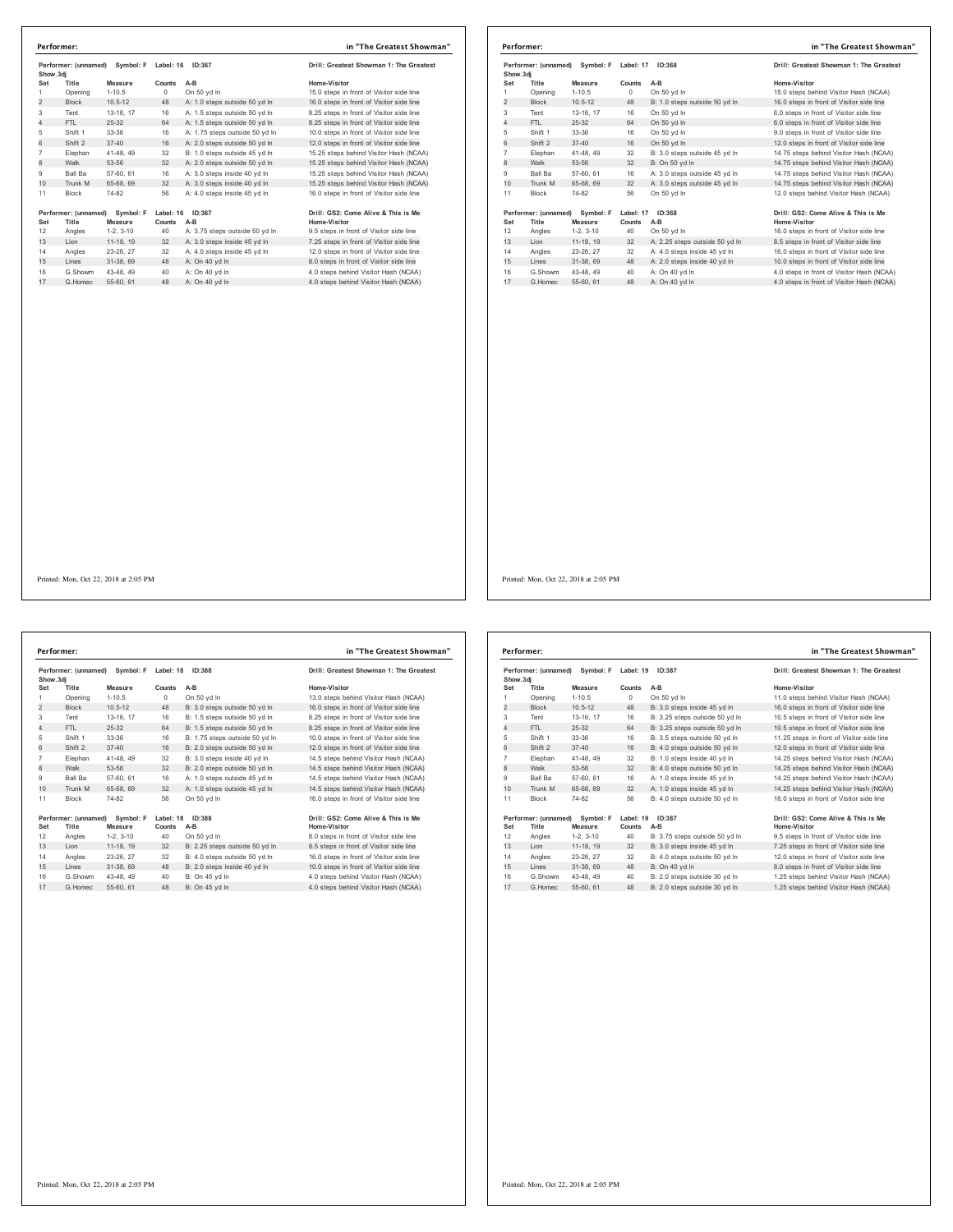| Show.3di       | Performer: (unnamed) | Symbol: F                                 | Label: 16           | ID:367                         | Drill: Greatest Showman 1: The Greatest             |
|----------------|----------------------|-------------------------------------------|---------------------|--------------------------------|-----------------------------------------------------|
| Set            | Title                | Measure                                   | Counts              | $A-B$                          | Home-Visitor                                        |
| 1              | Opening              | $1 - 10.5$                                | $\Omega$            | On 50 yd In                    | 15.0 steps in front of Visitor side line            |
| $\overline{2}$ | <b>Block</b>         | $10.5 - 12$                               | 48                  | A: 1.0 steps outside 50 vd In  | 16.0 steps in front of Visitor side line            |
| 3              | Tent                 | 13-16, 17                                 | 16                  | A: 1.5 steps outside 50 yd In  | 8.25 steps in front of Visitor side line            |
| 4              | FTI.                 | 25-32                                     | 64                  | A: 1.5 steps outside 50 yd In  | 8.25 steps in front of Visitor side line            |
| 5              | Shift 1              | $33 - 36$                                 | 16                  | A: 1.75 steps outside 50 yd In | 10.0 steps in front of Visitor side line            |
| 6              | Shift 2              | $37 - 40$                                 | 16                  | A: 2.0 steps outside 50 vd In  | 12.0 steps in front of Visitor side line            |
| $\overline{7}$ | Elephan              | 41-48, 49                                 | 32                  | B: 1.0 steps outside 45 vd In  | 15.25 steps behind Visitor Hash (NCAA)              |
| 8              | Walk                 | 53-56                                     | 32                  | A: 2.0 steps outside 50 yd In  | 15.25 steps behind Visitor Hash (NCAA)              |
| 9              | Ball Ba              | 57-60, 61                                 | 16                  | A: 3.0 steps inside 40 vd In   | 15.25 steps behind Visitor Hash (NCAA)              |
| 10             | Trunk M              | 65-68, 69                                 | 32                  | A: 3.0 steps inside 40 yd In   | 15.25 steps behind Visitor Hash (NCAA)              |
| 11             | <b>Block</b>         | 74-82                                     | 56                  | A: 4.0 steps inside 45 yd In   | 16.0 steps in front of Visitor side line            |
| Set            | Title                | Performer: (unnamed) Symbol: F<br>Measure | Label: 16<br>Counts | ID:367<br>A-B                  | Drill: GS2: Come Alive & This is Me<br>Home-Visitor |
| 12             | Angles               | $1-2.3-10$                                | 40                  | A: 3.75 steps outside 50 yd In | 9.5 steps in front of Visitor side line             |
| 13             | Lion                 | 11-18, 19                                 | 32                  | A: 3.0 steps inside 45 yd In   | 7.25 steps in front of Visitor side line            |
| 14             | Angles               | 23-26, 27                                 | 32                  | A: 4.0 steps inside 45 yd In   | 12.0 steps in front of Visitor side line            |
| 15             | Lines                | 31-38, 69                                 | 48                  | A: On 40 vd In                 | 8.0 steps in front of Visitor side line             |
| 16             | G Showm              | 43-48, 49                                 | 40                  | A: On 40 vd In                 | 4.0 steps behind Visitor Hash (NCAA)                |
| 17             | G Homec              | 55-60, 61                                 | 48                  | A: On 40 vd In                 | 4.0 steps behind Visitor Hash (NCAA)                |

| Performer: (unnamed) Symbol: F<br>Show, 3di |                               |                      | Label: 17           | ID:368                         | Drill: Greatest Showman 1: The Greatest             |
|---------------------------------------------|-------------------------------|----------------------|---------------------|--------------------------------|-----------------------------------------------------|
| Set                                         | Title                         | Measure              | Counts              | $A-B$                          | Home-Visitor                                        |
|                                             | Opening                       | $1 - 10.5$           | 0                   | On 50 yd In                    | 15.0 steps behind Visitor Hash (NCAA)               |
| $\overline{2}$                              | <b>Block</b>                  | $10.5 - 12$          | 48                  | B: 1.0 steps outside 50 yd In  | 16.0 steps in front of Visitor side line            |
| 3                                           | Tent                          | 13-16, 17            | 16                  | On 50 yd In                    | 6.0 steps in front of Visitor side line             |
| $\overline{4}$                              | FTL.                          | $25-32$              | 64                  | On 50 yd In                    | 6.0 steps in front of Visitor side line             |
| 5                                           | Shift 1                       | 33-36                | 16                  | On 50 yd In                    | 9.0 steps in front of Visitor side line             |
| 6                                           | Shift 2                       | $37 - 40$            | 16                  | On 50 vd In                    | 12.0 steps in front of Visitor side line            |
| $\overline{7}$                              | Elephan                       | 41-48, 49            | 32                  | B: 3.0 steps outside 45 vd In  | 14.75 steps behind Visitor Hash (NCAA)              |
| 8                                           | Walk                          | 53-56                | 32                  | B: On 50 yd In                 | 14.75 steps behind Visitor Hash (NCAA)              |
| 9                                           | <b>Ball Ba</b>                | 57-60, 61            | 16                  | A: 3.0 steps outside 45 yd In  | 14.75 steps behind Visitor Hash (NCAA)              |
| 10                                          | Trunk M                       | 65-68, 69            | 32                  | A: 3.0 steps outside 45 yd In  | 14.75 steps behind Visitor Hash (NCAA)              |
| 11                                          | Block                         | 74-82                | 56                  | On 50 yd In                    | 12.0 steps behind Visitor Hash (NCAA)               |
| Set                                         | Performer: (unnamed)<br>Title | Symbol: F<br>Measure | Label: 17<br>Counts | ID:368<br>A-B                  | Drill: GS2: Come Alive & This is Me<br>Home-Visitor |
| 12                                          | Angles                        | $1-2.3-10$           | 40                  | On 50 yd In                    | 16.0 steps in front of Visitor side line            |
| 13                                          | Lion                          | 11-18, 19            | 32                  | A: 2.25 steps outside 50 yd In | 8.5 steps in front of Visitor side line             |
| 14                                          | Angles                        | 23-26, 27            | 32                  | A: 4.0 steps inside 45 vd In   | 16.0 steps in front of Visitor side line            |
| 15                                          | Lines                         | 31-38, 69            | 48                  | A: 2.0 steps inside 40 yd In   | 10.0 steps in front of Visitor side line            |
| 16                                          | G.Showm                       | 43-48.49             | 40                  | A: On 40 yd In                 | 4.0 steps in front of Visitor Hash (NCAA)           |
| 17                                          | G. Homec                      | 55-60, 61            | 48                  | A: On 40 vd In                 | 4.0 steps in front of Visitor Hash (NCAA)           |

Printed: Mon, Oct 22, 2018 at 2:05 PM

**Performer: (unnamed) Symbol: F Label: 18 ID:388 Drill: Greatest Showman 1: The Greatest Show.3dj Set Title Measure Counts A-B Home-Visitor** 1 Opening 1-10.5 0 On 50 yd ln 13.0 steps behind Visitor Hash (NCAA)<br>2 Block 10.5-12 48 B: 3.0 steps outside 50 yd ln 16.0 steps in front of Visitor side line Tent 13-16, 17 16 B: 1.5 steps outside 50 yd ln 8.25 steps in front of Visitor side line 4 FTL 25-32 64 B: 1.5 steps outside 50 yd ln 8.25 steps in front of Visitor side line Shift 1 33-36 16 B: 1.75 steps outside 50 yd ln 10.0 steps in front of Visitor side line 6 Shift 2 37-40 16 B: 2.0 steps outside 50 yd ln 12.0 steps in front of Visitor side line Elephan 41-48, 49 32 B: 3.0 steps inside 40 yd ln 14.5 steps behind Visitor Hash (NCAA) 8 Walk 53-56 32 B: 2.0 steps outside 50 yd ln 14.5 steps behind Visitor Hash (NCAA) Ball Ba 57-60, 61 16 A: 1.0 steps outside 45 yd ln 14.5 steps behind Visitor Hash (NCAA) 10 Trunk M 65-68, 69 32 A: 1.0 steps outside 45 yd ln 14.5 steps behind Visitor Hash (NCAA) Block 74-82 56 On 50 yd ln 16.0 steps in front of Visitor side line **Performer: (unnamed) Symbol: F Label: 18 ID:388 Drill: GS2: Come Alive & This is Me Set Title Measure Counts A-B Home-Visitor** Angles 1-2, 3-10 40 On 50 yd ln 8.0 steps in front of Visitor side line 13 Lion 11-18, 19 32 B: 2.25 steps outside 50 yd ln 8.5 steps in front of Visitor side line Angles 23-26, 27 32 B: 4.0 steps outside 50 yd ln 16.0 steps in front of Visitor side line 15 Lines 31-38, 69 48 B: 2.0 steps inside 40 yd ln 10.0 steps in front of Visitor side line G.Showm 43-48, 49 40 B: On 45 yd ln 4.0 steps behind Visitor Hash (NCAA) 17 G.Homec 55-60, 61 48 B: On 45 yd ln 4.0 steps behind Visitor Hash (NCAA) **Performer: in "The Greatest Showman"**

| Performer: (unnamed)<br>Symbol: F<br>Show, 3di |                               | Label: 19<br>ID:387  |                     | Drill: Greatest Showman 1: The Greatest |                                                     |
|------------------------------------------------|-------------------------------|----------------------|---------------------|-----------------------------------------|-----------------------------------------------------|
| Set                                            | Title                         | Measure              | Counts              | $A-B$                                   | Home-Visitor                                        |
| 1                                              | Opening                       | $1 - 10.5$           | $\Omega$            | On 50 vd In                             | 11.0 steps behind Visitor Hash (NCAA)               |
| $\overline{2}$                                 | <b>Block</b>                  | $10.5 - 12$          | 48                  | B: 3.0 steps inside 45 yd In            | 16.0 steps in front of Visitor side line            |
| 3                                              | Tent                          | 13-16, 17            | 16                  | B: 3.25 steps outside 50 vd In          | 10.5 steps in front of Visitor side line            |
| 4                                              | FTI.                          | 25-32                | 64                  | B: 3.25 steps outside 50 yd In          | 10.5 steps in front of Visitor side line            |
| 5                                              | Shift 1                       | 33-36                | 16                  | B: 3.5 steps outside 50 yd In           | 11.25 steps in front of Visitor side line           |
| 6                                              | Shift 2                       | $37 - 40$            | 16                  | B: 4.0 steps outside 50 yd In           | 12.0 steps in front of Visitor side line            |
| $\overline{7}$                                 | Elephan                       | 41-48, 49            | 32                  | B: 1.0 steps inside 40 yd In            | 14.25 steps behind Visitor Hash (NCAA)              |
| 8                                              | Walk                          | 53-56                | 32                  | B: 4.0 steps outside 50 yd In           | 14.25 steps behind Visitor Hash (NCAA)              |
| 9                                              | Ball Ba                       | 57-60, 61            | 16                  | A: 1.0 steps inside 45 vd In            | 14.25 steps behind Visitor Hash (NCAA)              |
| 10                                             | Trunk M                       | 65-68, 69            | 32                  | A: 1.0 steps inside 45 yd In            | 14.25 steps behind Visitor Hash (NCAA)              |
| 11                                             | <b>Block</b>                  | 74-82                | 56                  | B: 4.0 steps outside 50 yd In           | 16.0 steps in front of Visitor side line            |
| Set                                            | Performer: (unnamed)<br>Title | Symbol: F<br>Measure | Label: 19<br>Counts | ID:387<br>$A-B$                         | Drill: GS2: Come Alive & This is Me<br>Home-Visitor |
| 12                                             | Angles                        | $1-2.3-10$           | 40                  | B: 3.75 steps outside 50 vd In          | 9.5 steps in front of Visitor side line             |
| 13                                             | Lion                          | 11-18, 19            | 32                  | B: 3.0 steps inside 45 yd In            | 7.25 steps in front of Visitor side line            |
| 14                                             | Angles                        | 23-26, 27            | 32                  | B: 4.0 steps outside 50 yd In           | 12.0 steps in front of Visitor side line            |
| 15                                             | Lines                         | 31-38, 69            | 48                  | B: On 40 yd In                          | 8.0 steps in front of Visitor side line             |
| 16                                             | G Showm                       | 43-48, 49            | 40                  | B: 2.0 steps outside 30 vd In           | 1.25 steps behind Visitor Hash (NCAA)               |
| 17                                             | G Homec                       | 55-60, 61            | 48                  | B: 2.0 steps outside 30 yd In           | 1.25 steps behind Visitor Hash (NCAA)               |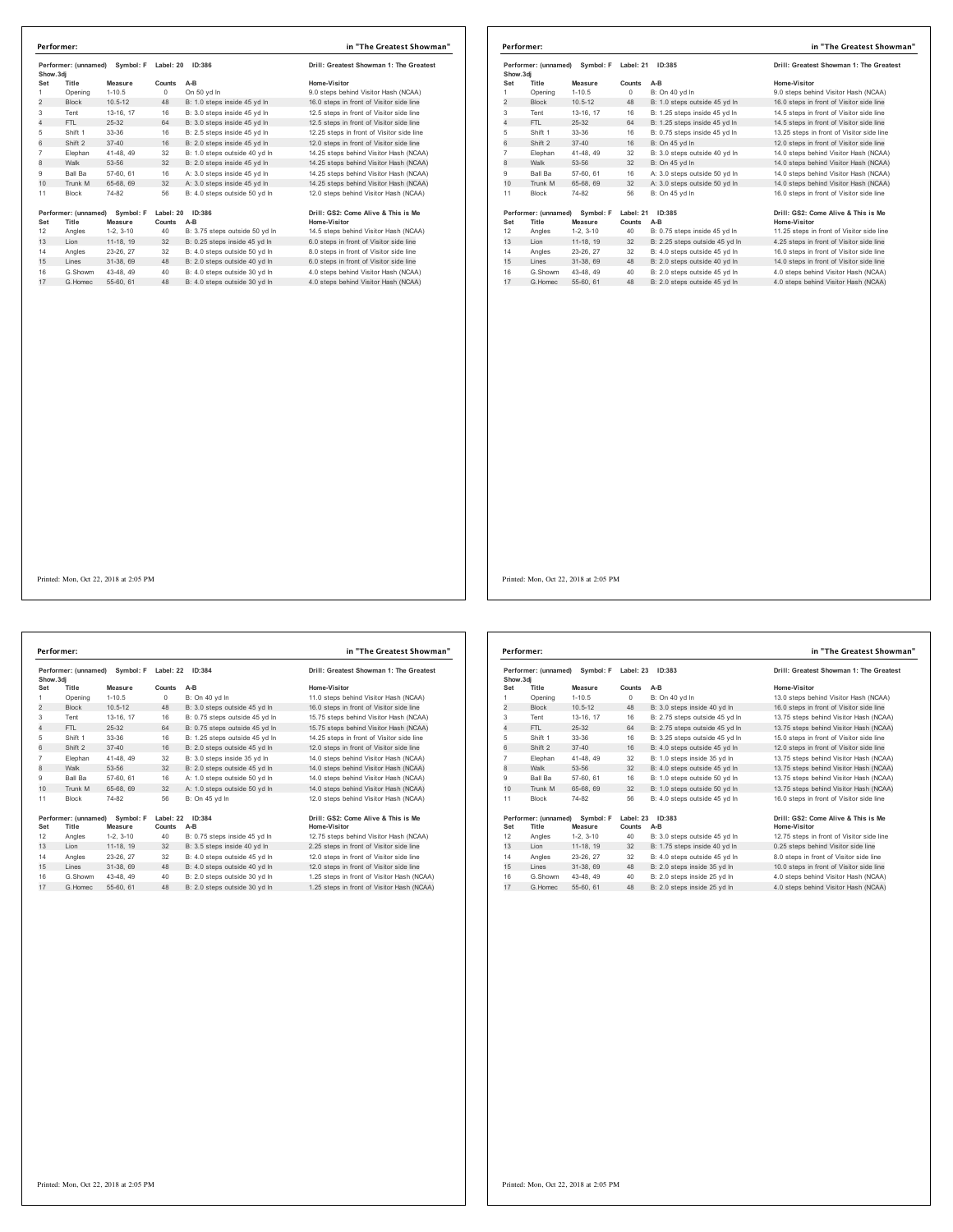|                | Performer: (unnamed) | Symbol: F   | Label: 20  | ID:386                         | Drill: Greatest Showman 1: The Greatest   |
|----------------|----------------------|-------------|------------|--------------------------------|-------------------------------------------|
| Show.3di       |                      |             |            |                                |                                           |
| Set            | Title                | Measure     | Counts     | $A-B$                          | Home-Visitor                              |
| 1              | Opening              | $1 - 10.5$  | $^{\circ}$ | On 50 vd In                    | 9.0 steps behind Visitor Hash (NCAA)      |
| $\overline{2}$ | <b>Block</b>         | $10.5 - 12$ | 48         | B: 1.0 steps inside 45 yd In   | 16.0 steps in front of Visitor side line  |
| 3              | Tent                 | 13-16, 17   | 16         | B: 3.0 steps inside 45 yd In   | 12.5 steps in front of Visitor side line  |
| 4              | FTI.                 | 25-32       | 64         | B: 3.0 steps inside 45 vd In   | 12.5 steps in front of Visitor side line  |
| 5              | Shift 1              | 33-36       | 16         | B: 2.5 steps inside 45 yd In   | 12.25 steps in front of Visitor side line |
| 6              | Shift 2              | $37 - 40$   | 16         | B: 2.0 steps inside 45 vd In   | 12.0 steps in front of Visitor side line  |
| $\overline{7}$ | Elephan              | 41-48, 49   | 32         | B: 1.0 steps outside 40 yd In  | 14.25 steps behind Visitor Hash (NCAA)    |
| 8              | Walk                 | 53-56       | 32         | B: 2.0 steps inside 45 yd In   | 14.25 steps behind Visitor Hash (NCAA)    |
| 9              | Ball Ba              | 57-60, 61   | 16         | A: 3.0 steps inside 45 vd In   | 14.25 steps behind Visitor Hash (NCAA)    |
| 10             | Trunk M              | 65-68, 69   | 32         | A: 3.0 steps inside 45 yd In   | 14.25 steps behind Visitor Hash (NCAA)    |
| 11             | <b>Block</b>         | 74-82       | 56         | B: 4.0 steps outside 50 vd In  | 12.0 steps behind Visitor Hash (NCAA)     |
|                | Performer: (unnamed) | Symbol: F   | Label: 20  | ID:386                         | Drill: GS2: Come Alive & This is Me       |
| Set            | Title                | Measure     | Counts     | $A-B$                          | Home-Visitor                              |
| 12             | Angles               | $1-2.3-10$  | 40         | B: 3.75 steps outside 50 yd In | 14.5 steps behind Visitor Hash (NCAA)     |
| 13             | Lion                 | 11-18, 19   | 32         | B: 0.25 steps inside 45 yd In  | 6.0 steps in front of Visitor side line   |
| 14             | Angles               | 23-26, 27   | 32         | B: 4.0 steps outside 50 vd In  | 8.0 steps in front of Visitor side line   |
| 15             | Lines                | 31-38, 69   | 48         | B: 2.0 steps outside 40 vd In  | 6.0 steps in front of Visitor side line   |
| 16             | G.Showm              | 43-48, 49   | 40         | B: 4.0 steps outside 30 vd In  | 4.0 steps behind Visitor Hash (NCAA)      |
| 17             | G.Homec              | 55-60, 61   | 48         | B: 4.0 steps outside 30 vd In  | 4.0 steps behind Visitor Hash (NCAA)      |
|                |                      |             |            |                                |                                           |

|                                                | Performer:           |             |           |                                | in "The Greatest Showman"                 |  |
|------------------------------------------------|----------------------|-------------|-----------|--------------------------------|-------------------------------------------|--|
| Performer: (unnamed)<br>Symbol: F<br>Show, 3di |                      |             | Label: 21 | ID:385                         | Drill: Greatest Showman 1: The Greatest   |  |
| Set                                            | Title                | Measure     | Counts    | $A-B$                          | Home-Visitor                              |  |
| 1                                              | Opening              | $1 - 10.5$  | $\circ$   | B: On 40 yd In                 | 9.0 steps behind Visitor Hash (NCAA)      |  |
| $\overline{2}$                                 | <b>Block</b>         | $10.5 - 12$ | 48        | B: 1.0 steps outside 45 yd In  | 16.0 steps in front of Visitor side line  |  |
| 3                                              | Tent                 | 13-16. 17   | 16        | B: 1.25 steps inside 45 yd In  | 14.5 steps in front of Visitor side line  |  |
| 4                                              | FTL.                 | 25-32       | 64        | B: 1.25 steps inside 45 yd In  | 14.5 steps in front of Visitor side line  |  |
| 5                                              | Shift 1              | 33-36       | 16        | B: 0.75 steps inside 45 yd In  | 13.25 steps in front of Visitor side line |  |
| 6                                              | Shift 2              | $37 - 40$   | 16        | B: On 45 vd In                 | 12.0 steps in front of Visitor side line  |  |
| $\overline{7}$                                 | Elephan              | 41-48, 49   | 32        | B: 3.0 steps outside 40 yd In  | 14.0 steps behind Visitor Hash (NCAA)     |  |
| 8                                              | Walk                 | 53-56       | 32        | B: On 45 yd In                 | 14.0 steps behind Visitor Hash (NCAA)     |  |
| 9                                              | Ball Ba              | 57-60, 61   | 16        | A: 3.0 steps outside 50 vd In  | 14.0 steps behind Visitor Hash (NCAA)     |  |
| 10                                             | Trunk M              | 65-68, 69   | 32        | A: 3.0 steps outside 50 yd In  | 14.0 steps behind Visitor Hash (NCAA)     |  |
| 11                                             | Block                | 74-82       | 56        | B: On 45 yd In                 | 16.0 steps in front of Visitor side line  |  |
|                                                | Performer: (unnamed) | Symbol: F   | Label: 21 | ID:385                         | Drill: GS2: Come Alive & This is Me       |  |
| Set                                            | Title                | Measure     | Counts    | $A-B$                          | Home-Visitor                              |  |
| 12                                             | Angles               | $1-2.3-10$  | 40        | B: 0.75 steps inside 45 vd In  | 11.25 steps in front of Visitor side line |  |
| 13                                             | Lion                 | 11-18, 19   | 32        | B: 2.25 steps outside 45 yd In | 4.25 steps in front of Visitor side line  |  |
| 14                                             | Angles               | 23-26, 27   | 32        | B: 4.0 steps outside 45 vd In  | 16.0 steps in front of Visitor side line  |  |
| 15                                             | Lines                | 31-38, 69   | 48        | B: 2.0 steps outside 40 vd In  | 14.0 steps in front of Visitor side line  |  |
| 16                                             | G.Showm              | 43-48, 49   | 40        | B: 2.0 steps outside 45 vd In  | 4.0 steps behind Visitor Hash (NCAA)      |  |
| 17                                             | G Homec              | 55-60, 61   | 48        | B: 2.0 steps outside 45 vd In  | 4.0 steps behind Visitor Hash (NCAA)      |  |

| Performer: (unnamed)<br>Symbol: F<br>Show.3di |                               |                      | Label: 22           | ID:384                         | Drill: Greatest Showman 1: The Greatest             |
|-----------------------------------------------|-------------------------------|----------------------|---------------------|--------------------------------|-----------------------------------------------------|
| Set                                           | Title                         | Measure              | Counts              | $A-B$                          | Home-Visitor                                        |
| 1                                             | Opening                       | $1 - 10.5$           | $^{\circ}$          | B: On 40 vd In                 | 11.0 steps behind Visitor Hash (NCAA)               |
| $\overline{2}$                                | <b>Block</b>                  | $10.5 - 12$          | 48                  | B: 3.0 steps outside 45 yd In  | 16.0 steps in front of Visitor side line            |
| 3                                             | Tent                          | 13-16, 17            | 16                  | B: 0.75 steps outside 45 yd In | 15.75 steps behind Visitor Hash (NCAA)              |
| $\overline{4}$                                | FTI.                          | $25 - 32$            | 64                  | B: 0.75 steps outside 45 vd In | 15.75 steps behind Visitor Hash (NCAA)              |
| 5                                             | Shift 1                       | 33-36                | 16                  | B: 1.25 steps outside 45 yd In | 14.25 steps in front of Visitor side line           |
| 6                                             | Shift 2                       | $37 - 40$            | 16                  | B: 2.0 steps outside 45 vd In  | 12.0 steps in front of Visitor side line            |
| $\overline{7}$                                | Elephan                       | 41-48, 49            | 32                  | B: 3.0 steps inside 35 vd In   | 14.0 steps behind Visitor Hash (NCAA)               |
| $\mathbf{a}$                                  | Walk                          | 53-56                | 32                  | B: 2.0 steps outside 45 yd In  | 14.0 steps behind Visitor Hash (NCAA)               |
| 9                                             | Ball Ba                       | 57-60, 61            | 16                  | A: 1.0 steps outside 50 vd In  | 14.0 steps behind Visitor Hash (NCAA)               |
| 10                                            | Trunk M                       | 65-68, 69            | 32                  | A: 1.0 steps outside 50 yd In  | 14.0 steps behind Visitor Hash (NCAA)               |
| 11                                            | <b>Block</b>                  | 74-82                | 56                  | B: On 45 vd In                 | 12.0 steps behind Visitor Hash (NCAA)               |
| Set                                           | Performer: (unnamed)<br>Title | Symbol: F<br>Measure | Label: 22<br>Counts | ID:384<br>A-B                  | Drill: GS2: Come Alive & This is Me<br>Home-Visitor |
| 12                                            | Angles                        | $1-2.3-10$           | 40                  | B: 0.75 steps inside 45 vd In  | 12.75 steps behind Visitor Hash (NCAA)              |
| 13                                            | Lion                          | 11-18, 19            | 32                  | B: 3.5 steps inside 40 yd In   | 2.25 steps in front of Visitor side line            |
| 14                                            | Angles                        | 23-26.27             | 32                  | B: 4.0 steps outside 45 vd In  | 12.0 steps in front of Visitor side line            |
| 15                                            | Lines                         | 31-38, 69            | 48                  | B: 4.0 steps outside 40 yd In  | 12.0 steps in front of Visitor side line            |
| 16                                            | G.Showm                       | 43-48, 49            | 40                  | B: 2.0 steps outside 30 vd In  | 1.25 steps in front of Visitor Hash (NCAA)          |
| 17                                            | G.Homec                       | 55-60, 61            | 48                  | B: 2.0 steps outside 30 yd In  | 1.25 steps in front of Visitor Hash (NCAA)          |

| Performer: (unnamed)<br>Show, 3di    |                | Symbol: F            | Label: 23<br>ID:383 |                                | Drill: Greatest Showman 1: The Greatest             |
|--------------------------------------|----------------|----------------------|---------------------|--------------------------------|-----------------------------------------------------|
| Set                                  | Title          | Measure              | Counts              | $A-B$                          | Home-Visitor                                        |
| 1                                    | Opening        | $1-10.5$             | $\Omega$            | B: On 40 yd In                 | 13.0 steps behind Visitor Hash (NCAA)               |
| $\overline{2}$                       | <b>Block</b>   | $10.5 - 12$          | 48                  | B: 3.0 steps inside 40 yd In   | 16.0 steps in front of Visitor side line            |
| 3                                    | Tent           | 13-16, 17            | 16                  | B: 2.75 steps outside 45 vd In | 13.75 steps behind Visitor Hash (NCAA)              |
| 4                                    | FTI.           | 25-32                | 64                  | B: 2.75 steps outside 45 yd In | 13.75 steps behind Visitor Hash (NCAA)              |
| 5                                    | Shift 1        | 33-36                | 16                  | B: 3.25 steps outside 45 yd In | 15.0 steps in front of Visitor side line            |
| 6                                    | Shift 2        | $37 - 40$            | 16                  | B: 4.0 steps outside 45 yd In  | 12.0 steps in front of Visitor side line            |
| $\overline{7}$                       | Elephan        | 41-48, 49            | 32                  | B: 1.0 steps inside 35 yd In   | 13.75 steps behind Visitor Hash (NCAA)              |
| 8                                    | Walk           | 53-56                | 32                  | B: 4.0 steps outside 45 yd In  | 13.75 steps behind Visitor Hash (NCAA)              |
| 9                                    | <b>Ball Ba</b> | 57-60, 61            | 16                  | B: 1.0 steps outside 50 yd In  | 13.75 steps behind Visitor Hash (NCAA)              |
| 10                                   | Trunk M        | 65-68, 69            | 32                  | B: 1.0 steps outside 50 vd In  | 13.75 steps behind Visitor Hash (NCAA)              |
| 11                                   | <b>Block</b>   | 74-82                | 56                  | B: 4.0 steps outside 45 vd In  | 16.0 steps in front of Visitor side line            |
| Performer: (unnamed)<br>Set<br>Title |                | Symbol: F<br>Measure | Label: 23<br>Counts | ID:383<br>$A-B$                | Drill: GS2: Come Alive & This is Me<br>Home-Visitor |
| 12                                   | Angles         | $1-2.3-10$           | 40                  | B: 3.0 steps outside 45 yd In  | 12.75 steps in front of Visitor side line           |
| 13                                   | I ion          | 11-18, 19            | 32                  | B: 1.75 steps inside 40 yd In  | 0.25 steps behind Visitor side line                 |
| 14                                   | Angles         | 23-26, 27            | 32                  | B: 4.0 steps outside 45 vd In  | 8.0 steps in front of Visitor side line             |
| 15                                   | Lines          | 31-38, 69            | 48                  | B: 2.0 steps inside 35 yd In   | 10.0 steps in front of Visitor side line            |
| 16                                   | G Showm        | 43-48, 49            | 40                  | B: 2.0 steps inside 25 yd In   | 4.0 steps behind Visitor Hash (NCAA)                |
| 17                                   | G Homec        | 55-60, 61            | 48                  | B: 2.0 steps inside 25 yd In   | 4.0 steps behind Visitor Hash (NCAA)                |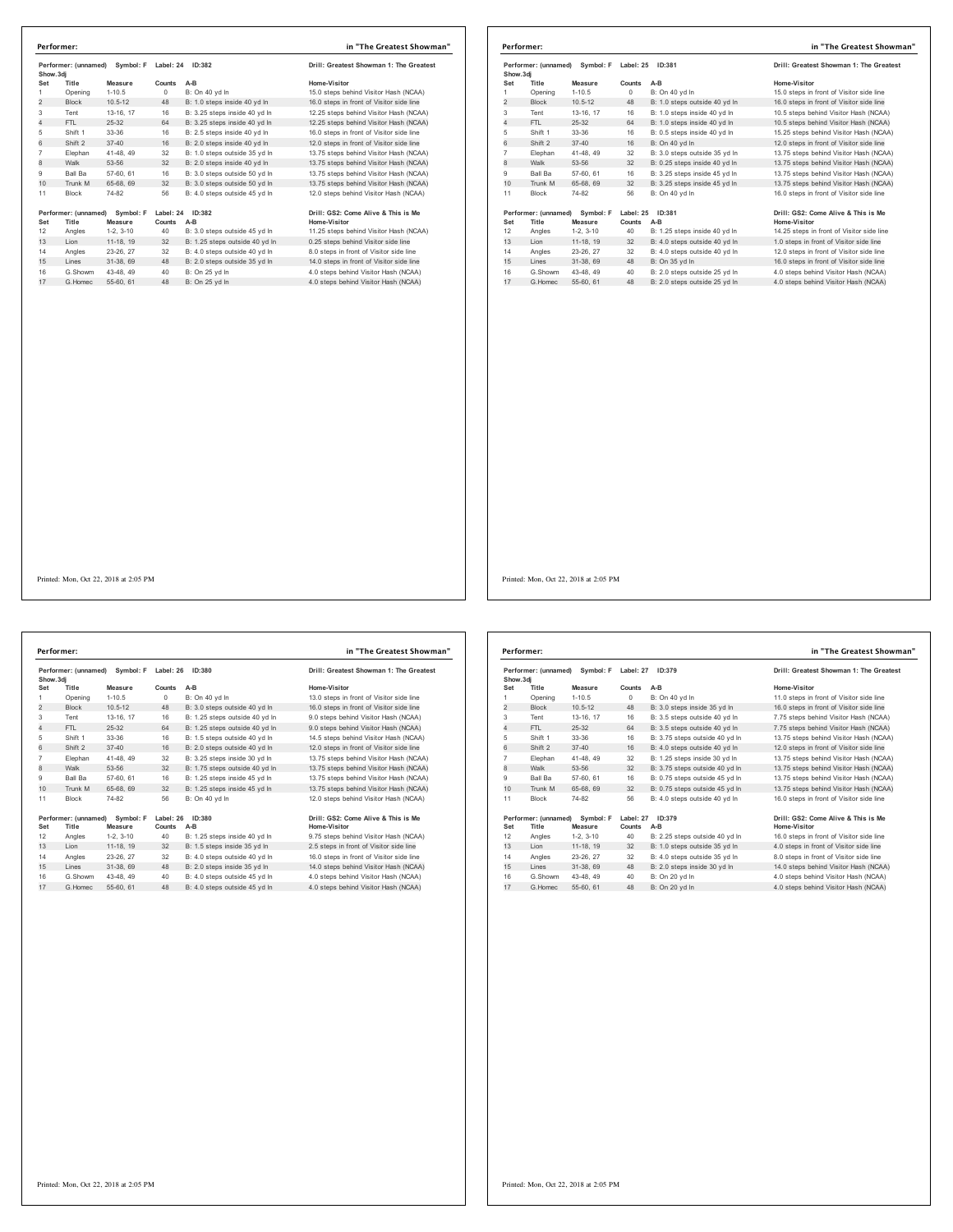| Performer: (unnamed)<br>Symbol: F<br>Show.3di |                      | Label: 24<br>ID:382    |           | Drill: Greatest Showman 1: The Greatest |                                                                              |
|-----------------------------------------------|----------------------|------------------------|-----------|-----------------------------------------|------------------------------------------------------------------------------|
| Set                                           | Title                | Measure                | Counts    | A-B                                     | Home-Visitor                                                                 |
| 1                                             | Opening              | $1 - 10.5$             | 0         | B: On 40 yd In                          | 15.0 steps behind Visitor Hash (NCAA)                                        |
| $\overline{2}$                                | <b>Block</b>         | $10.5 - 12$            | 48        | B: 1.0 steps inside 40 yd In            | 16.0 steps in front of Visitor side line                                     |
| 3                                             | Tent                 | 13-16, 17              | 16        | B: 3.25 steps inside 40 yd In           | 12.25 steps behind Visitor Hash (NCAA)                                       |
| 4                                             | FTL                  | $25 - 32$              | 64        | B: 3.25 steps inside 40 yd In           | 12.25 steps behind Visitor Hash (NCAA)                                       |
| 5                                             | Shift 1              | 33-36                  | 16        | B: 2.5 steps inside 40 yd In            | 16.0 steps in front of Visitor side line                                     |
| 6                                             | Shift 2              | $37 - 40$              | 16        | B: 2.0 steps inside 40 yd In            | 12.0 steps in front of Visitor side line                                     |
| $\overline{7}$                                | Elephan              | 41-48.49               | 32        | B: 1.0 steps outside 35 vd In           | 13.75 steps behind Visitor Hash (NCAA)                                       |
| 8                                             | Walk                 | 53-56                  | 32        | B: 2.0 steps inside 40 yd In            | 13.75 steps behind Visitor Hash (NCAA)                                       |
| 9                                             | Ball Ba              | 57-60, 61              | 16        | B: 3.0 steps outside 50 yd In           | 13.75 steps behind Visitor Hash (NCAA)                                       |
| 10                                            | Trunk M              | 65-68, 69              | 32        | B: 3.0 steps outside 50 yd In           | 13.75 steps behind Visitor Hash (NCAA)                                       |
| 11                                            | Block                | 74-82                  | 56        | B: 4.0 steps outside 45 yd In           | 12.0 steps behind Visitor Hash (NCAA)                                        |
|                                               | Performer: (unnamed) | Symbol: F              | Label: 24 | ID:382                                  | Drill: GS2: Come Alive & This is Me                                          |
| Set<br>12                                     | Title                | Measure                | Counts    | A-B                                     | Home-Visitor                                                                 |
|                                               | Angles               | $1-2, 3-10$            | 40        | B: 3.0 steps outside 45 yd In           | 11.25 steps behind Visitor Hash (NCAA)                                       |
|                                               |                      | 11-18, 19              | 32        | B: 1.25 steps outside 40 yd In          | 0.25 steps behind Visitor side line                                          |
| 13                                            | Lion                 |                        |           |                                         |                                                                              |
| 14                                            | Angles               | 23-26, 27              | 32        | B: 4.0 steps outside 40 vd ln           | 8.0 steps in front of Visitor side line                                      |
| 15                                            | Lines                | 31-38, 69              | 48        | B: 2.0 steps outside 35 yd In           | 14.0 steps in front of Visitor side line                                     |
| 16<br>17                                      | G.Showm<br>G.Homec   | 43-48, 49<br>55-60, 61 | 40<br>48  | B: On 25 yd In<br>B: On 25 yd In        | 4.0 steps behind Visitor Hash (NCAA)<br>4.0 steps behind Visitor Hash (NCAA) |

|                |                      | Performer: (unnamed) Symbol: F | Label: 25 | ID:381                        | Drill: Greatest Showman 1: The Greatest   |
|----------------|----------------------|--------------------------------|-----------|-------------------------------|-------------------------------------------|
| Show, 3di      |                      |                                |           |                               |                                           |
| Set            | Title                | Measure                        | Counts    | $A-B$                         | Home-Visitor                              |
| 1              | Opening              | $1 - 10.5$                     | $\circ$   | B: On 40 vd In                | 15.0 steps in front of Visitor side line  |
| $\overline{2}$ | <b>Block</b>         | $10.5 - 12$                    | 48        | B: 1.0 steps outside 40 yd In | 16.0 steps in front of Visitor side line  |
| 3              | Tent                 | 13-16, 17                      | 16        | B: 1.0 steps inside 40 yd In  | 10.5 steps behind Visitor Hash (NCAA)     |
| 4              | FTL                  | $25-32$                        | 64        | B: 1.0 steps inside 40 vd ln  | 10.5 steps behind Visitor Hash (NCAA)     |
| 5              | Shift 1              | 33-36                          | 16        | B: 0.5 steps inside 40 yd In  | 15.25 steps behind Visitor Hash (NCAA)    |
| 6              | Shift 2              | $37 - 40$                      | 16        | B: On 40 vd In                | 12.0 steps in front of Visitor side line  |
| $\overline{7}$ | Elephan              | 41-48, 49                      | 32        | B: 3.0 steps outside 35 vd In | 13.75 steps behind Visitor Hash (NCAA)    |
| 8              | Walk                 | 53-56                          | 32        | B: 0.25 steps inside 40 yd In | 13.75 steps behind Visitor Hash (NCAA)    |
| 9              | Ball Ba              | 57-60, 61                      | 16        | B: 3.25 steps inside 45 vd In | 13.75 steps behind Visitor Hash (NCAA)    |
| 10             | Trunk M              | 65-68, 69                      | 32        | B: 3.25 steps inside 45 yd In | 13.75 steps behind Visitor Hash (NCAA)    |
| 11             | <b>Block</b>         | 74-82                          | 56        | B: On 40 vd In                | 16.0 steps in front of Visitor side line  |
|                | Performer: (unnamed) | Symbol: F                      | Label: 25 | ID:381                        | Drill: GS2: Come Alive & This is Me       |
| Set            | Title                | Measure                        | Counts    | A-B                           | Home-Visitor                              |
| 12             | Angles               | $1-2.3-10$                     | 40        | B: 1.25 steps inside 40 yd In | 14.25 steps in front of Visitor side line |
| 13             | Lion                 | 11-18, 19                      | 32        | B: 4.0 steps outside 40 yd In | 1.0 steps in front of Visitor side line   |
| 14             | Angles               | 23-26, 27                      | 32        | B: 4.0 steps outside 40 vd In | 12.0 steps in front of Visitor side line  |
| 15             | Lines                | 31-38, 69                      | 48        | B: On 35 vd In                | 16.0 steps in front of Visitor side line  |
| 16             | G.Showm              | 43-48, 49                      | 40        | B: 2.0 steps outside 25 vd In | 4.0 steps behind Visitor Hash (NCAA)      |
| 17             | G. Homec             | 55-60 61                       | 48        | B: 2.0 steps outside 25 vd In | 4.0 steps behind Visitor Hash (NCAA)      |

Printed: Mon, Oct 22, 2018 at 2:05 PM

Performer: (unnamed) Symbol: F Label: 26 ID:380 **Drill: Greatest Showman 1: The Greatest Show.3dj Set Title Measure Counts A-B Home-Visitor** 999 110.5 0 1999 110.5 1 13.0 steps in front of Visitor side line<br>13.0 steps in front of Visitor side in the Buck 10.5-112<br>13.0 steps behind Visitor side in the B: 1.25 steps outside 40 yd In 13.1 of the 13.16, 17<br>14 FTL 2 Shift 1 33-36 16 B: 1.5 steps outside 40 yd ln 14.5 steps behind Visitor Hash (NCAA) 6 Shift 2 37-40 16 B: 2.0 steps outside 40 yd ln 12.0 steps in front of Visitor side line Elephan 41-48, 49 32 B: 3.25 steps inside 30 yd ln 13.75 steps behind Visitor Hash (NCAA) 8 Walk 53-56 32 B: 1.75 steps outside 40 yd ln 13.75 steps behind Visitor Hash (NCAA) Ball Ba 57-60, 61 16 B: 1.25 steps inside 45 yd ln 13.75 steps behind Visitor Hash (NCAA) 10 Trunk M 65-68, 69 32 B: 1.25 steps inside 45 yd ln 13.75 steps behind Visitor Hash (NCAA) Block 74-82 56 B: On 40 yd ln 12.0 steps behind Visitor Hash (NCAA) **Performer: (unnamed) Symbol: F Label: 26 ID:380 Drill: GS2: Come Alive & This is Me Set Title Measure Counts A-B Home-Visitor** 12 Angles 1-2, 3-10 40 B: 1.25 steps inside 40 yd ln 9.75 steps behind Visitor Hash (NCAA) 13 Lion 11-18, 19 32 B: 1.5 steps inside 35 yd ln 2.5 steps in front of Visitor side line Angles 23-26, 27 32 B: 4.0 steps outside 40 yd ln 16.0 steps in front of Visitor side line 15 Lines 31-38, 69 48 B: 2.0 steps inside 35 yd ln 14.0 steps behind Visitor Hash (NCAA) G.Showm 43-48, 49 40 B: 4.0 steps outside 45 yd ln 4.0 steps behind Visitor Hash (NCAA) 17 G.Homec 55-60, 61 48 B: 4.0 steps outside 45 yd ln 4.0 steps behind Visitor Hash (NCAA) **Performer: in "The Greatest Showman"**

| Performer: (unnamed)<br>Show.3dj |                               | Symbol: F            | Label: 27<br>ID:379 |                                | Drill: Greatest Showman 1: The Greatest             |
|----------------------------------|-------------------------------|----------------------|---------------------|--------------------------------|-----------------------------------------------------|
| Set                              | Title                         | Measure              | Counts              | $A-B$                          | Home-Visitor                                        |
| 1                                | Opening                       | $1-10.5$             | $\Omega$            | B: On 40 yd In                 | 11.0 steps in front of Visitor side line            |
| $\overline{2}$                   | <b>Block</b>                  | $10.5 - 12$          | 48                  | B: 3.0 steps inside 35 yd In   | 16.0 steps in front of Visitor side line            |
| 3                                | Tent                          | 13-16. 17            | 16                  | B: 3.5 steps outside 40 vd In  | 7.75 steps behind Visitor Hash (NCAA)               |
| 4                                | FTI.                          | 25-32                | 64                  | B: 3.5 steps outside 40 yd In  | 7.75 steps behind Visitor Hash (NCAA)               |
| 5                                | Shift 1                       | 33-36                | 16                  | B: 3.75 steps outside 40 yd In | 13.75 steps behind Visitor Hash (NCAA)              |
| 6                                | Shift 2                       | $37 - 40$            | 16                  | B: 4.0 steps outside 40 yd In  | 12.0 steps in front of Visitor side line            |
| $\overline{7}$                   | Elephan                       | 41-48.49             | 32                  | B: 1.25 steps inside 30 yd In  | 13.75 steps behind Visitor Hash (NCAA)              |
| 8                                | Walk                          | 53-56                | 32                  | B: 3.75 steps outside 40 yd In | 13.75 steps behind Visitor Hash (NCAA)              |
| 9                                | Ball Ba                       | 57-60, 61            | 16                  | B: 0.75 steps outside 45 vd In | 13.75 steps behind Visitor Hash (NCAA)              |
| 10                               | Trunk M                       | 65-68, 69            | 32                  | B: 0.75 steps outside 45 yd In | 13.75 steps behind Visitor Hash (NCAA)              |
| 11                               | <b>Block</b>                  | 74-82                | 56                  | B: 4.0 steps outside 40 yd In  | 16.0 steps in front of Visitor side line            |
| Set                              | Performer: (unnamed)<br>Title | Symbol: F<br>Measure | Label: 27<br>Counts | ID:379<br>A-B                  | Drill: GS2: Come Alive & This is Me<br>Home-Visitor |
| 12                               | Angles                        | $1-2.3-10$           | 40                  | B: 2.25 steps outside 40 yd In | 16.0 steps in front of Visitor side line            |
| 13                               | Lion                          | 11-18, 19            | 32                  | B: 1.0 steps outside 35 yd In  | 4.0 steps in front of Visitor side line             |
| 14                               | Angles                        | 23-26, 27            | 32                  | B: 4.0 steps outside 35 vd In  | 8.0 steps in front of Visitor side line             |
| 15                               | Lines                         | 31-38, 69            | 48                  | B: 2.0 steps inside 30 yd In   | 14.0 steps behind Visitor Hash (NCAA)               |
| 16                               | G Showm                       | 43-48.49             | 40                  | B: On 20 yd In                 | 4.0 steps behind Visitor Hash (NCAA)                |
| 17                               | G. Homec                      | 55-60, 61            | 48                  | B: On 20 yd In                 | 4.0 steps behind Visitor Hash (NCAA)                |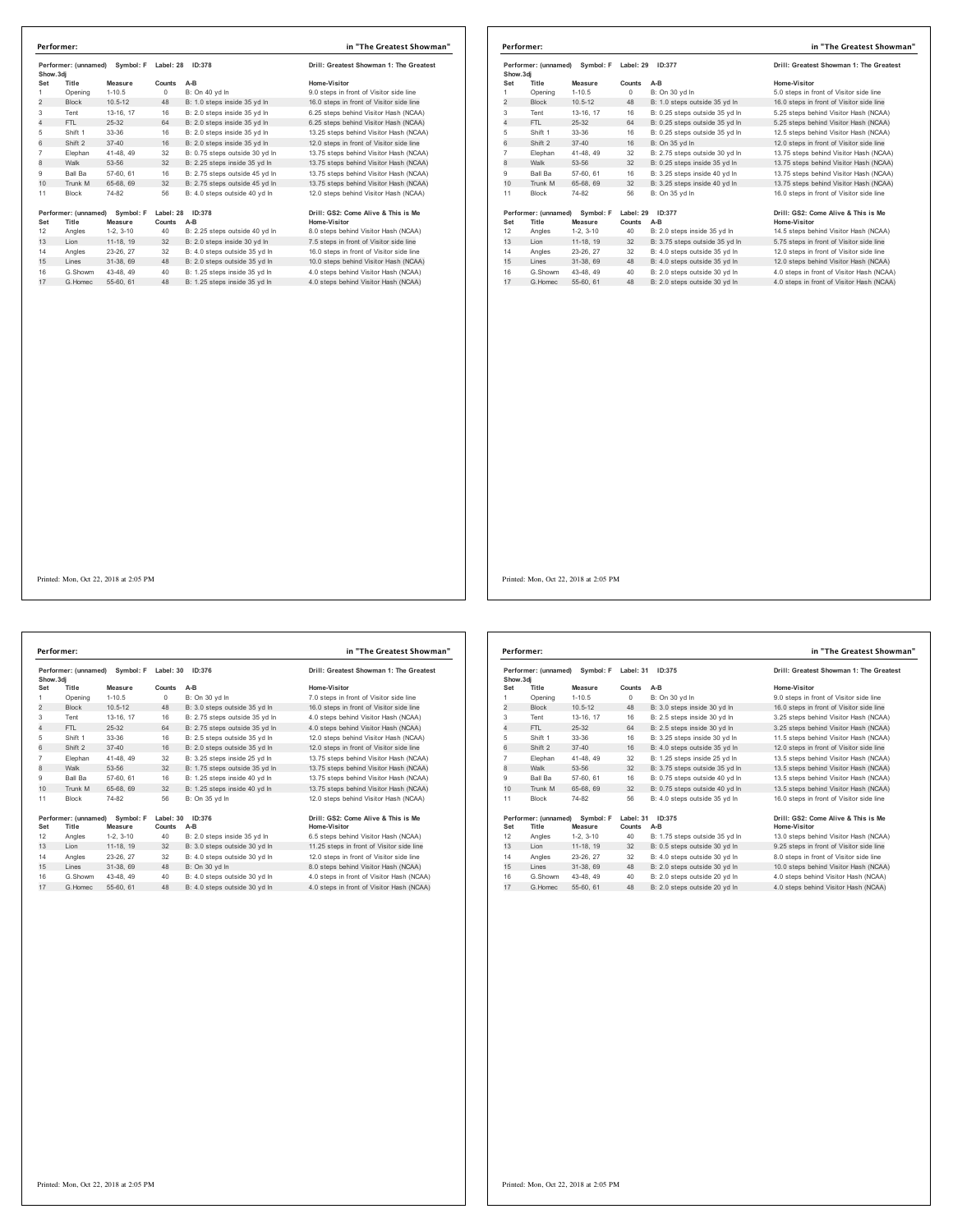| Show.3di       | Performer: (unnamed) | Symbol: F   | Label: 28 | ID:378                         | Drill: Greatest Showman 1: The Greatest  |
|----------------|----------------------|-------------|-----------|--------------------------------|------------------------------------------|
| Set            | Title                | Measure     | Counts    | $A-B$                          | Home-Visitor                             |
| 1              | Opening              | $1 - 10.5$  | $\Omega$  | B: On 40 vd In                 | 9.0 steps in front of Visitor side line  |
| $\overline{2}$ | <b>Block</b>         | $10.5 - 12$ | 48        | B: 1.0 steps inside 35 yd In   | 16.0 steps in front of Visitor side line |
| 3              | Tent                 | 13-16, 17   | 16        | B: 2.0 steps inside 35 yd In   | 6.25 steps behind Visitor Hash (NCAA)    |
| 4              | FTI.                 | 25-32       | 64        | B: 2.0 steps inside 35 vd In   | 6.25 steps behind Visitor Hash (NCAA)    |
| 5              | Shift 1              | 33-36       | 16        | B: 2.0 steps inside 35 yd In   | 13.25 steps behind Visitor Hash (NCAA)   |
| 6              | Shift 2              | $37 - 40$   | 16        | B: 2.0 steps inside 35 yd In   | 12.0 steps in front of Visitor side line |
| $\overline{7}$ | Elephan              | 41-48, 49   | 32        | B: 0.75 steps outside 30 vd In | 13.75 steps behind Visitor Hash (NCAA)   |
| 8              | Walk                 | 53-56       | 32        | B: 2.25 steps inside 35 yd In  | 13.75 steps behind Visitor Hash (NCAA)   |
| 9              | Ball Ba              | 57-60, 61   | 16        | B: 2.75 steps outside 45 vd In | 13.75 steps behind Visitor Hash (NCAA)   |
| 10             | Trunk M              | 65-68, 69   | 32        | B: 2.75 steps outside 45 yd In | 13.75 steps behind Visitor Hash (NCAA)   |
| 11             | <b>Block</b>         | 74-82       | 56        | B: 4.0 steps outside 40 vd In  | 12.0 steps behind Visitor Hash (NCAA)    |
|                | Performer: (unnamed) | Symbol: F   | Label: 28 | ID:378                         | Drill: GS2: Come Alive & This is Me      |
| Set            | Title                | Measure     | Counts    | $A-B$                          | Home-Visitor                             |
| 12             | Angles               | $1-2.3-10$  | 40        | B: 2.25 steps outside 40 vd In | 8.0 steps behind Visitor Hash (NCAA)     |
| 13             | Lion                 | 11-18, 19   | 32        | B: 2.0 steps inside 30 yd In   | 7.5 steps in front of Visitor side line  |
| 14             | Angles               | 23-26, 27   | 32        | B: 4.0 steps outside 35 vd In  | 16.0 steps in front of Visitor side line |
| 15             | Lines                | 31-38, 69   | 48        | B: 2.0 steps outside 35 vd In  | 10.0 steps behind Visitor Hash (NCAA)    |
| 16             | G.Showm              | 43-48, 49   | 40        | B: 1.25 steps inside 35 yd In  | 4.0 steps behind Visitor Hash (NCAA)     |
| 17             | G.Homec              | 55-60, 61   | 48        | B: 1.25 steps inside 35 vd In  | 4.0 steps behind Visitor Hash (NCAA)     |

| in "The Greatest Showman"<br>Performer: |                               |                      |                            |                                |                                                     |  |  |
|-----------------------------------------|-------------------------------|----------------------|----------------------------|--------------------------------|-----------------------------------------------------|--|--|
| Show, 3di                               | Performer: (unnamed)          | Symbol: F            | Label: 29                  | ID:377                         | Drill: Greatest Showman 1: The Greatest             |  |  |
| Set                                     | Title                         | Measure              | Counts                     | $A-B$                          | Home-Visitor                                        |  |  |
|                                         | Opening                       | $1 - 10.5$           | 0                          | B: On 30 yd In                 | 5.0 steps in front of Visitor side line             |  |  |
| 2                                       | <b>Block</b>                  | $10.5 - 12$          | 48                         | B: 1.0 steps outside 35 yd In  | 16.0 steps in front of Visitor side line            |  |  |
| 3                                       | Tent                          | 13-16, 17            | 16                         | B: 0.25 steps outside 35 yd In | 5.25 steps behind Visitor Hash (NCAA)               |  |  |
| $\overline{4}$                          | FTL                           | $25-32$              | 64                         | B: 0.25 steps outside 35 yd In | 5.25 steps behind Visitor Hash (NCAA)               |  |  |
| 5                                       | Shift 1                       | 33-36                | 16                         | B: 0.25 steps outside 35 yd In | 12.5 steps behind Visitor Hash (NCAA)               |  |  |
| 6                                       | Shift 2                       | $37 - 40$            | 16                         | B: On 35 vd In                 | 12.0 steps in front of Visitor side line            |  |  |
| 7                                       | Elephan                       | 41-48, 49            | 32                         | B: 2.75 steps outside 30 yd In | 13.75 steps behind Visitor Hash (NCAA)              |  |  |
| 8                                       | Walk                          | 53-56                | 32                         | B: 0.25 steps inside 35 yd In  | 13.75 steps behind Visitor Hash (NCAA)              |  |  |
| 9                                       | <b>Ball Ba</b>                | 57-60, 61            | 16                         | B: 3.25 steps inside 40 vd In  | 13.75 steps behind Visitor Hash (NCAA)              |  |  |
| 10                                      | Trunk M                       | 65-68, 69            | 32                         | B: 3.25 steps inside 40 yd In  | 13.75 steps behind Visitor Hash (NCAA)              |  |  |
| 11                                      | Block                         | 74-82                | 56                         | B: On 35 yd In                 | 16.0 steps in front of Visitor side line            |  |  |
| Set                                     | Performer: (unnamed)<br>Title | Symbol: F<br>Measure | Label: 29<br><b>Counts</b> | ID:377<br>$A-B$                | Drill: GS2: Come Alive & This is Me<br>Home-Visitor |  |  |
| 12                                      | Angles                        | $1-2.3-10$           | 40                         | B: 2.0 steps inside 35 vd In   | 14.5 steps behind Visitor Hash (NCAA)               |  |  |
| 13                                      | Lion                          | 11-18, 19            | 32                         | B: 3.75 steps outside 35 yd In | 5.75 steps in front of Visitor side line            |  |  |
| 14                                      | Angles                        | 23-26, 27            | 32                         | B: 4.0 steps outside 35 vd In  | 12.0 steps in front of Visitor side line            |  |  |
| 15                                      | Lines                         | 31-38, 69            | 48                         | B: 4.0 steps outside 35 yd In  | 12.0 steps behind Visitor Hash (NCAA)               |  |  |
| 16                                      | G.Showm                       | 43-48.49             | 40                         | B: 2.0 steps outside 30 vd In  | 4.0 steps in front of Visitor Hash (NCAA)           |  |  |
| 17                                      | G Homec                       | 55-60, 61            | 48                         | B: 2.0 steps outside 30 vd In  | 4.0 steps in front of Visitor Hash (NCAA)           |  |  |

**Performer: (unnamed) Symbol: F Label: 30 ID:376 Drill: Greatest Showman 1: The Greatest Show.3dj** Solution Measure Counts A-B (Mono-Visitor Home-Visitor Solution 11:0.5<br>2 Block 10.5-12 48 B: 3.0 steps outside 35 yd In 7.0 steps in front of Visitor side line<br>2 Block 10.5-12 48 B: 3.0 steps outside 35 yd In 4.0 steps beh 6 Shift 1 33-36 16 B: 2.5 steps outside 35 yd ln<br>16 Shift 2 37-40 16 B: 2.0 steps outside 35 yd ln<br>12.0 Shift 2 32 B: 3.25 steps in side 25 yd ln Elephan 41-48, 49 32 B: 3.25 steps inside 25 yd ln 13.75 steps behind Visitor Hash (NCAA) 8 Walk 53-56 32 B: 1.75 steps outside 35 yd ln 13.75 steps behind Visitor Hash (NCAA) 9 Ball Ba 57-60, 61 16 B: 1.25 steps inside 40 yd ln 13.75 steps behind Visitor Hash (NCAA) 10  $\frac{3}{2}$  banda  $\frac{3}{2}$   $\frac{3}{2}$  behind  $\frac{3}{2}$  B: 1.25 steps inside 40 yd ln 13. 11 Block 74-82 56 B: On 35 yd In **Performer: (unnamed) Symbol: F Label: 30 ID:376 Drill: GS2: Come Alive & This is Me Set Title Measure Counts A-B Home-Visitor** 12 Angles 1-2, 3-10 40 B: 2.0 steps inside 35 yd ln 6.5 steps behind Visitor Hash (NCAA) 13 Lion 11-18, 19 32 B: 3.0 steps outside 30 yd ln 11.25 steps in front of Visitor side line 14 Angles 23-26, 27 32 B: 4.0 steps outside 30 yd ln 12.0 steps in front of Visitor side line<br>15 Lines 31-38, 69 48 B: On 30 yd ln 8.0 steps behind Visitor Hash (NCAA) 25-26, 21 52 B: 4.0 steps between<br>Lines 31-38, 69 48 B: On 30 yd In G.Showm 43-48, 49 40 B: 4.0 steps outside 30 yd ln 4.0 steps in front of Visitor Hash (NCAA) 17 G.Homec 55-60, 61 48 B: 4.0 steps outside 30 yd ln 4.0 steps in front of Visitor Hash (NCAA) **Performer: in "The Greatest Showman"**

| )rill: Greatest Showman 1: The Greates  |
|-----------------------------------------|
| lome-Visitor                            |
| .0 steps in front of Visitor side line  |
| 6.0 steps in front of Visitor side line |
| .0 steps behind Visitor Hash (NCAA)     |
| .0 steps behind Visitor Hash (NCAA)     |
| 2.0 steps behind Visitor Hash (NCAA)    |
| 2.0 steps in front of Visitor side line |
| 3.75 steps behind Visitor Hash (NCAA)   |
| 3.75 steps behind Visitor Hash (NCAA)   |
| 3.75 steps behind Visitor Hash (NCAA)   |
| 3.75 steps behind Visitor Hash (NCAA)   |
| 2.0 steps behind Visitor Hash (NCAA)    |

| Show, 3di                                       | Performer: (unnamed) | Symbol: F   | Label: 31           | ID:375                         | Drill: Greatest Showman 1: The Greatest             |
|-------------------------------------------------|----------------------|-------------|---------------------|--------------------------------|-----------------------------------------------------|
| Set                                             | Title                | Measure     | Counts              | $A-B$                          | Home-Visitor                                        |
| 1                                               | Opening              | $1 - 10.5$  | $\Omega$            | B: On 30 yd In                 | 9.0 steps in front of Visitor side line             |
| 2                                               | <b>Block</b>         | $10.5 - 12$ | 48                  | B: 3.0 steps inside 30 yd In   | 16.0 steps in front of Visitor side line            |
| 3                                               | Tent                 | 13-16. 17   | 16                  | B: 2.5 steps inside 30 vd In   | 3.25 steps behind Visitor Hash (NCAA)               |
| 4                                               | FTL                  | $25-32$     | 64                  | B: 2.5 steps inside 30 yd In   | 3.25 steps behind Visitor Hash (NCAA)               |
| 5                                               | Shift 1              | 33-36       | 16                  | B: 3.25 steps inside 30 yd In  | 11.5 steps behind Visitor Hash (NCAA)               |
| 6                                               | Shift 2              | $37 - 40$   | 16                  | B: 4.0 steps outside 35 vd In  | 12.0 steps in front of Visitor side line            |
| $\overline{7}$                                  | Elephan              | 41-48, 49   | 32                  | B: 1.25 steps inside 25 vd In  | 13.5 steps behind Visitor Hash (NCAA)               |
| 8                                               | Walk                 | 53-56       | 32                  | B: 3.75 steps outside 35 yd In | 13.5 steps behind Visitor Hash (NCAA)               |
| 9                                               | <b>Ball Ba</b>       | 57-60, 61   | 16                  | B: 0.75 steps outside 40 vd In | 13.5 steps behind Visitor Hash (NCAA)               |
| 10                                              | Trunk M              | 65-68, 69   | 32                  | B: 0.75 steps outside 40 yd In | 13.5 steps behind Visitor Hash (NCAA)               |
| 11                                              | <b>Block</b>         | 74-82       | 56                  | B: 4.0 steps outside 35 vd In  | 16.0 steps in front of Visitor side line            |
| Performer: (unnamed)<br>Set<br>Title<br>Measure |                      | Symbol: F   | Label: 31<br>Counts | ID:375<br>A-B                  | Drill: GS2: Come Alive & This is Me<br>Home-Visitor |
| 12                                              | Angles               | $1-2.3-10$  | 40                  | B: 1.75 steps outside 35 yd In | 13.0 steps behind Visitor Hash (NCAA)               |
| 13                                              | Lion                 | 11-18, 19   | 32                  | B: 0.5 steps outside 30 yd In  | 9.25 steps in front of Visitor side line            |
| 14                                              | Angles               | 23-26, 27   | 32                  | B: 4.0 steps outside 30 vd In  | 8.0 steps in front of Visitor side line             |
| 15                                              | Lines                | 31-38, 69   | 48                  | B: 2.0 steps outside 30 vd In  | 10.0 steps behind Visitor Hash (NCAA)               |
| 16                                              | G.Showm              | 43-48, 49   | 40                  | B: 2.0 steps outside 20 vd In  | 4.0 steps behind Visitor Hash (NCAA)                |
| 17                                              | G. Homec             | 55-60, 61   | 48                  | B: 2.0 steps outside 20 yd In  | 4.0 steps behind Visitor Hash (NCAA)                |

Printed: Mon, Oct 22, 2018 at 2:05 PM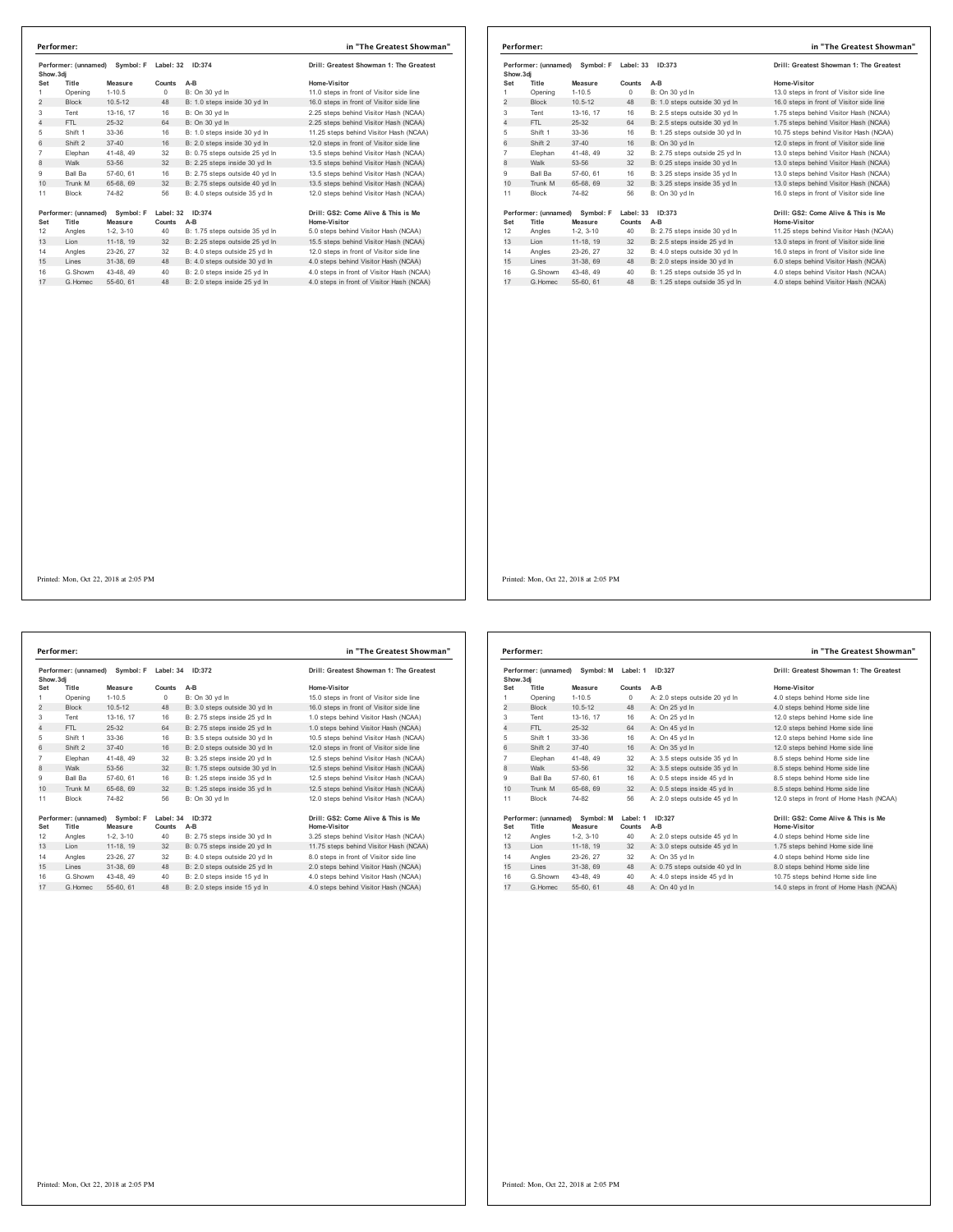| Performer: (unnamed)<br>Symbol: F<br>Show.3di |                               | Label: 32<br>ID:374  |                     | Drill: Greatest Showman 1: The Greatest |                                                     |
|-----------------------------------------------|-------------------------------|----------------------|---------------------|-----------------------------------------|-----------------------------------------------------|
| Set                                           | Title                         | Measure              | Counts              | $A-B$                                   | Home-Visitor                                        |
| 1                                             | Opening                       | $1 - 10.5$           | 0                   | B: On 30 vd In                          | 11.0 steps in front of Visitor side line            |
| $\overline{2}$                                | <b>Block</b>                  | $10.5 - 12$          | 48                  | B: 1.0 steps inside 30 yd In            | 16.0 steps in front of Visitor side line            |
| 3                                             | Tent                          | 13-16, 17            | 16                  | B: On 30 yd In                          | 2.25 steps behind Visitor Hash (NCAA)               |
| 4                                             | FTI.                          | 25-32                | 64                  | B: On 30 vd In                          | 2.25 steps behind Visitor Hash (NCAA)               |
| 5                                             | Shift 1                       | 33-36                | 16                  | B: 1.0 steps inside 30 yd In            | 11.25 steps behind Visitor Hash (NCAA)              |
| 6                                             | Shift 2                       | $37 - 40$            | 16                  | B: 2.0 steps inside 30 yd In            | 12.0 steps in front of Visitor side line            |
| $\overline{7}$                                | Elephan                       | 41-48, 49            | 32                  | B: 0.75 steps outside 25 yd In          | 13.5 steps behind Visitor Hash (NCAA)               |
| 8                                             | Walk                          | 53-56                | 32                  | B: 2.25 steps inside 30 yd In           | 13.5 steps behind Visitor Hash (NCAA)               |
| 9                                             | Ball Ba                       | 57-60, 61            | 16                  | B: 2.75 steps outside 40 yd In          | 13.5 steps behind Visitor Hash (NCAA)               |
| 10                                            | Trunk M                       | 65-68, 69            | 32                  | B: 2.75 steps outside 40 yd In          | 13.5 steps behind Visitor Hash (NCAA)               |
| 11                                            | <b>Block</b>                  | 74-82                | 56                  | B: 4.0 steps outside 35 vd In           | 12.0 steps behind Visitor Hash (NCAA)               |
| Set                                           | Performer: (unnamed)<br>Title | Symbol: F<br>Measure | Label: 32<br>Counts | ID:374<br>$A-B$                         | Drill: GS2: Come Alive & This is Me<br>Home-Visitor |
| 12                                            | Angles                        | $1-2.3-10$           | 40                  | B: 1.75 steps outside 35 vd In          | 5.0 steps behind Visitor Hash (NCAA)                |
| 13                                            | Lion                          | 11-18, 19            | 32                  | B: 2.25 steps outside 25 yd In          | 15.5 steps behind Visitor Hash (NCAA)               |
| 14                                            | Angles                        | 23-26, 27            | 32                  | B: 4.0 steps outside 25 vd In           | 12.0 steps in front of Visitor side line            |
| 15                                            | Lines                         | 31-38, 69            | 48                  | B: 4.0 steps outside 30 vd In           | 4.0 steps behind Visitor Hash (NCAA)                |
| 16                                            | G.Showm                       | 43-48, 49            | 40                  | B: 2.0 steps inside 25 yd In            | 4.0 steps in front of Visitor Hash (NCAA)           |
| 17                                            | G.Homec                       | 55-60, 61            | 48                  | B: 2.0 steps inside 25 yd In            | 4.0 steps in front of Visitor Hash (NCAA)           |

| Performer: (unnamed) Symbol: F |                      |             | Label: 33 | ID:373                         | Drill: Greatest Showman 1: The Greatest  |
|--------------------------------|----------------------|-------------|-----------|--------------------------------|------------------------------------------|
| Show, 3di                      |                      |             |           |                                |                                          |
| Set                            | Title                | Measure     | Counts    | $A-B$                          | Home-Visitor                             |
| 1                              | Opening              | $1 - 10.5$  | $\circ$   | B: On 30 yd In                 | 13.0 steps in front of Visitor side line |
| $\overline{2}$                 | <b>Block</b>         | $10.5 - 12$ | 48        | B: 1.0 steps outside 30 yd In  | 16.0 steps in front of Visitor side line |
| 3                              | Tent                 | 13-16. 17   | 16        | B: 2.5 steps outside 30 yd In  | 1.75 steps behind Visitor Hash (NCAA)    |
| 4                              | FTL.                 | $25-32$     | 64        | B: 2.5 steps outside 30 vd In  | 1.75 steps behind Visitor Hash (NCAA)    |
| 5                              | Shift 1              | 33-36       | 16        | B: 1.25 steps outside 30 vd In | 10.75 steps behind Visitor Hash (NCAA)   |
| 6                              | Shift 2              | $37 - 40$   | 16        | B: On 30 vd In                 | 12.0 steps in front of Visitor side line |
| $\overline{7}$                 | Elephan              | 41-48, 49   | 32        | B: 2.75 steps outside 25 vd In | 13.0 steps behind Visitor Hash (NCAA)    |
| 8                              | Walk                 | 53-56       | 32        | B: 0.25 steps inside 30 yd In  | 13.0 steps behind Visitor Hash (NCAA)    |
| 9                              | <b>Ball Ba</b>       | 57-60, 61   | 16        | B: 3.25 steps inside 35 vd In  | 13.0 steps behind Visitor Hash (NCAA)    |
| 10                             | Trunk M              | 65-68, 69   | 32        | B: 3.25 steps inside 35 vd In  | 13.0 steps behind Visitor Hash (NCAA)    |
| 11                             | <b>Block</b>         | 74-82       | 56        | B: On 30 vd In                 | 16.0 steps in front of Visitor side line |
|                                | Performer: (unnamed) | Symbol: F   | Label: 33 | ID:373                         | Drill: GS2: Come Alive & This is Me      |
| Set                            | Title                | Measure     | Counts    | $A-B$                          | Home-Visitor                             |
| 12                             | Angles               | $1-2.3-10$  | 40        | B: 2.75 steps inside 30 yd In  | 11.25 steps behind Visitor Hash (NCAA)   |
| 13                             | Lion                 | 11-18. 19   | 32        | B: 2.5 steps inside 25 yd In   | 13.0 steps in front of Visitor side line |
| 14                             | Angles               | 23-26, 27   | 32        | B: 4.0 steps outside 30 vd In  | 16.0 steps in front of Visitor side line |
| 15                             | Lines                | 31-38, 69   | 48        | B: 2.0 steps inside 30 yd In   | 6.0 steps behind Visitor Hash (NCAA)     |
| 16                             | G.Showm              | 43-48.49    | 40        | B: 1.25 steps outside 35 yd in | 4.0 steps behind Visitor Hash (NCAA)     |
| 17                             | G Homec              | 55-60, 61   | 48        | B: 1.25 steps outside 35 vd In | 4.0 steps behind Visitor Hash (NCAA)     |

| Show.3di       | Performer: (unnamed) | Symbol: F   | Label: 34  | ID:372                         | Drill: Greatest Showman 1: The Greatest  |
|----------------|----------------------|-------------|------------|--------------------------------|------------------------------------------|
| Set            | Title                | Measure     | Counts     | $A-B$                          | Home-Visitor                             |
| 1              | Opening              | $1 - 10.5$  | $^{\circ}$ | B: On 30 vd In                 | 15.0 steps in front of Visitor side line |
| $\overline{2}$ | <b>Block</b>         | $10.5 - 12$ | 48         | B: 3.0 steps outside 30 yd In  | 16.0 steps in front of Visitor side line |
| 3              | Tent                 | 13-16, 17   | 16         | B: 2.75 steps inside 25 vd In  | 1.0 steps behind Visitor Hash (NCAA)     |
| $\overline{4}$ | FTL                  | $25 - 32$   | 64         | B: 2.75 steps inside 25 yd In  | 1.0 steps behind Visitor Hash (NCAA)     |
| 5              | Shift 1              | 33-36       | 16         | B: 3.5 steps outside 30 yd In  | 10.5 steps behind Visitor Hash (NCAA)    |
| 6              | Shift 2              | $37 - 40$   | 16         | B: 2.0 steps outside 30 vd In  | 12.0 steps in front of Visitor side line |
| $\overline{7}$ | Elephan              | 41-48.49    | 32         | B: 3.25 steps inside 20 vd In  | 12.5 steps behind Visitor Hash (NCAA)    |
| $\mathbf{a}$   | Walk                 | 53-56       | 32         | B: 1.75 steps outside 30 yd In | 12.5 steps behind Visitor Hash (NCAA)    |
| 9              | Ball Ba              | 57-60, 61   | 16         | B: 1.25 steps inside 35 vd In  | 12.5 steps behind Visitor Hash (NCAA)    |
| 10             | Trunk M              | 65-68, 69   | 32         | B: 1.25 steps inside 35 yd In  | 12.5 steps behind Visitor Hash (NCAA)    |
| 11             | <b>Block</b>         | 74-82       | 56         | B: On 30 vd In                 | 12.0 steps behind Visitor Hash (NCAA)    |
|                | Performer: (unnamed) | Symbol: F   | Label: 34  | ID:372                         | Drill: GS2: Come Alive & This is Me      |
| Set            | Title                | Measure     | Counts     | A-B                            | Home-Visitor                             |
| 12<br>13       | Angles<br>Lion       | $1-2.3-10$  | 40         | B: 2.75 steps inside 30 yd In  | 3.25 steps behind Visitor Hash (NCAA)    |
|                |                      | 11-18, 19   | 32         | B: 0.75 steps inside 20 yd In  | 11.75 steps behind Visitor Hash (NCAA)   |
| 14             | Angles               | 23-26, 27   | 32         | B: 4.0 steps outside 20 vd In  | 8.0 steps in front of Visitor side line  |
| 15             | Lines                | 31-38, 69   | 48         | B: 2.0 steps outside 25 yd In  | 2.0 steps behind Visitor Hash (NCAA)     |
| 16             | G.Showm              | 43-48, 49   | 40         | B: 2.0 steps inside 15 vd In   | 4.0 steps behind Visitor Hash (NCAA)     |
| 17             | G.Homec              | 55-60, 61   | 48         | B: 2.0 steps inside 15 yd In   | 4.0 steps behind Visitor Hash (NCAA)     |

|                | Performer: (unnamed) Symbol: M Label: 1<br>Show, 3di |                      | ID:327             |                                | Drill: Greatest Showman 1: The Greatest                    |
|----------------|------------------------------------------------------|----------------------|--------------------|--------------------------------|------------------------------------------------------------|
| Set            | Title                                                | Measure              | Counts             | $A-B$                          | Home-Visitor                                               |
| 1              | Opening                                              | $1-10.5$             | $\Omega$           | A: 2.0 steps outside 20 yd In  | 4.0 steps behind Home side line                            |
| 2              | <b>Block</b>                                         | $10.5 - 12$          | 48                 | A: On 25 yd In                 | 4.0 steps behind Home side line                            |
| 3              | Tent                                                 | 13-16, 17            | 16                 | A: On 25 yd In                 | 12.0 steps behind Home side line                           |
| $\overline{4}$ | FTI.                                                 | 25-32                | 64                 | A: On 45 vd In                 | 12.0 steps behind Home side line                           |
| 5              | Shift 1                                              | 33-36                | 16                 | A: On 45 yd In                 | 12.0 steps behind Home side line                           |
| 6              | Shift 2                                              | $37 - 40$            | 16                 | A: On 35 vd In                 | 12.0 steps behind Home side line                           |
| $\overline{7}$ | Elephan                                              | 41-48, 49            | 32                 | A: 3.5 steps outside 35 vd In  | 8.5 steps behind Home side line                            |
| 8              | Walk                                                 | 53-56                | 32                 | A: 3.5 steps outside 35 yd In  | 8.5 steps behind Home side line                            |
| 9              | Ball Ba                                              | 57-60, 61            | 16                 | A: 0.5 steps inside 45 vd In   | 8.5 steps behind Home side line                            |
| 10             | Trunk M                                              | 65-68, 69            | 32                 | A: 0.5 steps inside 45 vd In   | 8.5 steps behind Home side line                            |
| 11             | <b>Block</b>                                         | 74-82                | 56                 | A: 2.0 steps outside 45 vd In  | 12.0 steps in front of Home Hash (NCAA)                    |
| Set            | Performer: (unnamed)<br>Title                        | Symbol: M<br>Measure | Label: 1<br>Counts | ID:327<br>$A-B$                | Drill: GS2: Come Alive & This is Me<br><b>Home-Visitor</b> |
| 12             | Angles                                               | $1-2.3-10$           | 40                 | A: 2.0 steps outside 45 vd In  | 4.0 steps behind Home side line                            |
| 13             | I ion                                                | 11-18, 19            | 32                 | A: 3.0 steps outside 45 yd In  | 1.75 steps behind Home side line                           |
| 14             | Angles                                               | 23-26, 27            | 32                 | A: On 35 vd In                 | 4.0 steps behind Home side line                            |
| 15             | Lines                                                | 31-38, 69            | 48                 | A: 0.75 steps outside 40 yd In | 8.0 steps behind Home side line                            |
| 16             | G Showm                                              | 43-48.49             | 40                 | A: 4.0 steps inside 45 vd In   | 10.75 steps behind Home side line                          |
| 17             | G Homec                                              | 55-60, 61            | 48                 | A: On 40 yd In                 | 14.0 steps in front of Home Hash (NCAA)                    |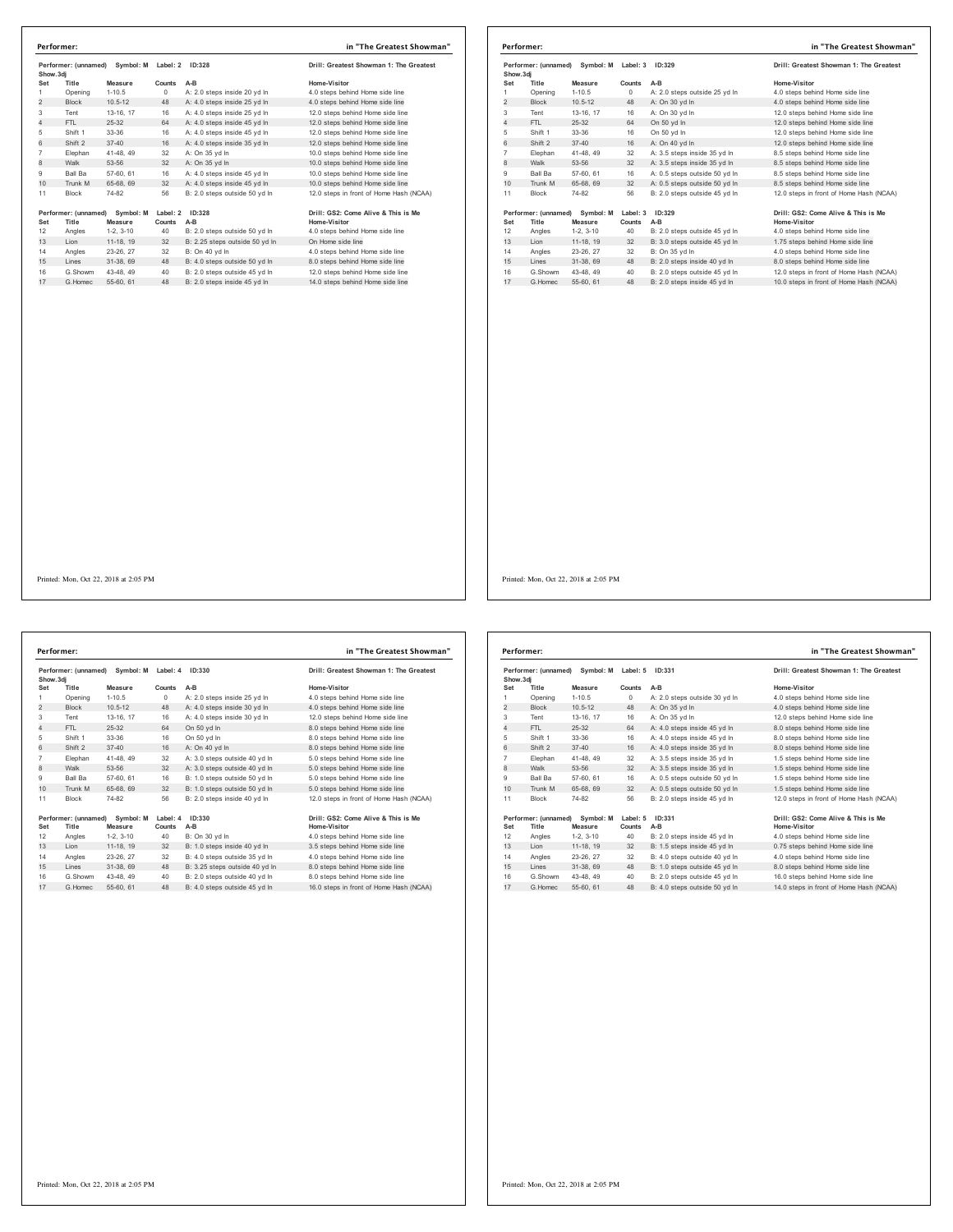|                | Performer: (unnamed)<br>Show.3dj |             | Symbol: M<br>Label: 2<br>ID:328 |                                | Drill: Greatest Showman 1: The Greatest |
|----------------|----------------------------------|-------------|---------------------------------|--------------------------------|-----------------------------------------|
| Set            | Title                            | Measure     | Counts                          | A-B                            | Home-Visitor                            |
| 1              | Opening                          | $1 - 10.5$  | $^{\circ}$                      | A: 2.0 steps inside 20 vd In   | 4.0 steps behind Home side line         |
| $\overline{2}$ | <b>Block</b>                     | $10.5 - 12$ | 48                              | A: 4.0 steps inside 25 yd In   | 4.0 steps behind Home side line         |
| 3              | Tent                             | 13-16, 17   | 16                              | A: 4.0 steps inside 25 yd In   | 12.0 steps behind Home side line        |
| 4              | FTI.                             | 25-32       | 64                              | A: 4.0 steps inside 45 yd In   | 12.0 steps behind Home side line        |
| 5              | Shift 1                          | 33-36       | 16                              | A: 4.0 steps inside 45 yd In   | 12.0 steps behind Home side line        |
| 6              | Shift 2                          | $37 - 40$   | 16                              | A: 4.0 steps inside 35 yd In   | 12.0 steps behind Home side line        |
| $\overline{7}$ | Elephan                          | 41-48, 49   | 32                              | A: On 35 vd In                 | 10.0 steps behind Home side line        |
| 8              | Walk                             | 53-56       | 32                              | A: On 35 yd In                 | 10.0 steps behind Home side line        |
| 9              | Ball Ba                          | 57-60, 61   | 16                              | A: 4.0 steps inside 45 vd In   | 10.0 steps behind Home side line        |
| 10             | Trunk M                          | 65-68, 69   | 32                              | A: 4.0 steps inside 45 yd In   | 10.0 steps behind Home side line        |
| 11             | <b>Block</b>                     | 74-82       | 56                              | B: 2.0 steps outside 50 vd In  | 12.0 steps in front of Home Hash (NCAA) |
|                | Performer: (unnamed) Symbol: M   |             | Label: 2                        | ID:328                         | Drill: GS2: Come Alive & This is Me     |
| Set            | Title                            | Measure     | Counts                          | $A-B$                          | Home-Visitor                            |
| 12             | Angles                           | $1-2.3-10$  | 40                              | B: 2.0 steps outside 50 vd In  | 4.0 steps behind Home side line         |
| 13             | Lion                             | 11-18, 19   | 32                              | B: 2.25 steps outside 50 yd In | On Home side line                       |
| 14             | Angles                           | 23-26, 27   | 32                              | B: On 40 vd In                 | 4.0 steps behind Home side line         |
| 15             | Lines                            | 31-38.69    | 48                              | B: 4.0 steps outside 50 yd In  | 8.0 steps behind Home side line         |
| 16             | G.Showm                          | 43-48.49    | 40                              | B: 2.0 steps outside 45 vd In  | 12.0 steps behind Home side line        |
| 17             | G.Homec                          | 55-60, 61   | 48                              | B: 2.0 steps inside 45 vd In   | 14.0 steps behind Home side line        |
|                |                                  |             |                                 |                                |                                         |

|                                  | Performer:                     |             |                    |                               | in "The Greatest Showman"               |
|----------------------------------|--------------------------------|-------------|--------------------|-------------------------------|-----------------------------------------|
| Performer: (unnamed)<br>Show.3dj |                                | Symbol: M   | Label: 3<br>ID:329 |                               | Drill: Greatest Showman 1: The Greatest |
| Set                              | Title                          | Measure     | Counts             | $A-B$                         | Home-Visitor                            |
| 1                                | Opening                        | $1 - 10.5$  | $\Omega$           | A: 2.0 steps outside 25 yd In | 4.0 steps behind Home side line         |
| $\overline{2}$                   | <b>Block</b>                   | $10.5 - 12$ | 48                 | A: On 30 yd In                | 4.0 steps behind Home side line         |
| 3                                | Tent                           | 13-16, 17   | 16                 | A: On 30 vd In                | 12.0 steps behind Home side line        |
| 4                                | FTL.                           | $25-32$     | 64                 | On 50 vd In                   | 12.0 steps behind Home side line        |
| 5                                | Shift 1                        | 33-36       | 16                 | On 50 vd In                   | 12.0 steps behind Home side line        |
| 6                                | Shift 2                        | $37 - 40$   | 16                 | A: On 40 vd In                | 12.0 steps behind Home side line        |
| 7                                | Elephan                        | 41-48, 49   | 32                 | A: 3.5 steps inside 35 yd In  | 8.5 steps behind Home side line         |
| 8                                | Walk                           | 53-56       | 32                 | A: 3.5 steps inside 35 yd In  | 8.5 steps behind Home side line         |
| 9                                | <b>Ball Ba</b>                 | 57-60, 61   | 16                 | A: 0.5 steps outside 50 yd In | 8.5 steps behind Home side line         |
| 10                               | Trunk M                        | 65-68, 69   | 32                 | A: 0.5 steps outside 50 yd In | 8.5 steps behind Home side line         |
| 11                               | <b>Block</b>                   | 74-82       | 56                 | B: 2.0 steps outside 45 vd In | 12.0 steps in front of Home Hash (NCAA) |
|                                  | Performer: (unnamed) Symbol: M |             | Label: 3           | ID:329                        | Drill: GS2: Come Alive & This is Me     |
| Set                              | Title                          | Measure     | Counts             | $A-B$                         | Home-Visitor                            |
| 12                               | Angles                         | $1-2, 3-10$ | 40                 | B: 2.0 steps outside 45 yd In | 4.0 steps behind Home side line         |
| 13                               | Lion                           | 11-18, 19   | 32                 | B: 3.0 steps outside 45 yd In | 1.75 steps behind Home side line        |
| 14                               | Angles                         | 23-26, 27   | 32                 | B: On 35 vd In                | 4.0 steps behind Home side line         |
| 15                               | Lines                          | 31-38, 69   | 48                 | B: 2.0 steps inside 40 vd In  | 8.0 steps behind Home side line         |
| 16                               | G.Showm                        | 43-48.49    | 40                 | B: 2.0 steps outside 45 yd In | 12.0 steps in front of Home Hash (NCAA) |
| 17                               | G. Homec                       | 55-60, 61   | 48                 | B: 2.0 steps inside 45 vd In  | 10.0 steps in front of Home Hash (NCAA) |

**Performer: (unnamed) Symbol: M Label: 4 ID:330 Drill: Greatest Showman 1: The Greatest Show.3dj Set Title Measure Counts A-B Home-Visitor** Opening 1-10.5 0 A: 2.0 steps inside 25 yd ln 4.0 steps behind Home side line 2 Block 10.5-12 48 A: 4.0 steps inside 30 yd ln 4.0 steps behind Home side line Tent 13-16, 17 16 A: 4.0 steps inside 30 yd ln 12.0 steps behind Home side line 4 FTL 25-32 64 On 50 yd ln 8.0 steps behind Home side line Shift 1 33-36 16 On 50 yd ln 8.0 steps behind Home side line 6 Shift 2 37-40 16 A: On 40 yd ln 8.0 steps behind Home side line 7 Elephan 41-48, 49 32 A: 3.0 steps outside 40 yd In 5.0 steps behind Home side line<br>8 Walk 53-56 32 A: 3.0 steps outside 40 yd In 5.0 steps behind Home side line<br>9 Ball Ba 57-60, 61 16 B: 1.0 steps outside 50 yd In 5.0 st 10 Trunk M 65-68, 69 32 B: 1.0 steps outside 50 yd in 5.0 steps behind Home side line<br>10 Trunk M 65-68, 69 32 B: 1.0 steps outside 50 yd ln 5.0 steps behind Home side line Block 74-82 56 B: 2.0 steps inside 40 yd ln 12.0 steps in front of Home Hash (NCAA) 1967 (comanned) Symbol: Mathelite 1 Dc330<br>
1967 (1976 1976) Set Title Consequence Counts A-B<br>
12 Angles 1-2, 3-10 40 B: On 30 yd In 4.0 steps behind Home side line<br>
13 Lion 11-18, 19 32 B: 1.0 steps inside 40 yd In 3.5 ste G.Showm 43-48, 49 40 B: 2.0 steps outside 40 yd ln 8.0 steps behind Home side line 17 G.Homec 55-60, 61 48 B: 4.0 steps outside 45 yd ln 16.0 steps in front of Home Hash (NCAA) **Performer: in "The Greatest Showman"**

| Performer: (unnamed)<br>Show, 3di |                               | Symbol: M            | Label: 5           | ID:331                        | Drill: Greatest Showman 1: The Greatest             |
|-----------------------------------|-------------------------------|----------------------|--------------------|-------------------------------|-----------------------------------------------------|
| Set                               | Title                         | Measure              | Counts             | $A-B$                         | Home-Visitor                                        |
| 1                                 | Opening                       | $1 - 10.5$           | $\Omega$           | A: 2.0 steps outside 30 yd In | 4.0 steps behind Home side line                     |
| $\overline{2}$                    | <b>Block</b>                  | $10.5 - 12$          | 48                 | A: On 35 vd In                | 4.0 steps behind Home side line                     |
| 3                                 | Tent                          | 13-16, 17            | 16                 | A: On 35 vd In                | 12.0 steps behind Home side line                    |
| 4                                 | FTI.                          | $25 - 32$            | 64                 | A: 4.0 steps inside 45 vd In  | 8.0 steps behind Home side line                     |
| 5                                 | Shift 1                       | 33-36                | 16                 | A: 4.0 steps inside 45 yd In  | 8.0 steps behind Home side line                     |
| 6                                 | Shift 2                       | $37 - 40$            | 16                 | A: 4.0 steps inside 35 yd In  | 8.0 steps behind Home side line                     |
| $\overline{7}$                    | Elephan                       | 41-48, 49            | 32                 | A: 3.5 steps inside 35 vd In  | 1.5 steps behind Home side line                     |
| 8                                 | Walk                          | 53-56                | 32                 | A: 3.5 steps inside 35 yd In  | 1.5 steps behind Home side line                     |
| 9                                 | Ball Ba                       | 57-60, 61            | 16                 | A: 0.5 steps outside 50 yd In | 1.5 steps behind Home side line                     |
| 10                                | Trunk M                       | 65-68, 69            | 32                 | A: 0.5 steps outside 50 vd In | 1.5 steps behind Home side line                     |
| 11                                | <b>Block</b>                  | 74-82                | 56                 | B: 2.0 steps inside 45 vd In  | 12.0 steps in front of Home Hash (NCAA)             |
| Set                               | Performer: (unnamed)<br>Title | Symbol: M<br>Measure | Label: 5<br>Counts | ID:331<br>$A-B$               | Drill: GS2: Come Alive & This is Me<br>Home-Visitor |
| 12                                | Angles                        | $1-2.3-10$           | 40                 | B: 2.0 steps inside 45 yd In  | 4.0 steps behind Home side line                     |
| 13                                | Lion                          | 11-18, 19            | 32                 | B: 1.5 steps inside 45 yd In  | 0.75 steps behind Home side line                    |
| 14                                | Angles                        | 23-26, 27            | 32                 | B: 4.0 steps outside 40 vd In | 4.0 steps behind Home side line                     |
| 15                                | Lines                         | 31-38, 69            | 48                 | B: 1.0 steps outside 45 yd In | 8.0 steps behind Home side line                     |
| 16                                | G Showm                       | 43-48, 49            | 40                 | B: 2.0 steps outside 45 vd In | 16.0 steps behind Home side line                    |
| 17                                | G Homec                       | 55-60, 61            | 48                 | B: 4.0 steps outside 50 vd In | 14.0 steps in front of Home Hash (NCAA)             |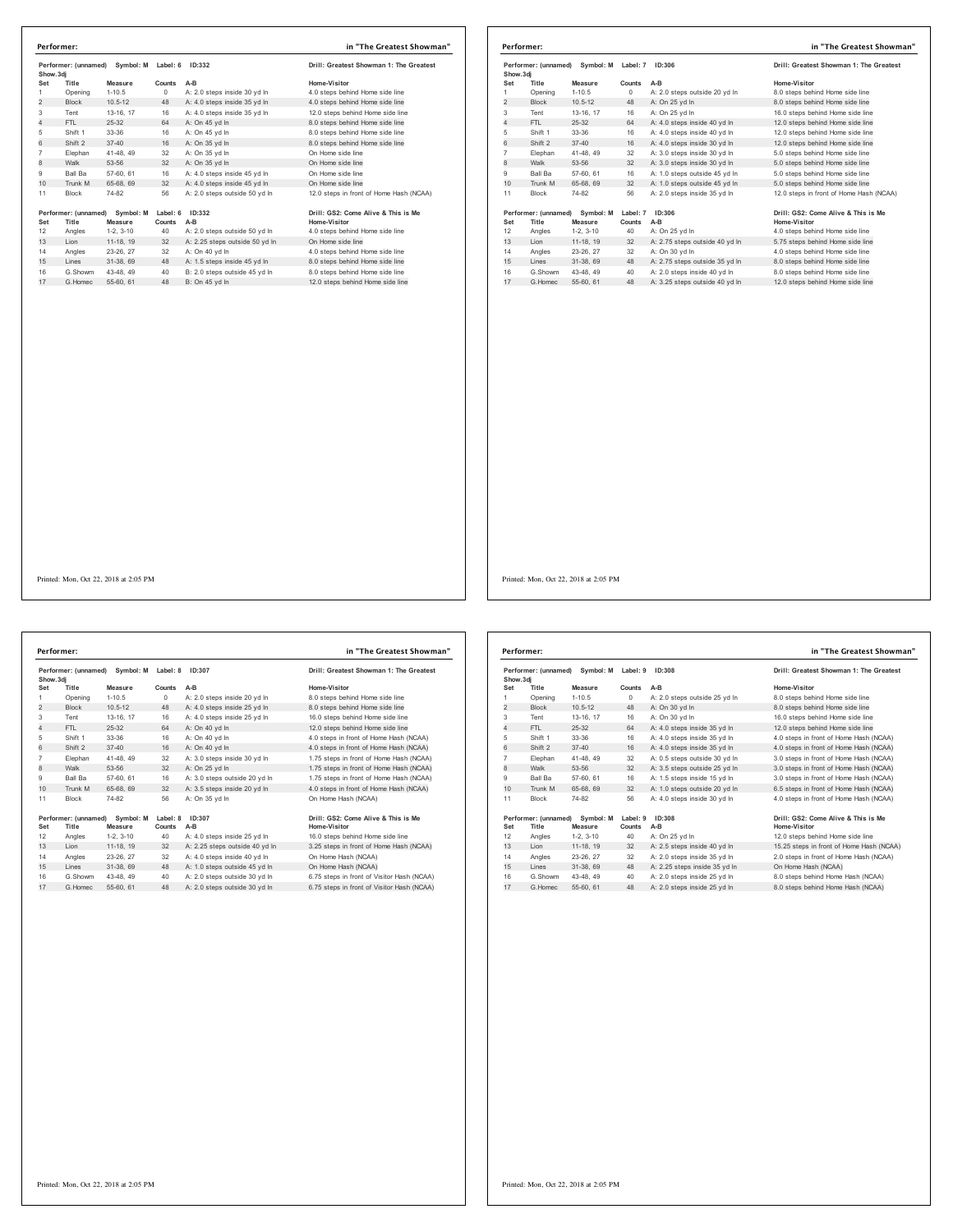|                | Performer: (unnamed)<br>Symbol: M<br>Show.3dj |                      | Label: 6<br>ID:332 |                                | Drill: Greatest Showman 1: The Greatest             |
|----------------|-----------------------------------------------|----------------------|--------------------|--------------------------------|-----------------------------------------------------|
| Set            | Title                                         | Measure              | Counts             | $A-B$                          | Home-Visitor                                        |
| 1              | Opening                                       | $1 - 10.5$           | $\Omega$           | A: 2.0 steps inside 30 vd In   | 4.0 steps behind Home side line                     |
| $\overline{2}$ | <b>Block</b>                                  | $10.5 - 12$          | 48                 | A: 4.0 steps inside 35 yd In   | 4.0 steps behind Home side line                     |
| 3              | Tent                                          | 13-16, 17            | 16                 | A: 4.0 steps inside 35 yd In   | 12.0 steps behind Home side line                    |
| 4              | FTI.                                          | 25-32                | 64                 | A: On 45 vd In                 | 8.0 steps behind Home side line                     |
| 5              | Shift 1                                       | 33-36                | 16                 | A: On 45 vd In                 | 8.0 steps behind Home side line                     |
| 6              | Shift 2                                       | $37 - 40$            | 16                 | A: On 35 vd In                 | 8.0 steps behind Home side line                     |
| $\overline{7}$ | Elephan                                       | 41-48, 49            | 32                 | A: On 35 vd In                 | On Home side line                                   |
| 8              | Walk                                          | 53-56                | 32                 | A: On 35 yd In                 | On Home side line                                   |
| 9              | Ball Ba                                       | 57-60, 61            | 16                 | A: 4.0 steps inside 45 vd In   | On Home side line                                   |
| 10             | Trunk M                                       | 65-68, 69            | 32                 | A: 4.0 steps inside 45 yd In   | On Home side line                                   |
| 11             | <b>Block</b>                                  | 74-82                | 56                 | A: 2.0 steps outside 50 yd In  | 12.0 steps in front of Home Hash (NCAA)             |
| Set            | Performer: (unnamed)<br>Title                 | Symbol: M<br>Measure | Label: 6<br>Counts | ID: 332<br>$A-B$               | Drill: GS2: Come Alive & This is Me<br>Home-Visitor |
| 12             | Angles                                        | $1-2.3-10$           | 40                 | A: 2.0 steps outside 50 vd In  | 4.0 steps behind Home side line                     |
| 13             | Lion                                          | 11-18, 19            | 32                 | A: 2.25 steps outside 50 yd In | On Home side line                                   |
| 14             | Angles                                        | 23-26.27             | 32                 | A: On 40 yd In                 | 4.0 steps behind Home side line                     |
| 15             | Lines                                         | 31-38.69             | 48                 | A: 1.5 steps inside 45 yd In   | 8.0 steps behind Home side line                     |
| 16             | G.Showm                                       | 43-48.49             | 40                 | B: 2.0 steps outside 45 yd In  | 8.0 steps behind Home side line                     |
| 17             | G Homec                                       | 55-60, 61            | 48                 | B: On 45 vd In                 | 12.0 steps behind Home side line                    |

| Performer: (unnamed) Symbol: M |                      | Label: 7 ID:306 |          | Drill: Greatest Showman 1: The Greatest |                                         |  |
|--------------------------------|----------------------|-----------------|----------|-----------------------------------------|-----------------------------------------|--|
|                                | Show, 3di            |                 |          |                                         |                                         |  |
| Set                            | Title                | Measure         | Counts   | $A-B$                                   | Home-Visitor                            |  |
| 1                              | Opening              | $1 - 10.5$      | $\circ$  | A: 2.0 steps outside 20 yd In           | 8.0 steps behind Home side line         |  |
| $\overline{2}$                 | <b>Block</b>         | $10.5 - 12$     | 48       | A: On 25 yd In                          | 8.0 steps behind Home side line         |  |
| 3                              | Tent                 | 13-16, 17       | 16       | A: On 25 yd In                          | 16.0 steps behind Home side line        |  |
| 4                              | FTL.                 | $25-32$         | 64       | A: 4.0 steps inside 40 yd In            | 12.0 steps behind Home side line        |  |
| 5                              | Shift 1              | 33-36           | 16       | A: 4.0 steps inside 40 vd In            | 12.0 steps behind Home side line        |  |
| 6                              | Shift 2              | $37 - 40$       | 16       | A: 4.0 steps inside 30 yd In            | 12.0 steps behind Home side line        |  |
| $\overline{7}$                 | Elephan              | 41-48, 49       | 32       | A: 3.0 steps inside 30 vd In            | 5.0 steps behind Home side line         |  |
| 8                              | Walk                 | 53-56           | 32       | A: 3.0 steps inside 30 yd In            | 5.0 steps behind Home side line         |  |
| 9                              | <b>Ball Ba</b>       | 57-60, 61       | 16       | A: 1.0 steps outside 45 vd In           | 5.0 steps behind Home side line         |  |
| 10                             | Trunk M              | 65-68, 69       | 32       | A: 1.0 steps outside 45 yd In           | 5.0 steps behind Home side line         |  |
| 11                             | <b>Block</b>         | 74-82           | 56       | A: 2.0 steps inside 35 yd In            | 12.0 steps in front of Home Hash (NCAA) |  |
|                                | Performer: (unnamed) | Symbol: M       | Label: 7 | ID:306                                  | Drill: GS2: Come Alive & This is Me     |  |
| Set                            | Title                | Measure         | Counts   | $A-B$                                   | Home-Visitor                            |  |
| 12                             | Angles               | $1-2.3-10$      | 40       | A: On 25 yd In                          | 4.0 steps behind Home side line         |  |
| 13                             | Lion                 | 11-18, 19       | 32       | A: 2.75 steps outside 40 yd In          | 5.75 steps behind Home side line        |  |
| 14                             | Angles               | 23-26, 27       | 32       | A: On 30 vd In                          | 4.0 steps behind Home side line         |  |
| 15                             | Lines                | 31-38, 69       | 48       | A: 2.75 steps outside 35 yd In          | 8.0 steps behind Home side line         |  |
| 16                             | G.Showm              | 43-48.49        | 40       | A: 2.0 steps inside 40 vd In            | 8.0 steps behind Home side line         |  |
| 17                             | G. Homec             | 55-60, 61       | 48       | A: 3.25 steps outside 40 vd In          | 12.0 steps behind Home side line        |  |

Performer: (unnamed) Symbol: M Label: 8 ID:307<br>
Show.3dj<br>
Show.3dj<br>
1.05 Counts AB Counts AB Counts AS Consisted 20 yd in<br>
1.06 Counts AC 2.0 steps inside 20 yd in<br>
2.0 steps behind Home side line<br>
2.0 Tent 13-16, 17 16 A: Shift 1 33-36 16 A: On 40 yd ln 4.0 steps in front of Home Hash (NCAA) 6 Shift 2 37-40 16 A: On 40 yd ln 4.0 steps in front of Home Hash (NCAA) 7 Elephan 41-48, 49 32 A: 3.0 steps inside 30 yd ln 1.75 steps in front of Home Hash (NCAA)<br>8 Walk 53-56 32 A: On 25 yd ln 1.75 steps in front of Home Hash (NCAA) Ball Ba 57-60, 61 16 A: 3.0 steps outside 20 yd ln 1.75 steps in front of Home Hash (NCAA) 10 Trunk M 65-68, 69 32 A: 3.5 steps inside 20 yd ln 4.0 steps in front of Home Hash (NCAA) Block 74-82 56 A: On 35 yd ln On Home Hash (NCAA) **Performer:** (unnamed) Symbol: M Label: 8 ID:307 Dril: GS2: Come Alive & This is Me<br>
Set Title Measure Counts A-B<br>
12 Angles 1-2, 3-10 40 A: 4.0 steps inside 25 yd In 16.0 steps behind Home side line<br>
13 Lion 11-18, 19 32 G.Showm 43-48, 49 40 A: 2.0 steps outside 30 yd ln 6.75 steps in front of Visitor Hash (NCAA) 17 G.Homec 55-60, 61 48 A: 2.0 steps outside 30 yd ln 6.75 steps in front of Visitor Hash (NCAA) **Performer: in "The Greatest Showman"**

| ATII: Greatest Showman I: The Greatest |
|----------------------------------------|
| lome-Visitor                           |
| .0 steps behind Home side line         |
| 0 steps behind Home side line          |
| 6.0 steps behind Home side line        |
| 2.0 steps behind Home side line        |
| .0 steps in front of Home Hash (NCAA)  |
| .0 steps in front of Home Hash (NCAA)  |
| .75 steps in front of Home Hash (NCAA) |
| .75 steps in front of Home Hash (NCAA) |
| .75 steps in front of Home Hash (NCAA) |
| .0 steps in front of Home Hash (NCAA)  |

| Drill: Greatest Showman 1: The Greatest             | ID:308                        | Label: 9           |                      | Performer: (unnamed)<br>Symbol: M<br>Show, 3di |                |
|-----------------------------------------------------|-------------------------------|--------------------|----------------------|------------------------------------------------|----------------|
| Home-Visitor                                        | $A-B$                         | Counts             | Measure              | Title                                          | Set            |
| 8.0 steps behind Home side line                     | A: 2.0 steps outside 25 yd In | 0                  | $1 - 10.5$           | Opening                                        | 1              |
| 8.0 steps behind Home side line                     | A: On 30 vd In                | 48                 | $10.5 - 12$          | <b>Block</b>                                   | 2              |
| 16.0 steps behind Home side line                    | A: On 30 vd In                | 16                 | 13-16, 17            | Tent                                           | 3              |
| 12.0 steps behind Home side line                    | A: 4.0 steps inside 35 yd In  | 64                 | 25-32                | FTI.                                           | $\overline{4}$ |
| 4.0 steps in front of Home Hash (NCAA)              | A: 4.0 steps inside 35 yd In  | 16                 | 33-36                | Shift 1                                        | 5              |
| 4.0 steps in front of Home Hash (NCAA)              | A: 4.0 steps inside 35 yd In  | 16                 | $37 - 40$            | Shift 2                                        | 6              |
| 3.0 steps in front of Home Hash (NCAA)              | A: 0.5 steps outside 30 yd In | 32                 | 41-48, 49            | Elephan                                        | $\overline{7}$ |
| 3.0 steps in front of Home Hash (NCAA)              | A: 3.5 steps outside 25 yd In | 32                 | 53-56                | Walk                                           | 8              |
| 3.0 steps in front of Home Hash (NCAA)              | A: 1.5 steps inside 15 yd In  | 16                 | 57-60, 61            | <b>Ball Ba</b>                                 | 9              |
| 6.5 steps in front of Home Hash (NCAA)              | A: 1.0 steps outside 20 yd In | 32                 | 65-68, 69            | Trunk M                                        | 10             |
| 4.0 steps in front of Home Hash (NCAA)              | A: 4.0 steps inside 30 vd In  | 56                 | 74-82                | <b>Block</b>                                   | 11             |
| Drill: GS2: Come Alive & This is Me<br>Home-Visitor | ID:308<br>$A-B$               | Label: 9<br>Counts | Symbol: M<br>Measure | Performer: (unnamed)<br>Title                  | Set            |
| 12.0 steps behind Home side line                    | A: On 25 yd In                | 40                 | $1-2.3-10$           | Angles                                         | 12             |
| 15.25 steps in front of Home Hash (NCAA)            | A: 2.5 steps inside 40 yd In  | 32                 | 11-18, 19            | Lion                                           | 13             |
| 2.0 steps in front of Home Hash (NCAA)              | A: 2.0 steps inside 35 vd In  | 32                 | 23-26, 27            | Angles                                         | 14             |
| On Home Hash (NCAA)                                 | A: 2.25 steps inside 35 yd In | 48                 | 31-38, 69            | Lines                                          | 15             |
| 8.0 steps behind Home Hash (NCAA)                   | A: 2.0 steps inside 25 vd In  | 40                 | 43-48, 49            | G Showm                                        | 16             |
| 8.0 steps behind Home Hash (NCAA)                   | A: 2.0 steps inside 25 yd In  | 48                 | 55-60, 61            | G. Homec                                       | 17             |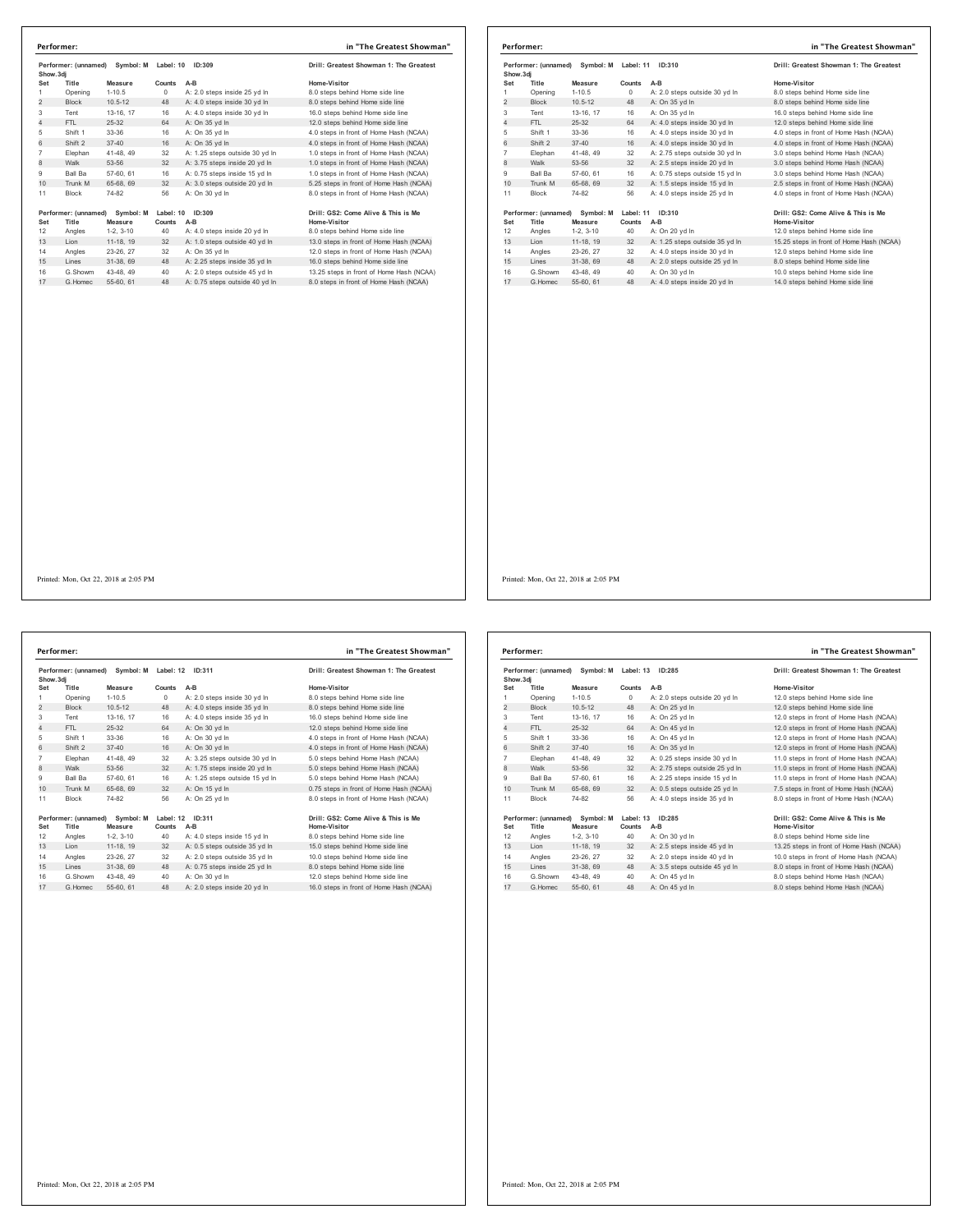| Performer: (unnamed)<br>Show.3di |                               | Symbol: M            | Label: 10<br>ID:309 |                                | Drill: Greatest Showman 1: The Greatest             |  |
|----------------------------------|-------------------------------|----------------------|---------------------|--------------------------------|-----------------------------------------------------|--|
| Set                              | Title                         | Measure              | Counts              | A-B                            | Home-Visitor                                        |  |
| 1                                | Opening                       | $1 - 10.5$           | $\Omega$            | A: 2.0 steps inside 25 vd In   | 8.0 steps behind Home side line                     |  |
| $\overline{2}$                   | <b>Block</b>                  | $10.5 - 12$          | 48                  | A: 4.0 steps inside 30 yd In   | 8.0 steps behind Home side line                     |  |
| 3                                | Tent                          | 13-16, 17            | 16                  | A: 4.0 steps inside 30 yd In   | 16.0 steps behind Home side line                    |  |
| 4                                | FTI.                          | 25-32                | 64                  | A: On 35 vd In                 | 12.0 steps behind Home side line                    |  |
| 5                                | Shift 1                       | 33-36                | 16                  | A: On 35 yd In                 | 4.0 steps in front of Home Hash (NCAA)              |  |
| 6                                | Shift 2                       | $37 - 40$            | 16                  | A: On 35 vd In                 | 4.0 steps in front of Home Hash (NCAA)              |  |
| 7                                | Elephan                       | 41-48, 49            | 32                  | A: 1.25 steps outside 30 vd In | 1.0 steps in front of Home Hash (NCAA)              |  |
| 8                                | Walk                          | 53-56                | 32                  | A: 3.75 steps inside 20 yd In  | 1.0 steps in front of Home Hash (NCAA)              |  |
| 9                                | Ball Ba                       | 57-60, 61            | 16                  | A: 0.75 steps inside 15 yd In  | 1.0 steps in front of Home Hash (NCAA)              |  |
| 10                               | Trunk M                       | 65-68, 69            | 32                  | A: 3.0 steps outside 20 yd In  | 5.25 steps in front of Home Hash (NCAA)             |  |
| 11                               | <b>Block</b>                  | 74-82                | 56                  | A: On 30 vd In                 | 8.0 steps in front of Home Hash (NCAA)              |  |
| Set                              | Performer: (unnamed)<br>Title | Symbol: M<br>Measure | Label: 10<br>Counts | ID:309<br>$A-B$                | Drill: GS2: Come Alive & This is Me<br>Home-Visitor |  |
| 12                               | Angles                        | $1-2.3-10$           | 40                  | A: 4.0 steps inside 20 yd In   | 8.0 steps behind Home side line                     |  |
| 13                               | Lion                          | 11-18, 19            | 32                  | A: 1.0 steps outside 40 yd In  | 13.0 steps in front of Home Hash (NCAA)             |  |
| 14                               | Angles                        | 23-26, 27            | 32                  | A: On 35 vd In                 | 12.0 steps in front of Home Hash (NCAA)             |  |
| 15                               | Lines                         | 31-38, 69            | 48                  | A: 2.25 steps inside 35 yd In  | 16.0 steps behind Home side line                    |  |
|                                  | G.Showm                       | 43-48, 49            | 40                  | A: 2.0 steps outside 45 yd In  | 13.25 steps in front of Home Hash (NCAA)            |  |
| 16                               | G.Homec                       | 55-60, 61            | 48                  | A: 0.75 steps outside 40 yd In | 8.0 steps in front of Home Hash (NCAA)              |  |

| Performer: (unnamed) Symbol: M<br>Show, 3di |                               |                      | Label: 11           | ID:310                         | Drill: Greatest Showman 1: The Greatest                    |
|---------------------------------------------|-------------------------------|----------------------|---------------------|--------------------------------|------------------------------------------------------------|
| Set                                         | Title                         | Measure              | Counts              | $A-B$                          | Home-Visitor                                               |
| 1                                           | Opening                       | $1 - 10.5$           | $\circ$             | A: 2.0 steps outside 30 yd In  | 8.0 steps behind Home side line                            |
| $\overline{2}$                              | <b>Block</b>                  | $10.5 - 12$          | 48                  | A: On 35 yd In                 | 8.0 steps behind Home side line                            |
| 3                                           | Tent                          | 13-16, 17            | 16                  | A: On 35 yd In                 | 16.0 steps behind Home side line                           |
| 4                                           | FTL                           | $25-32$              | 64                  | A: 4.0 steps inside 30 yd In   | 12.0 steps behind Home side line                           |
| 5                                           | Shift 1                       | 33-36                | 16                  | A: 4.0 steps inside 30 yd In   | 4.0 steps in front of Home Hash (NCAA)                     |
| 6                                           | Shift 2                       | $37 - 40$            | 16                  | A: 4.0 steps inside 30 yd In   | 4.0 steps in front of Home Hash (NCAA)                     |
| $\overline{7}$                              | Elephan                       | 41-48, 49            | 32                  | A: 2.75 steps outside 30 vd In | 3.0 steps behind Home Hash (NCAA)                          |
| 8                                           | Walk                          | 53-56                | 32                  | A: 2.5 steps inside 20 yd In   | 3.0 steps behind Home Hash (NCAA)                          |
| 9                                           | <b>Ball Ba</b>                | 57-60, 61            | 16                  | A: 0.75 steps outside 15 yd In | 3.0 steps behind Home Hash (NCAA)                          |
| 10                                          | Trunk M                       | 65-68, 69            | 32                  | A: 1.5 steps inside 15 yd In   | 2.5 steps in front of Home Hash (NCAA)                     |
| 11                                          | <b>Block</b>                  | 74-82                | 56                  | A: 4.0 steps inside 25 yd In   | 4.0 steps in front of Home Hash (NCAA)                     |
| Set                                         | Performer: (unnamed)<br>Title | Symbol: M<br>Measure | Label: 11<br>Counts | ID:310<br>A-B                  | Drill: GS2: Come Alive & This is Me<br><b>Home-Visitor</b> |
| 12                                          | Angles                        | $1-2.3-10$           | 40                  | A: On 20 yd In                 | 12.0 steps behind Home side line                           |
| 13                                          | Lion                          | 11-18, 19            | 32                  | A: 1.25 steps outside 35 yd In | 15.25 steps in front of Home Hash (NCAA)                   |
| 14                                          | Angles                        | 23-26, 27            | 32                  | A: 4.0 steps inside 30 vd In   | 12.0 steps behind Home side line                           |
| 15                                          | Lines                         | 31-38, 69            | 48                  | A: 2.0 steps outside 25 yd In  | 8.0 steps behind Home side line                            |
| 16                                          | G.Showm                       | 43-48, 49            | 40                  | A: On 30 vd In                 | 10.0 steps behind Home side line                           |
| 17                                          | G. Homec                      | 55-60, 61            | 48                  | A: 4.0 steps inside 20 yd In   | 14.0 steps behind Home side line                           |

Performer: (unnamed) Symbol: M Label: 12 ID:311<br>
Show.3dj<br>
Show.3dj<br>
1 Opening 1-10.5 0 A: 20 steps inside 30 yd In the Mone-Vistor<br>
1 Opening 1-10.5 0 A: 2.0 steps inside 30 yd In 8.0 steps behind Home side line<br>
1 10.5 1 Shift 1 33-36 16 A: On 30 yd ln 4.0 steps in front of Home Hash (NCAA) 6 Shift 2 37-40 16 A: On 30 yd ln 4.0 steps in front of Home Hash (NCAA) Elephan 41-48, 49 32 A: 3.25 steps outside 30 yd ln 5.0 steps behind Home Hash (NCAA) 8 Walk 53-56 32 A: 1.75 steps inside 20 yd ln 5.0 steps behind Home Hash (NCAA) Ball Ba 57-60, 61 16 A: 1.25 steps outside 15 yd ln 5.0 steps behind Home Hash (NCAA) 10 Trunk M 65-68, 69 32 A: On 15 yd ln 0.75 steps in front of Home Hash (NCAA) 11 Block 74-82 56 A: On 25 yd In 1967 (comanned) Symbol: Matheli: 12 10:311<br>
1967 (1976 1976) Symbol: Mathelia Albert 2001 11:31<br>
1978 1989 12, 3-10<br>
1989 12, 3-10<br>
1989 12, 3-10<br>
1989 23-26, 27, 32<br>
1989 23-26, 27, 32<br>
1989 23-26, 27 32<br>
1989 23-26, 27 3 G.Showm 43-48, 49 40 A: On 30 yd ln 12.0 steps behind Home side line 17 G.Homec 55-60, 61 48 A: 2.0 steps inside 20 yd ln 16.0 steps in front of Home Hash (NCAA) **Performer: in "The Greatest Showman"**

| Drill: Greatest Showman 1: The Greates  |
|-----------------------------------------|
| Home-Visitor                            |
| 8.0 steps behind Home side line         |
| 8.0 steps behind Home side line         |
| 16.0 steps behind Home side line        |
| 12.0 steps behind Home side line        |
| 4.0 steps in front of Home Hash (NCAA)  |
| 4.0 steps in front of Home Hash (NCAA)  |
| 5.0 steps behind Home Hash (NCAA)       |
| 5.0 steps behind Home Hash (NCAA)       |
| 5.0 steps behind Home Hash (NCAA)       |
| 0.75 steps in front of Home Hash (NCAA) |
| 8.0 steps in front of Home Hash (NCAA)  |

| Performer: (unnamed)<br>Symbol: M Label: 13<br>Show, 3di |                      | ID:285      |           | Drill: Greatest Showman 1: The Greatest |                                          |
|----------------------------------------------------------|----------------------|-------------|-----------|-----------------------------------------|------------------------------------------|
| Set                                                      | Title                | Measure     | Counts    | $A-B$                                   | Home-Visitor                             |
| 1                                                        | Opening              | $1 - 10.5$  | $\circ$   | A: 2.0 steps outside 20 yd In           | 12.0 steps behind Home side line         |
| $\overline{2}$                                           | <b>Block</b>         | $10.5 - 12$ | 48        | A: On 25 yd In                          | 12.0 steps behind Home side line         |
| 3                                                        | Tent                 | 13-16, 17   | 16        | A: On 25 yd In                          | 12.0 steps in front of Home Hash (NCAA)  |
| $\overline{4}$                                           | FTL.                 | $25-32$     | 64        | A: On 45 yd In                          | 12.0 steps in front of Home Hash (NCAA)  |
| 5                                                        | Shift 1              | 33-36       | 16        | A: On 45 yd In                          | 12.0 steps in front of Home Hash (NCAA)  |
| 6                                                        | Shift 2              | $37 - 40$   | 16        | A: On 35 yd In                          | 12.0 steps in front of Home Hash (NCAA)  |
| $\overline{7}$                                           | Elephan              | 41-48, 49   | 32        | A: 0.25 steps inside 30 vd In           | 11.0 steps in front of Home Hash (NCAA)  |
| 8                                                        | Walk                 | 53-56       | 32        | A: 2.75 steps outside 25 yd In          | 11.0 steps in front of Home Hash (NCAA)  |
| 9                                                        | <b>Ball Ba</b>       | 57-60, 61   | 16        | A: 2.25 steps inside 15 yd In           | 11.0 steps in front of Home Hash (NCAA)  |
| 10                                                       | Trunk M              | 65-68, 69   | 32        | A: 0.5 steps outside 25 yd In           | 7.5 steps in front of Home Hash (NCAA)   |
| 11                                                       | <b>Block</b>         | 74-82       | 56        | A: 4.0 steps inside 35 vd In            | 8.0 steps in front of Home Hash (NCAA)   |
|                                                          | Performer: (unnamed) | Symbol: M   | Label: 13 | ID:285                                  | Drill: GS2: Come Alive & This is Me      |
| Set                                                      | Title                | Measure     | Counts    | A-B                                     | <b>Home-Visitor</b>                      |
| 12                                                       | Angles               | $1-2.3-10$  | 40        | A: On 30 yd In                          | 8.0 steps behind Home side line          |
| 13                                                       | Lion                 | 11-18, 19   | 32        | A: 2.5 steps inside 45 yd In            | 13.25 steps in front of Home Hash (NCAA) |
| 14                                                       | Angles               | 23-26, 27   | 32        | A: 2.0 steps inside 40 vd In            | 10.0 steps in front of Home Hash (NCAA)  |
| 15                                                       | Lines                | 31-38, 69   | 48        | A: 3.5 steps outside 45 yd In           | 8.0 steps in front of Home Hash (NCAA)   |
| 16                                                       | G.Showm              | 43-48, 49   | 40        | A: On 45 yd In                          | 8.0 steps behind Home Hash (NCAA)        |
| 17                                                       | G. Homec             | 55-60, 61   | 48        | A: On 45 vd In                          | 8.0 steps behind Home Hash (NCAA)        |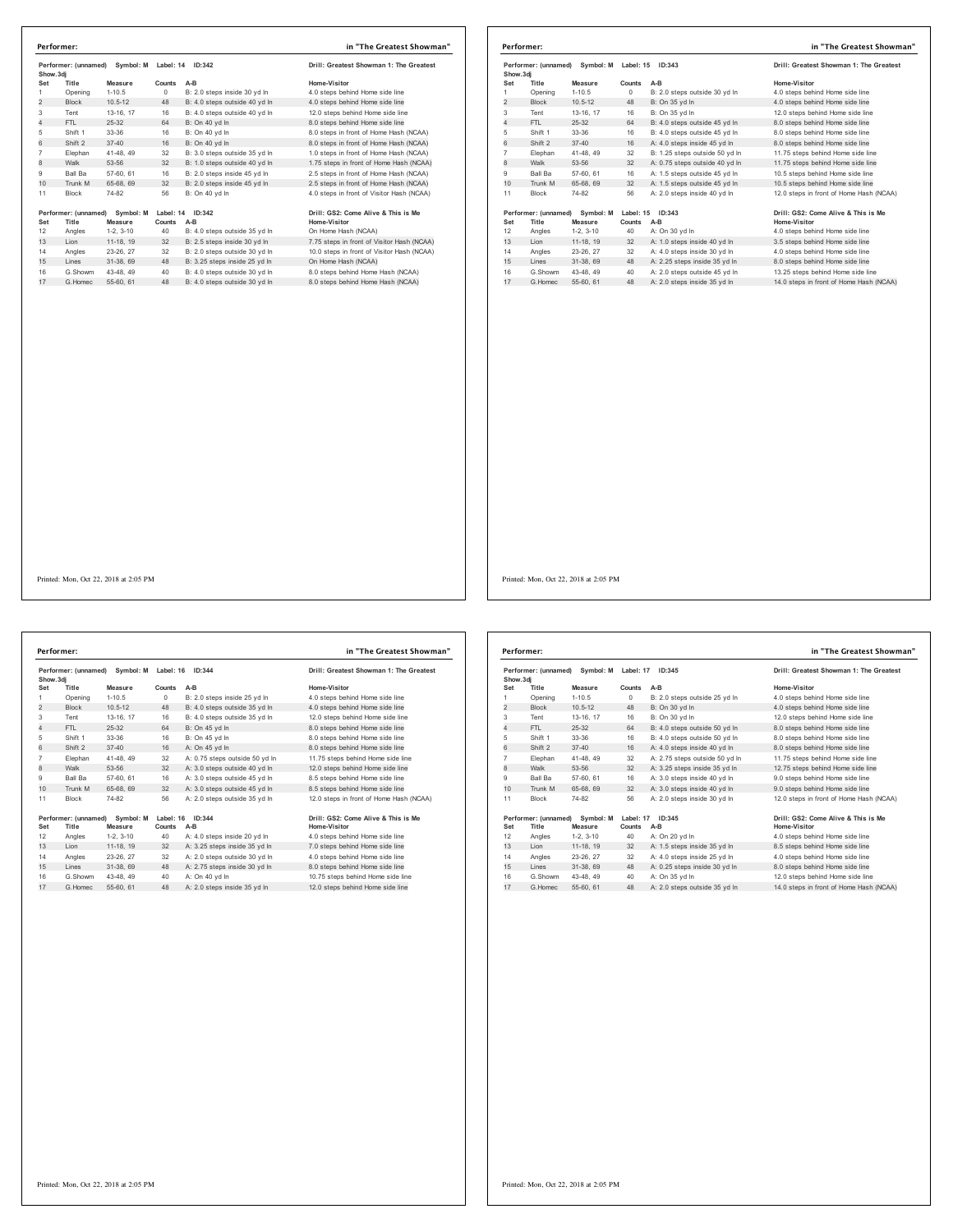| Performer: (unnamed)<br>Symbol: M<br>Show.3di |                                                       |             | Label: 14           | ID:342                        | Drill: Greatest Showman 1: The Greatest             |  |
|-----------------------------------------------|-------------------------------------------------------|-------------|---------------------|-------------------------------|-----------------------------------------------------|--|
| Set                                           | Title                                                 | Measure     | Counts              | A-B                           | Home-Visitor                                        |  |
| 1                                             | Opening                                               | $1 - 10.5$  | $^{\circ}$          | B: 2.0 steps inside 30 vd In  | 4.0 steps behind Home side line                     |  |
| $\overline{c}$                                | <b>Block</b>                                          | $10.5 - 12$ | 48                  | B: 4.0 steps outside 40 yd In | 4.0 steps behind Home side line                     |  |
| 3                                             | Tent                                                  | 13-16, 17   | 16                  | B: 4.0 steps outside 40 vd In | 12.0 steps behind Home side line                    |  |
| $\overline{4}$                                | FTI.                                                  | 25-32       | 64                  | B: On 40 yd In                | 8.0 steps behind Home side line                     |  |
| 5                                             | Shift 1                                               | 33-36       | 16                  | B: On 40 vd In                | 8.0 steps in front of Home Hash (NCAA)              |  |
| 6                                             | Shift 2                                               | $37 - 40$   | 16                  | B: On 40 vd In                | 8.0 steps in front of Home Hash (NCAA)              |  |
| $\overline{7}$                                | Elephan                                               | 41-48, 49   | 32                  | B: 3.0 steps outside 35 vd In | 1.0 steps in front of Home Hash (NCAA)              |  |
| 8                                             | Walk                                                  | 53-56       | 32                  | B: 1.0 steps outside 40 yd In | 1.75 steps in front of Home Hash (NCAA)             |  |
| 9                                             | Ball Ba                                               | 57-60, 61   | 16                  | B: 2.0 steps inside 45 vd In  | 2.5 steps in front of Home Hash (NCAA)              |  |
| 10                                            | Trunk M                                               | 65-68, 69   | 32                  | B: 2.0 steps inside 45 yd In  | 2.5 steps in front of Home Hash (NCAA)              |  |
| 11                                            | <b>Block</b>                                          | 74-82       | 56                  | B: On 40 vd In                | 4.0 steps in front of Visitor Hash (NCAA)           |  |
| Set                                           | Performer: (unnamed)<br>Symbol: M<br>Title<br>Measure |             | Label: 14<br>Counts | ID:342<br>A-B                 | Drill: GS2: Come Alive & This is Me<br>Home-Visitor |  |
| 12                                            | Angles                                                | $1-2.3-10$  | 40                  | B: 4.0 steps outside 35 yd In | On Home Hash (NCAA)                                 |  |
| 13                                            | Lion                                                  | 11-18, 19   | 32                  | B: 2.5 steps inside 30 yd In  | 7.75 steps in front of Visitor Hash (NCAA)          |  |
| 14                                            | Angles                                                | 23-26, 27   | 32                  | B: 2.0 steps outside 30 vd In | 10.0 steps in front of Visitor Hash (NCAA)          |  |
| 15                                            | Lines                                                 | 31-38, 69   | 48                  | B: 3.25 steps inside 25 yd In | On Home Hash (NCAA)                                 |  |
| 16                                            | G.Showm                                               | 43-48, 49   | 40                  | B: 4.0 steps outside 30 yd In | 8.0 steps behind Home Hash (NCAA)                   |  |
| 17                                            | G.Homec                                               | 55-60, 61   | 48                  | B: 4.0 steps outside 30 vd In | 8.0 steps behind Home Hash (NCAA)                   |  |

| Performer:                                     |                                |             |           |                                         | in "The Greatest Showman"               |
|------------------------------------------------|--------------------------------|-------------|-----------|-----------------------------------------|-----------------------------------------|
| Performer: (unnamed)<br>Symbol: M<br>Show, 3di |                                | Label: 15   | ID:343    | Drill: Greatest Showman 1: The Greatest |                                         |
| Set                                            | Title                          | Measure     | Counts    | $A-B$                                   | Home-Visitor                            |
| 1                                              | Opening                        | $1 - 10.5$  | $\Omega$  | B: 2.0 steps outside 30 vd In           | 4.0 steps behind Home side line         |
| $\overline{2}$                                 | <b>Block</b>                   | $10.5 - 12$ | 48        | B: On 35 yd In                          | 4.0 steps behind Home side line         |
| 3                                              | Tent                           | 13-16, 17   | 16        | B: On 35 yd In                          | 12.0 steps behind Home side line        |
| $\overline{4}$                                 | FTL.                           | $25-32$     | 64        | B: 4.0 steps outside 45 vd In           | 8.0 steps behind Home side line         |
| 5                                              | Shift 1                        | 33-36       | 16        | B: 4.0 steps outside 45 vd In           | 8.0 steps behind Home side line         |
| 6                                              | Shift 2                        | $37 - 40$   | 16        | A: 4.0 steps inside 45 vd In            | 8.0 steps behind Home side line         |
| 7                                              | Elephan                        | 41-48, 49   | 32        | B: 1.25 steps outside 50 yd In          | 11.75 steps behind Home side line       |
| 8                                              | Walk                           | 53-56       | 32        | A: 0.75 steps outside 40 yd In          | 11.75 steps behind Home side line       |
| 9                                              | <b>Ball Ba</b>                 | 57-60, 61   | 16        | A: 1.5 steps outside 45 yd In           | 10.5 steps behind Home side line        |
| 10                                             | Trunk M                        | 65-68, 69   | 32        | A: 1.5 steps outside 45 yd In           | 10.5 steps behind Home side line        |
| 11                                             | <b>Block</b>                   | 74-82       | 56        | A: 2.0 steps inside 40 vd In            | 12.0 steps in front of Home Hash (NCAA) |
|                                                | Performer: (unnamed) Symbol: M |             | Label: 15 | ID: 343                                 | Drill: GS2: Come Alive & This is Me     |
| Set                                            | Title                          | Measure     | Counts    | $A-B$                                   | Home-Visitor                            |
| 12                                             | Angles                         | $1-2, 3-10$ | 40        | A: On 30 yd In                          | 4.0 steps behind Home side line         |
| 13                                             | Lion                           | 11-18, 19   | 32        | A: 1.0 steps inside 40 yd In            | 3.5 steps behind Home side line         |
| 14                                             | Angles                         | 23-26, 27   | 32        | A: 4.0 steps inside 30 vd In            | 4.0 steps behind Home side line         |
| 15                                             | Lines                          | 31-38, 69   | 48        | A: 2.25 steps inside 35 yd In           | 8.0 steps behind Home side line         |
| 16                                             | G.Showm                        | 43-48.49    | 40        | A: 2.0 steps outside 45 yd In           | 13.25 steps behind Home side line       |
| 17                                             | G. Homec                       | 55-60, 61   | 48        | A: 2.0 steps inside 35 vd In            | 14.0 steps in front of Home Hash (NCAA) |

Performer: (unnamed) Symbol: M Label: 16 ID:344<br>
Show.3dj<br>
Show.3dj<br>
1.05 Counts AB Monsever Counts AB<br>
1.0 County 1-10.5 0 B: 2.0 steps outside 25 yd In 4.0 steps behind Home side line<br>
1.0 County 1-10.5 4 B: 4.0 steps ou Shift 1 33-36 16 B: On 45 yd ln 8.0 steps behind Home side line 6 Shift 2 37-40 16 A: On 45 yd ln 8.0 steps behind Home side line 7 Elephan 41-48, 49 32 A: 0.75 steps outside 50 yd In 11.75 steps behind Home side line<br>8 Walk 53-56 32 A: 3.0 steps outside 40 yd In 12.0 steps behind Home side line<br>9 Ball Ba 57-60, 61 16 A: 3 10 Trunk M 65-68, 69 32 A: 3.0 steps outside 45 yd in 8.5 steps Block 74-82 56 A: 2.0 steps outside 35 yd ln 12.0 steps in front of Home Hash (NCAA) 1967 (comanned) Symbol: Mathelit 16:344<br>
1967 (1976 1976) Set Title States Counts A-B<br>
12 Angles 1-2, 3-10 40 A-4.0 steps inside 20 yd In Home-Visitor<br>
13 Lion 11-18, 19 32 A: 3.25 steps inside 35 yd In 7.0 steps behind Ho G.Showm 43-48, 49 40 A: On 40 yd ln 10.75 steps behind Home side line 17 G.Homec 55-60, 61 48 A: 2.0 steps inside 35 yd ln 12.0 steps behind Home side line **Performer: in "The Greatest Showman"**

| in ° i në Greatëst Showma           |
|-------------------------------------|
| I: Greatest Showman 1: The Greatest |
| ne-Visitor                          |
| steps behind Home side line         |
| steps behind Home side line         |
| steps behind Home side line         |
| steps behind Home side line         |
| steps behind Home side line         |
| steps behind Home side line         |
| 5 steps behind Home side line       |
| steps behind Home side line         |
| steps behind Home side line         |
| atona bobind Homo oide line         |

| Performer: (unnamed) Symbol: M<br>Show.3dj |                               |                      | Label: 17           | ID:345                         | Drill: Greatest Showman 1: The Greatest             |
|--------------------------------------------|-------------------------------|----------------------|---------------------|--------------------------------|-----------------------------------------------------|
| Set                                        | Title                         | Measure              | Counts              | $A-B$                          | Home-Visitor                                        |
| 1                                          | Opening                       | $1 - 10.5$           | $\circ$             | B: 2.0 steps outside 25 yd In  | 4.0 steps behind Home side line                     |
| $\overline{2}$                             | <b>Block</b>                  | $10.5 - 12$          | 48                  | B: On 30 vd In                 | 4.0 steps behind Home side line                     |
| 3                                          | Tent                          | 13-16, 17            | 16                  | B: On 30 vd In                 | 12.0 steps behind Home side line                    |
| 4                                          | FTI.                          | 25-32                | 64                  | B: 4.0 steps outside 50 yd In  | 8.0 steps behind Home side line                     |
| 5                                          | Shift 1                       | 33-36                | 16                  | B: 4.0 steps outside 50 yd In  | 8.0 steps behind Home side line                     |
| 6                                          | Shift 2                       | $37 - 40$            | 16                  | A: 4.0 steps inside 40 vd In   | 8.0 steps behind Home side line                     |
| $\overline{7}$                             | Elephan                       | 41-48, 49            | 32                  | A: 2.75 steps outside 50 yd In | 11.75 steps behind Home side line                   |
| 8                                          | Walk                          | 53-56                | 32                  | A: 3.25 steps inside 35 yd In  | 12.75 steps behind Home side line                   |
| 9                                          | Ball Ba                       | 57-60, 61            | 16                  | A: 3.0 steps inside 40 vd In   | 9.0 steps behind Home side line                     |
| 10                                         | Trunk M                       | 65-68, 69            | 32                  | A: 3.0 steps inside 40 yd In   | 9.0 steps behind Home side line                     |
| 11                                         | Block                         | 74-82                | 56                  | A: 2.0 steps inside 30 vd In   | 12.0 steps in front of Home Hash (NCAA)             |
| Set                                        | Performer: (unnamed)<br>Title | Symbol: M<br>Measure | Label: 17<br>Counts | ID:345<br>$A-B$                | Drill: GS2: Come Alive & This is Me<br>Home-Visitor |
| 12                                         | Angles                        | $1-2.3-10$           | 40                  | A: On 20 yd In                 | 4.0 steps behind Home side line                     |
| 13                                         | Lion                          | 11-18, 19            | 32                  | A: 1.5 steps inside 35 yd In   | 8.5 steps behind Home side line                     |
| 14                                         | Angles                        | 23-26, 27            | 32                  | A: 4.0 steps inside 25 yd In   | 4.0 steps behind Home side line                     |
| 15                                         | Lines                         | 31-38, 69            | 48                  | A: 0.25 steps inside 30 yd In  | 8.0 steps behind Home side line                     |
| 16                                         | G Showm                       | 43-48, 49            | 40                  | A: On 35 vd In                 | 12.0 steps behind Home side line                    |
| 17                                         | G Homec                       | 55-60, 61            | 48                  | A: 2.0 steps outside 35 yd In  | 14.0 steps in front of Home Hash (NCAA)             |
|                                            |                               |                      |                     |                                |                                                     |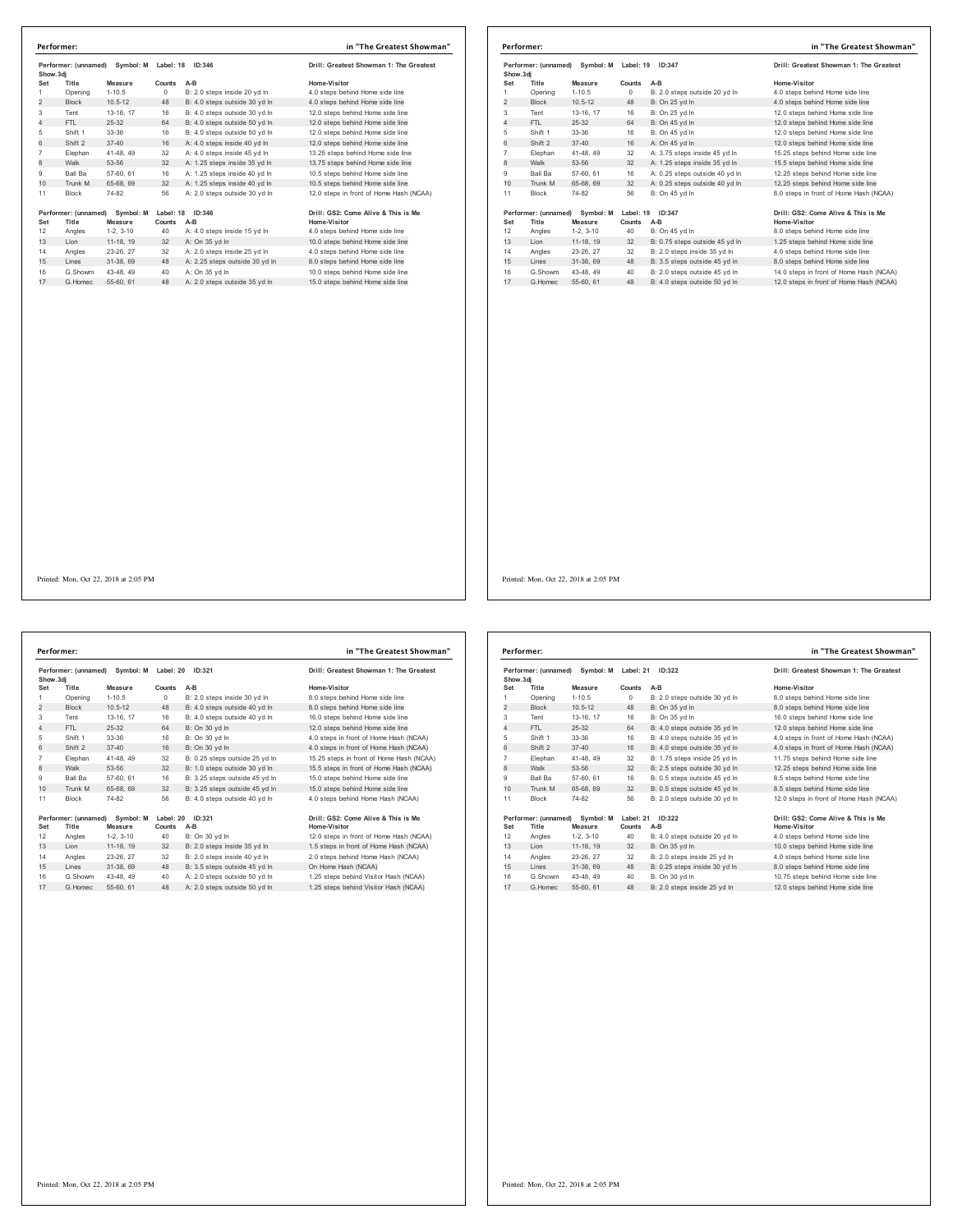| Performer: (unnamed)<br>Symbol: M<br>Show.3di |                               |                      | Label: 18           | ID:346                         | Drill: Greatest Showman 1: The Greatest             |
|-----------------------------------------------|-------------------------------|----------------------|---------------------|--------------------------------|-----------------------------------------------------|
| Set                                           | Title                         | Measure              | Counts              | $A-B$                          | Home-Visitor                                        |
| 1                                             | Opening                       | $1-10.5$             | $\Omega$            | B: 2.0 steps inside 20 vd In   | 4.0 steps behind Home side line                     |
| $\overline{2}$                                | <b>Block</b>                  | $10.5 - 12$          | 48                  | B: 4.0 steps outside 30 yd In  | 4.0 steps behind Home side line                     |
| 3                                             | Tent                          | 13-16, 17            | 16                  | B: 4.0 steps outside 30 yd In  | 12.0 steps behind Home side line                    |
| $\overline{4}$                                | FTI.                          | 25-32                | 64                  | B: 4.0 steps outside 50 vd In  | 12.0 steps behind Home side line                    |
| 5                                             | Shift 1                       | 33-36                | 16                  | B: 4.0 steps outside 50 yd In  | 12.0 steps behind Home side line                    |
| 6                                             | Shift 2                       | $37 - 40$            | 16                  | A: 4.0 steps inside 40 vd ln   | 12.0 steps behind Home side line                    |
| $\overline{7}$                                | Elephan                       | 41-48.49             | 32                  | A: 4.0 steps inside 45 yd In   | 13.25 steps behind Home side line                   |
| 8                                             | Walk                          | 53-56                | 32                  | A: 1.25 steps inside 35 yd In  | 13.75 steps behind Home side line                   |
| 9                                             | Ball Ba                       | 57-60, 61            | 16                  | A: 1.25 steps inside 40 vd In  | 10.5 steps behind Home side line                    |
| 10 <sup>1</sup>                               | Trunk M                       | 65-68, 69            | 32                  | A: 1.25 steps inside 40 yd In  | 10.5 steps behind Home side line                    |
| 11                                            | Block                         | 74-82                | 56                  | A: 2.0 steps outside 30 yd In  | 12.0 steps in front of Home Hash (NCAA)             |
| Set                                           | Performer: (unnamed)<br>Title | Symbol: M<br>Measure | Label: 18<br>Counts | ID:346<br>A-B                  | Drill: GS2: Come Alive & This is Me<br>Home-Visitor |
| 12                                            | Angles                        | $1-2.3-10$           | 40                  | A: 4.0 steps inside 15 yd In   | 4.0 steps behind Home side line                     |
| 13                                            | Lion                          | 11-18, 19            | 32                  | A: On 35 yd In                 | 10.0 steps behind Home side line                    |
| 14                                            | Angles                        | 23-26, 27            | 32                  | A: 2.0 steps inside 25 vd In   | 4.0 steps behind Home side line                     |
| 15                                            | Lines                         | 31-38, 69            | 48                  | A: 2.25 steps outside 30 yd In | 8.0 steps behind Home side line                     |
| 16                                            | G.Showm                       | 43-48, 49            | 40                  | A: On 35 yd In                 | 10.0 steps behind Home side line                    |
| 17                                            | G.Homec                       | 55-60, 61            | 48                  | A: 2.0 steps outside 35 yd In  | 15.0 steps behind Home side line                    |

|                                                       | Performer:           |             |            |                                         | in "The Greatest Showman"               |  |
|-------------------------------------------------------|----------------------|-------------|------------|-----------------------------------------|-----------------------------------------|--|
| Performer: (unnamed) Symbol: M Label: 19<br>Show, 3di |                      | ID:347      |            | Drill: Greatest Showman 1: The Greatest |                                         |  |
| Set                                                   | Title                | Measure     | Counts     | $A-B$                                   | Home-Visitor                            |  |
|                                                       | Opening              | $1 - 10.5$  | $^{\circ}$ | B: 2.0 steps outside 20 yd In           | 4.0 steps behind Home side line         |  |
| 2                                                     | <b>Block</b>         | $10.5 - 12$ | 48         | B: On 25 yd In                          | 4.0 steps behind Home side line         |  |
| 3                                                     | Tent                 | 13-16. 17   | 16         | B: On 25 yd In                          | 12.0 steps behind Home side line        |  |
| 4                                                     | FTL.                 | $25 - 32$   | 64         | B: On 45 yd In                          | 12.0 steps behind Home side line        |  |
| 5                                                     | Shift 1              | 33-36       | 16         | B: On 45 yd In                          | 12.0 steps behind Home side line        |  |
| 6                                                     | Shift 2              | $37 - 40$   | 16         | A: On 45 vd In                          | 12.0 steps behind Home side line        |  |
| 7                                                     | Elephan              | 41-48, 49   | 32         | A: 3.75 steps inside 45 yd In           | 15.25 steps behind Home side line       |  |
| 8                                                     | Walk                 | 53-56       | 32         | A: 1.25 steps inside 35 yd In           | 15.5 steps behind Home side line        |  |
| 9                                                     | Ball Ba              | 57-60, 61   | 16         | A: 0.25 steps outside 40 yd In          | 12.25 steps behind Home side line       |  |
| 10                                                    | Trunk M              | 65-68, 69   | 32         | A: 0.25 steps outside 40 yd In          | 12.25 steps behind Home side line       |  |
| 11                                                    | <b>Block</b>         | 74-82       | 56         | B: On 45 yd In                          | 8.0 steps in front of Home Hash (NCAA)  |  |
|                                                       | Performer: (unnamed) | Symbol: M   |            | Label: 19  ID:347                       | Drill: GS2: Come Alive & This is Me     |  |
| Set                                                   | Title                | Measure     | Counts     | $A-B$                                   | Home-Visitor                            |  |
| 12                                                    | Angles               | $1-2.3-10$  | 40         | B: On 45 yd In                          | 8.0 steps behind Home side line         |  |
| 13                                                    | Lion                 | 11-18, 19   | 32         | B: 0.75 steps outside 45 yd In          | 1.25 steps behind Home side line        |  |
| 14                                                    | Angles               | 23-26, 27   | 32         | B: 2.0 steps inside 35 vd In            | 4.0 steps behind Home side line         |  |
| 15                                                    | Lines                | 31-38, 69   | 48         | B: 3.5 steps outside 45 vd In           | 8.0 steps behind Home side line         |  |
| 16                                                    | G.Showm              | 43-48, 49   | 40         | B: 2.0 steps outside 45 vd In           | 14.0 steps in front of Home Hash (NCAA) |  |
| 17                                                    | G. Homec             | 55-60, 61   | 48         | B: 4.0 steps outside 50 yd In           | 12.0 steps in front of Home Hash (NCAA) |  |

**Performer: (unnamed) Symbol: M Label: 20 ID:321 Drill: Greatest Showman 1: The Greatest Show.3dj Set Title Measure Counts A-B Home-Visitor** Opening 1-10.5 0 B: 2.0 steps inside 30 yd ln 8.0 steps behind Home side line 2 Block 10.5-12 48 B: 4.0 steps outside 40 yd ln 8.0 steps behind Home side line Tent 13-16, 17 16 B: 4.0 steps outside 40 yd ln 16.0 steps behind Home side line 4 FTL 25-32 64 B: On 30 yd ln 12.0 steps behind Home side line Shift 1 33-36 16 B: On 30 yd ln 4.0 steps in front of Home Hash (NCAA) 6 Shift 2 37-40 16 B: On 30 yd ln 4.0 steps in front of Home Hash (NCAA) 7 Elephan 41-48, 49 32 B: 0.25 steps outside 25 yd In 15.25 steps in front of Home Hash (NCAA)<br>8 Walk 53-56 32 B: 1.0 steps outside 30 yd In 15.5 steps in front of Home Hash (NCAA)<br>9 Ball Ba 57-60, 61 16 B: 3.25 steps outs 10 Trunk M 65-68, 69 32 B: 3.25 steps outside 45 yd in 15. 11 Block 74-82 56 B: 4.0 steps outside 40 yd ln 4.0 **Performer: in "The Greatest Showman"**

# 1967 (come Alive & This is Morrow Counts AB (1992)<br>
1967 (1998) 1968 (1999) 1969 (1999) 1969 (1999) 1969 (1999) 1976 (1999) 1989 (1999) 1989 (1999) 1989 (1999) 1<br>
1999 1999 1999 (1999) 1989 (1999) 1989 (1999) 1989 (1999) 1 G.Showm 43-48, 49 40 A: 2.0 steps outside 50 yd ln 1.25 steps behind Visitor Hash (NCAA) 17 G.Homec 55-60, 61 48 A: 2.0 steps outside 50 yd ln 1.25 steps behind Visitor Hash (NCAA)

| me-Visitor                             |
|----------------------------------------|
| 0 steps behind Home side line          |
| 0 steps behind Home side line          |
| .0 steps behind Home side line         |
| .0 steps behind Home side line         |
| 0 steps in front of Home Hash (NCAA)   |
| 0 steps in front of Home Hash (NCAA)   |
| .25 steps in front of Home Hash (NCAA) |
| 5 steps in front of Home Hash (NCAA)   |
| .0 steps behind Home side line         |
| .0 steps behind Home side line         |
| 0 steps behind Home Hash (NCAA)        |
|                                        |
|                                        |

| Performer: (unnamed) Symbol: M Label: 21<br>Show, 3di        |              | ID:322              |               | Drill: Greatest Showman 1: The Greatest             |                                         |
|--------------------------------------------------------------|--------------|---------------------|---------------|-----------------------------------------------------|-----------------------------------------|
| Set                                                          | Title        | Measure             | Counts        | $A-B$                                               | Home-Visitor                            |
| 1                                                            | Opening      | $1 - 10.5$          | 0             | B: 2.0 steps outside 30 yd In                       | 8.0 steps behind Home side line         |
| 2                                                            | <b>Block</b> | $10.5 - 12$         | 48            | B: On 35 yd In                                      | 8.0 steps behind Home side line         |
| 3                                                            | Tent         | 13-16, 17           | 16            | B: On 35 vd In                                      | 16.0 steps behind Home side line        |
| $\overline{4}$                                               | FTL          | $25-32$             | 64            | B: 4.0 steps outside 35 yd In                       | 12.0 steps behind Home side line        |
| 5                                                            | Shift 1      | 33-36               | 16            | B: 4.0 steps outside 35 yd In                       | 4.0 steps in front of Home Hash (NCAA)  |
| 6                                                            | Shift 2      | $37 - 40$           | 16            | B: 4.0 steps outside 35 yd In                       | 4.0 steps in front of Home Hash (NCAA)  |
| $\overline{7}$                                               | Elephan      | 41-48, 49           | 32            | B: 1.75 steps inside 25 vd In                       | 11.75 steps behind Home side line       |
| 8                                                            | Walk         | 53-56               | 32            | B: 2.5 steps outside 30 yd In                       | 12.25 steps behind Home side line       |
| 9                                                            | Ball Ba      | 57-60, 61           | 16            | B: 0.5 steps outside 45 vd In                       | 8.5 steps behind Home side line         |
| 10                                                           | Trunk M      | 65-68, 69           | 32            | B: 0.5 steps outside 45 yd In                       | 8.5 steps behind Home side line         |
| 11                                                           | Block        | 74-82               | 56            | B: 2.0 steps outside 30 vd In                       | 12.0 steps in front of Home Hash (NCAA) |
| Performer: (unnamed)<br>Symbol: M<br>Title<br>Set<br>Measure |              | Label: 21<br>Counts | ID:322<br>A-B | Drill: GS2: Come Alive & This is Me<br>Home-Visitor |                                         |
| 12                                                           | Angles       | $1-2.3-10$          | 40            | B: 4.0 steps outside 20 yd In                       | 4.0 steps behind Home side line         |
| 13                                                           | Lion         | 11-18, 19           | 32            | B: On 35 yd In                                      | 10.0 steps behind Home side line        |
| 14                                                           | Angles       | 23-26, 27           | 32            | B: 2.0 steps inside 25 yd In                        | 4.0 steps behind Home side line         |
| 15                                                           | Lines        | 31-38, 69           | 48            | B: 0.25 steps inside 30 yd In                       | 8.0 steps behind Home side line         |
| 16                                                           | G.Showm      | 43-48, 49           | 40            | B: On 30 vd In                                      | 10.75 steps behind Home side line       |
| 17                                                           | G Homec      | 55-60, 61           | 48            | B: 2.0 steps inside 25 vd In                        | 12.0 steps behind Home side line        |

Printed: Mon, Oct 22, 2018 at 2:05 PM

Printed: Mon, Oct 22, 2018 at 2:05 PM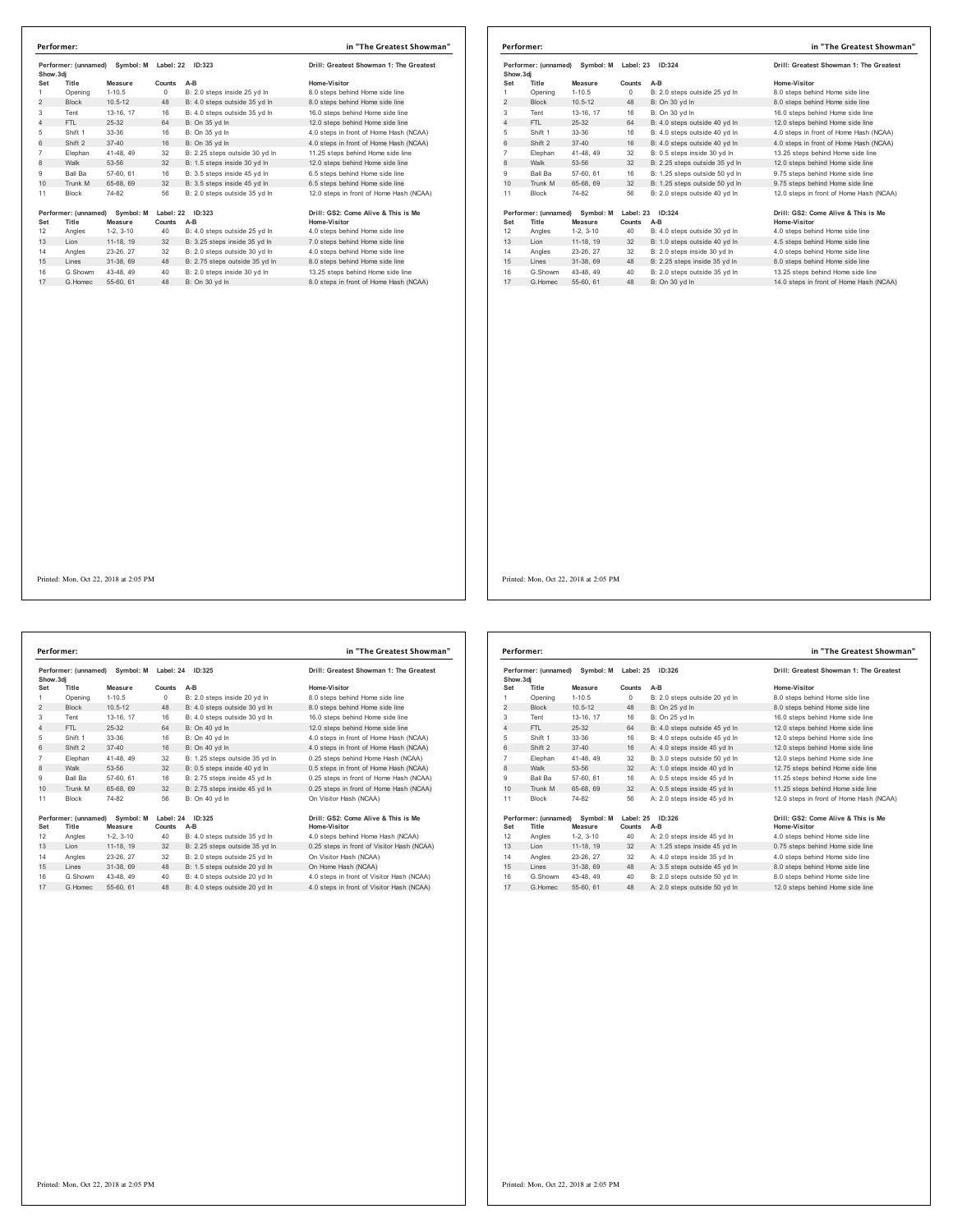| Performer: (unnamed)<br>Show.3di |                               |                      | Symbol: M Label: 22<br><b>ID:323</b> |                                | Drill: Greatest Showman 1: The Greatest             |  |
|----------------------------------|-------------------------------|----------------------|--------------------------------------|--------------------------------|-----------------------------------------------------|--|
| Set                              | Title                         | Measure              | Counts                               | $A-B$                          | Home-Visitor                                        |  |
| 1                                | Opening                       | $1-10.5$             | 0                                    | B: 2.0 steps inside 25 yd In   | 8.0 steps behind Home side line                     |  |
| $\overline{2}$                   | <b>Block</b>                  | $10.5 - 12$          | 48                                   | B: 4.0 steps outside 35 yd In  | 8.0 steps behind Home side line                     |  |
| 3                                | Tent                          | 13-16, 17            | 16                                   | B: 4.0 steps outside 35 yd In  | 16.0 steps behind Home side line                    |  |
| 4                                | FTI.                          | 25-32                | 64                                   | B: On 35 yd In                 | 12.0 steps behind Home side line                    |  |
| 5                                | Shift 1                       | 33-36                | 16                                   | B: On 35 vd In                 | 4.0 steps in front of Home Hash (NCAA)              |  |
| 6                                | Shift 2                       | $37 - 40$            | 16                                   | B: On 35 vd In                 | 4.0 steps in front of Home Hash (NCAA)              |  |
| $\overline{7}$                   | Elephan                       | 41-48, 49            | 32                                   | B: 2.25 steps outside 30 vd In | 11.25 steps behind Home side line                   |  |
| 8                                | Walk                          | 53-56                | 32                                   | B: 1.5 steps inside 30 yd In   | 12.0 steps behind Home side line                    |  |
| 9                                | Ball Ba                       | 57-60, 61            | 16                                   | B: 3.5 steps inside 45 yd In   | 6.5 steps behind Home side line                     |  |
| 10                               | Trunk M                       | 65-68, 69            | 32                                   | B: 3.5 steps inside 45 yd In   | 6.5 steps behind Home side line                     |  |
| 11                               | <b>Block</b>                  | 74-82                | 56                                   | B: 2.0 steps outside 35 yd In  | 12.0 steps in front of Home Hash (NCAA)             |  |
| Set                              | Performer: (unnamed)<br>Title | Symbol: M<br>Measure | Counts                               | Label: 22 ID:323<br>$A-B$      | Drill: GS2: Come Alive & This is Me<br>Home-Visitor |  |
| 12                               | Angles                        | $1-2.3-10$           | 40                                   | B: 4.0 steps outside 25 yd In  | 4.0 steps behind Home side line                     |  |
| 13                               | Lion                          | 11-18, 19            | 32                                   | B: 3.25 steps inside 35 yd In  | 7.0 steps behind Home side line                     |  |
| 14                               | Angles                        | 23-26, 27            | 32                                   | B: 2.0 steps outside 30 vd In  | 4.0 steps behind Home side line                     |  |
| 15                               | Lines                         | 31-38, 69            | 48                                   | B: 2.75 steps outside 35 yd In | 8.0 steps behind Home side line                     |  |
| 16                               | G.Showm                       | 43-48, 49            | 40                                   | B: 2.0 steps inside 30 yd In   | 13.25 steps behind Home side line                   |  |
| 17                               | G Homec                       | 55-60, 61            | 48                                   | B: On 30 vd In                 | 8.0 steps in front of Home Hash (NCAA)              |  |

|                | Performer:                    |                      |                     |                                | in "The Greatest Showman"                           |
|----------------|-------------------------------|----------------------|---------------------|--------------------------------|-----------------------------------------------------|
| Show, 3di      | Performer: (unnamed)          | Symbol: M            | Label: 23           | ID:324                         | Drill: Greatest Showman 1: The Greatest             |
| Set            | Title                         | Measure              | Counts              | $A-B$                          | Home-Visitor                                        |
| 1              | Opening                       | $1 - 10.5$           | $\circ$             | B: 2.0 steps outside 25 yd In  | 8.0 steps behind Home side line                     |
| $\overline{2}$ | <b>Block</b>                  | $10.5 - 12$          | 48                  | B: On 30 yd In                 | 8.0 steps behind Home side line                     |
| 3              | Tent                          | 13-16. 17            | 16                  | B: On 30 yd In                 | 16.0 steps behind Home side line                    |
| 4              | FTL.                          | $25-32$              | 64                  | B: 4.0 steps outside 40 yd In  | 12.0 steps behind Home side line                    |
| 5              | Shift 1                       | 33-36                | 16                  | B: 4.0 steps outside 40 vd In  | 4.0 steps in front of Home Hash (NCAA)              |
| 6              | Shift 2                       | $37 - 40$            | 16                  | B: 4.0 steps outside 40 yd In  | 4.0 steps in front of Home Hash (NCAA)              |
| $\overline{7}$ | Elephan                       | 41-48, 49            | 32                  | B: 0.5 steps inside 30 vd In   | 13.25 steps behind Home side line                   |
| 8              | Walk                          | 53-56                | 32                  | B: 2.25 steps outside 35 yd In | 12.0 steps behind Home side line                    |
| 9              | Ball Ba                       | 57-60, 61            | 16                  | B: 1.25 steps outside 50 vd In | 9.75 steps behind Home side line                    |
| 10             | Trunk M                       | 65-68, 69            | 32                  | B: 1.25 steps outside 50 vd In | 9.75 steps behind Home side line                    |
| 11             | <b>Block</b>                  | 74-82                | 56                  | B: 2.0 steps outside 40 yd In  | 12.0 steps in front of Home Hash (NCAA)             |
| Set            | Performer: (unnamed)<br>Title | Symbol: M<br>Measure | Label: 23<br>Counts | ID:324<br>$A-B$                | Drill: GS2: Come Alive & This is Me<br>Home-Visitor |
| 12             | Angles                        | $1-2.3-10$           | 40                  | B: 4.0 steps outside 30 vd In  | 4.0 steps behind Home side line                     |
| 13             | Lion                          | 11-18, 19            | 32                  | B: 1.0 steps outside 40 yd In  | 4.5 steps behind Home side line                     |
| 14             | Angles                        | 23-26, 27            | 32                  | B: 2.0 steps inside 30 vd In   | 4.0 steps behind Home side line                     |
| 15             | Lines                         | 31-38, 69            | 48                  | B: 2.25 steps inside 35 yd In  | 8.0 steps behind Home side line                     |
| 16             | G.Showm                       | 43-48.49             | 40                  | B: 2.0 steps outside 35 yd In  | 13.25 steps behind Home side line                   |
| 17             | G. Homec                      | 55-60, 61            | 48                  | B: On 30 vd In                 | 14.0 steps in front of Home Hash (NCAA)             |

Printed: Mon, Oct 22, 2018 at 2:05 PM

|          | Performer:           |             |            |                                | in "The Greatest Show                     |
|----------|----------------------|-------------|------------|--------------------------------|-------------------------------------------|
| Show.3di | Performer: (unnamed) | Symbol: M   | Label: 24  | ID:325                         | Drill: Greatest Showman 1: The Greates    |
| Set      | Title                | Measure     | Counts     | $A-B$                          | Home-Visitor                              |
| 1        | Opening              | $1 - 10.5$  | $^{\circ}$ | B: 2.0 steps inside 20 yd In   | 8.0 steps behind Home side line           |
| 2        | <b>Block</b>         | $10.5 - 12$ | 48         | B: 4.0 steps outside 30 yd In  | 8.0 steps behind Home side line           |
| 3        | Tent                 | 13-16, 17   | 16         | B: 4.0 steps outside 30 vd In  | 16.0 steps behind Home side line          |
| 4        | FTL                  | $25 - 32$   | 64         | B: On 40 vd In                 | 12.0 steps behind Home side line          |
| 5        | Shift 1              | 33-36       | 16         | B: On 40 vd In                 | 4.0 steps in front of Home Hash (NCAA)    |
| 6        | Shift 2              | $37 - 40$   | 16         | B: On 40 vd In                 | 4.0 steps in front of Home Hash (NCAA)    |
| 7        | Elephan              | 41-48, 49   | 32         | B: 1.25 steps outside 35 yd In | 0.25 steps behind Home Hash (NCAA)        |
| 8        | Walk                 | 53-56       | 32         | B: 0.5 steps inside 40 yd In   | 0.5 steps in front of Home Hash (NCAA)    |
| 9        | <b>Ball Ba</b>       | 57-60, 61   | 16         | B: 2.75 steps inside 45 vd In  | 0.25 steps in front of Home Hash (NCAA)   |
| 10       | Trunk M              | 65-68, 69   | 32         | B: 2.75 steps inside 45 yd In  | 0.25 steps in front of Home Hash (NCAA)   |
| 11       | <b>Block</b>         | 74-82       | 56         | B: On 40 vd In                 | On Visitor Hash (NCAA)                    |
|          | Performer: (unnamed) | Symbol: M   |            | Label: 24 ID:325               | Drill: GS2: Come Alive & This is Me       |
| Set      | Title                | Measure     | Counts     | $A-B$                          | Home-Visitor                              |
| 12       | Angles               | $1-2, 3-10$ | 40         | B: 4.0 steps outside 35 yd In  | 4.0 steps behind Home Hash (NCAA)         |
| 13       | Lion                 | 11-18, 19   | 32         | B: 2.25 steps outside 35 yd In | 0.25 steps in front of Visitor Hash (NCAA |
| 14       | Angles               | 23-26, 27   | 32         | B: 2.0 steps outside 25 vd In  | On Visitor Hash (NCAA)                    |
| 15       | Lines                | 31-38, 69   | 48         | B: 1.5 steps outside 20 yd In  | On Home Hash (NCAA)                       |
| 16       | G.Showm              | 43-48, 49   | 40         | B: 4.0 steps outside 20 vd In  | 4.0 steps in front of Visitor Hash (NCAA) |
| 17       | G.Homec              | 55-60, 61   | 48         | B: 4.0 steps outside 20 vd In  | 4.0 steps in front of Visitor Hash (NCAA) |

# wman 1: The Greatest **Performer: in "The Greatest Showman"**

# **Performer: (unnamed) Symbol: M Label: 24 ID:325 Drill: GS2: Come Alive & This is Me**

| Performer: (unnamed)<br>Symbol: M<br>Show, 3di |                      | Label: 25   | ID:326    | Drill: Greatest Showman 1: The Greatest |                                         |
|------------------------------------------------|----------------------|-------------|-----------|-----------------------------------------|-----------------------------------------|
| Set                                            | Title                | Measure     | Counts    | $A-B$                                   | Home-Visitor                            |
| 1                                              | Opening              | $1 - 10.5$  | $\Omega$  | B: 2.0 steps outside 20 yd In           | 8.0 steps behind Home side line         |
| $\overline{c}$                                 | <b>Block</b>         | $10.5 - 12$ | 48        | B: On 25 yd In                          | 8.0 steps behind Home side line         |
| 3                                              | Tent                 | 13-16, 17   | 16        | B: On 25 vd In                          | 16.0 steps behind Home side line        |
| 4                                              | FTI.                 | 25-32       | 64        | B: 4.0 steps outside 45 yd In           | 12.0 steps behind Home side line        |
| 5                                              | Shift 1              | 33-36       | 16        | B: 4.0 steps outside 45 yd In           | 12.0 steps behind Home side line        |
| 6                                              | Shift 2              | $37 - 40$   | 16        | A: 4.0 steps inside 45 vd In            | 12.0 steps behind Home side line        |
| $\overline{7}$                                 | Elephan              | 41-48, 49   | 32        | B: 3.0 steps outside 50 yd In           | 12.0 steps behind Home side line        |
| 8                                              | Walk                 | 53-56       | 32        | A: 1.0 steps inside 40 yd In            | 12.75 steps behind Home side line       |
| 9                                              | Ball Ba              | 57-60, 61   | 16        | A: 0.5 steps inside 45 vd In            | 11.25 steps behind Home side line       |
| 10                                             | Trunk M              | 65-68, 69   | 32        | A: 0.5 steps inside 45 vd In            | 11.25 steps behind Home side line       |
| 11                                             | <b>Block</b>         | 74-82       | 56        | A: 2.0 steps inside 45 vd In            | 12.0 steps in front of Home Hash (NCAA) |
|                                                | Performer: (unnamed) | Symbol: M   | Label: 25 | ID:326                                  | Drill: GS2: Come Alive & This is Me     |
| Set                                            | Title                | Measure     | Counts    | $A-B$                                   | Home-Visitor                            |
| 12                                             | Angles               | $1-2.3-10$  | 40        | A: 2.0 steps inside 45 vd In            | 4.0 steps behind Home side line         |
| 13                                             | Lion                 | 11-18, 19   | 32        | A: 1.25 steps inside 45 yd In           | 0.75 steps behind Home side line        |
| 14                                             | Angles               | 23-26.27    | 32        | A: 4.0 steps inside 35 vd In            | 4.0 steps behind Home side line         |
| 15                                             | Lines                | 31-38, 69   | 48        | A: 3.5 steps outside 45 yd In           | 8.0 steps behind Home side line         |
| 16                                             | G Showm              | 43-48.49    | 40        | B: 2.0 steps outside 50 vd In           | 8.0 steps behind Home side line         |
| 17                                             | G. Homec             | 55-60, 61   | 48        | A: 2.0 steps outside 50 yd In           | 12.0 steps behind Home side line        |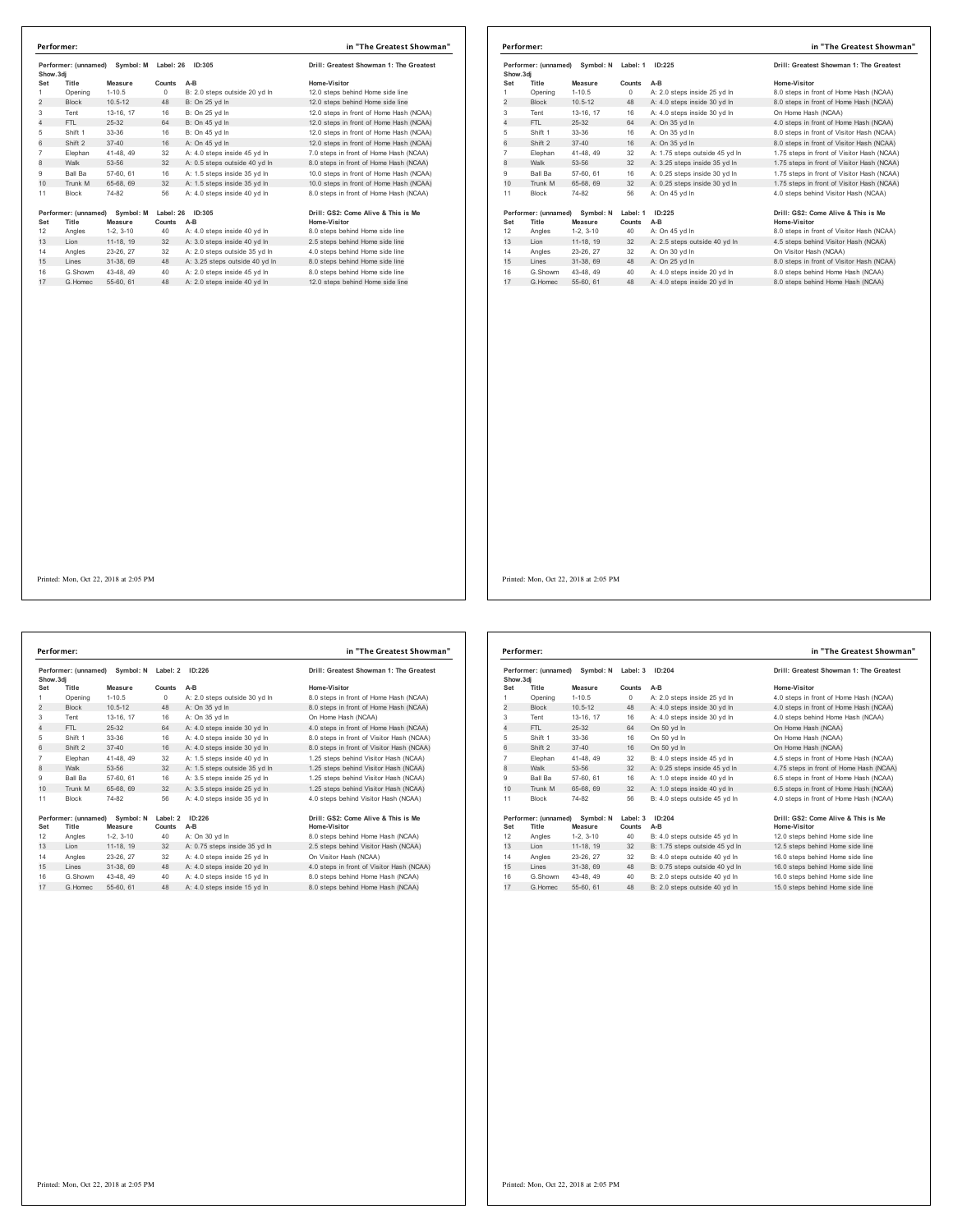| Performer: (unnamed)<br>Symbol: M<br>Show.3di |                               | Label: 26            | ID:305 | Drill: Greatest Showman 1: The Greatest |                                                     |
|-----------------------------------------------|-------------------------------|----------------------|--------|-----------------------------------------|-----------------------------------------------------|
| Set                                           | Title                         | Measure              | Counts | A-B                                     | Home-Visitor                                        |
| 1                                             | Opening                       | $1 - 10.5$           | 0      | B: 2.0 steps outside 20 vd In           | 12.0 steps behind Home side line                    |
| $\overline{2}$                                | <b>Block</b>                  | $10.5 - 12$          | 48     | B: On 25 yd In                          | 12.0 steps behind Home side line                    |
| 3                                             | Tent                          | 13-16, 17            | 16     | B: On 25 yd In                          | 12.0 steps in front of Home Hash (NCAA)             |
| 4                                             | FTI.                          | 25-32                | 64     | B: On 45 vd In                          | 12.0 steps in front of Home Hash (NCAA)             |
| 5                                             | Shift 1                       | $33-36$              | 16     | B: On 45 yd In                          | 12.0 steps in front of Home Hash (NCAA)             |
| 6                                             | Shift 2                       | $37 - 40$            | 16     | A: On 45 vd In                          | 12.0 steps in front of Home Hash (NCAA)             |
| $\overline{7}$                                | Elephan                       | 41-48.49             | 32     | A: 4.0 steps inside 45 vd In            | 7.0 steps in front of Home Hash (NCAA)              |
| 8                                             | Walk                          | 53-56                | 32     | A: 0.5 steps outside 40 vd In           | 8.0 steps in front of Home Hash (NCAA)              |
| 9                                             | Ball Ba                       | 57-60, 61            | 16     | A: 1.5 steps inside 35 vd In            | 10.0 steps in front of Home Hash (NCAA)             |
| 10                                            | Trunk M                       | 65-68, 69            | 32     | A: 1.5 steps inside 35 yd In            | 10.0 steps in front of Home Hash (NCAA)             |
| 11                                            | <b>Block</b>                  | 74-82                | 56     | A: 4.0 steps inside 40 vd In            | 8.0 steps in front of Home Hash (NCAA)              |
| Set                                           | Performer: (unnamed)<br>Title | Symbol: M<br>Measure | Counts | Label: 26 ID:305<br>A-B                 | Drill: GS2: Come Alive & This is Me<br>Home-Visitor |
| 12                                            | Angles                        | $1-2.3-10$           | 40     | A: 4.0 steps inside 40 vd In            | 8.0 steps behind Home side line                     |
| 13                                            | Lion                          | 11-18, 19            | 32     | A: 3.0 steps inside 40 yd In            | 2.5 steps behind Home side line                     |
| 14                                            | Angles                        | 23-26, 27            | 32     | A: 2.0 steps outside 35 vd In           | 4.0 steps behind Home side line                     |
| 15                                            | Lines                         | 31-38, 69            | 48     | A: 3.25 steps outside 40 yd In          | 8.0 steps behind Home side line                     |
| 16                                            | G.Showm                       | 43-48, 49            | 40     | A: 2.0 steps inside 45 vd In            | 8.0 steps behind Home side line                     |
| 17                                            | G. Homec                      | 55-60, 61            | 48     | A: 2.0 steps inside 40 yd In            | 12.0 steps behind Home side line                    |

| Performer:                                     |                               |                      |                    |                                         | in "The Greatest Showman"                           |
|------------------------------------------------|-------------------------------|----------------------|--------------------|-----------------------------------------|-----------------------------------------------------|
| Performer: (unnamed)<br>Symbol: N<br>Show, 3di |                               | Label: 1             | ID:225             | Drill: Greatest Showman 1: The Greatest |                                                     |
| Set                                            | Title                         | Measure              | Counts             | $A-B$                                   | Home-Visitor                                        |
|                                                | Opening                       | $1 - 10.5$           | 0                  | A: 2.0 steps inside 25 vd In            | 8.0 steps in front of Home Hash (NCAA)              |
| $\overline{2}$                                 | <b>Block</b>                  | $10.5 - 12$          | 48                 | A: 4.0 steps inside 30 yd In            | 8.0 steps in front of Home Hash (NCAA)              |
| 3                                              | Tent                          | 13-16, 17            | 16                 | A: 4.0 steps inside 30 yd In            | On Home Hash (NCAA)                                 |
| 4                                              | FTI.                          | 25-32                | 64                 | A: On 35 yd In                          | 4.0 steps in front of Home Hash (NCAA)              |
| 5                                              | Shift 1                       | 33-36                | 16                 | A: On 35 yd In                          | 8.0 steps in front of Visitor Hash (NCAA)           |
| 6                                              | Shift 2                       | $37 - 40$            | 16                 | A: On 35 vd In                          | 8.0 steps in front of Visitor Hash (NCAA)           |
| 7                                              | Elephan                       | 41-48, 49            | 32                 | A: 1.75 steps outside 45 yd In          | 1.75 steps in front of Visitor Hash (NCAA)          |
| 8                                              | Walk                          | 53-56                | 32                 | A: 3.25 steps inside 35 yd In           | 1.75 steps in front of Visitor Hash (NCAA)          |
| 9                                              | <b>Ball Ba</b>                | 57-60, 61            | 16                 | A: 0.25 steps inside 30 vd In           | 1.75 steps in front of Visitor Hash (NCAA)          |
| 10                                             | Trunk M                       | 65-68, 69            | 32                 | A: 0.25 steps inside 30 yd In           | 1.75 steps in front of Visitor Hash (NCAA)          |
| 11                                             | <b>Block</b>                  | 74-82                | 56                 | A: On 45 vd In                          | 4.0 steps behind Visitor Hash (NCAA)                |
| Set                                            | Performer: (unnamed)<br>Title | Symbol: N<br>Measure | Label: 1<br>Counts | ID:225<br>A-B                           | Drill: GS2: Come Alive & This is Me<br>Home-Visitor |
| 12                                             | Angles                        | $1-2, 3-10$          | 40                 | A: On 45 yd In                          | 8.0 steps in front of Visitor Hash (NCAA)           |
| 13                                             | Lion                          | 11-18, 19            | 32                 | A: 2.5 steps outside 40 yd In           | 4.5 steps behind Visitor Hash (NCAA)                |
| 14                                             | Angles                        | 23-26, 27            | 32                 | A: On 30 vd In                          | On Visitor Hash (NCAA)                              |
| 15                                             | Lines                         | 31-38, 69            | 48                 | A: On 25 vd In                          | 8.0 steps in front of Visitor Hash (NCAA)           |
| 16                                             | G.Showm                       | 43-48, 49            | 40                 | A: 4.0 steps inside 20 vd In            | 8.0 steps behind Home Hash (NCAA)                   |
| 17                                             | G. Homec                      | 55-60, 61            | 48                 | A: 4.0 steps inside 20 yd In            | 8.0 steps behind Home Hash (NCAA)                   |

Performer: (unnamed) Symbol: N Label: 2 ID:226 **Drill: Greatest Showman 1: The Greatest Show.3dj Set Title Measure Counts A-B Home-Visitor** 1 Opening 1-10.5 0 A: 2.0 steps outside 30 yd ln 8.0 steps in front of Home Hash (NCAA)<br>2 Block 10.5-12 48 A: On 35 yd ln 8.0 steps in front of Home Hash (NCAA) 2 Block 10.5-12 48 A: On 35 yd ln 8.0 steps in front of Home Hash (NCAA)<br>Tent 13-16 17 16 A: On 35 yd ln 8. On Home Hash (NCAA) 13-16, 17 16 A: On 35 yd ln On Home Hash (NCAA)<br>13-32 64 A: 4.0 steps inside 30 yd ln 4.0 steps in front of Hor 4. 1. 25-32 64 A: 4.0 steps inside 30 yd ln 4.0 steps in front of Home Hash (NCAA)<br>19 Att 1 33-36 16 A: 4.0 steps inside 30 yd ln 4.0 steps in front of Visitor Hash (NCAA)<br>16 A: 4.0 steps inside 30 yd ln 4.0 steps in front 5 Shift 1 33-36 16 A: 4.0 steps inside 30 yd ln 8.0 steps in front of Visitor Hash (NCAA) 6 Shift 2 37-40 16 A: 4.0 steps inside 30 yd ln 8.0 steps in front of Visitor Hash (NCAA) 7 Elephan 41-48, 49 32 A: 1.5 steps inside 40 yd ln 1.25 steps behind Visitor Hash (NCAA) 1.25 steps behind Visitor Hash (NCAA) 9 Ball Ba 57-60, 61 16 A: 3.5 steps inside 25 yd ln 1.25 steps behind Visitor Hash (NCAA)<br>10 Trunk M 65-68, 69 32 A: 3.5 steps inside 25 yd ln 1.25 steps behind Visitor Hash (NCAA) 10 The Brunk M 65-68, 69 Steps inside 25 yd ln 11 Block 74-82 56 A: 4.0 steps inside 35 yd ln 4.0 steps behind Visitor Hash (NCAA) **Performer: (unnamed) Symbol: N Label: 2 ID:226 Drill: GS2: Come Alive & This is Me Set Title Measure Counts** A-B<br>12 Angles 1-2, 3-10 40 A: On 30 yd In 12 Angles 1-2, 3-10 40 A: On 30 yd ln 8.0 steps behind Home Hash (NCAA)  $12$  A: 0.75 steps inside 35 yd ln 14 Angles 23-26, 27 32 A: 4.0 steps inside 25 yd In On Visitor Hash (NCAA)<br>15 Lines 31-38, 69 48 A: 4.0 steps inside 20 yd In 4.0 steps in front of Visi 1. Viewer Viewer (15 - 2016)<br>15 A: 0 steps in front of Visitor Hash (NCAA)<br>16 Steps behind Home Hash (NCAA) 16 G.Showm 43-48, 49 40 A: 4.0 steps inside 15 yd In 8.0 steps behind Home Hash (NCAA)<br>17 G.Homec 55-60, 61 48 A: 4.0 steps inside 15 yd In 8.0 steps behind Home Hash (NCAA) **Performer: in "The Greatest Showman"**

Performer: (unnamed) Symbol: N Label: 3 ID:204 **Drill: Greatest Showman 1: The Greatest Show.3dj Seta Leading Measure Counts A-B Counts A-B Home-Visitor**<br> **C Dening** 1-10.5 0 **A:** 2.0 steps inside 25 yd In 4.0 steps in f 1 Opening 1-10.5 0 A: 2.0 steps inside 25 yd ln 4.0 steps in front of Home Hash (NCAA)<br>2 Block 10.5-12 48 A: 4.0 steps inside 30 yd ln 4.0 steps in front of Home Hash (NCAA) 2<br>2 Block 10.5-12 48 A: 4.0 steps inside 30 yd ln 4.0 steps in front of Home Hash (NCAA)<br>19 13-16 17 16 A: 4.0 steps inside 30 yd ln 4.0 steps behind Home Hash (NCAA) 3 Tent 13-16, 17 16 A: 4.0 steps inside 30 yd ln 4.0 steps behind Home Hash (NCAA) 4 FTL 25-32 64 On 50 yd ln On Home Hash (NCAA) 5 Shift 1 33-36 16 On 50 yd ln On Home Hash (NCAA) 6 Shift 2 37-40 16 On 50 yd ln On Home Hash (NCAA) 7 Elephan 41-48, 49 32 B: 4.0 steps inside 45 yd ln 4.5 steps in front of Home Hash (NCAA) 8 Walker 53-56 32 A: 0.25 Steps in front of Home Hash (NCAA) 9 Ball Ba 57-60, 61 16 A: 1.0 steps inside 40 yd ln 6.5 steps in front of Home Hash (NCAA)<br>10 Trunk M 65-68, 69 32 A: 1.0 steps inside 40 yd ln 6.5 steps in front of Home Hash (NCAA) 10 Trunk M 65-68, 69 and 65-68, 69 and 6.5 steps inside 40 yd ln 11 Block 74-82 56 B: 4.0 steps outside 45 yd ln 4.0 steps in front of Home Hash (NCAA) **Performer: (unnamed) Symbol: N Label: 3 ID:204 Drill: GS2: Come Alive & This is Me Set Title Measure Counts** A-B<br>12 Angles 1-2, 3-10 40 B: 4.0 steps outside 45 yd In 12 Angles 1-2, 3-10 40 B: 4.0 steps outside 45 yd ln 12.0 steps behind Home side line 12.5 steps behind Home side line 14 Angles 23-26, 27 32 B: 4.0 steps outside 40 yd ln 16.0 steps behind Home side line 15 15 Steps behind Home side line<br>15.0 steps behind Home side line<br>15.0 steps behind Home side line 16 G.Showm 43-48, 49 40 B: 2.0 steps outside 40 yd ln 16.0 steps behind Home side line 17 G.Homec 55-60, 61 48 B: 2.0 steps outside 40 yd ln 15.0 steps behind Home side line **Performer: in "The Greatest Showman"**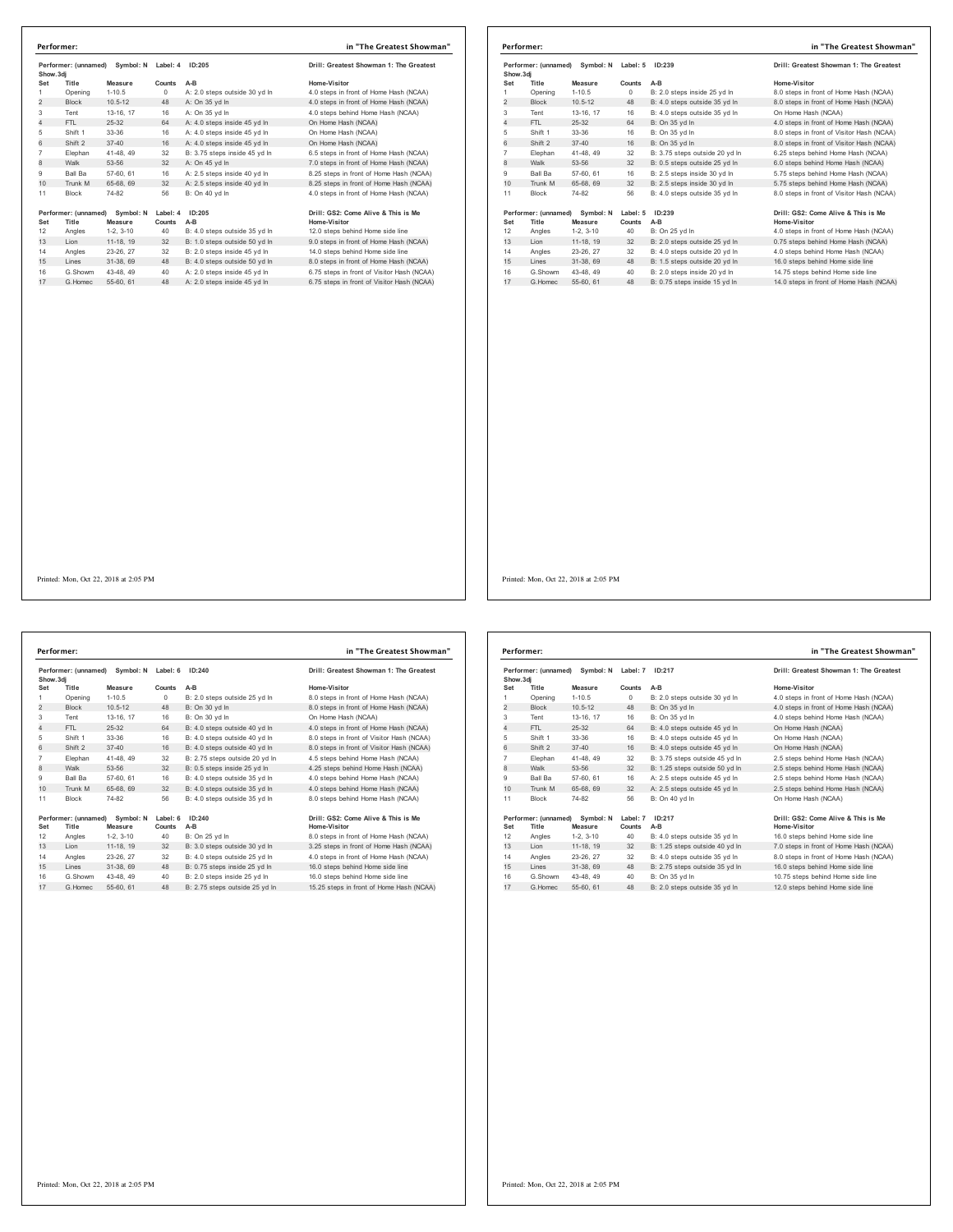|                | Performer:           |                           |            |                               | in "The Greatest Showman"                  |                |                      |             |
|----------------|----------------------|---------------------------|------------|-------------------------------|--------------------------------------------|----------------|----------------------|-------------|
| Show.3dj       | Performer: (unnamed) | Symbol: N Label: 4 ID:205 |            |                               | Drill: Greatest Showman 1: The Greatest    | Show.3dj       | Performer: (unnamed) | Symbol:     |
| Set            | Title                | Measure                   | Counts     | A-B                           | Home-Visitor                               | Set            | Title                | Measure     |
| $\mathbf{1}$   | Opening              | $1 - 10.5$                | $^{\circ}$ | A: 2.0 steps outside 30 yd In | 4.0 steps in front of Home Hash (NCAA)     | 1              | Opening              | $1 - 10.5$  |
| $\overline{2}$ | <b>Block</b>         | $10.5 - 12$               | 48         | A: On 35 yd In                | 4.0 steps in front of Home Hash (NCAA)     | $\overline{2}$ | <b>Block</b>         | $10.5 - 12$ |
| 3              | Tent                 | 13-16, 17                 | 16         | A: On 35 yd In                | 4.0 steps behind Home Hash (NCAA)          | 3              | Tent                 | 13-16, 17   |
| $\overline{4}$ | FTL                  | $25 - 32$                 | 64         | A: 4.0 steps inside 45 yd In  | On Home Hash (NCAA)                        | $\overline{4}$ | FTL                  | $25 - 32$   |
| 5              | Shift 1              | 33-36                     | 16         | A: 4.0 steps inside 45 yd In  | On Home Hash (NCAA)                        | 5              | Shift 1              | 33-36       |
| 6              | Shift 2              | $37 - 40$                 | 16         | A: 4.0 steps inside 45 vd In  | On Home Hash (NCAA)                        | 6              | Shift 2              | $37 - 40$   |
| $\overline{7}$ | Elephan              | 41-48, 49                 | 32         | B: 3.75 steps inside 45 yd In | 6.5 steps in front of Home Hash (NCAA)     | $\overline{7}$ | Elephan              | 41-48, 49   |
| 8              | Walk                 | 53-56                     | 32         | A: On 45 yd In                | 7.0 steps in front of Home Hash (NCAA)     | 8              | Walk                 | 53-56       |
| 9              | Ball Ba              | 57-60, 61                 | 16         | A: 2.5 steps inside 40 vd In  | 8.25 steps in front of Home Hash (NCAA)    | 9              | Ball Ba              | 57-60, 61   |
| 10             | Trunk M              | 65-68, 69                 | 32         | A: 2.5 steps inside 40 yd In  | 8.25 steps in front of Home Hash (NCAA)    | 10             | Trunk M              | 65-68, 69   |
| 11             | Block                | 74-82                     | 56         | B: On 40 yd In                | 4.0 steps in front of Home Hash (NCAA)     | 11             | <b>Block</b>         | 74-82       |
|                | Performer: (unnamed) | Symbol: N                 | Label: 4   | ID:205                        | Drill: GS2: Come Alive & This is Me        |                | Performer: (unnamed) | Symbol:     |
| Set            | Title                | Measure                   | Counts     | A-B                           | Home-Visitor                               | Set            | Title                | Measure     |
| 12             | Angles               | $1-2, 3-10$               | 40         | B: 4.0 steps outside 35 yd In | 12.0 steps behind Home side line           | 12             | Angles               | $1-2, 3-10$ |
| 13             | Lion                 | 11-18, 19                 | 32         | B: 1.0 steps outside 50 yd In | 9.0 steps in front of Home Hash (NCAA)     | 13             | Lion                 | 11-18, 19   |
| 14             | Angles               | 23-26, 27                 | 32         | B: 2.0 steps inside 45 yd In  | 14.0 steps behind Home side line           | 14             | Angles               | 23-26, 27   |
| 15             | Lines                | 31-38, 69                 | 48         | B: 4.0 steps outside 50 vd ln | 8.0 steps in front of Home Hash (NCAA)     | 15             | Lines                | 31-38, 69   |
| 16             | G.Showm              | 43-48, 49                 | 40         | A: 2.0 steps inside 45 yd In  | 6.75 steps in front of Visitor Hash (NCAA) | 16             | G.Showm              | 43-48, 49   |
| 17             | G.Homec              | 55-60, 61                 | 48         | A: 2.0 steps inside 45 yd In  | 6.75 steps in front of Visitor Hash (NCAA) | 17             | G. Homec             | 55-60, 61   |
|                |                      |                           |            |                               |                                            |                |                      |             |

|           | Performer:                    |                      |                    |                                | in "The Greatest Showman"                                  |
|-----------|-------------------------------|----------------------|--------------------|--------------------------------|------------------------------------------------------------|
| Show, 3di | Performer: (unnamed)          | Symbol: N            | Label: 5           | ID:239                         | Drill: Greatest Showman 1: The Greatest                    |
| Set       | Title                         | Measure              | Counts             | $A-B$                          | Home-Visitor                                               |
| 1         | Opening                       | $1 - 10.5$           | $\Omega$           | B: 2.0 steps inside 25 vd In   | 8.0 steps in front of Home Hash (NCAA)                     |
| 2         | <b>Block</b>                  | $10.5 - 12$          | 48                 | B: 4.0 steps outside 35 yd In  | 8.0 steps in front of Home Hash (NCAA)                     |
| 3         | Tent                          | 13-16, 17            | 16                 | B: 4.0 steps outside 35 yd In  | On Home Hash (NCAA)                                        |
| 4         | FTI.                          | 25-32                | 64                 | B: On 35 vd In                 | 4.0 steps in front of Home Hash (NCAA)                     |
| 5         | Shift 1                       | 33-36                | 16                 | B: On 35 yd In                 | 8.0 steps in front of Visitor Hash (NCAA)                  |
| 6         | Shift 2                       | $37 - 40$            | 16                 | B: On 35 vd In                 | 8.0 steps in front of Visitor Hash (NCAA)                  |
| 7         | Elephan                       | 41-48, 49            | 32                 | B: 3.75 steps outside 20 yd In | 6.25 steps behind Home Hash (NCAA)                         |
| 8         | Walk                          | 53-56                | 32                 | B: 0.5 steps outside 25 yd In  | 6.0 steps behind Home Hash (NCAA)                          |
| 9         | Ball Ba                       | 57-60, 61            | 16                 | B: 2.5 steps inside 30 vd In   | 5.75 steps behind Home Hash (NCAA)                         |
| 10        | Trunk M                       | 65-68, 69            | 32                 | B: 2.5 steps inside 30 yd In   | 5.75 steps behind Home Hash (NCAA)                         |
| 11        | <b>Block</b>                  | 74-82                | 56                 | B: 4.0 steps outside 35 vd In  | 8.0 steps in front of Visitor Hash (NCAA)                  |
| Set       | Performer: (unnamed)<br>Title | Symbol: N<br>Measure | Label: 5<br>Counts | ID:239<br>A-B                  | Drill: GS2: Come Alive & This is Me<br><b>Home-Visitor</b> |
| 12        | Angles                        | $1-2, 3-10$          | 40                 | B: On 25 yd In                 | 4.0 steps in front of Home Hash (NCAA)                     |
| 13        | Lion                          | 11-18, 19            | 32                 | B: 2.0 steps outside 25 yd In  | 0.75 steps behind Home Hash (NCAA)                         |
| 14        | Angles                        | 23-26, 27            | 32                 | B: 4.0 steps outside 20 yd In  | 4.0 steps behind Home Hash (NCAA)                          |
| 15        | Lines                         | 31-38, 69            | 48                 | B: 1.5 steps outside 20 yd In  | 16.0 steps behind Home side line                           |
| 16        | G.Showm                       | 43-48, 49            | 40                 | B: 2.0 steps inside 20 yd In   | 14.75 steps behind Home side line                          |
| 17        | G. Homec                      | 55-60, 61            | 48                 | B: 0.75 steps inside 15 yd In  | 14.0 steps in front of Home Hash (NCAA)                    |

Printed: Mon, Oct 22, 2018 at 2:05 PM

19erformer: (unnamed) Symbol: Nicolable 6 ID:240<br>19erformer: Mone-Visitor (Show and Mone-Visitor Home-Visitor<br>19erforme 1-10.5 - 10 - D. 2.0 steps outside 25 yd In a B.0 steps in front of Home-Hash (NCAA)<br>19erforme 10.5-12 Tent 13-16, 17 16 B: On 30 yd ln On Home Hash (NCAA) 4 FTL 25-32 64 B: 4.0 steps outside 40 yd ln 4.0 steps in front of Home Hash (NCAA) Shift 1 33-36 16 B: 4.0 steps outside 40 yd ln 8.0 steps in front of Visitor Hash (NCAA) 6 Shift 2 37-40 16 B: 4.0 steps outside 40 yd ln 8.0 steps in front of Visitor Hash (NCAA) 7 Elephan 41-48, 49 32 B: 2.75 steps outside 20 yd In 4.5 steps behind Home Hash (NCAA)<br>8 Walk 53-56 32 B: 0.5 steps inside 25 yd In 4.25 steps behind Home Hash (NCAA)<br>9 Ball Ba 57-60, 61 16 B: 4. 10 Trunk M 65-68, 69 32 B: 4.0 steps outside 35 yd in 4.0 steps behind Home Hash (NCAA) 11 Block 74-82 56 B: 4.0 steps outside 35 yd In 1967 (come Alive & This is Me<br>
1967 (1976) 1967 (1987) 1997 (1988) 1997 (1998) 1997 (1998) 1998 (1998) 1998 12<br>
1998 12, 3-10 40 B: On 25 yd ln<br>
1998 12, 3-10 40 B: On 25 yd ln<br>
1998 23-26, 27 32 B: 4.0 steps outside 25 yd G.Showm 43-48, 49 40 B: 2.0 steps inside 25 yd ln 16.0 steps behind Home side line 17 G.Homec 55-60, 61 48 B: 2.75 steps outside 25 yd ln 15.25 steps in front of Home Hash (NCAA) **Performer: in "The Greatest Showman"**

| Drill: Greatest Showman 1: The Greatest   |
|-------------------------------------------|
| Home-Visitor                              |
| 8.0 steps in front of Home Hash (NCAA)    |
| 8.0 steps in front of Home Hash (NCAA)    |
| On Home Hash (NCAA)                       |
| 4.0 steps in front of Home Hash (NCAA)    |
| 8.0 steps in front of Visitor Hash (NCAA) |
| 8.0 steps in front of Visitor Hash (NCAA) |
| 4.5 steps behind Home Hash (NCAA)         |
| 4.25 steps behind Home Hash (NCAA)        |
| 4.0 steps behind Home Hash (NCAA)         |
| 4.0 steps behind Home Hash (NCAA)         |
| 8.0 steps behind Home Hash (NCAA)         |
| Drill: GS2: Come Alive & This is Me       |
| Home-Visitor                              |
| 8.0 steps in front of Home Hash (NCAA)    |
| 3.25 steps in front of Home Hash (NCAA)   |
| 4.0 steps in front of Home Hash (NCAA)    |
|                                           |

|                                                | Performer:                    |                      |                    |                                         | in "The Greatest Showman"                           |
|------------------------------------------------|-------------------------------|----------------------|--------------------|-----------------------------------------|-----------------------------------------------------|
| Performer: (unnamed)<br>Symbol: N<br>Show, 3di |                               | Label: 7             | ID:217             | Drill: Greatest Showman 1: The Greatest |                                                     |
| Set                                            | Title                         | Measure              | Counts             | $A-B$                                   | Home-Visitor                                        |
| 1                                              | Opening                       | $1 - 10.5$           | $\circ$            | B: 2.0 steps outside 30 yd In           | 4.0 steps in front of Home Hash (NCAA)              |
| $\overline{2}$                                 | <b>Block</b>                  | $10.5 - 12$          | 48                 | B: On 35 yd In                          | 4.0 steps in front of Home Hash (NCAA)              |
| 3                                              | Tent                          | 13-16, 17            | 16                 | B: On 35 vd In                          | 4.0 steps behind Home Hash (NCAA)                   |
| 4                                              | FTI.                          | $25 - 32$            | 64                 | B: 4.0 steps outside 45 yd In           | On Home Hash (NCAA)                                 |
| 5                                              | Shift 1                       | 33-36                | 16                 | B: 4.0 steps outside 45 yd In           | On Home Hash (NCAA)                                 |
| 6                                              | Shift 2                       | $37 - 40$            | 16                 | B: 4.0 steps outside 45 yd In           | On Home Hash (NCAA)                                 |
| $\overline{7}$                                 | Elephan                       | 41-48, 49            | 32                 | B: 3.75 steps outside 45 yd In          | 2.5 steps behind Home Hash (NCAA)                   |
| 8                                              | Walk                          | 53-56                | 32                 | B: 1.25 steps outside 50 yd In          | 2.5 steps behind Home Hash (NCAA)                   |
| 9                                              | <b>Ball Ba</b>                | 57-60, 61            | 16                 | A: 2.5 steps outside 45 vd In           | 2.5 steps behind Home Hash (NCAA)                   |
| 10                                             | Trunk M                       | 65-68, 69            | 32                 | A: 2.5 steps outside 45 yd In           | 2.5 steps behind Home Hash (NCAA)                   |
| 11                                             | Block                         | 74-82                | 56                 | B: On 40 yd In                          | On Home Hash (NCAA)                                 |
| Set                                            | Performer: (unnamed)<br>Title | Symbol: N<br>Measure | Label: 7<br>Counts | ID:217<br>$A-B$                         | Drill: GS2: Come Alive & This is Me<br>Home-Visitor |
| 12                                             | Angles                        | $1-2.3-10$           | 40                 | B: 4.0 steps outside 35 vd In           | 16.0 steps behind Home side line                    |
| 13                                             | Lion                          | 11-18. 19            | 32                 | B: 1.25 steps outside 40 vd In          | 7.0 steps in front of Home Hash (NCAA)              |
| 14                                             | Angles                        | 23-26.27             | 32                 | B: 4.0 steps outside 35 vd In           | 8.0 steps in front of Home Hash (NCAA)              |
| 15                                             | Lines                         | 31-38, 69            | 48                 | B: 2.75 steps outside 35 yd In          | 16.0 steps behind Home side line                    |
| 16                                             | G.Showm                       | 43-48, 49            | 40                 | B: On 35 vd In                          | 10.75 steps behind Home side line                   |
| 17                                             | G. Homec                      | 55-60, 61            | 48                 | B: 2.0 steps outside 35 yd In           | 12.0 steps behind Home side line                    |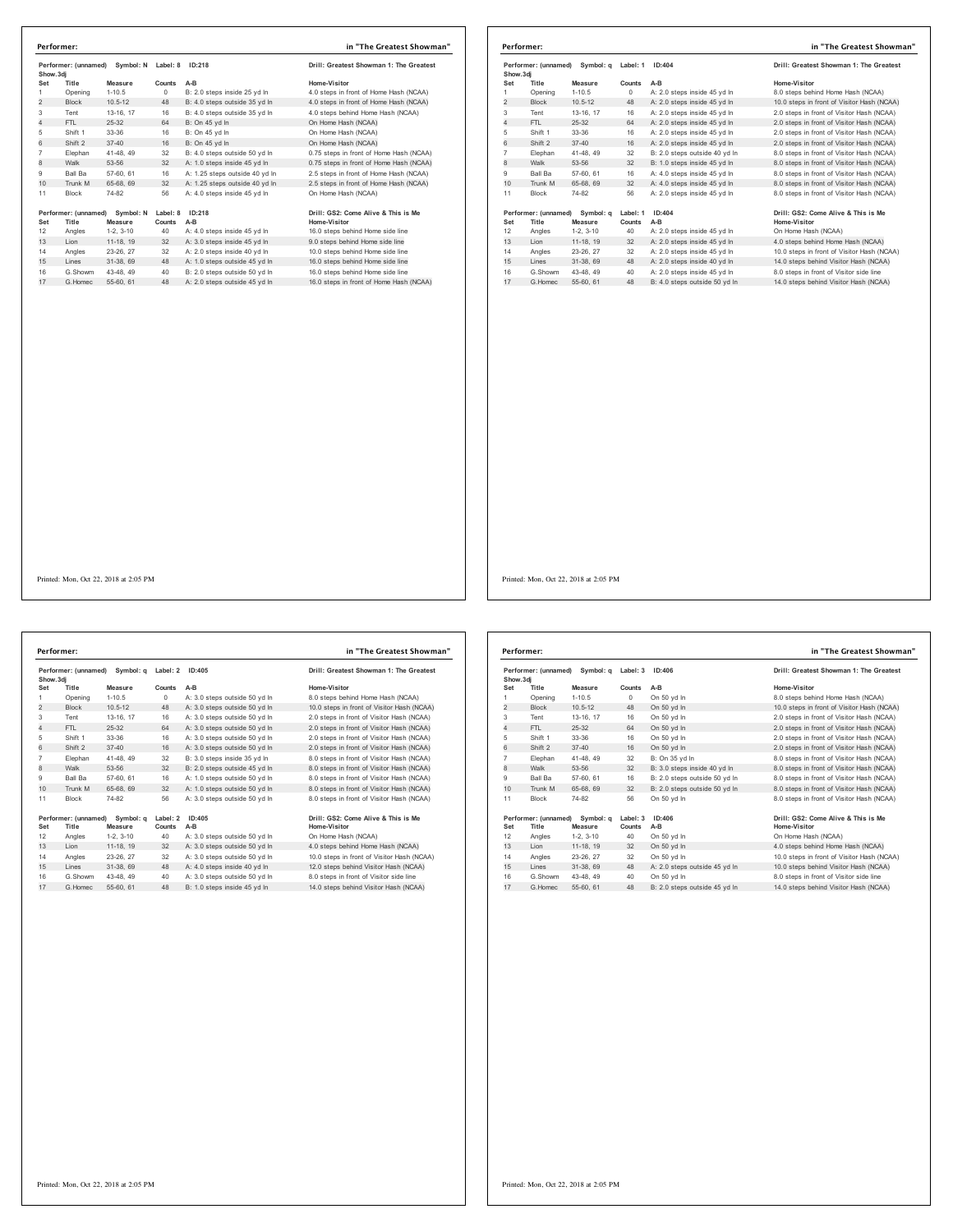| Performer: (unnamed)<br>Symbol: N<br>Show.3di |                      |             | Label: 8   | ID:218                         | Drill: Greatest Showman 1: The Greatest |  |
|-----------------------------------------------|----------------------|-------------|------------|--------------------------------|-----------------------------------------|--|
| Set                                           | Title                | Measure     | Counts     | $A-B$                          | Home-Visitor                            |  |
| 1                                             | Opening              | $1 - 10.5$  | $^{\circ}$ | B: 2.0 steps inside 25 yd In   | 4.0 steps in front of Home Hash (NCAA)  |  |
| $\overline{2}$                                | <b>Block</b>         | $10.5 - 12$ | 48         | B: 4.0 steps outside 35 yd In  | 4.0 steps in front of Home Hash (NCAA)  |  |
| 3                                             | Tent                 | 13-16, 17   | 16         | B: 4.0 steps outside 35 yd In  | 4.0 steps behind Home Hash (NCAA)       |  |
| 4                                             | FTI.                 | 25-32       | 64         | B: On 45 vd In                 | On Home Hash (NCAA)                     |  |
| 5                                             | Shift 1              | 33-36       | 16         | B: On 45 yd In                 | On Home Hash (NCAA)                     |  |
| 6                                             | Shift 2              | $37 - 40$   | 16         | B: On 45 vd In                 | On Home Hash (NCAA)                     |  |
| $\overline{7}$                                | Elephan              | 41-48.49    | 32         | B: 4.0 steps outside 50 vd In  | 0.75 steps in front of Home Hash (NCAA) |  |
| 8                                             | Walk                 | 53-56       | 32         | A: 1.0 steps inside 45 yd In   | 0.75 steps in front of Home Hash (NCAA) |  |
| 9                                             | Ball Ba              | 57-60, 61   | 16         | A: 1.25 steps outside 40 yd In | 2.5 steps in front of Home Hash (NCAA)  |  |
| 10 <sup>1</sup>                               | Trunk M              | 65-68, 69   | 32         | A: 1.25 steps outside 40 yd In | 2.5 steps in front of Home Hash (NCAA)  |  |
| 11                                            | <b>Block</b>         | 74-82       | 56         | A: 4.0 steps inside 45 vd In   | On Home Hash (NCAA)                     |  |
|                                               | Performer: (unnamed) | Symbol: N   | Label: 8   | ID:218                         | Drill: GS2: Come Alive & This is Me     |  |
| Set                                           | Title                | Measure     | Counts     | $A-B$                          | Home-Visitor                            |  |
| 12                                            | Angles               | $1-2, 3-10$ | 40         | A: 4.0 steps inside 45 yd In   | 16.0 steps behind Home side line        |  |
| 13                                            | Lion                 | 11-18, 19   | 32         | A: 3.0 steps inside 45 yd In   | 9.0 steps behind Home side line         |  |
| 14                                            | Angles               | 23-26, 27   | 32         | A: 2.0 steps inside 40 vd In   | 10.0 steps behind Home side line        |  |
| 15                                            | Lines                | 31-38, 69   | 48         | A: 1.0 steps outside 45 yd In  | 16.0 steps behind Home side line        |  |
| 16                                            | G.Showm              | 43-48, 49   | 40         | B: 2.0 steps outside 50 yd In  | 16.0 steps behind Home side line        |  |
| 17                                            | G. Homec             | 55-60, 61   | 48         | A: 2.0 steps outside 45 yd In  | 16.0 steps in front of Home Hash (NCAA) |  |

|                                                | Performer:                     |             |          |                               | in "The Greatest Showman"                  |          |  |        |                                         |
|------------------------------------------------|--------------------------------|-------------|----------|-------------------------------|--------------------------------------------|----------|--|--------|-----------------------------------------|
| Performer: (unnamed)<br>Symbol: a<br>Show, 3di |                                |             |          |                               |                                            | Label: 1 |  | ID:404 | Drill: Greatest Showman 1: The Greatest |
| Set                                            | Title                          | Measure     | Counts   | $A-B$                         | Home-Visitor                               |          |  |        |                                         |
| 1                                              | Opening                        | $1 - 10.5$  | $\Omega$ | A: 2.0 steps inside 45 yd In  | 8.0 steps behind Home Hash (NCAA)          |          |  |        |                                         |
| $\overline{2}$                                 | <b>Block</b>                   | $10.5 - 12$ | 48       | A: 2.0 steps inside 45 yd In  | 10.0 steps in front of Visitor Hash (NCAA) |          |  |        |                                         |
| 3                                              | Tent                           | 13-16, 17   | 16       | A: 2.0 steps inside 45 yd In  | 2.0 steps in front of Visitor Hash (NCAA)  |          |  |        |                                         |
| 4                                              | FTL.                           | 25-32       | 64       | A: 2.0 steps inside 45 vd In  | 2.0 steps in front of Visitor Hash (NCAA)  |          |  |        |                                         |
| 5                                              | Shift 1                        | 33-36       | 16       | A: 2.0 steps inside 45 yd In  | 2.0 steps in front of Visitor Hash (NCAA)  |          |  |        |                                         |
| 6                                              | Shift 2                        | $37 - 40$   | 16       | A: 2.0 steps inside 45 vd In  | 2.0 steps in front of Visitor Hash (NCAA)  |          |  |        |                                         |
| 7                                              | Elephan                        | 41-48, 49   | 32       | B: 2.0 steps outside 40 yd In | 8.0 steps in front of Visitor Hash (NCAA)  |          |  |        |                                         |
| 8                                              | Walk                           | 53-56       | 32       | B: 1.0 steps inside 45 yd In  | 8.0 steps in front of Visitor Hash (NCAA)  |          |  |        |                                         |
| 9                                              | <b>Ball Ba</b>                 | 57-60, 61   | 16       | A: 4.0 steps inside 45 vd In  | 8.0 steps in front of Visitor Hash (NCAA)  |          |  |        |                                         |
| 10                                             | Trunk M                        | 65-68, 69   | 32       | A: 4.0 steps inside 45 vd In  | 8.0 steps in front of Visitor Hash (NCAA)  |          |  |        |                                         |
| 11                                             | <b>Block</b>                   | 74-82       | 56       | A: 2.0 steps inside 45 vd In  | 8.0 steps in front of Visitor Hash (NCAA)  |          |  |        |                                         |
|                                                | Performer: (unnamed) Symbol: g |             | Label: 1 | ID:404                        | Drill: GS2: Come Alive & This is Me        |          |  |        |                                         |
| Set                                            | Title                          | Measure     | Counts   | $A-B$                         | Home-Visitor                               |          |  |        |                                         |
| 12                                             | Angles                         | $1-2, 3-10$ | 40       | A: 2.0 steps inside 45 yd In  | On Home Hash (NCAA)                        |          |  |        |                                         |
| 13                                             | Lion                           | 11-18, 19   | 32       | A: 2.0 steps inside 45 yd In  | 4.0 steps behind Home Hash (NCAA)          |          |  |        |                                         |
| 14                                             | Angles                         | 23-26, 27   | 32       | A: 2.0 steps inside 45 vd In  | 10.0 steps in front of Visitor Hash (NCAA) |          |  |        |                                         |
| 15                                             | Lines                          | 31-38, 69   | 48       | A: 2.0 steps inside 40 yd In  | 14.0 steps behind Visitor Hash (NCAA)      |          |  |        |                                         |
| 16                                             | G.Showm                        | 43-48, 49   | 40       | A: 2.0 steps inside 45 yd In  | 8.0 steps in front of Visitor side line    |          |  |        |                                         |
| 17                                             | G. Homec                       | 55-60, 61   | 48       | B: 4.0 steps outside 50 vd In | 14.0 steps behind Visitor Hash (NCAA)      |          |  |        |                                         |

**Performer: (unnamed) Symbol: q Label: 2 ID:405 Drill: Greatest Showman 1: The Greatest Show.3dj Set Title Measure Counts A-B Home-Visitor** 1 Opening 1-10.5 Opening A-B<br>1 Opening 1-10.5 0 A: 3.0 steps outside 50 yd ln 8.0 steps behind Home Hash (NCAA)<br>1 Block 10.5-12 48 A: 3.0 steps outside 50 yd ln 10.0 steps in front of Visitor Hash (NCAA) 2 Block 10.5-12 48 A: 3.0 steps outside 50 yd in 10.0 steps believing throwner pass (NCAA)<br>2 Block 10.5-12 48 A: 3.0 steps outside 50 yd ln 10.0 steps in front of Visitor Hash (NCAA)<br>3 Tent 13-16, 17 16 A: 3.0 steps outsid Tent 13-16, 17 16 A: 3.0 steps outside 50 yd ln 2.0 steps in front of Visitor Hash (NCAA) 4 FTL 25-32 64 A: 3.0 steps outside 50 yd ln 2.0 steps in front of Visitor Hash (NCAA) Shift 1 33-36 16 A: 3.0 steps outside 50 yd ln 2.0 steps in front of Visitor Hash (NCAA) 6 Shift 2 37-40 16 A: 3.0 steps outside 50 yd ln 2.0 steps in front of Visitor Hash (NCAA) Elephan 41-48, 49 32 B: 3.0 steps inside 35 yd ln 8.0 steps in front of Visitor Hash (NCAA) 8: 8: 3.0 steps inside 35 yd in actual 53-6.0 steps in front of Visitor Hash (NCAA)<br>32 B: 2.0 steps outside 45 yd ln 8.0 steps in front of Visitor Hash (NCAA)<br>4.6 A: 1.0 stens outside 50 vd ln 8.0 steps in front of Visitor Ball Ba 57-60, 61 16 A: 1.0 steps outside 50 yd ln 8.0 steps in front of Visitor Hash (NCAA) 10 Trunk M 65-68, 69 32 A: 1.0 steps outside 50 yd ln 8.0 steps in front of Visitor Hash (NCAA) Block 74-82 56 A: 3.0 steps outside 50 yd ln 8.0 steps in front of Visitor Hash (NCAA) Performer: (unnamed) Symbol: q Label: 2 ID:405<br>Set Title Measure Counts A-B<br>12 Angles 1-2, 3-10 40 A: 3.0 steps outside 50 yd In On Home-Vash (NCAA)<br>13 Lion 11-18, 19 32 A: 3.0 steps outside 50 yd In 4.0 steps behind Home Angles 23-26, 27 32 A: 3.0 steps outside 50 yd ln 10.0 steps in front of Visitor Hash (NCAA) 15 Lines 31-38, 69 48 A: 4.0 steps inside 40 yd ln 12.0 steps behind Visitor Hash (NCAA) 16 G.Showm 43-48, 49 40 A: 3.0 steps outside 50 yd ln 8.0 steps in front of Visitor side line<br>17 G.Homec 55-60, 61 48 B: 1.0 steps inside 45 yd ln 14.0 steps behind Visitor Hash (NCAA) **Performer: in "The Greatest Showman"**

| Performer: (unnamed)<br>Show, 3di |                               | Symbol: a            | Label: 3           | ID:406                        | Drill: Greatest Showman 1: The Greatest             |
|-----------------------------------|-------------------------------|----------------------|--------------------|-------------------------------|-----------------------------------------------------|
| Set                               | Title                         | Measure              | Counts             | $A-B$                         | Home-Visitor                                        |
| 1                                 | Opening                       | $1 - 10.5$           | $\Omega$           | On 50 vd In                   | 8.0 steps behind Home Hash (NCAA)                   |
| $\overline{2}$                    | <b>Block</b>                  | $10.5 - 12$          | 48                 | On 50 vd In                   | 10.0 steps in front of Visitor Hash (NCAA)          |
| 3                                 | Tent                          | 13-16, 17            | 16                 | On 50 vd In                   | 2.0 steps in front of Visitor Hash (NCAA)           |
| 4                                 | FTI.                          | 25-32                | 64                 | On 50 vd In                   | 2.0 steps in front of Visitor Hash (NCAA)           |
| 5                                 | Shift 1                       | 33-36                | 16                 | On 50 yd In                   | 2.0 steps in front of Visitor Hash (NCAA)           |
| 6                                 | Shift 2                       | $37 - 40$            | 16                 | On 50 vd In                   | 2.0 steps in front of Visitor Hash (NCAA)           |
| $\overline{7}$                    | Elephan                       | 41-48, 49            | 32                 | B: On 35 vd In                | 8.0 steps in front of Visitor Hash (NCAA)           |
| 8                                 | Walk                          | 53-56                | 32                 | B: 3.0 steps inside 40 yd In  | 8.0 steps in front of Visitor Hash (NCAA)           |
| 9                                 | Ball Ba                       | 57-60, 61            | 16                 | B: 2.0 steps outside 50 vd In | 8.0 steps in front of Visitor Hash (NCAA)           |
| 10                                | Trunk M                       | 65-68, 69            | 32                 | B: 2.0 steps outside 50 yd In | 8.0 steps in front of Visitor Hash (NCAA)           |
| 11                                | <b>Block</b>                  | 74-82                | 56                 | On 50 vd In                   | 8.0 steps in front of Visitor Hash (NCAA)           |
| Set                               | Performer: (unnamed)<br>Title | Symbol: a<br>Measure | Label: 3<br>Counts | ID:406<br>$A-B$               | Drill: GS2: Come Alive & This is Me<br>Home-Visitor |
| 12                                | Angles                        | $1-2.3-10$           | 40                 | On 50 yd In                   | On Home Hash (NCAA)                                 |
| 13                                | I ion                         | 11-18, 19            | 32                 | On 50 yd In                   | 4.0 steps behind Home Hash (NCAA)                   |
| 14                                | Angles                        | 23-26, 27            | 32                 | On 50 vd In                   | 10.0 steps in front of Visitor Hash (NCAA)          |
| 15                                | Lines                         | 31-38, 69            | 48                 | A: 2.0 steps outside 45 yd In | 10.0 steps behind Visitor Hash (NCAA)               |
| 16                                | G Showm                       | 43-48, 49            | 40                 | On 50 vd In                   | 8.0 steps in front of Visitor side line             |
| 17                                | G Homec                       | 55-60, 61            | 48                 | B: 2.0 steps outside 45 yd In | 14.0 steps behind Visitor Hash (NCAA)               |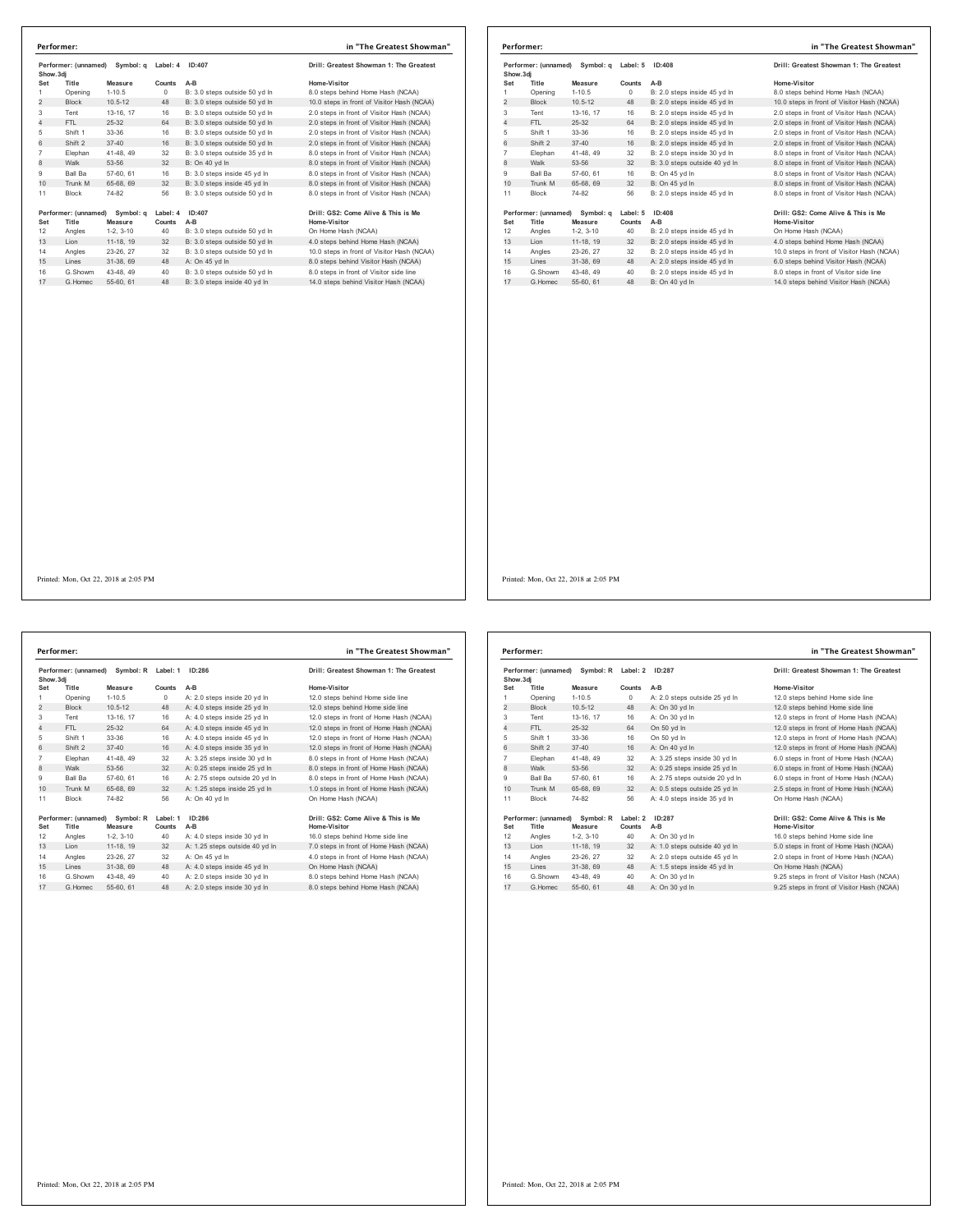|                 | Performer: (unnamed)<br>Symbol: a<br>Show.3di |                      | Label: 4<br>ID:407 |                               | Drill: Greatest Showman 1: The Greatest             |
|-----------------|-----------------------------------------------|----------------------|--------------------|-------------------------------|-----------------------------------------------------|
| Set             | Title                                         | Measure              | Counts             | $A-B$                         | Home-Visitor                                        |
| 1               | Opening                                       | $1 - 10.5$           | $\Omega$           | B: 3.0 steps outside 50 yd In | 8.0 steps behind Home Hash (NCAA)                   |
| $\overline{2}$  | <b>Block</b>                                  | $10.5 - 12$          | 48                 | B: 3.0 steps outside 50 yd In | 10.0 steps in front of Visitor Hash (NCAA)          |
| 3               | Tent                                          | 13-16, 17            | 16                 | B: 3.0 steps outside 50 yd In | 2.0 steps in front of Visitor Hash (NCAA)           |
| 4               | FTI.                                          | 25-32                | 64                 | B: 3.0 steps outside 50 vd In | 2.0 steps in front of Visitor Hash (NCAA)           |
| 5               | Shift 1                                       | $33-36$              | 16                 | B: 3.0 steps outside 50 yd In | 2.0 steps in front of Visitor Hash (NCAA)           |
| 6               | Shift 2                                       | $37 - 40$            | 16                 | B: 3.0 steps outside 50 vd ln | 2.0 steps in front of Visitor Hash (NCAA)           |
| $\overline{7}$  | Elephan                                       | 41-48, 49            | 32                 | B: 3.0 steps outside 35 yd In | 8.0 steps in front of Visitor Hash (NCAA)           |
| 8               | Walk                                          | 53-56                | 32                 | B: On 40 vd In                | 8.0 steps in front of Visitor Hash (NCAA)           |
| 9               | Ball Ba                                       | 57-60, 61            | 16                 | B: 3.0 steps inside 45 vd In  | 8.0 steps in front of Visitor Hash (NCAA)           |
| 10 <sup>1</sup> | Trunk M                                       | 65-68, 69            | 32                 | B: 3.0 steps inside 45 yd In  | 8.0 steps in front of Visitor Hash (NCAA)           |
| 11              | <b>Block</b>                                  | 74-82                | 56                 | B: 3.0 steps outside 50 yd In | 8.0 steps in front of Visitor Hash (NCAA)           |
| Set             | Performer: (unnamed)<br>Title                 | Symbol: q<br>Measure | Label: 4<br>Counts | ID:407<br>A-B                 | Drill: GS2: Come Alive & This is Me<br>Home-Visitor |
| 12              | Angles                                        | $1-2.3-10$           | 40                 | B: 3.0 steps outside 50 vd In | On Home Hash (NCAA)                                 |
| 13              | Lion                                          | 11-18, 19            | 32                 | B: 3.0 steps outside 50 yd In | 4.0 steps behind Home Hash (NCAA)                   |
| 14              | Angles                                        | 23-26, 27            | 32                 | B: 3.0 steps outside 50 vd In | 10.0 steps in front of Visitor Hash (NCAA)          |
| 15              | I ines                                        | 31-38.69             | 48                 | A: On 45 yd In                | 8.0 steps behind Visitor Hash (NCAA)                |
| 16              | G.Showm                                       | 43-48, 49            | 40                 | B: 3.0 steps outside 50 vd In | 8.0 steps in front of Visitor side line             |
| 17              | G. Homec                                      | 55-60, 61            | 48                 | B: 3.0 steps inside 40 vd ln  | 14.0 steps behind Visitor Hash (NCAA)               |

|                | Performer:           |             |                    |                               | in "The Greatest Showman"                  |  |
|----------------|----------------------|-------------|--------------------|-------------------------------|--------------------------------------------|--|
| Show, 3di      | Performer: (unnamed) | Symbol: a   | ID:408<br>Label: 5 |                               | Drill: Greatest Showman 1: The Greatest    |  |
| Set            | Title                | Measure     | Counts             | $A-B$                         | Home-Visitor                               |  |
| 1              | Opening              | $1 - 10.5$  | $\Omega$           | B: 2.0 steps inside 45 vd In  | 8.0 steps behind Home Hash (NCAA)          |  |
| $\overline{2}$ | <b>Block</b>         | $10.5 - 12$ | 48                 | B: 2.0 steps inside 45 vd In  | 10.0 steps in front of Visitor Hash (NCAA) |  |
| 3              | Tent                 | 13-16, 17   | 16                 | B: 2.0 steps inside 45 yd In  | 2.0 steps in front of Visitor Hash (NCAA)  |  |
| 4              | FTI.                 | 25-32       | 64                 | B: 2.0 steps inside 45 vd In  | 2.0 steps in front of Visitor Hash (NCAA)  |  |
| 5              | Shift 1              | 33-36       | 16                 | B: 2.0 steps inside 45 yd In  | 2.0 steps in front of Visitor Hash (NCAA)  |  |
| 6              | Shift 2              | $37 - 40$   | 16                 | B: 2.0 steps inside 45 vd In  | 2.0 steps in front of Visitor Hash (NCAA)  |  |
| $\overline{7}$ | Elephan              | 41-48, 49   | 32                 | B: 2.0 steps inside 30 vd In  | 8.0 steps in front of Visitor Hash (NCAA)  |  |
| 8              | Walk                 | 53-56       | 32                 | B: 3.0 steps outside 40 yd In | 8.0 steps in front of Visitor Hash (NCAA)  |  |
| 9              | <b>Ball Ba</b>       | 57-60, 61   | 16                 | B: On 45 vd In                | 8.0 steps in front of Visitor Hash (NCAA)  |  |
| 10             | Trunk M              | 65-68, 69   | 32                 | B: On 45 vd In                | 8.0 steps in front of Visitor Hash (NCAA)  |  |
| 11             | <b>Block</b>         | 74-82       | 56                 | B: 2.0 steps inside 45 vd In  | 8.0 steps in front of Visitor Hash (NCAA)  |  |
|                | Performer: (unnamed) | Symbol: q   | Label: 5           | ID:408                        | Drill: GS2: Come Alive & This is Me        |  |
| Set            | Title                | Measure     | Counts             | A-B                           | <b>Home-Visitor</b>                        |  |
| 12             | Angles               | $1-2.3-10$  | 40                 | B: 2.0 steps inside 45 yd In  | On Home Hash (NCAA)                        |  |
| 13             | Lion                 | 11-18, 19   | 32                 | B: 2.0 steps inside 45 yd In  | 4.0 steps behind Home Hash (NCAA)          |  |
| 14             | Angles               | 23-26, 27   | 32                 | B: 2.0 steps inside 45 vd In  | 10.0 steps in front of Visitor Hash (NCAA) |  |
| 15             | Lines                | 31-38, 69   | 48                 | A: 2.0 steps inside 45 yd In  | 6.0 steps behind Visitor Hash (NCAA)       |  |
| 16             | G.Showm              | 43-48, 49   | 40                 | B: 2.0 steps inside 45 yd In  | 8.0 steps in front of Visitor side line    |  |
| 17             | G. Homec             | 55-60, 61   | 48                 | B: On 40 vd In                | 14.0 steps behind Visitor Hash (NCAA)      |  |

Printed: Mon, Oct 22, 2018 at 2:05 PM

**Performer: (unnamed) Symbol: R Label: 1 ID:286 Drill: Greatest Showman 1: The Greatest Show.3dj Set Title Measure Counts A-B Home-Visitor** 1 Opening 1-10.5 0 A: 2.0 steps inside 20 yd ln 12.0 steps behind Home side line 2 Block 10.5-12 48 A: 4.0 steps inside 25 yd in 12.0 steps behind Home side line<br>2 Block 10.5-12 48 A: 4.0 steps inside 25 yd ln 12.0 steps behind Home side line<br>3 Tent 13-16, 17 16 A: 4.0 steps inside 25 yd ln 12.0 steps Tent 13-16, 17 16 A: 4.0 steps inside 25 yd ln 12.0 steps in front of Home Hash (NCAA) 4 FTL 25-32 64 A: 4.0 steps inside 45 yd ln 12.0 steps in front of Home Hash (NCAA) 5 Shift 1 33-36 16 A: 4.0 steps inside 45 yd ln 12.0 steps in front of Home Hash (NCAA)<br>6 Shift 2 37-40 16 A: 4.0 steps inside 35 yd ln 12.0 steps in front of Home Hash (NCAA) Shift 2 37-40 16 A: 4.0 steps inside 35 yd In 12.0 steps in front of Home Hash (NCAA)<br>7 Elephan 41-48, 49 32 A: 3.25 steps inside 30 yd In 8.0 steps in front of Home Hash (NCAA)<br>8 Walk 53-56 32 A: 0.25 steps inside 25 yd I 10 Trunk M 65-68, 69 32 A: 1.25 steps inside 25 yd ln 1.0 steps in front of Home Hash (NCAA) Block 74-82 56 A: On 40 yd ln On Home Hash (NCAA) **Performer: (unnamed) Symbol: R Label: 1 ID:286** Drill: GS2: Come Alive & This is Me<br>19 Mome Visitor Masure Counts: A-B Drill: Annua Home Alistor Home Side Inne<br>12 Angles 1-2, 3-10 40 A: 4.0 steps inside 30 yd In 16.0 step Set Title Measure Counts A-B<br>12 Angles 1-2, 3-10 – A: 4.0 steps inside 30 yd In 16.0 steps behind Home side line<br>13 Lion 11-18, 19 - 32 A: 1.25 steps outside 40 yd In 7.0 steps in front of Home Hash (NCAA) Angles 23-26, 27 32 A: On 45 yd ln 4.0 steps in front of Home Hash (NCAA) 15 Lines 31-38, 69 48 A: 4.0 steps inside 45 yd ln On Home Hash (NCAA) 16 G.Showm 43-48, 49 40 A: 2.0 steps inside 30 yd In 8.0 steps behind Home Hash (NCAA)<br>17 G.Homec 55-60, 61 48 A: 2.0 steps inside 30 yd In 8.0 steps behind Home Hash (NCAA) **Performer: in "The Greatest Showman"**

|                | Performer: (unnamed)<br>Symbol: R<br>Show, 3di |                      | Label: 2<br>ID:287 |                                | Drill: Greatest Showman 1: The Greatest             |
|----------------|------------------------------------------------|----------------------|--------------------|--------------------------------|-----------------------------------------------------|
| Set            | Title                                          | Measure              | Counts             | $A-B$                          | Home-Visitor                                        |
| 1              | Opening                                        | $1 - 10.5$           | $\Omega$           | A: 2.0 steps outside 25 yd In  | 12.0 steps behind Home side line                    |
| $\overline{2}$ | <b>Block</b>                                   | $10.5 - 12$          | 48                 | A: On 30 yd In                 | 12.0 steps behind Home side line                    |
| 3              | Tent                                           | 13-16, 17            | 16                 | A: On 30 vd In                 | 12.0 steps in front of Home Hash (NCAA)             |
| 4              | FTI.                                           | 25-32                | 64                 | On 50 yd In                    | 12.0 steps in front of Home Hash (NCAA)             |
| 5              | Shift 1                                        | 33-36                | 16                 | On 50 vd In                    | 12.0 steps in front of Home Hash (NCAA)             |
| 6              | Shift 2                                        | $37 - 40$            | 16                 | A: On 40 vd In                 | 12.0 steps in front of Home Hash (NCAA)             |
| $\overline{7}$ | Elephan                                        | 41-48, 49            | 32                 | A: 3.25 steps inside 30 vd In  | 6.0 steps in front of Home Hash (NCAA)              |
| 8              | Walk                                           | 53-56                | 32                 | A: 0.25 steps inside 25 yd In  | 6.0 steps in front of Home Hash (NCAA)              |
| 9              | Ball Ba                                        | 57-60, 61            | 16                 | A: 2.75 steps outside 20 yd In | 6.0 steps in front of Home Hash (NCAA)              |
| 10             | Trunk M                                        | 65-68, 69            | 32                 | A: 0.5 steps outside 25 yd In  | 2.5 steps in front of Home Hash (NCAA)              |
| 11             | <b>Block</b>                                   | 74-82                | 56                 | A: 4.0 steps inside 35 vd In   | On Home Hash (NCAA)                                 |
| Set            | Performer: (unnamed)<br>Title                  | Symbol: R<br>Measure | Label: 2<br>Counts | ID:287<br>$A-B$                | Drill: GS2: Come Alive & This is Me<br>Home-Visitor |
| 12             | Angles                                         | $1-2.3-10$           | 40                 | A: On 30 yd In                 | 16.0 steps behind Home side line                    |
| 13             | Lion                                           | 11-18. 19            | 32                 | A: 1.0 steps outside 40 yd In  | 5.0 steps in front of Home Hash (NCAA)              |
| 14             | Angles                                         | 23-26, 27            | 32                 | A: 2.0 steps outside 45 vd In  | 2.0 steps in front of Home Hash (NCAA)              |
| 15             | Lines                                          | 31-38, 69            | 48                 | A: 1.5 steps inside 45 yd In   | On Home Hash (NCAA)                                 |
| 16             | G.Showm                                        | 43-48, 49            | 40                 | A: On 30 vd In                 | 9.25 steps in front of Visitor Hash (NCAA)          |
| 17             | G Homec                                        | 55-60, 61            | 48                 | A: On 30 yd In                 | 9.25 steps in front of Visitor Hash (NCAA)          |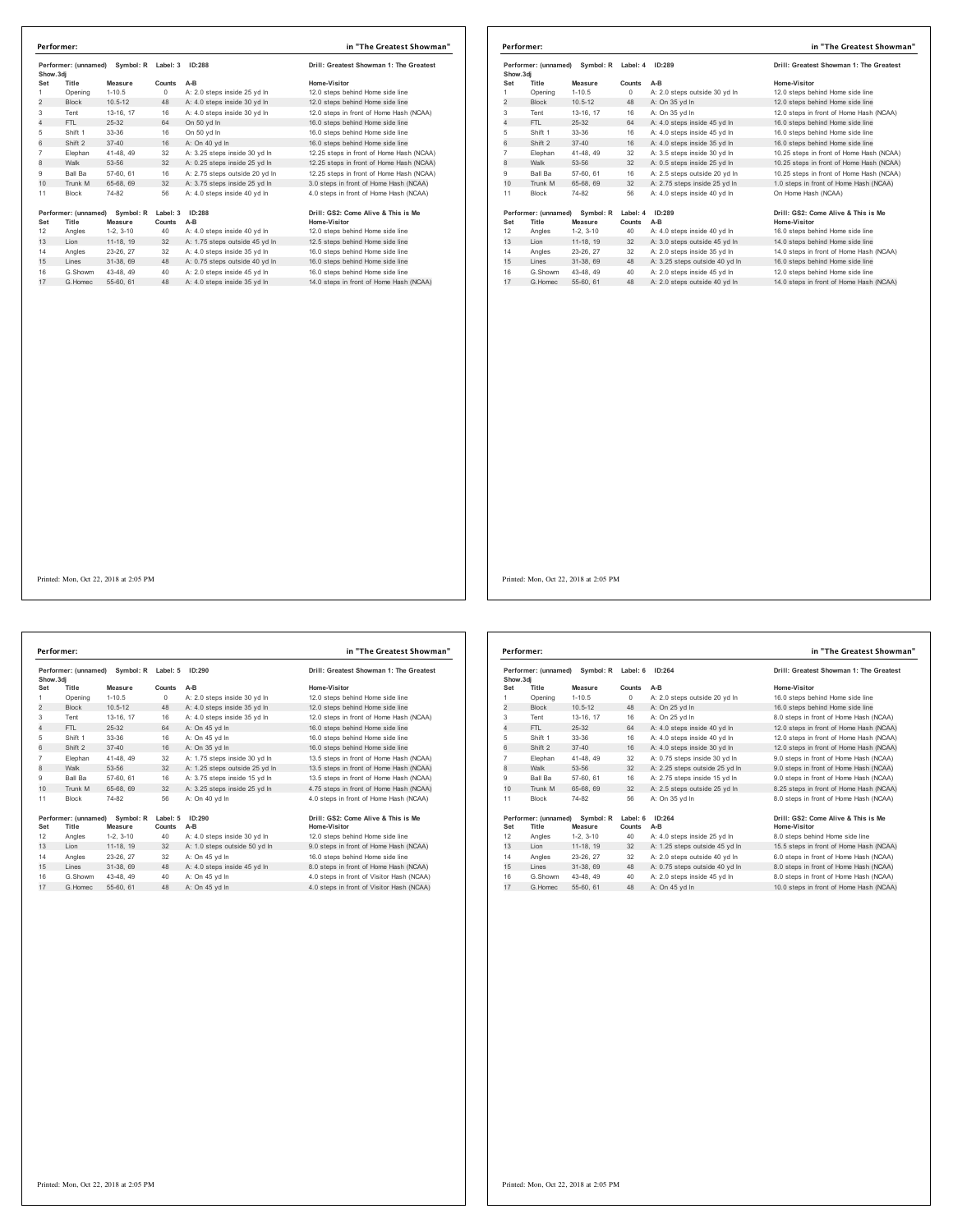| Performer: (unnamed)<br>Symbol: R<br>Show.3di |                               | Label: 3<br>ID:288   |                    | Drill: Greatest Showman 1: The Greatest |                                                     |
|-----------------------------------------------|-------------------------------|----------------------|--------------------|-----------------------------------------|-----------------------------------------------------|
| Set                                           | Title                         | Measure              | Counts             | $A-B$                                   | Home-Visitor                                        |
| 1                                             | Opening                       | $1 - 10.5$           | $\Omega$           | A: 2.0 steps inside 25 vd In            | 12.0 steps behind Home side line                    |
| $\overline{2}$                                | <b>Block</b>                  | $10.5 - 12$          | 48                 | A: 4.0 steps inside 30 yd In            | 12.0 steps behind Home side line                    |
| 3                                             | Tent                          | 13-16, 17            | 16                 | A: 4.0 steps inside 30 vd In            | 12.0 steps in front of Home Hash (NCAA)             |
| $\overline{4}$                                | FTL                           | $25 - 32$            | 64                 | On 50 vd In                             | 16.0 steps behind Home side line                    |
| 5                                             | Shift 1                       | 33-36                | 16                 | On 50 vd In                             | 16.0 steps behind Home side line                    |
| 6                                             | Shift 2                       | $37 - 40$            | 16                 | A: On 40 vd In                          | 16.0 steps behind Home side line                    |
| $\overline{7}$                                | Elephan                       | 41-48, 49            | 32                 | A: 3.25 steps inside 30 yd In           | 12.25 steps in front of Home Hash (NCAA)            |
| 8                                             | Walk                          | 53-56                | 32                 | A: 0.25 steps inside 25 yd In           | 12.25 steps in front of Home Hash (NCAA)            |
| 9                                             | Ball Ba                       | 57-60, 61            | 16                 | A: 2.75 steps outside 20 yd In          | 12.25 steps in front of Home Hash (NCAA)            |
| 10 <sup>1</sup>                               | Trunk M                       | 65-68, 69            | 32                 | A: 3.75 steps inside 25 vd In           | 3.0 steps in front of Home Hash (NCAA)              |
| 11                                            | <b>Block</b>                  | 74-82                | 56                 | A: 4.0 steps inside 40 yd In            | 4.0 steps in front of Home Hash (NCAA)              |
| Set                                           | Performer: (unnamed)<br>Title | Symbol: R<br>Measure | Label: 3<br>Counts | ID:288<br>$A-B$                         | Drill: GS2: Come Alive & This is Me<br>Home-Visitor |
| 12                                            | Angles                        | $1-2.3-10$           | 40                 | A: 4.0 steps inside 40 yd In            | 12.0 steps behind Home side line                    |
| 13                                            | I ion                         | 11-18, 19            | 32                 | A: 1.75 steps outside 45 yd In          | 12.5 steps behind Home side line                    |
| 14                                            | Angles                        | 23-26, 27            | 32                 | A: 4.0 steps inside 35 vd In            | 16.0 steps behind Home side line                    |
| 15                                            | Lines                         | 31-38, 69            | 48                 | A: 0.75 steps outside 40 yd In          | 16.0 steps behind Home side line                    |
| 16                                            | G.Showm                       | 43-48, 49            | 40                 | A: 2.0 steps inside 45 yd In            | 16.0 steps behind Home side line                    |
| 17                                            | G Homec                       | 55-60, 61            | 48                 | A: 4.0 steps inside 35 yd In            | 14.0 steps in front of Home Hash (NCAA)             |

|                | Performer: (unnamed) Symbol: R<br>Show, 3di |             | Label: 4 | ID:289                         | Drill: Greatest Showman 1: The Greatest  |
|----------------|---------------------------------------------|-------------|----------|--------------------------------|------------------------------------------|
| Set            | Title                                       | Measure     | Counts   | $A-B$                          | Home-Visitor                             |
| 1              | Opening                                     | $1 - 10.5$  | $\Omega$ | A: 2.0 steps outside 30 yd In  | 12.0 steps behind Home side line         |
| 2              | <b>Block</b>                                | $10.5 - 12$ | 48       | A: On 35 yd In                 | 12.0 steps behind Home side line         |
| 3              | Tent                                        | 13-16, 17   | 16       | A: On 35 yd In                 | 12.0 steps in front of Home Hash (NCAA)  |
| $\overline{4}$ | FTI.                                        | 25-32       | 64       | A: 4.0 steps inside 45 vd In   | 16.0 steps behind Home side line         |
| 5              | Shift 1                                     | 33-36       | 16       | A: 4.0 steps inside 45 yd In   | 16.0 steps behind Home side line         |
| 6              | Shift 2                                     | $37 - 40$   | 16       | A: 4.0 steps inside 35 yd In   | 16.0 steps behind Home side line         |
| $\overline{7}$ | Elephan                                     | 41-48, 49   | 32       | A: 3.5 steps inside 30 yd In   | 10.25 steps in front of Home Hash (NCAA) |
| 8              | Walk                                        | 53-56       | 32       | A: 0.5 steps inside 25 yd In   | 10.25 steps in front of Home Hash (NCAA) |
| 9              | <b>Ball Ba</b>                              | 57-60, 61   | 16       | A: 2.5 steps outside 20 yd In  | 10.25 steps in front of Home Hash (NCAA) |
| 10             | Trunk M                                     | 65-68, 69   | 32       | A: 2.75 steps inside 25 yd In  | 1.0 steps in front of Home Hash (NCAA)   |
| 11             | <b>Block</b>                                | 74-82       | 56       | A: 4.0 steps inside 40 vd In   | On Home Hash (NCAA)                      |
|                | Performer: (unnamed)                        | Symbol: R   | Label: 4 | ID:289                         | Drill: GS2: Come Alive & This is Me      |
| Set            | Title                                       | Measure     | Counts   | A-B                            | <b>Home-Visitor</b>                      |
| 12             | Angles                                      | $1-2.3-10$  | 40       | A: 4.0 steps inside 40 yd In   | 16.0 steps behind Home side line         |
| 13             | Lion                                        | 11-18, 19   | 32       | A: 3.0 steps outside 45 yd In  | 14.0 steps behind Home side line         |
| 14             | Angles                                      | 23-26, 27   | 32       | A: 2.0 steps inside 35 vd In   | 14.0 steps in front of Home Hash (NCAA)  |
| 15             | Lines                                       | 31-38, 69   | 48       | A: 3.25 steps outside 40 yd In | 16.0 steps behind Home side line         |
| 16             | G.Showm                                     | 43-48, 49   | 40       | A: 2.0 steps inside 45 vd In   | 12.0 steps behind Home side line         |
| 17             | G Homec                                     | 55-60, 61   | 48       | A: 2.0 steps outside 40 vd In  | 14.0 steps in front of Home Hash (NCAA)  |

Printed: Mon, Oct 22, 2018 at 2:05 PM

**Performer: (unnamed) Symbol: R Label: 5 ID:290 Drill: Greatest Showman 1: The Greatest Show.3dj Set Title Measure Counts A-B Home-Visitor** Opening 1-10.5 0 A: 2.0 steps inside 30 yd ln 12.0 steps behind Home side line 2 Block 10.5-12 48 A: 4.0 steps inside 35 yd ln 12.0 steps behind Home side line Tent 13-16, 17 16 A: 4.0 steps inside 35 yd ln 12.0 steps in front of Home Hash (NCAA) 4 FTL 25-32 64 A: On 45 yd ln 16.0 steps behind Home side line Shift 1 33-36 16 A: On 45 yd ln 16.0 steps behind Home side line Shift 2: 37-40 16 A: On 35 yd In 16.0 steps behind Home side line<br>The Paline and A49 32 A: 1.75 steps inside 30 yd In 13.5 steps in front of Home Hash (NCAA)<br>B Walk 53-56 32 A: 1.25 steps outside 25 yd In 13.5 steps in fro 10 Trunk M 65-68, 69 32 A: 3.25 steps inside 25 yd ln 4.75 steps in front of Home Hash (NCAA) Block 74-82 56 A: On 40 yd ln 4.0 steps in front of Home Hash (NCAA) **Performer:** (unnamed) Symbol: R Label: 5 1D:290<br> **Set Title Measure Counts A-B**<br>
12 Angles 1-2, 3-10 40 A: 4.0 steps inside 30 yd In 12.0 steps behind Home side line<br>
13 Lion 11-18, 19 32 A: 1.0 steps outside 50 yd In 9.0 G.Showm 43-48, 49 40 A: On 45 yd ln 4.0 steps in front of Visitor Hash (NCAA) 17 G.Homec 55-60, 61 48 A: On 45 yd ln 4.0 steps in front of Visitor Hash (NCAA) **Performer: in "The Greatest Showman"**

|                | Performer: (unnamed)<br>Symbol: R<br>Show, 3di |             | ID:264<br>Label: 6 |                                | Drill: Greatest Showman 1: The Greatest |
|----------------|------------------------------------------------|-------------|--------------------|--------------------------------|-----------------------------------------|
| Set            | Title                                          | Measure     | Counts             | $A-B$                          | Home-Visitor                            |
| 1              | Opening                                        | $1 - 10.5$  | 0                  | A: 2.0 steps outside 20 yd In  | 16.0 steps behind Home side line        |
| $\overline{2}$ | <b>Block</b>                                   | $10.5 - 12$ | 48                 | A: On 25 yd In                 | 16.0 steps behind Home side line        |
| 3              | Tent                                           | 13-16, 17   | 16                 | A: On 25 vd In                 | 8.0 steps in front of Home Hash (NCAA)  |
| $\overline{4}$ | FTI.                                           | 25-32       | 64                 | A: 4.0 steps inside 40 yd In   | 12.0 steps in front of Home Hash (NCAA) |
| 5              | Shift 1                                        | 33-36       | 16                 | A: 4.0 steps inside 40 yd In   | 12.0 steps in front of Home Hash (NCAA) |
| 6              | Shift 2                                        | $37 - 40$   | 16                 | A: 4.0 steps inside 30 yd In   | 12.0 steps in front of Home Hash (NCAA) |
| $\overline{7}$ | Elephan                                        | 41-48, 49   | 32                 | A: 0.75 steps inside 30 vd In  | 9.0 steps in front of Home Hash (NCAA)  |
| 8              | Walk                                           | 53-56       | 32                 | A: 2.25 steps outside 25 yd In | 9.0 steps in front of Home Hash (NCAA)  |
| 9              | <b>Ball Ba</b>                                 | 57-60, 61   | 16                 | A: 2.75 steps inside 15 yd In  | 9.0 steps in front of Home Hash (NCAA)  |
| 10             | Trunk M                                        | 65-68, 69   | 32                 | A: 2.5 steps outside 25 yd In  | 8.25 steps in front of Home Hash (NCAA) |
| 11             | <b>Block</b>                                   | 74-82       | 56                 | A: On 35 vd In                 | 8.0 steps in front of Home Hash (NCAA)  |
|                | Performer: (unnamed)                           | Symbol: R   | Label: 6           | ID:264                         | Drill: GS2: Come Alive & This is Me     |
| Set            | Title                                          | Measure     | Counts             | $A-B$                          | <b>Home-Visitor</b>                     |
| 12             | Angles                                         | $1-2.3-10$  | 40                 | A: 4.0 steps inside 25 yd In   | 8.0 steps behind Home side line         |
| 13             | Lion                                           | 11-18, 19   | 32                 | A: 1.25 steps outside 45 yd In | 15.5 steps in front of Home Hash (NCAA) |
| 14             | Angles                                         | 23-26, 27   | 32                 | A: 2.0 steps outside 40 vd In  | 6.0 steps in front of Home Hash (NCAA)  |
| 15             | Lines                                          | 31-38, 69   | 48                 | A: 0.75 steps outside 40 yd In | 8.0 steps in front of Home Hash (NCAA)  |
| 16             | G.Showm                                        | 43-48, 49   | 40                 | A: 2.0 steps inside 45 vd In   | 8.0 steps in front of Home Hash (NCAA)  |
| 17             | G. Homec                                       | 55-60, 61   | 48                 | A: On 45 yd In                 | 10.0 steps in front of Home Hash (NCAA) |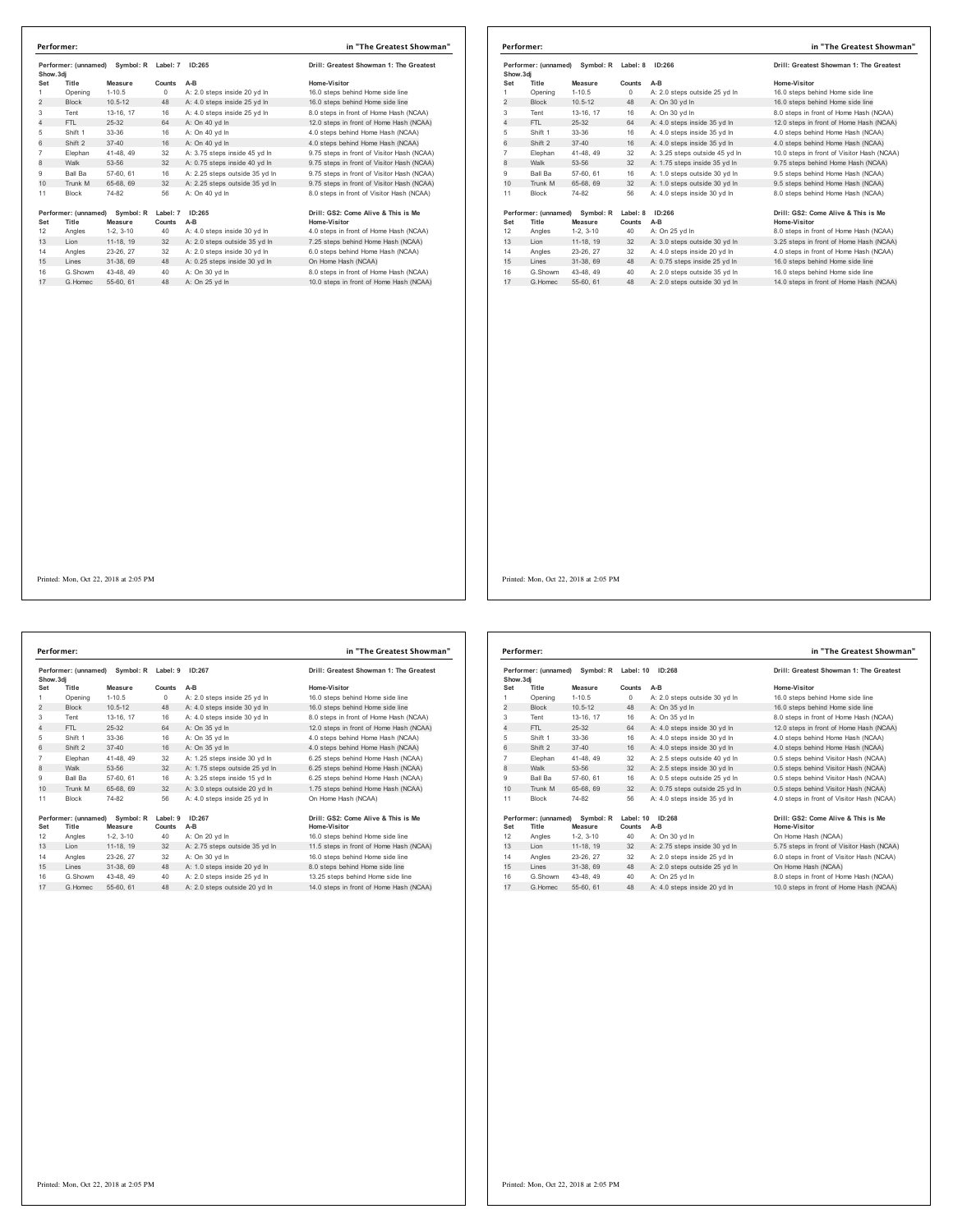| Performer: (unnamed)<br>Show.3dj |                               | Symbol: R Label: 7   |                    | ID:265                         | Drill: Greatest Showman 1: The Greatest             |
|----------------------------------|-------------------------------|----------------------|--------------------|--------------------------------|-----------------------------------------------------|
| Set                              | Title                         | Measure              | Counts             | A-B                            | Home-Visitor                                        |
| 1                                | Opening                       | $1 - 10.5$           | $\Omega$           | A: 2.0 steps inside 20 vd In   | 16.0 steps behind Home side line                    |
| $\overline{2}$                   | <b>Block</b>                  | $10.5 - 12$          | 48                 | A: 4.0 steps inside 25 yd In   | 16.0 steps behind Home side line                    |
| 3                                | Tent                          | 13-16, 17            | 16                 | A: 4.0 steps inside 25 yd In   | 8.0 steps in front of Home Hash (NCAA)              |
| 4                                | FTL                           | $25-32$              | 64                 | A: On 40 yd In                 | 12.0 steps in front of Home Hash (NCAA)             |
| 5                                | Shift 1                       | 33-36                | 16                 | A: On 40 yd In                 | 4.0 steps behind Home Hash (NCAA)                   |
| 6                                | Shift 2                       | $37 - 40$            | 16                 | A: On 40 vd In                 | 4.0 steps behind Home Hash (NCAA)                   |
| $\overline{7}$                   | Elephan                       | 41-48, 49            | 32                 | A: 3.75 steps inside 45 vd In  | 9.75 steps in front of Visitor Hash (NCAA)          |
| 8                                | Walk                          | 53-56                | 32                 | A: 0.75 steps inside 40 yd In  | 9.75 steps in front of Visitor Hash (NCAA)          |
| 9                                | Ball Ba                       | 57-60, 61            | 16                 | A: 2.25 steps outside 35 vd In | 9.75 steps in front of Visitor Hash (NCAA)          |
| 10                               | Trunk M                       | 65-68, 69            | 32                 | A: 2.25 steps outside 35 yd In | 9.75 steps in front of Visitor Hash (NCAA)          |
| 11                               | Block                         | 74-82                | 56                 | A: On 40 yd In                 | 8.0 steps in front of Visitor Hash (NCAA)           |
| Set                              | Performer: (unnamed)<br>Title | Symbol: R<br>Measure | Label: 7<br>Counts | ID:265<br>A-B                  | Drill: GS2: Come Alive & This is Me<br>Home-Visitor |
| 12                               | Angles                        | $1-2.3-10$           | 40                 | A: 4.0 steps inside 30 yd In   | 4.0 steps in front of Home Hash (NCAA)              |
| 13                               | Lion                          | 11-18, 19            | 32                 | A: 2.0 steps outside 35 yd In  | 7.25 steps behind Home Hash (NCAA)                  |
| 14                               | Angles                        | 23-26, 27            | 32                 | A: 2.0 steps inside 30 vd In   | 6.0 steps behind Home Hash (NCAA)                   |
| 15                               | Lines                         | 31-38, 69            | 48                 | A: 0.25 steps inside 30 yd In  | On Home Hash (NCAA)                                 |
| 16                               | G.Showm                       | 43-48, 49            | 40                 | A: On 30 yd In                 | 8.0 steps in front of Home Hash (NCAA)              |
|                                  | G. Homec                      | 55-60, 61            | 48                 | A: On 25 yd In                 | 10.0 steps in front of Home Hash (NCAA)             |

|                                                | Performer:                    |                      |                    |                                         | in "The Greatest Showman"                           |
|------------------------------------------------|-------------------------------|----------------------|--------------------|-----------------------------------------|-----------------------------------------------------|
| Performer: (unnamed)<br>Symbol: R<br>Show, 3di |                               | Label: 8             | ID:266             | Drill: Greatest Showman 1: The Greatest |                                                     |
| Set                                            | Title                         | Measure              | Counts             | $A-B$                                   | Home-Visitor                                        |
| 1.                                             | Opening                       | $1 - 10.5$           | $\Omega$           | A: 2.0 steps outside 25 vd In           | 16.0 steps behind Home side line                    |
| 2                                              | <b>Block</b>                  | $10.5 - 12$          | 48                 | A: On 30 vd In                          | 16.0 steps behind Home side line                    |
| 3                                              | Tent                          | 13-16, 17            | 16                 | A: On 30 yd In                          | 8.0 steps in front of Home Hash (NCAA)              |
| 4                                              | FTI.                          | 25-32                | 64                 | A: 4.0 steps inside 35 yd In            | 12.0 steps in front of Home Hash (NCAA)             |
| 5                                              | Shift 1                       | 33-36                | 16                 | A: 4.0 steps inside 35 yd In            | 4.0 steps behind Home Hash (NCAA)                   |
| 6                                              | Shift 2                       | $37 - 40$            | 16                 | A: 4.0 steps inside 35 yd In            | 4.0 steps behind Home Hash (NCAA)                   |
| 7                                              | Elephan                       | 41-48.49             | 32                 | A: 3.25 steps outside 45 yd In          | 10.0 steps in front of Visitor Hash (NCAA)          |
| 8                                              | Walk                          | 53-56                | 32                 | A: 1.75 steps inside 35 yd In           | 9.75 steps behind Home Hash (NCAA)                  |
| 9                                              | <b>Ball Ba</b>                | 57-60, 61            | 16                 | A: 1.0 steps outside 30 yd In           | 9.5 steps behind Home Hash (NCAA)                   |
| 10                                             | Trunk M                       | 65-68, 69            | 32                 | A: 1.0 steps outside 30 yd In           | 9.5 steps behind Home Hash (NCAA)                   |
| 11                                             | <b>Block</b>                  | 74-82                | 56                 | A: 4.0 steps inside 30 vd In            | 8.0 steps behind Home Hash (NCAA)                   |
| Set                                            | Performer: (unnamed)<br>Title | Symbol: R<br>Measure | Label: 8<br>Counts | ID:266<br>$A-B$                         | Drill: GS2: Come Alive & This is Me<br>Home-Visitor |
| 12                                             | Angles                        | $1-2, 3-10$          | 40                 | A: On 25 yd In                          | 8.0 steps in front of Home Hash (NCAA)              |
| 13                                             | Lion                          | 11-18, 19            | 32                 | A: 3.0 steps outside 30 yd In           | 3.25 steps in front of Home Hash (NCAA)             |
| 14                                             | Angles                        | 23-26, 27            | 32                 | A: 4.0 steps inside 20 yd In            | 4.0 steps in front of Home Hash (NCAA)              |
| 15                                             | Lines                         | 31-38, 69            | 48                 | A: 0.75 steps inside 25 vd In           | 16.0 steps behind Home side line                    |
| 16                                             | G.Showm                       | 43-48.49             | 40                 | A: 2.0 steps outside 35 yd In           | 16.0 steps behind Home side line                    |
| 17                                             |                               |                      |                    |                                         |                                                     |
|                                                | G Homec                       | 55-60, 61            | 48                 | A: 2.0 steps outside 30 vd In           | 14.0 steps in front of Home Hash (NCAA)             |

Performer: (unnamed) Symbol: R Label: 9 ID:267<br>
Show.3dj<br>
Show.3dj<br>
1.05 It is Mossure Counts A-B<br>
2 Block 10.5-12 48 A: 4.0 steps inside 25 yd In 16.0 steps behind Home side line<br>
2 Block 10.5-12 48 A: 4.0 steps inside 30 5 Shift 1 33-36 16 A: On 35 yd ln 4.0 steps behind Home Hash (NCAA)<br>6 Shift 2 37-40 16 A: On 35 yd ln 4.0 steps behind Home Hash (NCAA) Elephan 41-48, 49 32 A: 1.25 steps inside 30 yd ln 6.25 steps behind Home Hash (NCAA) 8 Walk 53-56 32 A: 1.75 steps outside 25 yd ln 6.25 steps behind Home Hash (NCAA) 9 Ball Ba 57-60, 61 16 A: 3.25 steps inside 15 yd ln 6.25 steps behind Home Hash (NCAA) 10 Trunk M 65-68, 69 32 A: 3.0 steps outside 20 yd ln 11 Block 74-82 56 A: 4.0 steps inside 25 yd In Performer: (unnamed) Symbol: R Label: 9 ID:267<br>
Set Title Measure Counts A-B<br>
12 Angles 1-2, 3-10 40 A: On 20 yd In<br>
16.0 steps behind Home side line<br>
16.0 steps behind Home side line<br>
16.0 steps behind Home side line<br>
16. G.Showm 43-48, 49 40 A: 2.0 steps inside 25 yd ln 13.25 steps behind Home side line 17 G.Homec 55-60, 61 48 A: 2.0 steps outside 20 yd ln 14.0 steps in front of Home Hash (NCAA) **Performer: in "The Greatest Showman"**

| Jrili: Greatest Showman 1: The Greatest |
|-----------------------------------------|
| lome-Visitor                            |
| 16.0 steps behind Home side line        |
| 16.0 steps behind Home side line        |
| 3.0 steps in front of Home Hash (NCAA)  |
| 12.0 steps in front of Home Hash (NCAA) |
| 4.0 steps behind Home Hash (NCAA)       |
| 1.0 steps behind Home Hash (NCAA)       |
| 3.25 steps behind Home Hash (NCAA)      |
| 3.25 steps behind Home Hash (NCAA)      |
| 3.25 steps behind Home Hash (NCAA)      |
| 1.75 steps behind Home Hash (NCAA)      |
| On Home Hash (NCAA)                     |
|                                         |

| Performer: (unnamed)<br>Symbol: R<br>Show, 3di |                      |             | Label: 10 ID:268 | Drill: Greatest Showman 1: The Greatest |                                            |
|------------------------------------------------|----------------------|-------------|------------------|-----------------------------------------|--------------------------------------------|
| Set                                            | Title                | Measure     | Counts           | $A-B$                                   | Home-Visitor                               |
| 1                                              | Opening              | $1 - 10.5$  | 0                | A: 2.0 steps outside 30 yd In           | 16.0 steps behind Home side line           |
| 2                                              | <b>Block</b>         | $10.5 - 12$ | 48               | A: On 35 yd In                          | 16.0 steps behind Home side line           |
| 3                                              | Tent                 | 13-16, 17   | 16               | A: On 35 vd In                          | 8.0 steps in front of Home Hash (NCAA)     |
| 4                                              | FTL                  | $25-32$     | 64               | A: 4.0 steps inside 30 yd In            | 12.0 steps in front of Home Hash (NCAA)    |
| 5                                              | Shift 1              | 33-36       | 16               | A: 4.0 steps inside 30 yd In            | 4.0 steps behind Home Hash (NCAA)          |
| 6                                              | Shift 2              | $37 - 40$   | 16               | A: 4.0 steps inside 30 yd In            | 4.0 steps behind Home Hash (NCAA)          |
| $\overline{7}$                                 | Elephan              | 41-48, 49   | 32               | A: 2.5 steps outside 40 vd In           | 0.5 steps behind Visitor Hash (NCAA)       |
| 8                                              | Walk                 | 53-56       | 32               | A: 2.5 steps inside 30 yd In            | 0.5 steps behind Visitor Hash (NCAA)       |
| 9                                              | <b>Ball Ba</b>       | 57-60, 61   | 16               | A: 0.5 steps outside 25 vd In           | 0.5 steps behind Visitor Hash (NCAA)       |
| 10                                             | Trunk M              | 65-68, 69   | 32               | A: 0.75 steps outside 25 yd In          | 0.5 steps behind Visitor Hash (NCAA)       |
| 11                                             | <b>Block</b>         | 74-82       | 56               | A: 4.0 steps inside 35 vd In            | 4.0 steps in front of Visitor Hash (NCAA)  |
|                                                | Performer: (unnamed) | Symbol: R   |                  | Label: 10 ID:268                        | Drill: GS2: Come Alive & This is Me        |
| Set                                            | Title                | Measure     | Counts           | A-B                                     | <b>Home-Visitor</b>                        |
| 12                                             | Angles               | $1-2.3-10$  | 40               | A: On 30 yd In                          | On Home Hash (NCAA)                        |
| 13                                             | Lion                 | 11-18, 19   | 32               | A: 2.75 steps inside 30 yd In           | 5.75 steps in front of Visitor Hash (NCAA) |
| 14                                             | Angles               | 23-26, 27   | 32               | A: 2.0 steps inside 25 vd In            | 6.0 steps in front of Visitor Hash (NCAA)  |
| 15                                             | Lines                | 31-38, 69   | 48               | A: 2.0 steps outside 25 yd In           | On Home Hash (NCAA)                        |
| 16                                             | G.Showm              | 43-48, 49   | 40               | A: On 25 vd In                          | 8.0 steps in front of Home Hash (NCAA)     |
| 17                                             | G. Homec             | 55-60, 61   | 48               | A: 4.0 steps inside 20 yd In            | 10.0 steps in front of Home Hash (NCAA)    |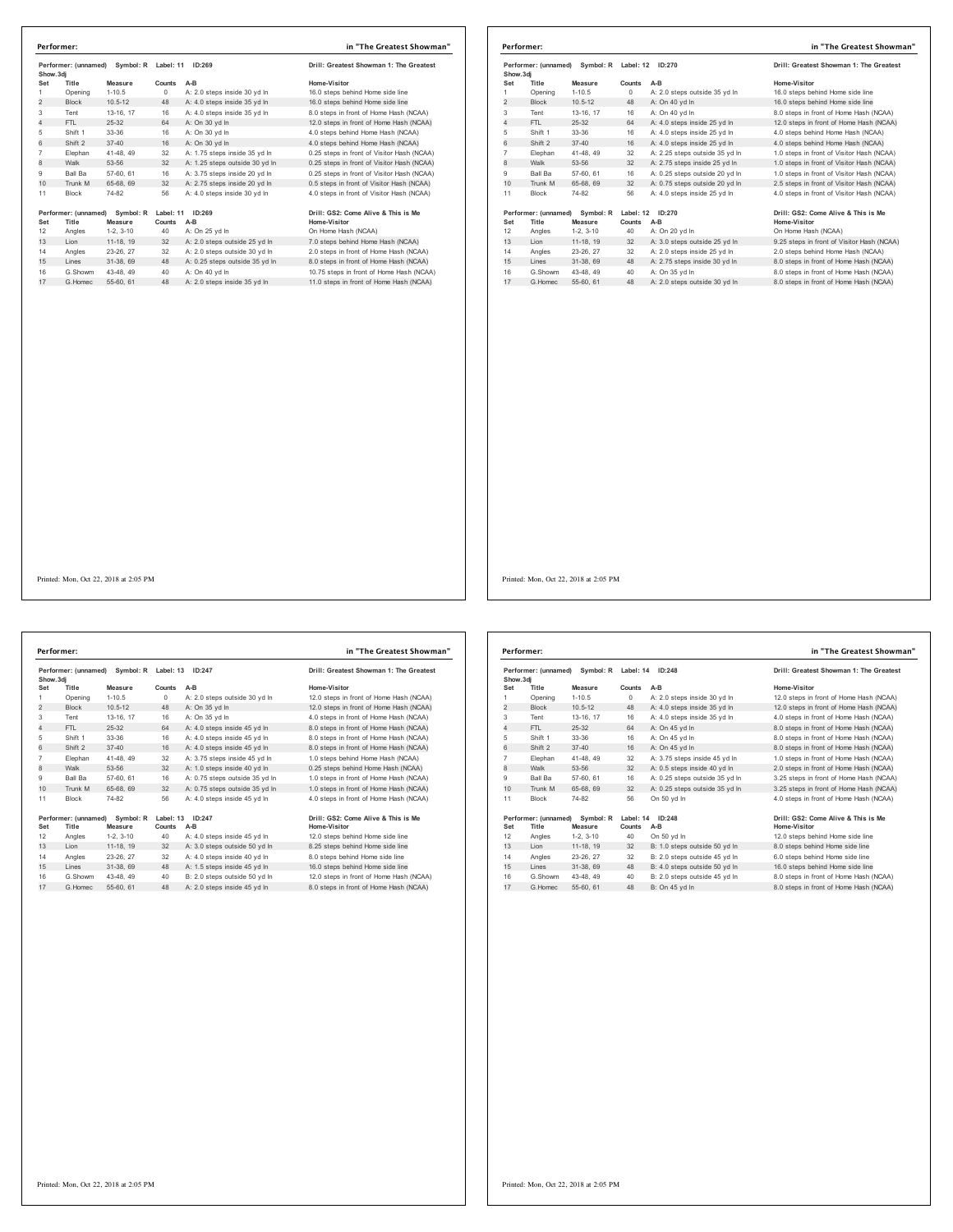|                 | Performer: (unnamed)<br>Symbol: R<br>Show.3di |                      | Label: 11<br>ID:269 |                                | Drill: Greatest Showman 1: The Greatest             |
|-----------------|-----------------------------------------------|----------------------|---------------------|--------------------------------|-----------------------------------------------------|
| Set             | Title                                         | Measure              | Counts              | $A-B$                          | Home-Visitor                                        |
| 1               | Opening                                       | $1-10.5$             | $\Omega$            | A: 2.0 steps inside 30 yd In   | 16.0 steps behind Home side line                    |
| $\overline{2}$  | <b>Block</b>                                  | $10.5 - 12$          | 48                  | A: 4.0 steps inside 35 yd In   | 16.0 steps behind Home side line                    |
| 3               | Tent                                          | 13-16, 17            | 16                  | A: 4.0 steps inside 35 yd In   | 8.0 steps in front of Home Hash (NCAA)              |
| 4               | FTI.                                          | 25-32                | 64                  | A: On 30 vd In                 | 12.0 steps in front of Home Hash (NCAA)             |
| 5               | Shift 1                                       | 33-36                | 16                  | A: On 30 vd In                 | 4.0 steps behind Home Hash (NCAA)                   |
| 6               | Shift 2                                       | $37 - 40$            | 16                  | A: On 30 vd In                 | 4.0 steps behind Home Hash (NCAA)                   |
| $\overline{7}$  | Elephan                                       | 41-48, 49            | 32                  | A: 1.75 steps inside 35 vd In  | 0.25 steps in front of Visitor Hash (NCAA)          |
| 8               | Walk                                          | 53-56                | 32                  | A: 1.25 steps outside 30 yd In | 0.25 steps in front of Visitor Hash (NCAA)          |
| 9               | Ball Ba                                       | 57-60, 61            | 16                  | A: 3.75 steps inside 20 vd In  | 0.25 steps in front of Visitor Hash (NCAA)          |
| 10 <sup>1</sup> | Trunk M                                       | 65-68, 69            | 32                  | A: 2.75 steps inside 20 yd In  | 0.5 steps in front of Visitor Hash (NCAA)           |
| 11              | <b>Block</b>                                  | 74-82                | 56                  | A: 4.0 steps inside 30 vd In   | 4.0 steps in front of Visitor Hash (NCAA)           |
| Set             | Performer: (unnamed)<br>Title                 | Symbol: R<br>Measure | Label: 11<br>Counts | ID:269<br>$A-B$                | Drill: GS2: Come Alive & This is Me<br>Home-Visitor |
| 12              | Angles                                        | $1-2.3-10$           | 40                  | A: On 25 yd In                 | On Home Hash (NCAA)                                 |
| 13              | Lion                                          | 11-18, 19            | 32                  | A: 2.0 steps outside 25 yd In  | 7.0 steps behind Home Hash (NCAA)                   |
| 14              | Angles                                        | 23-26.27             | 32                  | A: 2.0 steps outside 30 vd In  | 2.0 steps in front of Home Hash (NCAA)              |
| 15              | Lines                                         | 31-38, 69            | 48                  | A: 0.25 steps outside 35 vd In | 8.0 steps in front of Home Hash (NCAA)              |
| 16              | G Showm                                       | 43-48, 49            | 40                  | A: On 40 yd In                 | 10.75 steps in front of Home Hash (NCAA)            |
| 17              | G Homec                                       | 55-60, 61            | 48                  | A: 2.0 steps inside 35 vd In   | 11.0 steps in front of Home Hash (NCAA)             |

|                                                | Performer:           |                     | in "The Greatest Showman" |                                |                                            |
|------------------------------------------------|----------------------|---------------------|---------------------------|--------------------------------|--------------------------------------------|
| Performer: (unnamed)<br>Symbol: R<br>Show, 3di |                      | Label: 12<br>ID:270 |                           |                                | Drill: Greatest Showman 1: The Greatest    |
| Set                                            | Title                | <b>Measure</b>      | Counts                    | $A-B$                          | Home-Visitor                               |
| 1                                              | Opening              | $1 - 10.5$          | $\Omega$                  | A: 2.0 steps outside 35 yd In  | 16.0 steps behind Home side line           |
| 2                                              | <b>Block</b>         | $10.5 - 12$         | 48                        | A: On 40 yd In                 | 16.0 steps behind Home side line           |
| 3                                              | Tent                 | 13-16, 17           | 16                        | A: On 40 yd In                 | 8.0 steps in front of Home Hash (NCAA)     |
| 4                                              | FTI.                 | 25-32               | 64                        | A: 4.0 steps inside 25 yd In   | 12.0 steps in front of Home Hash (NCAA)    |
| 5                                              | Shift 1              | 33-36               | 16                        | A: 4.0 steps inside 25 yd In   | 4.0 steps behind Home Hash (NCAA)          |
| 6                                              | Shift 2              | $37 - 40$           | 16                        | A: 4.0 steps inside 25 vd In   | 4.0 steps behind Home Hash (NCAA)          |
| 7                                              | Elephan              | 41-48, 49           | 32                        | A: 2.25 steps outside 35 yd In | 1.0 steps in front of Visitor Hash (NCAA)  |
| 8                                              | Walk                 | 53-56               | 32                        | A: 2.75 steps inside 25 yd In  | 1.0 steps in front of Visitor Hash (NCAA)  |
| 9                                              | <b>Ball Ba</b>       | 57-60, 61           | 16                        | A: 0.25 steps outside 20 yd In | 1.0 steps in front of Visitor Hash (NCAA)  |
| 10                                             | Trunk M              | 65-68, 69           | 32                        | A: 0.75 steps outside 20 yd In | 2.5 steps in front of Visitor Hash (NCAA)  |
| 11                                             | <b>Block</b>         | 74-82               | 56                        | A: 4.0 steps inside 25 vd In   | 4.0 steps in front of Visitor Hash (NCAA)  |
|                                                | Performer: (unnamed) | Symbol: R           | Label: 12                 | ID:270                         | Drill: GS2: Come Alive & This is Me        |
| Set                                            | Title                | Measure             | Counts                    | $A-B$                          | Home-Visitor                               |
| 12                                             | Angles               | $1-2, 3-10$         | 40                        | A: On 20 yd In                 | On Home Hash (NCAA)                        |
| 13                                             | Lion                 | 11-18, 19           | 32                        | A: 3.0 steps outside 25 yd In  | 9.25 steps in front of Visitor Hash (NCAA) |
| 14                                             | Angles               | 23-26, 27           | 32                        | A: 2.0 steps inside 25 vd In   | 2.0 steps behind Home Hash (NCAA)          |
| 15                                             | Lines                | 31-38, 69           | 48                        | A: 2.75 steps inside 30 yd In  | 8.0 steps in front of Home Hash (NCAA)     |
| 16                                             | G.Showm              | 43-48, 49           | 40                        | A: On 35 yd In                 | 8.0 steps in front of Home Hash (NCAA)     |
| 17                                             | G Homec              | 55-60, 61           | 48                        | A: 2.0 steps outside 30 yd In  | 8.0 steps in front of Home Hash (NCAA)     |

**Performer: (unnamed) Symbol: R Label: 13 ID:247 Drill: Greatest Showman 1: The Greatest Show.3dj Set Title Measure Counts A-B Home-Visitor** dj<br>11 Opening – Moasure Counts A-B<br>Opening 1-10.5 A: 2.0 steps outside 30 yd ln 12.0 steps in front of Home Hash (NCAA) 2 Block 10.5-12 48 A: On 35 yd ln<br>2 Block 10.5-12 48 A: On 35 yd ln<br>2 12.0 steps in front of Home Hash (NCAA)<br>3 Tent 13-16, 17 16 A: On 35 yd ln<br>4 A: 4.0 steps in front of Home Hash (NCAA)<br>4 FTL 25-32 64 A: 4.0 steps insid Tent 13-16, 17 16 A: On 35 yd ln 4.0 steps in front of Home Hash (NCAA) 4 FTL 25-32 64 A: 4.0 steps inside 45 yd ln 8.0 steps in front of Home Hash (NCAA) Shift 1 33-36 16 A: 4.0 steps inside 45 yd ln 8.0 steps in front of Home Hash (NCAA) 6 Shift 2 37-40 16 A: 4.0 steps inside 45 yd ln 8.0 steps in front of Home Hash (NCAA) Elephan 41-48, 49 32 A: 3.75 steps inside 45 yd ln 1.0 steps behind Home Hash (NCAA) 8 A: 3.75 steps inside 45 yd in<br>32 A: 1.0 steps inside 40 yd In Ball Ba 57-60, 61 16 A: 0.75 steps outside 35 yd ln 1.0 steps in front of Home Hash (NCAA) 10 Trunk M 65-68, 69 32 A: 0.75 steps outside 35 yd ln 1.0 steps in front of Home Hash (NCAA) Block 74-82 56 A: 4.0 steps inside 45 yd ln 4.0 steps in front of Home Hash (NCAA) Performer: (unnamed) Symbol: R Label: 13 ID:247<br>Set Title Measure Counts A-B<br>12 Angles 1-2, 3-10 40 A: 40 steps inside 45 yd In 12.0 steps behind Home side line<br>13 Lion 11-18, 19 32 A: 3.0 steps outside 50 yd In 8.25 steps Angles 23-26, 27 32 A: 4.0 steps inside 40 yd ln 8.0 steps behind Home side line 15 Lines 31-38, 69 48 A: 1.5 steps inside 45 yd ln 16.0 steps behind Home side line G.Showm 43-48, 49 40 B: 2.0 steps outside 50 yd ln 12.0 steps in front of Home Hash (NCAA) 17 G.Homec 55-60, 61 48 A: 2.0 steps inside 45 yd ln 8.0 steps in front of Home Hash (NCAA) **Performer: in "The Greatest Showman"**

|                | Performer:                                               |                      |                     |                                | in "The Greatest Showman"                           |
|----------------|----------------------------------------------------------|----------------------|---------------------|--------------------------------|-----------------------------------------------------|
|                | Performer: (unnamed)<br>Symbol: R Label: 14<br>Show, 3di |                      |                     | ID:248                         | Drill: Greatest Showman 1: The Greatest             |
| Set            | Title                                                    | Measure              | Counts              | $A-B$                          | Home-Visitor                                        |
| 1              | Opening                                                  | $1 - 10.5$           | $\circ$             | A: 2.0 steps inside 30 yd In   | 12.0 steps in front of Home Hash (NCAA)             |
| 2              | <b>Block</b>                                             | $10.5 - 12$          | 48                  | A: 4.0 steps inside 35 yd In   | 12.0 steps in front of Home Hash (NCAA)             |
| 3              | Tent                                                     | 13-16, 17            | 16                  | A: 4.0 steps inside 35 yd In   | 4.0 steps in front of Home Hash (NCAA)              |
| $\overline{4}$ | FTI.                                                     | 25-32                | 64                  | A: On 45 yd In                 | 8.0 steps in front of Home Hash (NCAA)              |
| 5              | Shift 1                                                  | 33-36                | 16                  | A: On 45 yd In                 | 8.0 steps in front of Home Hash (NCAA)              |
| 6              | Shift 2                                                  | $37 - 40$            | 16                  | A: On 45 vd In                 | 8.0 steps in front of Home Hash (NCAA)              |
| $\overline{7}$ | Elephan                                                  | 41-48, 49            | 32                  | A: 3.75 steps inside 45 yd In  | 1.0 steps in front of Home Hash (NCAA)              |
| 8              | Walk                                                     | 53-56                | 32                  | A: 0.5 steps inside 40 yd In   | 2.0 steps in front of Home Hash (NCAA)              |
| 9              | Ball Ba                                                  | 57-60, 61            | 16                  | A: 0.25 steps outside 35 yd In | 3.25 steps in front of Home Hash (NCAA)             |
| 10             | Trunk M                                                  | 65-68, 69            | 32                  | A: 0.25 steps outside 35 yd In | 3.25 steps in front of Home Hash (NCAA)             |
| 11             | <b>Block</b>                                             | 74-82                | 56                  | On 50 vd In                    | 4.0 steps in front of Home Hash (NCAA)              |
| Set            | Performer: (unnamed)<br>Title                            | Symbol: R<br>Measure | Label: 14<br>Counts | ID:248<br>$A-B$                | Drill: GS2: Come Alive & This is Me<br>Home-Visitor |
| 12             | Angles                                                   | $1-2.3-10$           | 40                  | On 50 vd In                    | 12.0 steps behind Home side line                    |
| 13             | Lion                                                     | 11-18, 19            | 32                  | B: 1.0 steps outside 50 yd In  | 8.0 steps behind Home side line                     |
| 14             | Angles                                                   | 23-26, 27            | 32                  | B: 2.0 steps outside 45 vd In  | 6.0 steps behind Home side line                     |
| 15             | Lines                                                    | 31-38, 69            | 48                  | B: 4.0 steps outside 50 yd In  | 16.0 steps behind Home side line                    |
| 16             | G Showm                                                  | 43-48, 49            | 40                  | B: 2.0 steps outside 45 yd In  | 8.0 steps in front of Home Hash (NCAA)              |
| 17             | G. Homec                                                 | 55-60, 61            | 48                  | B: On 45 vd In                 | 8.0 steps in front of Home Hash (NCAA)              |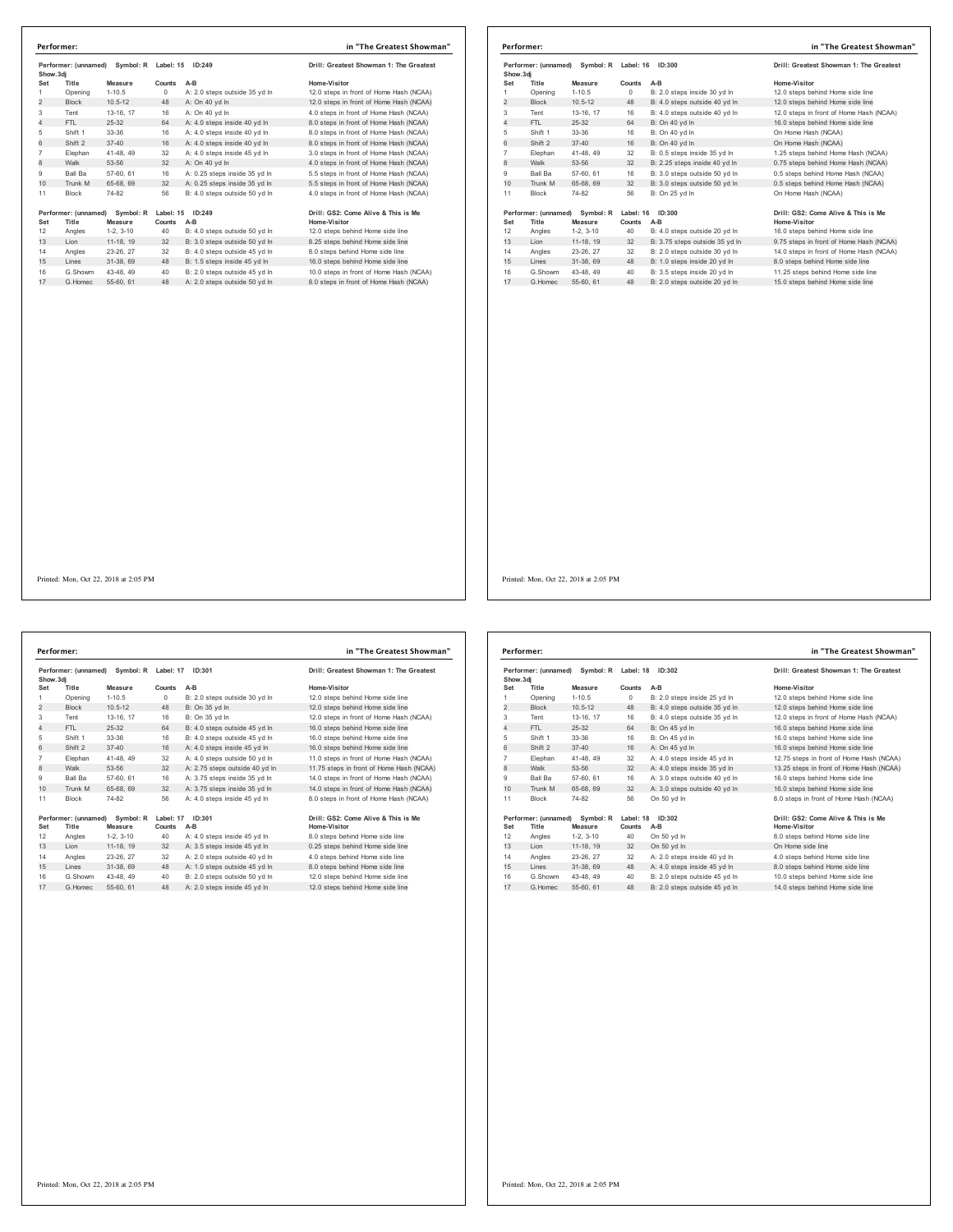|                | Symbol: R<br>Performer: (unnamed)<br>Show.3di |                      | Label: 15           | ID:249                        | Drill: Greatest Showman 1: The Greatest             |
|----------------|-----------------------------------------------|----------------------|---------------------|-------------------------------|-----------------------------------------------------|
| Set            | Title                                         | Measure              | Counts              | $A-B$                         | Home-Visitor                                        |
| 1              | Opening                                       | $1 - 10.5$           | $^{\circ}$          | A: 2.0 steps outside 35 yd In | 12.0 steps in front of Home Hash (NCAA)             |
| $\overline{2}$ | <b>Block</b>                                  | $10.5 - 12$          | 48                  | A: On 40 yd In                | 12.0 steps in front of Home Hash (NCAA)             |
| 3              | Tent                                          | 13-16, 17            | 16                  | A: On 40 vd In                | 4.0 steps in front of Home Hash (NCAA)              |
| 4              | FTI.                                          | 25-32                | 64                  | A: 4.0 steps inside 40 vd In  | 8.0 steps in front of Home Hash (NCAA)              |
| 5              | Shift 1                                       | 33-36                | 16                  | A: 4.0 steps inside 40 vd In  | 8.0 steps in front of Home Hash (NCAA)              |
| 6              | Shift 2                                       | $37 - 40$            | 16                  | A: 4.0 steps inside 40 vd In  | 8.0 steps in front of Home Hash (NCAA)              |
| $\overline{7}$ | Elephan                                       | 41-48, 49            | 32                  | A: 4.0 steps inside 45 vd In  | 3.0 steps in front of Home Hash (NCAA)              |
| 8              | Walk                                          | 53-56                | 32                  | A: On 40 yd In                | 4.0 steps in front of Home Hash (NCAA)              |
| 9              | Ball Ba                                       | 57-60, 61            | 16                  | A: 0.25 steps inside 35 yd In | 5.5 steps in front of Home Hash (NCAA)              |
| 10             | Trunk M                                       | 65-68, 69            | 32                  | A: 0.25 steps inside 35 yd In | 5.5 steps in front of Home Hash (NCAA)              |
| 11             | <b>Block</b>                                  | 74-82                | 56                  | B: 4.0 steps outside 50 vd In | 4.0 steps in front of Home Hash (NCAA)              |
| Set            | Performer: (unnamed)<br>Title                 | Symbol: R<br>Measure | Label: 15<br>Counts | ID:249<br>$A-B$               | Drill: GS2: Come Alive & This is Me<br>Home-Visitor |
| 12             | Angles                                        | $1-2, 3-10$          | 40                  | B: 4.0 steps outside 50 yd In | 12.0 steps behind Home side line                    |
| 13             | Lion                                          | 11-18, 19            | 32                  | B: 3.0 steps outside 50 yd In | 8.25 steps behind Home side line                    |
| 14             | Angles                                        | 23-26, 27            | 32                  | B: 4.0 steps outside 45 vd In | 8.0 steps behind Home side line                     |
| 15             | Lines                                         | 31-38, 69            | 48                  | B: 1.5 steps inside 45 vd In  | 16.0 steps behind Home side line                    |
| 16             | G Showm                                       | 43-48, 49            | 40                  | B: 2.0 steps outside 45 yd In | 10.0 steps in front of Home Hash (NCAA)             |
| 17             | G Homec                                       | 55-60, 61            | 48                  | A: 2.0 steps outside 50 yd In | 8.0 steps in front of Home Hash (NCAA)              |

|                | Performer:                    |                      |                            |                                | in "The Greatest Showman"                           |
|----------------|-------------------------------|----------------------|----------------------------|--------------------------------|-----------------------------------------------------|
| Show, 3di      | Performer: (unnamed)          | Symbol: R            | Label: 16                  | ID:300                         | Drill: Greatest Showman 1: The Greatest             |
| Set            | Title                         | Measure              | Counts                     | $A-B$                          | Home-Visitor                                        |
|                | Opening                       | $1 - 10.5$           | 0                          | B: 2.0 steps inside 30 yd In   | 12.0 steps behind Home side line                    |
| $\overline{2}$ | <b>Block</b>                  | $10.5 - 12$          | 48                         | B: 4.0 steps outside 40 yd In  | 12.0 steps behind Home side line                    |
| 3              | Tent                          | 13-16, 17            | 16                         | B: 4.0 steps outside 40 vd In  | 12.0 steps in front of Home Hash (NCAA)             |
| 4              | FTL                           | 25-32                | 64                         | B: On 40 yd In                 | 16.0 steps behind Home side line                    |
| 5              | Shift 1                       | 33-36                | 16                         | B: On 40 yd In                 | On Home Hash (NCAA)                                 |
| 6              | Shift 2                       | $37 - 40$            | 16                         | B: On 40 vd In                 | On Home Hash (NCAA)                                 |
| $\overline{7}$ | Elephan                       | 41-48, 49            | 32                         | B: 0.5 steps inside 35 yd In   | 1.25 steps behind Home Hash (NCAA)                  |
| 8              | Walk                          | 53-56                | 32                         | B: 2.25 steps inside 40 yd In  | 0.75 steps behind Home Hash (NCAA)                  |
| 9              | Ball Ba                       | 57-60, 61            | 16                         | B: 3.0 steps outside 50 yd In  | 0.5 steps behind Home Hash (NCAA)                   |
| 10             | Trunk M                       | 65-68, 69            | 32                         | B: 3.0 steps outside 50 yd In  | 0.5 steps behind Home Hash (NCAA)                   |
| 11             | <b>Block</b>                  | 74-82                | 56                         | B: On 25 yd In                 | On Home Hash (NCAA)                                 |
| Set            | Performer: (unnamed)<br>Title | Symbol: R<br>Measure | Label: 16<br><b>Counts</b> | ID:300<br>$A-B$                | Drill: GS2: Come Alive & This is Me<br>Home-Visitor |
| 12             | Angles                        | $1-2, 3-10$          | 40                         | B: 4.0 steps outside 20 yd In  | 16.0 steps behind Home side line                    |
| 13             | Lion                          | 11-18, 19            | 32                         | B: 3.75 steps outside 35 yd In | 9.75 steps in front of Home Hash (NCAA)             |
| 14             | Angles                        | 23-26, 27            | 32                         | B: 2.0 steps outside 30 vd In  | 14.0 steps in front of Home Hash (NCAA)             |
| 15             | Lines                         | 31-38, 69            | 48                         | B: 1.0 steps inside 20 yd In   | 8.0 steps behind Home side line                     |
| 16             | G.Showm                       | 43-48.49             | 40                         | B: 3.5 steps inside 20 yd In   | 11.25 steps behind Home side line                   |
| 17             | G Homec                       | 55-60, 61            | 48                         | B: 2.0 steps outside 20 vd In  | 15.0 steps behind Home side line                    |

Printed: Mon, Oct 22, 2018 at 2:05 PM

**Performer: (unnamed) Symbol: R Label: 17 ID:301 Drill: Greatest Showman 1: The Greatest Show.3dj Set Title Measure Counts A-B Home-Visitor** 1 Opening 1-10.5 0 B: 2.0 steps outside 30 yd ln 12.0 steps behind Home side line كان المراجعة المراجعة التي تترجع المراجعة التي تترجع المراجع التي تترجع المراجع التي تترجع المراجع التي تترجع<br>2 Block 10.5-12 48 B: On 35 yd ln 12.0 steps behind Home side line<br>21 Steps in front of Home Hash (NCAA) Tent 13-16, 17 16 B: On 35 yd ln 12.0 steps in front of Home Hash (NCAA) 4 FTL 25-32 64 B: 4.0 steps outside 45 yd ln 16.0 steps behind Home side line Shift 1 33-36 16 B: 4.0 steps outside 45 yd ln 16.0 steps behind Home side line 6 Shift 2 37-40 16 A: 4.0 steps inside 45 yd ln 16.0 steps behind Home side line 7 Elephan 41-48, 49 32 A: 4.0 steps outside 50 yd ln 11.0 steps in front of Home Hash (NCAA)<br>18 Walk 53-56 32 A: 2.75 steps outside 40 yd ln 11.75 steps in front of Home Hash (NCAA)<br>19 Ball Ba 57-60, 61 16 A: 3.75 steps in 32 A: 4.0 steps outside 50 yd in<br>32 A: 2.75 steps outside 40 yd In Ball Ba 57-60, 61 16 A: 3.75 steps inside 35 yd ln 14.0 steps in front of Home Hash (NCAA) 10 Trunk M 65-68, 69 32 A: 3.75 steps inside 35 yd ln 14.0 steps in front of Home Hash (NCAA) Block 74-82 56 A: 4.0 steps inside 45 yd ln 8.0 steps in front of Home Hash (NCAA) Performer: (unnamed) Symbol: R Label: 17 ID:301<br>Set Title Measure Counts A-B<br>12 Angles 1-2, 3-10 40 A: 4.0 steps inside 45 yd in the Mome-Visitor Home side line<br>13 Lion 11-18, 19 32 A: 3.5 steps inside 45 yd in 0.25 steps Angles 23-26, 27 32 A: 2.0 steps outside 40 yd ln 4.0 steps behind Home side line 15 Lines 31-38, 69 48 A: 1.0 steps outside 45 yd ln 8.0 steps behind Home side line G.Showm 43-48, 49 40 B: 2.0 steps outside 50 yd ln 12.0 steps behind Home side line 17 G.Homec 55-60, 61 48 A: 2.0 steps inside 45 yd ln 12.0 steps behind Home side line **Performer: in "The Greatest Showman"**

| Performer: (unnamed)<br>Symbol: R<br>Show, 3di |                      | Label: 18              | ID:302       | Drill: Greatest Showman 1: The Greatest |                                                 |
|------------------------------------------------|----------------------|------------------------|--------------|-----------------------------------------|-------------------------------------------------|
| Set                                            | Title                | Measure                | Counts       | $A-B$                                   | Home-Visitor                                    |
| 1                                              | Opening              | $1 - 10.5$             | 0            | B: 2.0 steps inside 25 yd In            | 12.0 steps behind Home side line                |
| $\overline{2}$                                 | <b>Block</b>         | $10.5 - 12$            | 48           | B: 4.0 steps outside 35 yd In           | 12.0 steps behind Home side line                |
| 3                                              | Tent                 | 13-16. 17              | 16           | B: 4.0 steps outside 35 vd In           | 12.0 steps in front of Home Hash (NCAA)         |
| 4                                              | FTI.                 | 25-32                  | 64           | B: On 45 yd In                          | 16.0 steps behind Home side line                |
| 5                                              | Shift 1              | 33-36                  | 16           | B: On 45 yd In                          | 16.0 steps behind Home side line                |
| 6                                              | Shift 2              | $37 - 40$              | 16           | A: On 45 vd In                          | 16.0 steps behind Home side line                |
| $\overline{7}$                                 | Elephan              | 41-48, 49              | 32           | A: 4.0 steps inside 45 yd In            | 12.75 steps in front of Home Hash (NCAA)        |
| 8                                              | Walk                 | 53-56                  | 32           | A: 4.0 steps inside 35 yd In            | 13.25 steps in front of Home Hash (NCAA)        |
| 9                                              | <b>Ball Ba</b>       | 57-60, 61              | 16           | A: 3.0 steps outside 40 vd In           | 16.0 steps behind Home side line                |
| 10                                             | Trunk M              | 65-68, 69              | 32           | A: 3.0 steps outside 40 yd In           | 16.0 steps behind Home side line                |
| 11                                             | <b>Block</b>         | 74-82                  | 56           | On 50 vd In                             | 8.0 steps in front of Home Hash (NCAA)          |
|                                                | Performer: (unnamed) | Symbol: R              | Label: 18    | ID:302                                  | Drill: GS2: Come Alive & This is Me             |
| Set<br>12                                      | Title<br>Angles      | Measure<br>$1-2, 3-10$ | Counts<br>40 | $A-B$<br>On 50 yd In                    | Home-Visitor<br>8.0 steps behind Home side line |
| 13                                             | I ion                | 11-18, 19              | 32           | On 50 yd In                             | On Home side line                               |
| 14                                             | Angles               | 23-26.27               | 32           | A: 2.0 steps inside 40 yd In            | 4.0 steps behind Home side line                 |
| 15                                             | Lines                | 31-38, 69              | 48           | A: 4.0 steps inside 45 yd In            | 8.0 steps behind Home side line                 |
| 16                                             | G Showm              | 43-48.49               | 40           | B: 2.0 steps outside 45 vd In           | 10.0 steps behind Home side line                |
| 17                                             | G Homec              | 55-60, 61              | 48           | B: 2.0 steps outside 45 yd In           | 14.0 steps behind Home side line                |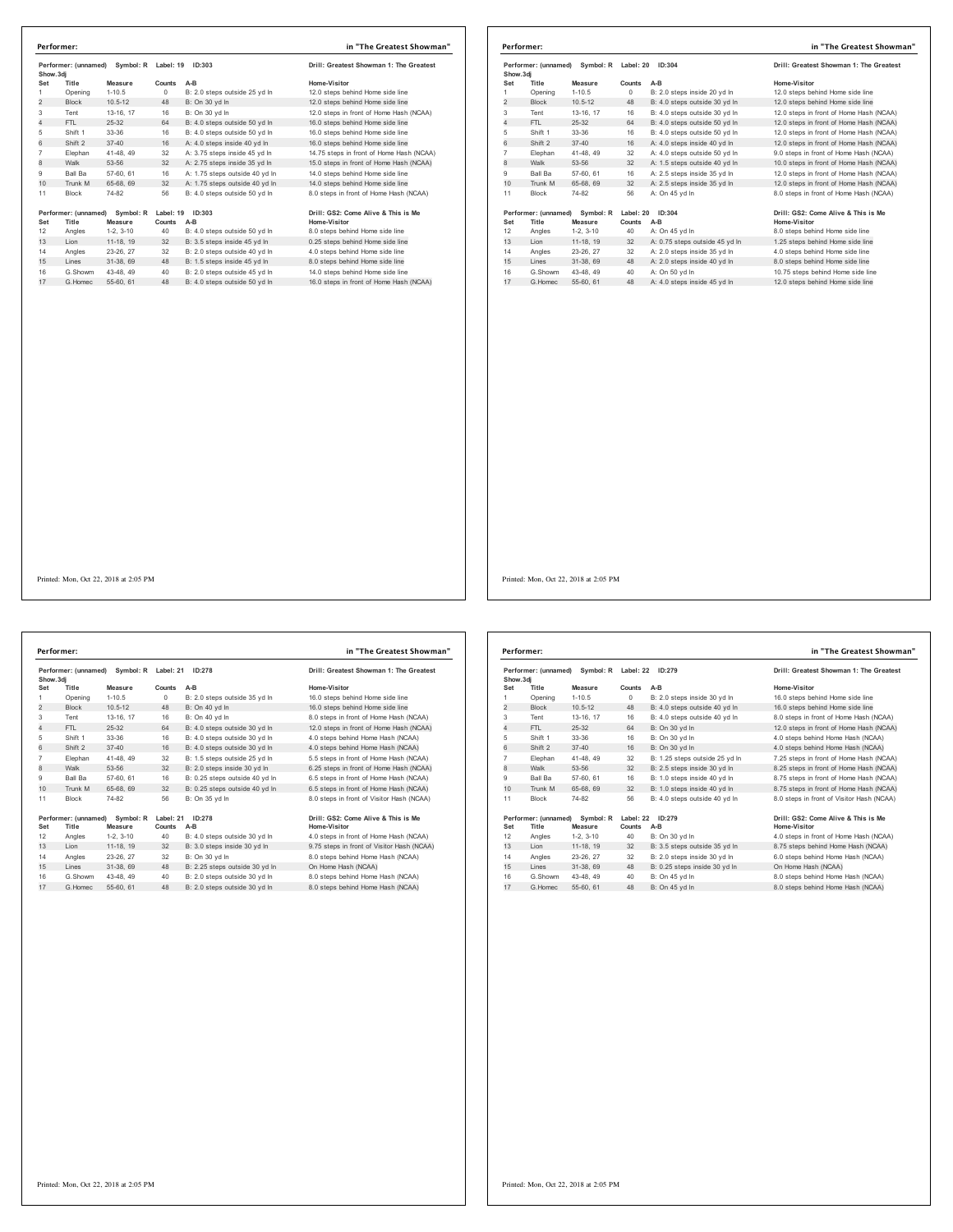|                | Performer:           |             |           |                                | in "The Greatest Showman"                |
|----------------|----------------------|-------------|-----------|--------------------------------|------------------------------------------|
| Show.3dj       | Performer: (unnamed) | Symbol: R   | Label: 19 | ID:303                         | Drill: Greatest Showman 1: The Greatest  |
| Set            | Title                | Measure     | Counts    | $A-B$                          | Home-Visitor                             |
| 1              | Opening              | $1 - 10.5$  | $\Omega$  | B: 2.0 steps outside 25 yd In  | 12.0 steps behind Home side line         |
| $\overline{2}$ | <b>Block</b>         | $10.5 - 12$ | 48        | B: On 30 yd In                 | 12.0 steps behind Home side line         |
| 3              | Tent                 | 13-16, 17   | 16        | B: On 30 vd In                 | 12.0 steps in front of Home Hash (NCAA)  |
| $\overline{4}$ | FTI.                 | $25 - 32$   | 64        | B: 4.0 steps outside 50 yd In  | 16.0 steps behind Home side line         |
| 5              | Shift 1              | 33-36       | 16        | B: 4.0 steps outside 50 yd In  | 16.0 steps behind Home side line         |
| 6              | Shift 2              | $37 - 40$   | 16        | A: 4.0 steps inside 40 vd In   | 16.0 steps behind Home side line         |
| $\overline{7}$ | Elephan              | 41-48, 49   | 32        | A: 3.75 steps inside 45 vd In  | 14.75 steps in front of Home Hash (NCAA) |
| 8              | Walk                 | 53-56       | 32        | A: 2.75 steps inside 35 yd In  | 15.0 steps in front of Home Hash (NCAA)  |
| 9              | Ball Ba              | 57-60, 61   | 16        | A: 1.75 steps outside 40 yd In | 14.0 steps behind Home side line         |
| 10             | Trunk M              | 65-68, 69   | 32        | A: 1.75 steps outside 40 yd In | 14.0 steps behind Home side line         |
| 11             | <b>Block</b>         | 74-82       | 56        | B: 4.0 steps outside 50 vd In  | 8.0 steps in front of Home Hash (NCAA)   |
|                | Performer: (unnamed) | Symbol: R   | Label: 19 | ID:303                         | Drill: GS2: Come Alive & This is Me      |
| Set            | Title                | Measure     | Counts    | A-B                            | Home-Visitor                             |
| 12             | Angles               | $1-2.3-10$  | 40        | B: 4.0 steps outside 50 yd In  | 8.0 steps behind Home side line          |
| 13             | Lion                 | 11-18, 19   | 32        | B: 3.5 steps inside 45 yd In   | 0.25 steps behind Home side line         |
| 14             | Angles               | 23-26, 27   | 32        | B: 2.0 steps outside 40 vd In  | 4.0 steps behind Home side line          |
| 15             | Lines                | 31-38, 69   | 48        | B: 1.5 steps inside 45 vd In   | 8.0 steps behind Home side line          |
| 16             | G.Showm              | 43-48, 49   | 40        | B: 2.0 steps outside 45 vd In  | 14.0 steps behind Home side line         |
| 17             | G Homec              | 55-60 61    | 48        | B: 4.0 steps outside 50 vd ln  | 16.0 steps in front of Home Hash (NCAA)  |

|                | Performer:           |             |           |                                | in "The Greatest Showman"               |
|----------------|----------------------|-------------|-----------|--------------------------------|-----------------------------------------|
| Show, 3di      | Performer: (unnamed) | Symbol: R   | Label: 20 | ID:304                         | Drill: Greatest Showman 1: The Greatest |
| Set            | Title                | Measure     | Counts    | $A-B$                          | Home-Visitor                            |
| 1.             | Opening              | $1 - 10.5$  | $\Omega$  | B: 2.0 steps inside 20 yd In   | 12.0 steps behind Home side line        |
| 2              | <b>Block</b>         | $10.5 - 12$ | 48        | B: 4.0 steps outside 30 yd In  | 12.0 steps behind Home side line        |
| 3              | Tent                 | 13-16, 17   | 16        | B: 4.0 steps outside 30 yd In  | 12.0 steps in front of Home Hash (NCAA) |
| $\overline{4}$ | FTI.                 | 25-32       | 64        | B: 4.0 steps outside 50 yd In  | 12.0 steps in front of Home Hash (NCAA) |
| 5              | Shift 1              | 33-36       | 16        | B: 4.0 steps outside 50 yd In  | 12.0 steps in front of Home Hash (NCAA) |
| 6              | Shift 2              | $37 - 40$   | 16        | A: 4.0 steps inside 40 yd In   | 12.0 steps in front of Home Hash (NCAA) |
| 7              | Elephan              | 41-48, 49   | 32        | A: 4.0 steps outside 50 yd In  | 9.0 steps in front of Home Hash (NCAA)  |
| 8              | Walk                 | 53-56       | 32        | A: 1.5 steps outside 40 yd In  | 10.0 steps in front of Home Hash (NCAA) |
| 9              | <b>Ball Ba</b>       | 57-60, 61   | 16        | A: 2.5 steps inside 35 vd In   | 12.0 steps in front of Home Hash (NCAA) |
| 10             | Trunk M              | 65-68, 69   | 32        | A: 2.5 steps inside 35 yd In   | 12.0 steps in front of Home Hash (NCAA) |
| 11             | Block                | 74-82       | 56        | A: On 45 vd In                 | 8.0 steps in front of Home Hash (NCAA)  |
|                | Performer: (unnamed) | Symbol: R   | Label: 20 | ID:304                         | Drill: GS2: Come Alive & This is Me     |
| Set            | Title                | Measure     | Counts    | A-B                            | <b>Home-Visitor</b>                     |
| 12             | Angles               | $1-2.3-10$  | 40        | A: On 45 yd In                 | 8.0 steps behind Home side line         |
| 13             | Lion                 | 11-18, 19   | 32        | A: 0.75 steps outside 45 yd In | 1.25 steps behind Home side line        |
| 14             | Angles               | 23-26, 27   | 32        | A: 2.0 steps inside 35 vd In   | 4.0 steps behind Home side line         |
| 15             | Lines                | 31-38, 69   | 48        | A: 2.0 steps inside 40 yd In   | 8.0 steps behind Home side line         |
| 16             | G.Showm              | 43-48, 49   | 40        | A: On 50 vd In                 | 10.75 steps behind Home side line       |
| 17             | G. Homec             | 55-60, 61   | 48        | A: 4.0 steps inside 45 vd In   | 12.0 steps behind Home side line        |

**Performer: (unnamed) Symbol: R Label: 21 ID:278 Drill: Greatest Showman 1: The Greatest Show.3dj Set Title Measure Counts A-B Home-Visitor** 1 Opening 1-10.5 0 B: 2.0 steps outside 35 yd ln 16.0 steps behind Home side line 2 Block 10.5-12 48 B: On 40 yd ln<br>2 Block 10.5-12 48 B: On 40 yd ln<br>3 Tent 13-16.17 16 B: On 40 yd ln<br>4 FTL 25-32 64 B: 4.0 steps outside 30 yd ln Tent 13-16, 17 16 B: On 40 yd ln 8.0 steps in front of Home Hash (NCAA) 4 FTL 25-32 64 B: 4.0 steps outside 30 yd ln 12.0 steps in front of Home Hash (NCAA) Shift 1 33-36 16 B: 4.0 steps outside 30 yd ln 4.0 steps behind Home Hash (NCAA) 6 Shift 2 37-40 16 B: 4.0 steps outside 30 yd ln 4.0 steps behind Home Hash (NCAA) 7 Elephan 41-48, 49 32 B: 1.5 steps outside 25 yd In 5.5 steps in front of Home Hash (NCAA)<br>8 Walk 53-56 32 B: 2.0 steps inside 30 yd In 6.25 steps in front of Home Hash (NCAA)<br>9 Ball Ba 57-60, 61 16 B: 0.25 steps outside 10 12 Daily Daily Steps outside 40 yd in Frunk M 65-68, 69 32 B: 0.25 steps outside 40 yd ln 11 Block 74-82 56 B: On 35 yd In 19erformer: (umamned) Symbol: Relabel: 21 ID:278<br>19er - The Measure Counts A-B<br>12 Angles 1-2, 3-10 40 B: 4.0 steps outside 30 yd In 4.0 steps in front of Home Hash (NCAA)<br>12 Angles 1-2, 3-10 40 B: 4.0 steps outside 30 yd I 14 Angles 23-26, 27 32 B. On 30 yd in the constellation of the Angles Berlind Home Hash (NCAA) 16 G.Showm 43-48, 49 40 B: 2.0 steps outside 30 yd ln 8.0 steps behind Home Hash (NCAA)<br>17 G.Homec 55-60, 61 48 B: 2.0 steps outside 30 yd ln 8.0 steps behind Home Hash (NCAA) **Performer: in "The Greatest Showman"**

| Home-Visitor                              |
|-------------------------------------------|
| 16.0 steps behind Home side line          |
| 16.0 steps behind Home side line          |
| 8.0 steps in front of Home Hash (NCAA)    |
| 12.0 steps in front of Home Hash (NCAA)   |
| 4.0 steps behind Home Hash (NCAA)         |
| 4.0 steps behind Home Hash (NCAA)         |
| 5.5 steps in front of Home Hash (NCAA)    |
| 6.25 steps in front of Home Hash (NCAA)   |
| 6.5 steps in front of Home Hash (NCAA)    |
| 6.5 steps in front of Home Hash (NCAA)    |
| 8.0 steps in front of Visitor Hash (NCAA) |
|                                           |

|                                                   | Performer: (unnamed)<br>Symbol: R<br>Show, 3di |                                           | Label: 22<br>ID:279 |                                | Drill: Greatest Showman 1: The Greatest             |
|---------------------------------------------------|------------------------------------------------|-------------------------------------------|---------------------|--------------------------------|-----------------------------------------------------|
| Set                                               | Title                                          | Measure                                   | Counts              | $A-B$                          | Home-Visitor                                        |
| 1                                                 | Opening                                        | $1 - 10.5$                                | $\Omega$            | B: 2.0 steps inside 30 vd In   | 16.0 steps behind Home side line                    |
| $\overline{2}$                                    | <b>Block</b>                                   | $10.5 - 12$                               | 48                  | B: 4.0 steps outside 40 yd In  | 16.0 steps behind Home side line                    |
| 3                                                 | Tent                                           | 13-16, 17                                 | 16                  | B: 4.0 steps outside 40 vd In  | 8.0 steps in front of Home Hash (NCAA)              |
| $\overline{4}$                                    | FTI.                                           | 25-32                                     | 64                  | B: On 30 yd In                 | 12.0 steps in front of Home Hash (NCAA)             |
| 5                                                 | Shift 1                                        | 33-36                                     | 16                  | B: On 30 vd In                 | 4.0 steps behind Home Hash (NCAA)                   |
| 6                                                 | Shift 2                                        | $37 - 40$                                 | 16                  | B: On 30 vd In                 | 4.0 steps behind Home Hash (NCAA)                   |
| $\overline{7}$                                    | Elephan                                        | 41-48, 49                                 | 32                  | B: 1.25 steps outside 25 vd In | 7.25 steps in front of Home Hash (NCAA)             |
| 8                                                 | Walk                                           | 53-56                                     | 32                  | B: 2.5 steps inside 30 yd In   | 8.25 steps in front of Home Hash (NCAA)             |
| 9                                                 | <b>Ball Ba</b>                                 | 57-60, 61                                 | 16                  | B: 1.0 steps inside 40 vd In   | 8.75 steps in front of Home Hash (NCAA)             |
| 10 <sup>10</sup>                                  | Trunk M                                        | 65-68, 69                                 | 32                  | B: 1.0 steps inside 40 yd In   | 8.75 steps in front of Home Hash (NCAA)             |
| 11                                                | <b>Block</b>                                   | 74-82                                     | 56                  | B: 4.0 steps outside 40 vd In  | 8.0 steps in front of Visitor Hash (NCAA)           |
| Performer: (unnamed)<br>Symbol: R<br>Title<br>Set |                                                | Label: 22<br>ID: 279<br>Measure<br>Counts |                     | $A-B$                          | Drill: GS2: Come Alive & This is Me<br>Home-Visitor |
| 12                                                | Angles                                         | $1-2.3-10$                                | 40                  | B: On 30 yd In                 | 4.0 steps in front of Home Hash (NCAA)              |
| 13                                                | Lion                                           | 11-18, 19                                 | 32                  | B: 3.5 steps outside 35 yd In  | 8.75 steps behind Home Hash (NCAA)                  |
| 14                                                | Angles                                         | 23-26, 27                                 | 32                  | B: 2.0 steps inside 30 vd In   | 6.0 steps behind Home Hash (NCAA)                   |
| 15                                                | Lines                                          | 31-38, 69                                 | 48                  | B: 0.25 steps inside 30 yd In  | On Home Hash (NCAA)                                 |
| 16                                                | G.Showm                                        | 43-48.49                                  | 40                  | B: On 45 vd In                 | 8.0 steps behind Home Hash (NCAA)                   |
| 17                                                | G Homec                                        | 55-60, 61                                 | 48                  | B: On 45 vd In                 | 8.0 steps behind Home Hash (NCAA)                   |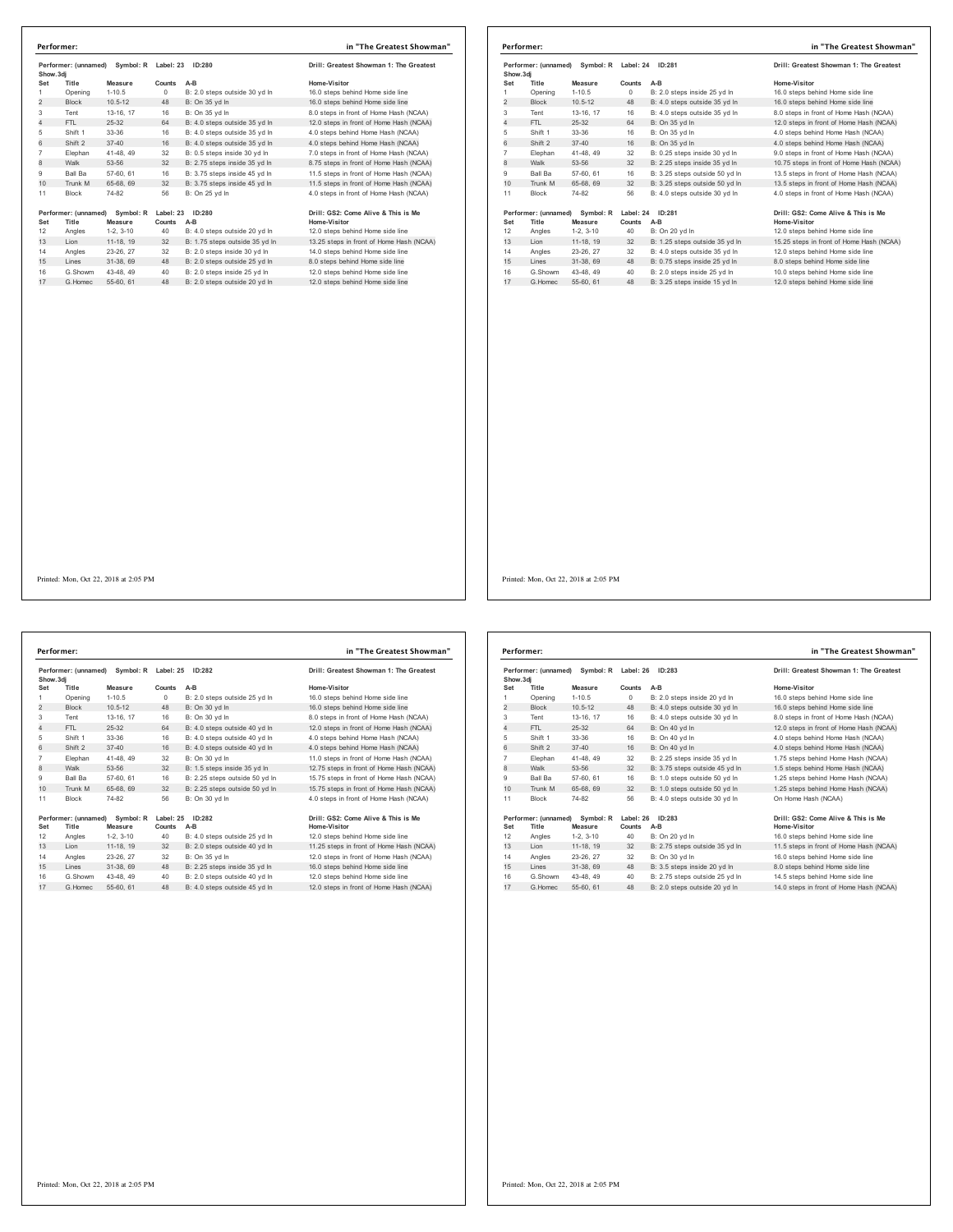| Counts<br>$A-B$<br>$\Omega$<br>B: 2.0 steps outside 30 yd In<br>B: On 35 vd In<br>48<br>16<br>B: On 35 vd In<br>B: 4.0 steps outside 35 yd In<br>64<br>16<br>B: 4.0 steps outside 35 yd In<br>16<br>B: 4.0 steps outside 35 vd In<br>32<br>B: 0.5 steps inside 30 vd In<br>32<br>B: 2.75 steps inside 35 yd In | Home-Visitor<br>16.0 steps behind Home side line<br>16.0 steps behind Home side line<br>8.0 steps in front of Home Hash (NCAA)<br>12.0 steps in front of Home Hash (NCAA)<br>4.0 steps behind Home Hash (NCAA)<br>4.0 steps behind Home Hash (NCAA)<br>7.0 steps in front of Home Hash (NCAA)<br>8.75 steps in front of Home Hash (NCAA) |
|----------------------------------------------------------------------------------------------------------------------------------------------------------------------------------------------------------------------------------------------------------------------------------------------------------------|------------------------------------------------------------------------------------------------------------------------------------------------------------------------------------------------------------------------------------------------------------------------------------------------------------------------------------------|
|                                                                                                                                                                                                                                                                                                                |                                                                                                                                                                                                                                                                                                                                          |
|                                                                                                                                                                                                                                                                                                                |                                                                                                                                                                                                                                                                                                                                          |
|                                                                                                                                                                                                                                                                                                                |                                                                                                                                                                                                                                                                                                                                          |
|                                                                                                                                                                                                                                                                                                                |                                                                                                                                                                                                                                                                                                                                          |
|                                                                                                                                                                                                                                                                                                                |                                                                                                                                                                                                                                                                                                                                          |
|                                                                                                                                                                                                                                                                                                                |                                                                                                                                                                                                                                                                                                                                          |
|                                                                                                                                                                                                                                                                                                                |                                                                                                                                                                                                                                                                                                                                          |
|                                                                                                                                                                                                                                                                                                                |                                                                                                                                                                                                                                                                                                                                          |
|                                                                                                                                                                                                                                                                                                                |                                                                                                                                                                                                                                                                                                                                          |
| B: 3.75 steps inside 45 vd In<br>16                                                                                                                                                                                                                                                                            | 11.5 steps in front of Home Hash (NCAA)                                                                                                                                                                                                                                                                                                  |
| 32<br>B: 3.75 steps inside 45 yd In                                                                                                                                                                                                                                                                            | 11.5 steps in front of Home Hash (NCAA)                                                                                                                                                                                                                                                                                                  |
| 56<br>B: On 25 vd In                                                                                                                                                                                                                                                                                           | 4.0 steps in front of Home Hash (NCAA)                                                                                                                                                                                                                                                                                                   |
| Symbol: R<br>Label: 23<br>ID:280                                                                                                                                                                                                                                                                               | Drill: GS2: Come Alive & This is Me                                                                                                                                                                                                                                                                                                      |
| Counts<br>$A-B$                                                                                                                                                                                                                                                                                                | Home-Visitor                                                                                                                                                                                                                                                                                                                             |
| 40<br>B: 4.0 steps outside 20 yd In                                                                                                                                                                                                                                                                            | 12.0 steps behind Home side line                                                                                                                                                                                                                                                                                                         |
| 32<br>B: 1.75 steps outside 35 yd In                                                                                                                                                                                                                                                                           | 13.25 steps in front of Home Hash (NCAA)                                                                                                                                                                                                                                                                                                 |
| 32<br>B: 2.0 steps inside 30 vd In                                                                                                                                                                                                                                                                             | 14.0 steps behind Home side line                                                                                                                                                                                                                                                                                                         |
| 48<br>B: 2.0 steps outside 25 vd In                                                                                                                                                                                                                                                                            | 8.0 steps behind Home side line                                                                                                                                                                                                                                                                                                          |
|                                                                                                                                                                                                                                                                                                                | 12.0 steps behind Home side line                                                                                                                                                                                                                                                                                                         |
|                                                                                                                                                                                                                                                                                                                | 12.0 steps behind Home side line                                                                                                                                                                                                                                                                                                         |
| 11-18, 19<br>23-26.27<br>31-38.69                                                                                                                                                                                                                                                                              | 40<br>B: 2.0 steps inside 25 yd In<br>43-48.49<br>B: 2.0 steps outside 20 vd In<br>55-60, 61<br>48                                                                                                                                                                                                                                       |

| Performer:     |                               |                      |                     |                                | in "The Greatest Showman"                           |
|----------------|-------------------------------|----------------------|---------------------|--------------------------------|-----------------------------------------------------|
| Show, 3di      | Performer: (unnamed)          | Symbol: R            | Label: 24           | ID:281                         | Drill: Greatest Showman 1: The Greatest             |
| Set            | Title                         | Measure              | Counts              | $A-B$                          | Home-Visitor                                        |
|                | Opening                       | $1 - 10.5$           | 0                   | B: 2.0 steps inside 25 yd In   | 16.0 steps behind Home side line                    |
| $\overline{2}$ | <b>Block</b>                  | $10.5 - 12$          | 48                  | B: 4.0 steps outside 35 yd In  | 16.0 steps behind Home side line                    |
| 3              | Tent                          | 13-16, 17            | 16                  | B: 4.0 steps outside 35 yd In  | 8.0 steps in front of Home Hash (NCAA)              |
| 4              | FTL.                          | 25-32                | 64                  | B: On 35 yd In                 | 12.0 steps in front of Home Hash (NCAA)             |
| 5              | Shift 1                       | 33-36                | 16                  | B: On 35 yd In                 | 4.0 steps behind Home Hash (NCAA)                   |
| 6              | Shift 2                       | $37 - 40$            | 16                  | B: On 35 vd In                 | 4.0 steps behind Home Hash (NCAA)                   |
| $\overline{7}$ | Elephan                       | 41-48, 49            | 32                  | B: 0.25 steps inside 30 yd In  | 9.0 steps in front of Home Hash (NCAA)              |
| 8              | Walk                          | 53-56                | 32                  | B: 2.25 steps inside 35 yd In  | 10.75 steps in front of Home Hash (NCAA)            |
| 9              | Ball Ba                       | 57-60, 61            | 16                  | B: 3.25 steps outside 50 vd In | 13.5 steps in front of Home Hash (NCAA)             |
| 10             | Trunk M                       | 65-68, 69            | 32                  | B: 3.25 steps outside 50 yd In | 13.5 steps in front of Home Hash (NCAA)             |
| 11             | <b>Block</b>                  | 74-82                | 56                  | B: 4.0 steps outside 30 yd In  | 4.0 steps in front of Home Hash (NCAA)              |
| Set            | Performer: (unnamed)<br>Title | Symbol: R<br>Measure | Label: 24<br>Counts | ID:281<br>$A-B$                | Drill: GS2: Come Alive & This is Me<br>Home-Visitor |
| 12             | Angles                        | $1-2, 3-10$          | 40                  | B: On 20 yd In                 | 12.0 steps behind Home side line                    |
| 13             | Lion                          | 11-18, 19            | 32                  | B: 1.25 steps outside 35 yd In | 15.25 steps in front of Home Hash (NCAA)            |
| 14             | Angles                        | 23-26, 27            | 32                  | B: 4.0 steps outside 35 vd In  | 12.0 steps behind Home side line                    |
| 15             | Lines                         | 31-38, 69            | 48                  | B: 0.75 steps inside 25 yd In  | 8.0 steps behind Home side line                     |
| 16             | G.Showm                       | 43-48, 49            | 40                  | B: 2.0 steps inside 25 yd In   | 10.0 steps behind Home side line                    |
| 17             | G. Homec                      | 55-60, 61            | 48                  | B: 3.25 steps inside 15 yd In  | 12.0 steps behind Home side line                    |

**Performer: (unnamed) Symbol: R Label: 25 ID:282 Drill: Greatest Showman 1: The Greatest**  Show.3dj<br>Set Title Measure Counts A-B<br>1 Opening 1-10.5 0 B:2.0 steps outside 25 yd In 16.0 steps behind Home side line<br>2 Block 10.5-12 48 B: On 30 yd In 16.0 steps behind Home side line Tent 13-16, 17 16 B: On 30 yd ln 8.0 steps in front of Home Hash (NCAA) 4 FTL 25-32 64 B: 4.0 steps outside 40 yd ln 12.0 steps in front of Home Hash (NCAA) Shift 1 33-36 16 B: 4.0 steps outside 40 yd ln 4.0 steps behind Home Hash (NCAA) 6 Shift 2 37-40 16 B: 4.0 steps outside 40 yd ln 4.0 steps behind Home Hash (NCAA) 7 Elephan 41-48, 49 32 B: On 30 yd ln 11.0 steps in front of Home Hash (NCAA)<br>8 Walk 53-56 32 B: 1.5 steps inside 35 yd ln 12.75 steps in front of Home Hash (NCAA) Ball Ba 57-60, 61 16 B: 2.25 steps outside 50 yd ln 15.75 steps in front of Home Hash (NCAA) 10 Trunk M 65-68, 69 32 B: 2.25 steps outside 50 yd ln 15.75 steps in front of Home Hash (NCAA) Block 74-82 56 B: On 30 yd ln 4.0 steps in front of Home Hash (NCAA) **Performer: (unnamed) Symbol: R Label: 25 ID:282 Drill: GS2: Come Alive & This is Me<br>19 Mome - Measure - Counts A-B<br>12 Angles 1-2, 3-10 - 40 B: 4.0 steps outside 25 yd In 12.0 steps behind Home side line** Set Title Measure Counts A-B .<br>12 Angles 1-2, 3-10 - D.: 4.0 steps outside 25 yd in 12.0 steps behind Home side line<br>13 Lion 11-18, 19 32 B: 2.0 steps outside 40 yd in 11.25 steps in front of Home Hash (NCAA) Angles 23-26, 27 32 B: On 35 yd ln 12.0 steps in front of Home Hash (NCAA) 15 Lines 31-38, 69 48 B: 2.25 steps inside 35 yd ln 16.0 steps behind Home side line **Performer: in "The Greatest Showman"**

Printed: Mon, Oct 22, 2018 at 2:05 PM

G.Showm 43-48, 49 40 B: 2.0 steps outside 40 yd ln 12.0 steps behind Home side line 17 G.Homec 55-60, 61 48 B: 4.0 steps outside 45 yd ln 12.0 steps in front of Home Hash (NCAA)

| Performer: (unnamed)<br>Symbol: R<br>Show, 3di |                               | Label: 26<br>ID:283  |                     | Drill: Greatest Showman 1: The Greatest |                                                     |
|------------------------------------------------|-------------------------------|----------------------|---------------------|-----------------------------------------|-----------------------------------------------------|
| Set                                            | Title                         | Measure              | Counts              | $A-B$                                   | Home-Visitor                                        |
| 1                                              | Opening                       | $1 - 10.5$           | $\Omega$            | B: 2.0 steps inside 20 yd In            | 16.0 steps behind Home side line                    |
| $\overline{2}$                                 | <b>Block</b>                  | $10.5 - 12$          | 48                  | B: 4.0 steps outside 30 yd In           | 16.0 steps behind Home side line                    |
| 3                                              | Tent                          | 13-16. 17            | 16                  | B: 4.0 steps outside 30 yd In           | 8.0 steps in front of Home Hash (NCAA)              |
| 4                                              | FTI.                          | 25-32                | 64                  | B: On 40 vd In                          | 12.0 steps in front of Home Hash (NCAA)             |
| 5                                              | Shift 1                       | 33-36                | 16                  | B: On 40 yd In                          | 4.0 steps behind Home Hash (NCAA)                   |
| 6                                              | Shift 2                       | $37 - 40$            | 16                  | B: On 40 vd In                          | 4.0 steps behind Home Hash (NCAA)                   |
| $\overline{7}$                                 | Elephan                       | 41-48.49             | 32                  | B: 2.25 steps inside 35 yd In           | 1.75 steps behind Home Hash (NCAA)                  |
| 8                                              | Walk                          | 53-56                | 32                  | B: 3.75 steps outside 45 yd In          | 1.5 steps behind Home Hash (NCAA)                   |
| 9                                              | <b>Ball Ba</b>                | 57-60, 61            | 16                  | B: 1.0 steps outside 50 vd In           | 1.25 steps behind Home Hash (NCAA)                  |
| 10                                             | Trunk M                       | 65-68, 69            | 32                  | B: 1.0 steps outside 50 yd In           | 1.25 steps behind Home Hash (NCAA)                  |
| 11                                             | <b>Block</b>                  | 74-82                | 56                  | B: 4.0 steps outside 30 yd In           | On Home Hash (NCAA)                                 |
| Set                                            | Performer: (unnamed)<br>Title | Symbol: R<br>Measure | Label: 26<br>Counts | ID: 283<br>$A-B$                        | Drill: GS2: Come Alive & This is Me<br>Home-Visitor |
| 12                                             | Angles                        | $1-2, 3-10$          | 40                  | B: On 20 yd In                          | 16.0 steps behind Home side line                    |
| 13                                             | Lion                          | 11-18. 19            | 32                  | B: 2.75 steps outside 35 yd In          | 11.5 steps in front of Home Hash (NCAA)             |
| 14                                             | Angles                        | 23-26.27             | 32                  | B: On 30 yd In                          | 16.0 steps behind Home side line                    |
| 15                                             | Lines                         | 31-38, 69            | 48                  | B: 3.5 steps inside 20 yd In            | 8.0 steps behind Home side line                     |
| 16                                             | G Showm                       | 43-48.49             | 40                  | B: 2.75 steps outside 25 vd In          | 14.5 steps behind Home side line                    |
| 17                                             | G Homec                       | 55-60, 61            | 48                  | B: 2.0 steps outside 20 yd In           | 14.0 steps in front of Home Hash (NCAA)             |
|                                                |                               |                      |                     |                                         |                                                     |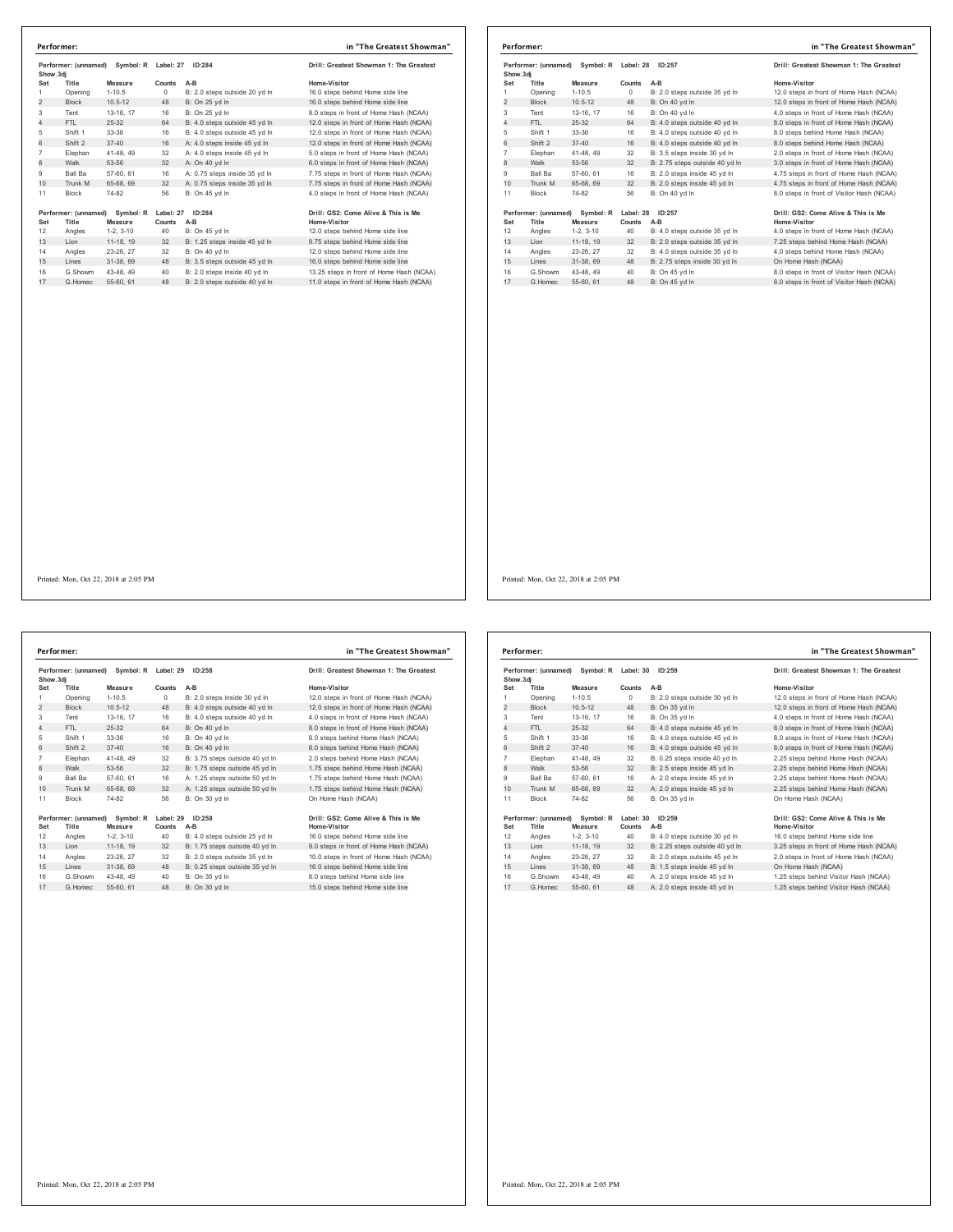| Performer: (unnamed)<br>Show.3di |                      | Symbol: R   | Label: 27<br>ID:284 |                               | Drill: Greatest Showman 1: The Greatest  |  |
|----------------------------------|----------------------|-------------|---------------------|-------------------------------|------------------------------------------|--|
| Set                              | Title                | Measure     | Counts              | A-B                           | Home-Visitor                             |  |
| 1                                | Opening              | $1 - 10.5$  | $^{\circ}$          | B: 2.0 steps outside 20 yd In | 16.0 steps behind Home side line         |  |
| $\overline{2}$                   | <b>Block</b>         | $10.5 - 12$ | 48                  | B: On 25 vd In                | 16.0 steps behind Home side line         |  |
| 3                                | Tent                 | 13-16, 17   | 16                  | B: On 25 yd In                | 8.0 steps in front of Home Hash (NCAA)   |  |
| 4                                | FTL                  | $25 - 32$   | 64                  | B: 4.0 steps outside 45 vd In | 12.0 steps in front of Home Hash (NCAA)  |  |
| 5                                | Shift 1              | 33-36       | 16                  | B: 4.0 steps outside 45 yd In | 12.0 steps in front of Home Hash (NCAA)  |  |
| 6                                | Shift 2              | $37 - 40$   | 16                  | A: 4.0 steps inside 45 yd In  | 12.0 steps in front of Home Hash (NCAA)  |  |
| $\overline{7}$                   | Elephan              | 41-48, 49   | 32                  | A: 4.0 steps inside 45 yd In  | 5.0 steps in front of Home Hash (NCAA)   |  |
| 8                                | Walk                 | 53-56       | 32                  | A: On 40 vd In                | 6.0 steps in front of Home Hash (NCAA)   |  |
| 9                                | Ball Ba              | 57-60, 61   | 16                  | A: 0.75 steps inside 35 vd In | 7.75 steps in front of Home Hash (NCAA)  |  |
| 10                               | Trunk M              | 65-68, 69   | 32                  | A: 0.75 steps inside 35 yd In | 7.75 steps in front of Home Hash (NCAA)  |  |
| 11                               | <b>Block</b>         | 74-82       | 56                  | B: On 45 yd In                | 4.0 steps in front of Home Hash (NCAA)   |  |
|                                  | Performer: (unnamed) | Symbol: R   | Label: 27           | ID:284                        | Drill: GS2: Come Alive & This is Me      |  |
| Set                              | Title                | Measure     | Counts              | A-B                           | Home-Visitor                             |  |
| 12                               | Angles               | $1-2.3-10$  | 40                  | B: On 45 yd In                | 12.0 steps behind Home side line         |  |
| 13                               | Lion                 | 11-18, 19   | 32                  | B: 1.25 steps inside 45 yd In | 9.75 steps behind Home side line         |  |
| 14                               | Angles               | 23-26, 27   | 32                  | B: On 40 vd In                | 12.0 steps behind Home side line         |  |
| 15                               | Lines                | 31-38, 69   | 48                  | B: 3.5 steps outside 45 yd In | 16.0 steps behind Home side line         |  |
| 16                               | G.Showm              | 43-48, 49   | 40                  | B: 2.0 steps inside 40 vd In  | 13.25 steps in front of Home Hash (NCAA) |  |
| 17                               | G. Homec             | 55-60, 61   | 48                  | B: 2.0 steps outside 40 yd In | 11.0 steps in front of Home Hash (NCAA)  |  |

|                | Performer:           |                     |           |                                | in "The Greatest Showman"                 |
|----------------|----------------------|---------------------|-----------|--------------------------------|-------------------------------------------|
| Show, 3di      | Performer: (unnamed) | Symbol: R Label: 28 |           | ID:257                         | Drill: Greatest Showman 1: The Greatest   |
| Set            | Title                | Measure             | Counts    | $A-B$                          | Home-Visitor                              |
|                | Opening              | $1 - 10.5$          | $\circ$   | B: 2.0 steps outside 35 yd In  | 12.0 steps in front of Home Hash (NCAA)   |
| $\overline{2}$ | <b>Block</b>         | $10.5 - 12$         | 48        | B: On 40 vd In                 | 12.0 steps in front of Home Hash (NCAA)   |
| 3              | Tent                 | 13-16, 17           | 16        | B: On 40 vd In                 | 4.0 steps in front of Home Hash (NCAA)    |
| 4              | FTI.                 | $25-32$             | 64        | B: 4.0 steps outside 40 yd In  | 8.0 steps in front of Home Hash (NCAA)    |
| 5              | Shift 1              | 33-36               | 16        | B: 4.0 steps outside 40 yd In  | 8.0 steps behind Home Hash (NCAA)         |
| 6              | Shift 2              | $37 - 40$           | 16        | B: 4.0 steps outside 40 yd In  | 8.0 steps behind Home Hash (NCAA)         |
| $\overline{7}$ | Elephan              | 41-48, 49           | 32        | B: 3.5 steps inside 30 yd In   | 2.0 steps in front of Home Hash (NCAA)    |
| 8              | Walk                 | 53-56               | 32        | B: 2.75 steps outside 40 yd In | 3.0 steps in front of Home Hash (NCAA)    |
| 9              | <b>Ball Ba</b>       | 57-60, 61           | 16        | B: 2.0 steps inside 45 vd In   | 4.75 steps in front of Home Hash (NCAA)   |
| 10             | Trunk M              | 65-68, 69           | 32        | B: 2.0 steps inside 45 vd In   | 4.75 steps in front of Home Hash (NCAA)   |
| 11             | <b>Block</b>         | 74-82               | 56        | B: On 40 vd In                 | 8.0 steps in front of Visitor Hash (NCAA) |
|                | Performer: (unnamed) | Symbol: R           | Label: 28 | ID:257                         | Drill: GS2: Come Alive & This is Me       |
| Set            | Title                | Measure             | Counts    | $A-B$                          | Home-Visitor                              |
| 12             | Angles               | $1-2, 3-10$         | 40        | B: 4.0 steps outside 35 yd In  | 4.0 steps in front of Home Hash (NCAA)    |
| 13             | Lion                 | 11-18, 19           | 32        | B: 2.0 steps outside 35 yd In  | 7.25 steps behind Home Hash (NCAA)        |
| 14             | Angles               | 23-26, 27           | 32        | B: 4.0 steps outside 35 vd In  | 4.0 steps behind Home Hash (NCAA)         |
| 15             | Lines                | 31-38, 69           | 48        | B: 2.75 steps inside 30 yd In  | On Home Hash (NCAA)                       |
| 16             | G.Showm              | 43-48.49            | 40        | B: On 45 yd In                 | 8.0 steps in front of Visitor Hash (NCAA) |
| 17             | G. Homec             | 55-60, 61           | 48        | B: On 45 vd In                 | 8.0 steps in front of Visitor Hash (NCAA) |

Performer: (unnamed) Symbol: R Label: 29 ID:258 **Drill: Greatest Showman 1: The Greatest Show.3dj Set Title Measure Counts A-B Home-Visitor** 1-10.5 0 B: 2.0 steps inside 30 yd ln 12.0 steps in front of Home Hash (NCAA)<br>10.5-12 48 B: 4.0 steps outside 40 yd ln 12.0 steps in front of Home Hash (NCAA) 2 Block 10.5-12 48 B: 4.0 steps outside 40 yd ln 12.0 steps in front of Home Hash (NCAA)<br>2 Block 10.5-12 48 B: 4.0 steps outside 40 yd ln 12.0 steps in front of Home Hash (NCAA) 13.16, 17 16 B: 4.0 steps outside 40 yd ln 4.0 steps in front of Home Hash (NCAA)<br>13.16 ETL 25-32 64 B: On 40 yd ln 4.0 steps in front of Home Hash (NCAA) 4 FTL 25-32 64 B: On 40 yd ln<br>
FTL 25-32 64 B: On 40 yd ln<br>
8.0 steps in front of Home Hash (NCAA)<br>
8.0 steps behind Home Hash (NCAA)<br>
8.0 steps behind Home Hash (NCAA)<br>
8.0 steps behind Home Hash (NCAA)<br>
8.0 steps behind 5 Shift 1 33-36 16 B: On 40 yd ln 8.0 steps behind Home Hash (NCAA)<br>6 Shift 2 37-40 16 B: On 40 yd ln 8.0 steps behind Home Hash (NCAA) 7 Elephan 41-48, 49 32 B: 3.75 steps outside 40 yd ln 2.0 steps behind Home Hash (NCAA) 1.75 steps behind Home Hash (NCAA) 9 Ball Ba 57-60, 61 16 A: 1.25 steps outside 50 yd ln 1.75 steps behind Home Hash (NCAA) 10 Trunk Machine Machine at the Home Hash (NCAA) and Home Hash (NCAA) and Home Hash (NCAA) and Home Hash (NCAA) 11 Block 74-82 56 B: On 30 yd ln On Home Hash (NCAA) **Performer: (unnamed) Symbol: R Label: 29 ID:258 Drill: GS2: Come Alive & This is Me Set Title Measure Counts A-B**<br>**Angles Home-Visitory AD B:** 4.0 steps outside 25 yd In 12 Angles 1-2, 3-10 40 B: 4.0 steps outside 25 yd ln 16.0 steps behind Home side line 12 B: 1.75 steps outside 40 yd ln 14 Angles 23-26, 27 32 B: 2.0 steps outside 35 yd ln 10.0 steps in front of Home Hash (NCAA)<br>15 Lines 31-38, 69 48 B: 0.25 steps outside 35 yd ln 16.0 steps behind Home side line 16.0 steps behind Home side line 16 G.Showm 43-48, 49 40 B: On 35 yd ln 8.0 steps behind Home side line 17 G.Homec 55-60, 61 48 B: On 30 yd ln 15.0 steps behind Home side line **Performer: in "The Greatest Showman"**

Performer: (unnamed) Symbol: R Label: 30 ID:259 **Drill: Greatest Showman 1: The Greatest Show.3dj Set Title Measure Counts A-B Home-Visitor** 1 Opening 1-10.5 0 B: 2.0 steps outside 30 yd ln 12.0 steps in front of Home Hash (NCAA)<br>2 Block 10.5-12 48 B: On 35 yd ln 12.0 steps in front of Home Hash (NCAA) 2 Block 10.5-12 48 B: On 35 yd ln 12.0 steps in front of Home Hash (NCAA)<br>12.0 steps in front of Home Hash (NCAA) 3 Tent 13-16, 17 16 B: On 35 yd ln 4.0 steps in front of Home Hash (NCAA)<br>4 FTL 25-32 64 B: 4.0 steps outside 45 yd ln 8.0 steps in front of Home Hash (NCAA) 4 B: 4.0 steps outside 45 yd m 8.0 steps in front of Home Hash (NCAA)<br>19 11 193-36 16 B: 4.0 steps outside 45 yd ln 8.0 steps in front of Home Hash (NCAA)<br>19 16 B: 4.0 steps outside 45 yd ln 8.0 steps in front of Home Hash 5 Shift 1 33-36 16 B: 4.0 steps outside 45 yd ln 8.0 steps in front of Home Hash (NCAA) 6 Shift 2 37-40 16 B: 4.0 steps outside 45 yd ln 8.0 steps in front of Home Hash (NCAA) 7 Elephan 41-48, 49 32 B: 0.25 steps inside 40 yd ln 2.25 steps behind Home Hash (NCAA) 8.125 Steps behind Home Hash (NCAA) 9 Ball Ba 57-60, 61 16 A: 2.0 steps inside 45 yd ln 2.25 steps behind Home Hash (NCAA)<br>10 Trunk M 65-68, 69 32 A: 2.0 steps inside 45 yd ln 2.25 steps behind Home Hash (NCAA)  $10$  Trunk M 65-68, 69 and Home Hash (NCAA)  $\frac{25}{32}$  A: 2.0 steps inside 45 yd ln 11 Block 74-82 56 B: On 35 yd ln On Home Hash (NCAA) **Performer: (unnamed) Symbol: R Label: 30 ID:259 Drill: GS2: Come Alive & This is Me Set Title Measure Counts A-B**<br>12 Angles 1-2. 3-10 40 B: 4.0 steps outside 30 vd In 12 Angles 1-2, 3-10 40 B: 4.0 steps outside 30 yd ln 16.0 steps behind Home side line 3.25 steps in front of Home Hash (NCAA) 14 Angles 23-26, 27 32 B: 2.0 steps outside 45 yd ln 2.0 steps in front of Home Hash (NCAA)<br>15 Lines 31-38, 69 48 B: 1.5 steps inside 45 yd ln 20 On Home Hash (NCAA) 15 Lines 31-38, 69 48 B: 1.5 steps inside 45 yd ln<br>
16 1.25 steps inside 45 yd ln<br>
16 1.25 steps behind Visitor Hash (NCAA)<br>
16 1.25 steps behind Visitor Hash (NCAA)<br>
16 1.25 steps behind Visitor Hash (NCAA) 16 G.Showm 43-48, 49 40 A: 2.0 steps inside 45 yd ln 1.25 steps behind Visitor Hash (NCAA) 17 G.Homec 55-60, 61 48 A: 2.0 steps inside 45 yd ln 1.25 steps behind Visitor Hash (NCAA) **Performer: in "The Greatest Showman"**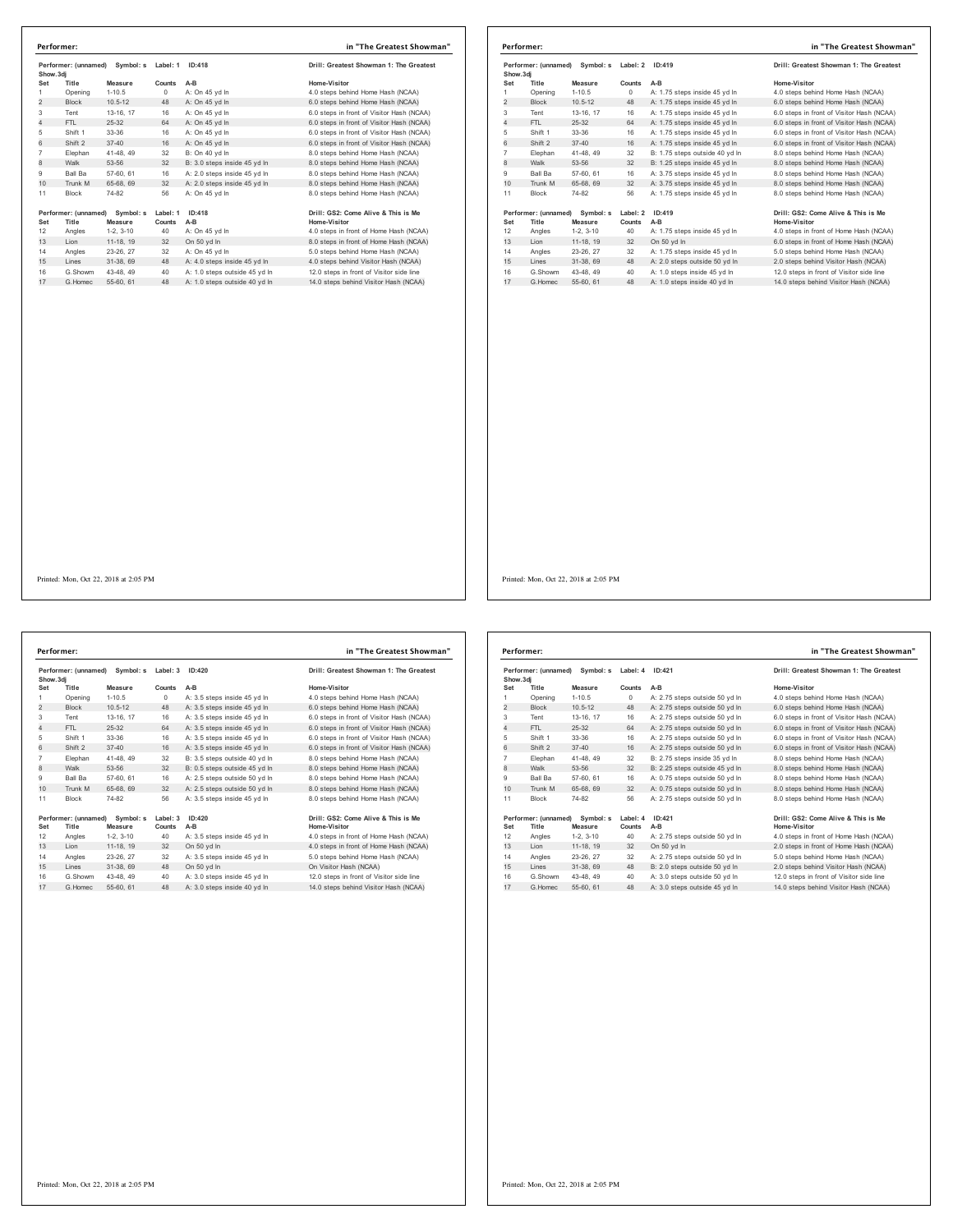| Show.3di<br>Title<br>Opening<br><b>Block</b> | Measure<br>$1 - 10.5$                                            | Counts                                                                                                                                                                                                     | A-B                                        |                                                                                                                                                          |
|----------------------------------------------|------------------------------------------------------------------|------------------------------------------------------------------------------------------------------------------------------------------------------------------------------------------------------------|--------------------------------------------|----------------------------------------------------------------------------------------------------------------------------------------------------------|
|                                              |                                                                  |                                                                                                                                                                                                            |                                            | Home-Visitor                                                                                                                                             |
|                                              |                                                                  | $^{\circ}$                                                                                                                                                                                                 | A: On 45 yd In                             | 4.0 steps behind Home Hash (NCAA)                                                                                                                        |
|                                              | $10.5 - 12$                                                      | 48                                                                                                                                                                                                         | A: On 45 yd In                             | 6.0 steps behind Home Hash (NCAA)                                                                                                                        |
| Tent                                         | 13-16, 17                                                        | 16                                                                                                                                                                                                         | A: On 45 yd In                             | 6.0 steps in front of Visitor Hash (NCAA)                                                                                                                |
| FTI.                                         |                                                                  | 64                                                                                                                                                                                                         | A: On 45 vd In                             | 6.0 steps in front of Visitor Hash (NCAA)                                                                                                                |
| Shift 1                                      |                                                                  | 16                                                                                                                                                                                                         | A: On 45 yd In                             | 6.0 steps in front of Visitor Hash (NCAA)                                                                                                                |
| Shift 2                                      |                                                                  | 16                                                                                                                                                                                                         | A: On 45 vd In                             | 6.0 steps in front of Visitor Hash (NCAA)                                                                                                                |
| Elephan                                      |                                                                  | 32                                                                                                                                                                                                         | B: On 40 vd In                             | 8.0 steps behind Home Hash (NCAA)                                                                                                                        |
| Walk                                         |                                                                  | 32                                                                                                                                                                                                         | B: 3.0 steps inside 45 yd In               | 8.0 steps behind Home Hash (NCAA)                                                                                                                        |
| Ball Ba                                      |                                                                  | 16                                                                                                                                                                                                         | A: 2.0 steps inside 45 vd In               | 8.0 steps behind Home Hash (NCAA)                                                                                                                        |
| Trunk M                                      |                                                                  | 32                                                                                                                                                                                                         | A: 2.0 steps inside 45 vd In               | 8.0 steps behind Home Hash (NCAA)                                                                                                                        |
| <b>Block</b>                                 |                                                                  | 56                                                                                                                                                                                                         | A: On 45 yd In                             | 8.0 steps behind Home Hash (NCAA)                                                                                                                        |
|                                              | Symbol: s                                                        | Label: 1                                                                                                                                                                                                   | ID:418                                     | Drill: GS2: Come Alive & This is Me                                                                                                                      |
|                                              |                                                                  |                                                                                                                                                                                                            |                                            | Home-Visitor<br>4.0 steps in front of Home Hash (NCAA)                                                                                                   |
|                                              |                                                                  |                                                                                                                                                                                                            |                                            | 8.0 steps in front of Home Hash (NCAA)                                                                                                                   |
|                                              |                                                                  |                                                                                                                                                                                                            |                                            | 5.0 steps behind Home Hash (NCAA)                                                                                                                        |
|                                              |                                                                  |                                                                                                                                                                                                            |                                            |                                                                                                                                                          |
|                                              |                                                                  |                                                                                                                                                                                                            |                                            | 4.0 steps behind Visitor Hash (NCAA)<br>12.0 steps in front of Visitor side line                                                                         |
|                                              |                                                                  |                                                                                                                                                                                                            |                                            | 14.0 steps behind Visitor Hash (NCAA)                                                                                                                    |
|                                              | Title<br>Angles<br>Lion<br>Angles<br>Lines<br>G.Showm<br>G Homec | $25 - 32$<br>33-36<br>$37 - 40$<br>41-48, 49<br>53-56<br>57-60, 61<br>65-68, 69<br>74-82<br>Performer: (unnamed)<br>Measure<br>$1-2.3-10$<br>11-18, 19<br>23-26, 27<br>31-38, 69<br>43-48, 49<br>55-60, 61 | Counts<br>40<br>32<br>32<br>48<br>40<br>48 | A-B<br>A: On 45 yd In<br>On 50 yd In<br>A: On 45 vd In<br>A: 4.0 steps inside 45 yd In<br>A: 1.0 steps outside 45 vd In<br>A: 1.0 steps outside 40 vd In |

|                | Performer: (unnamed) Symbol: s |             | Label: 2 | ID:419                         | Drill: Greatest Showman 1: The Greatest   |
|----------------|--------------------------------|-------------|----------|--------------------------------|-------------------------------------------|
| Show, 3di      |                                |             |          |                                |                                           |
| Set            | Title                          | Measure     | Counts   | $A-B$                          | Home-Visitor                              |
| 1              | Opening                        | $1 - 10.5$  | $\circ$  | A: 1.75 steps inside 45 yd In  | 4.0 steps behind Home Hash (NCAA)         |
| $\overline{c}$ | <b>Block</b>                   | $10.5 - 12$ | 48       | A: 1.75 steps inside 45 yd In  | 6.0 steps behind Home Hash (NCAA)         |
| 3              | Tent                           | 13-16, 17   | 16       | A: 1.75 steps inside 45 yd In  | 6.0 steps in front of Visitor Hash (NCAA) |
| $\overline{4}$ | FTI.                           | $25-32$     | 64       | A: 1.75 steps inside 45 vd In  | 6.0 steps in front of Visitor Hash (NCAA) |
| 5              | Shift 1                        | 33-36       | 16       | A: 1.75 steps inside 45 yd In  | 6.0 steps in front of Visitor Hash (NCAA) |
| 6              | Shift 2                        | $37 - 40$   | 16       | A: 1.75 steps inside 45 vd In  | 6.0 steps in front of Visitor Hash (NCAA) |
| $\overline{7}$ | Elephan                        | 41-48, 49   | 32       | B: 1.75 steps outside 40 yd In | 8.0 steps behind Home Hash (NCAA)         |
| 8              | Walk                           | 53-56       | 32       | B: 1.25 steps inside 45 yd In  | 8.0 steps behind Home Hash (NCAA)         |
| 9              | <b>Ball Ba</b>                 | 57-60, 61   | 16       | A: 3.75 steps inside 45 vd In  | 8.0 steps behind Home Hash (NCAA)         |
| 10             | Trunk M                        | 65-68, 69   | 32       | A: 3.75 steps inside 45 yd In  | 8.0 steps behind Home Hash (NCAA)         |
| 11             | <b>Block</b>                   | 74-82       | 56       | A: 1.75 steps inside 45 vd In  | 8.0 steps behind Home Hash (NCAA)         |
|                | Performer: (unnamed) Symbol: s |             | Label: 2 | ID:419                         | Drill: GS2: Come Alive & This is Me       |
| Set            | Title                          | Measure     | Counts   | A-B                            | <b>Home-Visitor</b>                       |
| 12             | Angles                         | $1-2, 3-10$ | 40       | A: 1.75 steps inside 45 yd In  | 4.0 steps in front of Home Hash (NCAA)    |
| 13             | Lion                           | 11-18, 19   | 32       | On 50 yd In                    | 6.0 steps in front of Home Hash (NCAA)    |
| 14             | Angles                         | 23-26, 27   | 32       | A: 1.75 steps inside 45 vd In  | 5.0 steps behind Home Hash (NCAA)         |
| 15             | Lines                          | 31-38, 69   | 48       | A: 2.0 steps outside 50 yd In  | 2.0 steps behind Visitor Hash (NCAA)      |
| 16             | G.Showm                        | 43-48, 49   | 40       | A: 1.0 steps inside 45 vd In   | 12.0 steps in front of Visitor side line  |
| 17             | G Homec                        | 55-60 61    | 48       | A: 1.0 steps inside 40 vd In   | 14.0 steps behind Visitor Hash (NCAA)     |

 $\overline{1}$ 

Printed: Mon, Oct 22, 2018 at 2:05 PM

**Performer: (unnamed) Symbol: s Label: 3 ID:420 Drill: Greatest Showman 1: The Greatest Show.3dj Set Title Measure Counts A-B Home-Visitor** dj<br>1 Title Measure Counts A-B<br>Opening 1-10.5 0 A: 3.5 steps inside 45 yd ln 4.0 steps behind Home Hash (NCAA) 2 Block 10.5-12 48 A: 3.5 steps inside 45 yd in 6.0 steps behind Home Hash (NCAA)<br>2 Block 10.5-12 48 A: 3.5 steps inside 45 yd ln 6.0 steps behind Home Hash (NCAA) 3 Tent 13-16, 17 16 A: 3.5 steps inside 45 yd ln<br>4 FTL 25-32 64 A: 3.5 steps inside 45 yd ln 4 FTL 25-32 64 A: 3.5 steps inside 45 yd ln<br>
4 FTL 25-32 64 A: 3.5 steps inside 45 yd ln<br>
4 Shift 33-36 16 A: 3.5 steps inside 45 yd ln<br>
5.0 steps in front of Visitor Hash (NCAA)<br>
5.0 Steps in front of Visitor Hash (NCAA)<br> Shift 1 33-36 16 A: 3.5 steps inside 45 yd ln 6.0 steps in front of Visitor Hash (NCAA) 6 Shift 2 37-40 16 A: 3.5 steps inside 45 yd ln 6.0 steps in front of Visitor Hash (NCAA) Elephan 41-48, 49 32 B: 3.5 steps outside 40 yd ln 8.0 steps behind Home Hash (NCAA) 8 B: 3.5 steps butside 40 yd in 8.0 steps butside 45 yd in 9 Ball Ba 57-60, 61 16 A: 2.5 steps outside 50 yd ln 8.0 steps behind Home Hash (NCAA)<br>10 Trunk M 65-68, 69 32 A: 2.5 steps outside 50 yd ln 8.0 steps behind Home Hash (NCAA) Trunk M 65-68, 69 32 A: 2.5 steps outside 50 yd ln 8.0 steps behind Home Hash (NCAA) Block 74-82 56 A: 3.5 steps inside 45 yd ln 8.0 steps behind Home Hash (NCAA) Drifl:GS2:Come Alive & This is Me و Drill:GS2:Come Alive & This is Me<br>Set Title Measure Counts A-B Aprovision Home-Visitor<br>12 Angles 1-2, 3-10 40 A: 3.5 steps inside 45 yd in 4.0 steps in front of Home Hash (NCAA) 12 Angles 12, 3-10 40 A: 3.5 steps inside 45 yd in 4.0 steps in front of Home Hash (NCAA)<br>13 Lion 11-18, 19 32 On 50 yd ln 4.0 steps in 4.0 steps in front of Home Hash (NCAA)<br>14 Angles 23-26, 27 32 A: 3.5 steps inside 45 y Angles 23-26, 27 32 A: 3.5 steps inside 45 yd ln 5.0 steps behind Home Hash (NCAA) 15 Lines 31-38, 69 48 On 50 yd ln On Visitor Hash (NCAA) G.Showm 43-48, 49 40 A: 3.0 steps inside 45 yd ln 12.0 steps in front of Visitor side line 17 G.Homec 55-60, 61 48 A: 3.0 steps inside 40 yd ln 14.0 steps behind Visitor Hash (NCAA) **Performer: in "The Greatest Showman"**

| Show, 3di      | Performer: (unnamed) Symbol: s |             | Label: 4 | ID:421                         | Drill: Greatest Showman 1: The Greatest   |
|----------------|--------------------------------|-------------|----------|--------------------------------|-------------------------------------------|
| Set            | Title                          | Measure     | Counts   | $A-B$                          | Home-Visitor                              |
| 1              | Opening                        | $1 - 10.5$  | $\circ$  | A: 2.75 steps outside 50 vd In | 4.0 steps behind Home Hash (NCAA)         |
| $\overline{2}$ | <b>Block</b>                   | $10.5 - 12$ | 48       | A: 2.75 steps outside 50 yd In | 6.0 steps behind Home Hash (NCAA)         |
| 3              | Tent                           | 13-16. 17   | 16       | A: 2.75 steps outside 50 vd In | 6.0 steps in front of Visitor Hash (NCAA) |
| 4              | FTL                            | $25 - 32$   | 64       | A: 2.75 steps outside 50 yd In | 6.0 steps in front of Visitor Hash (NCAA) |
| 5              | Shift 1                        | 33-36       | 16       | A: 2.75 steps outside 50 yd In | 6.0 steps in front of Visitor Hash (NCAA) |
| 6              | Shift 2                        | $37 - 40$   | 16       | A: 2.75 steps outside 50 yd In | 6.0 steps in front of Visitor Hash (NCAA) |
| $\overline{7}$ | Elephan                        | 41-48, 49   | 32       | B: 2.75 steps inside 35 vd In  | 8.0 steps behind Home Hash (NCAA)         |
| 8              | Walk                           | 53-56       | 32       | B: 2.25 steps outside 45 yd In | 8.0 steps behind Home Hash (NCAA)         |
| 9              | Ball Ba                        | 57-60, 61   | 16       | A: 0.75 steps outside 50 vd In | 8.0 steps behind Home Hash (NCAA)         |
| 10             | Trunk M                        | 65-68, 69   | 32       | A: 0.75 steps outside 50 yd In | 8.0 steps behind Home Hash (NCAA)         |
| 11             | <b>Block</b>                   | 74-82       | 56       | A: 2.75 steps outside 50 vd In | 8.0 steps behind Home Hash (NCAA)         |
|                | Performer: (unnamed) Symbol: s |             | Label: 4 | ID:421                         | Drill: GS2: Come Alive & This is Me       |
| Set            | Title                          | Measure     | Counts   | $A-B$                          | Home-Visitor                              |
| 12             | Angles                         | $1-2, 3-10$ | 40       | A: 2.75 steps outside 50 yd In | 4.0 steps in front of Home Hash (NCAA)    |
| 13             | Lion                           | 11-18. 19   | 32       | On 50 vd In                    | 2.0 steps in front of Home Hash (NCAA)    |
| 14             | Angles                         | 23-26, 27   | 32       | A: 2.75 steps outside 50 vd In | 5.0 steps behind Home Hash (NCAA)         |
| 15             | Lines                          | 31-38, 69   | 48       | B: 2.0 steps outside 50 yd In  | 2.0 steps behind Visitor Hash (NCAA)      |
| 16             | G.Showm                        | 43-48.49    | 40       | A: 3.0 steps outside 50 vd In  | 12.0 steps in front of Visitor side line  |
| 17             | G. Homec                       | 55-60, 61   | 48       | A: 3.0 steps outside 45 yd In  | 14.0 steps behind Visitor Hash (NCAA)     |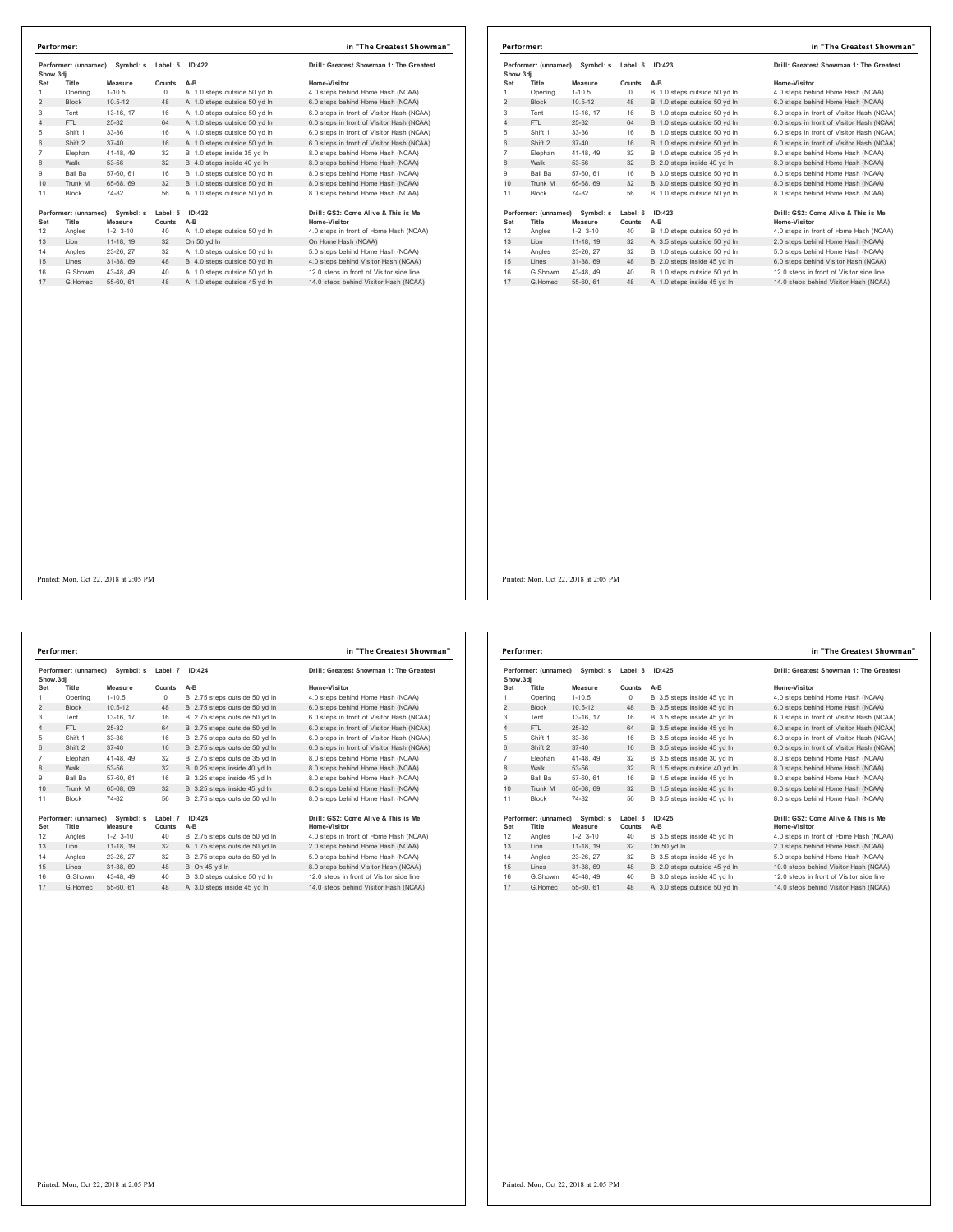| Show.3di       | Performer: (unnamed) | Symbol: s             | ID:422<br>Label: 5 |                                              | Drill: Greatest Showman 1: The Greatest                       |
|----------------|----------------------|-----------------------|--------------------|----------------------------------------------|---------------------------------------------------------------|
| Set            | Title                | Measure               | Counts             | $A-B$                                        | Home-Visitor                                                  |
| 1              | Opening              | $1 - 10.5$            | 0                  | A: 1.0 steps outside 50 yd In                | 4.0 steps behind Home Hash (NCAA)                             |
| $\overline{2}$ | <b>Block</b>         | $10.5 - 12$           | 48                 | A: 1.0 steps outside 50 vd In                | 6.0 steps behind Home Hash (NCAA)                             |
| 3              | Tent                 | 13-16. 17             | 16                 | A: 1.0 steps outside 50 yd In                | 6.0 steps in front of Visitor Hash (NCAA)                     |
| $\overline{4}$ | FTI.                 | $25 - 32$             | 64                 | A: 1.0 steps outside 50 vd In                | 6.0 steps in front of Visitor Hash (NCAA)                     |
| 5              | Shift 1              | 33-36                 | 16                 | A: 1.0 steps outside 50 yd In                | 6.0 steps in front of Visitor Hash (NCAA)                     |
| 6              | Shift 2              | $37 - 40$             | 16                 | A: 1.0 steps outside 50 vd In                | 6.0 steps in front of Visitor Hash (NCAA)                     |
| $\overline{7}$ | Elephan              | 41-48.49              | 32                 | B: 1.0 steps inside 35 yd In                 | 8.0 steps behind Home Hash (NCAA)                             |
| 8              | Walk                 | 53-56                 | 32                 | B: 4.0 steps inside 40 yd In                 | 8.0 steps behind Home Hash (NCAA)                             |
| 9              | Ball Ba              | 57-60, 61             | 16                 | B: 1.0 steps outside 50 vd In                | 8.0 steps behind Home Hash (NCAA)                             |
| 10             | Trunk M              | 65-68, 69             | 32                 | B: 1.0 steps outside 50 yd In                | 8.0 steps behind Home Hash (NCAA)                             |
| 11             | <b>Block</b>         | 74-82                 | 56                 | A: 1.0 steps outside 50 yd In                | 8.0 steps behind Home Hash (NCAA)                             |
|                | Performer: (unnamed) | Symbol: s             | Label: 5           | ID:422                                       | Drill: GS2: Come Alive & This is Me                           |
| Set<br>12      | Title                | Measure<br>$1-2.3-10$ | Counts<br>40       | $A-B$                                        | Home-Visitor                                                  |
| 13             | Angles<br>Lion       | 11-18, 19             | 32                 | A: 1.0 steps outside 50 yd In<br>On 50 yd In | 4.0 steps in front of Home Hash (NCAA)<br>On Home Hash (NCAA) |
|                |                      |                       |                    |                                              |                                                               |
| 14             | Angles               | 23-26, 27             | 32                 | A: 1.0 steps outside 50 vd In                | 5.0 steps behind Home Hash (NCAA)                             |
| 15             | Lines                | 31-38.69              | 48                 | B: 4.0 steps outside 50 yd In                | 4.0 steps behind Visitor Hash (NCAA)                          |
| 16             | G.Showm              | 43-48, 49             | 40                 | A: 1.0 steps outside 50 vd In                | 12.0 steps in front of Visitor side line                      |
| 17             | G Homec              | 55-60 61              | 48                 | A: 1.0 steps outside 45 vd In                | 14.0 steps behind Visitor Hash (NCAA)                         |

|                                                         | Performer:           |             |          |                               | in "The Greatest Showman"                 |
|---------------------------------------------------------|----------------------|-------------|----------|-------------------------------|-------------------------------------------|
| Performer: (unnamed)<br>Symbol: s Label: 6<br>Show, 3di |                      |             | ID:423   |                               | Drill: Greatest Showman 1: The Greatest   |
| Set                                                     | Title                | Measure     | Counts   | $A-B$                         | Home-Visitor                              |
| 1                                                       | Opening              | $1 - 10.5$  | $\circ$  | B: 1.0 steps outside 50 vd In | 4.0 steps behind Home Hash (NCAA)         |
| 2                                                       | <b>Block</b>         | $10.5 - 12$ | 48       | B: 1.0 steps outside 50 yd In | 6.0 steps behind Home Hash (NCAA)         |
| 3                                                       | Tent                 | 13-16, 17   | 16       | B: 1.0 steps outside 50 yd In | 6.0 steps in front of Visitor Hash (NCAA) |
| $\overline{4}$                                          | FTI.                 | $25-32$     | 64       | B: 1.0 steps outside 50 yd In | 6.0 steps in front of Visitor Hash (NCAA) |
| 5                                                       | Shift 1              | 33-36       | 16       | B: 1.0 steps outside 50 vd In | 6.0 steps in front of Visitor Hash (NCAA) |
| 6                                                       | Shift 2              | $37 - 40$   | 16       | B: 1.0 steps outside 50 vd In | 6.0 steps in front of Visitor Hash (NCAA) |
| $\overline{7}$                                          | Elephan              | 41-48, 49   | 32       | B: 1.0 steps outside 35 vd In | 8.0 steps behind Home Hash (NCAA)         |
| 8                                                       | Walk                 | 53-56       | 32       | B: 2.0 steps inside 40 yd In  | 8.0 steps behind Home Hash (NCAA)         |
| 9                                                       | Ball Ba              | 57-60, 61   | 16       | B: 3.0 steps outside 50 vd In | 8.0 steps behind Home Hash (NCAA)         |
| 10                                                      | Trunk M              | 65-68, 69   | 32       | B: 3.0 steps outside 50 yd In | 8.0 steps behind Home Hash (NCAA)         |
| 11                                                      | Block                | 74-82       | 56       | B: 1.0 steps outside 50 yd In | 8.0 steps behind Home Hash (NCAA)         |
|                                                         | Performer: (unnamed) | Symbol: s   | Label: 6 | ID:423                        | Drill: GS2: Come Alive & This is Me       |
| Set                                                     | Title                | Measure     | Counts   | A-B                           | Home-Visitor                              |
| 12                                                      | Angles               | $1-2.3-10$  | 40       | B: 1.0 steps outside 50 vd In | 4.0 steps in front of Home Hash (NCAA)    |
| 13                                                      | Lion                 | 11-18, 19   | 32       | A: 3.5 steps outside 50 yd In | 2.0 steps behind Home Hash (NCAA)         |
| 14                                                      | Angles               | 23-26, 27   | 32       | B: 1.0 steps outside 50 vd In | 5.0 steps behind Home Hash (NCAA)         |
| 15                                                      | Lines                | 31-38, 69   | 48       | B: 2.0 steps inside 45 yd In  | 6.0 steps behind Visitor Hash (NCAA)      |
| 16                                                      | G.Showm              | 43-48, 49   | 40       | B: 1.0 steps outside 50 vd In | 12.0 steps in front of Visitor side line  |
| 17                                                      | G Homec              | 55-60, 61   | 48       | A: 1.0 steps inside 45 vd In  | 14.0 steps behind Visitor Hash (NCAA)     |

Performer: (unnamed) Symbol: s Label: 7 ID:424 **Drill: Greatest Showman 1: The Greatest Show.3dj Set Title Measure Counts A-B Home-Visitor** 1 Opening 1-10.5 0 B: 2.75 steps outside 50 yd ln 4.0 steps behind Home Hash (NCAA) 2 Block 10.5-12 48 B: 2.75 steps outside 50 yd ln 6.0 steps behind Home Hash (NCAA)<br>2 Block 10.5-12 48 B: 2.75 steps outside 50 yd ln 6.0 steps behind Home Hash (NCAA) Tent 13-16, 17 16 B: 2.75 steps outside 50 yd ln 6.0 steps in front of Visitor Hash (NCAA) 4 FTL 25-32 64 B: 2.75 steps outside 50 yd ln<br>
4 FTL 25-32 64 B: 2.75 steps outside 50 yd ln 6.0 steps in front of Visitor Hash (NCAA)<br>
5 Shift 1 33-36 16 B: 2.75 steps outside 50 yd ln 6.0 steps in front of Visitor Hash ( Shift 1 33-36 16 B: 2.75 steps outside 50 yd ln 6.0 steps in front of Visitor Hash (NCAA) 6 Shift 2 37-40 16 B: 2.75 steps outside 50 yd ln 6.0 steps in front of Visitor Hash (NCAA) Elephan 41-48, 49 32 B: 2.75 steps outside 35 yd ln 8.0 steps behind Home Hash (NCAA) 8 Walk 53-56 32 B: 0.25 steps inside 40 yd ln 8.0 steps behind Home Hash (NCAA) Ball Ba 57-60, 61 16 B: 3.25 steps inside 45 yd ln 8.0 steps behind Home Hash (NCAA) 10 Trunk M 65-68, 69 32 B: 3.25 steps inside 45 yd ln Block 74-82 56 B: 2.75 steps outside 50 yd ln 8.0 steps behind Home Hash (NCAA) **Performer: (unnamed) Symbol: s Label: 7 ID:424 Drill: GS2: Come Alive & This is Me Set Title Measure Counts A-B Home-Visitor** 12 11 11 Measure Counts A-B<br>12 Angles 1-2, 3-10 40 B: 2.75 steps outside 50 yd in 4.0 steps in front of Home Hash (NCAA)<br>13 Lion 11-18, 19 32 A: 1.75 steps outside 50 yd in 2.0 steps behind Home Hash (NCAA) 13 B. 2.75 steps butside 50 yd in<br>32 A: 1.75 steps outside 50 yd ln Angles 23-26, 27 32 B: 2.75 steps outside 50 yd ln 5.0 steps behind Home Hash (NCAA) 15 Lines 31-38, 69 5-48, 69 48 and 15 Air (16 48 Air (16 48 Air 16 48 Air 16.0 steps in front of Visitor side line<br>14.0 steps behind Visitor Hash (NCAA) G.Showm 43-48, 49 40 B: 3.0 steps outside 50 yd ln 12.0 steps in front of Visitor side line 17 G.Homec 55-60, 61 48 A: 3.0 steps inside 45 yd ln 14.0 steps behind Visitor Hash (NCAA) **Performer: in "The Greatest Showman"**

| Performer: (unnamed)<br>Symbol: s<br>Show, 3di |                               |                      | Label: 8<br>ID:425 | Drill: Greatest Showman 1: The Greatest |                                                     |
|------------------------------------------------|-------------------------------|----------------------|--------------------|-----------------------------------------|-----------------------------------------------------|
| Set                                            | Title                         | Measure              | Counts             | $A-B$                                   | Home-Visitor                                        |
| 1                                              | Opening                       | $1 - 10.5$           | $\circ$            | B: 3.5 steps inside 45 yd In            | 4.0 steps behind Home Hash (NCAA)                   |
| 2                                              | <b>Block</b>                  | $10.5 - 12$          | 48                 | B: 3.5 steps inside 45 yd In            | 6.0 steps behind Home Hash (NCAA)                   |
| 3                                              | Tent                          | 13-16, 17            | 16                 | B: 3.5 steps inside 45 vd In            | 6.0 steps in front of Visitor Hash (NCAA)           |
| 4                                              | FTI.                          | 25-32                | 64                 | B: 3.5 steps inside 45 yd In            | 6.0 steps in front of Visitor Hash (NCAA)           |
| 5                                              | Shift 1                       | 33-36                | 16                 | B: 3.5 steps inside 45 yd In            | 6.0 steps in front of Visitor Hash (NCAA)           |
| 6                                              | Shift 2                       | $37 - 40$            | 16                 | B: 3.5 steps inside 45 vd In            | 6.0 steps in front of Visitor Hash (NCAA)           |
| $\overline{7}$                                 | Elephan                       | 41-48, 49            | 32                 | B: 3.5 steps inside 30 vd In            | 8.0 steps behind Home Hash (NCAA)                   |
| 8                                              | Walk                          | 53-56                | 32                 | B: 1.5 steps outside 40 yd In           | 8.0 steps behind Home Hash (NCAA)                   |
| 9                                              | Ball Ba                       | 57-60, 61            | 16                 | B: 1.5 steps inside 45 vd In            | 8.0 steps behind Home Hash (NCAA)                   |
| 10                                             | Trunk M                       | 65-68, 69            | 32                 | B: 1.5 steps inside 45 yd In            | 8.0 steps behind Home Hash (NCAA)                   |
| 11                                             | <b>Block</b>                  | 74-82                | 56                 | B: 3.5 steps inside 45 vd In            | 8.0 steps behind Home Hash (NCAA)                   |
| Set                                            | Performer: (unnamed)<br>Title | Symbol: s<br>Measure | Label: 8<br>Counts | ID:425<br>$A-B$                         | Drill: GS2: Come Alive & This is Me<br>Home-Visitor |
| 12                                             | Angles                        | $1-2.3-10$           | 40                 | B: 3.5 steps inside 45 yd In            | 4.0 steps in front of Home Hash (NCAA)              |
| 13                                             | Lion                          | 11-18. 19            | 32                 | On 50 vd In                             | 2.0 steps behind Home Hash (NCAA)                   |
| 14                                             | Angles                        | 23-26, 27            | 32                 | B: 3.5 steps inside 45 vd In            | 5.0 steps behind Home Hash (NCAA)                   |
| 15                                             | Lines                         | 31-38, 69            | 48                 | B: 2.0 steps outside 45 yd In           | 10.0 steps behind Visitor Hash (NCAA)               |
| 16                                             | G.Showm                       | 43-48.49             | 40                 | B: 3.0 steps inside 45 vd In            | 12.0 steps in front of Visitor side line            |
| 17                                             | G. Homec                      | 55-60, 61            | 48                 | A: 3.0 steps outside 50 vd In           | 14.0 steps behind Visitor Hash (NCAA)               |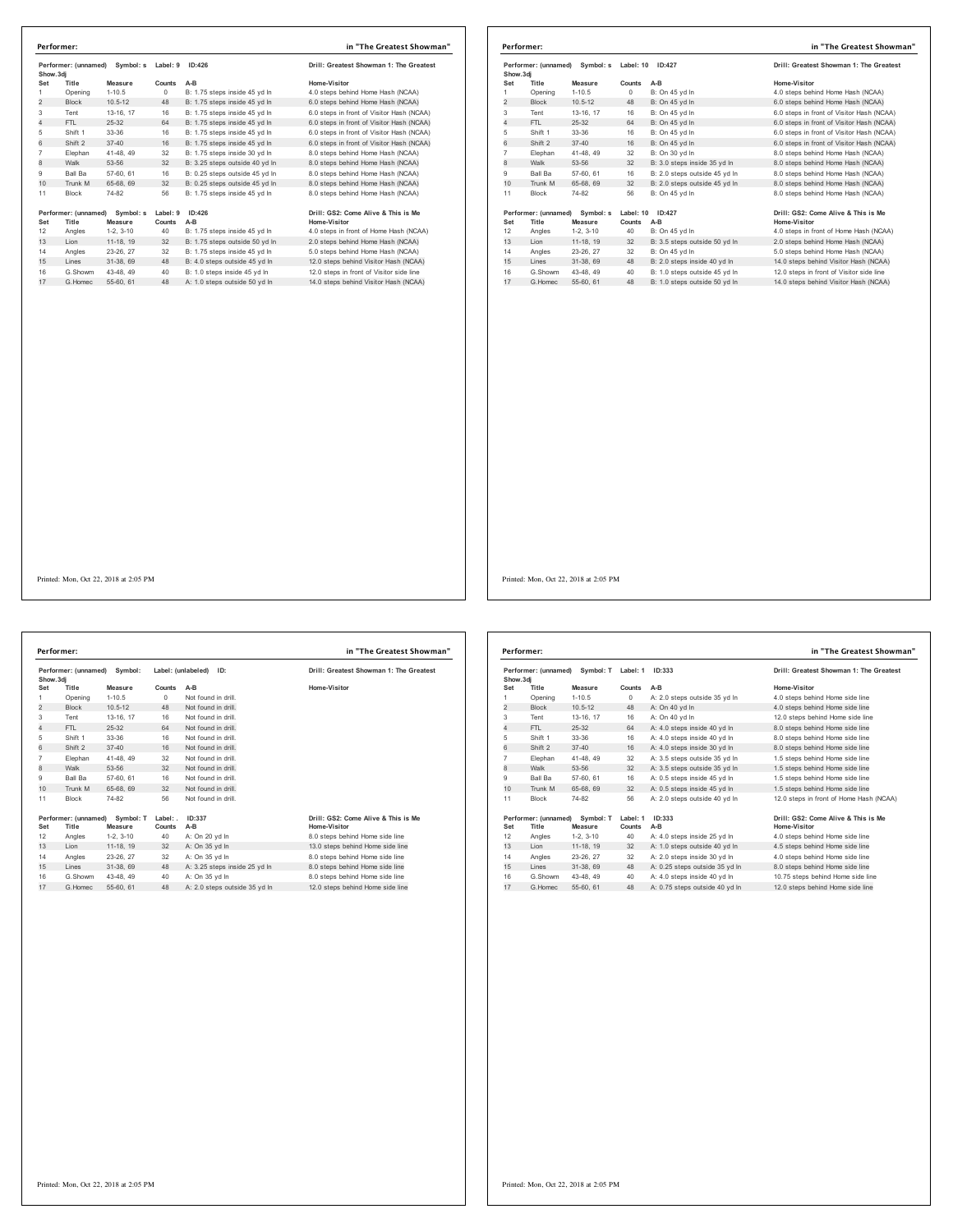| Show.3di       | Performer: (unnamed)<br>Symbol: s |                      | Label: 9<br>ID:426 |                                        | Drill: Greatest Showman 1: The Greatest                                           |
|----------------|-----------------------------------|----------------------|--------------------|----------------------------------------|-----------------------------------------------------------------------------------|
| Set            | Title                             | Measure              | Counts             | $A-B$                                  | Home-Visitor                                                                      |
| 1              | Opening                           | $1 - 10.5$           | 0                  | B: 1.75 steps inside 45 vd In          | 4.0 steps behind Home Hash (NCAA)                                                 |
| $\overline{2}$ | <b>Block</b>                      | $10.5 - 12$          | 48                 | B: 1.75 steps inside 45 yd In          | 6.0 steps behind Home Hash (NCAA)                                                 |
| 3              | Tent                              | 13-16, 17            | 16                 | B: 1.75 steps inside 45 yd In          | 6.0 steps in front of Visitor Hash (NCAA)                                         |
| 4              | FTI.                              | 25-32                | 64                 | B: 1.75 steps inside 45 vd In          | 6.0 steps in front of Visitor Hash (NCAA)                                         |
| 5              | Shift 1                           | $33 - 36$            | 16                 | B: 1.75 steps inside 45 yd In          | 6.0 steps in front of Visitor Hash (NCAA)                                         |
| 6              | Shift 2                           | $37 - 40$            | 16                 | B: 1.75 steps inside 45 vd In          | 6.0 steps in front of Visitor Hash (NCAA)                                         |
| $\overline{7}$ | Elephan                           | 41-48, 49            | 32                 | B: 1.75 steps inside 30 yd In          | 8.0 steps behind Home Hash (NCAA)                                                 |
| 8              | Walk                              | 53-56                | 32                 | B: 3.25 steps outside 40 yd In         | 8.0 steps behind Home Hash (NCAA)                                                 |
| 9              | Ball Ba                           | 57-60, 61            | 16                 | B: 0.25 steps outside 45 vd In         | 8.0 steps behind Home Hash (NCAA)                                                 |
| 10             | Trunk M                           | 65-68, 69            | 32                 | B: 0.25 steps outside 45 yd In         | 8.0 steps behind Home Hash (NCAA)                                                 |
| 11             | <b>Block</b>                      | 74-82                | 56                 | B: 1.75 steps inside 45 yd In          | 8.0 steps behind Home Hash (NCAA)                                                 |
| Set            | Performer: (unnamed)<br>Title     | Symbol: s<br>Measure | Label: 9<br>Counts | ID:426                                 | Drill: GS2: Come Alive & This is Me<br>Home-Visitor                               |
| 12             | Angles                            | $1-2.3-10$           | 40                 | $A-B$<br>B: 1.75 steps inside 45 yd In | 4.0 steps in front of Home Hash (NCAA)                                            |
| 13             | Lion                              | 11-18. 19            | 32                 | B: 1.75 steps outside 50 yd In         | 2.0 steps behind Home Hash (NCAA)                                                 |
| 14             | Angles                            | 23-26, 27            | 32                 | B: 1.75 steps inside 45 vd In          | 5.0 steps behind Home Hash (NCAA)                                                 |
| 15             | Lines                             | 31-38.69             | 48                 | B: 4.0 steps outside 45 yd In          |                                                                                   |
| 16             | G.Showm                           | 43-48, 49            | 40                 | B: 1.0 steps inside 45 yd In           | 12.0 steps behind Visitor Hash (NCAA)<br>12.0 steps in front of Visitor side line |
|                |                                   |                      |                    |                                        |                                                                                   |
| 17             | G.Homec                           | 55-60, 61            | 48                 | A: 1.0 steps outside 50 yd In          | 14.0 steps behind Visitor Hash (NCAA)                                             |

|                | Performer:   |                                |           |                               | in "The Greatest Showman"                 |
|----------------|--------------|--------------------------------|-----------|-------------------------------|-------------------------------------------|
| Show, 3di      |              | Performer: (unnamed) Symbol: s | Label: 10 | ID:427                        | Drill: Greatest Showman 1: The Greatest   |
| Set            | Title        | Measure                        | Counts    | $A-B$                         | Home-Visitor                              |
| 1              | Opening      | $1 - 10.5$                     | $\Omega$  | B: On 45 yd In                | 4.0 steps behind Home Hash (NCAA)         |
| 2              | <b>Block</b> | $10.5 - 12$                    | 48        | B: On 45 yd In                | 6.0 steps behind Home Hash (NCAA)         |
| 3              | Tent         | 13-16. 17                      | 16        | B: On 45 yd In                | 6.0 steps in front of Visitor Hash (NCAA) |
| $\overline{4}$ | FTL.         | $25 - 32$                      | 64        | B: On 45 vd In                | 6.0 steps in front of Visitor Hash (NCAA) |
| 5              | Shift 1      | 33-36                          | 16        | B: On 45 yd In                | 6.0 steps in front of Visitor Hash (NCAA) |
| 6              | Shift 2      | $37 - 40$                      | 16        | B: On 45 vd In                | 6.0 steps in front of Visitor Hash (NCAA) |
| $\overline{7}$ | Elephan      | 41-48.49                       | 32        | B: On 30 yd In                | 8.0 steps behind Home Hash (NCAA)         |
| 8              | Walk         | 53-56                          | 32        | B: 3.0 steps inside 35 yd In  | 8.0 steps behind Home Hash (NCAA)         |
| 9              | Ball Ba      | 57-60, 61                      | 16        | B: 2.0 steps outside 45 vd In | 8.0 steps behind Home Hash (NCAA)         |
| 10             | Trunk M      | 65-68, 69                      | 32        | B: 2.0 steps outside 45 yd In | 8.0 steps behind Home Hash (NCAA)         |
| 11             | <b>Block</b> | 74-82                          | 56        | B: On 45 vd In                | 8.0 steps behind Home Hash (NCAA)         |
|                |              | Performer: (unnamed) Symbol: s | Label: 10 | ID:427                        | Drill: GS2: Come Alive & This is Me       |
| Set            | Title        | Measure                        | Counts    | A-B                           | <b>Home-Visitor</b>                       |
| 12             | Angles       | $1-2.3-10$                     | 40        | B: On 45 yd In                | 4.0 steps in front of Home Hash (NCAA)    |
| 13             | Lion         | 11-18, 19                      | 32        | B: 3.5 steps outside 50 yd In | 2.0 steps behind Home Hash (NCAA)         |
| 14             | Angles       | 23-26, 27                      | 32        | B: On 45 vd In                | 5.0 steps behind Home Hash (NCAA)         |
| 15             | Lines        | 31-38, 69                      | 48        | B: 2.0 steps inside 40 vd In  | 14.0 steps behind Visitor Hash (NCAA)     |
| 16             | G.Showm      | 43-48.49                       | 40        | B: 1.0 steps outside 45 yd In | 12.0 steps in front of Visitor side line  |
| 17             | G. Homec     | 55-60, 61                      | 48        | B: 1.0 steps outside 50 yd In | 14.0 steps behind Visitor Hash (NCAA)     |

**Performer: (unnamed) Symbol: Label: (unlabeled) ID: Drill: Greatest Showman 1: The Greatest Show.3dj Set Title Measure Counts A-B Home-Visitor** 1 Opening 1-10.5 0 Not found in drill. 2 Block 10.5-12 48 Not found in drill. Tent 13-16, 17 16 Not found in drill. 4 FTL 25-32 64 Not found in drill. Shift 1 33-36 16 Not found in drill. 6 Shift 2 37-40 16 Not found in drill. Elephan 41-48, 49 32 Not found in drill. 8 Walk 53-56 32 Not found in drill. 9 Ball Ba 57-60, 61 16 Not found in drill. 10 Trunk M 65-68, 69 32 Not found in drill. 11 Block 74-82 56 Not found in drill. Performer: (unnamed) Symbol: T Label: ID:337 Drill: GS2: Come Alive & This is Me<br>Set Title Measure Counts A-B Mome Visitor Home-Visitor (1991)<br>12 Angles 1-2, 3-10 40 A: On 20 yd In 8.0 steps behind Home side line<br>13 Lion 1 Angles 23-26, 27 32 A: On 35 yd ln 8.0 steps behind Home side line 15 Lines 31-38, 69 48 A: 3.25 steps inside 25 yd ln 8.0 steps behind Home side line **Performer: in "The Greatest Showman"**

G.Showm 43-48, 49 40 A: On 35 yd ln 8.0 steps behind Home side line 17 G.Homec 55-60, 61 48 A: 2.0 steps outside 35 yd ln 12.0 steps behind Home side line

| Performer: (unnamed) Symbol: T<br>Show, 3di |                               | Label: 1<br>ID:333   |                    | Drill: Greatest Showman 1: The Greatest |                                                     |
|---------------------------------------------|-------------------------------|----------------------|--------------------|-----------------------------------------|-----------------------------------------------------|
| Set                                         | Title                         | Measure              | Counts             | $A-B$                                   | Home-Visitor                                        |
| 1                                           | Opening                       | $1-10.5$             | $\Omega$           | A: 2.0 steps outside 35 yd In           | 4.0 steps behind Home side line                     |
| 2                                           | <b>Block</b>                  | $10.5 - 12$          | 48                 | A: On 40 vd In                          | 4.0 steps behind Home side line                     |
| 3                                           | Tent                          | 13-16, 17            | 16                 | A: On 40 vd In                          | 12.0 steps behind Home side line                    |
| 4                                           | FTI.                          | 25-32                | 64                 | A: 4.0 steps inside 40 yd In            | 8.0 steps behind Home side line                     |
| 5                                           | Shift 1                       | 33-36                | 16                 | A: 4.0 steps inside 40 vd In            | 8.0 steps behind Home side line                     |
| 6                                           | Shift 2                       | $37 - 40$            | 16                 | A: 4.0 steps inside 30 yd In            | 8.0 steps behind Home side line                     |
| $\overline{7}$                              | Elephan                       | 41-48, 49            | 32                 | A: 3.5 steps outside 35 vd In           | 1.5 steps behind Home side line                     |
| 8                                           | Walk                          | 53-56                | 32                 | A: 3.5 steps outside 35 yd In           | 1.5 steps behind Home side line                     |
| 9                                           | <b>Ball Ba</b>                | 57-60, 61            | 16                 | A: 0.5 steps inside 45 vd In            | 1.5 steps behind Home side line                     |
| 10                                          | Trunk M                       | 65-68, 69            | 32                 | A: 0.5 steps inside 45 yd In            | 1.5 steps behind Home side line                     |
| 11                                          | <b>Block</b>                  | 74-82                | 56                 | A: 2.0 steps outside 40 vd In           | 12.0 steps in front of Home Hash (NCAA)             |
| Set                                         | Performer: (unnamed)<br>Title | Symbol: T<br>Measure | Label: 1<br>Counts | ID: 333<br>$A-B$                        | Drill: GS2: Come Alive & This is Me<br>Home-Visitor |
| 12                                          | Angles                        | $1-2.3-10$           | 40                 | A: 4.0 steps inside 25 yd In            | 4.0 steps behind Home side line                     |
| 13                                          | I ion                         | 11-18. 19            | 32                 | A: 1.0 steps outside 40 yd In           | 4.5 steps behind Home side line                     |
| 14                                          | Angles                        | 23-26, 27            | 32                 | A: 2.0 steps inside 30 vd In            | 4.0 steps behind Home side line                     |
| 15                                          | Lines                         | 31-38, 69            | 48                 | A: 0.25 steps outside 35 yd In          | 8.0 steps behind Home side line                     |
| 16                                          | G.Showm                       | 43-48.49             | 40                 | A: 4.0 steps inside 40 vd In            | 10.75 steps behind Home side line                   |
| 17                                          | G Homec                       | 55-60, 61            | 48                 | A: 0.75 steps outside 40 vd In          | 12.0 steps behind Home side line                    |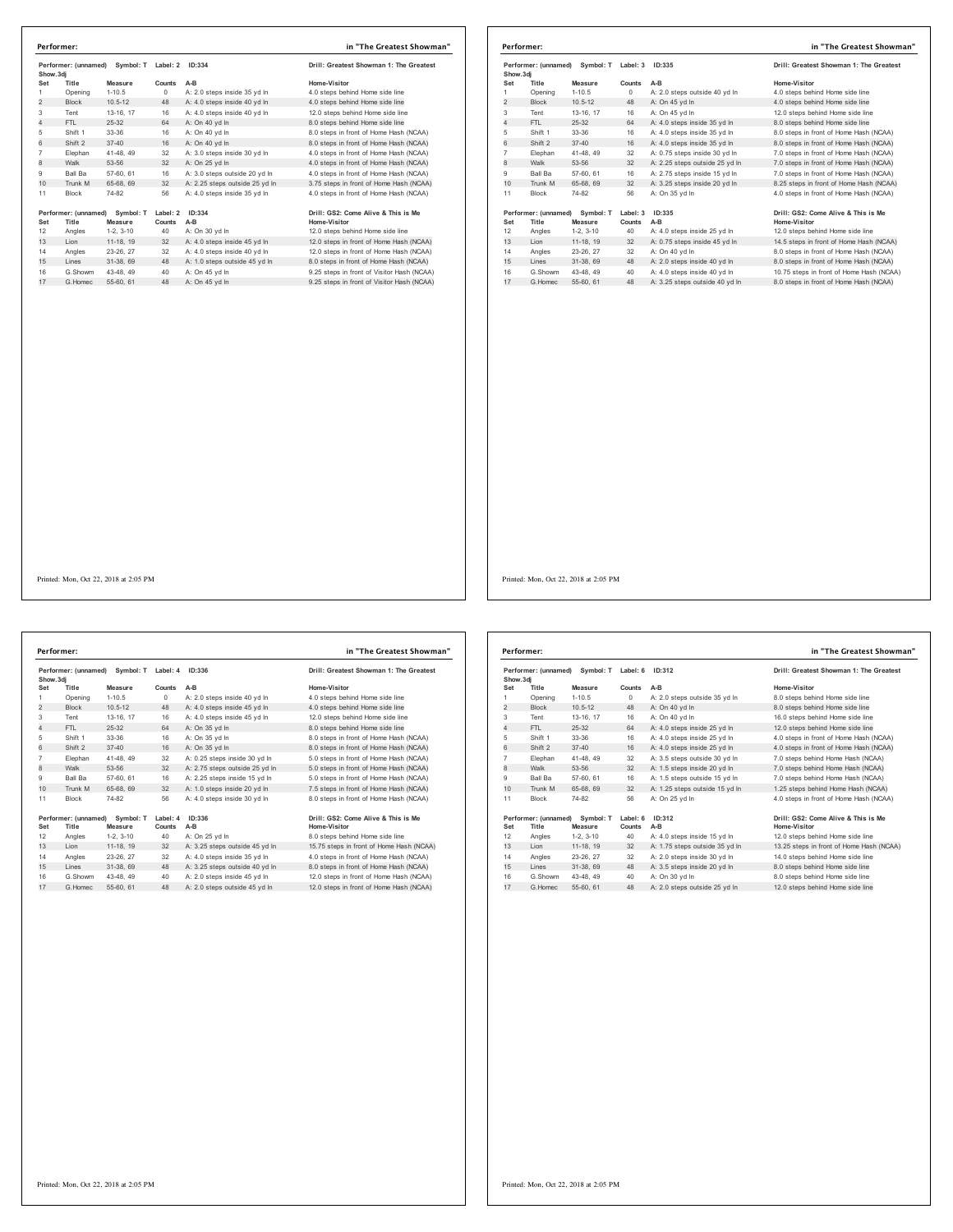|                | Performer: (unnamed)<br>Symbol: T<br>Show.3di |                      | Label: 2<br>ID:334 |                                | Drill: Greatest Showman 1: The Greatest             |  |
|----------------|-----------------------------------------------|----------------------|--------------------|--------------------------------|-----------------------------------------------------|--|
| Set            | Title                                         | Measure              | Counts             | A-B                            | Home-Visitor                                        |  |
| 1              | Opening                                       | $1 - 10.5$           | 0                  | A: 2.0 steps inside 35 yd In   | 4.0 steps behind Home side line                     |  |
| $\overline{2}$ | <b>Block</b>                                  | $10.5 - 12$          | 48                 | A: 4.0 steps inside 40 yd In   | 4.0 steps behind Home side line                     |  |
| 3              | Tent                                          | 13-16, 17            | 16                 | A: 4.0 steps inside 40 yd In   | 12.0 steps behind Home side line                    |  |
| $\overline{4}$ | FTI.                                          | 25-32                | 64                 | A: On 40 vd In                 | 8.0 steps behind Home side line                     |  |
| 5              | Shift 1                                       | 33-36                | 16                 | A: On 40 yd In                 | 8.0 steps in front of Home Hash (NCAA)              |  |
| 6              | Shift 2                                       | $37 - 40$            | 16                 | A: On 40 vd In                 | 8.0 steps in front of Home Hash (NCAA)              |  |
| $\overline{7}$ | Elephan                                       | 41-48, 49            | 32                 | A: 3.0 steps inside 30 yd In   | 4.0 steps in front of Home Hash (NCAA)              |  |
| 8              | Walk                                          | 53-56                | 32                 | A: On 25 yd In                 | 4.0 steps in front of Home Hash (NCAA)              |  |
| 9              | Ball Ba                                       | 57-60, 61            | 16                 | A: 3.0 steps outside 20 vd In  | 4.0 steps in front of Home Hash (NCAA)              |  |
| 10             | Trunk M                                       | 65-68, 69            | 32                 | A: 2.25 steps outside 25 yd In | 3.75 steps in front of Home Hash (NCAA)             |  |
| 11             | <b>Block</b>                                  | 74-82                | 56                 | A: 4.0 steps inside 35 yd In   | 4.0 steps in front of Home Hash (NCAA)              |  |
| Set            | Performer: (unnamed)<br>Title                 | Symbol: T<br>Measure | Label: 2<br>Counts | ID:334<br>$A-B$                | Drill: GS2: Come Alive & This is Me<br>Home-Visitor |  |
| 12             | Angles                                        | $1-2, 3-10$          | 40                 | A: On 30 yd In                 | 12.0 steps behind Home side line                    |  |
| 13             | Lion                                          | 11-18, 19            | 32                 | A: 4.0 steps inside 45 yd In   | 12.0 steps in front of Home Hash (NCAA)             |  |
|                | Angles                                        | 23-26, 27            | 32                 | A: 4.0 steps inside 40 vd In   | 12.0 steps in front of Home Hash (NCAA)             |  |
| 14             |                                               | 31-38, 69            | 48                 | A: 1.0 steps outside 45 yd In  | 8.0 steps in front of Home Hash (NCAA)              |  |
| 15             | Lines                                         |                      |                    |                                | 9.25 steps in front of Visitor Hash (NCAA)          |  |
| 16             | G.Showm                                       | 43-48, 49            | 40                 | A: On 45 yd In                 |                                                     |  |

|                                                      | Performer:           |             |          |                                         | in "The Greatest Showman"                |
|------------------------------------------------------|----------------------|-------------|----------|-----------------------------------------|------------------------------------------|
| Performer: (unnamed) Symbol: T Label: 3<br>Show, 3di |                      | ID:335      |          | Drill: Greatest Showman 1: The Greatest |                                          |
| Set                                                  | Title                | Measure     | Counts   | $A-B$                                   | Home-Visitor                             |
| 1                                                    | Opening              | $1 - 10.5$  | $\Omega$ | A: 2.0 steps outside 40 vd In           | 4.0 steps behind Home side line          |
| $\overline{2}$                                       | <b>Block</b>         | $10.5 - 12$ | 48       | A: On 45 yd In                          | 4.0 steps behind Home side line          |
| 3                                                    | Tent                 | 13-16, 17   | 16       | A: On 45 yd In                          | 12.0 steps behind Home side line         |
| 4                                                    | FTL.                 | 25-32       | 64       | A: 4.0 steps inside 35 yd In            | 8.0 steps behind Home side line          |
| 5                                                    | Shift 1              | 33-36       | 16       | A: 4.0 steps inside 35 yd In            | 8.0 steps in front of Home Hash (NCAA)   |
| 6                                                    | Shift 2              | $37 - 40$   | 16       | A: 4.0 steps inside 35 yd In            | 8.0 steps in front of Home Hash (NCAA)   |
| $\overline{7}$                                       | Elephan              | 41-48, 49   | 32       | A: 0.75 steps inside 30 yd In           | 7.0 steps in front of Home Hash (NCAA)   |
| 8                                                    | Walk                 | 53-56       | 32       | A: 2.25 steps outside 25 yd In          | 7.0 steps in front of Home Hash (NCAA)   |
| 9                                                    | <b>Ball Ba</b>       | 57-60, 61   | 16       | A: 2.75 steps inside 15 yd In           | 7.0 steps in front of Home Hash (NCAA)   |
| 10                                                   | Trunk M              | 65-68, 69   | 32       | A: 3.25 steps inside 20 yd In           | 8.25 steps in front of Home Hash (NCAA)  |
| 11                                                   | <b>Block</b>         | 74-82       | 56       | A: On 35 vd In                          | 4.0 steps in front of Home Hash (NCAA)   |
|                                                      | Performer: (unnamed) | Symbol: T   | Label: 3 | ID:335                                  | Drill: GS2: Come Alive & This is Me      |
| Set                                                  | Title                | Measure     | Counts   | A-B                                     | <b>Home-Visitor</b>                      |
| 12                                                   | Angles               | $1-2.3-10$  | 40       | A: 4.0 steps inside 25 vd In            | 12.0 steps behind Home side line         |
| 13                                                   | Lion                 | 11-18, 19   | 32       | A: 0.75 steps inside 45 yd In           | 14.5 steps in front of Home Hash (NCAA)  |
| 14                                                   | Angles               | 23-26, 27   | 32       | A: On 40 vd In                          | 8.0 steps in front of Home Hash (NCAA)   |
| 15                                                   | Lines                | 31-38, 69   | 48       | A: 2.0 steps inside 40 yd In            | 8.0 steps in front of Home Hash (NCAA)   |
| 16                                                   | G.Showm              | 43-48, 49   | 40       | A: 4.0 steps inside 40 yd In            | 10.75 steps in front of Home Hash (NCAA) |
| 17                                                   | G Homec              | 55-60, 61   | 48       | A: 3.25 steps outside 40 vd In          | 8.0 steps in front of Home Hash (NCAA)   |

Printed: Mon, Oct 22, 2018 at 2:05 PM

Performer: (unnamed) Symbol: T Label: 4 ID:336<br>
Show.3dj<br>
Show.3dj<br>
1.05 Counts AB Counts AB Counts AD Home-Vistor<br>
1.06 Counts AC 2.0 steps inside 40 yd in<br>
1.06 Counts Ac 4.0 steps inside 45 yd in<br>
2.0 counts Ac 4.0 step 5 Shift 1 33-36 16 A: On 35 yd ln 8.0 steps in front of Home Hash (NCAA)<br>6 Shift 2 37-40 16 A: On 35 yd ln 8.0 steps in front of Home Hash (NCAA) Elephan 41-48, 49 32 A: 0.25 steps inside 30 yd In 5.0 steps in front of Home Hash (NCAA)<br>8 Walk 53-56 32 A: 2.75 steps outside 25 yd In 5.0 steps in front of Home Hash (NCAA)<br>9 Ball Ba 57-80, 61 16 A: 2.25 steps inside 26 11 Block 74-82 56 A: 4.0 steps inside 30 yd In 19erformer: (unnamed) Symbol: T Label: 4 1 D:336<br>
19erformer: (unnamed) Symbol: T Label: 4 1 D:336<br>
12 Angles 1-2, 3-10 40 A: On 25 yd In 15.75 steps behind Home side line<br>
13 Lion 11-18, 19 32 A: 3.25 steps outside 45 yd G.Showm 43-48, 49 40 A: 2.0 steps inside 45 yd ln 12.0 steps in front of Home Hash (NCAA) 17 G.Homec 55-60, 61 48 A: 2.0 steps outside 45 yd ln 12.0 steps in front of Home Hash (NCAA) **Performer: in "The Greatest Showman"**

| Drill: Greatest Showman 1: The Greatest             |
|-----------------------------------------------------|
| Home-Visitor                                        |
| 4.0 steps behind Home side line                     |
| 4.0 steps behind Home side line                     |
| 12.0 steps behind Home side line                    |
| 8.0 steps behind Home side line                     |
| 8.0 steps in front of Home Hash (NCAA)              |
| 8.0 steps in front of Home Hash (NCAA)              |
| 5.0 steps in front of Home Hash (NCAA)              |
| 5.0 steps in front of Home Hash (NCAA)              |
| 5.0 steps in front of Home Hash (NCAA)              |
| 7.5 steps in front of Home Hash (NCAA)              |
| 8.0 steps in front of Home Hash (NCAA)              |
| Drill: GS2: Come Alive & This is Me<br>Home-Visitor |
| 8.0 steps behind Home side line                     |
| 15.75 steps in front of Home Hash (NCAA)            |
| 4.0 steps in front of Home Hash (NCAA)              |
| 8.0 steps in front of Home Hash (NCAA)              |
| 12 0 etgne in front of Home Hoeh (NCAA)             |

|                | Performer: (unnamed)<br>Symbol: T<br>Show, 3di |             | Label: 6<br>ID:312 |                                | Drill: Greatest Showman 1: The Greatest             |
|----------------|------------------------------------------------|-------------|--------------------|--------------------------------|-----------------------------------------------------|
| Set            | Title                                          | Measure     | Counts             | $A-B$                          | Home-Visitor                                        |
| 1              | Opening                                        | $1-10.5$    | $\Omega$           | A: 2.0 steps outside 35 vd In  | 8.0 steps behind Home side line                     |
| 2              | <b>Block</b>                                   | $10.5 - 12$ | 48                 | A: On 40 yd In                 | 8.0 steps behind Home side line                     |
| 3              | Tent                                           | 13-16, 17   | 16                 | A: On 40 vd In                 | 16.0 steps behind Home side line                    |
| 4              | FTI.                                           | 25-32       | 64                 | A: 4.0 steps inside 25 vd In   | 12.0 steps behind Home side line                    |
| 5              | Shift 1                                        | $33-36$     | 16                 | A: 4.0 steps inside 25 yd In   | 4.0 steps in front of Home Hash (NCAA)              |
| 6              | Shift 2                                        | $37 - 40$   | 16                 | A: 4.0 steps inside 25 vd In   | 4.0 steps in front of Home Hash (NCAA)              |
| $\overline{7}$ | Elephan                                        | 41-48, 49   | 32                 | A: 3.5 steps outside 30 vd In  | 7.0 steps behind Home Hash (NCAA)                   |
| 8              | Walk                                           | 53-56       | 32                 | A: 1.5 steps inside 20 yd In   | 7.0 steps behind Home Hash (NCAA)                   |
| 9              | <b>Ball Ba</b>                                 | 57-60, 61   | 16                 | A: 1.5 steps outside 15 yd In  | 7.0 steps behind Home Hash (NCAA)                   |
| 10             | Trunk M                                        | 65-68, 69   | 32                 | A: 1.25 steps outside 15 yd In | 1.25 steps behind Home Hash (NCAA)                  |
| 11             | <b>Block</b>                                   | 74-82       | 56                 | A: On 25 yd In                 | 4.0 steps in front of Home Hash (NCAA)              |
| Set            | Performer: (unnamed) Symbol: T<br>Title        | Measure     | Label: 6<br>Counts | ID:312<br>$A-B$                | Drill: GS2: Come Alive & This is Me<br>Home-Visitor |
| 12             | Angles                                         | $1-2.3-10$  | 40                 | A: 4.0 steps inside 15 yd In   | 12.0 steps behind Home side line                    |
| 13             | Lion                                           | 11-18, 19   | 32                 | A: 1.75 steps outside 35 yd In | 13.25 steps in front of Home Hash (NCAA)            |
| 14             | Angles                                         | 23-26, 27   | 32                 | A: 2.0 steps inside 30 vd In   | 14.0 steps behind Home side line                    |
| 15             | Lines                                          | 31-38, 69   | 48                 | A: 3.5 steps inside 20 yd In   | 8.0 steps behind Home side line                     |
| 16             | G Showm                                        | 43-48, 49   | 40                 | A: On 30 vd In                 | 8.0 steps behind Home side line                     |
| 17             | G Homec                                        | 55-60, 61   | 48                 | A: 2.0 steps outside 25 vd In  | 12.0 steps behind Home side line                    |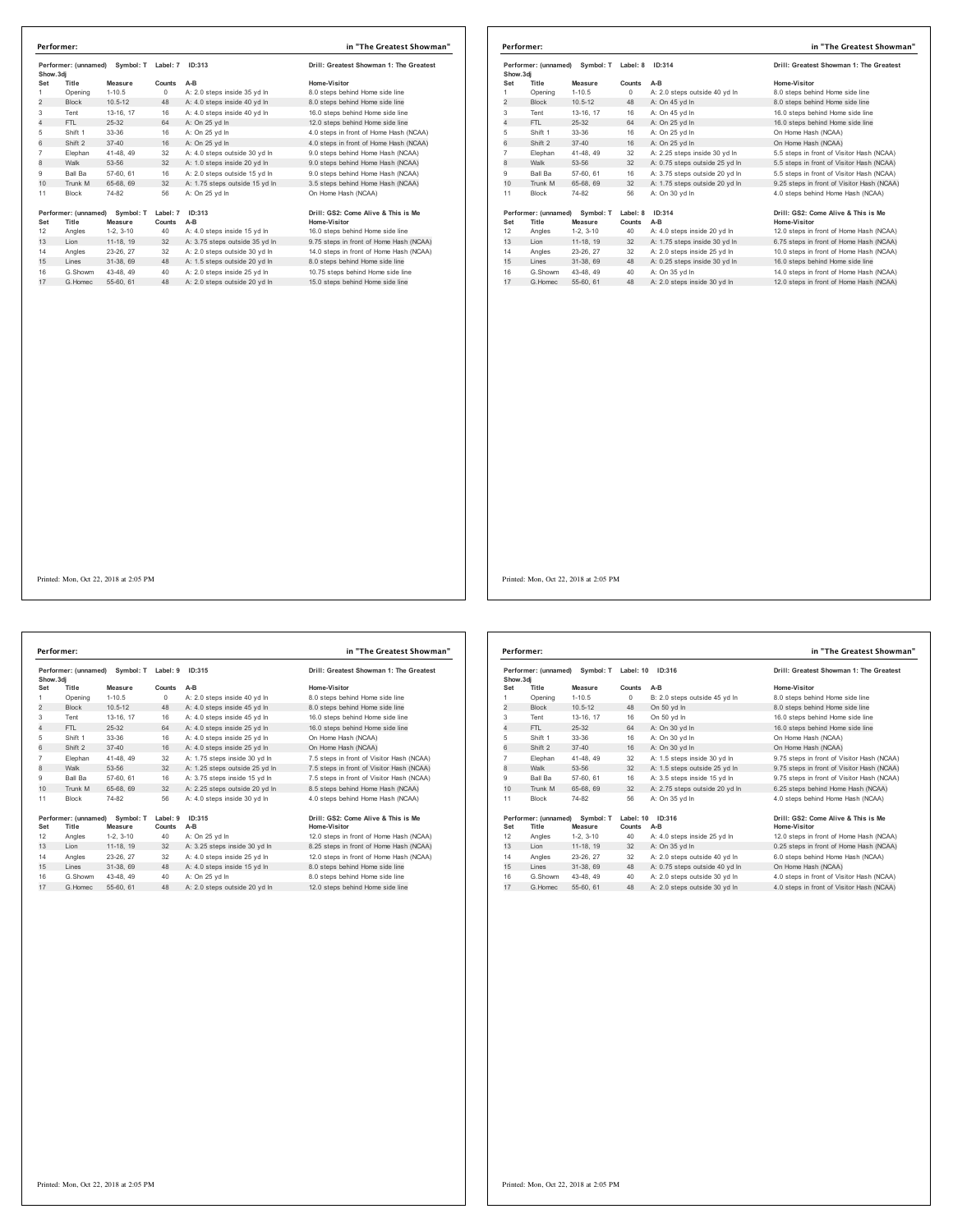| Show.3di       | Performer: (unnamed)          | Symbol: T            | Label: 7<br>ID:313 |                                | Drill: Greatest Showman 1: The Greatest             |
|----------------|-------------------------------|----------------------|--------------------|--------------------------------|-----------------------------------------------------|
| Set            | Title                         | Measure              | Counts             | $A-B$                          | Home-Visitor                                        |
| 1              | Opening                       | $1-10.5$             | $\Omega$           | A: 2.0 steps inside 35 yd In   | 8.0 steps behind Home side line                     |
| $\overline{2}$ | <b>Block</b>                  | $10.5 - 12$          | 48                 | A: 4.0 steps inside 40 yd In   | 8.0 steps behind Home side line                     |
| 3              | Tent                          | 13-16, 17            | 16                 | A: 4.0 steps inside 40 vd In   | 16.0 steps behind Home side line                    |
| 4              | FTI.                          | 25-32                | 64                 | A: On 25 vd In                 | 12.0 steps behind Home side line                    |
| 5              | Shift 1                       | 33-36                | 16                 | A: On 25 yd In                 | 4.0 steps in front of Home Hash (NCAA)              |
| 6              | Shift 2                       | $37 - 40$            | 16                 | A: On 25 vd In                 | 4.0 steps in front of Home Hash (NCAA)              |
| $\overline{7}$ | Elephan                       | 41-48, 49            | 32                 | A: 4.0 steps outside 30 vd In  | 9.0 steps behind Home Hash (NCAA)                   |
| 8              | Walk                          | 53-56                | 32                 | A: 1.0 steps inside 20 yd In   | 9.0 steps behind Home Hash (NCAA)                   |
| 9              | Ball Ba                       | 57-60, 61            | 16                 | A: 2.0 steps outside 15 vd In  | 9.0 steps behind Home Hash (NCAA)                   |
| 10             | Trunk M                       | 65-68, 69            | 32                 | A: 1.75 steps outside 15 yd In | 3.5 steps behind Home Hash (NCAA)                   |
| 11             | <b>Block</b>                  | 74-82                | 56                 | A: On 25 vd In                 | On Home Hash (NCAA)                                 |
| Set            | Performer: (unnamed)<br>Title | Symbol: T<br>Measure | Label: 7<br>Counts | ID:313<br>$A-B$                | Drill: GS2: Come Alive & This is Me<br>Home-Visitor |
| 12             | Angles                        | $1-2.3-10$           | 40                 | A: 4.0 steps inside 15 yd In   | 16.0 steps behind Home side line                    |
| 13             | Lion                          | 11-18, 19            | 32                 | A: 3.75 steps outside 35 yd In | 9.75 steps in front of Home Hash (NCAA)             |
| 14             | Angles                        | 23-26, 27            | 32                 | A: 2.0 steps outside 30 vd In  | 14.0 steps in front of Home Hash (NCAA)             |
| 15             | I ines                        | 31-38.69             | 48                 | A: 1.5 steps outside 20 yd In  | 8.0 steps behind Home side line                     |
| 16             | G Showm                       | 43-48.49             | 40                 | A: 2.0 steps inside 25 vd In   | 10.75 steps behind Home side line                   |
| 17             | G Homec                       | 55-60, 61            | 48                 | A: 2.0 steps outside 20 vd In  | 15.0 steps behind Home side line                    |

|                | Performer:                                     |             |          |                                | in "The Greatest Showman"                  |  |
|----------------|------------------------------------------------|-------------|----------|--------------------------------|--------------------------------------------|--|
|                | Performer: (unnamed)<br>Symbol: T<br>Show, 3di |             |          | ID:314                         | Drill: Greatest Showman 1: The Greatest    |  |
| Set            | Title                                          | Measure     | Counts   | $A-B$                          | Home-Visitor                               |  |
| 1              | Opening                                        | $1 - 10.5$  | 0        | A: 2.0 steps outside 40 yd In  | 8.0 steps behind Home side line            |  |
| $\overline{2}$ | <b>Block</b>                                   | $10.5 - 12$ | 48       | A: On 45 yd In                 | 8.0 steps behind Home side line            |  |
| 3              | Tent                                           | 13-16, 17   | 16       | A: On 45 yd In                 | 16.0 steps behind Home side line           |  |
| 4              | FTL                                            | $25 - 32$   | 64       | A: On 25 yd In                 | 16.0 steps behind Home side line           |  |
| 5              | Shift 1                                        | 33-36       | 16       | A: On 25 yd In                 | On Home Hash (NCAA)                        |  |
| 6              | Shift 2                                        | $37 - 40$   | 16       | A: On 25 vd In                 | On Home Hash (NCAA)                        |  |
| $\overline{7}$ | Elephan                                        | 41-48.49    | 32       | A: 2.25 steps inside 30 yd In  | 5.5 steps in front of Visitor Hash (NCAA)  |  |
| 8              | Walk                                           | 53-56       | 32       | A: 0.75 steps outside 25 yd In | 5.5 steps in front of Visitor Hash (NCAA)  |  |
| 9              | Ball Ba                                        | 57-60, 61   | 16       | A: 3.75 steps outside 20 yd In | 5.5 steps in front of Visitor Hash (NCAA)  |  |
| 10             | Trunk M                                        | 65-68, 69   | 32       | A: 1.75 steps outside 20 yd In | 9.25 steps in front of Visitor Hash (NCAA) |  |
| 11             | Block                                          | 74-82       | 56       | A: On 30 vd In                 | 4.0 steps behind Home Hash (NCAA)          |  |
|                | Performer: (unnamed) Symbol: T                 |             | Label: 8 | ID:314                         | Drill: GS2: Come Alive & This is Me        |  |
| Set            | Title                                          | Measure     | Counts   | A-B                            | Home-Visitor                               |  |
| 12             | Angles                                         | $1-2.3-10$  | 40       | A: 4.0 steps inside 20 yd In   | 12.0 steps in front of Home Hash (NCAA)    |  |
| 13             | Lion                                           | 11-18, 19   | 32       | A: 1.75 steps inside 30 yd In  | 6.75 steps in front of Home Hash (NCAA)    |  |
| 14             | Angles                                         | 23-26.27    | 32       | A: 2.0 steps inside 25 vd In   | 10.0 steps in front of Home Hash (NCAA)    |  |
| 15             | Lines                                          | 31-38, 69   | 48       | A: 0.25 steps inside 30 yd In  | 16.0 steps behind Home side line           |  |
| 16             | G.Showm                                        | 43-48.49    | 40       | A: On 35 yd In                 | 14.0 steps in front of Home Hash (NCAA)    |  |
| 17             | G Homec                                        | 55-60, 61   | 48       | A: 2.0 steps inside 30 yd In   | 12.0 steps in front of Home Hash (NCAA)    |  |

Performer: (unnamed) Symbol: T Label: 9 ID:315<br>Show.3dj Massure Counts A-B Mome-Visitor Home-Visitor<br>Set Title Measure Counts A-B 2.0 steps inside 40 yd in 8.0 steps behind Home side line<br>1 Opening 1-10.5 48 A: 4.0 steps i Tent 13-16, 17 16 A: 4.0 steps inside 45 yd ln 16.0 steps behind Home side line 4 FTL 25-32 64 A: 4.0 steps inside 25 yd ln 16.0 steps behind Home side line Shift 1 33-36 16 A: 4.0 steps inside 25 yd ln On Home Hash (NCAA) 6 Shift 2 37-40 16 A: 4.0 steps inside 25 yd ln On Home Hash (NCAA) Elephan 41-48, 49 32 A: 1.75 steps inside 30 yd ln 7.5 steps in front of Visitor Hash (NCAA) 8 Walk 53-56 32 A: 1.25 steps outside 25 yd ln 7.5 steps in front of Visitor Hash (NCAA) Ball Ba 57-60, 61 16 A: 3.75 steps inside 15 yd ln 7.5 steps in front of Visitor Hash (NCAA) 10 Trunk M 65-68, 69 32 A: 2.25 steps outside 20 yd ln 8.5 steps behind Home Hash (NCAA) 11 Block 74-82 56 A: 4.0 steps inside 30 yd In **Performer:** (unnamed) Symbol: T Label: 9 ID:315<br> **Set Title Measure Counts A-B**<br>
12.0 steps in front of Home Hash (NCAA)<br>
13 Lion 11-18, 19 32 A: 3.25 steps inside 30 yd In 12.0 steps in front of Home Hash (NCAA)<br>
13 Lion G.Showm 43-48, 49 40 A: On 25 yd ln 8.0 steps behind Home side line 17 G.Homec 55-60, 61 48 A: 2.0 steps outside 20 yd ln 12.0 steps behind Home side line **Performer: in "The Greatest Showman"**

| Home-Visitor                              |
|-------------------------------------------|
| 8.0 steps behind Home side line           |
| 8.0 steps behind Home side line           |
| 16.0 steps behind Home side line          |
| 16.0 steps behind Home side line          |
| On Home Hash (NCAA)                       |
| On Home Hash (NCAA)                       |
| 7.5 steps in front of Visitor Hash (NCAA) |
| 7.5 steps in front of Visitor Hash (NCAA) |
| 7.5 steps in front of Visitor Hash (NCAA) |
| 8.5 steps behind Home Hash (NCAA)         |
| 4.0 steps behind Home Hash (NCAA)         |
|                                           |
| Drill: GS2: Come Alive & This is Me       |
| Home-Visitor                              |
| 12.0 steps in front of Home Hash (NCAA)   |
|                                           |

| Performer: (unnamed)<br>Symbol: T<br>Show, 3di |                               | Label: 10            | ID:316              | Drill: Greatest Showman 1: The Greatest |                                                     |
|------------------------------------------------|-------------------------------|----------------------|---------------------|-----------------------------------------|-----------------------------------------------------|
| Set                                            | Title                         | Measure              | Counts              | $A-B$                                   | Home-Visitor                                        |
| 1.                                             | Opening                       | $1 - 10.5$           | 0                   | B: 2.0 steps outside 45 yd In           | 8.0 steps behind Home side line                     |
| $\overline{2}$                                 | <b>Block</b>                  | $10.5 - 12$          | 48                  | On 50 vd In                             | 8.0 steps behind Home side line                     |
| 3                                              | Tent                          | 13-16, 17            | 16                  | On 50 vd In                             | 16.0 steps behind Home side line                    |
| $\overline{4}$                                 | FTI.                          | 25-32                | 64                  | A: On 30 yd In                          | 16.0 steps behind Home side line                    |
| 5                                              | Shift 1                       | 33-36                | 16                  | A: On 30 yd In                          | On Home Hash (NCAA)                                 |
| 6                                              | Shift 2                       | $37 - 40$            | 16                  | A: On 30 vd In                          | On Home Hash (NCAA)                                 |
| $\overline{7}$                                 | Elephan                       | 41-48, 49            | 32                  | A: 1.5 steps inside 30 vd In            | 9.75 steps in front of Visitor Hash (NCAA)          |
| 8                                              | Walk                          | 53-56                | 32                  | A: 1.5 steps outside 25 yd In           | 9.75 steps in front of Visitor Hash (NCAA)          |
| 9                                              | <b>Ball Ba</b>                | 57-60, 61            | 16                  | A: 3.5 steps inside 15 vd In            | 9.75 steps in front of Visitor Hash (NCAA)          |
| 10                                             | Trunk M                       | 65-68, 69            | 32                  | A: 2.75 steps outside 20 yd In          | 6.25 steps behind Home Hash (NCAA)                  |
| 11                                             | <b>Block</b>                  | 74-82                | 56                  | A: On 35 vd In                          | 4.0 steps behind Home Hash (NCAA)                   |
| Set                                            | Performer: (unnamed)<br>Title | Symbol: T<br>Measure | Label: 10<br>Counts | ID:316<br>A-B                           | Drill: GS2: Come Alive & This is Me<br>Home-Visitor |
| 12                                             | Angles                        | $1-2.3-10$           | 40                  | A: 4.0 steps inside 25 yd In            | 12.0 steps in front of Home Hash (NCAA)             |
| 13                                             | Lion                          | 11-18, 19            | 32                  | A: On 35 vd In                          | 0.25 steps in front of Home Hash (NCAA)             |
| 14                                             | Angles                        | 23-26, 27            | 32                  | A: 2.0 steps outside 40 vd In           | 6.0 steps behind Home Hash (NCAA)                   |
| 15                                             | Lines                         | 31-38, 69            | 48                  | A: 0.75 steps outside 40 yd In          | On Home Hash (NCAA)                                 |
| 16                                             | G Showm                       | 43-48, 49            | 40                  | A: 2.0 steps outside 30 vd In           | 4.0 steps in front of Visitor Hash (NCAA)           |
| 17                                             | G. Homec                      | 55-60, 61            | 48                  | A: 2.0 steps outside 30 yd In           | 4.0 steps in front of Visitor Hash (NCAA)           |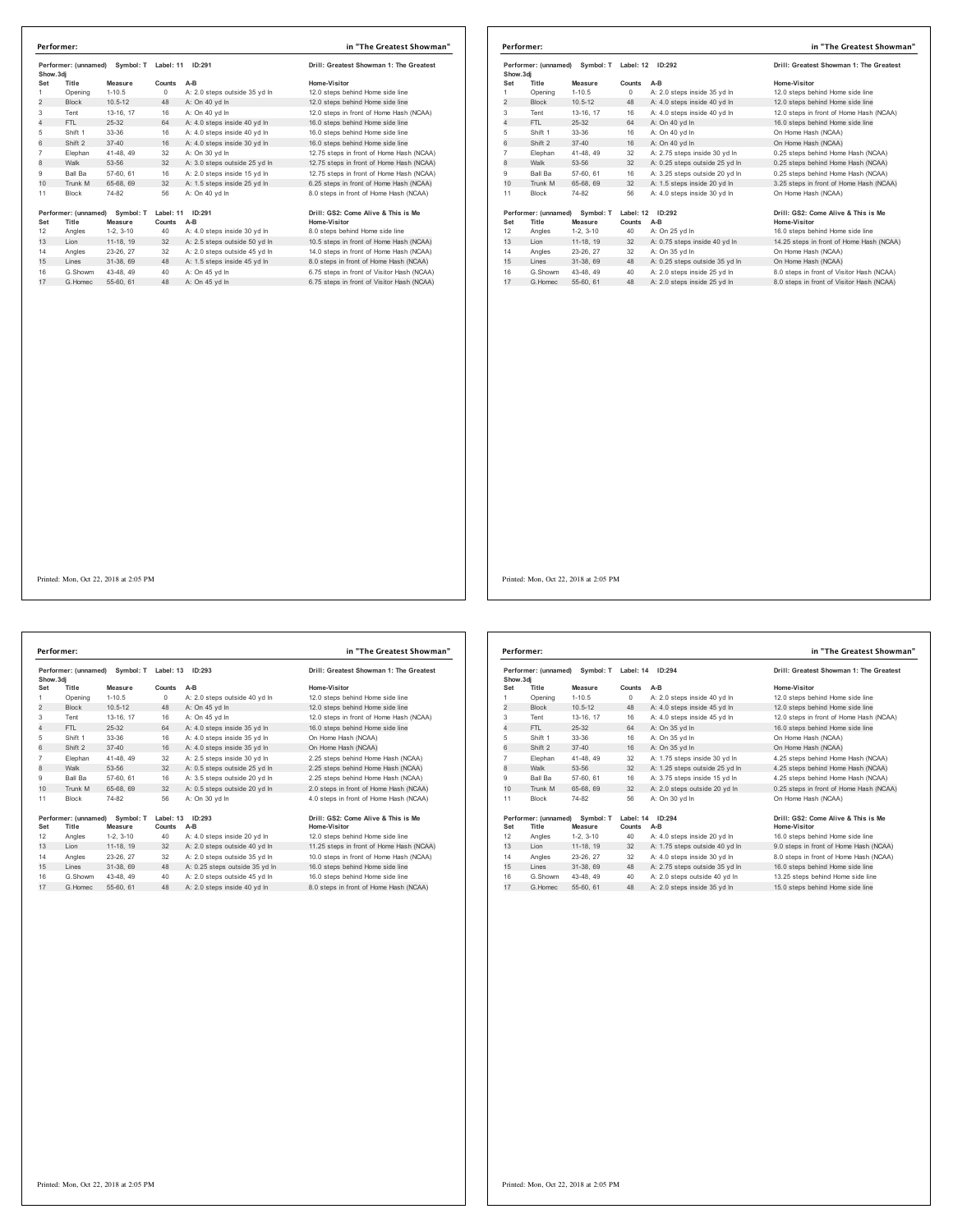| Performer: (unnamed)<br>Symbol: T Label: 11<br>Show.3di |                        | ID:291                                                  |                                                               | Drill: Greatest Showman 1: The Greatest                                                            |  |
|---------------------------------------------------------|------------------------|---------------------------------------------------------|---------------------------------------------------------------|----------------------------------------------------------------------------------------------------|--|
| Title                                                   | Measure                | Counts                                                  | $A-B$                                                         | Home-Visitor                                                                                       |  |
| Opening                                                 | $1 - 10.5$             | 0                                                       | A: 2.0 steps outside 35 yd In                                 | 12.0 steps behind Home side line                                                                   |  |
| <b>Block</b>                                            | $10.5 - 12$            | 48                                                      | A: On 40 yd In                                                | 12.0 steps behind Home side line                                                                   |  |
|                                                         |                        |                                                         |                                                               | 12.0 steps in front of Home Hash (NCAA)                                                            |  |
|                                                         |                        |                                                         |                                                               | 16.0 steps behind Home side line                                                                   |  |
|                                                         |                        |                                                         |                                                               | 16.0 steps behind Home side line                                                                   |  |
| Shift 2                                                 | $37 - 40$              | 16                                                      | A: 4.0 steps inside 30 yd In                                  | 16.0 steps behind Home side line                                                                   |  |
| Elephan                                                 | 41-48, 49              | 32                                                      | A: On 30 yd In                                                | 12.75 steps in front of Home Hash (NCAA)                                                           |  |
| Walk                                                    | 53-56                  | 32                                                      | A: 3.0 steps outside 25 yd In                                 | 12.75 steps in front of Home Hash (NCAA)                                                           |  |
| Ball Ba                                                 | 57-60, 61              | 16                                                      | A: 2.0 steps inside 15 yd In                                  | 12.75 steps in front of Home Hash (NCAA)                                                           |  |
| Trunk M                                                 | 65-68, 69              | 32                                                      | A: 1.5 steps inside 25 yd In                                  | 6.25 steps in front of Home Hash (NCAA)                                                            |  |
| <b>Block</b>                                            | 74-82                  | 56                                                      | A: On 40 yd In                                                | 8.0 steps in front of Home Hash (NCAA)                                                             |  |
| Title                                                   | Symbol: T<br>Measure   | Counts                                                  | $A-B$                                                         | Drill: GS2: Come Alive & This is Me<br>Home-Visitor                                                |  |
|                                                         |                        |                                                         |                                                               | 8.0 steps behind Home side line                                                                    |  |
| Angles                                                  | $1-2.3-10$             | 40                                                      | A: 4.0 steps inside 30 yd In                                  |                                                                                                    |  |
| Lion                                                    | 11-18, 19              | 32                                                      | A: 2.5 steps outside 50 yd In                                 | 10.5 steps in front of Home Hash (NCAA)                                                            |  |
|                                                         | 23-26, 27              | 32                                                      |                                                               |                                                                                                    |  |
| Angles<br>Lines                                         | 31-38, 69              | 48                                                      | A: 2.0 steps outside 45 yd In<br>A: 1.5 steps inside 45 yd In | 8.0 steps in front of Home Hash (NCAA)                                                             |  |
| G.Showm                                                 | 43-48, 49              | 40                                                      | A: On 45 yd In                                                | 14.0 steps in front of Home Hash (NCAA)<br>6.75 steps in front of Visitor Hash (NCAA)              |  |
|                                                         | Tent<br>FTL<br>Shift 1 | 13-16, 17<br>$25 - 32$<br>33-36<br>Performer: (unnamed) | 16<br>64<br>16                                                | A: On 40 yd In<br>A: 4.0 steps inside 40 yd In<br>A: 4.0 steps inside 40 yd In<br>Label: 11 ID:291 |  |

|                | Performer: (unnamed)<br>Symbol: T<br>Show, 3di        |             | Label: 12<br>ID:292 |                                | Drill: Greatest Showman 1: The Greatest             |
|----------------|-------------------------------------------------------|-------------|---------------------|--------------------------------|-----------------------------------------------------|
| Set            | Title                                                 | Measure     | Counts              | $A-B$                          | Home-Visitor                                        |
| 1              | Opening                                               | $1 - 10.5$  | 0                   | A: 2.0 steps inside 35 yd In   | 12.0 steps behind Home side line                    |
| $\overline{2}$ | <b>Block</b>                                          | $10.5 - 12$ | 48                  | A: 4.0 steps inside 40 yd In   | 12.0 steps behind Home side line                    |
| 3              | Tent                                                  | 13-16. 17   | 16                  | A: 4.0 steps inside 40 yd In   | 12.0 steps in front of Home Hash (NCAA)             |
| 4              | FTL.                                                  | $25-32$     | 64                  | A: On 40 yd In                 | 16.0 steps behind Home side line                    |
| 5              | Shift 1                                               | 33-36       | 16                  | A: On 40 yd In                 | On Home Hash (NCAA)                                 |
| 6              | Shift 2                                               | $37 - 40$   | 16                  | A: On 40 vd In                 | On Home Hash (NCAA)                                 |
| 7              | Elephan                                               | 41-48, 49   | 32                  | A: 2.75 steps inside 30 yd In  | 0.25 steps behind Home Hash (NCAA)                  |
| 8              | Walk                                                  | 53-56       | 32                  | A: 0.25 steps outside 25 yd In | 0.25 steps behind Home Hash (NCAA)                  |
| 9              | Ball Ba                                               | 57-60, 61   | 16                  | A: 3.25 steps outside 20 vd In | 0.25 steps behind Home Hash (NCAA)                  |
| 10             | Trunk M                                               | 65-68, 69   | 32                  | A: 1.5 steps inside 20 yd In   | 3.25 steps in front of Home Hash (NCAA)             |
| 11             | Block                                                 | 74-82       | 56                  | A: 4.0 steps inside 30 yd In   | On Home Hash (NCAA)                                 |
| Set            | Performer: (unnamed)<br>Symbol: T<br>Title<br>Measure |             | Label: 12<br>Counts | ID:292<br>$A-B$                | Drill: GS2: Come Alive & This is Me<br>Home-Visitor |
| 12             | Angles                                                | $1-2.3-10$  | 40                  | A: On 25 yd In                 | 16.0 steps behind Home side line                    |
| 13             | Lion                                                  | 11-18. 19   | 32                  | A: 0.75 steps inside 40 yd In  | 14.25 steps in front of Home Hash (NCAA)            |
| 14             | Angles                                                | 23-26, 27   | 32                  | A: On 35 vd In                 | On Home Hash (NCAA)                                 |
| 15             | Lines                                                 | 31-38, 69   | 48                  | A: 0.25 steps outside 35 yd In | On Home Hash (NCAA)                                 |
| 16             | G.Showm                                               | 43-48, 49   | 40                  | A: 2.0 steps inside 25 vd In   | 8.0 steps in front of Visitor Hash (NCAA)           |
| 17             | G Homec                                               | 55-60, 61   | 48                  | A: 2.0 steps inside 25 vd In   | 8.0 steps in front of Visitor Hash (NCAA)           |

Performer: (unnamed) Symbol: T Label: 13 ID:293<br>Show.3dj Massure Counts A-B Mome-Visitor Home-Visitor<br>Set Title Measure Counts A-B Mome-Visitor 12.0 steps behind Home side line<br>1 Opening 1-10.5 48 A: On 45 yd In 12.0 steps Tent 13-16, 17 16 A: On 45 yd ln 12.0 steps in front of Home Hash (NCAA) 4 FTL 25-32 64 A: 4.0 steps inside 35 yd ln 16.0 steps behind Home side line Shift 1 33-36 16 A: 4.0 steps inside 35 yd ln On Home Hash (NCAA) 6 Shift 2 37-40 16 A: 4.0 steps inside 35 yd ln On Home Hash (NCAA) 7 Elephan 41-48, 49 32 A: 2.5 steps inside 30 yd In 2.25 steps behind Home Hash (NCAA)<br>8 Walk 53-56 32 A: 0.5 steps outside 25 yd In 2.25 steps behind Home Hash (NCAA)<br>9 Ball Ba 57-60, 61 16 10 Trunk M 65-68, 69 32 A: 0.5 steps outside 20 yd ln 11 Block 74-82 56 A: On 30 yd In Performer: (unnamed) Symbol: T Label: 13 ID:293 Drill: GS2: Come Alive & This is Me<br>Set Title Measure Counts A-B<br>12 Angles 1-2, 3-10 40 A: 4.0 steps inside 20 yd In 12.0 steps behind Home side line<br>13 Lion 11-18, 19 32 A: Angles 23-26, 27 32 A: 2.0 steps outside 35 yd ln 10.0 steps in front of Home Hash (NCAA) 15 Lines 31-38, 69 48 A: 0.25 steps outside 35 yd ln 16.0 steps behind Home side line G.Showm 43-48, 49 40 A: 2.0 steps outside 45 yd ln 16.0 steps behind Home side line 17 G.Homec 55-60, 61 48 A: 2.0 steps inside 40 yd ln 8.0 steps in front of Home Hash (NCAA) **Performer: in "The Greatest Showman"**

| Home-Visitor                            |
|-----------------------------------------|
| 12.0 steps behind Home side line        |
| 12.0 steps behind Home side line        |
| 12.0 steps in front of Home Hash (NCAA) |
| 16.0 steps behind Home side line        |
| On Home Hash (NCAA)                     |
| On Home Hash (NCAA)                     |
| 2.25 steps behind Home Hash (NCAA)      |
| 2.25 steps behind Home Hash (NCAA)      |
| 2.25 steps behind Home Hash (NCAA)      |
| 2.0 steps in front of Home Hash (NCAA)  |
| 4.0 steps in front of Home Hash (NCAA)  |
|                                         |
| Drill: GS2: Come Alive & This is Me     |
| Home-Visitor                            |

| Show.3dj       | Performer: (unnamed) | Symbol: T Label: 14 |           | ID:294                         | Drill: Greatest Showman 1: The Greatest |
|----------------|----------------------|---------------------|-----------|--------------------------------|-----------------------------------------|
| Set            | Title                | Measure             | Counts    | $A-B$                          | Home-Visitor                            |
| 1              | Opening              | $1 - 10.5$          | 0         | A: 2.0 steps inside 40 yd In   | 12.0 steps behind Home side line        |
| 2              | <b>Block</b>         | $10.5 - 12$         | 48        | A: 4.0 steps inside 45 yd In   | 12.0 steps behind Home side line        |
| 3              | Tent                 | 13-16, 17           | 16        | A: 4.0 steps inside 45 vd In   | 12.0 steps in front of Home Hash (NCAA) |
| 4              | FTI.                 | $25 - 32$           | 64        | A: On 35 yd In                 | 16.0 steps behind Home side line        |
| 5              | Shift 1              | 33-36               | 16        | A: On 35 yd In                 | On Home Hash (NCAA)                     |
| 6              | Shift 2              | $37 - 40$           | 16        | A: On 35 vd In                 | On Home Hash (NCAA)                     |
| $\overline{7}$ | Elephan              | 41-48, 49           | 32        | A: 1.75 steps inside 30 yd In  | 4.25 steps behind Home Hash (NCAA)      |
| 8              | Walk                 | 53-56               | 32        | A: 1.25 steps outside 25 yd In | 4.25 steps behind Home Hash (NCAA)      |
| 9              | Ball Ba              | 57-60, 61           | 16        | A: 3.75 steps inside 15 yd In  | 4.25 steps behind Home Hash (NCAA)      |
| 10             | Trunk M              | 65-68, 69           | 32        | A: 2.0 steps outside 20 vd In  | 0.25 steps in front of Home Hash (NCAA) |
| 11             | <b>Block</b>         | 74-82               | 56        | A: On 30 vd In                 | On Home Hash (NCAA)                     |
|                | Performer: (unnamed) | Symbol: T           | Label: 14 | ID:294                         | Drill: GS2: Come Alive & This is Me     |
| Set            | Title                | Measure             | Counts    | A-B                            | Home-Visitor                            |
| 12             | Angles               | $1-2, 3-10$         | 40        | A: 4.0 steps inside 20 yd In   | 16.0 steps behind Home side line        |
| 13             | Lion                 | 11-18, 19           | 32        | A: 1.75 steps outside 40 yd In | 9.0 steps in front of Home Hash (NCAA)  |
| 14             | Angles               | 23-26, 27           | 32        | A: 4.0 steps inside 30 vd In   | 8.0 steps in front of Home Hash (NCAA)  |
| 15             | Lines                | 31-38, 69           | 48        | A: 2.75 steps outside 35 yd In | 16.0 steps behind Home side line        |
| 16             | G.Showm              | 43-48, 49           | 40        | A: 2.0 steps outside 40 vd In  | 13.25 steps behind Home side line       |
| 17             | G. Homec             | 55-60, 61           | 48        | A: 2.0 steps inside 35 yd In   | 15.0 steps behind Home side line        |

Printed: Mon, Oct 22, 2018 at 2:05 PM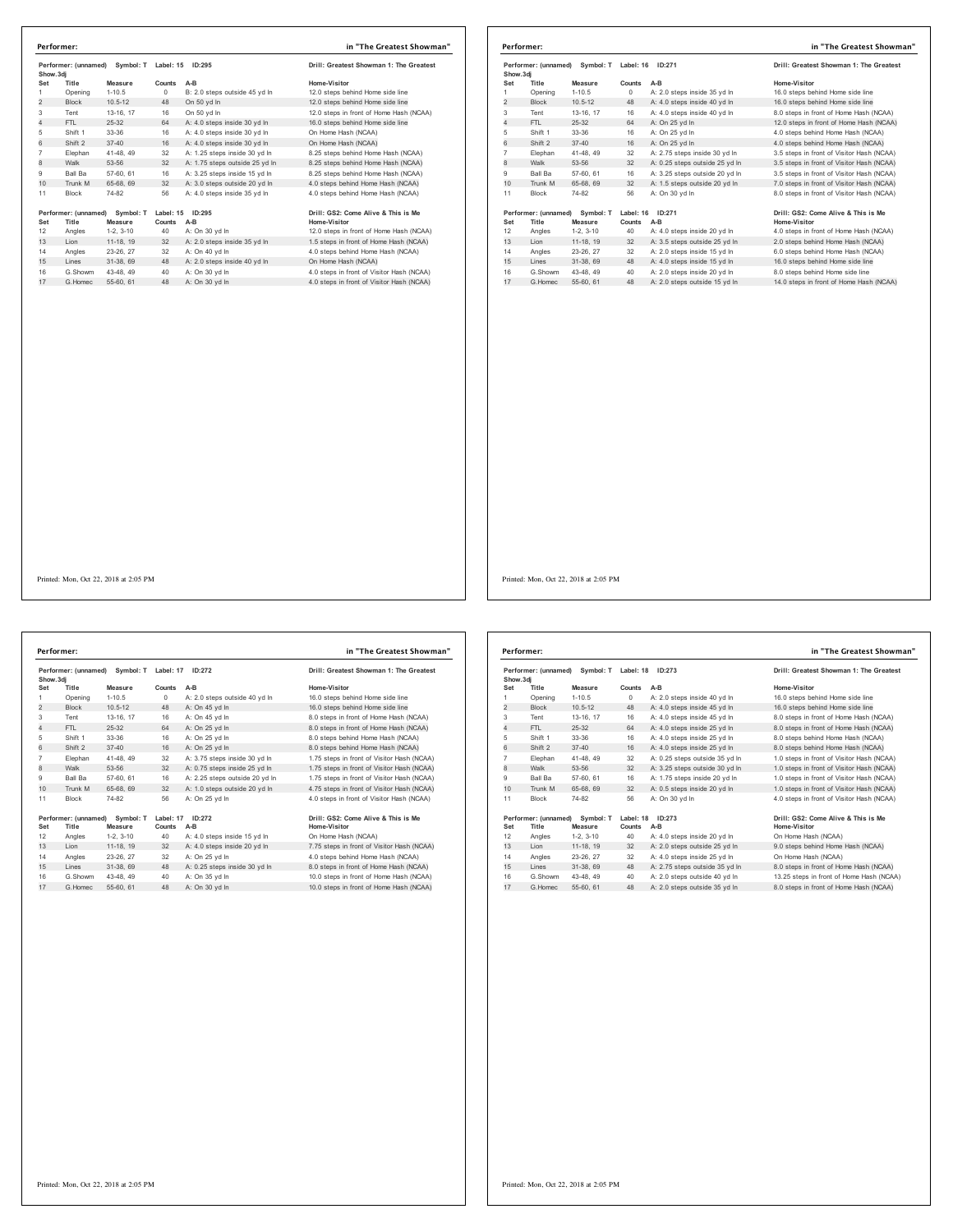| Show.3di       | Performer: (unnamed)          | Symbol: T            | Label: 15           | ID:295                         | Drill: Greatest Showman 1: The Greatest             |
|----------------|-------------------------------|----------------------|---------------------|--------------------------------|-----------------------------------------------------|
| Set            | Title                         | Measure              | Counts              | $A-B$                          | Home-Visitor                                        |
| 1.             | Opening                       | $1-10.5$             | $\Omega$            | B: 2.0 steps outside 45 yd In  | 12.0 steps behind Home side line                    |
| $\overline{2}$ | <b>Block</b>                  | $10.5 - 12$          | 48                  | On 50 vd In                    | 12.0 steps behind Home side line                    |
| 3              | Tent                          | 13-16, 17            | 16                  | On 50 yd In                    | 12.0 steps in front of Home Hash (NCAA)             |
| 4              | FTI.                          | 25-32                | 64                  | A: 4.0 steps inside 30 yd In   | 16.0 steps behind Home side line                    |
| 5              | Shift 1                       | 33-36                | 16                  | A: 4.0 steps inside 30 yd In   | On Home Hash (NCAA)                                 |
| 6              | Shift 2                       | $37 - 40$            | 16                  | A: 4.0 steps inside 30 yd In   | On Home Hash (NCAA)                                 |
| $\overline{7}$ | Elephan                       | 41-48.49             | 32                  | A: 1.25 steps inside 30 vd In  | 8.25 steps behind Home Hash (NCAA)                  |
| 8              | Walk                          | 53-56                | 32                  | A: 1.75 steps outside 25 yd In | 8.25 steps behind Home Hash (NCAA)                  |
| 9              | Ball Ba                       | 57-60, 61            | 16                  | A: 3.25 steps inside 15 yd In  | 8.25 steps behind Home Hash (NCAA)                  |
| 10             | Trunk M                       | 65-68, 69            | 32                  | A: 3.0 steps outside 20 yd In  | 4.0 steps behind Home Hash (NCAA)                   |
| 11             | Block                         | 74-82                | 56                  | A: 4.0 steps inside 35 yd In   | 4.0 steps behind Home Hash (NCAA)                   |
| Set            | Performer: (unnamed)<br>Title | Symbol: T<br>Measure | Label: 15<br>Counts | ID:295<br>$A-B$                | Drill: GS2: Come Alive & This is Me<br>Home-Visitor |
| 12             | Angles                        | $1-2.3-10$           | 40                  | A: On 30 yd In                 | 12.0 steps in front of Home Hash (NCAA)             |
| 13             | Lion                          | 11-18, 19            | 32                  | A: 2.0 steps inside 35 yd In   | 1.5 steps in front of Home Hash (NCAA)              |
| 14             | Angles                        | 23-26, 27            | 32                  | A: On 40 vd In                 | 4.0 steps behind Home Hash (NCAA)                   |
| 15             | Lines                         | 31-38, 69            | 48                  | A: 2.0 steps inside 40 yd In   | On Home Hash (NCAA)                                 |
| 16             | G.Showm                       | 43-48, 49            | 40                  | A: On 30 yd In                 | 4.0 steps in front of Visitor Hash (NCAA)           |
| 17             | G. Homec                      | 55-60, 61            | 48                  | A: On 30 yd In                 | 4.0 steps in front of Visitor Hash (NCAA)           |

|                | Performer:                                            |                                |                     |                                | in "The Greatest Showman"                           |
|----------------|-------------------------------------------------------|--------------------------------|---------------------|--------------------------------|-----------------------------------------------------|
| Show, 3di      |                                                       | Performer: (unnamed) Symbol: T | Label: 16           | ID:271                         | Drill: Greatest Showman 1: The Greatest             |
| Set            | Title                                                 | Measure                        | Counts              | $A-B$                          | Home-Visitor                                        |
| 1              | Opening                                               | $1 - 10.5$                     | $^{\circ}$          | A: 2.0 steps inside 35 yd In   | 16.0 steps behind Home side line                    |
| $\overline{2}$ | <b>Block</b>                                          | $10.5 - 12$                    | 48                  | A: 4.0 steps inside 40 yd In   | 16.0 steps behind Home side line                    |
| 3              | Tent                                                  | 13-16, 17                      | 16                  | A: 4.0 steps inside 40 yd In   | 8.0 steps in front of Home Hash (NCAA)              |
| 4              | FTL.                                                  | $25-32$                        | 64                  | A: On 25 yd In                 | 12.0 steps in front of Home Hash (NCAA)             |
| 5              | Shift 1                                               | 33-36                          | 16                  | A: On 25 yd In                 | 4.0 steps behind Home Hash (NCAA)                   |
| 6              | Shift 2                                               | $37 - 40$                      | 16                  | A: On 25 yd In                 | 4.0 steps behind Home Hash (NCAA)                   |
| 7              | Elephan                                               | 41-48, 49                      | 32                  | A: 2.75 steps inside 30 yd In  | 3.5 steps in front of Visitor Hash (NCAA)           |
| 8              | Walk                                                  | 53-56                          | 32                  | A: 0.25 steps outside 25 yd In | 3.5 steps in front of Visitor Hash (NCAA)           |
| 9              | <b>Ball Ba</b>                                        | 57-60, 61                      | 16                  | A: 3.25 steps outside 20 yd In | 3.5 steps in front of Visitor Hash (NCAA)           |
| 10             | Trunk M                                               | 65-68, 69                      | 32                  | A: 1.5 steps outside 20 yd In  | 7.0 steps in front of Visitor Hash (NCAA)           |
| 11             | Block                                                 | 74-82                          | 56                  | A: On 30 yd In                 | 8.0 steps in front of Visitor Hash (NCAA)           |
| Set            | Performer: (unnamed)<br>Symbol: T<br>Title<br>Measure |                                | Label: 16<br>Counts | ID:271<br>$A-B$                | Drill: GS2: Come Alive & This is Me<br>Home-Visitor |
| 12             | Angles                                                | $1-2.3-10$                     | 40                  | A: 4.0 steps inside 20 vd In   | 4.0 steps in front of Home Hash (NCAA)              |
| 13             | Lion                                                  | 11-18, 19                      | 32                  | A: 3.5 steps outside 25 yd In  | 2.0 steps behind Home Hash (NCAA)                   |
| 14             | Angles                                                | 23-26, 27                      | 32                  | A: 2.0 steps inside 15 vd In   | 6.0 steps behind Home Hash (NCAA)                   |
| 15             | Lines                                                 | 31-38, 69                      | 48                  | A: 4.0 steps inside 15 yd In   | 16.0 steps behind Home side line                    |
| 16             | G.Showm                                               | 43-48, 49                      | 40                  | A: 2.0 steps inside 20 vd In   | 8.0 steps behind Home side line                     |
| 17             | G. Homec                                              | 55-60, 61                      | 48                  | A: 2.0 steps outside 15 yd In  | 14.0 steps in front of Home Hash (NCAA)             |

Performer: (unnamed) Symbol: T Label: 17 ID:272<br>Show.3dj + Measure Counts A-B + Mome-Visitor<br>Set Title Measure Counts A-B + Mome-Visitor<br>1 Opening 1-10.5 12 48 A: On 45 yd in 16.0 steps behind Home side line<br>2 Block 10.5-1 Tent 13-16, 17 16 A: On 45 yd ln 8.0 steps in front of Home Hash (NCAA) 4 FTL 25-32 64 A: On 25 yd ln 8.0 steps in front of Home Hash (NCAA) 5 Shift 1 33-36 16 A: On 25 yd ln 8.0 steps behind Home Hash (NCAA)<br>6 Shift 2 37-40 16 A: On 25 yd ln 8.0 steps behind Home Hash (NCAA) Elephan 41-48, 49 32 A: 3.75 steps inside 30 yd ln 1.75 steps in front of Visitor Hash (NCAA) 8 Walk 53-56 32 A: 0.75 steps inside 25 yd ln 1.75 steps in front of Visitor Hash (NCAA) Ball Ba 57-60, 61 16 A: 2.25 steps outside 20 yd ln 1.75 steps in front of Visitor Hash (NCAA) 10 Trunk M 65-68, 69 32 A: 1.0 steps outside 20 yd ln 4.75 steps in front of Visitor Hash (NCAA) 11 Block 74-82 56 A: On 25 yd In **Performer:** (unnamed) Symbol: T Label: 17 ID:272 Dril: GS2: Come Alive & This is Me<br>
Set Title Measure Counts A-B<br>
12 Angles 1-2, 3-10 40 A: 4.0 steps inside 15 yd In Home Visitor<br>
13 Lion 11-18, 19 32 A: 4.0 steps inside G.Showm 43-48, 49 40 A: On 35 yd ln 10.0 steps in front of Home Hash (NCAA) 17 G.Homec 55-60, 61 48 A: On 30 yd ln 10.0 steps in front of Home Hash (NCAA) **Performer: in "The Greatest Showman"**

| Home-Visitor                               |
|--------------------------------------------|
| 16.0 steps behind Home side line           |
| 16.0 steps behind Home side line           |
| 8.0 steps in front of Home Hash (NCAA)     |
| 8.0 steps in front of Home Hash (NCAA)     |
| 8.0 steps behind Home Hash (NCAA)          |
| 8.0 steps behind Home Hash (NCAA)          |
| 1.75 steps in front of Visitor Hash (NCAA) |
| 1.75 steps in front of Visitor Hash (NCAA) |
| 1.75 steps in front of Visitor Hash (NCAA) |
| 4.75 steps in front of Visitor Hash (NCAA) |
| 4.0 steps in front of Visitor Hash (NCAA)  |
|                                            |
| Drill: GS2: Come Alive & This is Me        |
|                                            |

| Performer: (unnamed)<br>Show, 3di |                      |             | Symbol: T Label: 18 | ID:273                         | Drill: Greatest Showman 1: The Greatest   |  |
|-----------------------------------|----------------------|-------------|---------------------|--------------------------------|-------------------------------------------|--|
| Set                               | Title                | Measure     | Counts              | $A-B$                          | Home-Visitor                              |  |
| 1                                 | Opening              | $1 - 10.5$  | $\circ$             | A: 2.0 steps inside 40 yd In   | 16.0 steps behind Home side line          |  |
| 2                                 | <b>Block</b>         | $10.5 - 12$ | 48                  | A: 4.0 steps inside 45 yd In   | 16.0 steps behind Home side line          |  |
| 3                                 | Tent                 | 13-16, 17   | 16                  | A: 4.0 steps inside 45 vd In   | 8.0 steps in front of Home Hash (NCAA)    |  |
| $\overline{4}$                    | FTI.                 | $25 - 32$   | 64                  | A: 4.0 steps inside 25 yd In   | 8.0 steps in front of Home Hash (NCAA)    |  |
| 5                                 | Shift 1              | 33-36       | 16                  | A: 4.0 steps inside 25 vd In   | 8.0 steps behind Home Hash (NCAA)         |  |
| 6                                 | Shift 2              | $37 - 40$   | 16                  | A: 4.0 steps inside 25 vd In   | 8.0 steps behind Home Hash (NCAA)         |  |
| $\overline{7}$                    | Elephan              | 41-48, 49   | 32                  | A: 0.25 steps outside 35 vd In | 1.0 steps in front of Visitor Hash (NCAA) |  |
| 8                                 | Walk                 | 53-56       | 32                  | A: 3.25 steps outside 30 yd In | 1.0 steps in front of Visitor Hash (NCAA) |  |
| 9                                 | <b>Ball Ba</b>       | 57-60, 61   | 16                  | A: 1.75 steps inside 20 vd In  | 1.0 steps in front of Visitor Hash (NCAA) |  |
| 10                                | Trunk M              | 65-68, 69   | 32                  | A: 0.5 steps inside 20 yd In   | 1.0 steps in front of Visitor Hash (NCAA) |  |
| 11                                | <b>Block</b>         | 74-82       | 56                  | A: On 30 vd In                 | 4.0 steps in front of Visitor Hash (NCAA) |  |
|                                   | Performer: (unnamed) | Symbol: T   | Label: 18           | ID:273                         | Drill: GS2: Come Alive & This is Me       |  |
| Set                               | Title                | Measure     | Counts              | A-B                            | Home-Visitor                              |  |
| 12                                | Angles               | $1-2, 3-10$ | 40                  | A: 4.0 steps inside 20 yd In   | On Home Hash (NCAA)                       |  |
| 13                                | Lion                 | 11-18, 19   | 32                  | A: 2.0 steps outside 25 yd In  | 9.0 steps behind Home Hash (NCAA)         |  |
| 14                                | Angles               | 23-26.27    | 32                  | A: 4.0 steps inside 25 vd In   | On Home Hash (NCAA)                       |  |
| 15                                | Lines                | 31-38, 69   | 48                  | A: 2.75 steps outside 35 yd In | 8.0 steps in front of Home Hash (NCAA)    |  |
| 16                                | G Showm              | 43-48, 49   | 40                  | A: 2.0 steps outside 40 vd In  | 13.25 steps in front of Home Hash (NCAA)  |  |
| 17                                | G. Homec             | 55-60, 61   | 48                  | A: 2.0 steps outside 35 yd In  | 8.0 steps in front of Home Hash (NCAA)    |  |
|                                   |                      |             |                     |                                |                                           |  |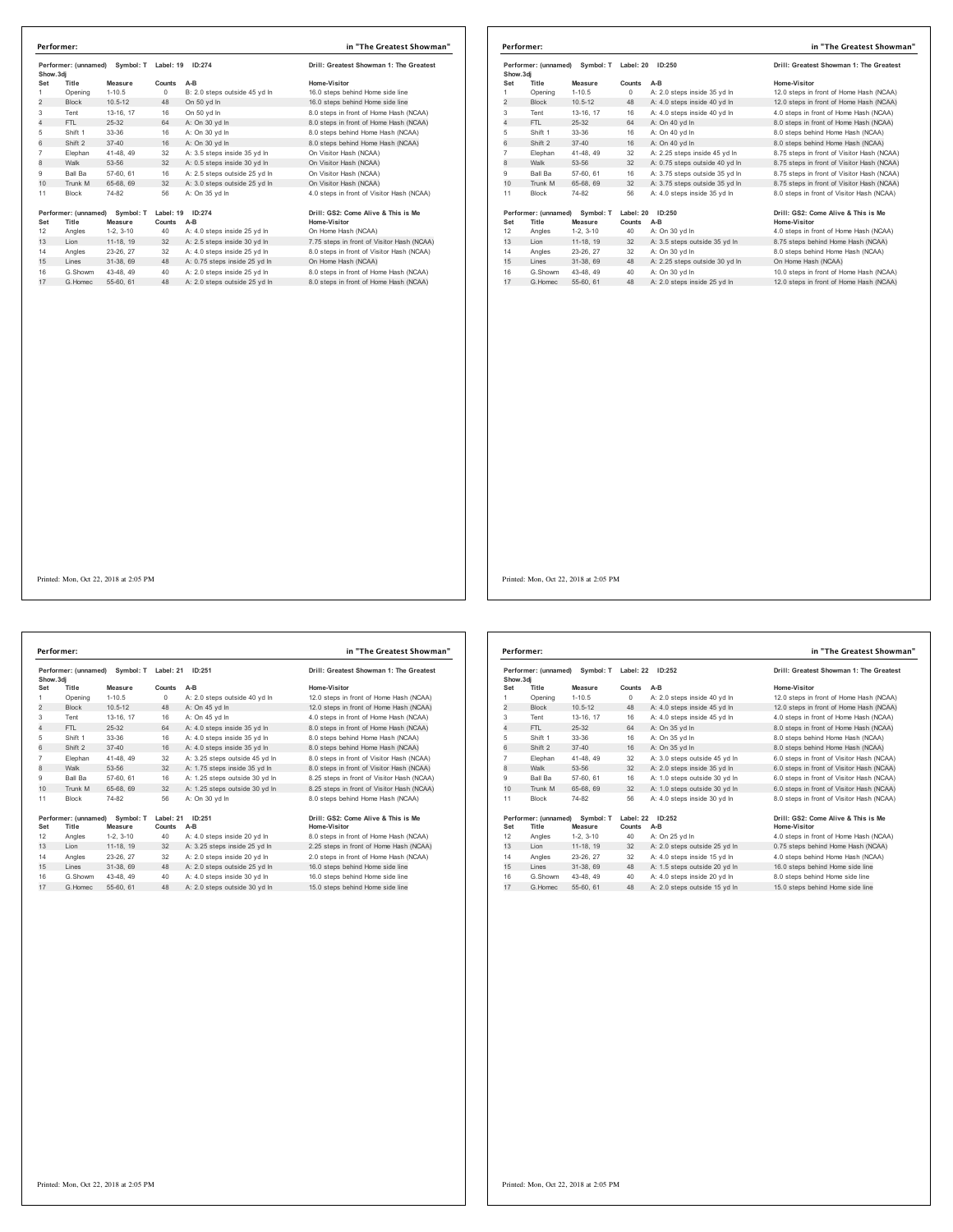| Performer: (unnamed)<br>Show.3di |                               | Symbol: T            | Label: 19<br>ID:274 |                               | Drill: Greatest Showman 1: The Greatest             |  |
|----------------------------------|-------------------------------|----------------------|---------------------|-------------------------------|-----------------------------------------------------|--|
| Set                              | Title                         | Measure              | Counts              | $A-B$                         | Home-Visitor                                        |  |
| 1                                | Opening                       | $1 - 10.5$           | $^{\circ}$          | B: 2.0 steps outside 45 yd In | 16.0 steps behind Home side line                    |  |
| $\overline{2}$                   | <b>Block</b>                  | $10.5 - 12$          | 48                  | On 50 vd In                   | 16.0 steps behind Home side line                    |  |
| 3                                | Tent                          | 13-16, 17            | 16                  | On 50 yd In                   | 8.0 steps in front of Home Hash (NCAA)              |  |
| $\overline{4}$                   | FTI.                          | $25 - 32$            | 64                  | A: On 30 vd In                | 8.0 steps in front of Home Hash (NCAA)              |  |
| 5                                | Shift 1                       | 33-36                | 16                  | A: On 30 yd In                | 8.0 steps behind Home Hash (NCAA)                   |  |
| 6                                | Shift 2                       | $37 - 40$            | 16                  | A: On 30 vd In                | 8.0 steps behind Home Hash (NCAA)                   |  |
| $\overline{7}$                   | Elephan                       | 41-48, 49            | 32                  | A: 3.5 steps inside 35 yd In  | On Visitor Hash (NCAA)                              |  |
| 8                                | Walk                          | 53-56                | 32                  | A: 0.5 steps inside 30 yd In  | On Visitor Hash (NCAA)                              |  |
| 9                                | Ball Ba                       | 57-60, 61            | 16                  | A: 2.5 steps outside 25 vd In | On Visitor Hash (NCAA)                              |  |
| 10 <sup>1</sup>                  | Trunk M                       | 65-68, 69            | 32                  | A: 3.0 steps outside 25 yd In | On Visitor Hash (NCAA)                              |  |
| 11                               | <b>Block</b>                  | 74-82                | 56                  | A: On 35 yd In                | 4.0 steps in front of Visitor Hash (NCAA)           |  |
| Set                              | Performer: (unnamed)<br>Title | Symbol: T<br>Measure | Label: 19<br>Counts | ID:274<br>$A-B$               | Drill: GS2: Come Alive & This is Me<br>Home-Visitor |  |
| 12                               | Angles                        | $1-2, 3-10$          | 40                  | A: 4.0 steps inside 25 yd In  | On Home Hash (NCAA)                                 |  |
| 13                               | Lion                          | 11-18. 19            | 32                  | A: 2.5 steps inside 30 yd In  | 7.75 steps in front of Visitor Hash (NCAA)          |  |
| 14                               | Angles                        | 23-26, 27            | 32                  | A: 4.0 steps inside 25 yd In  | 8.0 steps in front of Visitor Hash (NCAA)           |  |
| 15                               | I ines                        | 31-38.69             | 48                  | A: 0.75 steps inside 25 vd In | On Home Hash (NCAA)                                 |  |
| 16                               | G.Showm                       | 43-48, 49            | 40                  | A: 2.0 steps inside 25 vd In  | 8.0 steps in front of Home Hash (NCAA)              |  |
| 17                               | G.Homec                       | 55-60, 61            | 48                  | A: 2.0 steps outside 25 yd In | 8.0 steps in front of Home Hash (NCAA)              |  |

|                | Performer:           |             |           |                                | in "The Greatest Showman"                  |
|----------------|----------------------|-------------|-----------|--------------------------------|--------------------------------------------|
| Show, 3di      | Performer: (unnamed) | Symbol: T   | Label: 20 | ID:250                         | Drill: Greatest Showman 1: The Greatest    |
| Set            | Title                | Measure     | Counts    | $A-B$                          | Home-Visitor                               |
| 1              | Opening              | $1 - 10.5$  | $\circ$   | A: 2.0 steps inside 35 vd In   | 12.0 steps in front of Home Hash (NCAA)    |
| 2              | <b>Block</b>         | $10.5 - 12$ | 48        | A: 4.0 steps inside 40 yd In   | 12.0 steps in front of Home Hash (NCAA)    |
| 3              | Tent                 | 13-16. 17   | 16        | A: 4.0 steps inside 40 yd In   | 4.0 steps in front of Home Hash (NCAA)     |
| 4              | FTL                  | $25 - 32$   | 64        | A: On 40 vd In                 | 8.0 steps in front of Home Hash (NCAA)     |
| 5              | Shift 1              | 33-36       | 16        | A: On 40 yd In                 | 8.0 steps behind Home Hash (NCAA)          |
| 6              | Shift 2              | $37 - 40$   | 16        | A: On 40 vd In                 | 8.0 steps behind Home Hash (NCAA)          |
| $\overline{7}$ | Elephan              | 41-48, 49   | 32        | A: 2.25 steps inside 45 yd In  | 8.75 steps in front of Visitor Hash (NCAA) |
| 8              | Walk                 | 53-56       | 32        | A: 0.75 steps outside 40 yd In | 8.75 steps in front of Visitor Hash (NCAA) |
| 9              | <b>Ball Ba</b>       | 57-60, 61   | 16        | A: 3.75 steps outside 35 vd In | 8.75 steps in front of Visitor Hash (NCAA) |
| 10             | Trunk M              | 65-68, 69   | 32        | A: 3.75 steps outside 35 vd In | 8.75 steps in front of Visitor Hash (NCAA) |
| 11             | <b>Block</b>         | 74-82       | 56        | A: 4.0 steps inside 35 vd In   | 8.0 steps in front of Visitor Hash (NCAA)  |
|                | Performer: (unnamed) | Symbol: T   | Label: 20 | ID:250                         | Drill: GS2: Come Alive & This is Me        |
| Set            | Title                | Measure     | Counts    | $A-B$                          | Home-Visitor                               |
| 12             | Angles               | $1-2.3-10$  | 40        | A: On 30 vd In                 | 4.0 steps in front of Home Hash (NCAA)     |
| 13             | Lion                 | 11-18, 19   | 32        | A: 3.5 steps outside 35 yd In  | 8.75 steps behind Home Hash (NCAA)         |
| 14             | Angles               | 23-26, 27   | 32        | A: On 30 vd In                 | 8.0 steps behind Home Hash (NCAA)          |
| 15             | Lines                | 31-38, 69   | 48        | A: 2.25 steps outside 30 vd In | On Home Hash (NCAA)                        |
| 16             | G.Showm              | 43-48, 49   | 40        | A: On 30 vd In                 | 10.0 steps in front of Home Hash (NCAA)    |
| 17             | G Homec              | 55-60, 61   | 48        | A: 2.0 steps inside 25 yd In   | 12.0 steps in front of Home Hash (NCAA)    |

**Performer: (unnamed) Symbol: T Label: 21 ID:251 Drill: Greatest Showman 1: The Greatest Show.3dj Set Title Measure Counts A-B Home-Visitor** 1 Opening 1-10.5 0 A: 2.0 steps outside 40 yd ln 12.0 steps in front of Home Hash (NCAA) 2 Block 10.5-12 48 A: On 45 yd ln 12.<br>
2 Block 10.5-12 48 A: On 45 yd ln 12.<br>
3 Tent 13-16, 17 16 A: On 45 yd ln 4.<br>
4 FTL 25-32 64 A: 4.0 steps inside 35 yd ln 8. Tent 13-16, 17 16 A: On 45 yd ln 4.0 steps in front of Home Hash (NCAA) 4 FTL 25-32 64 A: 4.0 steps inside 35 yd ln 8.0 steps in front of Home Hash (NCAA) 5 Shift 1 33-36 16 A: 4.0 steps inside 35 yd ln 8.0 steps behind Home Hash (NCAA)<br>6 Shift 2 37-40 16 A: 4.0 steps inside 35 yd ln 8.0 steps behind Home Hash (NCAA) Elephan 41-48, 49 32 A: 3.25 steps outside 45 yd ln 8.0 steps in front of Visitor Hash (NCAA) 8 Walk 53-56 32 A: 1.75 steps inside 35 yd ln 8.0 steps in front of Visitor Hash (NCAA) Ball Ba 57-60, 61 16 A: 1.25 steps outside 30 yd ln 8.25 steps in front of Visitor Hash (NCAA) 10 Trunk M 65-68, 69 32 A: 1.25 steps outside 30 yd ln 8.25 steps in front of Visitor Hash (NCAA) 11 Block 74-82 56 A: On 30 yd ln 8. 1967 (come Alive & This based on Home Missing Come Alive & This is Me<br>
1967 (Section 2011) 1967 (Sample 20 yd In Home Wiston<br>
1979 (Samples 1-2, 3-10 40 A: 4.0 steps inside 20 yd In 8.0 steps in front of Home Hash (NCAA)<br> G.Showm 43-48, 49 40 A: 4.0 steps inside 30 yd ln 16.0 steps behind Home side line 17 G.Homec 55-60, 61 48 A: 2.0 steps outside 30 yd ln 15.0 steps behind Home side line **Performer: in "The Greatest Showman"**

| rill: Greatest Showman 1: The Greatest    |
|-------------------------------------------|
| lome-Visitor                              |
| 2.0 steps in front of Home Hash (NCAA)    |
| 2.0 steps in front of Home Hash (NCAA)    |
| .0 steps in front of Home Hash (NCAA)     |
| .0 steps in front of Home Hash (NCAA)     |
| .0 steps behind Home Hash (NCAA)          |
| .0 steps behind Home Hash (NCAA)          |
| .0 steps in front of Visitor Hash (NCAA)  |
| .0 steps in front of Visitor Hash (NCAA)  |
| .25 steps in front of Visitor Hash (NCAA) |
| .25 steps in front of Visitor Hash (NCAA) |
| .0 steps behind Home Hash (NCAA)          |
|                                           |

| Show, 3di      | Performer: (unnamed) | Symbol: T                                 | Label: 22                  | ID:252                        | Drill: Greatest Showman 1: The Greatest             |
|----------------|----------------------|-------------------------------------------|----------------------------|-------------------------------|-----------------------------------------------------|
| Set            | Title                | Measure                                   | Counts                     | $A-B$                         | Home-Visitor                                        |
| 1              | Opening              | $1 - 10.5$                                | $\circ$                    | A: 2.0 steps inside 40 yd In  | 12.0 steps in front of Home Hash (NCAA)             |
| 2              | <b>Block</b>         | $10.5 - 12$                               | 48                         | A: 4.0 steps inside 45 yd In  | 12.0 steps in front of Home Hash (NCAA)             |
| 3              | Tent                 | 13-16, 17                                 | 16                         | A: 4.0 steps inside 45 vd In  | 4.0 steps in front of Home Hash (NCAA)              |
| 4              | FTI.                 | $25 - 32$                                 | 64                         | A: On 35 yd In                | 8.0 steps in front of Home Hash (NCAA)              |
| 5              | Shift 1              | 33-36                                     | 16                         | A: On 35 yd In                | 8.0 steps behind Home Hash (NCAA)                   |
| 6              | Shift 2              | $37 - 40$                                 | 16                         | A: On 35 vd In                | 8.0 steps behind Home Hash (NCAA)                   |
| $\overline{7}$ | Elephan              | 41-48, 49                                 | 32                         | A: 3.0 steps outside 45 yd In | 6.0 steps in front of Visitor Hash (NCAA)           |
| 8              | Walk                 | 53-56                                     | 32                         | A: 2.0 steps inside 35 yd In  | 6.0 steps in front of Visitor Hash (NCAA)           |
| 9              | <b>Ball Ba</b>       | 57-60, 61                                 | 16                         | A: 1.0 steps outside 30 vd In | 6.0 steps in front of Visitor Hash (NCAA)           |
| 10             | Trunk M              | 65-68, 69                                 | 32                         | A: 1.0 steps outside 30 yd In | 6.0 steps in front of Visitor Hash (NCAA)           |
| 11             | <b>Block</b>         | 74-82                                     | 56                         | A: 4.0 steps inside 30 vd In  | 8.0 steps in front of Visitor Hash (NCAA)           |
| Set            | Title                | Performer: (unnamed) Symbol: T<br>Measure | Label: 22<br><b>Counts</b> | ID:252<br>A-B                 | Drill: GS2: Come Alive & This is Me<br>Home-Visitor |
| 12             | Angles               | $1-2.3-10$                                | 40                         | A: On 25 yd In                | 4.0 steps in front of Home Hash (NCAA)              |
| 13             | Lion                 | 11-18, 19                                 | 32                         | A: 2.0 steps outside 25 yd In | 0.75 steps behind Home Hash (NCAA)                  |
| 14             | Angles               | 23-26, 27                                 | 32                         | A: 4.0 steps inside 15 yd In  | 4.0 steps behind Home Hash (NCAA)                   |
| 15             | Lines                | 31-38, 69                                 | 48                         | A: 1.5 steps outside 20 yd In | 16.0 steps behind Home side line                    |
| 16             | G.Showm              | 43-48, 49                                 | 40                         | A: 4.0 steps inside 20 vd In  | 8.0 steps behind Home side line                     |
| 17             | G. Homec             | 55-60, 61                                 | 48                         | A: 2.0 steps outside 15 yd In | 15.0 steps behind Home side line                    |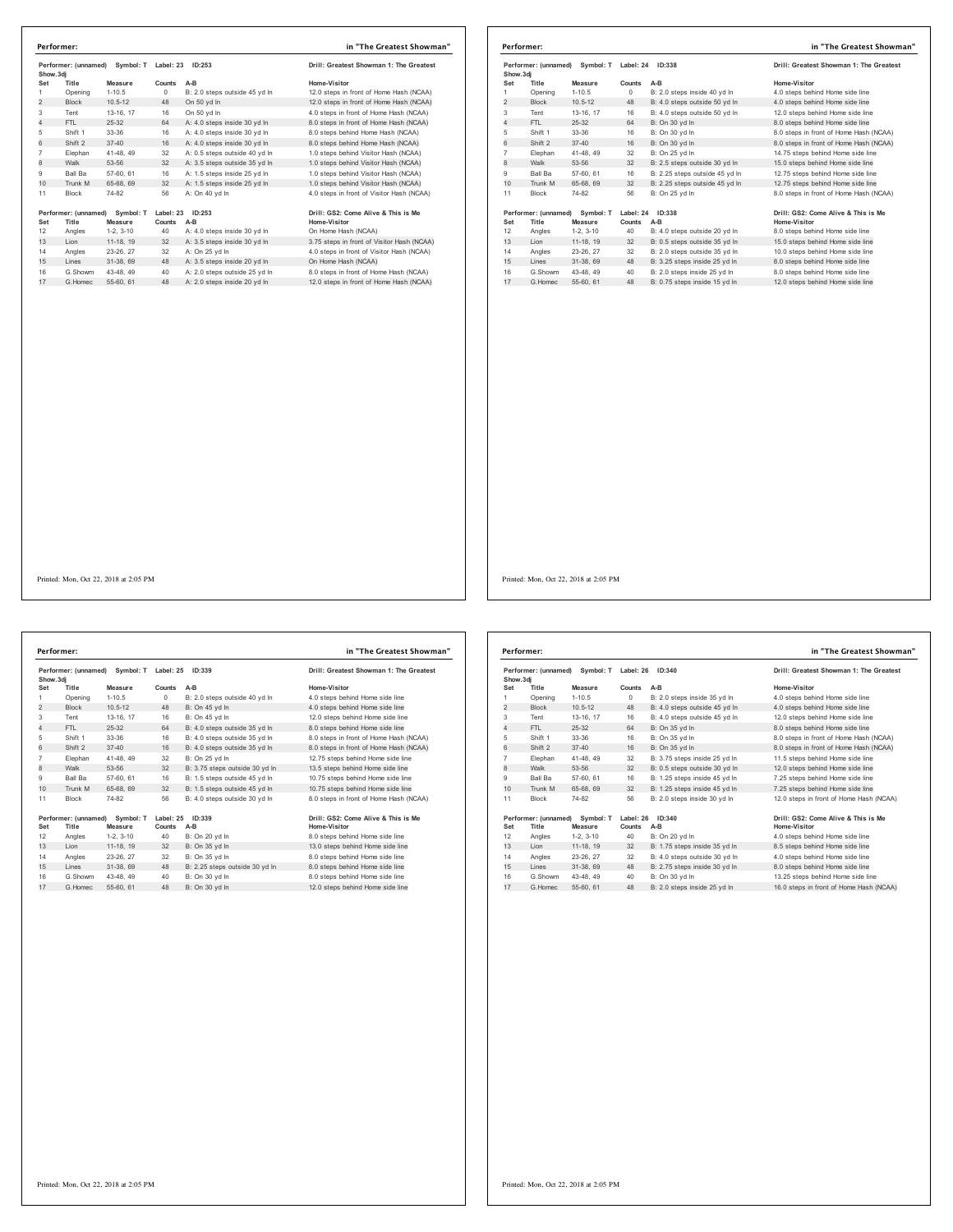| Show.3di       | Performer: (unnamed) | Symbol: T             | Label: 23    | ID: 253                       | Drill: Greatest Showman 1: The Greatest    |
|----------------|----------------------|-----------------------|--------------|-------------------------------|--------------------------------------------|
| Set            | Title                | Measure               | Counts       | $A-B$                         | Home-Visitor                               |
| 1              | Opening              | $1 - 10.5$            | $\Omega$     | B: 2.0 steps outside 45 yd In | 12.0 steps in front of Home Hash (NCAA)    |
| $\overline{2}$ | <b>Block</b>         | $10.5 - 12$           | 48           | On 50 vd In                   | 12.0 steps in front of Home Hash (NCAA)    |
| 3              | Tent                 | 13-16, 17             | 16           | On 50 vd In                   | 4.0 steps in front of Home Hash (NCAA)     |
| 4              | FTI.                 | 25-32                 | 64           | A: 4.0 steps inside 30 yd In  | 8.0 steps in front of Home Hash (NCAA)     |
| 5              | Shift 1              | $33 - 36$             | 16           | A: 4.0 steps inside 30 yd In  | 8.0 steps behind Home Hash (NCAA)          |
| 6              | Shift 2              | $37 - 40$             | 16           | A: 4.0 steps inside 30 yd In  | 8.0 steps behind Home Hash (NCAA)          |
| $\overline{7}$ | Elephan              | 41-48, 49             | 32           | A: 0.5 steps outside 40 vd In | 1.0 steps behind Visitor Hash (NCAA)       |
| 8              | Walk                 | 53-56                 | 32           | A: 3.5 steps outside 35 yd In | 1.0 steps behind Visitor Hash (NCAA)       |
| 9              | Ball Ba              | 57-60, 61             | 16           | A: 1.5 steps inside 25 vd In  | 1.0 steps behind Visitor Hash (NCAA)       |
| 10             | Trunk M              | 65-68, 69             | 32           | A: 1.5 steps inside 25 vd In  | 1.0 steps behind Visitor Hash (NCAA)       |
| 11             | <b>Block</b>         | 74-82                 | 56           | A: On 40 vd In                | 4.0 steps in front of Visitor Hash (NCAA)  |
|                | Performer: (unnamed) | Symbol: T             | Label: 23    | ID:253                        | Drill: GS2: Come Alive & This is Me        |
| Set<br>12      | Title                | Measure<br>$1-2.3-10$ | Counts<br>40 | $A-B$                         | Home-Visitor                               |
| 13             | Angles               |                       | 32           | A: 4.0 steps inside 30 yd In  | On Home Hash (NCAA)                        |
|                | Lion                 | 11-18, 19             |              | A: 3.5 steps inside 30 yd In  | 3.75 steps in front of Visitor Hash (NCAA) |
| 14             | Angles               | 23-26, 27             | 32           | A: On 25 vd In                | 4.0 steps in front of Visitor Hash (NCAA)  |
| 15             | Lines                | 31-38, 69             | 48           | A: 3.5 steps inside 20 yd In  | On Home Hash (NCAA)                        |
| 16             | G.Showm              | 43-48, 49             | 40           | A: 2.0 steps outside 25 yd In | 8.0 steps in front of Home Hash (NCAA)     |
| 17             | G Homec              | 55-60, 61             | 48           | A: 2.0 steps inside 20 yd In  | 12.0 steps in front of Home Hash (NCAA)    |

|           | Performer:           |                                           |                     |                                | in "The Greatest Showman"                           |
|-----------|----------------------|-------------------------------------------|---------------------|--------------------------------|-----------------------------------------------------|
| Show, 3di | Performer: (unnamed) | Symbol: T                                 | Label: 24           | ID:338                         | Drill: Greatest Showman 1: The Greatest             |
| Set       | Title                | Measure                                   | Counts              | $A-B$                          | Home-Visitor                                        |
|           | Opening              | $1 - 10.5$                                | $\circ$             | B: 2.0 steps inside 40 vd In   | 4.0 steps behind Home side line                     |
| 2         | <b>Block</b>         | $10.5 - 12$                               | 48                  | B: 4.0 steps outside 50 yd In  | 4.0 steps behind Home side line                     |
| 3         | Tent                 | 13-16, 17                                 | 16                  | B: 4.0 steps outside 50 yd In  | 12.0 steps behind Home side line                    |
| 4         | FTI.                 | $25-32$                                   | 64                  | B: On 30 yd In                 | 8.0 steps behind Home side line                     |
| 5         | Shift 1              | 33-36                                     | 16                  | B: On 30 yd In                 | 8.0 steps in front of Home Hash (NCAA)              |
| 6         | Shift 2              | $37 - 40$                                 | 16                  | B: On 30 vd In                 | 8.0 steps in front of Home Hash (NCAA)              |
| 7         | Elephan              | 41-48, 49                                 | 32                  | B: On 25 vd In                 | 14.75 steps behind Home side line                   |
| 8         | Walk                 | 53-56                                     | 32                  | B: 2.5 steps outside 30 yd In  | 15.0 steps behind Home side line                    |
| 9         | <b>Ball Ba</b>       | 57-60, 61                                 | 16                  | B: 2.25 steps outside 45 vd In | 12.75 steps behind Home side line                   |
| 10        | Trunk M              | 65-68, 69                                 | 32                  | B: 2.25 steps outside 45 yd In | 12.75 steps behind Home side line                   |
| 11        | Block                | 74-82                                     | 56                  | B: On 25 yd In                 | 8.0 steps in front of Home Hash (NCAA)              |
| Set       | Title                | Performer: (unnamed) Symbol: T<br>Measure | Label: 24<br>Counts | ID:338<br>$A-B$                | Drill: GS2: Come Alive & This is Me<br>Home-Visitor |
| 12        | Angles               | $1-2, 3-10$                               | 40                  | B: 4.0 steps outside 20 yd In  | 8.0 steps behind Home side line                     |
| 13        | Lion                 | 11-18, 19                                 | 32                  | B: 0.5 steps outside 35 yd In  | 15.0 steps behind Home side line                    |
| 14        | Angles               | 23-26, 27                                 | 32                  | B: 2.0 steps outside 35 vd In  | 10.0 steps behind Home side line                    |
| 15        | Lines                | 31-38, 69                                 | 48                  | B: 3.25 steps inside 25 yd In  | 8.0 steps behind Home side line                     |
| 16        | G.Showm              | 43-48, 49                                 | 40                  | B: 2.0 steps inside 25 vd In   | 8.0 steps behind Home side line                     |
| 17        | G Homec              | 55-60, 61                                 | 48                  | B: 0.75 steps inside 15 yd In  | 12.0 steps behind Home side line                    |

**Performer: (unnamed) Symbol: T Label: 25 ID:339 Drill: Greatest Showman 1: The Greatest Show.3dj Set Title Measure Counts A-B Home-Visitor** Opening 1-10.5 0 B: 2.0 steps outside 40 yd ln 4.0 steps behind Home side line 2 Block 10.5-12 48 B: On 45 yd ln 4.0 steps behind Home side line Tent 13-16, 17 16 B: On 45 yd ln 12.0 steps behind Home side line 4 FTL 25-32 64 B: 4.0 steps outside 35 yd ln 8.0 steps behind Home side line Shift 1 33-36 16 B: 4.0 steps outside 35 yd ln 8.0 steps in front of Home Hash (NCAA) 6 Shift 2 37-40 16 B: 4.0 steps outside 35 yd ln 8.0 steps in front of Home Hash (NCAA) Elephan 41-48, 49 32 B: On 25 yd ln 12.75 steps behind Home side line 8 Walk 53-56 32 B: 3.75 steps outside 30 yd ln 13.5 steps behind Home side line Ball Ba 57-60, 61 16 B: 1.5 steps outside 45 yd ln 10.75 steps behind Home side line 10 Trunk M 65-68, 69 32 B: 1.5 steps outside 45 yd ln 10.75 steps behind Home side line Block 74-82 56 B: 4.0 steps outside 30 yd ln 8.0 steps in front of Home Hash (NCAA) **Performer: (unnamed) Symbol: T Label: 25 ID:339 Drill: GS2: Come Alive & This is Me Set Title Measure Counts A-B Home-Visitor** Angles 1-2, 3-10 40 B: On 20 yd ln 8.0 steps behind Home side line 13 Lion 11-18, 19 32 B: On 35 yd ln 13.0 steps behind Home side line Angles 23-26, 27 32 B: On 35 yd ln 8.0 steps behind Home side line 15 Lines 31-38, 69 48 B: 2.25 steps outside 30 yd ln 8.0 steps behind Home side line G.Showm 43-48, 49 40 B: On 30 yd ln 8.0 steps behind Home side line 17 G.Homec 55-60, 61 48 B: On 30 yd ln 12.0 steps behind Home side line **Performer: in "The Greatest Showman"** Printed: Mon, Oct 22, 2018 at 2:05 PM

| Performer: (unnamed)<br>Show, 3di |                      | Symbol: T<br>ID:340<br>Label: 26 |           |                               | Drill: Greatest Showman 1: The Greatest |
|-----------------------------------|----------------------|----------------------------------|-----------|-------------------------------|-----------------------------------------|
| Set                               | Title                | Measure                          | Counts    | A-B                           | Home-Visitor                            |
| 1                                 | Opening              | $1 - 10.5$                       | $\Omega$  | B: 2.0 steps inside 35 yd In  | 4.0 steps behind Home side line         |
| $\overline{2}$                    | <b>Block</b>         | $10.5 - 12$                      | 48        | B: 4.0 steps outside 45 yd In | 4.0 steps behind Home side line         |
| 3                                 | Tent                 | 13-16, 17                        | 16        | B: 4.0 steps outside 45 vd In | 12.0 steps behind Home side line        |
| 4                                 | FTI.                 | 25-32                            | 64        | B: On 35 yd In                | 8.0 steps behind Home side line         |
| 5                                 | Shift 1              | 33-36                            | 16        | B: On 35 yd In                | 8.0 steps in front of Home Hash (NCAA)  |
| 6                                 | Shift 2              | $37 - 40$                        | 16        | B: On 35 vd In                | 8.0 steps in front of Home Hash (NCAA)  |
| $\overline{7}$                    | Elephan              | 41-48, 49                        | 32        | B: 3.75 steps inside 25 vd In | 11.5 steps behind Home side line        |
| 8                                 | Walk                 | 53-56                            | 32        | B: 0.5 steps outside 30 yd In | 12.0 steps behind Home side line        |
| 9                                 | <b>Ball Ba</b>       | 57-60, 61                        | 16        | B: 1.25 steps inside 45 vd In | 7.25 steps behind Home side line        |
| 10                                | Trunk M              | 65-68, 69                        | 32        | B: 1.25 steps inside 45 yd In | 7.25 steps behind Home side line        |
| 11                                | <b>Block</b>         | 74-82                            | 56        | B: 2.0 steps inside 30 vd In  | 12.0 steps in front of Home Hash (NCAA) |
|                                   | Performer: (unnamed) | Symbol: T                        | Label: 26 | ID:340                        | Drill: GS2: Come Alive & This is Me     |
| Set                               | Title                | Measure                          | Counts    | $A-B$                         | Home-Visitor                            |
| 12                                | Angles               | $1-2.3-10$                       | 40        | B: On 20 vd In                | 4.0 steps behind Home side line         |
| 13                                | Lion                 | 11-18, 19                        | 32        | B: 1.75 steps inside 35 yd In | 8.5 steps behind Home side line         |
| 14                                | Angles               | 23-26.27                         | 32        | B: 4.0 steps outside 30 vd In | 4.0 steps behind Home side line         |
| 15                                | Lines                | 31-38, 69                        | 48        | B: 2.75 steps inside 30 yd In | 8.0 steps behind Home side line         |
| 16                                | G Showm              | 43-48, 49                        | 40        | B: On 30 vd In                | 13.25 steps behind Home side line       |
| 17                                | G Homec              | 55-60, 61                        | 48        | B: 2.0 steps inside 25 vd In  | 16.0 steps in front of Home Hash (NCAA) |

# Printed: Mon, Oct 22, 2018 at 2:05 PM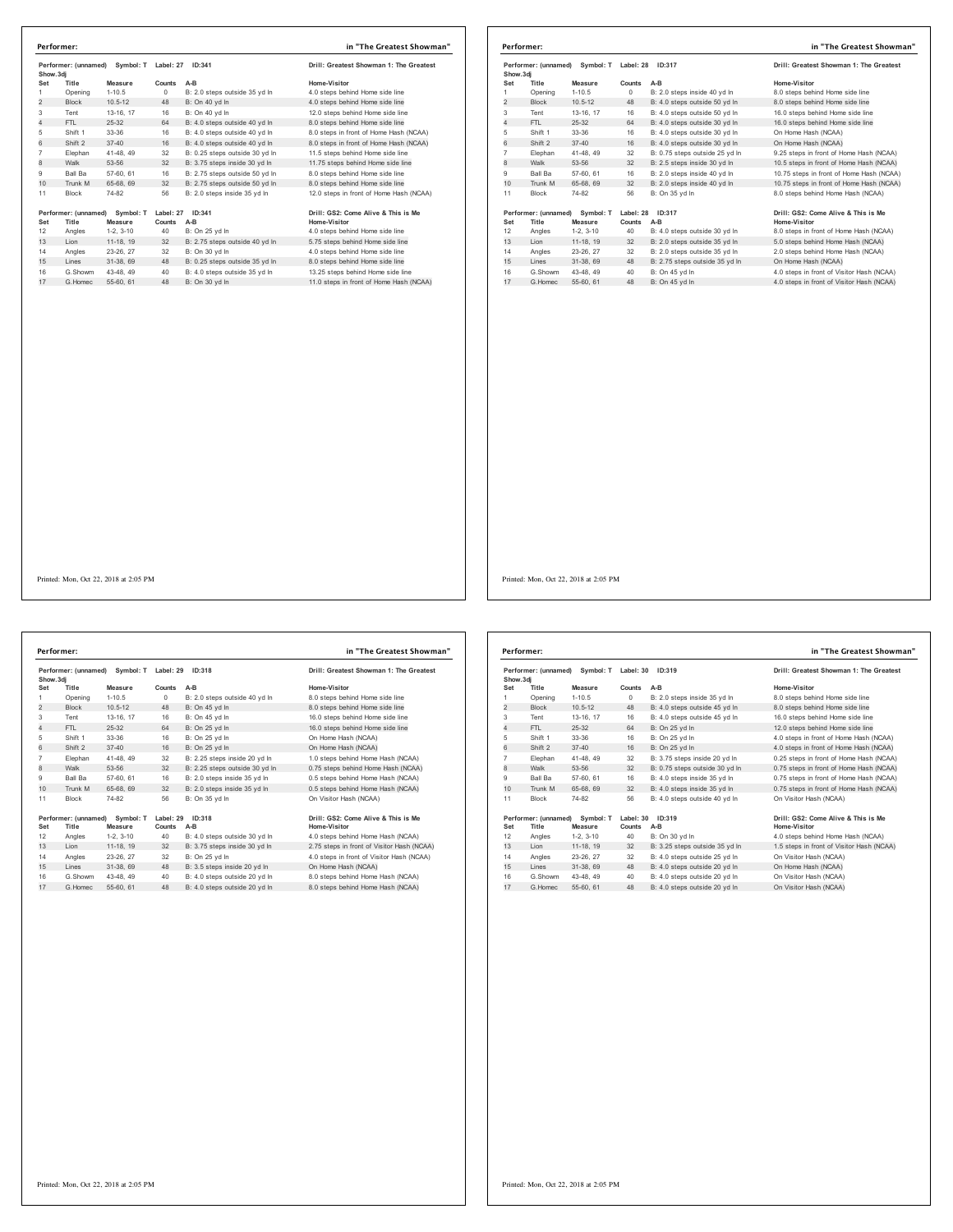| Performer: (unnamed)<br>Symbol: T<br>Show.3di |                      | Label: 27<br>ID:341 |           | Drill: Greatest Showman 1: The Greatest |                                         |
|-----------------------------------------------|----------------------|---------------------|-----------|-----------------------------------------|-----------------------------------------|
| Set                                           | Title                | Measure             | Counts    | A-B                                     | Home-Visitor                            |
| 1                                             | Opening              | $1 - 10.5$          | 0         | B: 2.0 steps outside 35 yd In           | 4.0 steps behind Home side line         |
| $\overline{2}$                                | <b>Block</b>         | $10.5 - 12$         | 48        | B: On 40 yd In                          | 4.0 steps behind Home side line         |
| 3                                             | Tent                 | 13-16, 17           | 16        | B: On 40 yd In                          | 12.0 steps behind Home side line        |
| 4                                             | FTL                  | $25 - 32$           | 64        | B: 4.0 steps outside 40 vd In           | 8.0 steps behind Home side line         |
| 5                                             | Shift 1              | 33-36               | 16        | B: 4.0 steps outside 40 yd In           | 8.0 steps in front of Home Hash (NCAA)  |
| 6                                             | Shift 2              | $37 - 40$           | 16        | B: 4.0 steps outside 40 yd In           | 8.0 steps in front of Home Hash (NCAA)  |
| $\overline{7}$                                | Elephan              | 41-48, 49           | 32        | B: 0.25 steps outside 30 vd In          | 11.5 steps behind Home side line        |
| 8                                             | Walk                 | 53-56               | 32        | B: 3.75 steps inside 30 yd In           | 11.75 steps behind Home side line       |
| 9                                             | Ball Ba              | 57-60, 61           | 16        | B: 2.75 steps outside 50 yd In          | 8.0 steps behind Home side line         |
| 10                                            | Trunk M              | 65-68, 69           | 32        | B: 2.75 steps outside 50 yd In          | 8.0 steps behind Home side line         |
| 11                                            | <b>Block</b>         | 74-82               | 56        | B: 2.0 steps inside 35 yd In            | 12.0 steps in front of Home Hash (NCAA) |
|                                               | Performer: (unnamed) | Symbol: T           | Label: 27 | ID: 341                                 | Drill: GS2: Come Alive & This is Me     |
| Set                                           | Title                | Measure             | Counts    | $A-B$                                   | Home-Visitor                            |
| 12                                            | Angles               | $1-2.3-10$          | 40        | B: On 25 yd In                          | 4.0 steps behind Home side line         |
| 13                                            | Lion                 | 11-18, 19           | 32        | B: 2.75 steps outside 40 yd In          | 5.75 steps behind Home side line        |
| 14                                            | Angles               | 23-26, 27           | 32        | B: On 30 vd In                          | 4.0 steps behind Home side line         |
| 15                                            | Lines                | 31-38, 69           | 48        | B: 0.25 steps outside 35 yd In          | 8.0 steps behind Home side line         |
| 16                                            | G.Showm              | 43-48, 49           | 40        | B: 4.0 steps outside 35 yd In           | 13.25 steps behind Home side line       |
| 17                                            | G. Homec             | 55-60, 61           | 48        | B: On 30 vd In                          | 11.0 steps in front of Home Hash (NCAA) |

| Performer: (unnamed)<br>Symbol: T<br>Show, 3di |                      | Label: 28<br>ID:317 |           | Drill: Greatest Showman 1: The Greatest |                                           |
|------------------------------------------------|----------------------|---------------------|-----------|-----------------------------------------|-------------------------------------------|
| Set                                            | Title                | Measure             | Counts    | $A-B$                                   | Home-Visitor                              |
|                                                | Opening              | $1 - 10.5$          | $\circ$   | B: 2.0 steps inside 40 vd In            | 8.0 steps behind Home side line           |
| 2                                              | <b>Block</b>         | $10.5 - 12$         | 48        | B: 4.0 steps outside 50 yd In           | 8.0 steps behind Home side line           |
| 3                                              | Tent                 | 13-16, 17           | 16        | B: 4.0 steps outside 50 yd In           | 16.0 steps behind Home side line          |
| 4                                              | FTI.                 | 25-32               | 64        | B: 4.0 steps outside 30 yd In           | 16.0 steps behind Home side line          |
| 5                                              | Shift 1              | 33-36               | 16        | B: 4.0 steps outside 30 yd In           | On Home Hash (NCAA)                       |
| 6                                              | Shift 2              | $37 - 40$           | 16        | B: 4.0 steps outside 30 yd In           | On Home Hash (NCAA)                       |
| 7                                              | Elephan              | 41-48, 49           | 32        | B: 0.75 steps outside 25 vd In          | 9.25 steps in front of Home Hash (NCAA)   |
| 8                                              | Walk                 | 53-56               | 32        | B: 2.5 steps inside 30 yd In            | 10.5 steps in front of Home Hash (NCAA)   |
| 9                                              | <b>Ball Ba</b>       | 57-60, 61           | 16        | B: 2.0 steps inside 40 vd In            | 10.75 steps in front of Home Hash (NCAA)  |
| 10                                             | Trunk M              | 65-68, 69           | 32        | B: 2.0 steps inside 40 yd In            | 10.75 steps in front of Home Hash (NCAA)  |
| 11                                             | <b>Block</b>         | 74-82               | 56        | B: On 35 vd In                          | 8.0 steps behind Home Hash (NCAA)         |
|                                                | Performer: (unnamed) | Symbol: T           | Label: 28 | ID:317                                  | Drill: GS2: Come Alive & This is Me       |
| Set                                            | Title                | Measure             | Counts    | $A-B$                                   | Home-Visitor                              |
| 12                                             | Angles               | $1-2, 3-10$         | 40        | B: 4.0 steps outside 30 yd In           | 8.0 steps in front of Home Hash (NCAA)    |
| 13                                             | Lion                 | 11-18, 19           | 32        | B: 2.0 steps outside 35 yd In           | 5.0 steps behind Home Hash (NCAA)         |
| 14                                             | Angles               | 23-26, 27           | 32        | B: 2.0 steps outside 35 vd In           | 2.0 steps behind Home Hash (NCAA)         |
| 15                                             | Lines                | 31-38, 69           | 48        | B: 2.75 steps outside 35 vd In          | On Home Hash (NCAA)                       |
| 16                                             | G.Showm              | 43-48, 49           | 40        | B: On 45 vd In                          | 4.0 steps in front of Visitor Hash (NCAA) |
| 17                                             | G Homec              | 55-60, 61           | 48        | B: On 45 vd In                          | 4.0 steps in front of Visitor Hash (NCAA) |

**Performer: (unnamed) Symbol: T Label: 29 ID:318 Drill: Greatest Showman 1: The Greatest Show.3dj Set Title Measure Counts A-B Home-Visitor** Opening 1-10.5 0 B: 2.0 steps outside 40 yd ln 8.0 steps behind Home side line 2 Block 10.5-12 48 B: On 45 yd ln 8.0 steps behind Home side line Tent 13-16, 17 16 B: On 45 yd ln 16.0 steps behind Home side line 1 FTL 25-32 64 B: On 25 yd ln<br>
FTL 25-32 64 B: On 25 yd ln<br>
Shift 1 33-36 16 B: On 25 yd ln<br>
Shift 2 37-40 16 B: On 25 yd ln<br>
Shift 2 37-40 16 B: On 25 yd ln Shift 1 33-36 16 B: On 25 yd ln On Home Hash (NCAA) 6 Shift 2 37-40 16 B: On 25 yd ln On Home Hash (NCAA) Elephan 41-48, 49 32 B: 2.25 steps inside 20 yd ln 1.0 steps behind Home Hash (NCAA) 8 Walk 53-56 32 B: 2.25 steps outside 30 yd ln 0.75 steps behind Home Hash (NCAA) Ball Ba 57-60, 61 16 B: 2.0 steps inside 35 yd ln 0.5 steps behind Home Hash (NCAA) 10 Trunk M 65-68, 69 32 B: 2.0 steps inside 35 yd ln 0.5 steps behind Home Hash (NCAA) 11 Block 74-82 56 B: On 35 yd In On Visitor Hash (NCAA) **Performer: (unnamed) Symbol: T Label: 29 ID:318 Drill: GS2: Come Alive & This is Me Set Title Measure Counts A-B Home-Visitor** 12 Angles 1-2, 3-10 40 B: 4.0 steps outside 30 yd ln 4.0 steps behind Home Hash (NCAA) 13 Lion 11-18, 19 32 B: 3.75 steps inside 30 yd ln 2.75 steps in front of Visitor Hash (NCAA) Angles 23-26, 27 32 B: On 25 yd ln 4.0 steps in front of Visitor Hash (NCAA) 15 Lines 31-38, 69 48 B: 3.5 steps inside 20 yd ln On Home Hash (NCAA) 16 G.Showm 43-48, 49 40 B: 4.0 steps outside 20 yd In 8.0 steps behind Home Hash (NCAA)<br>17 G.Homec 55-60, 61 48 B: 4.0 steps outside 20 yd In 8.0 steps behind Home Hash (NCAA) **Performer: in "The Greatest Showman"**

| Performer: (unnamed)<br>Show, 3di |                                                       | Symbol: T   | Label: 30<br>ID:319 |                                | Drill: Greatest Showman 1: The Greatest             |
|-----------------------------------|-------------------------------------------------------|-------------|---------------------|--------------------------------|-----------------------------------------------------|
| Set                               | Title                                                 | Measure     | Counts              | $A-B$                          | Home-Visitor                                        |
| 1                                 | Opening                                               | $1 - 10.5$  | $\Omega$            | B: 2.0 steps inside 35 vd In   | 8.0 steps behind Home side line                     |
| 2                                 | <b>Block</b>                                          | $10.5 - 12$ | 48                  | B: 4.0 steps outside 45 yd In  | 8.0 steps behind Home side line                     |
| 3                                 | Tent                                                  | 13-16, 17   | 16                  | B: 4.0 steps outside 45 vd In  | 16.0 steps behind Home side line                    |
| 4                                 | FTL                                                   | 25-32       | 64                  | B: On 25 vd In                 | 12.0 steps behind Home side line                    |
| 5                                 | Shift 1                                               | 33-36       | 16                  | B: On 25 vd In                 | 4.0 steps in front of Home Hash (NCAA)              |
| 6                                 | Shift 2                                               | $37 - 40$   | 16                  | B: On 25 vd In                 | 4.0 steps in front of Home Hash (NCAA)              |
| $\overline{7}$                    | Elephan                                               | 41-48, 49   | 32                  | B: 3.75 steps inside 20 yd In  | 0.25 steps in front of Home Hash (NCAA)             |
| 8                                 | Walk                                                  | 53-56       | 32                  | B: 0.75 steps outside 30 yd In | 0.75 steps in front of Home Hash (NCAA)             |
| 9                                 | <b>Ball Ba</b>                                        | 57-60, 61   | 16                  | B: 4.0 steps inside 35 vd In   | 0.75 steps in front of Home Hash (NCAA)             |
| 10                                | Trunk M                                               | 65-68, 69   | 32                  | B: 4.0 steps inside 35 yd In   | 0.75 steps in front of Home Hash (NCAA)             |
| 11                                | <b>Block</b>                                          | 74-82       | 56                  | B: 4.0 steps outside 40 vd In  | On Visitor Hash (NCAA)                              |
| Set                               | Performer: (unnamed)<br>Symbol: T<br>Title<br>Measure |             | Label: 30<br>Counts | ID:319<br>$A-B$                | Drill: GS2: Come Alive & This is Me<br>Home-Visitor |
| 12                                | Angles                                                | $1-2.3-10$  | 40                  | B: On 30 yd In                 | 4.0 steps behind Home Hash (NCAA)                   |
| 13                                | Lion                                                  | 11-18, 19   | 32                  | B: 3.25 steps outside 35 yd In | 1.5 steps in front of Visitor Hash (NCAA)           |
| 14                                | Angles                                                | 23-26, 27   | 32                  | B: 4.0 steps outside 25 vd In  | On Visitor Hash (NCAA)                              |
| 15                                | Lines                                                 | 31-38, 69   | 48                  | B: 4.0 steps outside 20 yd In  | On Home Hash (NCAA)                                 |
| 16                                | G Showm                                               | 43-48, 49   | 40                  | B: 4.0 steps outside 20 yd In  | On Visitor Hash (NCAA)                              |
| 17                                | G.Homec                                               | 55-60, 61   | 48                  | B: 4.0 steps outside 20 yd In  | On Visitor Hash (NCAA)                              |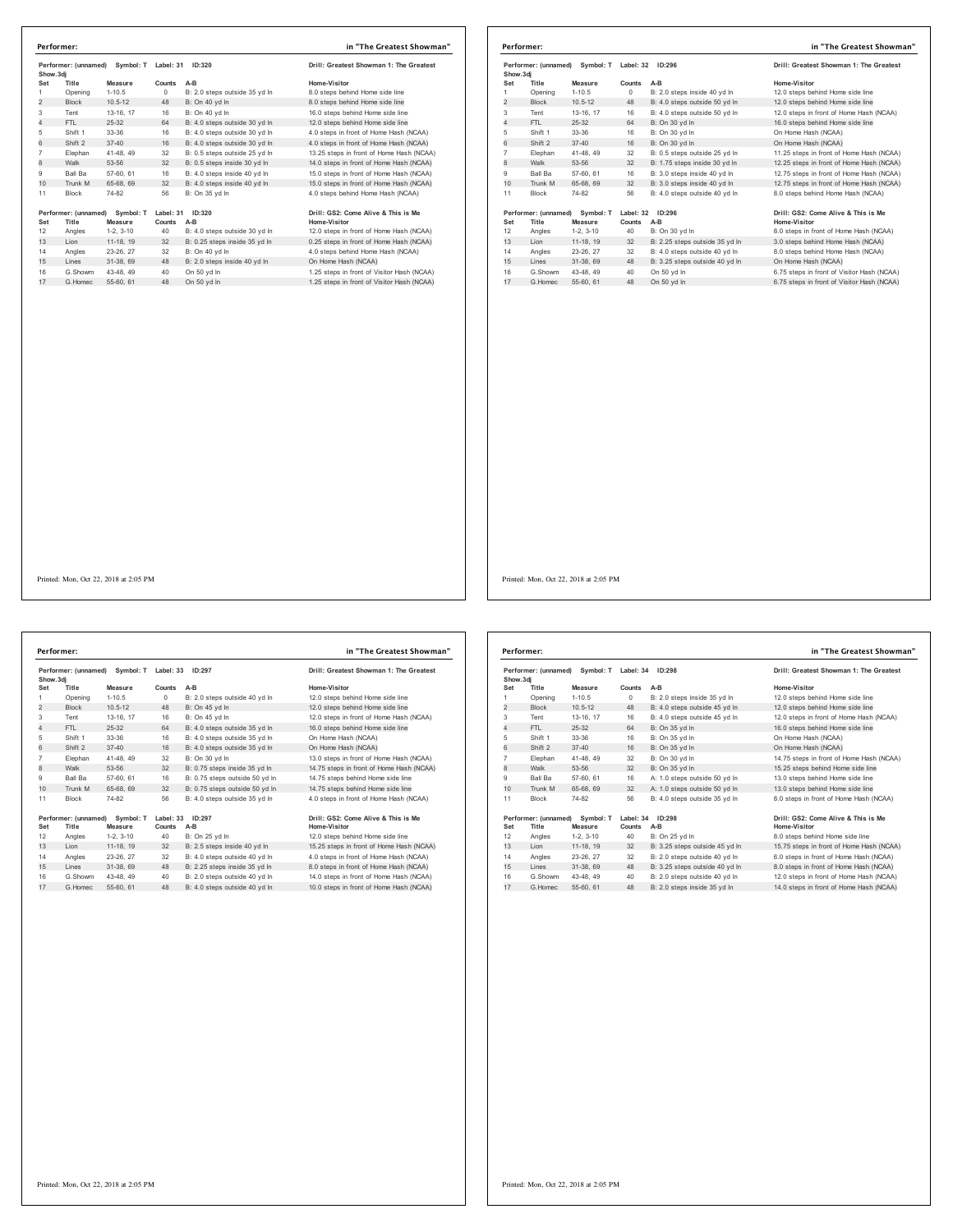| Show.3di<br>Set<br>1<br>$\overline{2}$<br>3<br>Tent<br>4 | Title<br>Opening<br>Block | Measure<br>$1 - 10.5$<br>$10.5 - 12$ | Counts<br>0      | A-B<br>B: 2.0 steps outside 35 vd In | Home-Visitor                                            |
|----------------------------------------------------------|---------------------------|--------------------------------------|------------------|--------------------------------------|---------------------------------------------------------|
|                                                          |                           |                                      |                  |                                      |                                                         |
|                                                          |                           |                                      |                  |                                      | 8.0 steps behind Home side line                         |
|                                                          |                           |                                      | 48               | B: On 40 vd In                       | 8.0 steps behind Home side line                         |
|                                                          |                           | 13-16, 17                            | 16               | B: On 40 yd In                       | 16.0 steps behind Home side line                        |
|                                                          | FTL.                      | $25 - 32$                            | 64               | B: 4.0 steps outside 30 yd In        | 12.0 steps behind Home side line                        |
| 5                                                        | Shift 1                   | 33-36                                | 16               | B: 4.0 steps outside 30 yd In        | 4.0 steps in front of Home Hash (NCAA)                  |
| 6                                                        | Shift 2                   | $37 - 40$                            | 16               | B: 4.0 steps outside 30 vd In        | 4.0 steps in front of Home Hash (NCAA)                  |
| 7                                                        | Elephan                   | 41-48, 49                            | 32               | B: 0.5 steps outside 25 vd In        | 13.25 steps in front of Home Hash (NCAA)                |
| 8                                                        | Walk                      | 53-56                                | 32               | B: 0.5 steps inside 30 yd In         | 14.0 steps in front of Home Hash (NCAA)                 |
| 9                                                        | <b>Ball Ba</b>            | 57-60, 61                            | 16               | B: 4.0 steps inside 40 yd In         | 15.0 steps in front of Home Hash (NCAA)                 |
| 10                                                       | Trunk M                   | 65-68, 69                            | 32               | B: 4.0 steps inside 40 yd In         | 15.0 steps in front of Home Hash (NCAA)                 |
| 11                                                       | Block                     | 74-82                                | 56               | B: On 35 yd In                       | 4.0 steps behind Home Hash (NCAA)                       |
|                                                          | Performer: (unnamed)      | Symbol: T                            | Label: 31 ID:320 |                                      | Drill: GS2: Come Alive & This is Me                     |
| Set<br>12                                                | Title<br>Angles           | Measure<br>$1-2, 3-10$               | Counts<br>40     | A-B<br>B: 4.0 steps outside 30 yd In | Home-Visitor<br>12.0 steps in front of Home Hash (NCAA) |
| 13<br>Lion                                               |                           | 11-18, 19                            | 32               | B: 0.25 steps inside 35 yd In        | 0.25 steps in front of Home Hash (NCAA)                 |
| 14                                                       | Angles                    | 23-26, 27                            | 32               | B: On 40 vd In                       | 4.0 steps behind Home Hash (NCAA)                       |
| 15                                                       | Lines                     | 31-38, 69                            | 48               | B: 2.0 steps inside 40 yd In         | On Home Hash (NCAA)                                     |
| 16                                                       | G.Showm                   | 43-48, 49                            | 40               | On 50 yd In                          | 1.25 steps in front of Visitor Hash (NCAA)              |
| 17                                                       | G. Homec                  | 55-60, 61                            | 48               | On 50 yd In                          | 1.25 steps in front of Visitor Hash (NCAA)              |
|                                                          |                           |                                      |                  |                                      |                                                         |

|                | Performer: (unnamed) | Symbol: T   | Label: 32 | ID:296                         | Drill: Greatest Showman 1: The Greatest    |
|----------------|----------------------|-------------|-----------|--------------------------------|--------------------------------------------|
| Show, 3di      |                      |             |           |                                |                                            |
| Set            | Title                | Measure     | Counts    | $A-B$                          | Home-Visitor                               |
|                | Opening              | $1 - 10.5$  | 0         | B: 2.0 steps inside 40 yd In   | 12.0 steps behind Home side line           |
| $\overline{2}$ | <b>Block</b>         | $10.5 - 12$ | 48        | B: 4.0 steps outside 50 yd In  | 12.0 steps behind Home side line           |
| 3              | Tent                 | 13-16. 17   | 16        | B: 4.0 steps outside 50 yd In  | 12.0 steps in front of Home Hash (NCAA)    |
| 4              | FTI.                 | 25-32       | 64        | B: On 30 vd In                 | 16.0 steps behind Home side line           |
| 5              | Shift 1              | 33-36       | 16        | B: On 30 yd In                 | On Home Hash (NCAA)                        |
| 6              | Shift 2              | $37 - 40$   | 16        | B: On 30 vd In                 | On Home Hash (NCAA)                        |
| $\overline{7}$ | Elephan              | 41-48, 49   | 32        | B: 0.5 steps outside 25 yd In  | 11.25 steps in front of Home Hash (NCAA)   |
| 8              | Walk                 | 53-56       | 32        | B: 1.75 steps inside 30 yd In  | 12.25 steps in front of Home Hash (NCAA)   |
| 9              | Ball Ba              | 57-60, 61   | 16        | B: 3.0 steps inside 40 vd In   | 12.75 steps in front of Home Hash (NCAA)   |
| 10             | Trunk M              | 65-68, 69   | 32        | B: 3.0 steps inside 40 vd ln   | 12.75 steps in front of Home Hash (NCAA)   |
| 11             | <b>Block</b>         | 74-82       | 56        | B: 4.0 steps outside 40 vd In  | 8.0 steps behind Home Hash (NCAA)          |
|                | Performer: (unnamed) | Symbol: T   | Label: 32 | ID:296                         | Drill: GS2: Come Alive & This is Me        |
| Set            | Title                | Measure     | Counts    | $A-B$                          | Home-Visitor                               |
| 12             | Angles               | $1-2, 3-10$ | 40        | B: On 30 yd In                 | 8.0 steps in front of Home Hash (NCAA)     |
| 13             | Lion                 | 11-18, 19   | 32        | B: 2.25 steps outside 35 yd In | 3.0 steps behind Home Hash (NCAA)          |
| 14             | Angles               | 23-26, 27   | 32        | B: 4.0 steps outside 40 vd In  | 8.0 steps behind Home Hash (NCAA)          |
| 15             | Lines                | 31-38, 69   | 48        | B: 3.25 steps outside 40 yd In | On Home Hash (NCAA)                        |
| 16             | G.Showm              | 43-48, 49   | 40        | On 50 yd In                    | 6.75 steps in front of Visitor Hash (NCAA) |
| 17             | G Homec              | 55-60, 61   | 48        | On 50 vd In                    | 6.75 steps in front of Visitor Hash (NCAA) |

Printed: Mon, Oct 22, 2018 at 2:05 PM

**Performer: (unnamed) Symbol: T Label: 33 ID:297 Drill: Greatest Showman 1: The Greatest Show.3dj Set Title Measure Counts A-B Home-Visitor** Opening 1-10.5 0 B: 2.0 steps outside 40 yd ln 12.0 steps behind Home side line 2 Block 10.5-12 48 B: On 45 yd ln 12.0 steps behind Home side line Tent 13-16, 17 16 B: On 45 yd ln 12.0 steps in front of Home Hash (NCAA) 4 FTL 25-32 64 B: 4.0 steps outside 35 yd ln 16.0 steps behind Home side line Shift 1 33-36 16 B: 4.0 steps outside 35 yd ln On Home Hash (NCAA) 6 Shift 2 37-40 16 B: 4.0 steps outside 35 yd ln On Home Hash (NCAA) 7 Elephan 41-48, 49 32 B: On 30 yd In 13.0 steps in front of Home Hash (NCAA)<br>18 Walk 53-56 32 B: O.75 steps inside 35 yd In 14.75 steps in front of Home Hash (NCAA)<br>19 Ball Ba 57-60, 61 16 B: 0.75 steps outside 50 yd In 1 82 B: On 30 yd in<br>32 B: 0.75 steps inside 35 yd In 9 Ball Ba 57-60, 61 16 B: 0.75 steps outside 50 yd In 14.75 steps behind Home side line<br>10 Trunk M 65-68, 69 32 B: 0.75 steps outside 50 yd In 14.75 steps behind Home side line Block 74-82 56 B: 4.0 steps outside 35 yd ln 4.0 steps in front of Home Hash (NCAA) 19erformer: (umamned) Symbol: Tabel: 33 ID:297<br>19er - The Measure Counts A-B<br>12 Angles 1-2, 3-10 40 B: On 25 yd In the Mone-Visitor<br>12 Angles 1-2, 3-10 40 B: On 25 yd In the 12.0 steps in front of Home Hash (NCAA)<br>14 Angle 14 Angles 20-20, 21 02 B. 4.0 steps durated 46 yd in 4.0 steps in front of Home Hash (NCAA)<br>15 Lines 31-38, 69 48 B: 2.25 steps inside 35 yd ln 8.0 steps in front of Home Hash (NCAA) G.Showm 43-48, 49 40 B: 2.0 steps outside 40 yd ln 14.0 steps in front of Home Hash (NCAA) 17 G.Homec 55-60, 61 48 B: 4.0 steps outside 40 yd ln 10.0 steps in front of Home Hash (NCAA) **Performer: in "The Greatest Showman"**

| Show, 3di      | Performer: (unnamed)          | Symbol: T            | Label: 34           | ID:298                         | Drill: Greatest Showman 1: The Greatest             |
|----------------|-------------------------------|----------------------|---------------------|--------------------------------|-----------------------------------------------------|
| Set            | Title                         | Measure              | Counts              | $A-B$                          | Home-Visitor                                        |
| 1              | Opening                       | $1 - 10.5$           | 0                   | B: 2.0 steps inside 35 yd In   | 12.0 steps behind Home side line                    |
| $\overline{2}$ | <b>Block</b>                  | $10.5 - 12$          | 48                  | B: 4.0 steps outside 45 yd In  | 12.0 steps behind Home side line                    |
| 3              | Tent                          | 13-16, 17            | 16                  | B: 4.0 steps outside 45 vd In  | 12.0 steps in front of Home Hash (NCAA)             |
| $\overline{4}$ | FTI.                          | 25-32                | 64                  | B: On 35 vd In                 | 16.0 steps behind Home side line                    |
| 5              | Shift 1                       | 33-36                | 16                  | B: On 35 yd In                 | On Home Hash (NCAA)                                 |
| 6              | Shift 2                       | $37 - 40$            | 16                  | B: On 35 vd In                 | On Home Hash (NCAA)                                 |
| $\overline{7}$ | Elephan                       | 41-48, 49            | 32                  | B: On 30 vd In                 | 14.75 steps in front of Home Hash (NCAA)            |
| 8              | Walk                          | 53-56                | 32                  | B: On 35 vd In                 | 15.25 steps behind Home side line                   |
| 9              | Ball Ba                       | 57-60, 61            | 16                  | A: 1.0 steps outside 50 yd In  | 13.0 steps behind Home side line                    |
| 10             | Trunk M                       | 65-68, 69            | 32                  | A: 1.0 steps outside 50 yd In  | 13.0 steps behind Home side line                    |
| 11             | <b>Block</b>                  | 74-82                | 56                  | B: 4.0 steps outside 35 vd In  | 8.0 steps in front of Home Hash (NCAA)              |
| Set            | Performer: (unnamed)<br>Title | Symbol: T<br>Measure | Label: 34<br>Counts | ID:298<br>$A-B$                | Drill: GS2: Come Alive & This is Me<br>Home-Visitor |
| 12             | Angles                        | $1-2.3-10$           | 40                  | B: On 25 vd In                 | 8.0 steps behind Home side line                     |
| 13             | Lion                          | 11-18, 19            | 32                  | B: 3.25 steps outside 45 yd In | 15.75 steps in front of Home Hash (NCAA)            |
| 14             | Angles                        | 23-26.27             | 32                  | B: 2.0 steps outside 40 vd In  | 6.0 steps in front of Home Hash (NCAA)              |
| 15             | Lines                         | 31-38, 69            | 48                  | B: 3.25 steps outside 40 yd In | 8.0 steps in front of Home Hash (NCAA)              |
| 16             | G.Showm                       | 43-48, 49            | 40                  | B: 2.0 steps outside 40 vd In  | 12.0 steps in front of Home Hash (NCAA)             |
| 17             | G Homec                       | 55-60, 61            | 48                  | B: 2.0 steps inside 35 yd In   | 14.0 steps in front of Home Hash (NCAA)             |
|                |                               |                      |                     |                                |                                                     |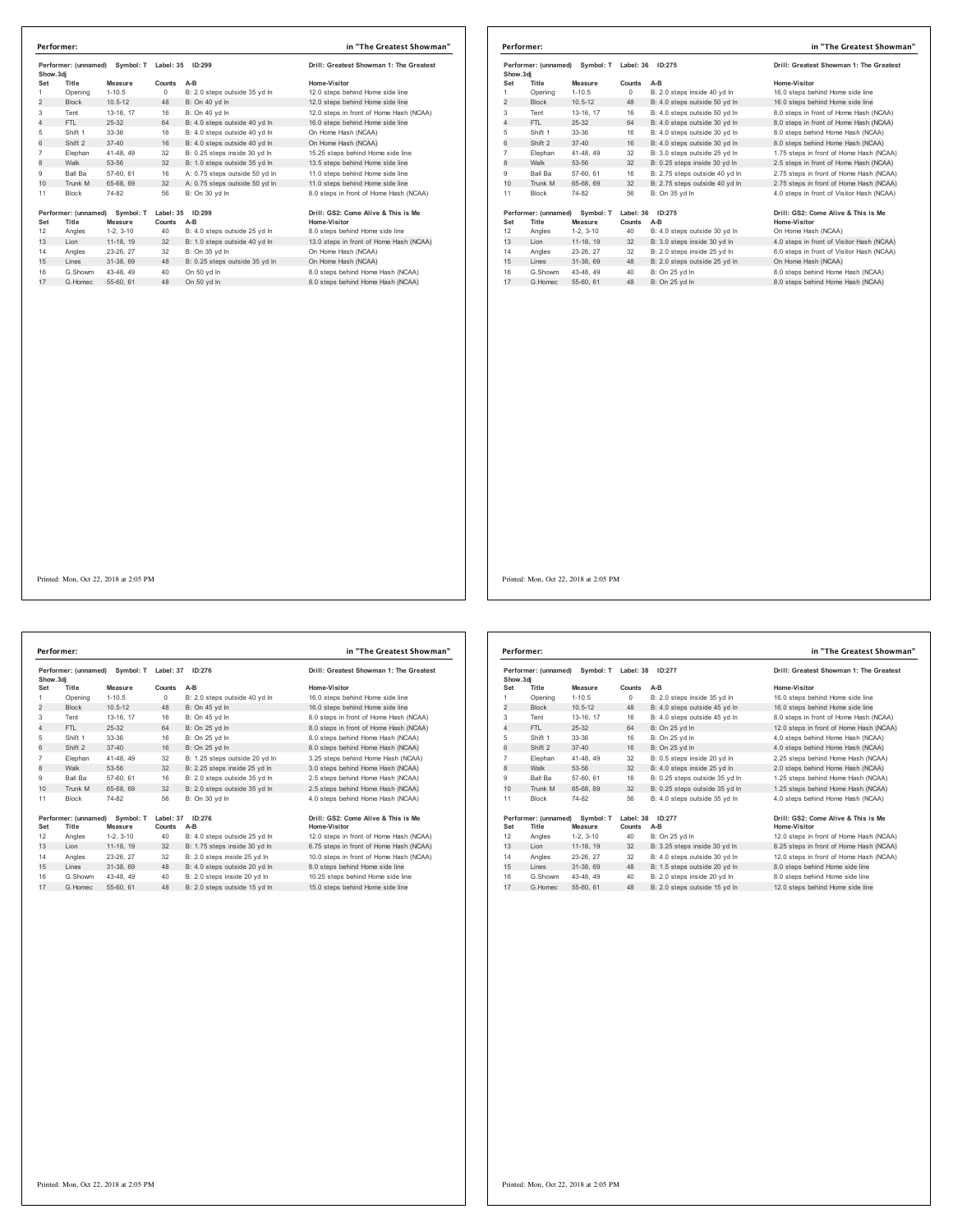|                     |                 | Performer: (unnamed) Symbol: T Label: 35 ID:299     |          |                                                                | Drill: Greatest Showman 1: The Greatest                               |                | Performer: (unnamed) Symbol: T Label: 36 ID:275 |                        |                            |                                                                | Drill: Greatest Showman 1: The Greatest                                           |
|---------------------|-----------------|-----------------------------------------------------|----------|----------------------------------------------------------------|-----------------------------------------------------------------------|----------------|-------------------------------------------------|------------------------|----------------------------|----------------------------------------------------------------|-----------------------------------------------------------------------------------|
| Show.3dj            |                 |                                                     |          |                                                                |                                                                       | Show.3dj       |                                                 |                        |                            |                                                                |                                                                                   |
| Set                 | Title           | Measure                                             | Counts   | $A-B$                                                          | Home-Visitor                                                          | Set            | Title                                           | Measure                | Counts                     | A-B                                                            | <b>Home-Visitor</b>                                                               |
| $\overline{1}$      | Opening         | $1 - 10.5$                                          | $\circ$  | B: 2.0 steps outside 35 yd In                                  | 12.0 steps behind Home side line                                      | $\mathbf{1}$   | Opening                                         | $1 - 10.5$             | $\circ$                    | B: 2.0 steps inside 40 yd In                                   | 16.0 steps behind Home side line                                                  |
| $\overline{2}$      | Block           | $10.5 - 12$                                         | 48       | B: On 40 yd In                                                 | 12.0 steps behind Home side line                                      | $\overline{2}$ | Block                                           | $10.5 - 12$            | 48                         | B: 4.0 steps outside 50 yd In                                  | 16.0 steps behind Home side line                                                  |
| 3                   | Tent            | 13-16. 17                                           | 16       | B: On 40 vd In                                                 | 12.0 steps in front of Home Hash (NCAA)                               | 3              | Tent                                            | 13-16. 17              | 16                         | B: 4.0 steps outside 50 yd In                                  | 8.0 steps in front of Home Hash (NCAA)                                            |
| $\overline{4}$<br>5 | FTL             | $25 - 32$                                           | 64       | B: 4.0 steps outside 40 yd In                                  | 16.0 steps behind Home side line                                      | $\overline{4}$ | FTL.                                            | $25-32$                | 64                         | B: 4.0 steps outside 30 yd In                                  | 8.0 steps in front of Home Hash (NCAA)                                            |
| 6                   | Shift 1         | 33-36                                               | 16       | B: 4.0 steps outside 40 yd In                                  | On Home Hash (NCAA)                                                   | 5<br>6         | Shift 1                                         | 33-36                  | 16                         | B: 4.0 steps outside 30 yd In                                  | 8.0 steps behind Home Hash (NCAA)                                                 |
| $\overline{7}$      | Shift 2         | $37 - 40$<br>41-48, 49                              | 16<br>32 | B: 4.0 steps outside 40 yd In<br>B: 0.25 steps inside 30 yd In | On Home Hash (NCAA)                                                   | $\overline{7}$ | Shift 2                                         | $37 - 40$<br>41-48, 49 | 16                         | B: 4.0 steps outside 30 yd In<br>B: 3.0 steps outside 25 yd In | 8.0 steps behind Home Hash (NCAA)                                                 |
| $\mathbf{g}$        | Elephan<br>Walk | 53-56                                               | 32       | B: 1.0 steps outside 35 yd In                                  | 15.25 steps behind Home side line<br>13.5 steps behind Home side line | 8              | Elephan<br>Walk                                 | 53-56                  | 32<br>32                   | B: 0.25 steps inside 30 yd In                                  | 1.75 steps in front of Home Hash (NCAA)<br>2.5 steps in front of Home Hash (NCAA) |
| $_{9}$              | Ball Ba         | 57-60, 61                                           | 16       | A: 0.75 steps outside 50 yd In                                 | 11.0 steps behind Home side line                                      | 9              | Ball Ba                                         | 57-60, 61              | 16                         | B: 2.75 steps outside 40 yd In                                 | 2.75 steps in front of Home Hash (NCAA)                                           |
| 10                  | Trunk M         | 65-68, 69                                           | 32       | A: 0.75 steps outside 50 yd In                                 | 11.0 steps behind Home side line                                      | 10             | Trunk M                                         | 65-68, 69              | 32                         | B: 2.75 steps outside 40 yd In                                 | 2.75 steps in front of Home Hash (NCAA)                                           |
| 11                  | Block           | 74-82                                               | 56       | B: On 30 yd In                                                 | 8.0 steps in front of Home Hash (NCAA)                                | 11             | Block                                           | 74-82                  | 56                         | B: On 35 yd In                                                 | 4.0 steps in front of Visitor Hash (NCAA)                                         |
|                     |                 |                                                     |          |                                                                |                                                                       |                |                                                 |                        |                            |                                                                |                                                                                   |
| Set                 | Title           | Performer: (unnamed) Symbol: T Label: 35<br>Measure | Counts   | ID:299<br>$A-B$                                                | Drill: GS2: Come Alive & This is Me<br>Home-Visitor                   | Set            | Performer: (unnamed) Symbol: T<br>Title         | Measure                | Label: 36 ID:275<br>Counts | $A-B$                                                          | Drill: GS2: Come Alive & This is Me<br><b>Home-Visitor</b>                        |
| 12                  | Angles          | $1-2, 3-10$                                         | 40       | B: 4.0 steps outside 25 yd In                                  | 8.0 steps behind Home side line                                       | 12             | Angles                                          | $1-2, 3-10$            | 40                         | B: 4.0 steps outside 30 yd In                                  | On Home Hash (NCAA)                                                               |
| 13                  | Lion            | 11-18, 19                                           | 32       | B: 1.0 steps outside 40 yd In                                  | 13.0 steps in front of Home Hash (NCAA)                               | 13             | Lion                                            | 11-18, 19              | 32                         | B: 3.0 steps inside 30 yd In                                   | 4.0 steps in front of Visitor Hash (NCAA)                                         |
| 14                  | Angles          | 23-26, 27                                           | 32       | B: On 35 yd In                                                 | On Home Hash (NCAA)                                                   | 14             | Angles                                          | 23-26, 27              | 32                         | B: 2.0 steps inside 25 yd In                                   | 6.0 steps in front of Visitor Hash (NCAA)                                         |
| 15                  | Lines           | 31-38, 69                                           | 48       | B: 0.25 steps outside 35 yd In                                 | On Home Hash (NCAA)                                                   | 15             | Lines                                           | 31-38, 69              | 48                         | B: 2.0 steps outside 25 yd In                                  | On Home Hash (NCAA)                                                               |
| 16                  | G.Showm         | 43-48, 49                                           | 40       | On 50 yd In                                                    | 8.0 steps behind Home Hash (NCAA)                                     | 16             | G.Showm                                         | 43-48, 49              | 40                         | B: On 25 yd In                                                 | 8.0 steps behind Home Hash (NCAA)                                                 |
| 17                  | G.Homec         | 55-60, 61                                           |          | 48 On 50 yd In                                                 | 8.0 steps behind Home Hash (NCAA)                                     | 17             | G. Homec                                        | 55-60, 61              |                            | 48 B: On 25 yd In                                              | 8.0 steps behind Home Hash (NCAA)                                                 |
|                     |                 |                                                     |          |                                                                |                                                                       |                |                                                 |                        |                            |                                                                |                                                                                   |
|                     |                 |                                                     |          |                                                                |                                                                       |                |                                                 |                        |                            |                                                                |                                                                                   |
|                     |                 |                                                     |          |                                                                |                                                                       |                |                                                 |                        |                            |                                                                |                                                                                   |
|                     |                 |                                                     |          |                                                                |                                                                       |                |                                                 |                        |                            |                                                                |                                                                                   |
|                     |                 |                                                     |          |                                                                |                                                                       |                |                                                 |                        |                            |                                                                |                                                                                   |
|                     |                 |                                                     |          |                                                                |                                                                       |                |                                                 |                        |                            |                                                                |                                                                                   |
|                     |                 |                                                     |          |                                                                |                                                                       |                |                                                 |                        |                            |                                                                |                                                                                   |
|                     |                 |                                                     |          |                                                                |                                                                       |                |                                                 |                        |                            |                                                                |                                                                                   |
|                     |                 |                                                     |          |                                                                |                                                                       |                |                                                 |                        |                            |                                                                |                                                                                   |
|                     |                 |                                                     |          |                                                                |                                                                       |                |                                                 |                        |                            |                                                                |                                                                                   |
|                     |                 |                                                     |          |                                                                |                                                                       |                |                                                 |                        |                            |                                                                |                                                                                   |
|                     |                 |                                                     |          |                                                                |                                                                       |                |                                                 |                        |                            |                                                                |                                                                                   |

|                | Performer:                    |                      |                     |                                | in "The Greatest Showman"                           |
|----------------|-------------------------------|----------------------|---------------------|--------------------------------|-----------------------------------------------------|
| Show.3di       | Performer: (unnamed)          | Symbol: T            | Label: 37           | ID: 276                        | Drill: Greatest Showman 1: The Greatest             |
| Set            | Title                         | Measure              | Counts              | $A-B$                          | Home-Visitor                                        |
| 1              | Opening                       | $1 - 10.5$           | $\Omega$            | B: 2.0 steps outside 40 yd In  | 16.0 steps behind Home side line                    |
| $\overline{2}$ | <b>Block</b>                  | $10.5 - 12$          | 48                  | B: On 45 yd In                 | 16.0 steps behind Home side line                    |
| 3              | Tent                          | 13-16, 17            | 16                  | B: On 45 vd In                 | 8.0 steps in front of Home Hash (NCAA)              |
| 4              | FTI.                          | 25-32                | 64                  | B: On 25 vd In                 | 8.0 steps in front of Home Hash (NCAA)              |
| 5              | Shift 1                       | $33-36$              | 16                  | B: On 25 yd In                 | 8.0 steps behind Home Hash (NCAA)                   |
| 6              | Shift 2                       | $37 - 40$            | 16                  | B: On 25 vd In                 | 8.0 steps behind Home Hash (NCAA)                   |
| $\overline{7}$ | Elephan                       | 41-48, 49            | 32                  | B: 1.25 steps outside 20 yd In | 3.25 steps behind Home Hash (NCAA)                  |
| 8              | Walk                          | 53-56                | 32                  | B: 2.25 steps inside 25 yd In  | 3.0 steps behind Home Hash (NCAA)                   |
| 9              | Ball Ba                       | 57-60, 61            | 16                  | B: 2.0 steps outside 35 vd In  | 2.5 steps behind Home Hash (NCAA)                   |
| 10             | Trunk M                       | 65-68, 69            | 32                  | B: 2.0 steps outside 35 yd In  | 2.5 steps behind Home Hash (NCAA)                   |
| 11             | <b>Block</b>                  | 74-82                | 56                  | B: On 30 vd In                 | 4.0 steps behind Home Hash (NCAA)                   |
| Set            | Performer: (unnamed)<br>Title | Symbol: T<br>Measure | Label: 37<br>Counts | ID: 276<br>$A-B$               | Drill: GS2: Come Alive & This is Me<br>Home-Visitor |
| 12             | Angles                        | $1-2.3-10$           | 40                  | B: 4.0 steps outside 25 yd In  | 12.0 steps in front of Home Hash (NCAA)             |
| 13             | Lion                          | 11-18, 19            | 32                  | B: 1.75 steps inside 30 yd In  | 6.75 steps in front of Home Hash (NCAA)             |
| 14             | Angles                        | 23-26, 27            | 32                  | B: 2.0 steps inside 25 yd In   | 10.0 steps in front of Home Hash (NCAA)             |
| 15             | Lines                         | 31-38, 69            | 48                  | B: 4.0 steps outside 20 yd In  | 8.0 steps behind Home side line                     |
| 16             | G Showm                       | 43-48, 49            | 40                  | B: 2.0 steps inside 20 vd In   | 10.25 steps behind Home side line                   |
| 17             | G.Homec                       | 55-60, 61            | 48                  | B: 2.0 steps outside 15 yd In  | 15.0 steps behind Home side line                    |

|                                   | Performer:                    |                      |                     |                                | in "The Greatest Showman"                           |
|-----------------------------------|-------------------------------|----------------------|---------------------|--------------------------------|-----------------------------------------------------|
| Performer: (unnamed)<br>Show, 3di |                               | Symbol: T            |                     | Label: 38<br>ID:277            | Drill: Greatest Showman 1: The Greatest             |
| Set                               | Title                         | Measure              | Counts              | A-B                            | Home-Visitor                                        |
| 1                                 | Opening                       | $1 - 10.5$           | $\circ$             | B: 2.0 steps inside 35 yd In   | 16.0 steps behind Home side line                    |
| 2                                 | <b>Block</b>                  | $10.5 - 12$          | 48                  | B: 4.0 steps outside 45 yd In  | 16.0 steps behind Home side line                    |
| 3                                 | Tent                          | 13-16, 17            | 16                  | B: 4.0 steps outside 45 vd In  | 8.0 steps in front of Home Hash (NCAA)              |
| 4                                 | FTL.                          | 25-32                | 64                  | B: On 25 vd In                 | 12.0 steps in front of Home Hash (NCAA)             |
| 5                                 | Shift 1                       | 33-36                | 16                  | B: On 25 vd In                 | 4.0 steps behind Home Hash (NCAA)                   |
| 6                                 | Shift 2                       | $37 - 40$            | 16                  | B: On 25 vd In                 | 4.0 steps behind Home Hash (NCAA)                   |
| $\overline{7}$                    | Elephan                       | 41-48, 49            | 32                  | B: 0.5 steps inside 20 yd In   | 2.25 steps behind Home Hash (NCAA)                  |
| 8                                 | Walk                          | 53-56                | 32                  | B: 4.0 steps inside 25 yd In   | 2.0 steps behind Home Hash (NCAA)                   |
| 9                                 | <b>Ball Ba</b>                | 57-60, 61            | 16                  | B: 0.25 steps outside 35 vd In | 1.25 steps behind Home Hash (NCAA)                  |
| 10                                | Trunk M                       | 65-68, 69            | 32                  | B: 0.25 steps outside 35 yd In | 1.25 steps behind Home Hash (NCAA)                  |
| 11                                | <b>Block</b>                  | 74-82                | 56                  | B: 4.0 steps outside 35 vd In  | 4.0 steps behind Home Hash (NCAA)                   |
| Set                               | Performer: (unnamed)<br>Title | Symbol: T<br>Measure | Label: 38<br>Counts | ID:277<br>$A-B$                | Drill: GS2: Come Alive & This is Me<br>Home-Visitor |
| 12                                | Angles                        | $1-2.3-10$           | 40                  | B: On 25 yd In                 | 12.0 steps in front of Home Hash (NCAA)             |
| 13                                | Lion                          | 11-18. 19            | 32                  | B: 3.25 steps inside 30 yd In  | 8.25 steps in front of Home Hash (NCAA)             |
| 14                                | Angles                        | 23-26, 27            | 32                  | B: 4.0 steps outside 30 vd In  | 12.0 steps in front of Home Hash (NCAA)             |
| 15                                | Lines                         | 31-38, 69            | 48                  | B: 1.5 steps outside 20 yd In  | 8.0 steps behind Home side line                     |
| 16                                | G.Showm                       | 43-48, 49            | 40                  | B: 2.0 steps inside 20 yd In   | 8.0 steps behind Home side line                     |
| 17                                | G. Homec                      | 55-60, 61            | 48                  | B: 2.0 steps outside 15 yd In  | 12.0 steps behind Home side line                    |
|                                   |                               |                      |                     |                                |                                                     |

**Performer: in "The Greatest Showman"**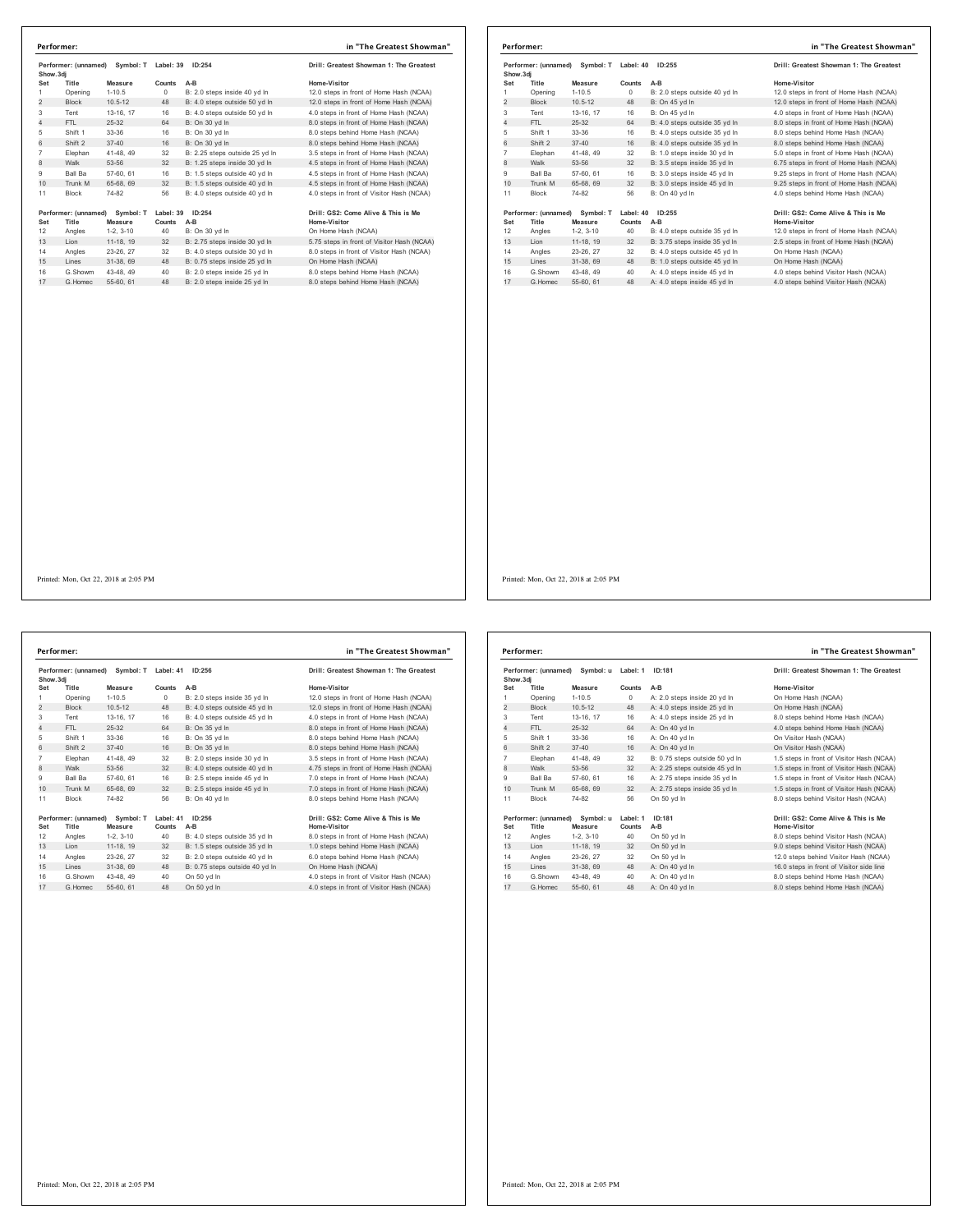| Show.3di        | Performer: (unnamed)          | Symbol: T            | Label: 39           | ID:254                         | Drill: Greatest Showman 1: The Greatest             |
|-----------------|-------------------------------|----------------------|---------------------|--------------------------------|-----------------------------------------------------|
| Set             | Title                         | Measure              | Counts              | $A-B$                          | Home-Visitor                                        |
| 1               | Opening                       | $1 - 10.5$           | $\Omega$            | B: 2.0 steps inside 40 vd In   | 12.0 steps in front of Home Hash (NCAA)             |
| $\overline{2}$  | <b>Block</b>                  | $10.5 - 12$          | 48                  | B: 4.0 steps outside 50 vd In  | 12.0 steps in front of Home Hash (NCAA)             |
| 3               | Tent                          | 13-16, 17            | 16                  | B: 4.0 steps outside 50 yd In  | 4.0 steps in front of Home Hash (NCAA)              |
| 4               | FTI.                          | 25-32                | 64                  | B: On 30 vd In                 | 8.0 steps in front of Home Hash (NCAA)              |
| 5               | Shift 1                       | 33-36                | 16                  | B: On 30 vd In                 | 8.0 steps behind Home Hash (NCAA)                   |
| 6               | Shift 2                       | $37 - 40$            | 16                  | B: On 30 vd In                 | 8.0 steps behind Home Hash (NCAA)                   |
| $\overline{7}$  | Elephan                       | 41-48, 49            | 32                  | B: 2.25 steps outside 25 yd In | 3.5 steps in front of Home Hash (NCAA)              |
| 8               | Walk                          | 53-56                | 32                  | B: 1.25 steps inside 30 yd In  | 4.5 steps in front of Home Hash (NCAA)              |
| 9               | <b>Ball Ba</b>                | 57-60, 61            | 16                  | B: 1.5 steps outside 40 vd In  | 4.5 steps in front of Home Hash (NCAA)              |
| 10 <sup>1</sup> | Trunk M                       | 65-68, 69            | 32                  | B: 1.5 steps outside 40 vd ln  | 4.5 steps in front of Home Hash (NCAA)              |
| 11              | <b>Block</b>                  | 74-82                | 56                  | B: 4.0 steps outside 40 yd In  | 4.0 steps in front of Visitor Hash (NCAA)           |
| Set             | Performer: (unnamed)<br>Title | Symbol: T<br>Measure | Label: 39<br>Counts | ID:254<br>$A-B$                | Drill: GS2: Come Alive & This is Me<br>Home-Visitor |
| 12              | Angles                        | $1-2.3-10$           | 40                  | B: On 30 vd In                 | On Home Hash (NCAA)                                 |
| 13              | Lion                          | 11-18, 19            | 32                  | B: 2.75 steps inside 30 yd In  | 5.75 steps in front of Visitor Hash (NCAA)          |
| 14              | Angles                        | 23-26, 27            | 32                  | B: 4.0 steps outside 30 yd In  | 8.0 steps in front of Visitor Hash (NCAA)           |
| 15              | Lines                         | 31-38, 69            | 48                  | B: 0.75 steps inside 25 yd In  | On Home Hash (NCAA)                                 |
| 16              | G.Showm                       | 43-48, 49            | 40                  | B: 2.0 steps inside 25 yd In   | 8.0 steps behind Home Hash (NCAA)                   |
| 17              | G.Homec                       | 55-60, 61            | 48                  | B: 2.0 steps inside 25 yd In   | 8.0 steps behind Home Hash (NCAA)                   |

|           | Performer:           |                                |           |                               | in "The Greatest Showman"               |
|-----------|----------------------|--------------------------------|-----------|-------------------------------|-----------------------------------------|
| Show, 3di |                      | Performer: (unnamed) Symbol: T | Label: 40 | ID:255                        | Drill: Greatest Showman 1: The Greatest |
| Set       | Title                | Measure                        | Counts    | $A-B$                         | Home-Visitor                            |
| 1         | Opening              | $1 - 10.5$                     | $\Omega$  | B: 2.0 steps outside 40 vd In | 12.0 steps in front of Home Hash (NCAA) |
| 2         | <b>Block</b>         | $10.5 - 12$                    | 48        | B: On 45 yd In                | 12.0 steps in front of Home Hash (NCAA) |
| 3         | Tent                 | 13-16, 17                      | 16        | B: On 45 yd In                | 4.0 steps in front of Home Hash (NCAA)  |
| 4         | FTL.                 | 25-32                          | 64        | B: 4.0 steps outside 35 yd In | 8.0 steps in front of Home Hash (NCAA)  |
| 5         | Shift 1              | 33-36                          | 16        | B: 4.0 steps outside 35 yd In | 8.0 steps behind Home Hash (NCAA)       |
| 6         | Shift 2              | $37 - 40$                      | 16        | B: 4.0 steps outside 35 yd In | 8.0 steps behind Home Hash (NCAA)       |
| 7         | Elephan              | 41-48, 49                      | 32        | B: 1.0 steps inside 30 vd In  | 5.0 steps in front of Home Hash (NCAA)  |
| 8         | Walk                 | 53-56                          | 32        | B: 3.5 steps inside 35 yd In  | 6.75 steps in front of Home Hash (NCAA) |
| 9         | <b>Ball Ba</b>       | 57-60, 61                      | 16        | B: 3.0 steps inside 45 vd In  | 9.25 steps in front of Home Hash (NCAA) |
| 10        | Trunk M              | 65-68, 69                      | 32        | B: 3.0 steps inside 45 yd In  | 9.25 steps in front of Home Hash (NCAA) |
| 11        | <b>Block</b>         | 74-82                          | 56        | B: On 40 vd In                | 4.0 steps behind Home Hash (NCAA)       |
|           | Performer: (unnamed) | Symbol: T                      | Label: 40 | ID:255                        | Drill: GS2: Come Alive & This is Me     |
| Set       | Title                | Measure                        | Counts    | A-B                           | <b>Home-Visitor</b>                     |
| 12        | Angles               | $1-2.3-10$                     | 40        | B: 4.0 steps outside 35 vd In | 12.0 steps in front of Home Hash (NCAA) |
| 13        | Lion                 | 11-18, 19                      | 32        | B: 3.75 steps inside 35 yd In | 2.5 steps in front of Home Hash (NCAA)  |
| 14        | Angles               | 23-26, 27                      | 32        | B: 4.0 steps outside 45 vd In | On Home Hash (NCAA)                     |
| 15        | Lines                | 31-38, 69                      | 48        | B: 1.0 steps outside 45 yd In | On Home Hash (NCAA)                     |
| 16        | G.Showm              | 43-48, 49                      | 40        | A: 4.0 steps inside 45 yd In  | 4.0 steps behind Visitor Hash (NCAA)    |
| 17        | G. Homec             | 55-60, 61                      | 48        | A: 4.0 steps inside 45 vd In  | 4.0 steps behind Visitor Hash (NCAA)    |

Printed: Mon, Oct 22, 2018 at 2:05 PM

Performer: (unnamed) Symbol: T Label: 41 ID:256 **Drill: Greatest Showman 1: The Greatest Show.3dj Set Title Measure Counts A-B Home-Visitor** 1 Opening 1-10.5 0 B: 2.0 steps inside 35 yd ln 12.0 steps in front of Home Hash (NCAA) 2 Block 10.5-12 48 B: 4.0 steps unsule a you in 12.0 steps in front of Home Hash (NCAA)<br>2 Block 10.5-12 48 B: 4.0 steps outside 45 yd ln 12.0 steps in front of Home Hash (NCAA)<br>3 Tent 13-16, 17 16 B: 4.0 steps outside 45 y Tent 13-16, 17 16 B: 4.0 steps outside 45 yd ln 4.0 steps in front of Home Hash (NCAA) e and the term of the term of the B: On 35 yd ln<br>
FTL 25-32 64 B: On 35 yd ln 8.0 steps in front of Home Hash (NCAA)<br>
Shift 33-36 16 B: On 35 yd ln 8.0 steps behind Home Hash (NCAA)<br>
Shift 2 37-40 16 B: On 35 yd ln 8.0 ste 5 Shift 1 33-36 16 B: On 35 yd ln 8.0 steps behind Home Hash (NCAA)<br>6 Shift 2 37-40 16 B: On 35 yd ln 8.0 steps behind Home Hash (NCAA) Elephan 41-48, 49 32 B: 2.0 steps inside 30 yd ln 3.5 steps in front of Home Hash (NCAA) 8 Walk 53-56 32 B: 4.0 steps outside 40 yd ln 4.75 steps in front of Home Hash (NCAA) Ball Ba 57-60, 61 16 B: 2.5 steps inside 45 yd ln 7.0 steps in front of Home Hash (NCAA) 10 Trunk M 65-68, 69 32 B: 2.5 steps inside 45 yd ln 7.0 steps in front of Home Hash (NCAA) Block 74-82 56 B: On 40 yd ln 8.0 steps behind Home Hash (NCAA) **Performer: (unnamed) Symbol: T Label: 41 ID:256 Drill: GS2: Come Alive & This is Me Set Title Measure Counts A-B Home-Visitor** 12 Angles 1-2, 3-10 40 B: 4.0 steps outside 35 yd ln 8.0 steps in front of Home Hash (NCAA) 13 Lion 11-18, 19 32 B: 1.5 steps outside 35 yd ln 1.0 steps behind Home Hash (NCAA) Angles 23-26, 27 32 B: 2.0 steps outside 40 yd ln 6.0 steps behind Home Hash (NCAA) 15 Lines 31-38, 69 48 B: 0.75 steps outside 40 yd ln On Home Hash (NCAA) G.Showm 43-48, 49 40 On 50 yd ln 4.0 steps in front of Visitor Hash (NCAA) 17 G.Homec 55-60, 61 48 On 50 yd ln 4.0 steps in front of Visitor Hash (NCAA) **Performer: in "The Greatest Showman"**

| Performer: (unnamed)<br>Show, 3di |                               | Symbol: u            | Label: 1           | ID:181                         | Drill: Greatest Showman 1: The Greatest             |
|-----------------------------------|-------------------------------|----------------------|--------------------|--------------------------------|-----------------------------------------------------|
| Set                               | Title                         | Measure              | Counts             | $A-B$                          | Home-Visitor                                        |
| 1                                 | Opening                       | $1 - 10.5$           | $^{\circ}$         | A: 2.0 steps inside 20 vd In   | On Home Hash (NCAA)                                 |
| $\overline{2}$                    | <b>Block</b>                  | $10.5 - 12$          | 48                 | A: 4.0 steps inside 25 yd In   | On Home Hash (NCAA)                                 |
| 3                                 | Tent                          | 13-16, 17            | 16                 | A: 4.0 steps inside 25 vd In   | 8.0 steps behind Home Hash (NCAA)                   |
| 4                                 | FTI.                          | 25-32                | 64                 | A: On 40 vd In                 | 4.0 steps behind Home Hash (NCAA)                   |
| 5                                 | Shift 1                       | $33-36$              | 16                 | A: On 40 vd In                 | On Visitor Hash (NCAA)                              |
| 6                                 | Shift 2                       | $37 - 40$            | 16                 | A: On 40 vd In                 | On Visitor Hash (NCAA)                              |
| $\overline{7}$                    | Elephan                       | 41-48, 49            | 32                 | B: 0.75 steps outside 50 vd In | 1.5 steps in front of Visitor Hash (NCAA)           |
| 8                                 | Walk                          | 53-56                | 32                 | A: 2.25 steps outside 45 yd In | 1.5 steps in front of Visitor Hash (NCAA)           |
| 9                                 | <b>Ball Ba</b>                | 57-60, 61            | 16                 | A: 2.75 steps inside 35 vd In  | 1.5 steps in front of Visitor Hash (NCAA)           |
| 10                                | Trunk M                       | 65-68, 69            | 32                 | A: 2.75 steps inside 35 yd In  | 1.5 steps in front of Visitor Hash (NCAA)           |
| 11                                | <b>Block</b>                  | 74-82                | 56                 | On 50 vd In                    | 8.0 steps behind Visitor Hash (NCAA)                |
| Set                               | Performer: (unnamed)<br>Title | Symbol: u<br>Measure | Label: 1<br>Counts | ID:181<br>$A-B$                | Drill: GS2: Come Alive & This is Me<br>Home-Visitor |
| 12                                | Angles                        | $1-2, 3-10$          | 40                 | On 50 yd In                    | 8.0 steps behind Visitor Hash (NCAA)                |
| 13                                | Lion                          | 11-18. 19            | 32                 | On 50 yd In                    | 9.0 steps behind Visitor Hash (NCAA)                |
| 14                                | Angles                        | 23-26, 27            | 32                 | On 50 yd In                    | 12.0 steps behind Visitor Hash (NCAA)               |
| 15                                | Lines                         | 31-38, 69            | 48                 | A: On 40 yd In                 | 16.0 steps in front of Visitor side line            |
| 16                                | G Showm                       | 43-48, 49            | 40                 | A: On 40 yd In                 | 8.0 steps behind Home Hash (NCAA)                   |
| 17                                | G Homec                       | 55-60, 61            | 48                 | A: On 40 vd In                 | 8.0 steps behind Home Hash (NCAA)                   |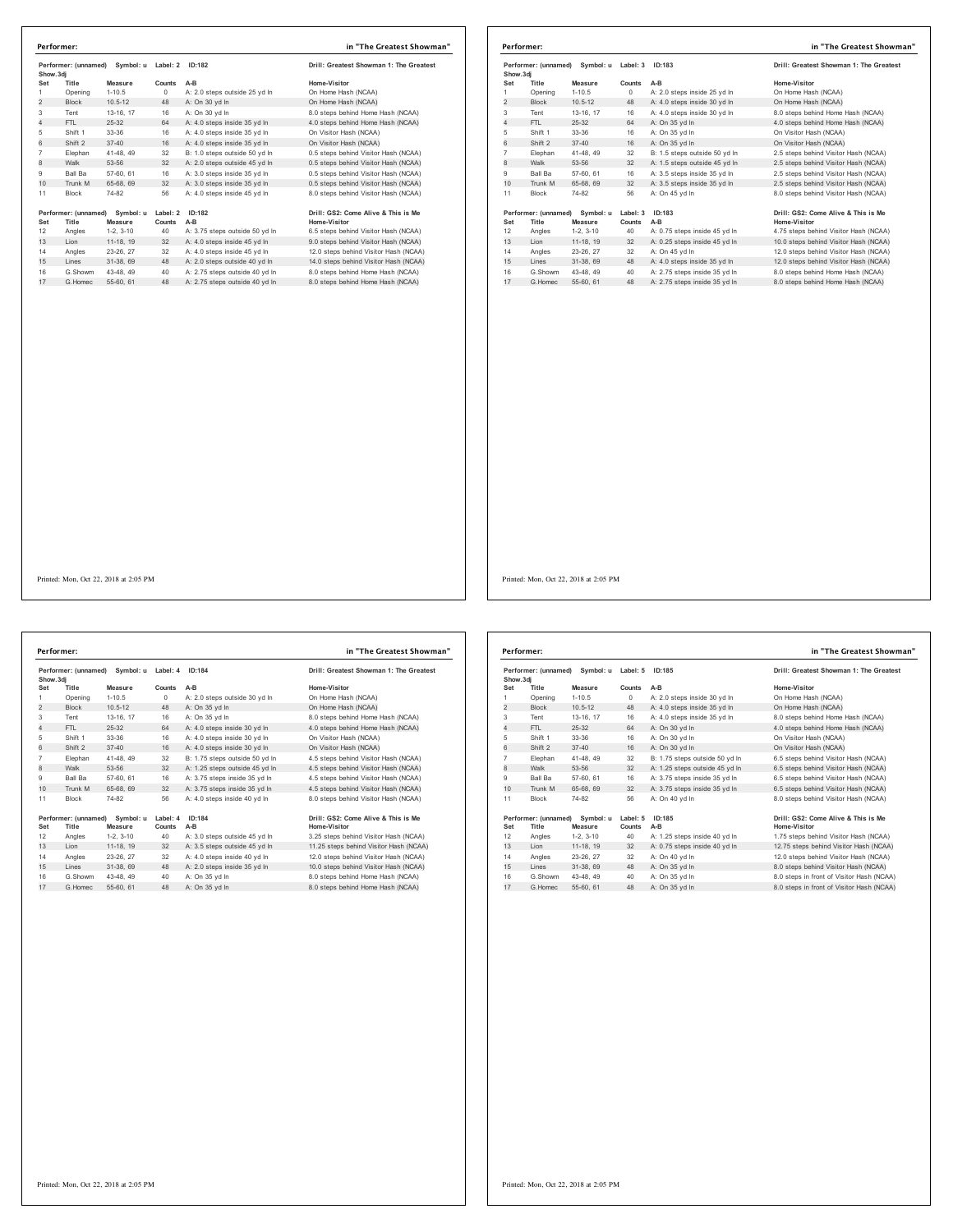|                | Performer:           |             |          |                                | in "The Greatest Showman"               |
|----------------|----------------------|-------------|----------|--------------------------------|-----------------------------------------|
| Show.3dj       | Performer: (unnamed) | Symbol: u   | Label: 2 | ID:182                         | Drill: Greatest Showman 1: The Greatest |
| Set            | Title                | Measure     | Counts   | $A-B$                          | Home-Visitor                            |
| 1              | Opening              | $1 - 10.5$  | 0        | A: 2.0 steps outside 25 yd In  | On Home Hash (NCAA)                     |
| $\overline{2}$ | <b>Block</b>         | $10.5 - 12$ | 48       | A: On 30 yd In                 | On Home Hash (NCAA)                     |
| 3              | Tent                 | 13-16, 17   | 16       | A: On 30 vd In                 | 8.0 steps behind Home Hash (NCAA)       |
| $\overline{4}$ | FTI.                 | $25 - 32$   | 64       | A: 4.0 steps inside 35 yd In   | 4.0 steps behind Home Hash (NCAA)       |
| 5              | Shift 1              | 33-36       | 16       | A: 4.0 steps inside 35 yd In   | On Visitor Hash (NCAA)                  |
| 6              | Shift 2              | $37 - 40$   | 16       | A: 4.0 steps inside 35 yd In   | On Visitor Hash (NCAA)                  |
| 7              | Elephan              | 41-48, 49   | 32       | B: 1.0 steps outside 50 vd In  | 0.5 steps behind Visitor Hash (NCAA)    |
| 8              | Walk                 | 53-56       | 32       | A: 2.0 steps outside 45 yd In  | 0.5 steps behind Visitor Hash (NCAA)    |
| 9              | Ball Ba              | 57-60, 61   | 16       | A: 3.0 steps inside 35 vd In   | 0.5 steps behind Visitor Hash (NCAA)    |
| 10             | Trunk M              | 65-68, 69   | 32       | A: 3.0 steps inside 35 yd In   | 0.5 steps behind Visitor Hash (NCAA)    |
| 11             | <b>Block</b>         | 74-82       | 56       | A: 4.0 steps inside 45 yd In   | 8.0 steps behind Visitor Hash (NCAA)    |
|                | Performer: (unnamed) | Symbol: u   | Label: 2 | ID:182                         | Drill: GS2: Come Alive & This is Me     |
| Set            | Title                | Measure     | Counts   | $A-B$                          | Home-Visitor                            |
| 12             | Angles               | $1-2, 3-10$ | 40       | A: 3.75 steps outside 50 yd In | 6.5 steps behind Visitor Hash (NCAA)    |
| 13             | Lion                 | 11-18, 19   | 32       | A: 4.0 steps inside 45 yd In   | 9.0 steps behind Visitor Hash (NCAA)    |
| 14             | Angles               | 23-26, 27   | 32       | A: 4.0 steps inside 45 yd In   | 12.0 steps behind Visitor Hash (NCAA)   |
| 15             | Lines                | 31-38, 69   | 48       | A: 2.0 steps outside 40 yd In  | 14.0 steps behind Visitor Hash (NCAA)   |
| 16             | G.Showm              | 43-48, 49   | 40       | A: 2.75 steps outside 40 vd In | 8.0 steps behind Home Hash (NCAA)       |
| 17             | G Homec              | 55-60, 61   | 48       | A: 2.75 steps outside 40 vd In | 8.0 steps behind Home Hash (NCAA)       |

|                | Performer: (unnamed) Symbol: u |             | Label: 3   | ID:183                        | Drill: Greatest Showman 1: The Greatest |
|----------------|--------------------------------|-------------|------------|-------------------------------|-----------------------------------------|
| Show, 3di      |                                |             |            |                               |                                         |
| Set            | Title                          | Measure     | Counts     | $A-B$                         | Home-Visitor                            |
|                | Opening                        | $1 - 10.5$  | $^{\circ}$ | A: 2.0 steps inside 25 yd In  | On Home Hash (NCAA)                     |
| 2              | <b>Block</b>                   | $10.5 - 12$ | 48         | A: 4.0 steps inside 30 yd In  | On Home Hash (NCAA)                     |
| 3              | Tent                           | 13-16, 17   | 16         | A: 4.0 steps inside 30 yd In  | 8.0 steps behind Home Hash (NCAA)       |
| $\overline{4}$ | FTI.                           | $25-32$     | 64         | A: On 35 yd In                | 4.0 steps behind Home Hash (NCAA)       |
| 5              | Shift 1                        | 33-36       | 16         | A: On 35 yd In                | On Visitor Hash (NCAA)                  |
| 6              | Shift 2                        | $37 - 40$   | 16         | A: On 35 vd In                | On Visitor Hash (NCAA)                  |
| $\overline{7}$ | Elephan                        | 41-48, 49   | 32         | B: 1.5 steps outside 50 vd In | 2.5 steps behind Visitor Hash (NCAA)    |
| 8              | Walk                           | 53-56       | 32         | A: 1.5 steps outside 45 yd In | 2.5 steps behind Visitor Hash (NCAA)    |
| 9              | Ball Ba                        | 57-60, 61   | 16         | A: 3.5 steps inside 35 vd In  | 2.5 steps behind Visitor Hash (NCAA)    |
| 10             | Trunk M                        | 65-68, 69   | 32         | A: 3.5 steps inside 35 yd In  | 2.5 steps behind Visitor Hash (NCAA)    |
| 11             | <b>Block</b>                   | 74-82       | 56         | A: On 45 vd In                | 8.0 steps behind Visitor Hash (NCAA)    |
|                | Performer: (unnamed) Symbol: u |             | Label: 3   | ID:183                        | Drill: GS2: Come Alive & This is Me     |
| Set            | Title                          | Measure     | Counts     | A-B                           | <b>Home-Visitor</b>                     |
| 12             | Angles                         | $1-2, 3-10$ | 40         | A: 0.75 steps inside 45 yd In | 4.75 steps behind Visitor Hash (NCAA)   |
| 13             | Lion                           | 11-18, 19   | 32         | A: 0.25 steps inside 45 yd In | 10.0 steps behind Visitor Hash (NCAA)   |
| 14             | Angles                         | 23-26, 27   | 32         | A: On 45 yd In                | 12.0 steps behind Visitor Hash (NCAA)   |
| 15             | Lines                          | 31-38, 69   | 48         | A: 4.0 steps inside 35 yd In  | 12.0 steps behind Visitor Hash (NCAA)   |
| 16             | G.Showm                        | 43-48, 49   | 40         | A: 2.75 steps inside 35 yd In | 8.0 steps behind Home Hash (NCAA)       |
| 17             | G Homec                        | 55-60 61    | 48         | A: 2.75 steps inside 35 vd In | 8.0 steps behind Home Hash (NCAA)       |

**Performer: (unnamed) Symbol: u Label: 4 ID:184 Drill: Greatest Showman 1: The Greatest Show.3dj Set Title Measure Counts A-B Home-Visitor** dj<br>11 Opening 1-10.5 0 A: 2.0 steps outside 30 yd in On Home Hash (NCAA)<br>1-110.5 0 A: 2.0 steps outside 30 yd in On Home Hash (NCAA) 2 Block 10.5-12 48 A: On 35 yd ln On Home Hash (NCAA)<br>2 Block 10.5-12 48 A: On 35 yd ln On Home Hash (NCAA)<br>3 Tent 13-16, 17 16 A: On 35 yd ln 8.0 steps behind Home Hash (NCAA)<br>4 FTL 25-32 64 A: 4.0 steps inside 30 yd ln 4 Tent 13-16, 17 16 A: On 35 yd ln 8.0 steps behind Home Hash (NCAA) 4 FTL 25-32 64 A: 4.0 steps inside 30 yd ln 4.0 steps behind Home Hash (NCAA) Shift 1 33-36 16 A: 4.0 steps inside 30 yd ln On Visitor Hash (NCAA) 6 Shift 2 37-40 16 A: 4.0 steps inside 30 yd ln On Visitor Hash (NCAA) Elephan 41-48, 49 32 B: 1.75 steps outside 50 yd ln 4.5 steps behind Visitor Hash (NCAA) 8 Walk 53-56 32 A: 1.25 steps outside 45 yd ln 4.5 steps behind Visitor Hash (NCAA) Ball Ba 57-60, 61 16 A: 3.75 steps inside 35 yd ln 4.5 steps behind Visitor Hash (NCAA) 10 Trunk M 65-68, 69 32 A: 3.75 steps inside 35 yd ln 4.5 steps behind Visitor Hash (NCAA) Block 74-82 56 A: 4.0 steps inside 40 yd ln 8.0 steps behind Visitor Hash (NCAA) **Performer: (unnamed) Symbol: u Label: 4 ID:184 Drill: GS2: Come Alive & This is Me Set Title Measure Counts A-B Home-Visitor** 12 Angles 1-2, 3-10 40 A: 3.0 steps outside 45 yd In 3.25 steps behind Visitor Hash (NCAA)<br>13 Lion 11-18, 19 32 A: 3.5 steps outs Angles 23-26, 27 32 A: 4.0 steps inside 40 yd ln 12.0 steps behind Visitor Hash (NCAA) 15 Lines 31-38, 69 48 A: 2.0 steps inside 35 yd ln 10.0 steps behind Visitor Hash (NCAA) G.Showm 43-48, 49 40 A: On 35 yd ln 8.0 steps behind Home Hash (NCAA) 17 G.Homec 55-60, 61 48 A: On 35 yd ln 8.0 steps behind Home Hash (NCAA) **Performer: in "The Greatest Showman"**

| Performer: (unnamed)<br>Symbol: u<br>Show.3dj |                               | Label: 5             | ID:185             | Drill: Greatest Showman 1: The Greatest |                                                     |
|-----------------------------------------------|-------------------------------|----------------------|--------------------|-----------------------------------------|-----------------------------------------------------|
| Set                                           | Title                         | Measure              | Counts             | $A-B$                                   | Home-Visitor                                        |
| 1                                             | Opening                       | $1 - 10.5$           | $\Omega$           | A: 2.0 steps inside 30 vd In            | On Home Hash (NCAA)                                 |
| 2                                             | <b>Block</b>                  | $10.5 - 12$          | 48                 | A: 4.0 steps inside 35 yd In            | On Home Hash (NCAA)                                 |
| 3                                             | Tent                          | 13-16, 17            | 16                 | A: 4.0 steps inside 35 yd In            | 8.0 steps behind Home Hash (NCAA)                   |
| 4                                             | FTI.                          | 25-32                | 64                 | A: On 30 yd In                          | 4.0 steps behind Home Hash (NCAA)                   |
| 5                                             | Shift 1                       | $33-36$              | 16                 | A: On 30 yd In                          | On Visitor Hash (NCAA)                              |
| 6                                             | Shift 2                       | $37 - 40$            | 16                 | A: On 30 vd In                          | On Visitor Hash (NCAA)                              |
| $\overline{7}$                                | Elephan                       | 41-48, 49            | 32                 | B: 1.75 steps outside 50 yd In          | 6.5 steps behind Visitor Hash (NCAA)                |
| 8                                             | Walk                          | 53-56                | 32                 | A: 1.25 steps outside 45 yd In          | 6.5 steps behind Visitor Hash (NCAA)                |
| 9                                             | Ball Ba                       | 57-60, 61            | 16                 | A: 3.75 steps inside 35 vd In           | 6.5 steps behind Visitor Hash (NCAA)                |
| 10                                            | Trunk M                       | 65-68, 69            | 32                 | A: 3.75 steps inside 35 yd In           | 6.5 steps behind Visitor Hash (NCAA)                |
| 11                                            | <b>Block</b>                  | 74-82                | 56                 | A: On 40 vd In                          | 8.0 steps behind Visitor Hash (NCAA)                |
| Set                                           | Performer: (unnamed)<br>Title | Symbol: u<br>Measure | Label: 5<br>Counts | ID:185<br>$A-B$                         | Drill: GS2: Come Alive & This is Me<br>Home-Visitor |
| 12                                            | Angles                        | $1-2, 3-10$          | 40                 | A: 1.25 steps inside 40 yd In           | 1.75 steps behind Visitor Hash (NCAA)               |
| 13                                            | I ion                         | 11-18, 19            | 32                 | A: 0.75 steps inside 40 yd In           | 12.75 steps behind Visitor Hash (NCAA)              |
| 14                                            | Angles                        | 23-26, 27            | 32                 | A: On 40 vd In                          | 12.0 steps behind Visitor Hash (NCAA)               |
| 15                                            | Lines                         | 31-38, 69            | 48                 | A: On 35 yd In                          | 8.0 steps behind Visitor Hash (NCAA)                |
| 16                                            | G Showm                       | 43-48, 49            | 40                 | A: On 35 vd In                          | 8.0 steps in front of Visitor Hash (NCAA)           |
| 17                                            | G Homec                       | 55-60, 61            | 48                 | A: On 35 yd In                          | 8.0 steps in front of Visitor Hash (NCAA)           |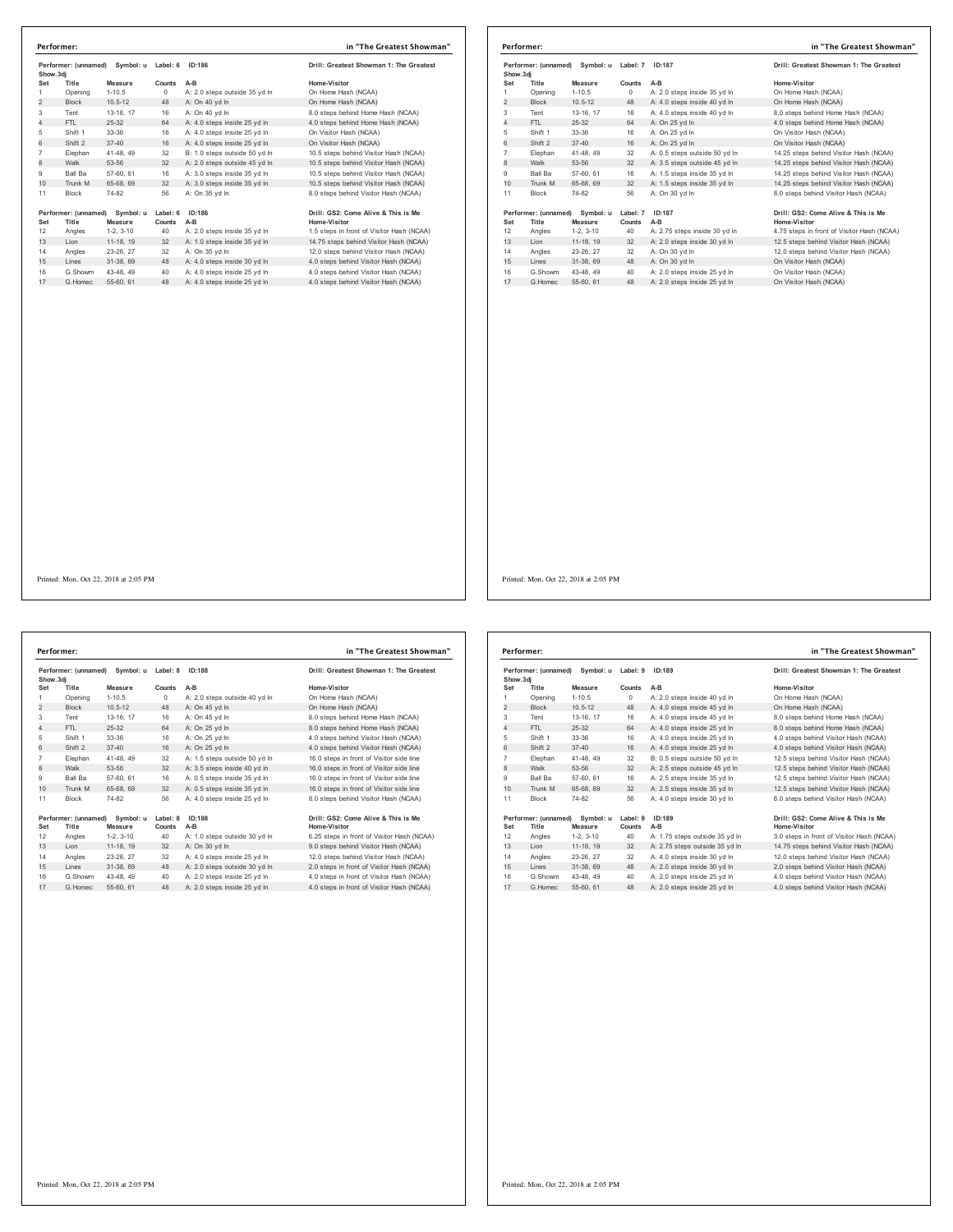|                                               | Performer:                    |                      |                    |                                         | in "The Greatest Showman"                           |
|-----------------------------------------------|-------------------------------|----------------------|--------------------|-----------------------------------------|-----------------------------------------------------|
| Performer: (unnamed)<br>Symbol: u<br>Show.3di |                               | Label: 6<br>ID:186   |                    | Drill: Greatest Showman 1: The Greatest |                                                     |
| Set                                           | Title                         | Measure              | Counts             | $A-B$                                   | Home-Visitor                                        |
| 1                                             | Opening                       | $1 - 10.5$           | 0                  | A: 2.0 steps outside 35 yd In           | On Home Hash (NCAA)                                 |
| $\overline{2}$                                | <b>Block</b>                  | $10.5 - 12$          | 48                 | A: On 40 yd In                          | On Home Hash (NCAA)                                 |
| 3                                             | Tent                          | 13-16, 17            | 16                 | A: On 40 vd In                          | 8.0 steps behind Home Hash (NCAA)                   |
| $\overline{4}$                                | FTI.                          | 25-32                | 64                 | A: 4.0 steps inside 25 yd In            | 4.0 steps behind Home Hash (NCAA)                   |
| 5                                             | Shift 1                       | 33-36                | 16                 | A: 4.0 steps inside 25 vd In            | On Visitor Hash (NCAA)                              |
| 6                                             | Shift 2                       | $37 - 40$            | 16                 | A: 4.0 steps inside 25 vd In            | On Visitor Hash (NCAA)                              |
| $\overline{7}$                                | Elephan                       | 41-48, 49            | 32                 | B: 1.0 steps outside 50 yd In           | 10.5 steps behind Visitor Hash (NCAA)               |
| 8                                             | Walk                          | 53-56                | 32                 | A: 2.0 steps outside 45 yd In           | 10.5 steps behind Visitor Hash (NCAA)               |
| 9                                             | Ball Ba                       | 57-60, 61            | 16                 | A: 3.0 steps inside 35 yd In            | 10.5 steps behind Visitor Hash (NCAA)               |
| 10                                            | Trunk M                       | 65-68, 69            | 32                 | A: 3.0 steps inside 35 yd In            | 10.5 steps behind Visitor Hash (NCAA)               |
| 11                                            | <b>Block</b>                  | 74-82                | 56                 | A: On 35 yd In                          | 8.0 steps behind Visitor Hash (NCAA)                |
| Set                                           | Performer: (unnamed)<br>Title | Symbol: u<br>Measure | Label: 6<br>Counts | ID:186<br>A-B                           | Drill: GS2: Come Alive & This is Me<br>Home-Visitor |
| 12                                            | Angles                        | $1-2.3-10$           | 40                 | A: 2.0 steps inside 35 yd In            | 1.5 steps in front of Visitor Hash (NCAA)           |
| 13                                            | Lion                          | 11-18, 19            | 32                 | A: 1.0 steps inside 35 yd In            | 14.75 steps behind Visitor Hash (NCAA)              |
| 14                                            | Angles                        | 23-26, 27            | 32                 | A: On 35 vd In                          | 12.0 steps behind Visitor Hash (NCAA)               |
| 15                                            | I ines                        | 31-38.69             | 48                 | A: 4.0 steps inside 30 yd In            | 4.0 steps behind Visitor Hash (NCAA)                |
| 16                                            | G.Showm                       | 43-48, 49            | 40                 | A: 4.0 steps inside 25 yd In            | 4.0 steps behind Visitor Hash (NCAA)                |
| 17                                            | G.Homec                       | 55-60, 61            | 48                 | A: 4.0 steps inside 25 yd In            | 4.0 steps behind Visitor Hash (NCAA)                |

| Performer: (unnamed)<br>Symbol: u<br>Show, 3di |                      | Label: 7    | ID:187   | Drill: Greatest Showman 1: The Greatest |                                            |
|------------------------------------------------|----------------------|-------------|----------|-----------------------------------------|--------------------------------------------|
| Set                                            | Title                | Measure     | Counts   | $A-B$                                   | Home-Visitor                               |
| 1                                              | Opening              | $1 - 10.5$  | $\Omega$ | A: 2.0 steps inside 35 yd In            | On Home Hash (NCAA)                        |
| $\overline{2}$                                 | <b>Block</b>         | $10.5 - 12$ | 48       | A: 4.0 steps inside 40 yd In            | On Home Hash (NCAA)                        |
| 3                                              | Tent                 | 13-16. 17   | 16       | A: 4.0 steps inside 40 vd In            | 8.0 steps behind Home Hash (NCAA)          |
| 4                                              | FTL                  | $25 - 32$   | 64       | A: On 25 vd In                          | 4.0 steps behind Home Hash (NCAA)          |
| 5                                              | Shift 1              | 33-36       | 16       | A: On 25 yd In                          | On Visitor Hash (NCAA)                     |
| 6                                              | Shift 2              | $37 - 40$   | 16       | A: On 25 vd In                          | On Visitor Hash (NCAA)                     |
| 7                                              | Elephan              | 41-48, 49   | 32       | A: 0.5 steps outside 50 vd In           | 14.25 steps behind Visitor Hash (NCAA)     |
| 8                                              | Walk                 | 53-56       | 32       | A: 3.5 steps outside 45 yd In           | 14.25 steps behind Visitor Hash (NCAA)     |
| 9                                              | <b>Ball Ba</b>       | 57-60, 61   | 16       | A: 1.5 steps inside 35 yd In            | 14.25 steps behind Visitor Hash (NCAA)     |
| 10                                             | Trunk M              | 65-68, 69   | 32       | A: 1.5 steps inside 35 yd In            | 14.25 steps behind Visitor Hash (NCAA)     |
| 11                                             | <b>Block</b>         | 74-82       | 56       | A: On 30 vd In                          | 8.0 steps behind Visitor Hash (NCAA)       |
|                                                | Performer: (unnamed) | Symbol: u   | Label: 7 | ID:187                                  | Drill: GS2: Come Alive & This is Me        |
| Set                                            | Title                | Measure     | Counts   | $A-B$                                   | Home-Visitor                               |
| 12                                             | Angles               | $1-2, 3-10$ | 40       | A: 2.75 steps inside 30 yd In           | 4.75 steps in front of Visitor Hash (NCAA) |
| 13                                             | Lion                 | 11-18, 19   | 32       | A: 2.0 steps inside 30 yd In            | 12.5 steps behind Visitor Hash (NCAA)      |
| 14                                             | Angles               | 23-26, 27   | 32       | A: On 30 vd In                          | 12.0 steps behind Visitor Hash (NCAA)      |
| 15                                             | Lines                | 31-38, 69   | 48       | A: On 30 vd In                          | On Visitor Hash (NCAA)                     |
| 16                                             | G.Showm              | 43-48.49    | 40       | A: 2.0 steps inside 25 yd In            | On Visitor Hash (NCAA)                     |
| 17                                             | G Homec              | 55-60, 61   | 48       | A: 2.0 steps inside 25 vd In            | On Visitor Hash (NCAA)                     |

**Performer: (unnamed) Symbol: u Label: 8 ID:188 Drill: Greatest Showman 1: The Greatest Show.3dj Set Title Measure Counts A-B Home-Visitor** 1 Opening 1-10.5 0 A: 2.0 steps outside 40 yd ln On Home Hash (NCAA) 2 Block 10.5-12 48 A: On 45 yd ln On Home Hash (NCAA) Tent 13-16, 17 16 A: On 45 yd ln 8.0 steps behind Home Hash (NCAA) 4 FTL 25-32 64 A: On 25 yd ln 8.0 steps behind Home Hash (NCAA) Shift 1 33-36 16 A: On 25 yd ln 4.0 steps behind Visitor Hash (NCAA) 6 Shift 2 37-40 16 A: On 25 yd ln 4.0 steps behind Visitor Hash (NCAA) Elephan 41-48, 49 32 A: 1.5 steps outside 50 yd ln 16.0 steps in front of Visitor side line 8 Walk 53-56 32 A: 3.5 steps inside 40 yd ln 16.0 steps in front of Visitor side line Ball Ba 57-60, 61 16 A: 0.5 steps inside 35 yd ln 16.0 steps in front of Visitor side line 10 Trunk M 65-68, 69 32 A: 0.5 steps inside 35 yd ln 16.0 steps in front of Visitor side line 11 Block 74-82 56 A: 4.0 steps inside 25 yd In 19erformer: (unnamed) Symbol: u Label: 8 10:1188<br>
19erformer: (unnamed) Symbol: u Label: 8 10:12 16:25:12 16:25:12 16:25:12 16:25:12 16:25:12 16:25:12 16:25:12<br>
19. 25:12 16:25:12 16:25:12 16:25:12 16:25:12 16:25:12 16:25: **Performer: in "The Greatest Showman"**

| Drill: Greatest Showman 1: The Greate    |
|------------------------------------------|
| Home-Visitor                             |
| On Home Hash (NCAA)                      |
| On Home Hash (NCAA)                      |
| 8.0 steps behind Home Hash (NCAA)        |
| 8.0 steps behind Home Hash (NCAA)        |
| 4.0 steps behind Visitor Hash (NCAA)     |
| 4.0 steps behind Visitor Hash (NCAA)     |
| 16.0 steps in front of Visitor side line |
| 16.0 steps in front of Visitor side line |
| 16.0 steps in front of Visitor side line |
| 16.0 steps in front of Visitor side line |
| 8.0 steps behind Visitor Hash (NCAA)     |
|                                          |

| Drill: Greatest Showman 1: The Greatest<br>Home-Visitor<br>On Home Hash (NCAA) |
|--------------------------------------------------------------------------------|
|                                                                                |
|                                                                                |
|                                                                                |
| On Home Hash (NCAA)                                                            |
| 8.0 steps behind Home Hash (NCAA)                                              |
| 8.0 steps behind Home Hash (NCAA)                                              |
| 4.0 steps behind Visitor Hash (NCAA)                                           |
| 4.0 steps behind Visitor Hash (NCAA)                                           |
| 12.5 steps behind Visitor Hash (NCAA)                                          |
| 12.5 steps behind Visitor Hash (NCAA)                                          |
| 12.5 steps behind Visitor Hash (NCAA)                                          |
| 12.5 steps behind Visitor Hash (NCAA)                                          |
| 8.0 steps behind Visitor Hash (NCAA)                                           |
| Drill: GS2: Come Alive & This is Me                                            |
| Home-Visitor                                                                   |
| 3.0 steps in front of Visitor Hash (NCAA)                                      |
| 14.75 steps behind Visitor Hash (NCAA)                                         |
| 12.0 steps behind Visitor Hash (NCAA)                                          |
| 2.0 steps behind Visitor Hash (NCAA)                                           |
| 4.0 steps behind Visitor Hash (NCAA)                                           |
| 4.0 steps behind Visitor Hash (NCAA)                                           |
|                                                                                |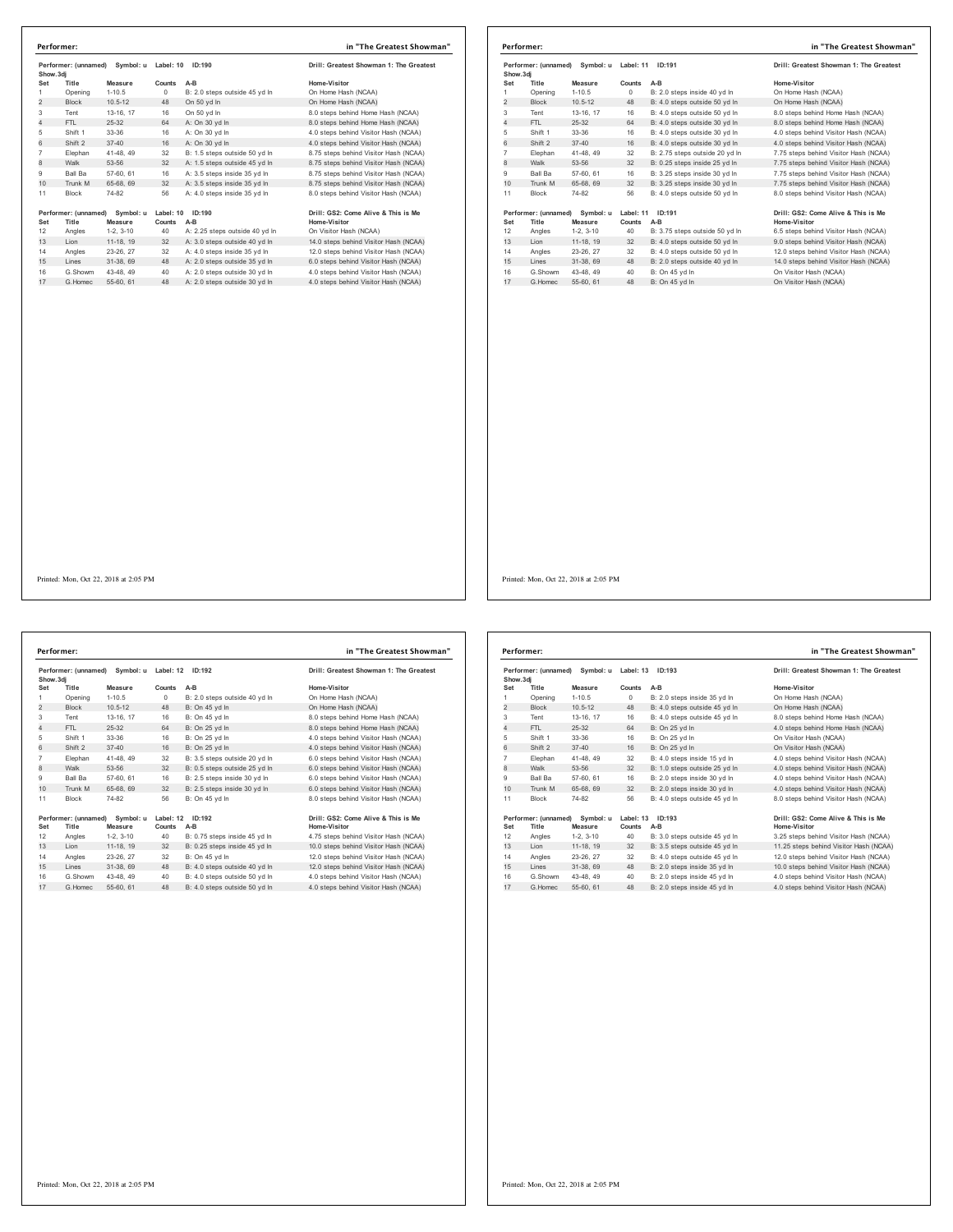| Show.3di       | Performer: (unnamed) | Symbol: u   | Label: 10<br>ID:190 |                                | Drill: Greatest Showman 1: The Greatest |  |
|----------------|----------------------|-------------|---------------------|--------------------------------|-----------------------------------------|--|
| Set            | Title                | Measure     | Counts              | $A-B$                          | Home-Visitor                            |  |
| 1              | Opening              | $1 - 10.5$  | 0                   | B: 2.0 steps outside 45 yd In  | On Home Hash (NCAA)                     |  |
| 2              | <b>Block</b>         | $10.5 - 12$ | 48                  | On 50 vd In                    | On Home Hash (NCAA)                     |  |
| 3              | Tent                 | 13-16, 17   | 16                  | On 50 yd In                    | 8.0 steps behind Home Hash (NCAA)       |  |
| $\overline{4}$ | FTL                  | $25 - 32$   | 64                  | A: On 30 vd In                 | 8.0 steps behind Home Hash (NCAA)       |  |
| 5              | Shift 1              | 33-36       | 16                  | A: On 30 vd In                 | 4.0 steps behind Visitor Hash (NCAA)    |  |
| 6              | Shift 2              | $37 - 40$   | 16                  | A: On 30 vd In                 | 4.0 steps behind Visitor Hash (NCAA)    |  |
| $\overline{7}$ | Elephan              | 41-48, 49   | 32                  | B: 1.5 steps outside 50 vd In  | 8.75 steps behind Visitor Hash (NCAA)   |  |
| 8              | Walk                 | 53-56       | 32                  | A: 1.5 steps outside 45 yd In  | 8.75 steps behind Visitor Hash (NCAA)   |  |
| 9              | Ball Ba              | 57-60, 61   | 16                  | A: 3.5 steps inside 35 vd In   | 8.75 steps behind Visitor Hash (NCAA)   |  |
| 10             | Trunk M              | 65-68, 69   | 32                  | A: 3.5 steps inside 35 yd In   | 8.75 steps behind Visitor Hash (NCAA)   |  |
| 11             | <b>Block</b>         | 74-82       | 56                  | A: 4.0 steps inside 35 vd In   | 8.0 steps behind Visitor Hash (NCAA)    |  |
|                | Performer: (unnamed) | Symbol: u   | Label: 10           | ID:190                         | Drill: GS2: Come Alive & This is Me     |  |
| Set            | Title                | Measure     | Counts              | A-B                            | Home-Visitor                            |  |
| 12             | Angles               | $1-2.3-10$  | 40                  | A: 2.25 steps outside 40 yd In | On Visitor Hash (NCAA)                  |  |
| 13             | Lion                 | 11-18, 19   | 32                  | A: 3.0 steps outside 40 yd In  | 14.0 steps behind Visitor Hash (NCAA)   |  |
| 14             | Angles               | 23-26, 27   | 32                  | A: 4.0 steps inside 35 yd In   | 12.0 steps behind Visitor Hash (NCAA)   |  |
| 15             | Lines                | 31-38, 69   | 48                  | A: 2.0 steps outside 35 yd In  | 6.0 steps behind Visitor Hash (NCAA)    |  |
| 16             | G Showm              | 43-48, 49   | 40                  | A: 2.0 steps outside 30 yd In  | 4.0 steps behind Visitor Hash (NCAA)    |  |
| 17             | G.Homec              | 55-60, 61   | 48                  | A: 2.0 steps outside 30 vd In  | 4.0 steps behind Visitor Hash (NCAA)    |  |
|                |                      |             |                     |                                |                                         |  |

| Show, 3di      | Performer: (unnamed) Symbol: u Label: 11 |             | ID:191    |                                | Drill: Greatest Showman 1: The Greatest |  |
|----------------|------------------------------------------|-------------|-----------|--------------------------------|-----------------------------------------|--|
| Set            | Title                                    | Measure     | Counts    | $A-B$                          | Home-Visitor                            |  |
| 1              | Opening                                  | $1 - 10.5$  | $\circ$   | B: 2.0 steps inside 40 vd In   | On Home Hash (NCAA)                     |  |
| 2              | <b>Block</b>                             | $10.5 - 12$ | 48        | B: 4.0 steps outside 50 yd In  | On Home Hash (NCAA)                     |  |
| 3              | Tent                                     | 13-16, 17   | 16        | B: 4.0 steps outside 50 yd In  | 8.0 steps behind Home Hash (NCAA)       |  |
| $\overline{4}$ | FTI.                                     | $25 - 32$   | 64        | B: 4.0 steps outside 30 yd In  | 8.0 steps behind Home Hash (NCAA)       |  |
| 5              | Shift 1                                  | 33-36       | 16        | B: 4.0 steps outside 30 vd In  | 4.0 steps behind Visitor Hash (NCAA)    |  |
| 6              | Shift 2                                  | $37 - 40$   | 16        | B: 4.0 steps outside 30 vd In  | 4.0 steps behind Visitor Hash (NCAA)    |  |
| $\overline{7}$ | Elephan                                  | 41-48, 49   | 32        | B: 2.75 steps outside 20 vd In | 7.75 steps behind Visitor Hash (NCAA)   |  |
| 8              | Walk                                     | 53-56       | 32        | B: 0.25 steps inside 25 yd In  | 7.75 steps behind Visitor Hash (NCAA)   |  |
| 9              | Ball Ba                                  | 57-60, 61   | 16        | B: 3.25 steps inside 30 vd In  | 7.75 steps behind Visitor Hash (NCAA)   |  |
| 10             | Trunk M                                  | 65-68, 69   | 32        | B: 3.25 steps inside 30 yd In  | 7.75 steps behind Visitor Hash (NCAA)   |  |
| 11             | <b>Block</b>                             | 74-82       | 56        | B: 4.0 steps outside 50 vd In  | 8.0 steps behind Visitor Hash (NCAA)    |  |
|                | Performer: (unnamed) Symbol: u           |             | Label: 11 | ID:191                         | Drill: GS2: Come Alive & This is Me     |  |
| Set            | Title                                    | Measure     | Counts    | $A-B$                          | Home-Visitor                            |  |
| 12             | Angles                                   | $1-2.3-10$  | 40        | B: 3.75 steps outside 50 yd In | 6.5 steps behind Visitor Hash (NCAA)    |  |
| 13             | Lion                                     | 11-18, 19   | 32        | B: 4.0 steps outside 50 yd In  | 9.0 steps behind Visitor Hash (NCAA)    |  |
| 14             | Angles                                   | 23-26, 27   | 32        | B: 4.0 steps outside 50 vd In  | 12.0 steps behind Visitor Hash (NCAA)   |  |
| 15             | Lines                                    | 31-38, 69   | 48        | B: 2.0 steps outside 40 yd In  | 14.0 steps behind Visitor Hash (NCAA)   |  |
| 16             | G.Showm                                  | 43-48, 49   | 40        | B: On 45 vd In                 | On Visitor Hash (NCAA)                  |  |
| 17             | G. Homec                                 | 55-60 61    | 48        | B: On 45 vd In                 | On Visitor Hash (NCAA)                  |  |

**Performer: (unnamed) Symbol: u Label: 12 ID:192 Drill: Greatest Showman 1: The Greatest Show.3dj Set Title Measure Counts A-B Home-Visitor** Opening 1-10.5 0 B: 2.0 steps outside 40 yd ln On Home Hash (NCAA) 2 Block 10.5-12 48 B: On 45 yd ln On Home Hash (NCAA) Tent 13-16, 17 16 B: On 45 yd ln 8.0 steps behind Home Hash (NCAA) 4 FTL 25-32 64 B: On 25 yd ln 8.0 steps behind Home Hash (NCAA) Shift 1 33-36 16 B: On 25 yd ln 4.0 steps behind Visitor Hash (NCAA) 6 Shift 2 37-40 16 B: On 25 yd ln 4.0 steps behind Visitor Hash (NCAA) Elephan 41-48, 49 32 B: 3.5 steps outside 20 yd ln 6.0 steps behind Visitor Hash (NCAA) 8 Walk 53-56 32 B: 0.5 steps outside 25 yd ln 6.0 steps behind Visitor Hash (NCAA) Ball Ba 57-60, 61 16 B: 2.5 steps inside 30 yd ln 6.0 steps behind Visitor Hash (NCAA) 10 Trunk M 65-68, 69 32 B: 2.5 steps inside 30 yd ln 6.0 steps behind Visitor Hash (NCAA) Block 74-82 56 B: On 45 yd ln 8.0 steps behind Visitor Hash (NCAA) **Performer: (unnamed) Symbol: u Label: 12 ID:192 Drill: GS2: Come Alive & This is Me Set Title Measure Counts A-B Home-Visitor** Angles 1-2, 3-10 40 B: 0.75 steps inside 45 yd ln 4.75 steps behind Visitor Hash (NCAA) 13 Lion 11-18, 19 32 B: 0.25 steps inside 45 yd ln 10.0 steps behind Visitor Hash (NCAA) Angles 23-26, 27 32 B: On 45 yd ln 12.0 steps behind Visitor Hash (NCAA) 15 Lines 31-38, 69 48 B: 4.0 steps outside 40 yd ln 12.0 steps behind Visitor Hash (NCAA) G.Showm 43-48, 49 40 B: 4.0 steps outside 50 yd ln 4.0 steps behind Visitor Hash (NCAA) 17 G.Homec 55-60, 61 48 B: 4.0 steps outside 50 yd ln 4.0 steps behind Visitor Hash (NCAA) **Performer: in "The Greatest Showman"**

| Performer: (unnamed)<br>Symbol: u<br>Show, 3di |                               | Label: 13<br>ID:193  |                     | Drill: Greatest Showman 1: The Greatest |                                                            |
|------------------------------------------------|-------------------------------|----------------------|---------------------|-----------------------------------------|------------------------------------------------------------|
| Set                                            | Title                         | Measure              | Counts              | $A-B$                                   | Home-Visitor                                               |
| 1                                              | Opening                       | $1 - 10.5$           | $\circ$             | B: 2.0 steps inside 35 yd In            | On Home Hash (NCAA)                                        |
| $\overline{2}$                                 | <b>Block</b>                  | $10.5 - 12$          | 48                  | B: 4.0 steps outside 45 yd In           | On Home Hash (NCAA)                                        |
| 3                                              | Tent                          | 13-16, 17            | 16                  | B: 4.0 steps outside 45 vd In           | 8.0 steps behind Home Hash (NCAA)                          |
| $\overline{4}$                                 | FTI.                          | 25-32                | 64                  | B: On 25 yd In                          | 4.0 steps behind Home Hash (NCAA)                          |
| 5                                              | Shift 1                       | 33-36                | 16                  | B: On 25 yd In                          | On Visitor Hash (NCAA)                                     |
| 6                                              | Shift 2                       | $37 - 40$            | 16                  | B: On 25 vd In                          | On Visitor Hash (NCAA)                                     |
| $\overline{7}$                                 | Elephan                       | 41-48, 49            | 32                  | B: 4.0 steps inside 15 yd In            | 4.0 steps behind Visitor Hash (NCAA)                       |
| 8                                              | Walk                          | 53-56                | 32                  | B: 1.0 steps outside 25 yd In           | 4.0 steps behind Visitor Hash (NCAA)                       |
| 9                                              | <b>Ball Ba</b>                | 57-60, 61            | 16                  | B: 2.0 steps inside 30 yd In            | 4.0 steps behind Visitor Hash (NCAA)                       |
| 10                                             | Trunk M                       | 65-68, 69            | 32                  | B: 2.0 steps inside 30 yd In            | 4.0 steps behind Visitor Hash (NCAA)                       |
| 11                                             | <b>Block</b>                  | 74-82                | 56                  | B: 4.0 steps outside 45 vd In           | 8.0 steps behind Visitor Hash (NCAA)                       |
| Set                                            | Performer: (unnamed)<br>Title | Symbol: u<br>Measure | Label: 13<br>Counts | ID:193<br>$A-B$                         | Drill: GS2: Come Alive & This is Me<br><b>Home-Visitor</b> |
| 12                                             | Angles                        | $1-2.3-10$           | 40                  | B: 3.0 steps outside 45 vd In           | 3.25 steps behind Visitor Hash (NCAA)                      |
| 13                                             | I ion                         | 11-18, 19            | 32                  | B: 3.5 steps outside 45 yd In           | 11.25 steps behind Visitor Hash (NCAA)                     |
| 14                                             | Angles                        | 23-26, 27            | 32                  | B: 4.0 steps outside 45 yd In           | 12.0 steps behind Visitor Hash (NCAA)                      |
| 15                                             | Lines                         | 31-38, 69            | 48                  | B: 2.0 steps inside 35 yd In            | 10.0 steps behind Visitor Hash (NCAA)                      |
| 16                                             | G.Showm                       | 43-48, 49            | 40                  | B: 2.0 steps inside 45 vd In            | 4.0 steps behind Visitor Hash (NCAA)                       |
| 17                                             | G. Homec                      | 55-60, 61            | 48                  | B: 2.0 steps inside 45 vd ln            | 4.0 steps behind Visitor Hash (NCAA)                       |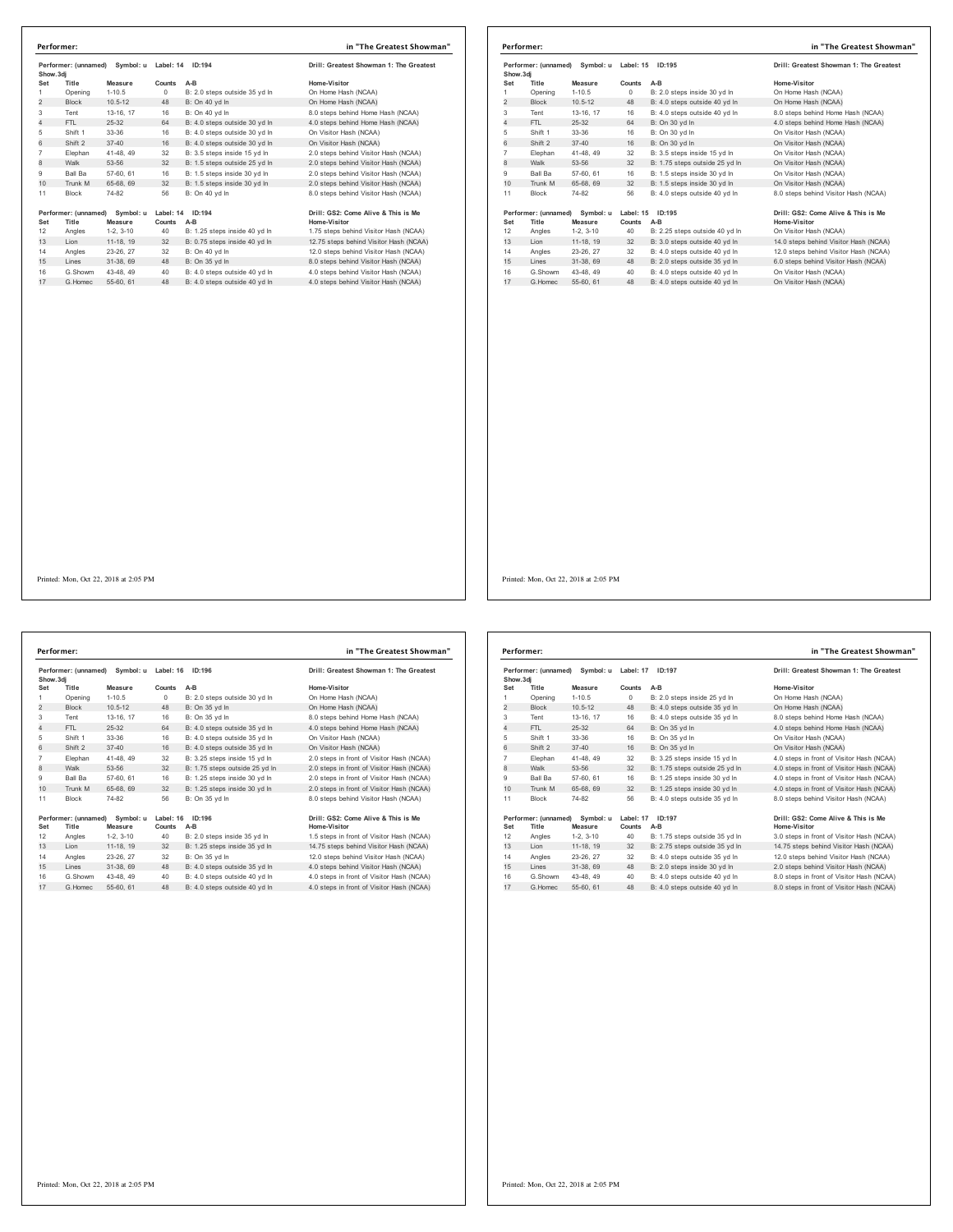|                | Performer:           |                                |           |                               | in "The Greatest Showman"               |
|----------------|----------------------|--------------------------------|-----------|-------------------------------|-----------------------------------------|
| Show.3di       |                      | Performer: (unnamed) Symbol: u |           | Label: 14 ID:194              | Drill: Greatest Showman 1: The Greatest |
| Set            | Title                | Measure                        | Counts    | A-B                           | Home-Visitor                            |
| 1              | Opening              | $1 - 10.5$                     | $\Omega$  | B: 2.0 steps outside 35 yd In | On Home Hash (NCAA)                     |
| $\overline{2}$ | <b>Block</b>         | $10.5 - 12$                    | 48        | B: On 40 yd In                | On Home Hash (NCAA)                     |
| 3              | Tent                 | 13-16, 17                      | 16        | B: On 40 vd In                | 8.0 steps behind Home Hash (NCAA)       |
| 4              | FTL                  | $25 - 32$                      | 64        | B: 4.0 steps outside 30 vd In | 4.0 steps behind Home Hash (NCAA)       |
| 5              | Shift 1              | 33-36                          | 16        | B: 4.0 steps outside 30 yd In | On Visitor Hash (NCAA)                  |
| 6              | Shift 2              | $37 - 40$                      | 16        | B: 4.0 steps outside 30 vd In | On Visitor Hash (NCAA)                  |
| $\overline{7}$ | Elephan              | 41-48, 49                      | 32        | B: 3.5 steps inside 15 yd In  | 2.0 steps behind Visitor Hash (NCAA)    |
| 8              | Walk                 | 53-56                          | 32        | B: 1.5 steps outside 25 yd In | 2.0 steps behind Visitor Hash (NCAA)    |
| 9              | Ball Ba              | 57-60, 61                      | 16        | B: 1.5 steps inside 30 vd In  | 2.0 steps behind Visitor Hash (NCAA)    |
| 10             | Trunk M              | 65-68, 69                      | 32        | B: 1.5 steps inside 30 yd In  | 2.0 steps behind Visitor Hash (NCAA)    |
| 11             | <b>Block</b>         | 74-82                          | 56        | B: On 40 vd In                | 8.0 steps behind Visitor Hash (NCAA)    |
|                | Performer: (unnamed) | Symbol: u                      | Label: 14 | ID:194                        | Drill: GS2: Come Alive & This is Me     |
| Set            | Title                | Measure                        | Counts    | A-B                           | Home-Visitor                            |
| 12             | Angles               | $1-2.3-10$                     | 40        | B: 1.25 steps inside 40 yd In | 1.75 steps behind Visitor Hash (NCAA)   |
| 13             | Lion                 | 11-18, 19                      | 32        | B: 0.75 steps inside 40 yd In | 12.75 steps behind Visitor Hash (NCAA)  |
| 14             | Angles               | 23-26, 27                      | 32        | B: On 40 vd In                | 12.0 steps behind Visitor Hash (NCAA)   |
| 15             | Lines                | 31-38, 69                      | 48        | B: On 35 vd In                | 8.0 steps behind Visitor Hash (NCAA)    |
| 16             | G.Showm              | 43-48, 49                      | 40        | B: 4.0 steps outside 40 vd In | 4.0 steps behind Visitor Hash (NCAA)    |
| 17             | G Homec              | 55-60 61                       | 48        | B: 4.0 steps outside 40 vd In | 4.0 steps behind Visitor Hash (NCAA)    |

|                | Performer: (unnamed) Symbol: u<br>Show, 3di |                      | Label: 15<br><b>ID:195</b> |                                | Drill: Greatest Showman 1: The Greatest                    |
|----------------|---------------------------------------------|----------------------|----------------------------|--------------------------------|------------------------------------------------------------|
| Set            | Title                                       | Measure              | Counts                     | $A-B$                          | Home-Visitor                                               |
| 1              | Opening                                     | $1 - 10.5$           | $\circ$                    | B: 2.0 steps inside 30 vd In   | On Home Hash (NCAA)                                        |
| $\overline{2}$ | <b>Block</b>                                | $10.5 - 12$          | 48                         | B: 4.0 steps outside 40 yd In  | On Home Hash (NCAA)                                        |
| 3              | Tent                                        | 13-16, 17            | 16                         | B: 4.0 steps outside 40 yd In  | 8.0 steps behind Home Hash (NCAA)                          |
| 4              | FTL                                         | $25 - 32$            | 64                         | B: On 30 vd In                 | 4.0 steps behind Home Hash (NCAA)                          |
| 5              | Shift 1                                     | 33-36                | 16                         | B: On 30 yd In                 | On Visitor Hash (NCAA)                                     |
| 6              | Shift 2                                     | $37 - 40$            | 16                         | B: On 30 vd In                 | On Visitor Hash (NCAA)                                     |
| $\overline{7}$ | Elephan                                     | 41-48, 49            | 32                         | B: 3.5 steps inside 15 vd In   | On Visitor Hash (NCAA)                                     |
| 8              | Walk                                        | 53-56                | 32                         | B: 1.75 steps outside 25 yd In | On Visitor Hash (NCAA)                                     |
| 9              | <b>Ball Ba</b>                              | 57-60, 61            | 16                         | B: 1.5 steps inside 30 vd In   | On Visitor Hash (NCAA)                                     |
| 10             | Trunk M                                     | 65-68, 69            | 32                         | B: 1.5 steps inside 30 yd In   | On Visitor Hash (NCAA)                                     |
| 11             | <b>Block</b>                                | 74-82                | 56                         | B: 4.0 steps outside 40 yd In  | 8.0 steps behind Visitor Hash (NCAA)                       |
| Set            | Performer: (unnamed)<br>Title               | Symbol: u<br>Measure | Counts                     | Label: 15 ID:195<br>A-B        | Drill: GS2: Come Alive & This is Me<br><b>Home-Visitor</b> |
| 12             | Angles                                      | $1-2, 3-10$          | 40                         | B: 2.25 steps outside 40 yd In | On Visitor Hash (NCAA)                                     |
| 13             | Lion                                        | 11-18, 19            | 32                         | B: 3.0 steps outside 40 yd In  | 14.0 steps behind Visitor Hash (NCAA)                      |
| 14             | Angles                                      | 23-26, 27            | 32                         | B: 4.0 steps outside 40 vd In  | 12.0 steps behind Visitor Hash (NCAA)                      |
| 15             | Lines                                       | 31-38, 69            | 48                         | B: 2.0 steps outside 35 vd In  | 6.0 steps behind Visitor Hash (NCAA)                       |
| 16             | G.Showm                                     | 43-48, 49            | 40                         | B: 4.0 steps outside 40 vd In  | On Visitor Hash (NCAA)                                     |
| 17             | G Homec                                     | 55-60, 61            | 48                         | B: 4.0 steps outside 40 yd In  | On Visitor Hash (NCAA)                                     |

**Performer: (unnamed) Symbol: u Label: 16 ID:196 Drill: Greatest Showman 1: The Greatest Show.3dj Set Title Measure Counts A-B Home-Visitor** 1 Opening 1-10.5 0 B: 2.0 steps outside 30 yd ln On Home Hash (NCAA) 2 Block 10.5-12 48 B: On 35 yd ln On Home Hash (NCAA) Tent 13-16, 17 16 B: On 35 yd ln 8.0 steps behind Home Hash (NCAA) 4 FTL 25-32 64 B: 4.0 steps outside 35 yd ln 4.0 steps behind Home Hash (NCAA) Shift 1 33-36 16 B: 4.0 steps outside 35 yd ln On Visitor Hash (NCAA) 6 Shift 2 37-40 16 B: 4.0 steps outside 35 yd ln On Visitor Hash (NCAA) Elephan 41-48, 49 32 B: 3.25 steps inside 15 yd ln 2.0 steps in front of Visitor Hash (NCAA) 8 Walk 53-56 32 B: 1.75 steps outside 25 yd ln 2.0 steps in front of Visitor Hash (NCAA) 9 Ball Ba 57-60, 61 16 B: 1.25 steps inside 30 yd ln 2.0 steps in front of Visitor Hash (NCAA) 10 Trunk M 65-68, 69 32 B: 1.25 steps inside 30 yd ln 11 Block 74-82 56 B: On 35 yd In 1911 - Dan May 1991 - May 1991 - May 1991 - Describe the Monday 1991 - May 1991 - May 1991 - May 1991 - May 1<br>12 - Angles 1-2, 3-10 - 40 - B: 2.0 steps inside 35 yd In 1.5 steps in front of Visitor Hash (NCAA)<br>12 - Angles 14 Angles 23-26, 27 32 B. On 35 yd in 12.0 steps behind visitor Hash (NCAA)<br>15 Lines 31-38, 69 48 B: 4.0 steps outside 35 yd ln 4.0 steps behind Visitor Hash (NCAA) G.Showm 43-48, 49 40 B: 4.0 steps outside 40 yd ln 4.0 steps in front of Visitor Hash (NCAA) 17 G.Homec 55-60, 61 48 B: 4.0 steps outside 40 yd ln 4.0 steps in front of Visitor Hash (NCAA) **Performer: in "The Greatest Showman"**

| Home-Visitor                              |
|-------------------------------------------|
| On Home Hash (NCAA)                       |
| On Home Hash (NCAA)                       |
| 8.0 steps behind Home Hash (NCAA)         |
| 4.0 steps behind Home Hash (NCAA)         |
| On Visitor Hash (NCAA)                    |
| On Visitor Hash (NCAA)                    |
| 2.0 steps in front of Visitor Hash (NCAA) |
| 2.0 steps in front of Visitor Hash (NCAA) |
| 2.0 steps in front of Visitor Hash (NCAA) |
| 2.0 steps in front of Visitor Hash (NCAA) |
| 8.0 steps behind Visitor Hash (NCAA)      |
| Drill: GS2: Come Alive & This is Me       |
| Home-Visitor                              |
| 1 5 etane in front of Vieitor Haeb (NCAA) |

| Show, 3di                                                    | Performer: (unnamed) | Symbol: u   | Label: 17<br>ID:197 |                                | Drill: Greatest Showman 1: The Greatest             |  |
|--------------------------------------------------------------|----------------------|-------------|---------------------|--------------------------------|-----------------------------------------------------|--|
| Set                                                          | Title                | Measure     | Counts              | A-B                            | Home-Visitor                                        |  |
| 1                                                            | Opening              | $1 - 10.5$  | 0                   | B: 2.0 steps inside 25 vd In   | On Home Hash (NCAA)                                 |  |
| $\overline{2}$                                               | <b>Block</b>         | $10.5 - 12$ | 48                  | B: 4.0 steps outside 35 yd In  | On Home Hash (NCAA)                                 |  |
| 3                                                            | Tent                 | 13-16, 17   | 16                  | B: 4.0 steps outside 35 yd In  | 8.0 steps behind Home Hash (NCAA)                   |  |
| 4                                                            | FTL.                 | 25-32       | 64                  | B: On 35 yd In                 | 4.0 steps behind Home Hash (NCAA)                   |  |
| 5                                                            | Shift 1              | 33-36       | 16                  | B: On 35 yd In                 | On Visitor Hash (NCAA)                              |  |
| 6                                                            | Shift 2              | $37 - 40$   | 16                  | B: On 35 vd In                 | On Visitor Hash (NCAA)                              |  |
| $\overline{7}$                                               | Elephan              | 41-48, 49   | 32                  | B: 3.25 steps inside 15 yd In  | 4.0 steps in front of Visitor Hash (NCAA)           |  |
| 8                                                            | Walk                 | 53-56       | 32                  | B: 1.75 steps outside 25 yd In | 4.0 steps in front of Visitor Hash (NCAA)           |  |
| 9                                                            | Ball Ba              | 57-60, 61   | 16                  | B: 1.25 steps inside 30 vd In  | 4.0 steps in front of Visitor Hash (NCAA)           |  |
| 10                                                           | Trunk M              | 65-68, 69   | 32                  | B: 1.25 steps inside 30 yd In  | 4.0 steps in front of Visitor Hash (NCAA)           |  |
| 11                                                           | Block                | 74-82       | 56                  | B: 4.0 steps outside 35 yd In  | 8.0 steps behind Visitor Hash (NCAA)                |  |
| Performer: (unnamed)<br>Symbol: u<br>Set<br>Title<br>Measure |                      |             |                     | Label: 17<br>ID:197<br>A-B     | Drill: GS2: Come Alive & This is Me<br>Home-Visitor |  |
| 12                                                           | Angles               | $1-2.3-10$  | Counts<br>40        | B: 1.75 steps outside 35 yd In | 3.0 steps in front of Visitor Hash (NCAA)           |  |
| 13                                                           | Lion                 | 11-18, 19   | 32                  | B: 2.75 steps outside 35 yd In | 14.75 steps behind Visitor Hash (NCAA)              |  |
| 14                                                           | Angles               | 23-26, 27   | 32                  | B: 4.0 steps outside 35 vd In  | 12.0 steps behind Visitor Hash (NCAA)               |  |
| 15                                                           | Lines                | 31-38, 69   | 48                  | B: 2.0 steps inside 30 yd In   | 2.0 steps behind Visitor Hash (NCAA)                |  |
| 16                                                           | G Showm              | 43-48, 49   | 40                  | B: 4.0 steps outside 40 vd In  | 8.0 steps in front of Visitor Hash (NCAA)           |  |
| 17                                                           | G. Homec             | 55-60, 61   | 48                  | B: 4.0 steps outside 40 yd In  | 8.0 steps in front of Visitor Hash (NCAA)           |  |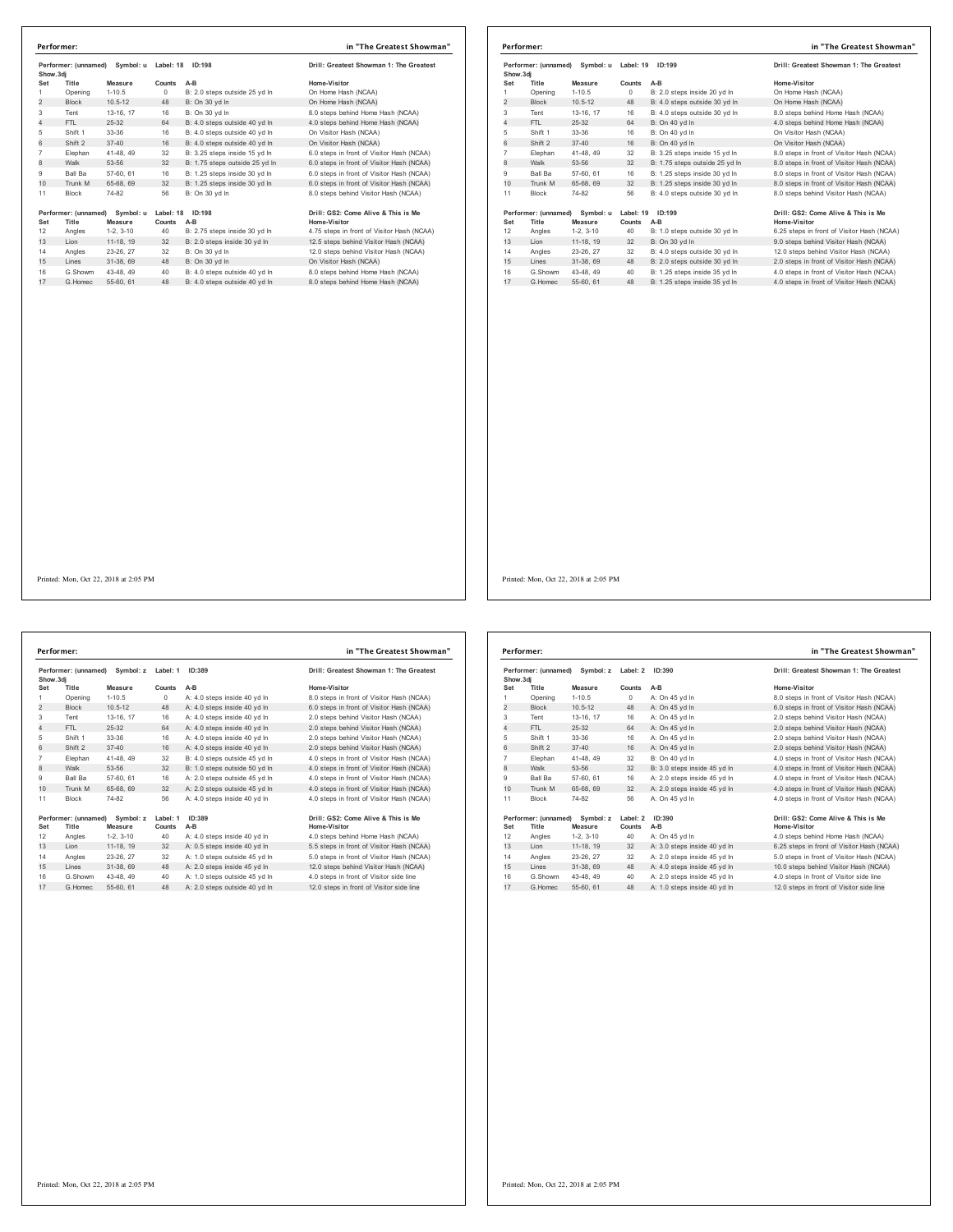| Show.3di        | Performer: (unnamed)          | Symbol: u            | Label: 18           | ID:198                         | Drill: Greatest Showman 1: The Greatest             |
|-----------------|-------------------------------|----------------------|---------------------|--------------------------------|-----------------------------------------------------|
| Set             | Title                         | Measure              | Counts              | $A-B$                          | Home-Visitor                                        |
| 1               | Opening                       | $1 - 10.5$           | $\Omega$            | B: 2.0 steps outside 25 yd In  | On Home Hash (NCAA)                                 |
| $\overline{2}$  | <b>Block</b>                  | $10.5 - 12$          | 48                  | B: On 30 vd In                 | On Home Hash (NCAA)                                 |
| 3               | Tent                          | 13-16, 17            | 16                  | B: On 30 vd In                 | 8.0 steps behind Home Hash (NCAA)                   |
| $\overline{4}$  | FTI.                          | 25-32                | 64                  | B: 4.0 steps outside 40 yd In  | 4.0 steps behind Home Hash (NCAA)                   |
| 5               | Shift 1                       | $33-36$              | 16                  | B: 4.0 steps outside 40 yd In  | On Visitor Hash (NCAA)                              |
| 6               | Shift 2                       | $37 - 40$            | 16                  | B: 4.0 steps outside 40 yd In  | On Visitor Hash (NCAA)                              |
| $\overline{7}$  | Elephan                       | 41-48, 49            | 32                  | B: 3.25 steps inside 15 yd In  | 6.0 steps in front of Visitor Hash (NCAA)           |
| 8               | Walk                          | 53-56                | 32                  | B: 1.75 steps outside 25 yd In | 6.0 steps in front of Visitor Hash (NCAA)           |
| 9               | Ball Ba                       | 57-60, 61            | 16                  | B: 1.25 steps inside 30 yd In  | 6.0 steps in front of Visitor Hash (NCAA)           |
| 10 <sup>1</sup> | Trunk M                       | 65-68, 69            | 32                  | B: 1.25 steps inside 30 yd In  | 6.0 steps in front of Visitor Hash (NCAA)           |
| 11              | <b>Block</b>                  | 74-82                | 56                  | B: On 30 vd In                 | 8.0 steps behind Visitor Hash (NCAA)                |
| Set             | Performer: (unnamed)<br>Title | Symbol: u<br>Measure | Label: 18<br>Counts | ID:198<br>A-B                  | Drill: GS2: Come Alive & This is Me<br>Home-Visitor |
| 12              | Angles                        | $1-2, 3-10$          | 40                  | B: 2.75 steps inside 30 yd In  | 4.75 steps in front of Visitor Hash (NCAA)          |
| 13              | I ion                         | 11-18, 19            | 32                  | B: 2.0 steps inside 30 yd In   | 12.5 steps behind Visitor Hash (NCAA)               |
| 14              | Angles                        | 23-26, 27            | 32                  | B: On 30 vd In                 | 12.0 steps behind Visitor Hash (NCAA)               |
| 15              | Lines                         | 31-38, 69            | 48                  | B: On 30 vd In                 | On Visitor Hash (NCAA)                              |
| 16              | G.Showm                       | 43-48, 49            | 40                  | B: 4.0 steps outside 40 yd In  | 8.0 steps behind Home Hash (NCAA)                   |
| 17              | G. Homec                      | 55-60, 61            | 48                  | B: 4.0 steps outside 40 vd In  | 8.0 steps behind Home Hash (NCAA)                   |

| Performer: |                               |                      |                     | in "The Greatest Showman"      |                                                     |
|------------|-------------------------------|----------------------|---------------------|--------------------------------|-----------------------------------------------------|
| Show, 3di  | Performer: (unnamed)          | Symbol: u            | Label: 19           | ID:199                         | Drill: Greatest Showman 1: The Greatest             |
| Set        | Title                         | Measure              | Counts              | $A-B$                          | Home-Visitor                                        |
|            | Opening                       | $1 - 10.5$           | 0                   | B: 2.0 steps inside 20 vd In   | On Home Hash (NCAA)                                 |
| 2          | <b>Block</b>                  | $10.5 - 12$          | 48                  | B: 4.0 steps outside 30 yd In  | On Home Hash (NCAA)                                 |
| 3          | Tent                          | 13-16, 17            | 16                  | B: 4.0 steps outside 30 yd In  | 8.0 steps behind Home Hash (NCAA)                   |
| 4          | FTI.                          | $25 - 32$            | 64                  | B: On 40 yd In                 | 4.0 steps behind Home Hash (NCAA)                   |
| 5          | Shift 1                       | 33-36                | 16                  | B: On 40 vd In                 | On Visitor Hash (NCAA)                              |
| 6          | Shift 2                       | $37 - 40$            | 16                  | B: On 40 vd In                 | On Visitor Hash (NCAA)                              |
| 7          | Elephan                       | 41-48, 49            | 32                  | B: 3.25 steps inside 15 vd In  | 8.0 steps in front of Visitor Hash (NCAA)           |
| 8          | Walk                          | 53-56                | 32                  | B: 1.75 steps outside 25 yd In | 8.0 steps in front of Visitor Hash (NCAA)           |
| 9          | <b>Ball Ba</b>                | 57-60, 61            | 16                  | B: 1.25 steps inside 30 vd In  | 8.0 steps in front of Visitor Hash (NCAA)           |
| 10         | Trunk M                       | 65-68, 69            | 32                  | B: 1.25 steps inside 30 yd In  | 8.0 steps in front of Visitor Hash (NCAA)           |
| 11         | Block                         | 74-82                | 56                  | B: 4.0 steps outside 30 yd In  | 8.0 steps behind Visitor Hash (NCAA)                |
| Set        | Performer: (unnamed)<br>Title | Symbol: u<br>Measure | Label: 19<br>Counts | ID:199<br>$A-B$                | Drill: GS2: Come Alive & This is Me<br>Home-Visitor |
| 12         | Angles                        | $1-2, 3-10$          | 40                  | B: 1.0 steps outside 30 yd In  | 6.25 steps in front of Visitor Hash (NCAA)          |
| 13         | Lion                          | 11-18, 19            | 32                  | B: On 30 yd In                 | 9.0 steps behind Visitor Hash (NCAA)                |
| 14         | Angles                        | 23-26.27             | 32                  | B: 4.0 steps outside 30 yd In  | 12.0 steps behind Visitor Hash (NCAA)               |
| 15         | Lines                         | 31-38, 69            | 48                  | B: 2.0 steps outside 30 yd In  | 2.0 steps in front of Visitor Hash (NCAA)           |
| 16         | G.Showm                       | 43-48, 49            | 40                  | B: 1.25 steps inside 35 vd In  | 4.0 steps in front of Visitor Hash (NCAA)           |
| 17         | G Homec                       | 55-60, 61            | 48                  | B: 1.25 steps inside 35 vd In  | 4.0 steps in front of Visitor Hash (NCAA)           |

Performer: (unnamed) Symbol: z Label: 1 ID:389 **Drill: Greatest Showman 1: The Greatest Show.3dj Set Title Measure Counts A-B Home-Visitor** 1 Opening 1-10.5 0 A: 4.0 steps inside 40 yd ln 8.0 steps in front of Visitor Hash (NCAA)<br>2 Block 10.5-12 48 A: 4.0 steps inside 40 yd ln 6.0 steps in front of Visitor Hash (NCAA) Tent 13-16, 17 16 A: 4.0 steps inside 40 yd ln 2.0 steps behind Visitor Hash (NCAA) 4 FTL 25-32 64 A: 4.0 steps inside 40 yd in<br>
4 FTL 25-32 64 A: 4.0 steps inside 40 yd ln<br>
5 Shift 1 33-36 16 A: 4.0 steps inside 40 yd ln 2.0 steps behind Visitor Hash (NCAA)<br>
5 Shift 2 37-40 16 A: 4.0 steps inside 40 yd l Shift 1 33-36 16 A: 4.0 steps inside 40 yd ln 2.0 steps behind Visitor Hash (NCAA) 6 Shift 2 37-40 16 A: 4.0 steps inside 40 yd ln 2.0 steps behind Visitor Hash (NCAA) 7 Elephan 41-48, 49 32 B: 4.0 steps outside 45 yd ln 4.0 steps in front of Visitor Hash (NCAA)<br>18 Walk 53-56 32 B: 1.0 steps outside 50 yd ln 4.0 steps in front of Visitor Hash (NCAA)<br>19 Ball Ba 57-60, 61 16 A: 2.0 steps 8 B: 4.0 steps outside 45 yd in 4.0 steps outside 45 yd in 9 Ball Ba 57-60, 61 16 A: 2.0 steps outside 45 yd In 4.0 steps in front of Visitor Hash (NCAA)<br>10 Trunk M 65-68, 69 32 A: 2.0 steps outside 45 yd In 4.0 steps in front of Visitor Hash (NCAA) 10 Trunk M 65-68, 69 32 A: 2.0 steps outside 45 yd ln Block 74-82 56 A: 4.0 steps inside 40 yd ln 4.0 steps in front of Visitor Hash (NCAA) **Performer: (unnamed) Symbol: z Label: 1 ID:389 Drill: GS2: Come Alive & This is Me Set Title Measure Counts A-B Home-Visitor** Angles 1-2, 3-10 40 A: 4.0 steps inside 40 yd ln 4.0 steps behind Home Hash (NCAA) 13 Lion 11-18, 19 32 A: 0.5 steps inside 40 yd ln 5.5 steps in front of Visitor Hash (NCAA) Angles 23-26, 27 32 A: 1.0 steps outside 45 yd ln 5.0 steps in front of Visitor Hash (NCAA) 15 Lines 31-38, 69 48 A: 2.0 steps inside 45 yd ln 12.0 steps behind Visitor Hash (NCAA) G.Showm 43-48, 49 40 A: 1.0 steps outside 45 yd ln 4.0 steps in front of Visitor side line 17 G.Homec 55-60, 61 48 A: 2.0 steps outside 40 yd ln 12.0 steps in front of Visitor side line **Performer: in "The Greatest Showman"**

Printed: Mon, Oct 22, 2018 at 2:05 PM

| Performer: (unnamed)<br>Symbol: z<br>Show, 3di |                |             | Label: 2 | ID:390                              | Drill: Greatest Showman 1: The Greatest    |
|------------------------------------------------|----------------|-------------|----------|-------------------------------------|--------------------------------------------|
| Set                                            | Title          | Measure     | Counts   | $A-B$                               | Home-Visitor                               |
| 1                                              | Opening        | $1 - 10.5$  | 0        | A: On 45 yd In                      | 8.0 steps in front of Visitor Hash (NCAA)  |
| 2                                              | <b>Block</b>   | $10.5 - 12$ | 48       | A: On 45 yd In                      | 6.0 steps in front of Visitor Hash (NCAA)  |
| 3                                              | Tent           | 13-16. 17   | 16       | A: On 45 yd In                      | 2.0 steps behind Visitor Hash (NCAA)       |
| 4                                              | FTI.           | $25-32$     | 64       | A: On 45 yd In                      | 2.0 steps behind Visitor Hash (NCAA)       |
| 5                                              | Shift 1        | 33-36       | 16       | A: On 45 yd In                      | 2.0 steps behind Visitor Hash (NCAA)       |
| 6                                              | Shift 2        | $37 - 40$   | 16       | A: On 45 vd In                      | 2.0 steps behind Visitor Hash (NCAA)       |
| $\overline{7}$                                 | Elephan        | 41-48, 49   | 32       | B: On 40 vd In                      | 4.0 steps in front of Visitor Hash (NCAA)  |
| 8                                              | Walk           | 53-56       | 32       | B: 3.0 steps inside 45 yd In        | 4.0 steps in front of Visitor Hash (NCAA)  |
| 9                                              | <b>Ball Ba</b> | 57-60, 61   | 16       | A: 2.0 steps inside 45 vd In        | 4.0 steps in front of Visitor Hash (NCAA)  |
| 10                                             | Trunk M        | 65-68, 69   | 32       | A: 2.0 steps inside 45 yd In        | 4.0 steps in front of Visitor Hash (NCAA)  |
| 11                                             | <b>Block</b>   | 74-82       | 56       | A: On 45 yd In                      | 4.0 steps in front of Visitor Hash (NCAA)  |
| Performer: (unnamed)<br>Symbol: z              |                | Label: 2    | ID:390   | Drill: GS2: Come Alive & This is Me |                                            |
| Set                                            | Title          | Measure     | Counts   | A-B                                 | <b>Home-Visitor</b>                        |
| 12                                             | Angles         | $1-2.3-10$  | 40       | A: On 45 vd In                      | 4.0 steps behind Home Hash (NCAA)          |
| 13                                             | Lion           | 11-18, 19   | 32       | A: 3.0 steps inside 40 yd In        | 6.25 steps in front of Visitor Hash (NCAA) |
| 14                                             | Angles         | 23-26.27    | 32       | A: 2.0 steps inside 45 vd In        | 5.0 steps in front of Visitor Hash (NCAA)  |
| 15                                             | Lines          | 31-38, 69   | 48       | A: 4.0 steps inside 45 yd In        | 10.0 steps behind Visitor Hash (NCAA)      |
| 16                                             | G.Showm        | 43-48.49    | 40       | A: 2.0 steps inside 45 vd In        | 4.0 steps in front of Visitor side line    |
| 17                                             | G. Homec       | 55-60, 61   | 48       | A: 1.0 steps inside 40 vd In        | 12.0 steps in front of Visitor side line   |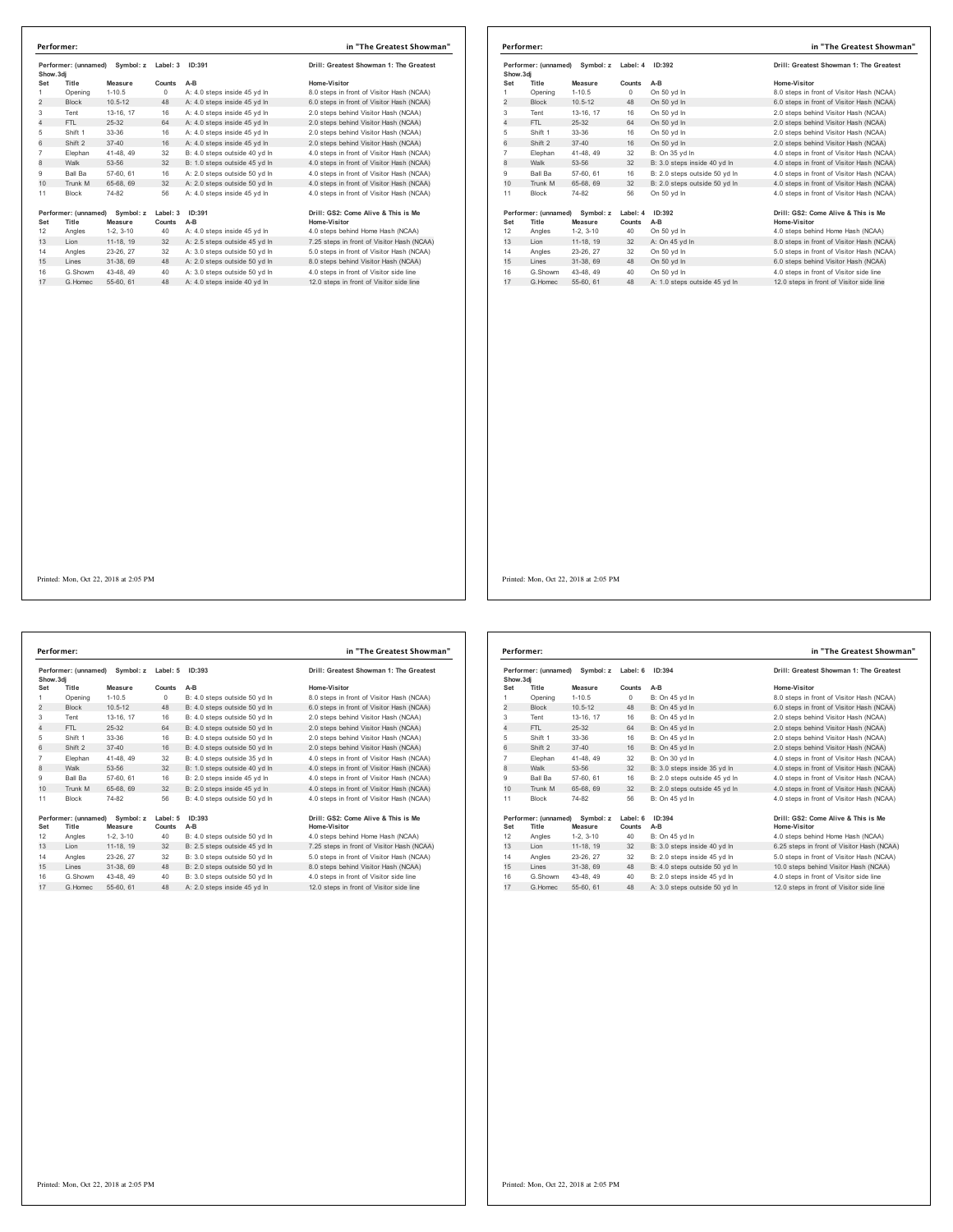| Performer: (unnamed)<br>Symbol: z |                      | Label: 3    | ID:391   | Drill: Greatest Showman 1: The Greatest |                                            |
|-----------------------------------|----------------------|-------------|----------|-----------------------------------------|--------------------------------------------|
| Show.3di<br>Set                   | Title                | Measure     | Counts   | $A-B$                                   | Home-Visitor                               |
| 1                                 | Opening              | $1 - 10.5$  | $\Omega$ | A: 4.0 steps inside 45 yd In            | 8.0 steps in front of Visitor Hash (NCAA)  |
| $\overline{2}$                    | <b>Block</b>         | $10.5 - 12$ | 48       | A: 4.0 steps inside 45 yd In            | 6.0 steps in front of Visitor Hash (NCAA)  |
| 3                                 | Tent                 | 13-16, 17   | 16       | A: 4.0 steps inside 45 yd In            | 2.0 steps behind Visitor Hash (NCAA)       |
| 4                                 | FTI.                 | 25-32       | 64       | A: 4.0 steps inside 45 yd In            | 2.0 steps behind Visitor Hash (NCAA)       |
| 5                                 | Shift 1              | 33-36       | 16       | A: 4.0 steps inside 45 yd In            | 2.0 steps behind Visitor Hash (NCAA)       |
| 6                                 | Shift 2              | $37 - 40$   | 16       | A: 4.0 steps inside 45 yd In            | 2.0 steps behind Visitor Hash (NCAA)       |
| $\overline{7}$                    | Elephan              | 41-48.49    | 32       | B: 4.0 steps outside 40 vd In           | 4.0 steps in front of Visitor Hash (NCAA)  |
| 8                                 | Walk                 | 53-56       | 32       | B: 1.0 steps outside 45 yd In           | 4.0 steps in front of Visitor Hash (NCAA)  |
| 9                                 | Ball Ba              | 57-60, 61   | 16       | A: 2.0 steps outside 50 vd In           | 4.0 steps in front of Visitor Hash (NCAA)  |
| 10                                | Trunk M              | 65-68, 69   | 32       | A: 2.0 steps outside 50 vd In           | 4.0 steps in front of Visitor Hash (NCAA)  |
| 11                                | <b>Block</b>         | 74-82       | 56       | A: 4.0 steps inside 45 yd In            | 4.0 steps in front of Visitor Hash (NCAA)  |
|                                   | Performer: (unnamed) | Symbol: z   | Label: 3 | ID:391                                  | Drill: GS2: Come Alive & This is Me        |
| Set                               | Title                | Measure     | Counts   | $A-B$                                   | Home-Visitor                               |
| 12                                | Angles               | $1-2.3-10$  | 40       | A: 4.0 steps inside 45 yd In            | 4.0 steps behind Home Hash (NCAA)          |
| 13                                | Lion                 | 11-18, 19   | 32       | A: 2.5 steps outside 45 yd In           | 7.25 steps in front of Visitor Hash (NCAA) |
| 14                                | Angles               | 23-26, 27   | 32       | A: 3.0 steps outside 50 vd In           | 5.0 steps in front of Visitor Hash (NCAA)  |
| 15                                | I ines               | 31-38.69    | 48       | A: 2.0 steps outside 50 yd In           | 8.0 steps behind Visitor Hash (NCAA)       |
| 16                                | G.Showm              | 43-48, 49   | 40       | A: 3.0 steps outside 50 yd In           | 4.0 steps in front of Visitor side line    |
| 17                                | G Homec              | 55-60, 61   | 48       | A: 4.0 steps inside 40 yd In            | 12.0 steps in front of Visitor side line   |

| Performer:                                     |                                               |                    |        |                                         | in "The Greatest Showman"                 |
|------------------------------------------------|-----------------------------------------------|--------------------|--------|-----------------------------------------|-------------------------------------------|
| Performer: (unnamed)<br>Symbol: z<br>Show, 3di |                                               | Label: 4<br>ID:392 |        | Drill: Greatest Showman 1: The Greatest |                                           |
| Set                                            | Title                                         | Measure            | Counts | $A-B$                                   | Home-Visitor                              |
| 1                                              | Opening                                       | $1 - 10.5$         | 0      | On 50 vd In                             | 8.0 steps in front of Visitor Hash (NCAA) |
| 2                                              | <b>Block</b>                                  | $10.5 - 12$        | 48     | On 50 yd In                             | 6.0 steps in front of Visitor Hash (NCAA) |
| 3                                              | Tent                                          | 13-16. 17          | 16     | On 50 yd In                             | 2.0 steps behind Visitor Hash (NCAA)      |
| $\overline{4}$                                 | FTI.                                          | 25-32              | 64     | On 50 vd In                             | 2.0 steps behind Visitor Hash (NCAA)      |
| 5                                              | Shift 1                                       | 33-36              | 16     | On 50 yd In                             | 2.0 steps behind Visitor Hash (NCAA)      |
| 6                                              | Shift 2                                       | $37 - 40$          | 16     | On 50 vd In                             | 2.0 steps behind Visitor Hash (NCAA)      |
| $\overline{7}$                                 | Elephan                                       | 41-48, 49          | 32     | B: On 35 yd In                          | 4.0 steps in front of Visitor Hash (NCAA) |
| 8                                              | Walk                                          | 53-56              | 32     | B: 3.0 steps inside 40 yd In            | 4.0 steps in front of Visitor Hash (NCAA) |
| 9                                              | Ball Ba                                       | 57-60, 61          | 16     | B: 2.0 steps outside 50 vd In           | 4.0 steps in front of Visitor Hash (NCAA) |
| 10                                             | Trunk M                                       | 65-68, 69          | 32     | B: 2.0 steps outside 50 yd In           | 4.0 steps in front of Visitor Hash (NCAA) |
| 11                                             | <b>Block</b>                                  | 74-82              | 56     | On 50 yd In                             | 4.0 steps in front of Visitor Hash (NCAA) |
|                                                | Performer: (unnamed)<br>Symbol: z<br>Label: 4 |                    |        | ID:392                                  | Drill: GS2: Come Alive & This is Me       |
| Set                                            | Title                                         | Measure            | Counts | $A-B$                                   | Home-Visitor                              |
| 12                                             | Angles                                        | $1-2.3-10$         | 40     | On 50 yd In                             | 4.0 steps behind Home Hash (NCAA)         |
| 13                                             | Lion                                          | 11-18. 19          | 32     | A: On 45 yd In                          | 8.0 steps in front of Visitor Hash (NCAA) |
| 14                                             | Angles                                        | 23-26, 27          | 32     | On 50 yd In                             | 5.0 steps in front of Visitor Hash (NCAA) |
| 15                                             | Lines                                         | 31-38, 69          | 48     | On 50 yd In                             | 6.0 steps behind Visitor Hash (NCAA)      |
| 16                                             | G.Showm                                       | 43-48, 49          | 40     | On 50 yd In                             | 4.0 steps in front of Visitor side line   |
| 17                                             | G. Homec                                      | 55-60, 61          | 48     | A: 1.0 steps outside 45 vd In           | 12.0 steps in front of Visitor side line  |

Printed: Mon, Oct 22, 2018 at 2:05 PM

**Performer: (unnamed) Symbol: z Label: 5 ID:393 Drill: Greatest Showman 1: The Greatest Show.3dj**<br>
Set Title Measure<br> **Set Title Measure Set Title Measure Counts A-B Home-Visitor** 1 Opening 1-10.5 0 B: 4.0 steps outside 50 yd ln 8.0 steps in front of Visitor Hash (NCAA) 2 Block 10.5-12 48 B: 4.0 steps outside 50 yd in 6.0 steps in front of Visitor Hash (NCAA)<br>2 Block 10.5-12 48 B: 4.0 steps outside 50 yd ln 6.0 steps behind Visitor Hash (NCAA)<br>3 Tent 13-16, 17 16 B: 4.0 steps outside 50 y Tent 13-16, 17 16 B: 4.0 steps outside 50 yd ln 2.0 steps behind Visitor Hash (NCAA) 4 FTL 25-32 64 B: 4.0 steps outside 50 yd ln 2.0 steps behind Visitor Hash (NCAA) Shift 1 33-36 16 B: 4.0 steps outside 50 yd ln 2.0 steps behind Visitor Hash (NCAA) 6 Shift 2 37-40 16 B: 4.0 steps outside 50 yd ln 2.0 steps behind Visitor Hash (NCAA) Elephan 41-48, 49 32 B: 4.0 steps outside 35 yd ln 4.0 steps in front of Visitor Hash (NCAA) 82 B: 4.0 steps outside 35 yd in<br>32 B: 1.0 steps outside 40 yd In 9 Ball Ba 57-60, 61 16 B: 2.0 steps inside 45 yd ln 4.0 steps in front of Visitor Hash (NCAA)<br>10 Trunk M 65-68, 69 32 B: 2.0 steps inside 45 yd ln 4.0 steps in front of Visitor Hash (NCAA) 10 Trunk M 65-68, 69 32 B: 2.0 steps inside 45 yd ln Block 74-82 56 B: 4.0 steps outside 50 yd ln 4.0 steps in front of Visitor Hash (NCAA) **Performer: (unnamed) Symbol: z Label: 5 ID:393 Drill: GS2: Come Alive & This is Me Set Title Measure Counts A-B Home-Visitor** Angles 1-2, 3-10 40 B: 4.0 steps outside 50 yd ln 4.0 steps behind Home Hash (NCAA) 13 Lion 11-18, 19 32 B: 2.5 steps outside 45 yd ln 7.25 steps in front of Visitor Hash (NCAA) Angles 23-26, 27 32 B: 3.0 steps outside 50 yd ln 5.0 steps in front of Visitor Hash (NCAA) 15 Lines 31-38, 69 48 B: 2.0 steps outside 50 yd ln 8.0 steps behind Visitor Hash (NCAA) G.Showm 43-48, 49 40 B: 3.0 steps outside 50 yd ln 4.0 steps in front of Visitor side line 17 G.Homec 55-60, 61 48 A: 2.0 steps inside 45 yd ln 12.0 steps in front of Visitor side line **Performer: in "The Greatest Showman"**

| Show, 3di      | Performer: (unnamed) | Symbol: z   | Label: 6 | ID:394                        | Drill: Greatest Showman 1: The Greatest    |
|----------------|----------------------|-------------|----------|-------------------------------|--------------------------------------------|
| Set            | Title                | Measure     | Counts   | $A-B$                         | Home-Visitor                               |
| 1              | Opening              | $1 - 10.5$  | $\circ$  | B: On 45 yd In                | 8.0 steps in front of Visitor Hash (NCAA)  |
| $\overline{2}$ | <b>Block</b>         | $10.5 - 12$ | 48       | B: On 45 vd In                | 6.0 steps in front of Visitor Hash (NCAA)  |
| 3              | Tent                 | 13-16, 17   | 16       | B: On 45 vd In                | 2.0 steps behind Visitor Hash (NCAA)       |
| 4              | FTI.                 | 25-32       | 64       | B: On 45 yd In                | 2.0 steps behind Visitor Hash (NCAA)       |
| 5              | Shift 1              | 33-36       | 16       | B: On 45 yd In                | 2.0 steps behind Visitor Hash (NCAA)       |
| 6              | Shift 2              | $37 - 40$   | 16       | B: On 45 vd In                | 2.0 steps behind Visitor Hash (NCAA)       |
| $\overline{7}$ | Elephan              | 41-48, 49   | 32       | B: On 30 yd In                | 4.0 steps in front of Visitor Hash (NCAA)  |
| 8              | Walk                 | 53-56       | 32       | B: 3.0 steps inside 35 yd In  | 4.0 steps in front of Visitor Hash (NCAA)  |
| 9              | Ball Ba              | 57-60, 61   | 16       | B: 2.0 steps outside 45 vd In | 4.0 steps in front of Visitor Hash (NCAA)  |
| 10             | Trunk M              | 65-68, 69   | 32       | B: 2.0 steps outside 45 yd In | 4.0 steps in front of Visitor Hash (NCAA)  |
| 11             | <b>Block</b>         | 74-82       | 56       | B: On 45 vd In                | 4.0 steps in front of Visitor Hash (NCAA)  |
|                | Performer: (unnamed) | Symbol: z   | Label: 6 | ID:394                        | Drill: GS2: Come Alive & This is Me        |
| Set            | Title                | Measure     | Counts   | $A-B$                         | Home-Visitor                               |
| 12             | Angles               | $1-2.3-10$  | 40       | B: On 45 vd In                | 4.0 steps behind Home Hash (NCAA)          |
| 13             | Lion                 | 11-18, 19   | 32       | B: 3.0 steps inside 40 yd In  | 6.25 steps in front of Visitor Hash (NCAA) |
| 14             | Angles               | 23-26, 27   | 32       | B: 2.0 steps inside 45 yd In  | 5.0 steps in front of Visitor Hash (NCAA)  |
| 15             | Lines                | 31-38, 69   | 48       | B: 4.0 steps outside 50 yd In | 10.0 steps behind Visitor Hash (NCAA)      |
| 16             | G.Showm              | 43-48.49    | 40       | B: 2.0 steps inside 45 vd In  | 4.0 steps in front of Visitor side line    |
| 17             | G. Homec             | 55-60, 61   | 48       | A: 3.0 steps outside 50 yd In | 12.0 steps in front of Visitor side line   |

Printed: Mon, Oct 22, 2018 at 2:05 PM